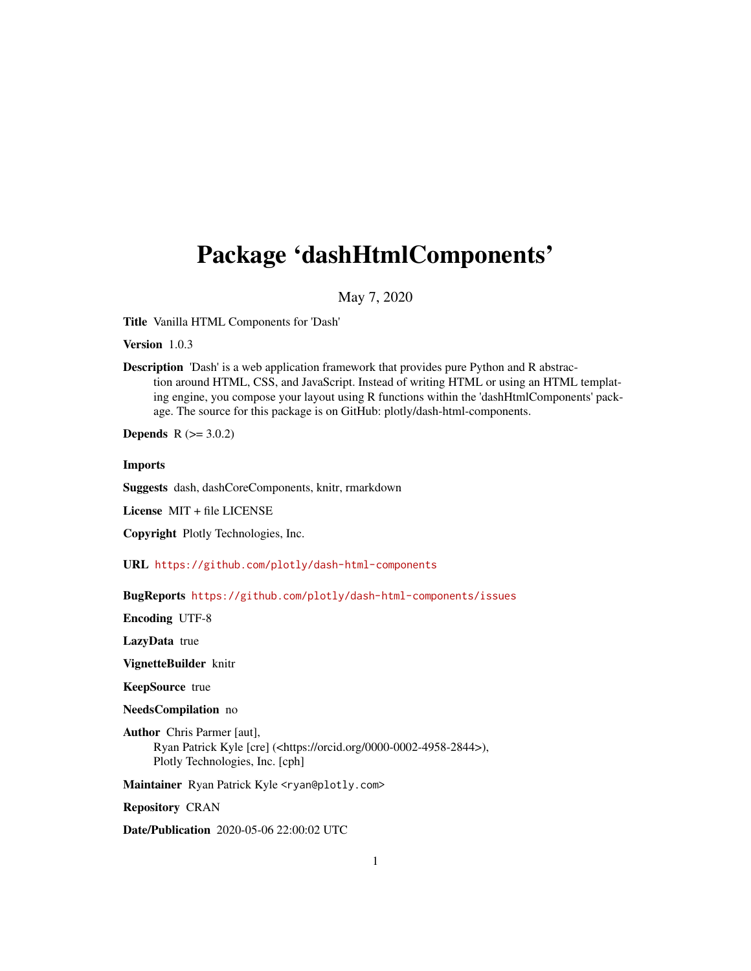# Package 'dashHtmlComponents'

May 7, 2020

Title Vanilla HTML Components for 'Dash'

Version 1.0.3

Description 'Dash' is a web application framework that provides pure Python and R abstraction around HTML, CSS, and JavaScript. Instead of writing HTML or using an HTML templating engine, you compose your layout using R functions within the 'dashHtmlComponents' package. The source for this package is on GitHub: plotly/dash-html-components.

**Depends** R  $(>= 3.0.2)$ 

Imports

Suggests dash, dashCoreComponents, knitr, rmarkdown

License MIT + file LICENSE

Copyright Plotly Technologies, Inc.

URL <https://github.com/plotly/dash-html-components>

BugReports <https://github.com/plotly/dash-html-components/issues>

Encoding UTF-8

LazyData true

VignetteBuilder knitr

KeepSource true

NeedsCompilation no

Author Chris Parmer [aut], Ryan Patrick Kyle [cre] (<https://orcid.org/0000-0002-4958-2844>), Plotly Technologies, Inc. [cph]

Maintainer Ryan Patrick Kyle <ryan@plotly.com>

Repository CRAN

Date/Publication 2020-05-06 22:00:02 UTC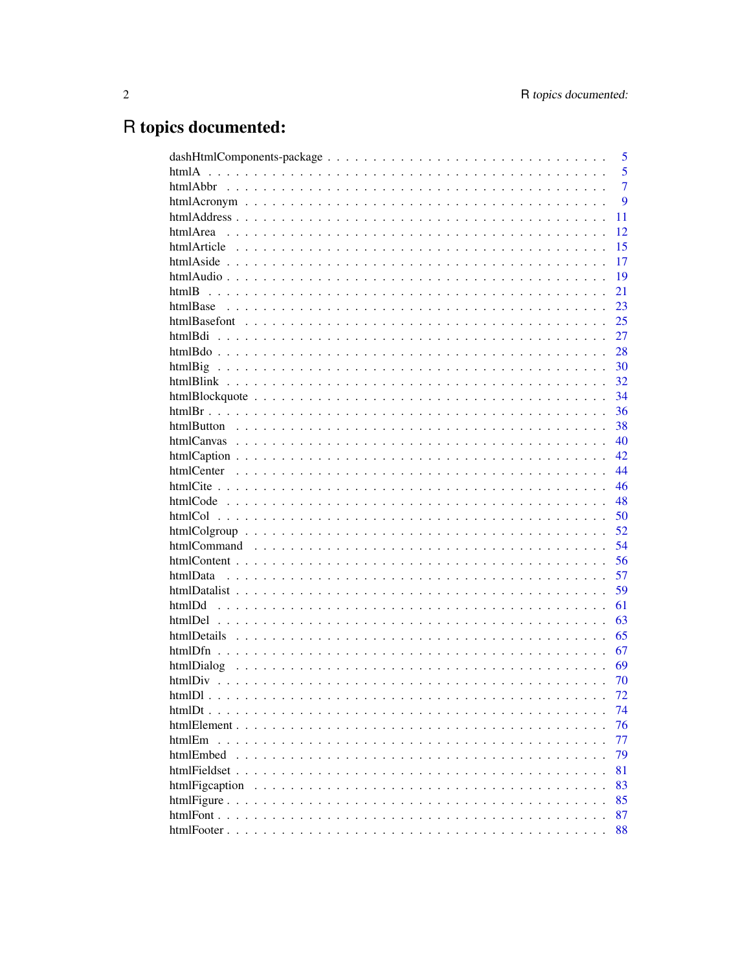# R topics documented:

|                |  |  |  |  |  |  |  |  |  |  | 5              |
|----------------|--|--|--|--|--|--|--|--|--|--|----------------|
|                |  |  |  |  |  |  |  |  |  |  | 5              |
|                |  |  |  |  |  |  |  |  |  |  | $\overline{7}$ |
|                |  |  |  |  |  |  |  |  |  |  | 9              |
|                |  |  |  |  |  |  |  |  |  |  | 11             |
|                |  |  |  |  |  |  |  |  |  |  | 12             |
|                |  |  |  |  |  |  |  |  |  |  | 15             |
|                |  |  |  |  |  |  |  |  |  |  | 17             |
|                |  |  |  |  |  |  |  |  |  |  | 19             |
| htmlB          |  |  |  |  |  |  |  |  |  |  | 21             |
|                |  |  |  |  |  |  |  |  |  |  | 23             |
|                |  |  |  |  |  |  |  |  |  |  | 25             |
| htmlBdi        |  |  |  |  |  |  |  |  |  |  | 27             |
|                |  |  |  |  |  |  |  |  |  |  | 28             |
|                |  |  |  |  |  |  |  |  |  |  | 30             |
|                |  |  |  |  |  |  |  |  |  |  | 32             |
|                |  |  |  |  |  |  |  |  |  |  | 34             |
|                |  |  |  |  |  |  |  |  |  |  | 36             |
|                |  |  |  |  |  |  |  |  |  |  | 38             |
|                |  |  |  |  |  |  |  |  |  |  | 40             |
|                |  |  |  |  |  |  |  |  |  |  | 42.            |
|                |  |  |  |  |  |  |  |  |  |  | 44             |
|                |  |  |  |  |  |  |  |  |  |  | 46             |
|                |  |  |  |  |  |  |  |  |  |  | 48             |
|                |  |  |  |  |  |  |  |  |  |  | 50             |
|                |  |  |  |  |  |  |  |  |  |  | 52             |
|                |  |  |  |  |  |  |  |  |  |  | 54             |
|                |  |  |  |  |  |  |  |  |  |  | 56             |
| htmlData       |  |  |  |  |  |  |  |  |  |  | 57             |
|                |  |  |  |  |  |  |  |  |  |  | 59             |
|                |  |  |  |  |  |  |  |  |  |  | 61             |
|                |  |  |  |  |  |  |  |  |  |  | 63             |
|                |  |  |  |  |  |  |  |  |  |  | 65             |
|                |  |  |  |  |  |  |  |  |  |  | 67             |
| htmlDialog     |  |  |  |  |  |  |  |  |  |  | 69             |
| htmlDiv        |  |  |  |  |  |  |  |  |  |  | 70             |
|                |  |  |  |  |  |  |  |  |  |  | 72             |
|                |  |  |  |  |  |  |  |  |  |  | 74             |
|                |  |  |  |  |  |  |  |  |  |  | 76             |
| htmlEm         |  |  |  |  |  |  |  |  |  |  | 77             |
| htmlEmbed      |  |  |  |  |  |  |  |  |  |  | 79             |
|                |  |  |  |  |  |  |  |  |  |  | 81             |
| htmlFigcaption |  |  |  |  |  |  |  |  |  |  | 83             |
|                |  |  |  |  |  |  |  |  |  |  | 85             |
|                |  |  |  |  |  |  |  |  |  |  | 87             |
|                |  |  |  |  |  |  |  |  |  |  | 88             |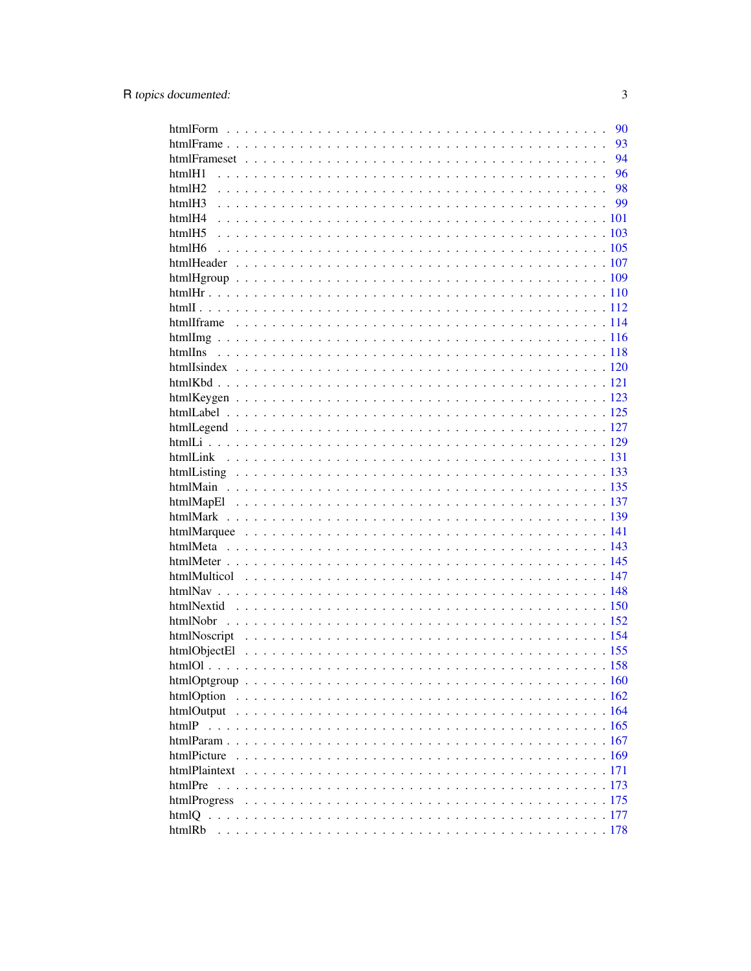|                   | 90 |
|-------------------|----|
|                   | 93 |
|                   | 94 |
| htmlH1            | 96 |
| htmlH2            | 98 |
| htmlH3            |    |
| htmlH4            |    |
| html <sub>5</sub> |    |
|                   |    |
|                   |    |
|                   |    |
|                   |    |
|                   |    |
|                   |    |
|                   |    |
|                   |    |
|                   |    |
|                   |    |
|                   |    |
|                   |    |
|                   |    |
|                   |    |
|                   |    |
|                   |    |
|                   |    |
|                   |    |
|                   |    |
|                   |    |
|                   |    |
|                   |    |
|                   |    |
|                   |    |
|                   |    |
|                   |    |
|                   |    |
|                   |    |
|                   |    |
|                   |    |
|                   |    |
| htmlOption        |    |
|                   |    |
| htmlP             |    |
|                   |    |
| htmlPicture       |    |
|                   |    |
| htmlPre           |    |
|                   |    |
|                   |    |
|                   |    |
|                   |    |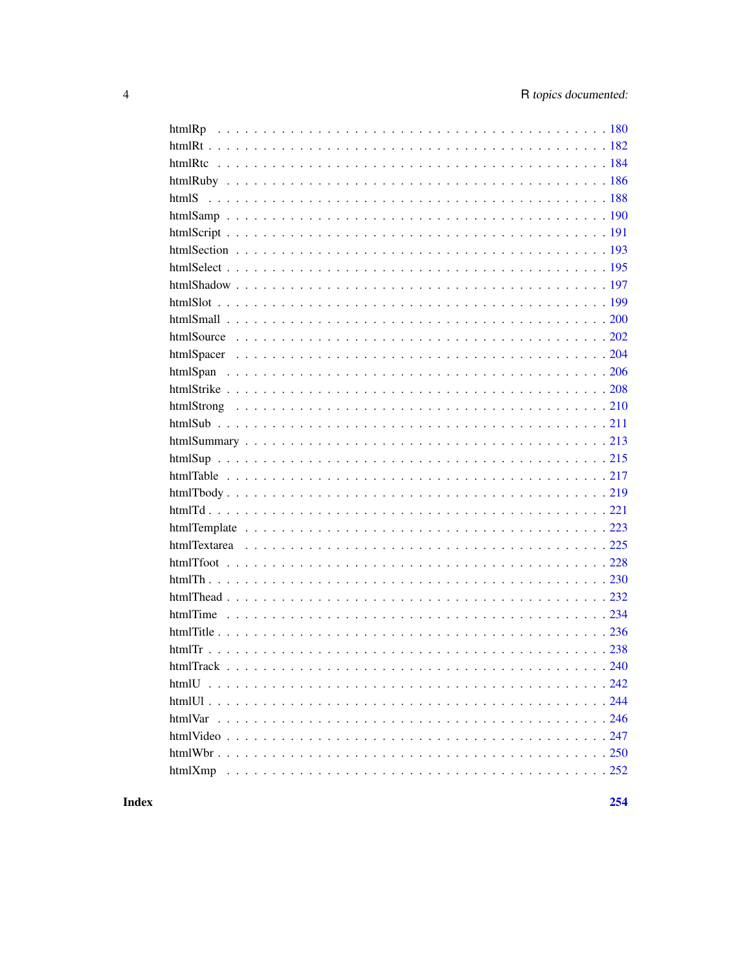**Index**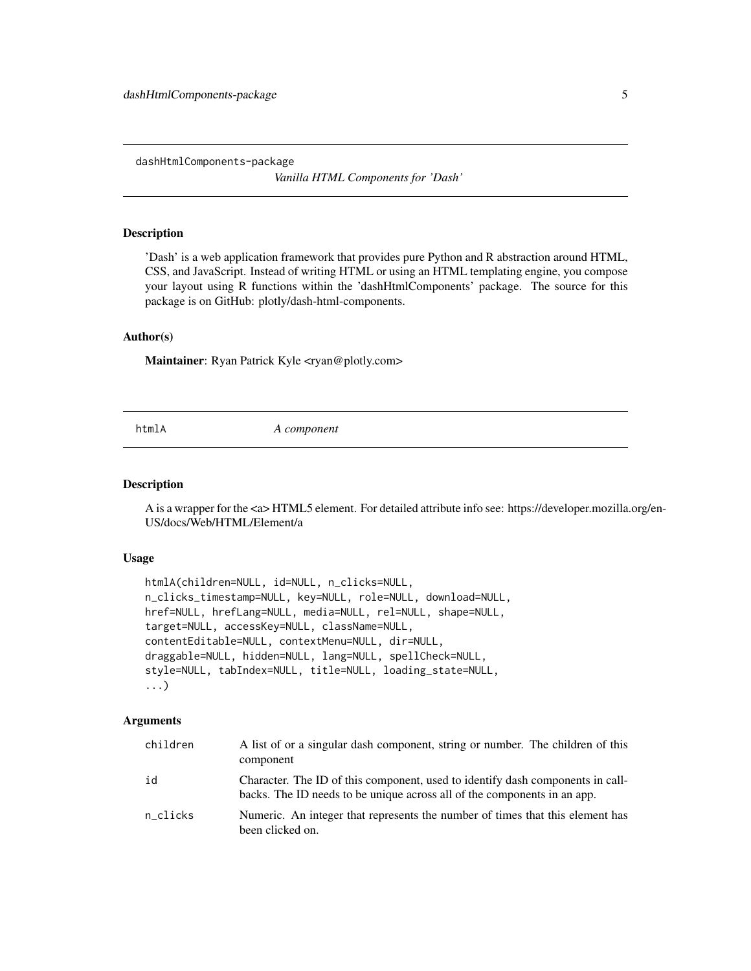<span id="page-4-0"></span>dashHtmlComponents-package

*Vanilla HTML Components for 'Dash'*

### Description

'Dash' is a web application framework that provides pure Python and R abstraction around HTML, CSS, and JavaScript. Instead of writing HTML or using an HTML templating engine, you compose your layout using R functions within the 'dashHtmlComponents' package. The source for this package is on GitHub: plotly/dash-html-components.

### Author(s)

Maintainer: Ryan Patrick Kyle <ryan@plotly.com>

htmlA *A component*

### **Description**

A is a wrapper for the <a> HTML5 element. For detailed attribute info see: https://developer.mozilla.org/en-US/docs/Web/HTML/Element/a

#### Usage

```
htmlA(children=NULL, id=NULL, n_clicks=NULL,
n_clicks_timestamp=NULL, key=NULL, role=NULL, download=NULL,
href=NULL, hrefLang=NULL, media=NULL, rel=NULL, shape=NULL,
target=NULL, accessKey=NULL, className=NULL,
contentEditable=NULL, contextMenu=NULL, dir=NULL,
draggable=NULL, hidden=NULL, lang=NULL, spellCheck=NULL,
style=NULL, tabIndex=NULL, title=NULL, loading_state=NULL,
...)
```

| children | A list of or a singular dash component, string or number. The children of this<br>component                                                                |
|----------|------------------------------------------------------------------------------------------------------------------------------------------------------------|
| id       | Character. The ID of this component, used to identify dash components in call-<br>backs. The ID needs to be unique across all of the components in an app. |
| n_clicks | Numeric. An integer that represents the number of times that this element has<br>been clicked on.                                                          |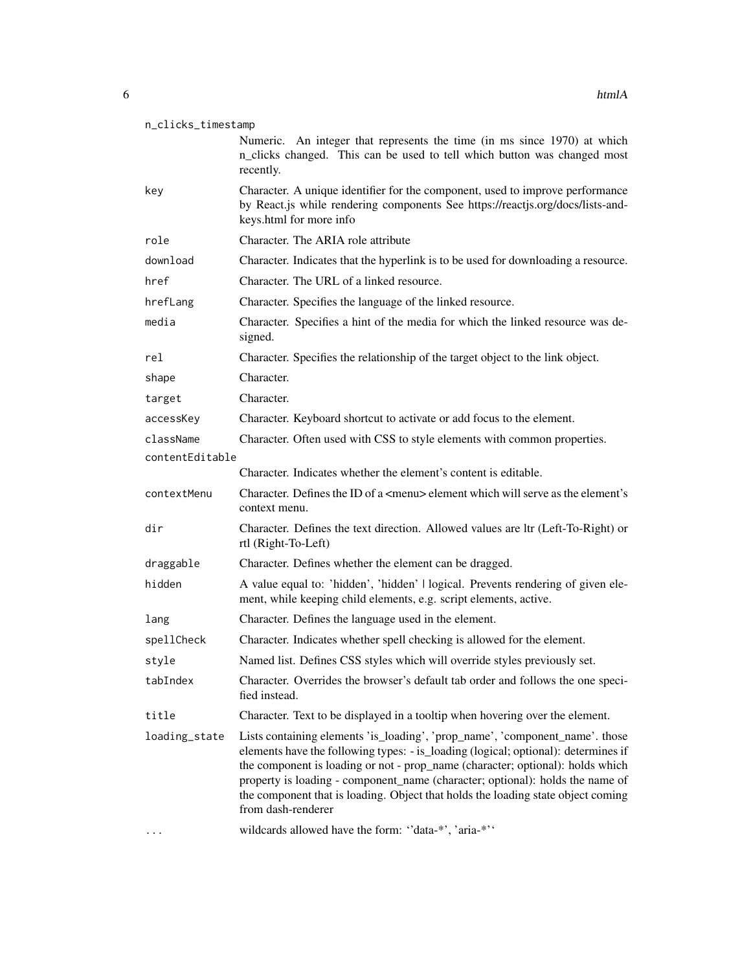| n_clicks_timestamp |  |
|--------------------|--|
|                    |  |

Numeric. An integer that represents the time (in ms since 1970) at which n\_clicks changed. This can be used to tell which button was changed most recently.

- key Character. A unique identifier for the component, used to improve performance by React.js while rendering components See https://reactjs.org/docs/lists-andkeys.html for more info
- role Character. The ARIA role attribute download Character. Indicates that the hyperlink is to be used for downloading a resource.
- href Character. The URL of a linked resource.
- hrefLang Character. Specifies the language of the linked resource.
- media Character. Specifies a hint of the media for which the linked resource was designed.
- rel Character. Specifies the relationship of the target object to the link object.
- shape Character.
- target Character.
- accessKey Character. Keyboard shortcut to activate or add focus to the element.
- className Character. Often used with CSS to style elements with common properties.
- contentEditable
	- Character. Indicates whether the element's content is editable.
- contextMenu Character. Defines the ID of a <menu> element which will serve as the element's context menu.
- dir Character. Defines the text direction. Allowed values are ltr (Left-To-Right) or rtl (Right-To-Left)
- draggable Character. Defines whether the element can be dragged.
- hidden A value equal to: 'hidden', 'hidden' | logical. Prevents rendering of given element, while keeping child elements, e.g. script elements, active.
- lang Character. Defines the language used in the element.
- spellCheck Character. Indicates whether spell checking is allowed for the element.
- style Named list. Defines CSS styles which will override styles previously set.
- tabIndex Character. Overrides the browser's default tab order and follows the one specified instead.
- title Character. Text to be displayed in a tooltip when hovering over the element.
- loading\_state Lists containing elements 'is\_loading', 'prop\_name', 'component\_name'. those elements have the following types: - is\_loading (logical; optional): determines if the component is loading or not - prop\_name (character; optional): holds which property is loading - component\_name (character; optional): holds the name of the component that is loading. Object that holds the loading state object coming from dash-renderer
- ... wildcards allowed have the form: ''data-\*', 'aria-\*''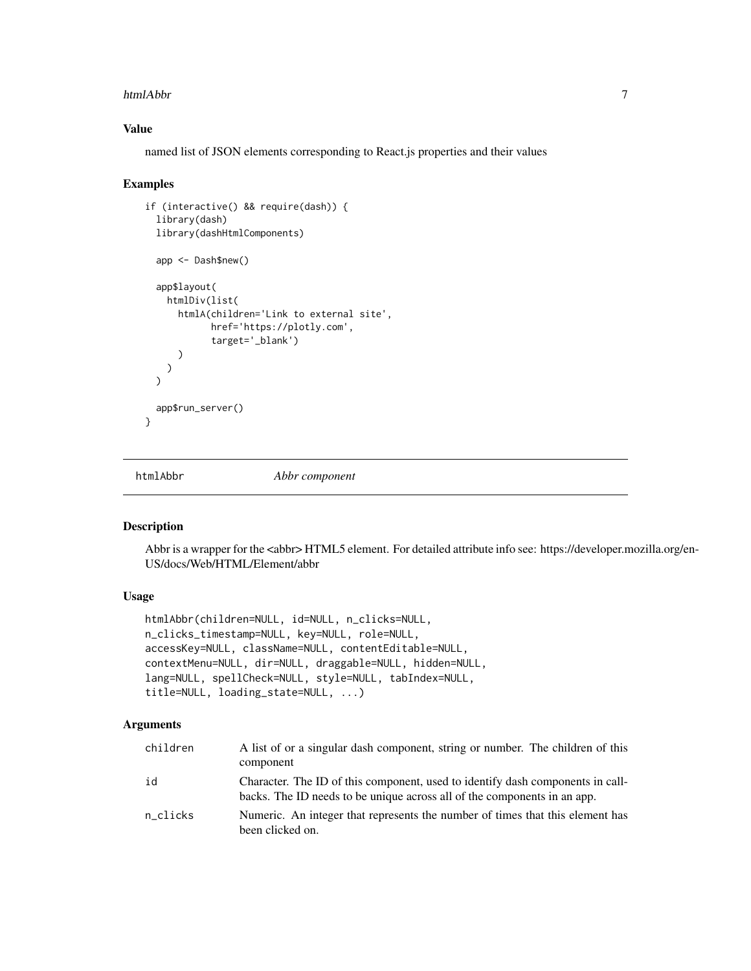#### <span id="page-6-0"></span>htmlAbbr 7

### Value

named list of JSON elements corresponding to React.js properties and their values

### Examples

```
if (interactive() && require(dash)) {
 library(dash)
 library(dashHtmlComponents)
 app <- Dash$new()
 app$layout(
   htmlDiv(list(
     htmlA(children='Link to external site',
            href='https://plotly.com',
            target='_blank')
      )
   )
 \lambdaapp$run_server()
}
```
htmlAbbr *Abbr component*

### Description

Abbr is a wrapper for the <abbr> HTML5 element. For detailed attribute info see: https://developer.mozilla.org/en-US/docs/Web/HTML/Element/abbr

# Usage

```
htmlAbbr(children=NULL, id=NULL, n_clicks=NULL,
n_clicks_timestamp=NULL, key=NULL, role=NULL,
accessKey=NULL, className=NULL, contentEditable=NULL,
contextMenu=NULL, dir=NULL, draggable=NULL, hidden=NULL,
lang=NULL, spellCheck=NULL, style=NULL, tabIndex=NULL,
title=NULL, loading_state=NULL, ...)
```

| children | A list of or a singular dash component, string or number. The children of this<br>component                                                                |
|----------|------------------------------------------------------------------------------------------------------------------------------------------------------------|
| id       | Character. The ID of this component, used to identify dash components in call-<br>backs. The ID needs to be unique across all of the components in an app. |
| n clicks | Numeric. An integer that represents the number of times that this element has<br>been clicked on.                                                          |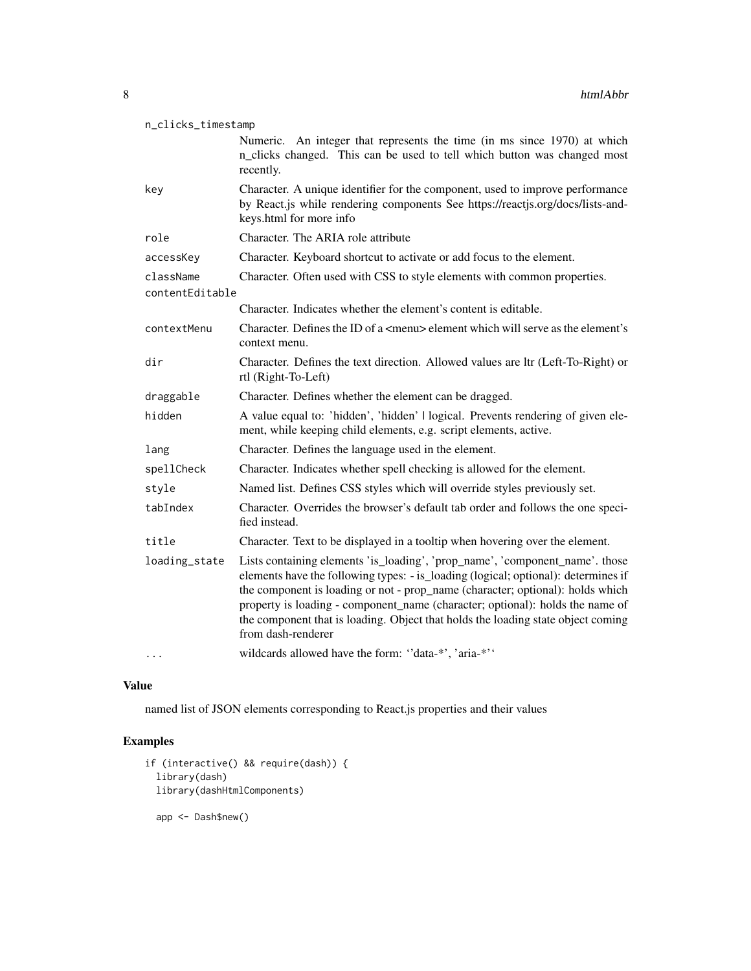| n_clicks_timestamp           |                                                                                                                                                                                                                                                                                                                                                                                                                                                 |
|------------------------------|-------------------------------------------------------------------------------------------------------------------------------------------------------------------------------------------------------------------------------------------------------------------------------------------------------------------------------------------------------------------------------------------------------------------------------------------------|
|                              | Numeric. An integer that represents the time (in ms since 1970) at which<br>n_clicks changed. This can be used to tell which button was changed most<br>recently.                                                                                                                                                                                                                                                                               |
| key                          | Character. A unique identifier for the component, used to improve performance<br>by React.js while rendering components See https://reactjs.org/docs/lists-and-<br>keys.html for more info                                                                                                                                                                                                                                                      |
| role                         | Character. The ARIA role attribute                                                                                                                                                                                                                                                                                                                                                                                                              |
| accessKey                    | Character. Keyboard shortcut to activate or add focus to the element.                                                                                                                                                                                                                                                                                                                                                                           |
| className<br>contentEditable | Character. Often used with CSS to style elements with common properties.                                                                                                                                                                                                                                                                                                                                                                        |
|                              | Character. Indicates whether the element's content is editable.                                                                                                                                                                                                                                                                                                                                                                                 |
| contextMenu                  | Character. Defines the ID of a <menu> element which will serve as the element's<br/>context menu.</menu>                                                                                                                                                                                                                                                                                                                                        |
| dir                          | Character. Defines the text direction. Allowed values are ltr (Left-To-Right) or<br>rtl (Right-To-Left)                                                                                                                                                                                                                                                                                                                                         |
| draggable                    | Character. Defines whether the element can be dragged.                                                                                                                                                                                                                                                                                                                                                                                          |
| hidden                       | A value equal to: 'hidden', 'hidden'   logical. Prevents rendering of given ele-<br>ment, while keeping child elements, e.g. script elements, active.                                                                                                                                                                                                                                                                                           |
| lang                         | Character. Defines the language used in the element.                                                                                                                                                                                                                                                                                                                                                                                            |
| spellCheck                   | Character. Indicates whether spell checking is allowed for the element.                                                                                                                                                                                                                                                                                                                                                                         |
| style                        | Named list. Defines CSS styles which will override styles previously set.                                                                                                                                                                                                                                                                                                                                                                       |
| tabIndex                     | Character. Overrides the browser's default tab order and follows the one speci-<br>fied instead.                                                                                                                                                                                                                                                                                                                                                |
| title                        | Character. Text to be displayed in a tooltip when hovering over the element.                                                                                                                                                                                                                                                                                                                                                                    |
| loading_state                | Lists containing elements 'is_loading', 'prop_name', 'component_name'. those<br>elements have the following types: - is_loading (logical; optional): determines if<br>the component is loading or not - prop_name (character; optional): holds which<br>property is loading - component_name (character; optional): holds the name of<br>the component that is loading. Object that holds the loading state object coming<br>from dash-renderer |
| $\cdots$                     | wildcards allowed have the form: "data-*', 'aria-*''                                                                                                                                                                                                                                                                                                                                                                                            |

named list of JSON elements corresponding to React.js properties and their values

```
if (interactive() && require(dash)) {
 library(dash)
 library(dashHtmlComponents)
  app <- Dash$new()
```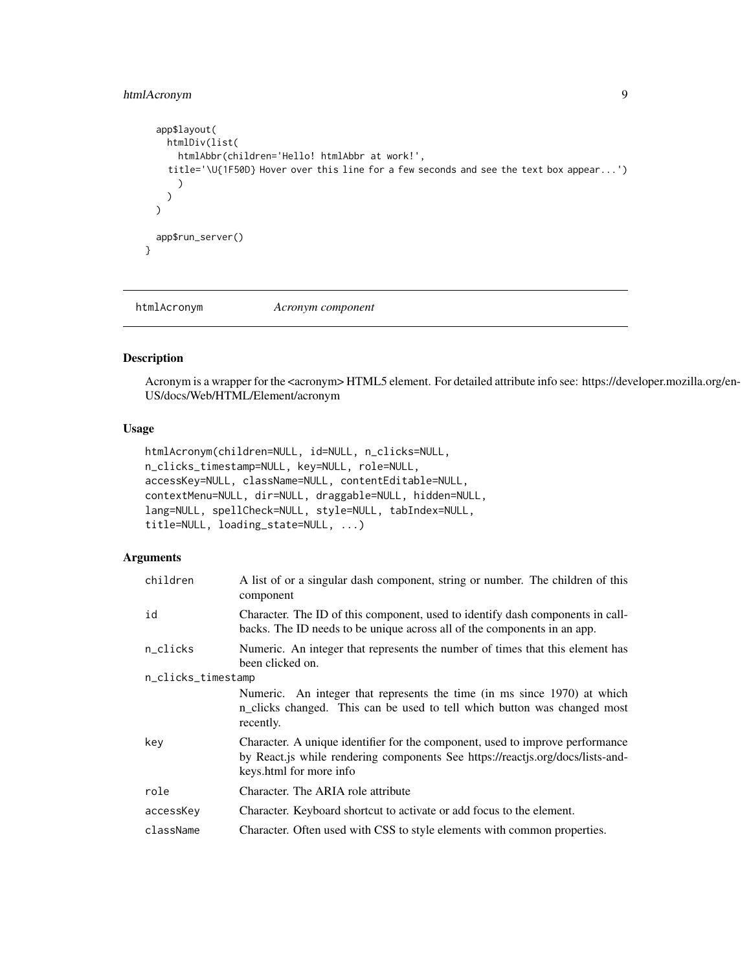# <span id="page-8-0"></span>htmlAcronym 9

```
app$layout(
    htmlDiv(list(
      htmlAbbr(children='Hello! htmlAbbr at work!',
    title='\U{1F50D} Hover over this line for a few seconds and see the text box appear...')
      )
    )
  \mathcal{L}app$run_server()
}
```
htmlAcronym *Acronym component*

# Description

Acronym is a wrapper for the <acronym> HTML5 element. For detailed attribute info see: https://developer.mozilla.org/en-US/docs/Web/HTML/Element/acronym

# Usage

```
htmlAcronym(children=NULL, id=NULL, n_clicks=NULL,
n_clicks_timestamp=NULL, key=NULL, role=NULL,
accessKey=NULL, className=NULL, contentEditable=NULL,
contextMenu=NULL, dir=NULL, draggable=NULL, hidden=NULL,
lang=NULL, spellCheck=NULL, style=NULL, tabIndex=NULL,
title=NULL, loading_state=NULL, ...)
```

| children           | A list of or a singular dash component, string or number. The children of this<br>component                                                                                                |
|--------------------|--------------------------------------------------------------------------------------------------------------------------------------------------------------------------------------------|
| id                 | Character. The ID of this component, used to identify dash components in call-<br>backs. The ID needs to be unique across all of the components in an app.                                 |
| n_clicks           | Numeric. An integer that represents the number of times that this element has<br>been clicked on.                                                                                          |
| n_clicks_timestamp |                                                                                                                                                                                            |
|                    | Numeric. An integer that represents the time (in ms since 1970) at which<br>n_clicks changed. This can be used to tell which button was changed most<br>recently.                          |
| key                | Character. A unique identifier for the component, used to improve performance<br>by React.js while rendering components See https://reactjs.org/docs/lists-and-<br>keys.html for more info |
| role               | Character. The ARIA role attribute                                                                                                                                                         |
| accessKey          | Character. Keyboard shortcut to activate or add focus to the element.                                                                                                                      |
| className          | Character. Often used with CSS to style elements with common properties.                                                                                                                   |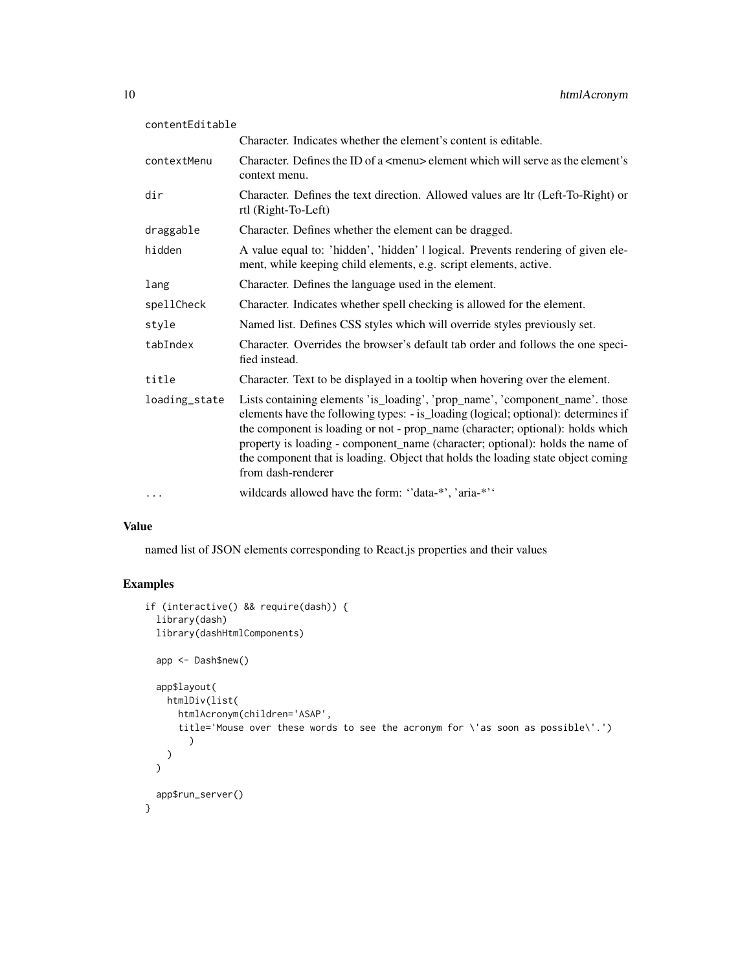| contentEditable |                                                                                                                                                                                                                                                                                                                                                                                                                                                 |
|-----------------|-------------------------------------------------------------------------------------------------------------------------------------------------------------------------------------------------------------------------------------------------------------------------------------------------------------------------------------------------------------------------------------------------------------------------------------------------|
|                 | Character. Indicates whether the element's content is editable.                                                                                                                                                                                                                                                                                                                                                                                 |
| contextMenu     | Character. Defines the ID of a $\leq$ menu $\geq$ element which will serve as the element's<br>context menu.                                                                                                                                                                                                                                                                                                                                    |
| dir             | Character. Defines the text direction. Allowed values are ltr (Left-To-Right) or<br>rtl (Right-To-Left)                                                                                                                                                                                                                                                                                                                                         |
| draggable       | Character. Defines whether the element can be dragged.                                                                                                                                                                                                                                                                                                                                                                                          |
| hidden          | A value equal to: 'hidden', 'hidden'   logical. Prevents rendering of given ele-<br>ment, while keeping child elements, e.g. script elements, active.                                                                                                                                                                                                                                                                                           |
| lang            | Character. Defines the language used in the element.                                                                                                                                                                                                                                                                                                                                                                                            |
| spellCheck      | Character. Indicates whether spell checking is allowed for the element.                                                                                                                                                                                                                                                                                                                                                                         |
| style           | Named list. Defines CSS styles which will override styles previously set.                                                                                                                                                                                                                                                                                                                                                                       |
| tabIndex        | Character. Overrides the browser's default tab order and follows the one speci-<br>fied instead.                                                                                                                                                                                                                                                                                                                                                |
| title           | Character. Text to be displayed in a tooltip when hovering over the element.                                                                                                                                                                                                                                                                                                                                                                    |
| loading_state   | Lists containing elements 'is_loading', 'prop_name', 'component_name'. those<br>elements have the following types: - is_loading (logical; optional): determines if<br>the component is loading or not - prop_name (character; optional): holds which<br>property is loading - component_name (character; optional): holds the name of<br>the component that is loading. Object that holds the loading state object coming<br>from dash-renderer |
| $\cdots$        | wildcards allowed have the form: "data-*', 'aria-*''                                                                                                                                                                                                                                                                                                                                                                                            |

named list of JSON elements corresponding to React.js properties and their values

```
if (interactive() && require(dash)) {
 library(dash)
 library(dashHtmlComponents)
 app <- Dash$new()
 app$layout(
   htmlDiv(list(
     htmlAcronym(children='ASAP',
      title='Mouse over these words to see the acronym for \'as soon as possible\'.')
       )
   )
 \mathcal{L}app$run_server()
}
```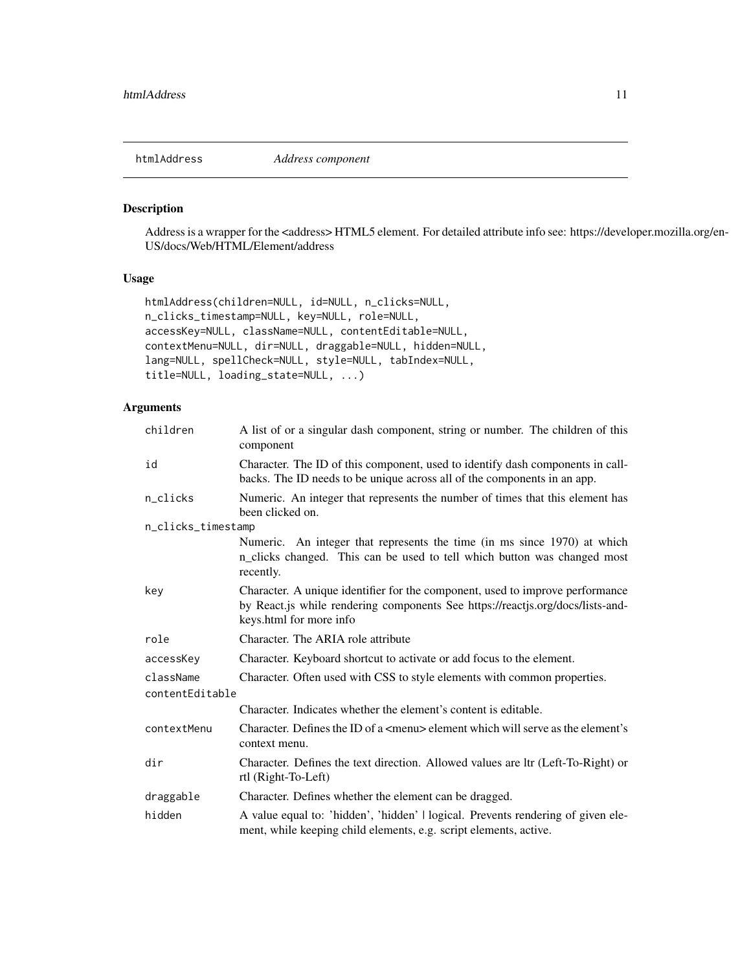<span id="page-10-0"></span>htmlAddress *Address component*

### Description

Address is a wrapper for the <address> HTML5 element. For detailed attribute info see: https://developer.mozilla.org/en-US/docs/Web/HTML/Element/address

# Usage

```
htmlAddress(children=NULL, id=NULL, n_clicks=NULL,
n_clicks_timestamp=NULL, key=NULL, role=NULL,
accessKey=NULL, className=NULL, contentEditable=NULL,
contextMenu=NULL, dir=NULL, draggable=NULL, hidden=NULL,
lang=NULL, spellCheck=NULL, style=NULL, tabIndex=NULL,
title=NULL, loading_state=NULL, ...)
```

| children           | A list of or a singular dash component, string or number. The children of this<br>component                                                                                                |
|--------------------|--------------------------------------------------------------------------------------------------------------------------------------------------------------------------------------------|
| id                 | Character. The ID of this component, used to identify dash components in call-<br>backs. The ID needs to be unique across all of the components in an app.                                 |
| n_clicks           | Numeric. An integer that represents the number of times that this element has<br>been clicked on.                                                                                          |
| n_clicks_timestamp |                                                                                                                                                                                            |
|                    | Numeric. An integer that represents the time (in ms since 1970) at which<br>n_clicks changed. This can be used to tell which button was changed most<br>recently.                          |
| key                | Character. A unique identifier for the component, used to improve performance<br>by React.js while rendering components See https://reactjs.org/docs/lists-and-<br>keys.html for more info |
| role               | Character. The ARIA role attribute                                                                                                                                                         |
| accessKey          | Character. Keyboard shortcut to activate or add focus to the element.                                                                                                                      |
| className          | Character. Often used with CSS to style elements with common properties.                                                                                                                   |
| contentEditable    |                                                                                                                                                                                            |
|                    | Character. Indicates whether the element's content is editable.                                                                                                                            |
| contextMenu        | Character. Defines the ID of a <menu> element which will serve as the element's<br/>context menu.</menu>                                                                                   |
| dir                | Character. Defines the text direction. Allowed values are ltr (Left-To-Right) or<br>rtl (Right-To-Left)                                                                                    |
| draggable          | Character. Defines whether the element can be dragged.                                                                                                                                     |
| hidden             | A value equal to: 'hidden', 'hidden'   logical. Prevents rendering of given ele-<br>ment, while keeping child elements, e.g. script elements, active.                                      |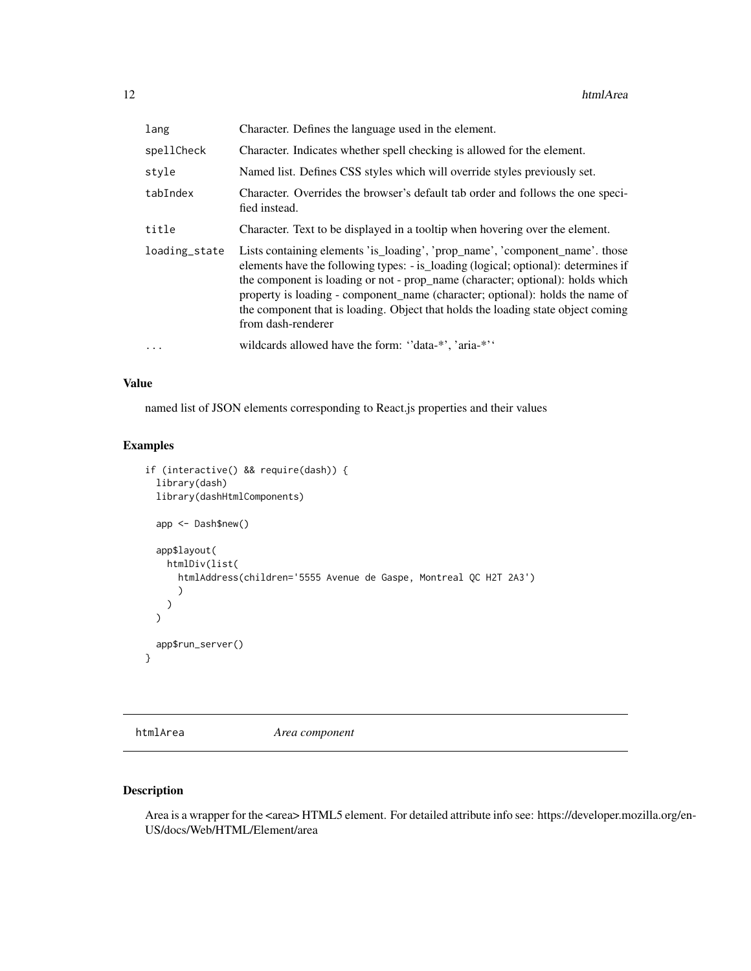<span id="page-11-0"></span>

| lang          | Character. Defines the language used in the element.                                                                                                                                                                                                                                                                                                                                                                                            |
|---------------|-------------------------------------------------------------------------------------------------------------------------------------------------------------------------------------------------------------------------------------------------------------------------------------------------------------------------------------------------------------------------------------------------------------------------------------------------|
| spellCheck    | Character. Indicates whether spell checking is allowed for the element.                                                                                                                                                                                                                                                                                                                                                                         |
| style         | Named list. Defines CSS styles which will override styles previously set.                                                                                                                                                                                                                                                                                                                                                                       |
| tabIndex      | Character. Overrides the browser's default tab order and follows the one speci-<br>fied instead.                                                                                                                                                                                                                                                                                                                                                |
| title         | Character. Text to be displayed in a tooltip when hovering over the element.                                                                                                                                                                                                                                                                                                                                                                    |
| loading_state | Lists containing elements 'is_loading', 'prop_name', 'component_name'. those<br>elements have the following types: - is loading (logical; optional): determines if<br>the component is loading or not - prop_name (character; optional): holds which<br>property is loading - component name (character; optional): holds the name of<br>the component that is loading. Object that holds the loading state object coming<br>from dash-renderer |
| $\ddots$      | wildcards allowed have the form: "data-*", 'aria-*"                                                                                                                                                                                                                                                                                                                                                                                             |

named list of JSON elements corresponding to React.js properties and their values

# Examples

```
if (interactive() && require(dash)) {
 library(dash)
 library(dashHtmlComponents)
 app <- Dash$new()
 app$layout(
   htmlDiv(list(
      htmlAddress(children='5555 Avenue de Gaspe, Montreal QC H2T 2A3')
      )
   )
 \overline{)}app$run_server()
}
```
htmlArea *Area component*

# Description

Area is a wrapper for the <area> HTML5 element. For detailed attribute info see: https://developer.mozilla.org/en-US/docs/Web/HTML/Element/area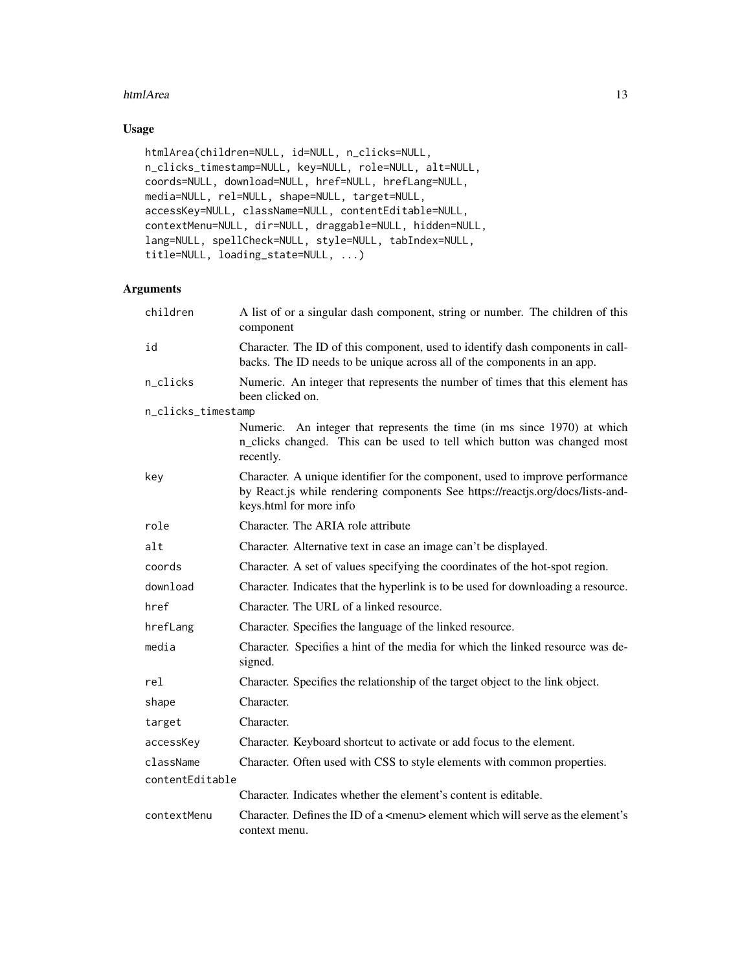### htmlArea 13

# Usage

```
htmlArea(children=NULL, id=NULL, n_clicks=NULL,
n_clicks_timestamp=NULL, key=NULL, role=NULL, alt=NULL,
coords=NULL, download=NULL, href=NULL, hrefLang=NULL,
media=NULL, rel=NULL, shape=NULL, target=NULL,
accessKey=NULL, className=NULL, contentEditable=NULL,
contextMenu=NULL, dir=NULL, draggable=NULL, hidden=NULL,
lang=NULL, spellCheck=NULL, style=NULL, tabIndex=NULL,
title=NULL, loading_state=NULL, ...)
```

| children           | A list of or a singular dash component, string or number. The children of this<br>component                                                                                                |
|--------------------|--------------------------------------------------------------------------------------------------------------------------------------------------------------------------------------------|
| id                 | Character. The ID of this component, used to identify dash components in call-<br>backs. The ID needs to be unique across all of the components in an app.                                 |
| n_clicks           | Numeric. An integer that represents the number of times that this element has<br>been clicked on.                                                                                          |
| n_clicks_timestamp |                                                                                                                                                                                            |
|                    | Numeric. An integer that represents the time (in ms since 1970) at which<br>n_clicks changed. This can be used to tell which button was changed most<br>recently.                          |
| key                | Character. A unique identifier for the component, used to improve performance<br>by React.js while rendering components See https://reactjs.org/docs/lists-and-<br>keys.html for more info |
| role               | Character. The ARIA role attribute                                                                                                                                                         |
| alt                | Character. Alternative text in case an image can't be displayed.                                                                                                                           |
| coords             | Character. A set of values specifying the coordinates of the hot-spot region.                                                                                                              |
| download           | Character. Indicates that the hyperlink is to be used for downloading a resource.                                                                                                          |
| href               | Character. The URL of a linked resource.                                                                                                                                                   |
| hrefLang           | Character. Specifies the language of the linked resource.                                                                                                                                  |
| media              | Character. Specifies a hint of the media for which the linked resource was de-<br>signed.                                                                                                  |
| rel                | Character. Specifies the relationship of the target object to the link object.                                                                                                             |
| shape              | Character.                                                                                                                                                                                 |
| target             | Character.                                                                                                                                                                                 |
| accessKey          | Character. Keyboard shortcut to activate or add focus to the element.                                                                                                                      |
| className          | Character. Often used with CSS to style elements with common properties.                                                                                                                   |
| contentEditable    |                                                                                                                                                                                            |
|                    | Character. Indicates whether the element's content is editable.                                                                                                                            |
| contextMenu        | Character. Defines the ID of a <menu> element which will serve as the element's<br/>context menu.</menu>                                                                                   |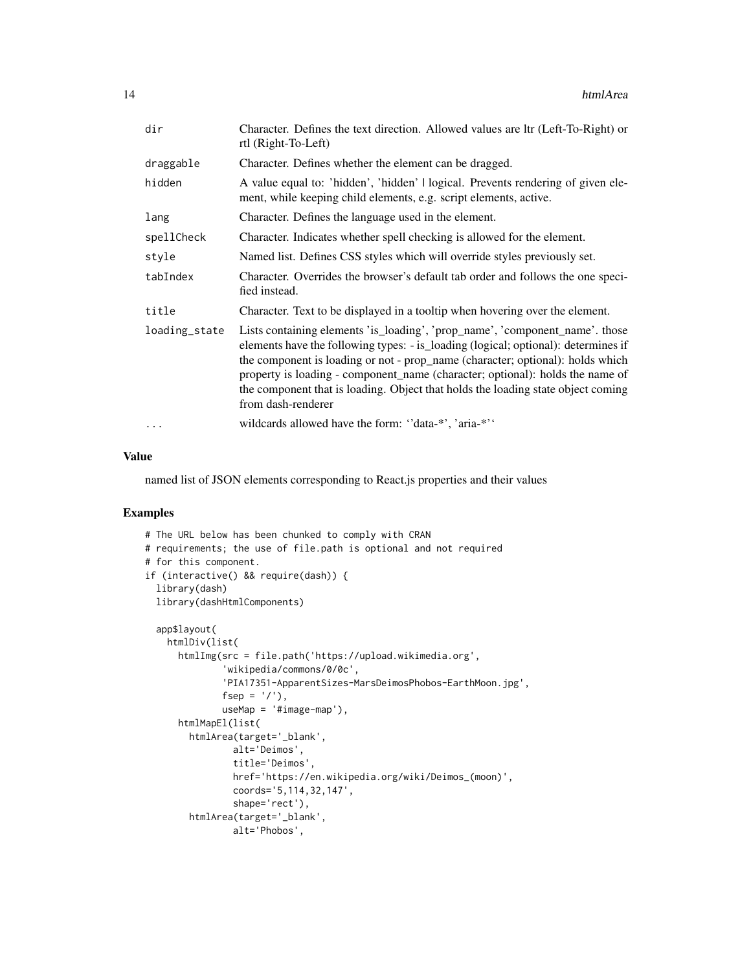| dir           | Character. Defines the text direction. Allowed values are ltr (Left-To-Right) or<br>rtl (Right-To-Left)                                                                                                                                                                                                                                                                                                                                         |
|---------------|-------------------------------------------------------------------------------------------------------------------------------------------------------------------------------------------------------------------------------------------------------------------------------------------------------------------------------------------------------------------------------------------------------------------------------------------------|
| draggable     | Character. Defines whether the element can be dragged.                                                                                                                                                                                                                                                                                                                                                                                          |
| hidden        | A value equal to: 'hidden', 'hidden'   logical. Prevents rendering of given ele-<br>ment, while keeping child elements, e.g. script elements, active.                                                                                                                                                                                                                                                                                           |
| lang          | Character. Defines the language used in the element.                                                                                                                                                                                                                                                                                                                                                                                            |
| spellCheck    | Character. Indicates whether spell checking is allowed for the element.                                                                                                                                                                                                                                                                                                                                                                         |
| style         | Named list. Defines CSS styles which will override styles previously set.                                                                                                                                                                                                                                                                                                                                                                       |
| tabIndex      | Character. Overrides the browser's default tab order and follows the one speci-<br>fied instead.                                                                                                                                                                                                                                                                                                                                                |
| title         | Character. Text to be displayed in a tooltip when hovering over the element.                                                                                                                                                                                                                                                                                                                                                                    |
| loading_state | Lists containing elements 'is_loading', 'prop_name', 'component_name'. those<br>elements have the following types: - is_loading (logical; optional): determines if<br>the component is loading or not - prop_name (character; optional): holds which<br>property is loading - component_name (character; optional): holds the name of<br>the component that is loading. Object that holds the loading state object coming<br>from dash-renderer |
| $\cdots$      | wildcards allowed have the form: "data-*", 'aria-*"                                                                                                                                                                                                                                                                                                                                                                                             |

named list of JSON elements corresponding to React.js properties and their values

```
# The URL below has been chunked to comply with CRAN
# requirements; the use of file.path is optional and not required
# for this component.
if (interactive() && require(dash)) {
  library(dash)
  library(dashHtmlComponents)
  app$layout(
   htmlDiv(list(
      htmlImg(src = file.path('https://upload.wikimedia.org',
              'wikipedia/commons/0/0c',
              'PIA17351-ApparentSizes-MarsDeimosPhobos-EarthMoon.jpg',
              fsep = '/'),
              useMap = '#image-map'),
      htmlMapEl(list(
       htmlArea(target='_blank',
               alt='Deimos',
                title='Deimos',
                href='https://en.wikipedia.org/wiki/Deimos_(moon)',
                coords='5,114,32,147',
                shape='rect'),
       htmlArea(target='_blank',
                alt='Phobos',
```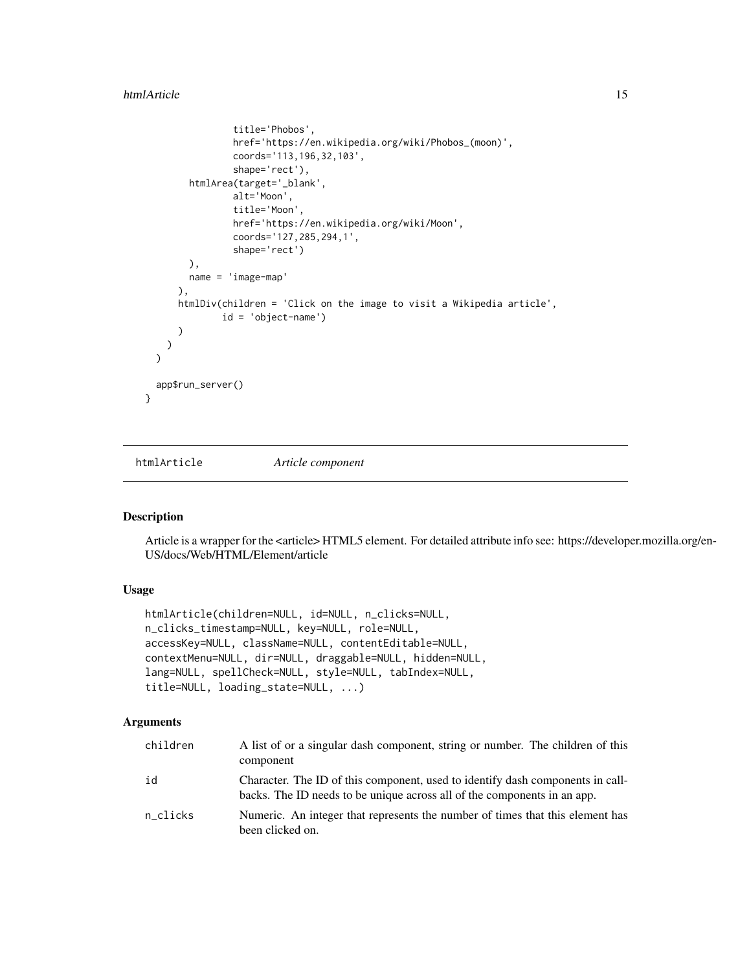#### <span id="page-14-0"></span>htmlArticle 15

```
title='Phobos',
                href='https://en.wikipedia.org/wiki/Phobos_(moon)',
                coords='113,196,32,103',
                shape='rect'),
        htmlArea(target='_blank',
                alt='Moon',
                title='Moon',
                href='https://en.wikipedia.org/wiki/Moon',
                coords='127,285,294,1',
                shape='rect')
        ),
        name = 'image-map'
      ),
      htmlDiv(children = 'Click on the image to visit a Wikipedia article',
              id = 'object-name')
      )
   )
 \mathcal{L}app$run_server()
}
```
htmlArticle *Article component*

### Description

Article is a wrapper for the <article> HTML5 element. For detailed attribute info see: https://developer.mozilla.org/en-US/docs/Web/HTML/Element/article

### Usage

```
htmlArticle(children=NULL, id=NULL, n_clicks=NULL,
n_clicks_timestamp=NULL, key=NULL, role=NULL,
accessKey=NULL, className=NULL, contentEditable=NULL,
contextMenu=NULL, dir=NULL, draggable=NULL, hidden=NULL,
lang=NULL, spellCheck=NULL, style=NULL, tabIndex=NULL,
title=NULL, loading_state=NULL, ...)
```

| children | A list of or a singular dash component, string or number. The children of this<br>component                                                                |
|----------|------------------------------------------------------------------------------------------------------------------------------------------------------------|
| id       | Character. The ID of this component, used to identify dash components in call-<br>backs. The ID needs to be unique across all of the components in an app. |
| n clicks | Numeric. An integer that represents the number of times that this element has<br>been clicked on.                                                          |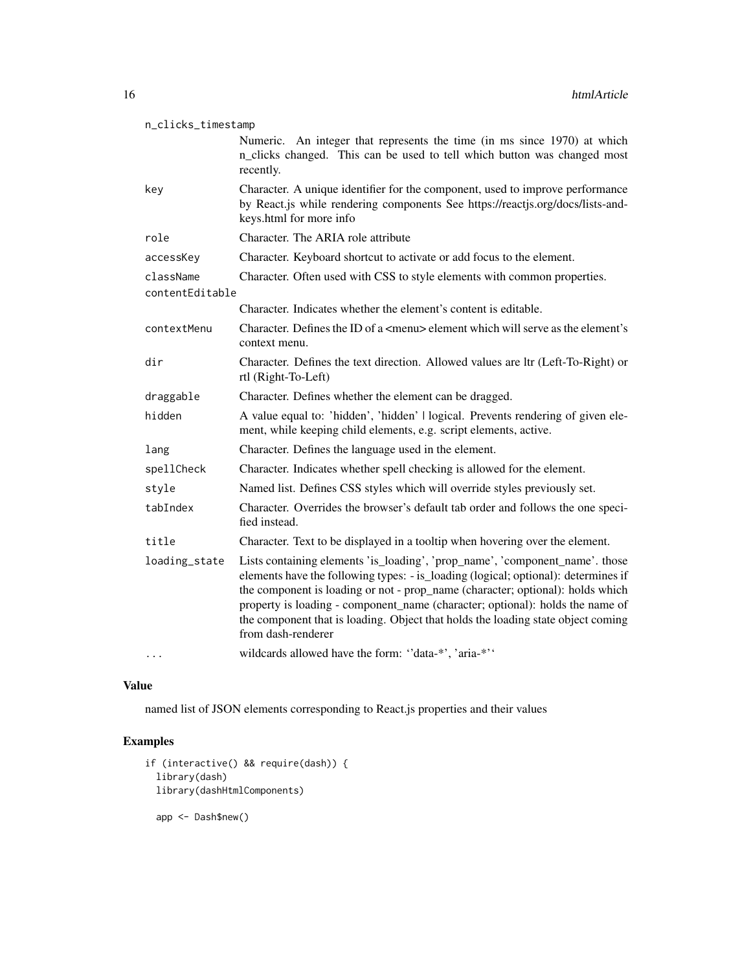| n_clicks_timestamp           |                                                                                                                                                                                                                                                                                                                                                                                                                                                 |  |
|------------------------------|-------------------------------------------------------------------------------------------------------------------------------------------------------------------------------------------------------------------------------------------------------------------------------------------------------------------------------------------------------------------------------------------------------------------------------------------------|--|
|                              | Numeric. An integer that represents the time (in ms since 1970) at which<br>n_clicks changed. This can be used to tell which button was changed most<br>recently.                                                                                                                                                                                                                                                                               |  |
| key                          | Character. A unique identifier for the component, used to improve performance<br>by React.js while rendering components See https://reactjs.org/docs/lists-and-<br>keys.html for more info                                                                                                                                                                                                                                                      |  |
| role                         | Character. The ARIA role attribute                                                                                                                                                                                                                                                                                                                                                                                                              |  |
| accessKey                    | Character. Keyboard shortcut to activate or add focus to the element.                                                                                                                                                                                                                                                                                                                                                                           |  |
| className<br>contentEditable | Character. Often used with CSS to style elements with common properties.                                                                                                                                                                                                                                                                                                                                                                        |  |
|                              | Character. Indicates whether the element's content is editable.                                                                                                                                                                                                                                                                                                                                                                                 |  |
| contextMenu                  | Character. Defines the ID of a <menu> element which will serve as the element's<br/>context menu.</menu>                                                                                                                                                                                                                                                                                                                                        |  |
| dir                          | Character. Defines the text direction. Allowed values are ltr (Left-To-Right) or<br>rtl (Right-To-Left)                                                                                                                                                                                                                                                                                                                                         |  |
| draggable                    | Character. Defines whether the element can be dragged.                                                                                                                                                                                                                                                                                                                                                                                          |  |
| hidden                       | A value equal to: 'hidden', 'hidden'   logical. Prevents rendering of given ele-<br>ment, while keeping child elements, e.g. script elements, active.                                                                                                                                                                                                                                                                                           |  |
| lang                         | Character. Defines the language used in the element.                                                                                                                                                                                                                                                                                                                                                                                            |  |
| spellCheck                   | Character. Indicates whether spell checking is allowed for the element.                                                                                                                                                                                                                                                                                                                                                                         |  |
| style                        | Named list. Defines CSS styles which will override styles previously set.                                                                                                                                                                                                                                                                                                                                                                       |  |
| tabIndex                     | Character. Overrides the browser's default tab order and follows the one speci-<br>fied instead.                                                                                                                                                                                                                                                                                                                                                |  |
| title                        | Character. Text to be displayed in a tooltip when hovering over the element.                                                                                                                                                                                                                                                                                                                                                                    |  |
| loading_state                | Lists containing elements 'is_loading', 'prop_name', 'component_name'. those<br>elements have the following types: - is_loading (logical; optional): determines if<br>the component is loading or not - prop_name (character; optional): holds which<br>property is loading - component_name (character; optional): holds the name of<br>the component that is loading. Object that holds the loading state object coming<br>from dash-renderer |  |
|                              | wildcards allowed have the form: "data-*', 'aria-*''                                                                                                                                                                                                                                                                                                                                                                                            |  |

named list of JSON elements corresponding to React.js properties and their values

```
if (interactive() && require(dash)) {
 library(dash)
 library(dashHtmlComponents)
 app <- Dash$new()
```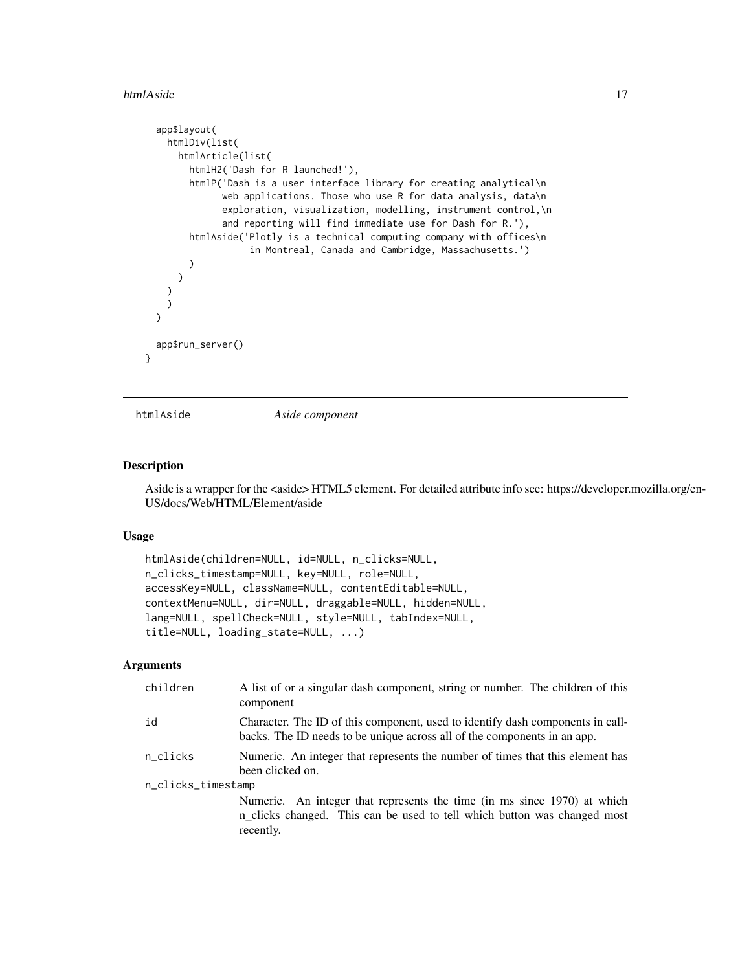#### <span id="page-16-0"></span>htmlAside 17

```
app$layout(
   htmlDiv(list(
      htmlArticle(list(
       htmlH2('Dash for R launched!'),
        htmlP('Dash is a user interface library for creating analytical\n
              web applications. Those who use R for data analysis, data\n
              exploration, visualization, modelling, instrument control,\n
              and reporting will find immediate use for Dash for R.'),
        htmlAside('Plotly is a technical computing company with offices\n
                   in Montreal, Canada and Cambridge, Massachusetts.')
        )
      )
   )
   \frac{1}{2})
 app$run_server()
}
```
htmlAside *Aside component*

#### Description

Aside is a wrapper for the <aside> HTML5 element. For detailed attribute info see: https://developer.mozilla.org/en-US/docs/Web/HTML/Element/aside

#### Usage

```
htmlAside(children=NULL, id=NULL, n_clicks=NULL,
n_clicks_timestamp=NULL, key=NULL, role=NULL,
accessKey=NULL, className=NULL, contentEditable=NULL,
contextMenu=NULL, dir=NULL, draggable=NULL, hidden=NULL,
lang=NULL, spellCheck=NULL, style=NULL, tabIndex=NULL,
title=NULL, loading_state=NULL, ...)
```

| children           | A list of or a singular dash component, string or number. The children of this<br>component                                                                       |  |
|--------------------|-------------------------------------------------------------------------------------------------------------------------------------------------------------------|--|
| id                 | Character. The ID of this component, used to identify dash components in call-<br>backs. The ID needs to be unique across all of the components in an app.        |  |
| n clicks           | Numeric. An integer that represents the number of times that this element has<br>been clicked on.                                                                 |  |
| n_clicks_timestamp |                                                                                                                                                                   |  |
|                    | Numeric. An integer that represents the time (in ms since 1970) at which<br>n_clicks changed. This can be used to tell which button was changed most<br>recently. |  |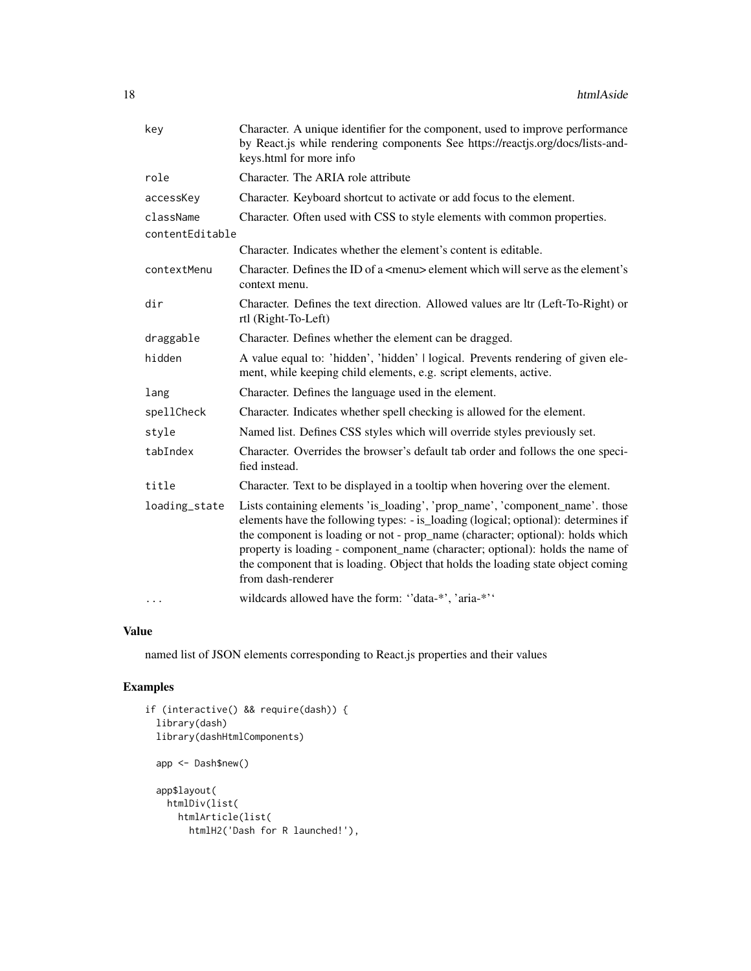| key             | Character. A unique identifier for the component, used to improve performance<br>by React.js while rendering components See https://reactjs.org/docs/lists-and-<br>keys.html for more info                                                                                                                                                                                                                                                      |
|-----------------|-------------------------------------------------------------------------------------------------------------------------------------------------------------------------------------------------------------------------------------------------------------------------------------------------------------------------------------------------------------------------------------------------------------------------------------------------|
| role            | Character. The ARIA role attribute                                                                                                                                                                                                                                                                                                                                                                                                              |
| accessKey       | Character. Keyboard shortcut to activate or add focus to the element.                                                                                                                                                                                                                                                                                                                                                                           |
| className       | Character. Often used with CSS to style elements with common properties.                                                                                                                                                                                                                                                                                                                                                                        |
| contentEditable |                                                                                                                                                                                                                                                                                                                                                                                                                                                 |
|                 | Character. Indicates whether the element's content is editable.                                                                                                                                                                                                                                                                                                                                                                                 |
| contextMenu     | Character. Defines the ID of a <menu> element which will serve as the element's<br/>context menu.</menu>                                                                                                                                                                                                                                                                                                                                        |
| dir             | Character. Defines the text direction. Allowed values are ltr (Left-To-Right) or<br>rtl (Right-To-Left)                                                                                                                                                                                                                                                                                                                                         |
| draggable       | Character. Defines whether the element can be dragged.                                                                                                                                                                                                                                                                                                                                                                                          |
| hidden          | A value equal to: 'hidden', 'hidden'   logical. Prevents rendering of given ele-<br>ment, while keeping child elements, e.g. script elements, active.                                                                                                                                                                                                                                                                                           |
| lang            | Character. Defines the language used in the element.                                                                                                                                                                                                                                                                                                                                                                                            |
| spellCheck      | Character. Indicates whether spell checking is allowed for the element.                                                                                                                                                                                                                                                                                                                                                                         |
| style           | Named list. Defines CSS styles which will override styles previously set.                                                                                                                                                                                                                                                                                                                                                                       |
| tabIndex        | Character. Overrides the browser's default tab order and follows the one speci-<br>fied instead.                                                                                                                                                                                                                                                                                                                                                |
| title           | Character. Text to be displayed in a tooltip when hovering over the element.                                                                                                                                                                                                                                                                                                                                                                    |
| loading_state   | Lists containing elements 'is_loading', 'prop_name', 'component_name'. those<br>elements have the following types: - is_loading (logical; optional): determines if<br>the component is loading or not - prop_name (character; optional): holds which<br>property is loading - component_name (character; optional): holds the name of<br>the component that is loading. Object that holds the loading state object coming<br>from dash-renderer |
| $\cdots$        | wildcards allowed have the form: "data-*', 'aria-*''                                                                                                                                                                                                                                                                                                                                                                                            |

named list of JSON elements corresponding to React.js properties and their values

```
if (interactive() && require(dash)) {
  library(dash)
  library(dashHtmlComponents)
  app <- Dash$new()
  app$layout(
   htmlDiv(list(
     htmlArticle(list(
       htmlH2('Dash for R launched!'),
```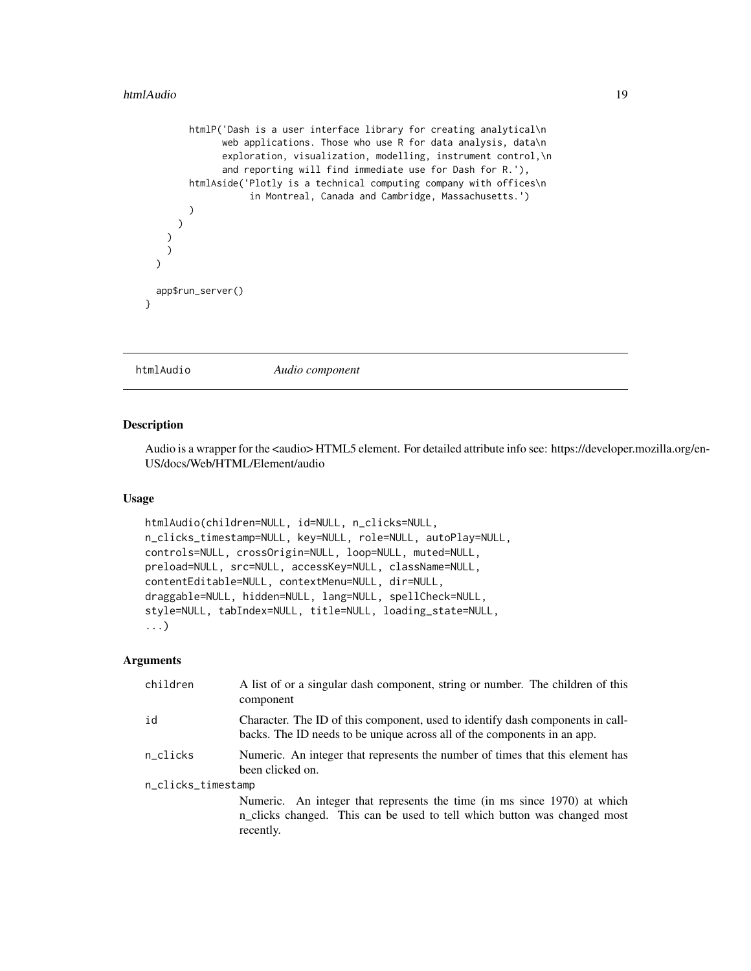```
htmlP('Dash is a user interface library for creating analytical\n
              web applications. Those who use R for data analysis, data\n
              exploration, visualization, modelling, instrument control,\n
              and reporting will find immediate use for Dash for R.'),
       htmlAside('Plotly is a technical computing company with offices\n
                   in Montreal, Canada and Cambridge, Massachusetts.')
       )
     )
   )
   )
 )
 app$run_server()
}
```
htmlAudio *Audio component*

## Description

Audio is a wrapper for the <audio> HTML5 element. For detailed attribute info see: https://developer.mozilla.org/en-US/docs/Web/HTML/Element/audio

### Usage

```
htmlAudio(children=NULL, id=NULL, n_clicks=NULL,
n_clicks_timestamp=NULL, key=NULL, role=NULL, autoPlay=NULL,
controls=NULL, crossOrigin=NULL, loop=NULL, muted=NULL,
preload=NULL, src=NULL, accessKey=NULL, className=NULL,
contentEditable=NULL, contextMenu=NULL, dir=NULL,
draggable=NULL, hidden=NULL, lang=NULL, spellCheck=NULL,
style=NULL, tabIndex=NULL, title=NULL, loading_state=NULL,
...)
```

| children           | A list of or a singular dash component, string or number. The children of this<br>component                                                                       |  |
|--------------------|-------------------------------------------------------------------------------------------------------------------------------------------------------------------|--|
| id                 | Character. The ID of this component, used to identify dash components in call-<br>backs. The ID needs to be unique across all of the components in an app.        |  |
| n_clicks           | Numeric. An integer that represents the number of times that this element has<br>been clicked on.                                                                 |  |
| n_clicks_timestamp |                                                                                                                                                                   |  |
|                    | Numeric. An integer that represents the time (in ms since 1970) at which<br>n_clicks changed. This can be used to tell which button was changed most<br>recently. |  |
|                    |                                                                                                                                                                   |  |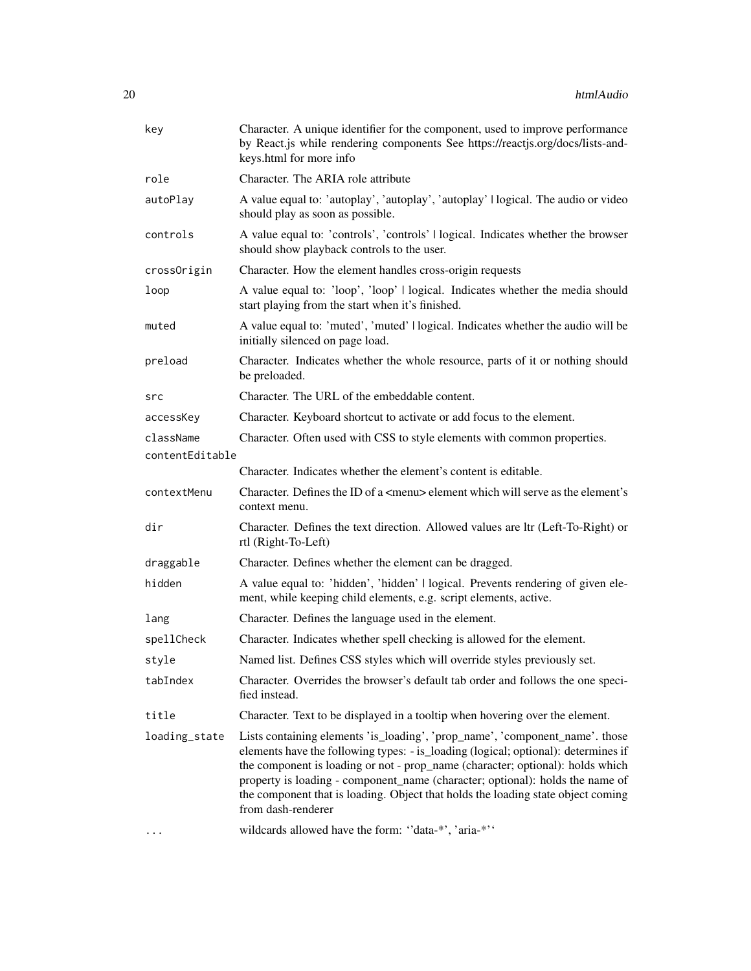| key             | Character. A unique identifier for the component, used to improve performance<br>by React.js while rendering components See https://reactjs.org/docs/lists-and-<br>keys.html for more info                                                                                                                                                                                                                                                      |
|-----------------|-------------------------------------------------------------------------------------------------------------------------------------------------------------------------------------------------------------------------------------------------------------------------------------------------------------------------------------------------------------------------------------------------------------------------------------------------|
| role            | Character. The ARIA role attribute                                                                                                                                                                                                                                                                                                                                                                                                              |
| autoPlay        | A value equal to: 'autoplay', 'autoplay', 'autoplay'   logical. The audio or video<br>should play as soon as possible.                                                                                                                                                                                                                                                                                                                          |
| controls        | A value equal to: 'controls', 'controls'   logical. Indicates whether the browser<br>should show playback controls to the user.                                                                                                                                                                                                                                                                                                                 |
| crossOrigin     | Character. How the element handles cross-origin requests                                                                                                                                                                                                                                                                                                                                                                                        |
| loop            | A value equal to: 'loop', 'loop'   logical. Indicates whether the media should<br>start playing from the start when it's finished.                                                                                                                                                                                                                                                                                                              |
| muted           | A value equal to: 'muted', 'muted'   logical. Indicates whether the audio will be<br>initially silenced on page load.                                                                                                                                                                                                                                                                                                                           |
| preload         | Character. Indicates whether the whole resource, parts of it or nothing should<br>be preloaded.                                                                                                                                                                                                                                                                                                                                                 |
| src             | Character. The URL of the embeddable content.                                                                                                                                                                                                                                                                                                                                                                                                   |
| accessKey       | Character. Keyboard shortcut to activate or add focus to the element.                                                                                                                                                                                                                                                                                                                                                                           |
| className       | Character. Often used with CSS to style elements with common properties.                                                                                                                                                                                                                                                                                                                                                                        |
| contentEditable |                                                                                                                                                                                                                                                                                                                                                                                                                                                 |
|                 | Character. Indicates whether the element's content is editable.                                                                                                                                                                                                                                                                                                                                                                                 |
| contextMenu     | Character. Defines the ID of a <menu> element which will serve as the element's<br/>context menu.</menu>                                                                                                                                                                                                                                                                                                                                        |
| dir             | Character. Defines the text direction. Allowed values are ltr (Left-To-Right) or<br>rtl (Right-To-Left)                                                                                                                                                                                                                                                                                                                                         |
| draggable       | Character. Defines whether the element can be dragged.                                                                                                                                                                                                                                                                                                                                                                                          |
| hidden          | A value equal to: 'hidden', 'hidden'   logical. Prevents rendering of given ele-<br>ment, while keeping child elements, e.g. script elements, active.                                                                                                                                                                                                                                                                                           |
| lang            | Character. Defines the language used in the element.                                                                                                                                                                                                                                                                                                                                                                                            |
| spellCheck      | Character. Indicates whether spell checking is allowed for the element.                                                                                                                                                                                                                                                                                                                                                                         |
| style           | Named list. Defines CSS styles which will override styles previously set.                                                                                                                                                                                                                                                                                                                                                                       |
| tabIndex        | Character. Overrides the browser's default tab order and follows the one speci-<br>fied instead.                                                                                                                                                                                                                                                                                                                                                |
| title           | Character. Text to be displayed in a tooltip when hovering over the element.                                                                                                                                                                                                                                                                                                                                                                    |
| loading_state   | Lists containing elements 'is_loading', 'prop_name', 'component_name'. those<br>elements have the following types: - is_loading (logical; optional): determines if<br>the component is loading or not - prop_name (character; optional): holds which<br>property is loading - component_name (character; optional): holds the name of<br>the component that is loading. Object that holds the loading state object coming<br>from dash-renderer |
|                 | wildcards allowed have the form: "data-*', 'aria-*''                                                                                                                                                                                                                                                                                                                                                                                            |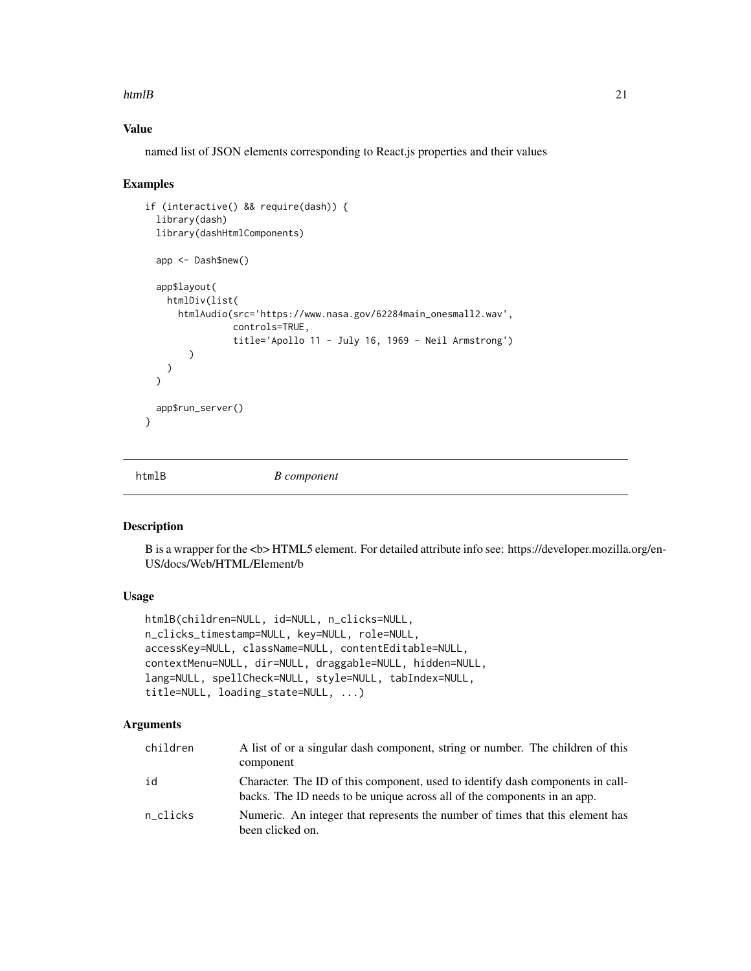### <span id="page-20-0"></span>htmlB 21

# Value

named list of JSON elements corresponding to React.js properties and their values

### Examples

```
if (interactive() && require(dash)) {
 library(dash)
 library(dashHtmlComponents)
 app <- Dash$new()
 app$layout(
   htmlDiv(list(
     htmlAudio(src='https://www.nasa.gov/62284main_onesmall2.wav',
                controls=TRUE,
                title='Apollo 11 - July 16, 1969 - Neil Armstrong')
        )
   )
 \lambdaapp$run_server()
}
```
htmlB *B component*

### Description

B is a wrapper for the <b> HTML5 element. For detailed attribute info see: https://developer.mozilla.org/en-US/docs/Web/HTML/Element/b

# Usage

```
htmlB(children=NULL, id=NULL, n_clicks=NULL,
n_clicks_timestamp=NULL, key=NULL, role=NULL,
accessKey=NULL, className=NULL, contentEditable=NULL,
contextMenu=NULL, dir=NULL, draggable=NULL, hidden=NULL,
lang=NULL, spellCheck=NULL, style=NULL, tabIndex=NULL,
title=NULL, loading_state=NULL, ...)
```

| children | A list of or a singular dash component, string or number. The children of this<br>component                                                                |
|----------|------------------------------------------------------------------------------------------------------------------------------------------------------------|
| id       | Character. The ID of this component, used to identify dash components in call-<br>backs. The ID needs to be unique across all of the components in an app. |
| n clicks | Numeric. An integer that represents the number of times that this element has<br>been clicked on.                                                          |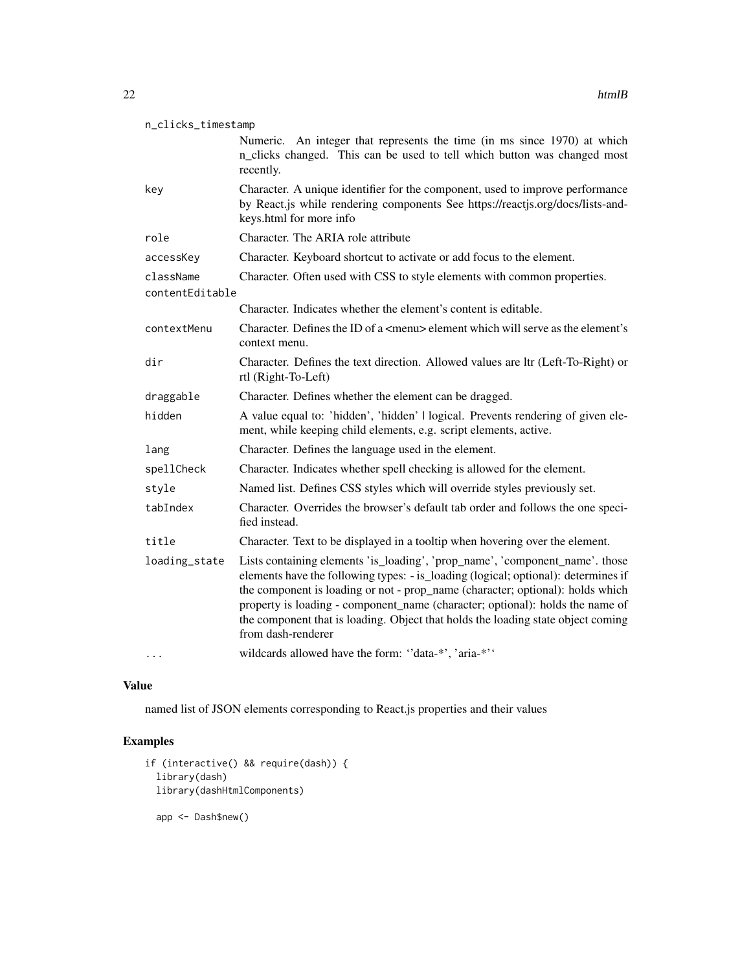| n_clicks_timestamp |                                                                                                                                                                                                                                                                                                                                                                                                                                                 |  |
|--------------------|-------------------------------------------------------------------------------------------------------------------------------------------------------------------------------------------------------------------------------------------------------------------------------------------------------------------------------------------------------------------------------------------------------------------------------------------------|--|
|                    | Numeric. An integer that represents the time (in ms since 1970) at which<br>n_clicks changed. This can be used to tell which button was changed most<br>recently.                                                                                                                                                                                                                                                                               |  |
| key                | Character. A unique identifier for the component, used to improve performance<br>by React.js while rendering components See https://reactjs.org/docs/lists-and-<br>keys.html for more info                                                                                                                                                                                                                                                      |  |
| role               | Character. The ARIA role attribute                                                                                                                                                                                                                                                                                                                                                                                                              |  |
| accessKey          | Character. Keyboard shortcut to activate or add focus to the element.                                                                                                                                                                                                                                                                                                                                                                           |  |
| className          | Character. Often used with CSS to style elements with common properties.                                                                                                                                                                                                                                                                                                                                                                        |  |
| contentEditable    |                                                                                                                                                                                                                                                                                                                                                                                                                                                 |  |
|                    | Character. Indicates whether the element's content is editable.                                                                                                                                                                                                                                                                                                                                                                                 |  |
| contextMenu        | Character. Defines the ID of a <menu> element which will serve as the element's<br/>context menu.</menu>                                                                                                                                                                                                                                                                                                                                        |  |
| dir                | Character. Defines the text direction. Allowed values are ltr (Left-To-Right) or<br>rtl (Right-To-Left)                                                                                                                                                                                                                                                                                                                                         |  |
| draggable          | Character. Defines whether the element can be dragged.                                                                                                                                                                                                                                                                                                                                                                                          |  |
| hidden             | A value equal to: 'hidden', 'hidden'   logical. Prevents rendering of given ele-<br>ment, while keeping child elements, e.g. script elements, active.                                                                                                                                                                                                                                                                                           |  |
| lang               | Character. Defines the language used in the element.                                                                                                                                                                                                                                                                                                                                                                                            |  |
| spellCheck         | Character. Indicates whether spell checking is allowed for the element.                                                                                                                                                                                                                                                                                                                                                                         |  |
| style              | Named list. Defines CSS styles which will override styles previously set.                                                                                                                                                                                                                                                                                                                                                                       |  |
| tabIndex           | Character. Overrides the browser's default tab order and follows the one speci-<br>fied instead.                                                                                                                                                                                                                                                                                                                                                |  |
| title              | Character. Text to be displayed in a tooltip when hovering over the element.                                                                                                                                                                                                                                                                                                                                                                    |  |
| loading_state      | Lists containing elements 'is_loading', 'prop_name', 'component_name'. those<br>elements have the following types: - is_loading (logical; optional): determines if<br>the component is loading or not - prop_name (character; optional): holds which<br>property is loading - component_name (character; optional): holds the name of<br>the component that is loading. Object that holds the loading state object coming<br>from dash-renderer |  |
| $\cdots$           | wildcards allowed have the form: "data-*', 'aria-*''                                                                                                                                                                                                                                                                                                                                                                                            |  |

named list of JSON elements corresponding to React.js properties and their values

```
if (interactive() && require(dash)) {
 library(dash)
 library(dashHtmlComponents)
  app <- Dash$new()
```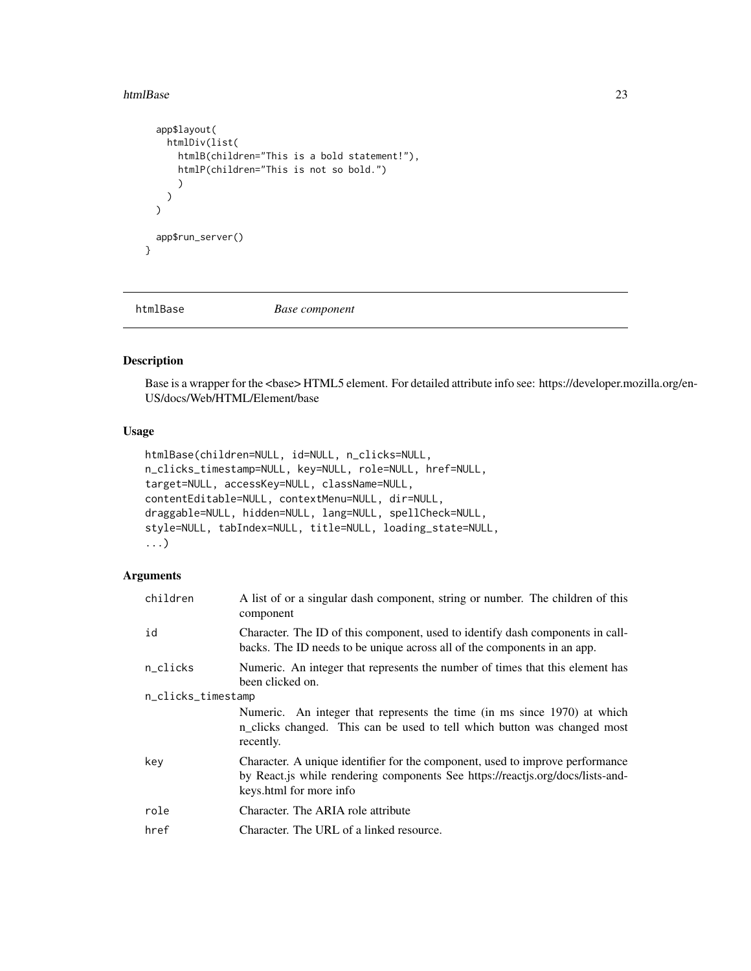### <span id="page-22-0"></span>htmlBase 23

```
app$layout(
    htmlDiv(list(
      htmlB(children="This is a bold statement!"),
      htmlP(children="This is not so bold.")
      )
    )
  \mathcal{L}app$run_server()
}
```
htmlBase *Base component*

### Description

Base is a wrapper for the <base> HTML5 element. For detailed attribute info see: https://developer.mozilla.org/en-US/docs/Web/HTML/Element/base

# Usage

```
htmlBase(children=NULL, id=NULL, n_clicks=NULL,
n_clicks_timestamp=NULL, key=NULL, role=NULL, href=NULL,
target=NULL, accessKey=NULL, className=NULL,
contentEditable=NULL, contextMenu=NULL, dir=NULL,
draggable=NULL, hidden=NULL, lang=NULL, spellCheck=NULL,
style=NULL, tabIndex=NULL, title=NULL, loading_state=NULL,
...)
```

| children           | A list of or a singular dash component, string or number. The children of this<br>component                                                                                                |
|--------------------|--------------------------------------------------------------------------------------------------------------------------------------------------------------------------------------------|
| id                 | Character. The ID of this component, used to identify dash components in call-<br>backs. The ID needs to be unique across all of the components in an app.                                 |
| n_clicks           | Numeric. An integer that represents the number of times that this element has<br>been clicked on.                                                                                          |
| n_clicks_timestamp |                                                                                                                                                                                            |
|                    | Numeric. An integer that represents the time (in ms since 1970) at which<br>n_clicks changed. This can be used to tell which button was changed most<br>recently.                          |
| kev                | Character. A unique identifier for the component, used to improve performance<br>by React.js while rendering components See https://reactjs.org/docs/lists-and-<br>keys.html for more info |
| role               | Character. The ARIA role attribute                                                                                                                                                         |
| href               | Character. The URL of a linked resource.                                                                                                                                                   |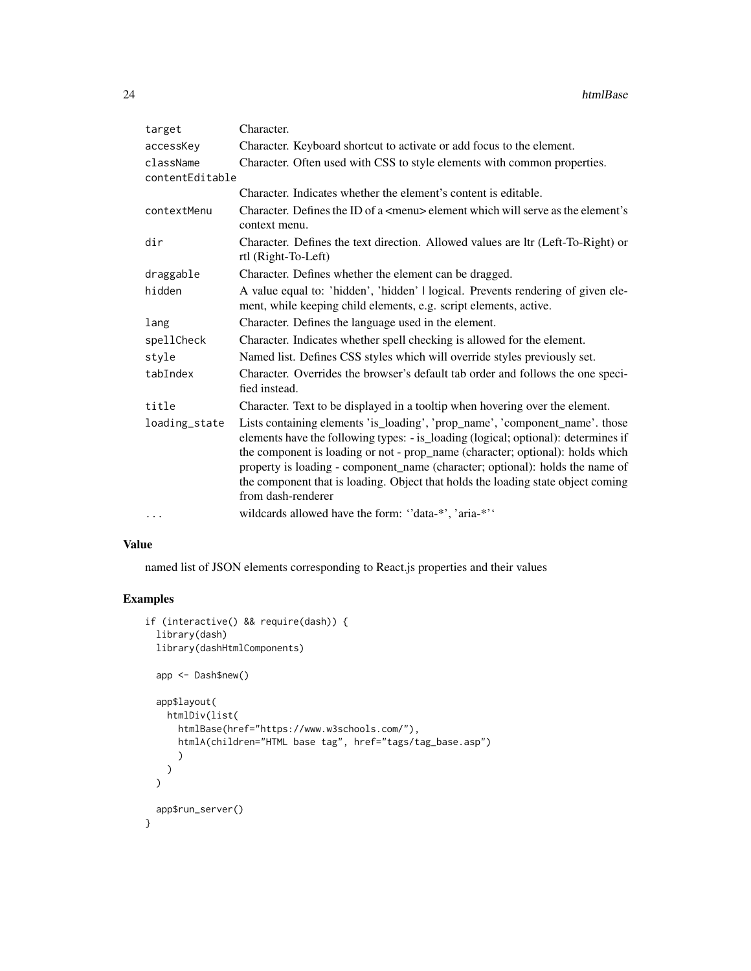| target          | Character.                                                                                                                                                                                                                                                                                                                                                                                                                                      |
|-----------------|-------------------------------------------------------------------------------------------------------------------------------------------------------------------------------------------------------------------------------------------------------------------------------------------------------------------------------------------------------------------------------------------------------------------------------------------------|
| accessKey       | Character. Keyboard shortcut to activate or add focus to the element.                                                                                                                                                                                                                                                                                                                                                                           |
| className       | Character. Often used with CSS to style elements with common properties.                                                                                                                                                                                                                                                                                                                                                                        |
| contentEditable |                                                                                                                                                                                                                                                                                                                                                                                                                                                 |
|                 | Character. Indicates whether the element's content is editable.                                                                                                                                                                                                                                                                                                                                                                                 |
| contextMenu     | Character. Defines the ID of a <menu> element which will serve as the element's<br/>context menu.</menu>                                                                                                                                                                                                                                                                                                                                        |
| dir             | Character. Defines the text direction. Allowed values are ltr (Left-To-Right) or<br>rtl (Right-To-Left)                                                                                                                                                                                                                                                                                                                                         |
| draggable       | Character. Defines whether the element can be dragged.                                                                                                                                                                                                                                                                                                                                                                                          |
| hidden          | A value equal to: 'hidden', 'hidden'   logical. Prevents rendering of given ele-<br>ment, while keeping child elements, e.g. script elements, active.                                                                                                                                                                                                                                                                                           |
| lang            | Character. Defines the language used in the element.                                                                                                                                                                                                                                                                                                                                                                                            |
| spellCheck      | Character. Indicates whether spell checking is allowed for the element.                                                                                                                                                                                                                                                                                                                                                                         |
| style           | Named list. Defines CSS styles which will override styles previously set.                                                                                                                                                                                                                                                                                                                                                                       |
| tabIndex        | Character. Overrides the browser's default tab order and follows the one speci-<br>fied instead.                                                                                                                                                                                                                                                                                                                                                |
| title           | Character. Text to be displayed in a tooltip when hovering over the element.                                                                                                                                                                                                                                                                                                                                                                    |
| loading_state   | Lists containing elements 'is_loading', 'prop_name', 'component_name'. those<br>elements have the following types: - is_loading (logical; optional): determines if<br>the component is loading or not - prop_name (character; optional): holds which<br>property is loading - component_name (character; optional): holds the name of<br>the component that is loading. Object that holds the loading state object coming<br>from dash-renderer |
| $\cdots$        | wildcards allowed have the form: "data-*', 'aria-*''                                                                                                                                                                                                                                                                                                                                                                                            |

named list of JSON elements corresponding to React.js properties and their values

```
if (interactive() && require(dash)) {
 library(dash)
 library(dashHtmlComponents)
 app <- Dash$new()
 app$layout(
   htmlDiv(list(
     htmlBase(href="https://www.w3schools.com/"),
     htmlA(children="HTML base tag", href="tags/tag_base.asp")
     )
   )
 )
 app$run_server()
}
```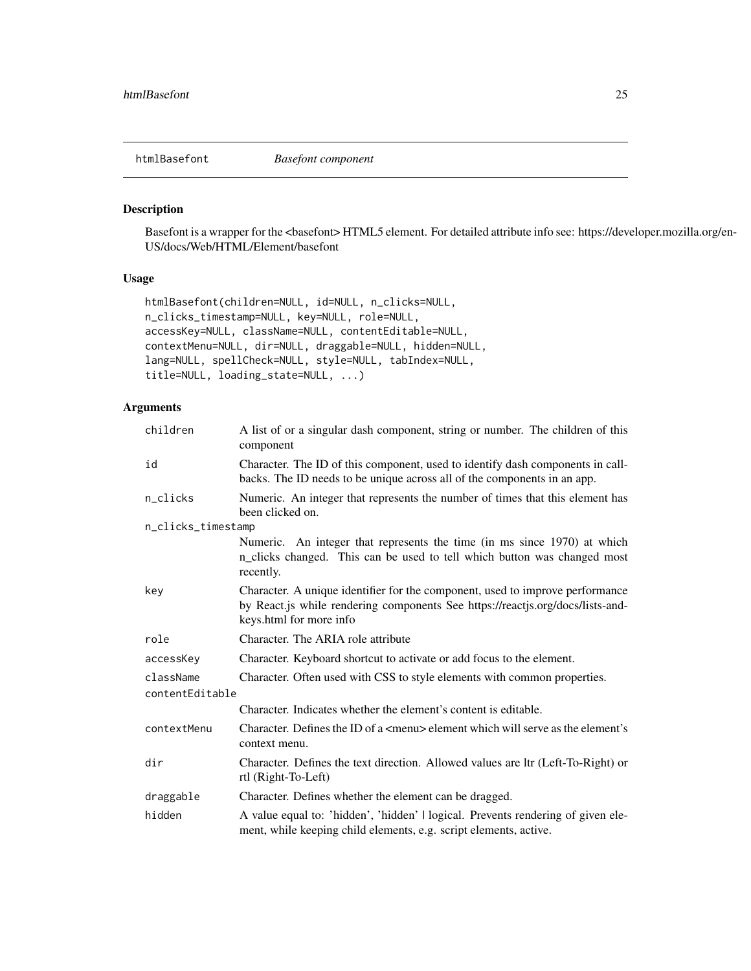<span id="page-24-0"></span>htmlBasefont *Basefont component*

## Description

Basefont is a wrapper for the <basefont> HTML5 element. For detailed attribute info see: https://developer.mozilla.org/en-US/docs/Web/HTML/Element/basefont

# Usage

```
htmlBasefont(children=NULL, id=NULL, n_clicks=NULL,
n_clicks_timestamp=NULL, key=NULL, role=NULL,
accessKey=NULL, className=NULL, contentEditable=NULL,
contextMenu=NULL, dir=NULL, draggable=NULL, hidden=NULL,
lang=NULL, spellCheck=NULL, style=NULL, tabIndex=NULL,
title=NULL, loading_state=NULL, ...)
```

| children           | A list of or a singular dash component, string or number. The children of this<br>component                                                                                                |  |
|--------------------|--------------------------------------------------------------------------------------------------------------------------------------------------------------------------------------------|--|
| id                 | Character. The ID of this component, used to identify dash components in call-<br>backs. The ID needs to be unique across all of the components in an app.                                 |  |
| n_clicks           | Numeric. An integer that represents the number of times that this element has<br>been clicked on.                                                                                          |  |
| n_clicks_timestamp |                                                                                                                                                                                            |  |
|                    | Numeric. An integer that represents the time (in ms since 1970) at which<br>n_clicks changed. This can be used to tell which button was changed most<br>recently.                          |  |
| key                | Character. A unique identifier for the component, used to improve performance<br>by React.js while rendering components See https://reactjs.org/docs/lists-and-<br>keys.html for more info |  |
| role               | Character. The ARIA role attribute                                                                                                                                                         |  |
| accessKey          | Character. Keyboard shortcut to activate or add focus to the element.                                                                                                                      |  |
| className          | Character. Often used with CSS to style elements with common properties.                                                                                                                   |  |
| contentEditable    |                                                                                                                                                                                            |  |
|                    | Character. Indicates whether the element's content is editable.                                                                                                                            |  |
| contextMenu        | Character. Defines the ID of a <menu> element which will serve as the element's<br/>context menu.</menu>                                                                                   |  |
| dir                | Character. Defines the text direction. Allowed values are ltr (Left-To-Right) or<br>rtl (Right-To-Left)                                                                                    |  |
| draggable          | Character. Defines whether the element can be dragged.                                                                                                                                     |  |
| hidden             | A value equal to: 'hidden', 'hidden'   logical. Prevents rendering of given ele-<br>ment, while keeping child elements, e.g. script elements, active.                                      |  |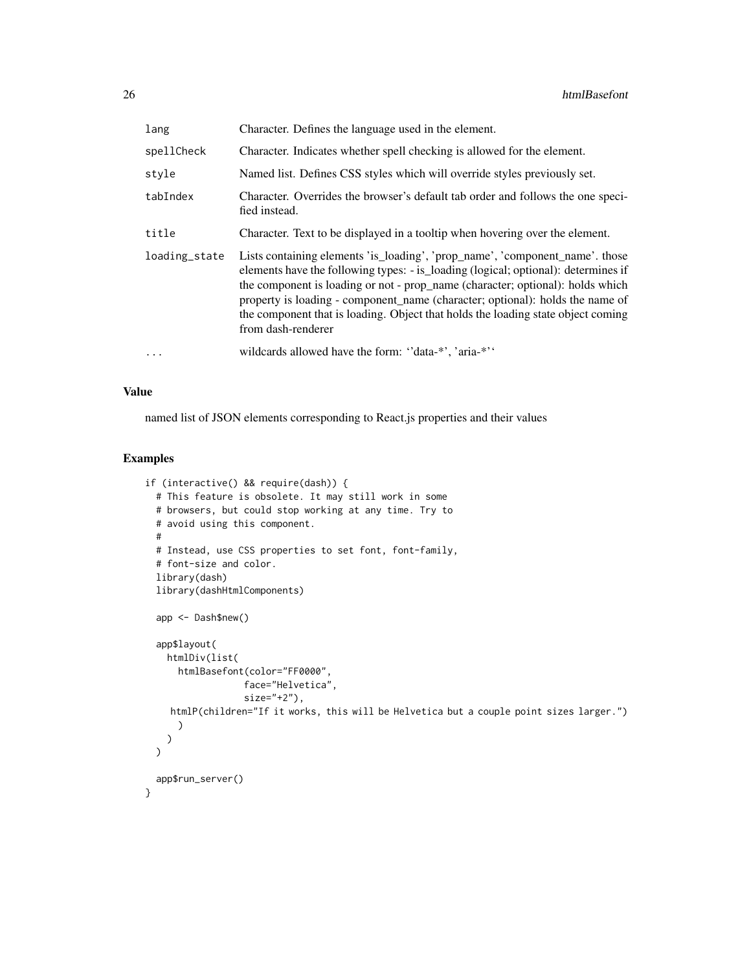| lang          | Character. Defines the language used in the element.                                                                                                                                                                                                                                                                                                                                                                                            |
|---------------|-------------------------------------------------------------------------------------------------------------------------------------------------------------------------------------------------------------------------------------------------------------------------------------------------------------------------------------------------------------------------------------------------------------------------------------------------|
| spellCheck    | Character. Indicates whether spell checking is allowed for the element.                                                                                                                                                                                                                                                                                                                                                                         |
| style         | Named list. Defines CSS styles which will override styles previously set.                                                                                                                                                                                                                                                                                                                                                                       |
| tabIndex      | Character. Overrides the browser's default tab order and follows the one speci-<br>fied instead.                                                                                                                                                                                                                                                                                                                                                |
| title         | Character. Text to be displayed in a tooltip when hovering over the element.                                                                                                                                                                                                                                                                                                                                                                    |
| loading_state | Lists containing elements 'is_loading', 'prop_name', 'component_name'. those<br>elements have the following types: - is loading (logical; optional): determines if<br>the component is loading or not - prop_name (character; optional): holds which<br>property is loading - component name (character; optional): holds the name of<br>the component that is loading. Object that holds the loading state object coming<br>from dash-renderer |
| $\cdots$      | wildcards allowed have the form: "data-*", 'aria-*"                                                                                                                                                                                                                                                                                                                                                                                             |

named list of JSON elements corresponding to React.js properties and their values

```
if (interactive() && require(dash)) {
 # This feature is obsolete. It may still work in some
 # browsers, but could stop working at any time. Try to
 # avoid using this component.
 #
 # Instead, use CSS properties to set font, font-family,
 # font-size and color.
 library(dash)
 library(dashHtmlComponents)
 app <- Dash$new()
 app$layout(
   htmlDiv(list(
     htmlBasefont(color="FF0000",
                 face="Helvetica",
                  size="+2"),
    htmlP(children="If it works, this will be Helvetica but a couple point sizes larger.")
      )
   )
 \mathcal{L}app$run_server()
}
```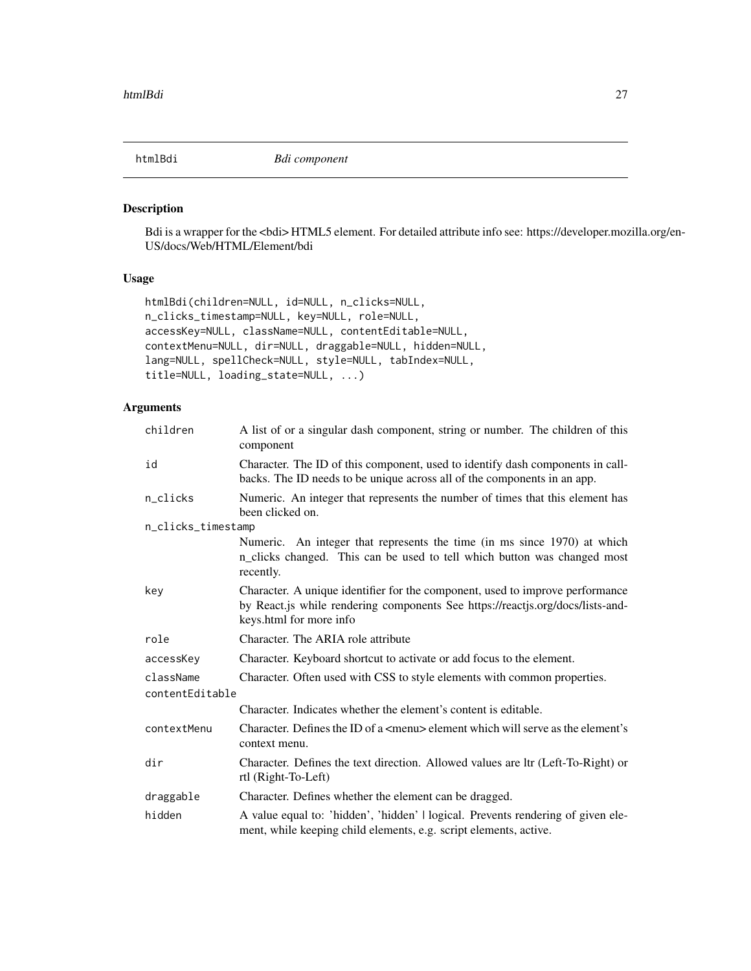<span id="page-26-0"></span>

## Description

Bdi is a wrapper for the <bdi> HTML5 element. For detailed attribute info see: https://developer.mozilla.org/en-US/docs/Web/HTML/Element/bdi

# Usage

```
htmlBdi(children=NULL, id=NULL, n_clicks=NULL,
n_clicks_timestamp=NULL, key=NULL, role=NULL,
accessKey=NULL, className=NULL, contentEditable=NULL,
contextMenu=NULL, dir=NULL, draggable=NULL, hidden=NULL,
lang=NULL, spellCheck=NULL, style=NULL, tabIndex=NULL,
title=NULL, loading_state=NULL, ...)
```

| children           | A list of or a singular dash component, string or number. The children of this<br>component                                                                                                |  |
|--------------------|--------------------------------------------------------------------------------------------------------------------------------------------------------------------------------------------|--|
| id                 | Character. The ID of this component, used to identify dash components in call-<br>backs. The ID needs to be unique across all of the components in an app.                                 |  |
| n_clicks           | Numeric. An integer that represents the number of times that this element has<br>been clicked on.                                                                                          |  |
| n_clicks_timestamp |                                                                                                                                                                                            |  |
|                    | Numeric. An integer that represents the time (in ms since 1970) at which<br>n_clicks changed. This can be used to tell which button was changed most<br>recently.                          |  |
| key                | Character. A unique identifier for the component, used to improve performance<br>by React.js while rendering components See https://reactjs.org/docs/lists-and-<br>keys.html for more info |  |
| role               | Character. The ARIA role attribute                                                                                                                                                         |  |
| accessKey          | Character. Keyboard shortcut to activate or add focus to the element.                                                                                                                      |  |
| className          | Character. Often used with CSS to style elements with common properties.                                                                                                                   |  |
| contentEditable    |                                                                                                                                                                                            |  |
|                    | Character. Indicates whether the element's content is editable.                                                                                                                            |  |
| contextMenu        | Character. Defines the ID of a $\leq$ menu $\geq$ element which will serve as the element's<br>context menu.                                                                               |  |
| dir                | Character. Defines the text direction. Allowed values are ltr (Left-To-Right) or<br>rtl (Right-To-Left)                                                                                    |  |
| draggable          | Character. Defines whether the element can be dragged.                                                                                                                                     |  |
| hidden             | A value equal to: 'hidden', 'hidden'   logical. Prevents rendering of given ele-<br>ment, while keeping child elements, e.g. script elements, active.                                      |  |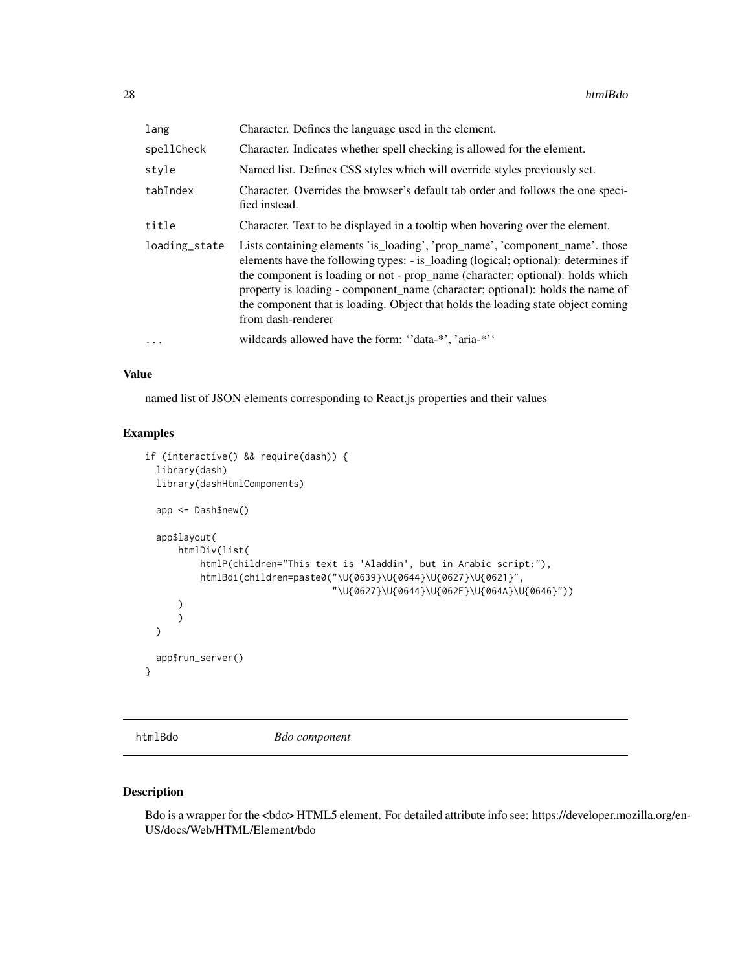<span id="page-27-0"></span>

| lang          | Character. Defines the language used in the element.                                                                                                                                                                                                                                                                                                                                                                                            |
|---------------|-------------------------------------------------------------------------------------------------------------------------------------------------------------------------------------------------------------------------------------------------------------------------------------------------------------------------------------------------------------------------------------------------------------------------------------------------|
| spellCheck    | Character. Indicates whether spell checking is allowed for the element.                                                                                                                                                                                                                                                                                                                                                                         |
| style         | Named list. Defines CSS styles which will override styles previously set.                                                                                                                                                                                                                                                                                                                                                                       |
| tabIndex      | Character. Overrides the browser's default tab order and follows the one speci-<br>fied instead.                                                                                                                                                                                                                                                                                                                                                |
| title         | Character. Text to be displayed in a tooltip when hovering over the element.                                                                                                                                                                                                                                                                                                                                                                    |
| loading_state | Lists containing elements 'is_loading', 'prop_name', 'component_name'. those<br>elements have the following types: - is_loading (logical; optional): determines if<br>the component is loading or not - prop_name (character; optional): holds which<br>property is loading - component_name (character; optional): holds the name of<br>the component that is loading. Object that holds the loading state object coming<br>from dash-renderer |
| $\cdots$      | wildcards allowed have the form: "data-*", 'aria-*"                                                                                                                                                                                                                                                                                                                                                                                             |

named list of JSON elements corresponding to React.js properties and their values

## Examples

```
if (interactive() && require(dash)) {
 library(dash)
 library(dashHtmlComponents)
 app <- Dash$new()
 app$layout(
      htmlDiv(list(
          htmlP(children="This text is 'Aladdin', but in Arabic script:"),
          htmlBdi(children=paste0("\U{0639}\U{0644}\U{0627}\U{0621}",
                                   "\U{0627}\U{0644}\U{062F}\U{064A}\U{0646}"))
      )
      )
 \lambdaapp$run_server()
}
```
htmlBdo *Bdo component*

### Description

Bdo is a wrapper for the <bdo> HTML5 element. For detailed attribute info see: https://developer.mozilla.org/en-US/docs/Web/HTML/Element/bdo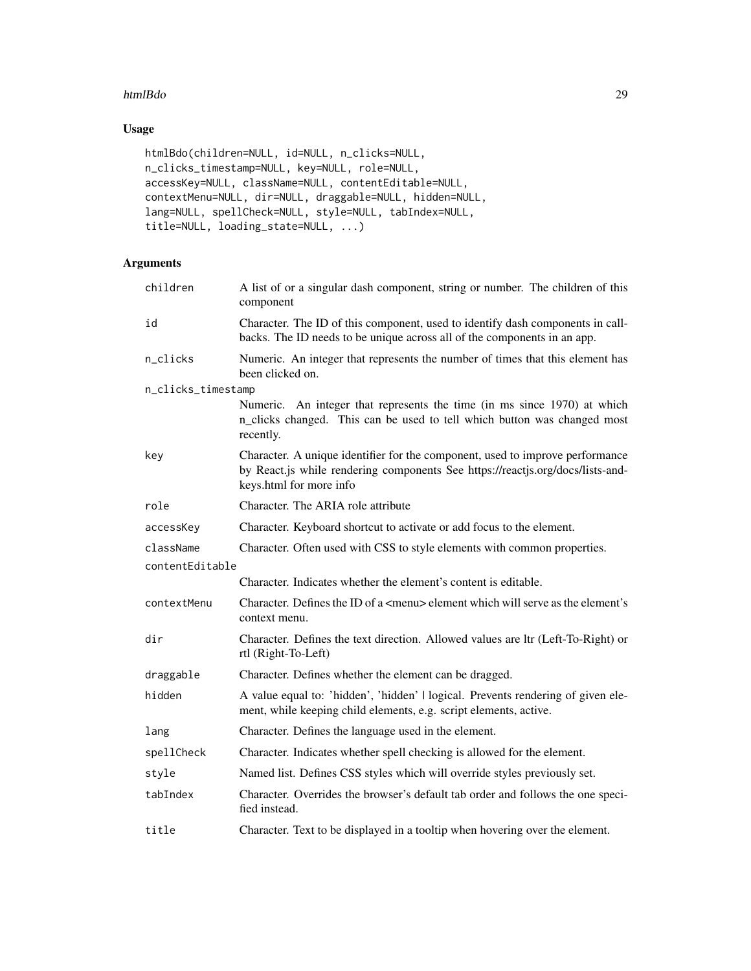### htmlBdo 29

# Usage

```
htmlBdo(children=NULL, id=NULL, n_clicks=NULL,
n_clicks_timestamp=NULL, key=NULL, role=NULL,
accessKey=NULL, className=NULL, contentEditable=NULL,
contextMenu=NULL, dir=NULL, draggable=NULL, hidden=NULL,
lang=NULL, spellCheck=NULL, style=NULL, tabIndex=NULL,
title=NULL, loading_state=NULL, ...)
```

| children           | A list of or a singular dash component, string or number. The children of this<br>component                                                                                                |
|--------------------|--------------------------------------------------------------------------------------------------------------------------------------------------------------------------------------------|
| id                 | Character. The ID of this component, used to identify dash components in call-<br>backs. The ID needs to be unique across all of the components in an app.                                 |
| n_clicks           | Numeric. An integer that represents the number of times that this element has<br>been clicked on.                                                                                          |
| n_clicks_timestamp |                                                                                                                                                                                            |
|                    | Numeric. An integer that represents the time (in ms since 1970) at which<br>n_clicks changed. This can be used to tell which button was changed most<br>recently.                          |
| key                | Character. A unique identifier for the component, used to improve performance<br>by React.js while rendering components See https://reactjs.org/docs/lists-and-<br>keys.html for more info |
| role               | Character. The ARIA role attribute                                                                                                                                                         |
| accessKey          | Character. Keyboard shortcut to activate or add focus to the element.                                                                                                                      |
| className          | Character. Often used with CSS to style elements with common properties.                                                                                                                   |
| contentEditable    |                                                                                                                                                                                            |
|                    | Character. Indicates whether the element's content is editable.                                                                                                                            |
| contextMenu        | Character. Defines the ID of a <menu> element which will serve as the element's<br/>context menu.</menu>                                                                                   |
| dir                | Character. Defines the text direction. Allowed values are ltr (Left-To-Right) or<br>rtl (Right-To-Left)                                                                                    |
| draggable          | Character. Defines whether the element can be dragged.                                                                                                                                     |
| hidden             | A value equal to: 'hidden', 'hidden'   logical. Prevents rendering of given ele-<br>ment, while keeping child elements, e.g. script elements, active.                                      |
| lang               | Character. Defines the language used in the element.                                                                                                                                       |
| spellCheck         | Character. Indicates whether spell checking is allowed for the element.                                                                                                                    |
| style              | Named list. Defines CSS styles which will override styles previously set.                                                                                                                  |
| tabIndex           | Character. Overrides the browser's default tab order and follows the one speci-<br>fied instead.                                                                                           |
| title              | Character. Text to be displayed in a tooltip when hovering over the element.                                                                                                               |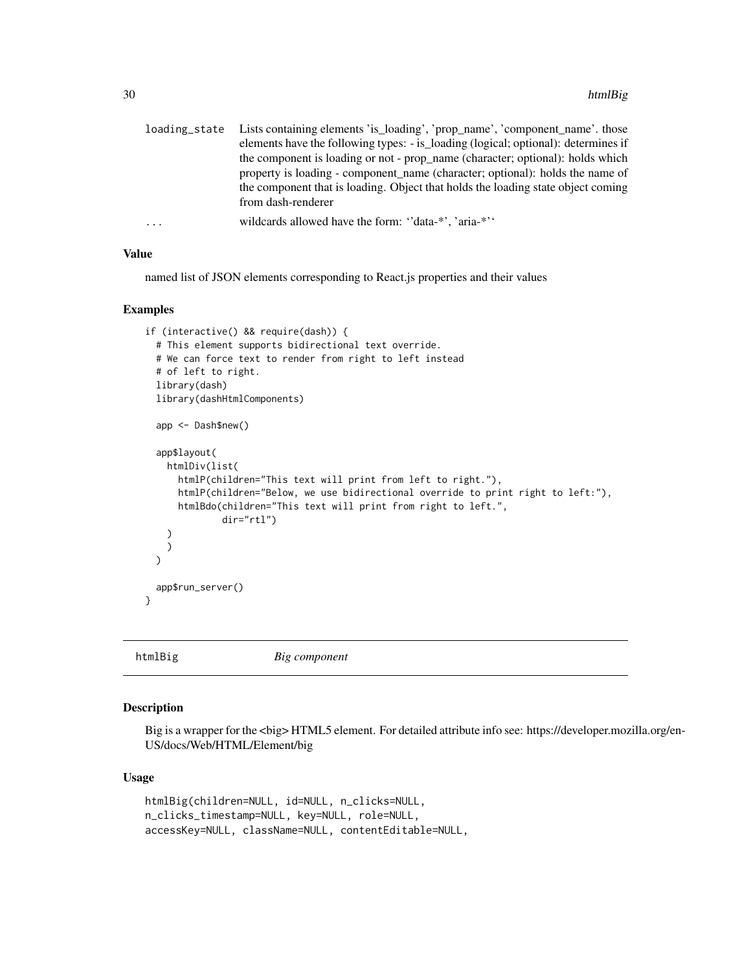<span id="page-29-0"></span>

| loading_state | Lists containing elements 'is_loading', 'prop_name', 'component_name'. those       |
|---------------|------------------------------------------------------------------------------------|
|               | elements have the following types: - is_loading (logical; optional): determines if |
|               | the component is loading or not - prop_name (character; optional): holds which     |
|               | property is loading - component name (character; optional): holds the name of      |
|               | the component that is loading. Object that holds the loading state object coming   |
|               | from dash-renderer                                                                 |
| $\cdots$      | wildcards allowed have the form: "data-*", 'aria-*"                                |

named list of JSON elements corresponding to React.js properties and their values

### Examples

```
if (interactive() && require(dash)) {
 # This element supports bidirectional text override.
 # We can force text to render from right to left instead
 # of left to right.
 library(dash)
 library(dashHtmlComponents)
 app <- Dash$new()
 app$layout(
   htmlDiv(list(
      htmlP(children="This text will print from left to right."),
      htmlP(children="Below, we use bidirectional override to print right to left:"),
      htmlBdo(children="This text will print from right to left.",
              dir="rtl")
   )
   )
 \lambdaapp$run_server()
}
```
htmlBig *Big component*

# Description

Big is a wrapper for the <br/> \times> HTML5 element. For detailed attribute info see: https://developer.mozilla.org/en-US/docs/Web/HTML/Element/big

### Usage

```
htmlBig(children=NULL, id=NULL, n_clicks=NULL,
n_clicks_timestamp=NULL, key=NULL, role=NULL,
accessKey=NULL, className=NULL, contentEditable=NULL,
```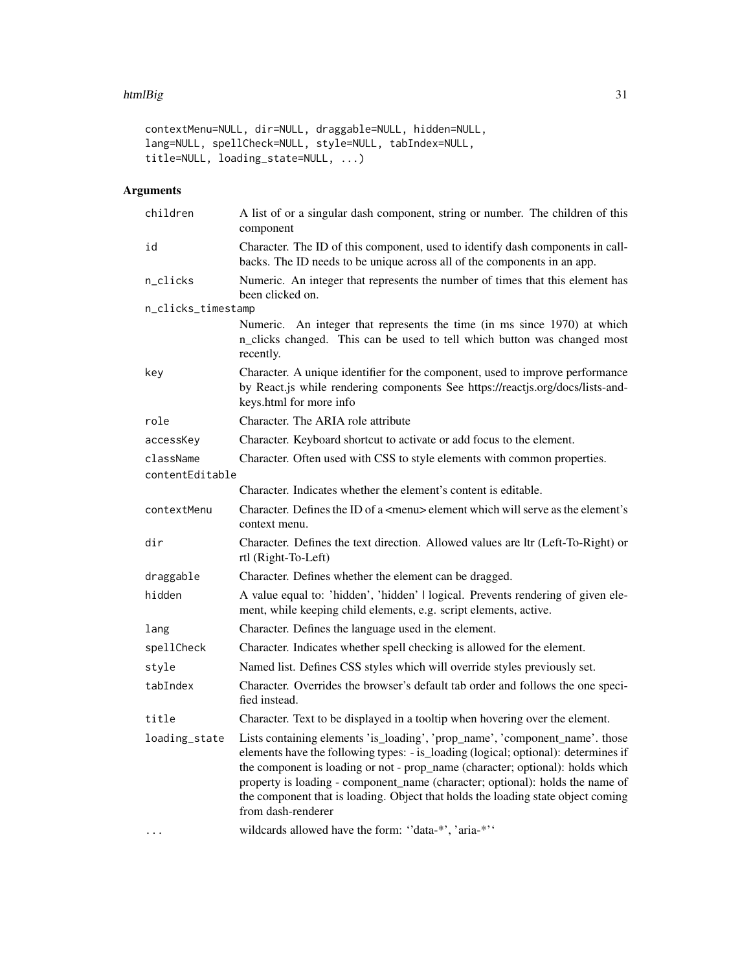#### htmlBig 31

```
contextMenu=NULL, dir=NULL, draggable=NULL, hidden=NULL,
lang=NULL, spellCheck=NULL, style=NULL, tabIndex=NULL,
title=NULL, loading_state=NULL, ...)
```

| children           | A list of or a singular dash component, string or number. The children of this<br>component                                                                                                                                                                                                                                                                                                                                                     |
|--------------------|-------------------------------------------------------------------------------------------------------------------------------------------------------------------------------------------------------------------------------------------------------------------------------------------------------------------------------------------------------------------------------------------------------------------------------------------------|
| id                 | Character. The ID of this component, used to identify dash components in call-<br>backs. The ID needs to be unique across all of the components in an app.                                                                                                                                                                                                                                                                                      |
| n_clicks           | Numeric. An integer that represents the number of times that this element has<br>been clicked on.                                                                                                                                                                                                                                                                                                                                               |
| n_clicks_timestamp |                                                                                                                                                                                                                                                                                                                                                                                                                                                 |
|                    | Numeric. An integer that represents the time (in ms since 1970) at which<br>n_clicks changed. This can be used to tell which button was changed most<br>recently.                                                                                                                                                                                                                                                                               |
| key                | Character. A unique identifier for the component, used to improve performance<br>by React.js while rendering components See https://reactjs.org/docs/lists-and-<br>keys.html for more info                                                                                                                                                                                                                                                      |
| role               | Character. The ARIA role attribute                                                                                                                                                                                                                                                                                                                                                                                                              |
| accessKey          | Character. Keyboard shortcut to activate or add focus to the element.                                                                                                                                                                                                                                                                                                                                                                           |
| className          | Character. Often used with CSS to style elements with common properties.                                                                                                                                                                                                                                                                                                                                                                        |
| contentEditable    |                                                                                                                                                                                                                                                                                                                                                                                                                                                 |
|                    | Character. Indicates whether the element's content is editable.                                                                                                                                                                                                                                                                                                                                                                                 |
| contextMenu        | Character. Defines the ID of a <menu> element which will serve as the element's<br/>context menu.</menu>                                                                                                                                                                                                                                                                                                                                        |
| dir                | Character. Defines the text direction. Allowed values are ltr (Left-To-Right) or<br>rtl (Right-To-Left)                                                                                                                                                                                                                                                                                                                                         |
| draggable          | Character. Defines whether the element can be dragged.                                                                                                                                                                                                                                                                                                                                                                                          |
| hidden             | A value equal to: 'hidden', 'hidden'   logical. Prevents rendering of given ele-<br>ment, while keeping child elements, e.g. script elements, active.                                                                                                                                                                                                                                                                                           |
| lang               | Character. Defines the language used in the element.                                                                                                                                                                                                                                                                                                                                                                                            |
| spellCheck         | Character. Indicates whether spell checking is allowed for the element.                                                                                                                                                                                                                                                                                                                                                                         |
| style              | Named list. Defines CSS styles which will override styles previously set.                                                                                                                                                                                                                                                                                                                                                                       |
| tabIndex           | Character. Overrides the browser's default tab order and follows the one speci-<br>fied instead.                                                                                                                                                                                                                                                                                                                                                |
| title              | Character. Text to be displayed in a tooltip when hovering over the element.                                                                                                                                                                                                                                                                                                                                                                    |
| loading_state      | Lists containing elements 'is_loading', 'prop_name', 'component_name'. those<br>elements have the following types: - is_loading (logical; optional): determines if<br>the component is loading or not - prop_name (character; optional): holds which<br>property is loading - component_name (character; optional): holds the name of<br>the component that is loading. Object that holds the loading state object coming<br>from dash-renderer |
|                    | wildcards allowed have the form: "data-*', 'aria-*''                                                                                                                                                                                                                                                                                                                                                                                            |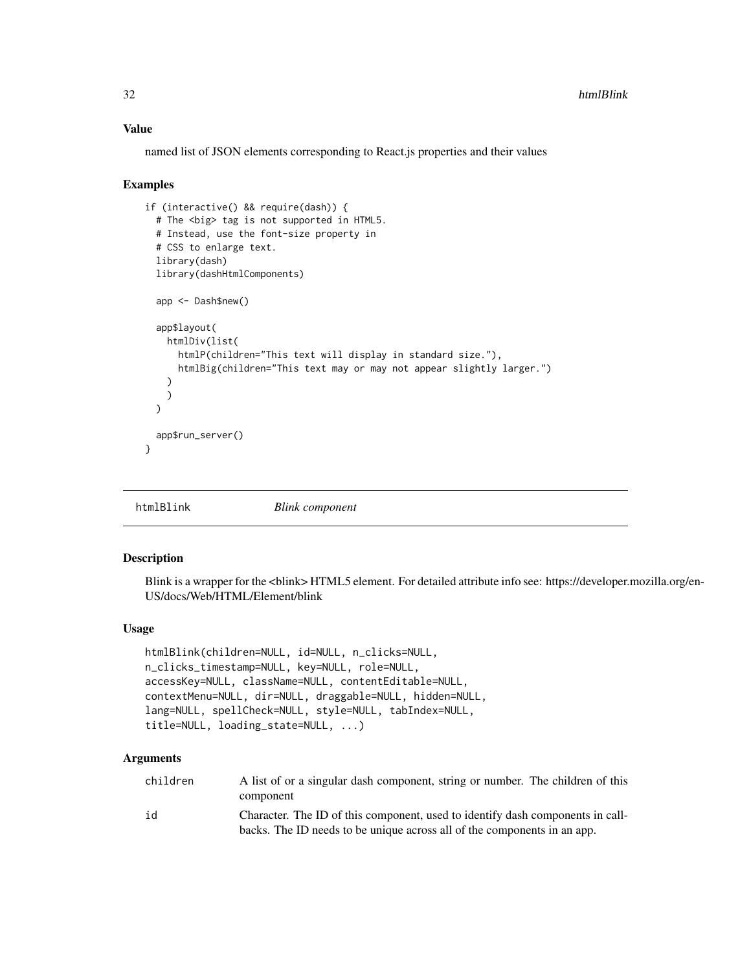named list of JSON elements corresponding to React.js properties and their values

#### Examples

```
if (interactive() && require(dash)) {
 # The <big> tag is not supported in HTML5.
 # Instead, use the font-size property in
 # CSS to enlarge text.
 library(dash)
 library(dashHtmlComponents)
 app <- Dash$new()
 app$layout(
   htmlDiv(list(
      htmlP(children="This text will display in standard size."),
      htmlBig(children="This text may or may not appear slightly larger.")
   )
   )
 \lambdaapp$run_server()
}
```
htmlBlink *Blink component*

### Description

Blink is a wrapper for the <blink> HTML5 element. For detailed attribute info see: https://developer.mozilla.org/en-US/docs/Web/HTML/Element/blink

# Usage

```
htmlBlink(children=NULL, id=NULL, n_clicks=NULL,
n_clicks_timestamp=NULL, key=NULL, role=NULL,
accessKey=NULL, className=NULL, contentEditable=NULL,
contextMenu=NULL, dir=NULL, draggable=NULL, hidden=NULL,
lang=NULL, spellCheck=NULL, style=NULL, tabIndex=NULL,
title=NULL, loading_state=NULL, ...)
```

| children | A list of or a singular dash component, string or number. The children of this |
|----------|--------------------------------------------------------------------------------|
|          | component                                                                      |
| id       | Character. The ID of this component, used to identify dash components in call- |
|          | backs. The ID needs to be unique across all of the components in an app.       |

<span id="page-31-0"></span>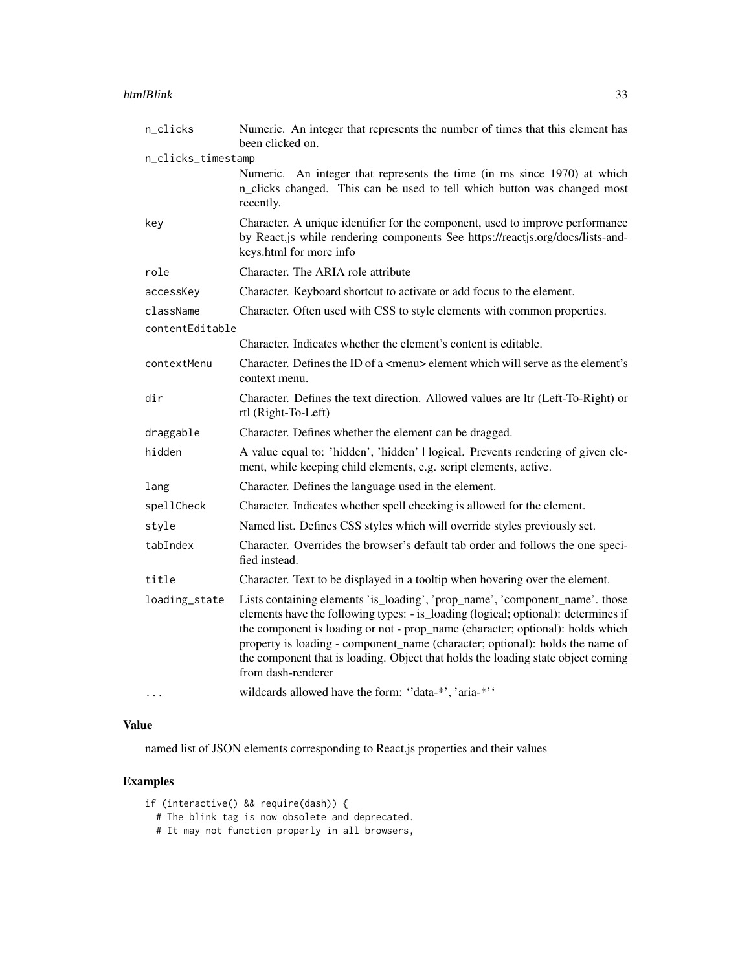### htmlBlink 33

| n_clicks           | Numeric. An integer that represents the number of times that this element has<br>been clicked on.                                                                                                                                                                                                                                                                                                                                               |
|--------------------|-------------------------------------------------------------------------------------------------------------------------------------------------------------------------------------------------------------------------------------------------------------------------------------------------------------------------------------------------------------------------------------------------------------------------------------------------|
| n_clicks_timestamp |                                                                                                                                                                                                                                                                                                                                                                                                                                                 |
|                    | Numeric. An integer that represents the time (in ms since 1970) at which<br>n_clicks changed. This can be used to tell which button was changed most<br>recently.                                                                                                                                                                                                                                                                               |
| key                | Character. A unique identifier for the component, used to improve performance<br>by React.js while rendering components See https://reactjs.org/docs/lists-and-<br>keys.html for more info                                                                                                                                                                                                                                                      |
| role               | Character. The ARIA role attribute                                                                                                                                                                                                                                                                                                                                                                                                              |
| accessKey          | Character. Keyboard shortcut to activate or add focus to the element.                                                                                                                                                                                                                                                                                                                                                                           |
| className          | Character. Often used with CSS to style elements with common properties.                                                                                                                                                                                                                                                                                                                                                                        |
| contentEditable    |                                                                                                                                                                                                                                                                                                                                                                                                                                                 |
|                    | Character. Indicates whether the element's content is editable.                                                                                                                                                                                                                                                                                                                                                                                 |
| contextMenu        | Character. Defines the ID of a <menu> element which will serve as the element's<br/>context menu.</menu>                                                                                                                                                                                                                                                                                                                                        |
| dir                | Character. Defines the text direction. Allowed values are ltr (Left-To-Right) or<br>rtl (Right-To-Left)                                                                                                                                                                                                                                                                                                                                         |
| draggable          | Character. Defines whether the element can be dragged.                                                                                                                                                                                                                                                                                                                                                                                          |
| hidden             | A value equal to: 'hidden', 'hidden'   logical. Prevents rendering of given ele-<br>ment, while keeping child elements, e.g. script elements, active.                                                                                                                                                                                                                                                                                           |
| lang               | Character. Defines the language used in the element.                                                                                                                                                                                                                                                                                                                                                                                            |
| spellCheck         | Character. Indicates whether spell checking is allowed for the element.                                                                                                                                                                                                                                                                                                                                                                         |
| style              | Named list. Defines CSS styles which will override styles previously set.                                                                                                                                                                                                                                                                                                                                                                       |
| tabIndex           | Character. Overrides the browser's default tab order and follows the one speci-<br>fied instead.                                                                                                                                                                                                                                                                                                                                                |
| title              | Character. Text to be displayed in a tooltip when hovering over the element.                                                                                                                                                                                                                                                                                                                                                                    |
| loading_state      | Lists containing elements 'is_loading', 'prop_name', 'component_name'. those<br>elements have the following types: - is_loading (logical; optional): determines if<br>the component is loading or not - prop_name (character; optional): holds which<br>property is loading - component_name (character; optional): holds the name of<br>the component that is loading. Object that holds the loading state object coming<br>from dash-renderer |
| $\cdots$           | wildcards allowed have the form: "data-*', 'aria-*''                                                                                                                                                                                                                                                                                                                                                                                            |

### Value

named list of JSON elements corresponding to React.js properties and their values

- if (interactive() && require(dash)) {
	- # The blink tag is now obsolete and deprecated.
	- # It may not function properly in all browsers,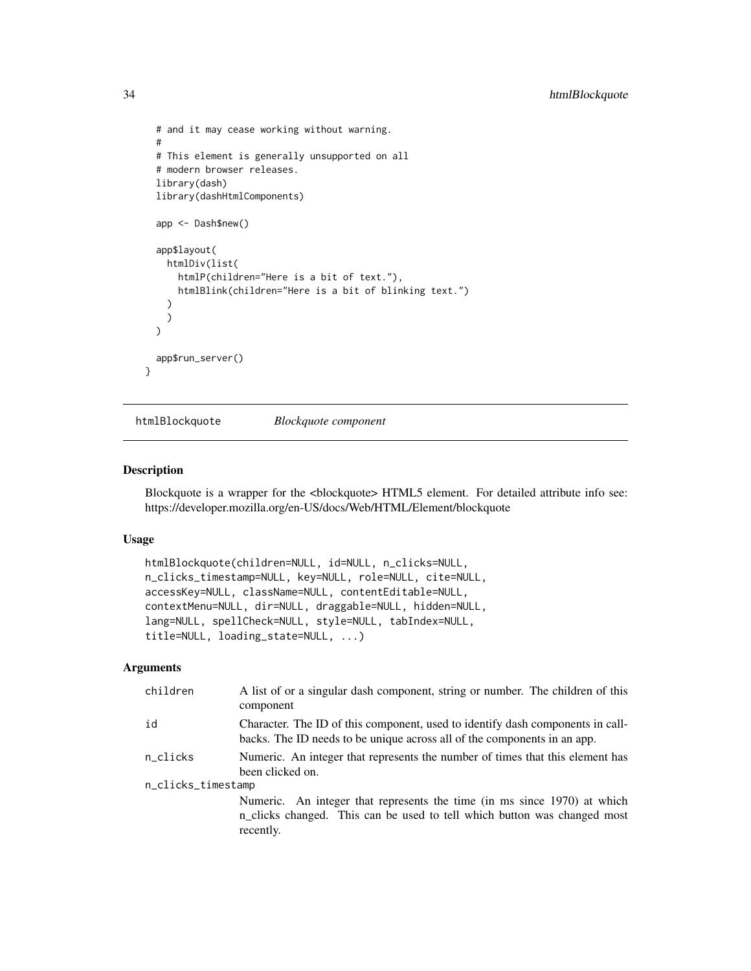```
# and it may cease working without warning.
 #
 # This element is generally unsupported on all
 # modern browser releases.
 library(dash)
 library(dashHtmlComponents)
 app <- Dash$new()
 app$layout(
   htmlDiv(list(
     htmlP(children="Here is a bit of text."),
     htmlBlink(children="Here is a bit of blinking text.")
   )
   )
 )
 app$run_server()
}
```
htmlBlockquote *Blockquote component*

### Description

Blockquote is a wrapper for the <br/>>blockquote> HTML5 element. For detailed attribute info see: https://developer.mozilla.org/en-US/docs/Web/HTML/Element/blockquote

#### Usage

```
htmlBlockquote(children=NULL, id=NULL, n_clicks=NULL,
n_clicks_timestamp=NULL, key=NULL, role=NULL, cite=NULL,
accessKey=NULL, className=NULL, contentEditable=NULL,
contextMenu=NULL, dir=NULL, draggable=NULL, hidden=NULL,
lang=NULL, spellCheck=NULL, style=NULL, tabIndex=NULL,
title=NULL, loading_state=NULL, ...)
```

| children           | A list of or a singular dash component, string or number. The children of this<br>component                                                                       |  |
|--------------------|-------------------------------------------------------------------------------------------------------------------------------------------------------------------|--|
| id                 | Character. The ID of this component, used to identify dash components in call-<br>backs. The ID needs to be unique across all of the components in an app.        |  |
| n clicks           | Numeric. An integer that represents the number of times that this element has<br>been clicked on.                                                                 |  |
| n_clicks_timestamp |                                                                                                                                                                   |  |
|                    | Numeric. An integer that represents the time (in ms since 1970) at which<br>n_clicks changed. This can be used to tell which button was changed most<br>recently. |  |
|                    |                                                                                                                                                                   |  |

<span id="page-33-0"></span>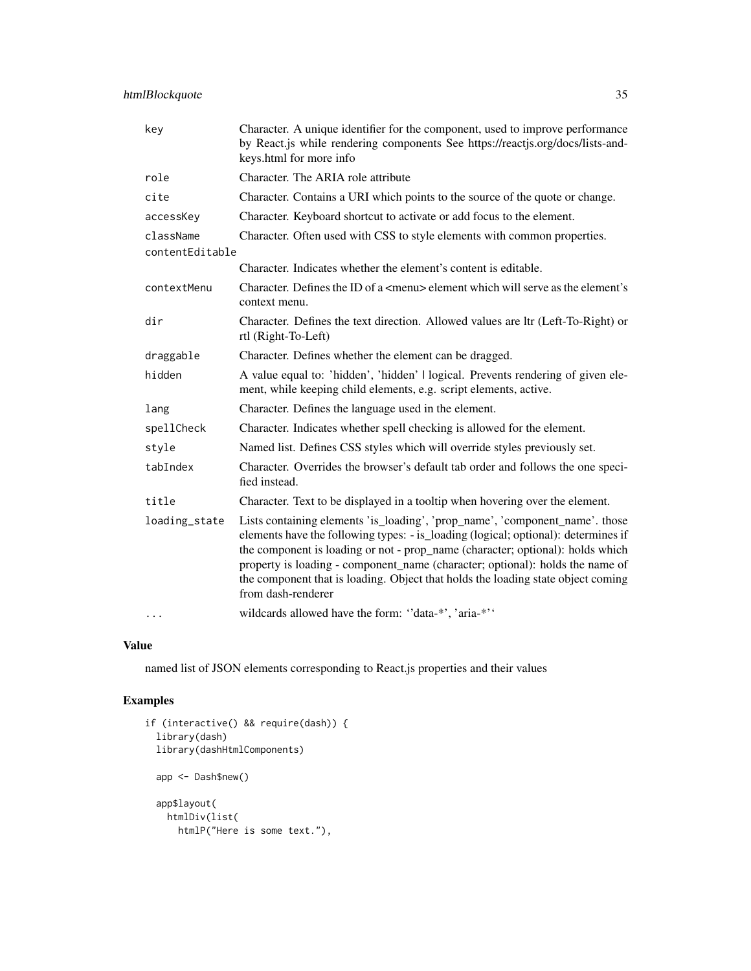# htmlBlockquote 35

| key             | Character. A unique identifier for the component, used to improve performance<br>by React.js while rendering components See https://reactjs.org/docs/lists-and-<br>keys.html for more info                                                                                                                                                                                                                                                      |
|-----------------|-------------------------------------------------------------------------------------------------------------------------------------------------------------------------------------------------------------------------------------------------------------------------------------------------------------------------------------------------------------------------------------------------------------------------------------------------|
| role            | Character. The ARIA role attribute                                                                                                                                                                                                                                                                                                                                                                                                              |
| cite            | Character. Contains a URI which points to the source of the quote or change.                                                                                                                                                                                                                                                                                                                                                                    |
| accessKey       | Character. Keyboard shortcut to activate or add focus to the element.                                                                                                                                                                                                                                                                                                                                                                           |
| className       | Character. Often used with CSS to style elements with common properties.                                                                                                                                                                                                                                                                                                                                                                        |
| contentEditable |                                                                                                                                                                                                                                                                                                                                                                                                                                                 |
|                 | Character. Indicates whether the element's content is editable.                                                                                                                                                                                                                                                                                                                                                                                 |
| contextMenu     | Character. Defines the ID of a $\leq$ menu $\geq$ element which will serve as the element's<br>context menu.                                                                                                                                                                                                                                                                                                                                    |
| dir             | Character. Defines the text direction. Allowed values are ltr (Left-To-Right) or<br>rtl (Right-To-Left)                                                                                                                                                                                                                                                                                                                                         |
| draggable       | Character. Defines whether the element can be dragged.                                                                                                                                                                                                                                                                                                                                                                                          |
| hidden          | A value equal to: 'hidden', 'hidden'   logical. Prevents rendering of given ele-<br>ment, while keeping child elements, e.g. script elements, active.                                                                                                                                                                                                                                                                                           |
| lang            | Character. Defines the language used in the element.                                                                                                                                                                                                                                                                                                                                                                                            |
| spellCheck      | Character. Indicates whether spell checking is allowed for the element.                                                                                                                                                                                                                                                                                                                                                                         |
| style           | Named list. Defines CSS styles which will override styles previously set.                                                                                                                                                                                                                                                                                                                                                                       |
| tabIndex        | Character. Overrides the browser's default tab order and follows the one speci-<br>fied instead.                                                                                                                                                                                                                                                                                                                                                |
| title           | Character. Text to be displayed in a tooltip when hovering over the element.                                                                                                                                                                                                                                                                                                                                                                    |
| loading_state   | Lists containing elements 'is_loading', 'prop_name', 'component_name'. those<br>elements have the following types: - is_loading (logical; optional): determines if<br>the component is loading or not - prop_name (character; optional): holds which<br>property is loading - component_name (character; optional): holds the name of<br>the component that is loading. Object that holds the loading state object coming<br>from dash-renderer |
| $\cdots$        | wildcards allowed have the form: "data-*', 'aria-*''                                                                                                                                                                                                                                                                                                                                                                                            |

### Value

named list of JSON elements corresponding to React.js properties and their values

```
if (interactive() && require(dash)) {
  library(dash)
  library(dashHtmlComponents)
  app <- Dash$new()
  app$layout(
   htmlDiv(list(
     htmlP("Here is some text."),
```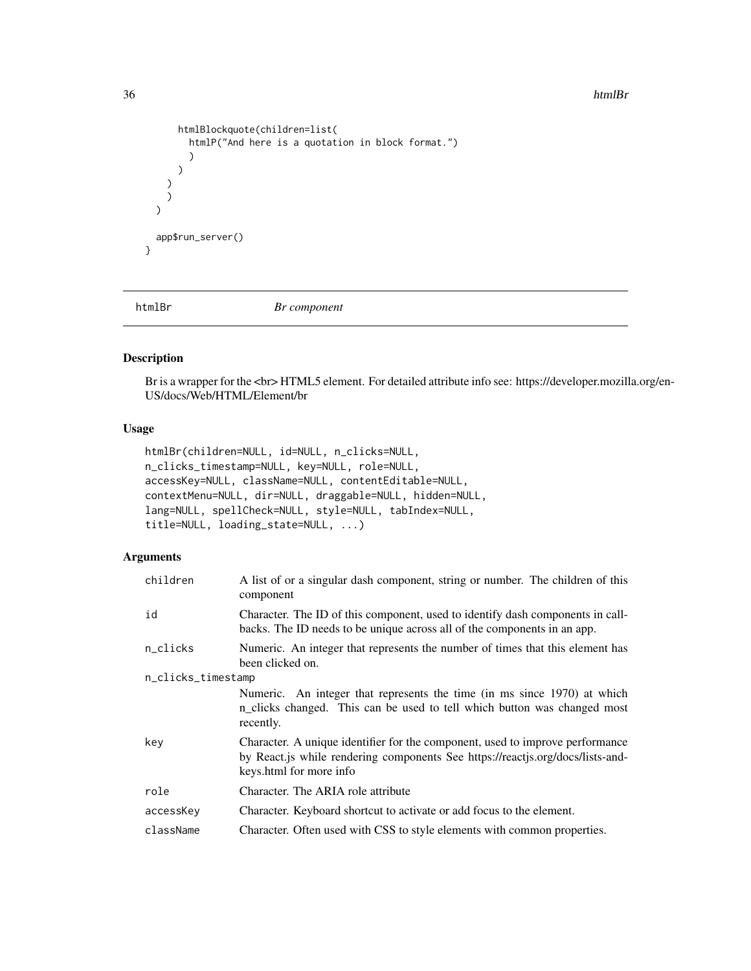#### <span id="page-35-0"></span>36 htmlBr

```
htmlBlockquote(children=list(
         htmlP("And here is a quotation in block format.")
         )
      \lambda)
     )
  \mathcal{L}app$run_server()
}
```
htmlBr *Br component*

# Description

Br is a wrapper for the <br > HTML5 element. For detailed attribute info see: https://developer.mozilla.org/en-US/docs/Web/HTML/Element/br

# Usage

```
htmlBr(children=NULL, id=NULL, n_clicks=NULL,
n_clicks_timestamp=NULL, key=NULL, role=NULL,
accessKey=NULL, className=NULL, contentEditable=NULL,
contextMenu=NULL, dir=NULL, draggable=NULL, hidden=NULL,
lang=NULL, spellCheck=NULL, style=NULL, tabIndex=NULL,
title=NULL, loading_state=NULL, ...)
```

| children           | A list of or a singular dash component, string or number. The children of this<br>component                                                                                                |  |
|--------------------|--------------------------------------------------------------------------------------------------------------------------------------------------------------------------------------------|--|
| id                 | Character. The ID of this component, used to identify dash components in call-<br>backs. The ID needs to be unique across all of the components in an app.                                 |  |
| n_clicks           | Numeric. An integer that represents the number of times that this element has<br>been clicked on.                                                                                          |  |
| n_clicks_timestamp |                                                                                                                                                                                            |  |
|                    | Numeric. An integer that represents the time (in ms since 1970) at which<br>n_clicks changed. This can be used to tell which button was changed most<br>recently.                          |  |
| key                | Character. A unique identifier for the component, used to improve performance<br>by React.js while rendering components See https://reactjs.org/docs/lists-and-<br>keys.html for more info |  |
| role               | Character. The ARIA role attribute                                                                                                                                                         |  |
| accessKey          | Character. Keyboard shortcut to activate or add focus to the element.                                                                                                                      |  |
| className          | Character. Often used with CSS to style elements with common properties.                                                                                                                   |  |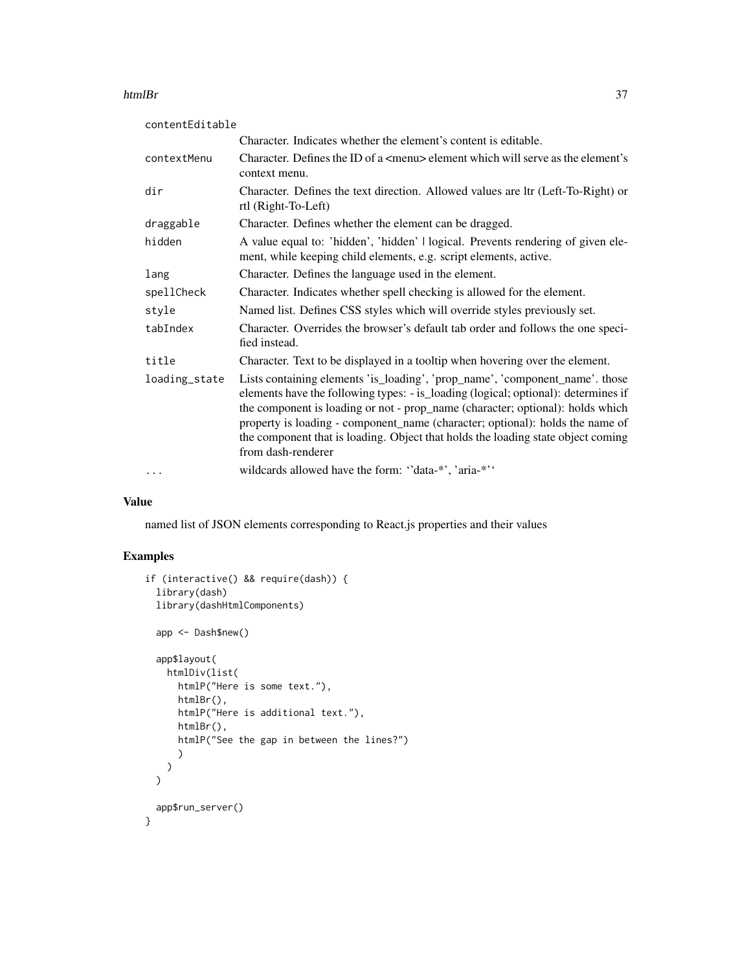#### htmlBr 37

| contentEditable |                                                                                                                                                                                                                                                                                                                                                                                                                                                 |
|-----------------|-------------------------------------------------------------------------------------------------------------------------------------------------------------------------------------------------------------------------------------------------------------------------------------------------------------------------------------------------------------------------------------------------------------------------------------------------|
|                 | Character. Indicates whether the element's content is editable.                                                                                                                                                                                                                                                                                                                                                                                 |
| contextMenu     | Character. Defines the ID of a $\leq$ menu> element which will serve as the element's<br>context menu.                                                                                                                                                                                                                                                                                                                                          |
| dir             | Character. Defines the text direction. Allowed values are ltr (Left-To-Right) or<br>rtl (Right-To-Left)                                                                                                                                                                                                                                                                                                                                         |
| draggable       | Character. Defines whether the element can be dragged.                                                                                                                                                                                                                                                                                                                                                                                          |
| hidden          | A value equal to: 'hidden', 'hidden'   logical. Prevents rendering of given ele-<br>ment, while keeping child elements, e.g. script elements, active.                                                                                                                                                                                                                                                                                           |
| lang            | Character. Defines the language used in the element.                                                                                                                                                                                                                                                                                                                                                                                            |
| spellCheck      | Character. Indicates whether spell checking is allowed for the element.                                                                                                                                                                                                                                                                                                                                                                         |
| style           | Named list. Defines CSS styles which will override styles previously set.                                                                                                                                                                                                                                                                                                                                                                       |
| tabIndex        | Character. Overrides the browser's default tab order and follows the one speci-<br>fied instead.                                                                                                                                                                                                                                                                                                                                                |
| title           | Character. Text to be displayed in a tooltip when hovering over the element.                                                                                                                                                                                                                                                                                                                                                                    |
| loading_state   | Lists containing elements 'is_loading', 'prop_name', 'component_name'. those<br>elements have the following types: - is_loading (logical; optional): determines if<br>the component is loading or not - prop_name (character; optional): holds which<br>property is loading - component_name (character; optional): holds the name of<br>the component that is loading. Object that holds the loading state object coming<br>from dash-renderer |
| $\cdots$        | wildcards allowed have the form: "data-*', 'aria-*''                                                                                                                                                                                                                                                                                                                                                                                            |

### Value

named list of JSON elements corresponding to React.js properties and their values

```
if (interactive() && require(dash)) {
 library(dash)
 library(dashHtmlComponents)
 app <- Dash$new()
 app$layout(
   htmlDiv(list(
     htmlP("Here is some text."),
     htmlBr(),
     htmlP("Here is additional text."),
     htmlBr(),
     htmlP("See the gap in between the lines?")
      )
   )
 \mathcal{L}app$run_server()
}
```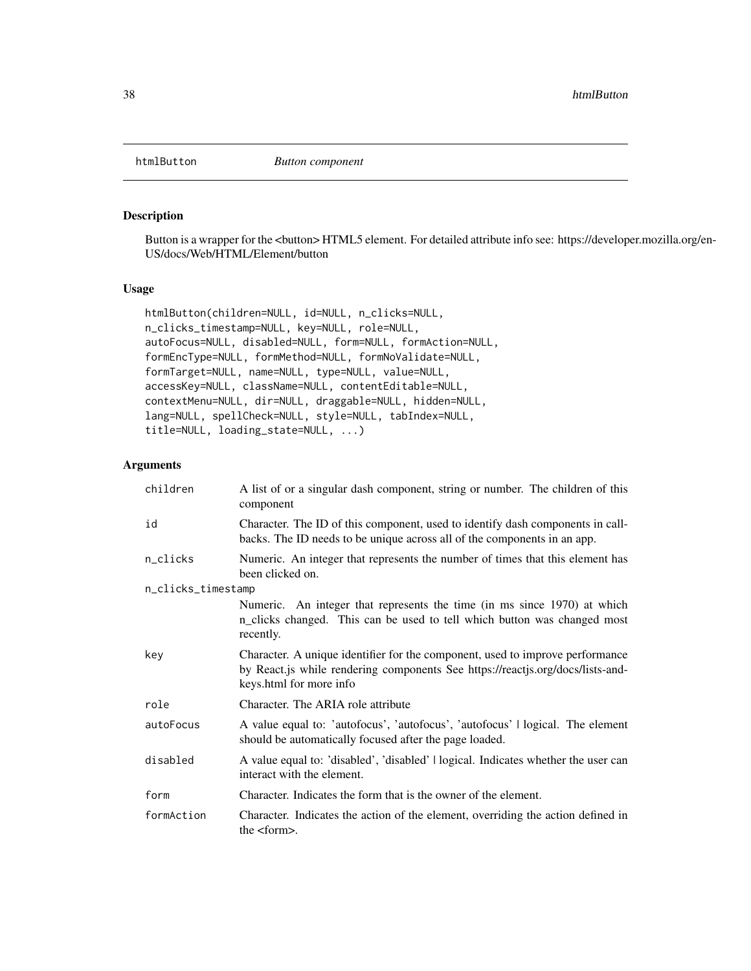## Description

Button is a wrapper for the <br/>button> HTML5 element. For detailed attribute info see: https://developer.mozilla.org/en-US/docs/Web/HTML/Element/button

## Usage

```
htmlButton(children=NULL, id=NULL, n_clicks=NULL,
n_clicks_timestamp=NULL, key=NULL, role=NULL,
autoFocus=NULL, disabled=NULL, form=NULL, formAction=NULL,
formEncType=NULL, formMethod=NULL, formNoValidate=NULL,
formTarget=NULL, name=NULL, type=NULL, value=NULL,
accessKey=NULL, className=NULL, contentEditable=NULL,
contextMenu=NULL, dir=NULL, draggable=NULL, hidden=NULL,
lang=NULL, spellCheck=NULL, style=NULL, tabIndex=NULL,
title=NULL, loading_state=NULL, ...)
```

| children           | A list of or a singular dash component, string or number. The children of this<br>component                                                                                                |
|--------------------|--------------------------------------------------------------------------------------------------------------------------------------------------------------------------------------------|
| id                 | Character. The ID of this component, used to identify dash components in call-<br>backs. The ID needs to be unique across all of the components in an app.                                 |
| n_clicks           | Numeric. An integer that represents the number of times that this element has<br>been clicked on.                                                                                          |
| n_clicks_timestamp |                                                                                                                                                                                            |
|                    | Numeric. An integer that represents the time (in ms since 1970) at which<br>n_clicks changed. This can be used to tell which button was changed most<br>recently.                          |
| key                | Character. A unique identifier for the component, used to improve performance<br>by React.js while rendering components See https://reactjs.org/docs/lists-and-<br>keys.html for more info |
| role               | Character. The ARIA role attribute                                                                                                                                                         |
| autoFocus          | A value equal to: 'autofocus', 'autofocus', 'autofocus'   logical. The element<br>should be automatically focused after the page loaded.                                                   |
| disabled           | A value equal to: 'disabled', 'disabled'   logical. Indicates whether the user can<br>interact with the element.                                                                           |
| form               | Character. Indicates the form that is the owner of the element.                                                                                                                            |
| formAction         | Character. Indicates the action of the element, overriding the action defined in<br>the $<$ form $>$ .                                                                                     |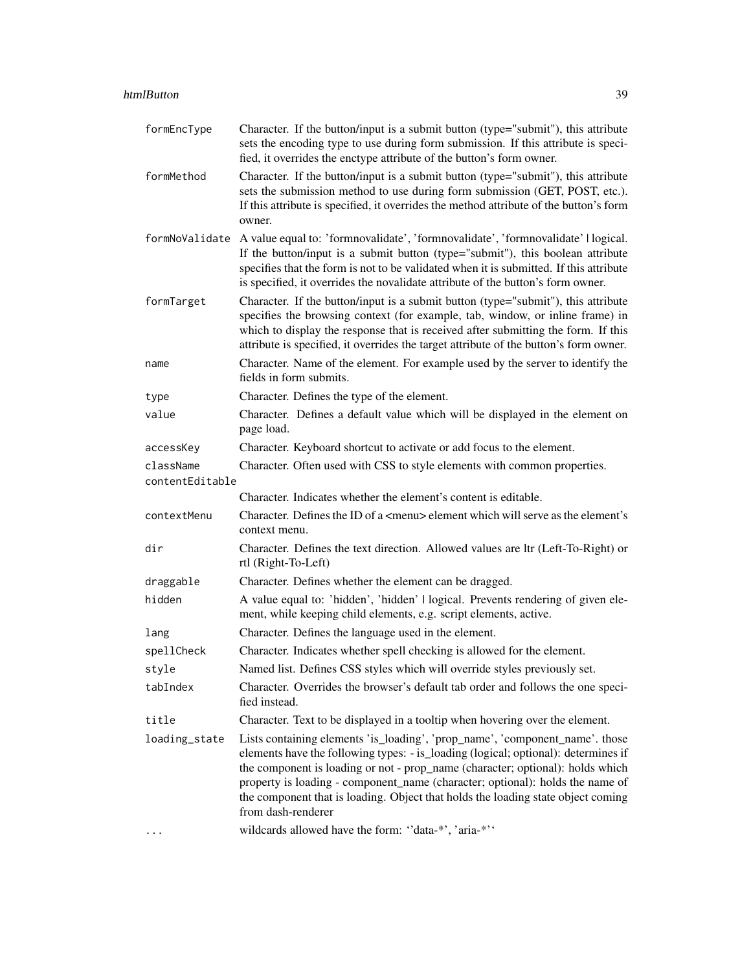| formEncType     | Character. If the button/input is a submit button (type="submit"), this attribute<br>sets the encoding type to use during form submission. If this attribute is speci-<br>fied, it overrides the enctype attribute of the button's form owner.                                                                                                                                                                                                  |
|-----------------|-------------------------------------------------------------------------------------------------------------------------------------------------------------------------------------------------------------------------------------------------------------------------------------------------------------------------------------------------------------------------------------------------------------------------------------------------|
| formMethod      | Character. If the button/input is a submit button (type="submit"), this attribute<br>sets the submission method to use during form submission (GET, POST, etc.).<br>If this attribute is specified, it overrides the method attribute of the button's form<br>owner.                                                                                                                                                                            |
|                 | formNoValidate A value equal to: 'formnovalidate', 'formnovalidate', 'formnovalidate'   logical.<br>If the button/input is a submit button (type="submit"), this boolean attribute<br>specifies that the form is not to be validated when it is submitted. If this attribute<br>is specified, it overrides the novalidate attribute of the button's form owner.                                                                                 |
| formTarget      | Character. If the button/input is a submit button (type="submit"), this attribute<br>specifies the browsing context (for example, tab, window, or inline frame) in<br>which to display the response that is received after submitting the form. If this<br>attribute is specified, it overrides the target attribute of the button's form owner.                                                                                                |
| name            | Character. Name of the element. For example used by the server to identify the<br>fields in form submits.                                                                                                                                                                                                                                                                                                                                       |
| type            | Character. Defines the type of the element.                                                                                                                                                                                                                                                                                                                                                                                                     |
| value           | Character. Defines a default value which will be displayed in the element on<br>page load.                                                                                                                                                                                                                                                                                                                                                      |
| accessKey       | Character. Keyboard shortcut to activate or add focus to the element.                                                                                                                                                                                                                                                                                                                                                                           |
| className       | Character. Often used with CSS to style elements with common properties.                                                                                                                                                                                                                                                                                                                                                                        |
| contentEditable |                                                                                                                                                                                                                                                                                                                                                                                                                                                 |
|                 | Character. Indicates whether the element's content is editable.                                                                                                                                                                                                                                                                                                                                                                                 |
| contextMenu     | Character. Defines the ID of a <menu> element which will serve as the element's<br/>context menu.</menu>                                                                                                                                                                                                                                                                                                                                        |
| dir             | Character. Defines the text direction. Allowed values are ltr (Left-To-Right) or<br>rtl (Right-To-Left)                                                                                                                                                                                                                                                                                                                                         |
| draggable       | Character. Defines whether the element can be dragged.                                                                                                                                                                                                                                                                                                                                                                                          |
| hidden          | A value equal to: 'hidden', 'hidden'   logical. Prevents rendering of given ele-<br>ment, while keeping child elements, e.g. script elements, active.                                                                                                                                                                                                                                                                                           |
| lang            | Character. Defines the language used in the element.                                                                                                                                                                                                                                                                                                                                                                                            |
| spellCheck      | Character. Indicates whether spell checking is allowed for the element.                                                                                                                                                                                                                                                                                                                                                                         |
| style           | Named list. Defines CSS styles which will override styles previously set.                                                                                                                                                                                                                                                                                                                                                                       |
| tabIndex        | Character. Overrides the browser's default tab order and follows the one speci-<br>fied instead.                                                                                                                                                                                                                                                                                                                                                |
| title           | Character. Text to be displayed in a tooltip when hovering over the element.                                                                                                                                                                                                                                                                                                                                                                    |
| loading_state   | Lists containing elements 'is_loading', 'prop_name', 'component_name'. those<br>elements have the following types: - is_loading (logical; optional): determines if<br>the component is loading or not - prop_name (character; optional): holds which<br>property is loading - component_name (character; optional): holds the name of<br>the component that is loading. Object that holds the loading state object coming<br>from dash-renderer |
|                 | wildcards allowed have the form: "data-*', 'aria-*''                                                                                                                                                                                                                                                                                                                                                                                            |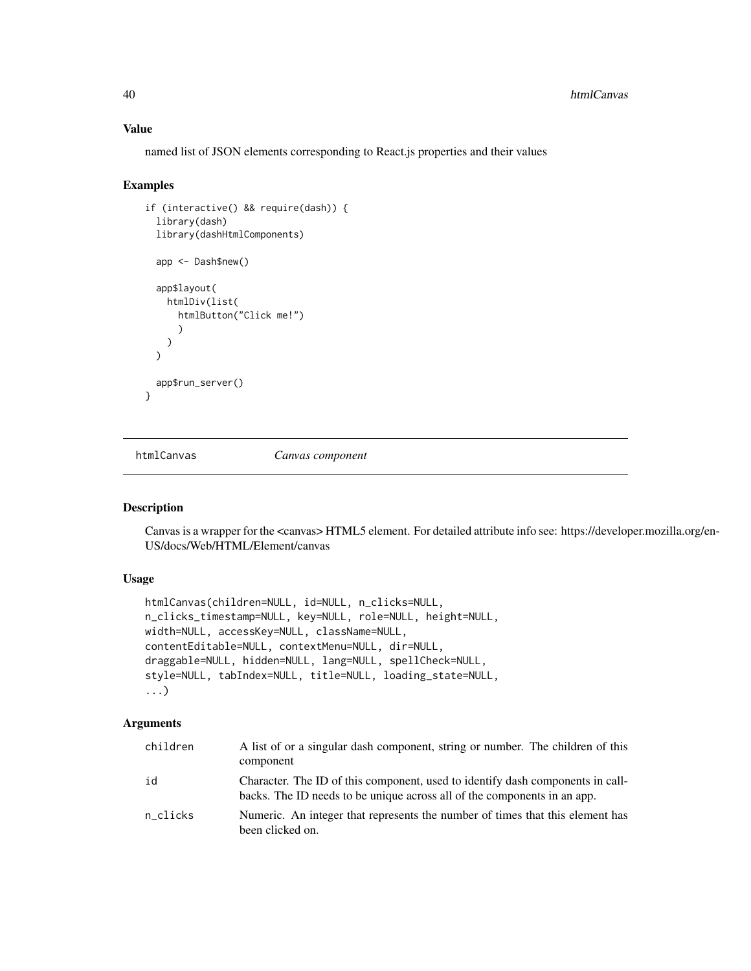named list of JSON elements corresponding to React.js properties and their values

#### Examples

```
if (interactive() && require(dash)) {
 library(dash)
 library(dashHtmlComponents)
 app <- Dash$new()
 app$layout(
   htmlDiv(list(
      htmlButton("Click me!")
      )
   )
 \lambdaapp$run_server()
}
```
htmlCanvas *Canvas component*

#### Description

Canvas is a wrapper for the <canvas> HTML5 element. For detailed attribute info see: https://developer.mozilla.org/en-US/docs/Web/HTML/Element/canvas

### Usage

```
htmlCanvas(children=NULL, id=NULL, n_clicks=NULL,
n_clicks_timestamp=NULL, key=NULL, role=NULL, height=NULL,
width=NULL, accessKey=NULL, className=NULL,
contentEditable=NULL, contextMenu=NULL, dir=NULL,
draggable=NULL, hidden=NULL, lang=NULL, spellCheck=NULL,
style=NULL, tabIndex=NULL, title=NULL, loading_state=NULL,
...)
```

| children | A list of or a singular dash component, string or number. The children of this<br>component                                                                |
|----------|------------------------------------------------------------------------------------------------------------------------------------------------------------|
| id       | Character. The ID of this component, used to identify dash components in call-<br>backs. The ID needs to be unique across all of the components in an app. |
| n clicks | Numeric. An integer that represents the number of times that this element has<br>been clicked on.                                                          |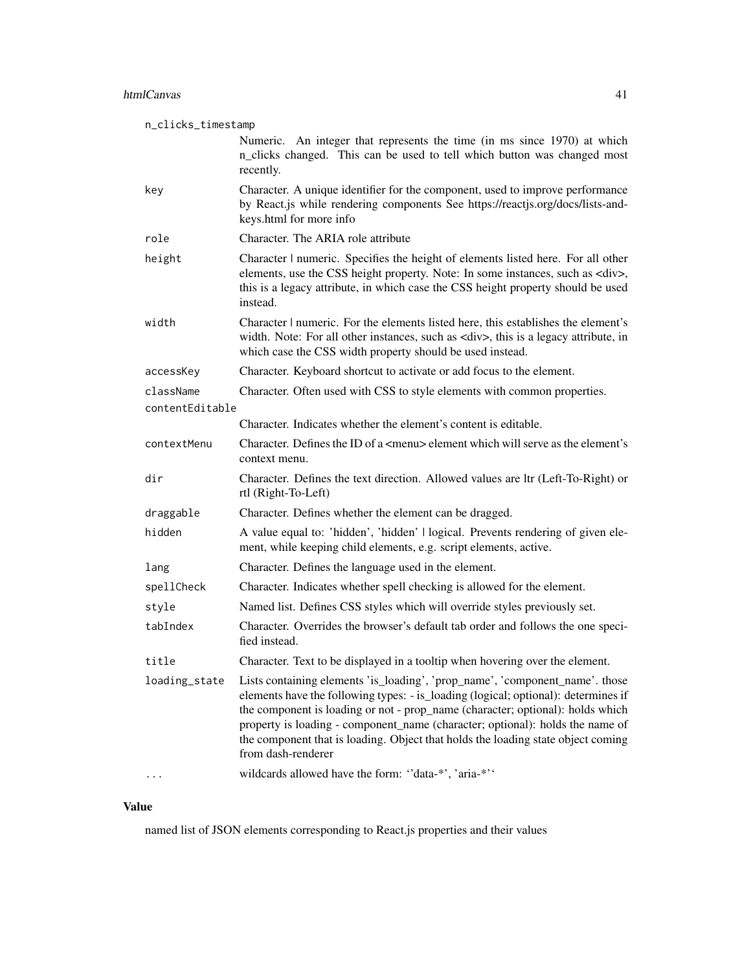| n_clicks_timestamp |                                                                                                                                                                                                                                                                                                                                                                                                                                                 |
|--------------------|-------------------------------------------------------------------------------------------------------------------------------------------------------------------------------------------------------------------------------------------------------------------------------------------------------------------------------------------------------------------------------------------------------------------------------------------------|
|                    | Numeric. An integer that represents the time (in ms since 1970) at which<br>n_clicks changed. This can be used to tell which button was changed most<br>recently.                                                                                                                                                                                                                                                                               |
| key                | Character. A unique identifier for the component, used to improve performance<br>by React.js while rendering components See https://reactjs.org/docs/lists-and-<br>keys.html for more info                                                                                                                                                                                                                                                      |
| role               | Character. The ARIA role attribute                                                                                                                                                                                                                                                                                                                                                                                                              |
| height             | Character   numeric. Specifies the height of elements listed here. For all other<br>elements, use the CSS height property. Note: In some instances, such as <div>,<br/>this is a legacy attribute, in which case the CSS height property should be used<br/>instead.</div>                                                                                                                                                                      |
| width              | Character   numeric. For the elements listed here, this establishes the element's<br>width. Note: For all other instances, such as <div>, this is a legacy attribute, in<br/>which case the CSS width property should be used instead.</div>                                                                                                                                                                                                    |
| accessKey          | Character. Keyboard shortcut to activate or add focus to the element.                                                                                                                                                                                                                                                                                                                                                                           |
| className          | Character. Often used with CSS to style elements with common properties.                                                                                                                                                                                                                                                                                                                                                                        |
| contentEditable    |                                                                                                                                                                                                                                                                                                                                                                                                                                                 |
|                    | Character. Indicates whether the element's content is editable.                                                                                                                                                                                                                                                                                                                                                                                 |
| contextMenu        | Character. Defines the ID of a <menu> element which will serve as the element's<br/>context menu.</menu>                                                                                                                                                                                                                                                                                                                                        |
| dir                | Character. Defines the text direction. Allowed values are ltr (Left-To-Right) or<br>rtl (Right-To-Left)                                                                                                                                                                                                                                                                                                                                         |
| draggable          | Character. Defines whether the element can be dragged.                                                                                                                                                                                                                                                                                                                                                                                          |
| hidden             | A value equal to: 'hidden', 'hidden'   logical. Prevents rendering of given ele-<br>ment, while keeping child elements, e.g. script elements, active.                                                                                                                                                                                                                                                                                           |
| lang               | Character. Defines the language used in the element.                                                                                                                                                                                                                                                                                                                                                                                            |
| spellCheck         | Character. Indicates whether spell checking is allowed for the element.                                                                                                                                                                                                                                                                                                                                                                         |
| style              | Named list. Defines CSS styles which will override styles previously set.                                                                                                                                                                                                                                                                                                                                                                       |
| tabIndex           | Character. Overrides the browser's default tab order and follows the one speci-<br>fied instead.                                                                                                                                                                                                                                                                                                                                                |
| title              | Character. Text to be displayed in a tooltip when hovering over the element.                                                                                                                                                                                                                                                                                                                                                                    |
| loading_state      | Lists containing elements 'is_loading', 'prop_name', 'component_name'. those<br>elements have the following types: - is_loading (logical; optional): determines if<br>the component is loading or not - prop_name (character; optional): holds which<br>property is loading - component_name (character; optional): holds the name of<br>the component that is loading. Object that holds the loading state object coming<br>from dash-renderer |
|                    | wildcards allowed have the form: "data-*', 'aria-*''                                                                                                                                                                                                                                                                                                                                                                                            |

named list of JSON elements corresponding to React.js properties and their values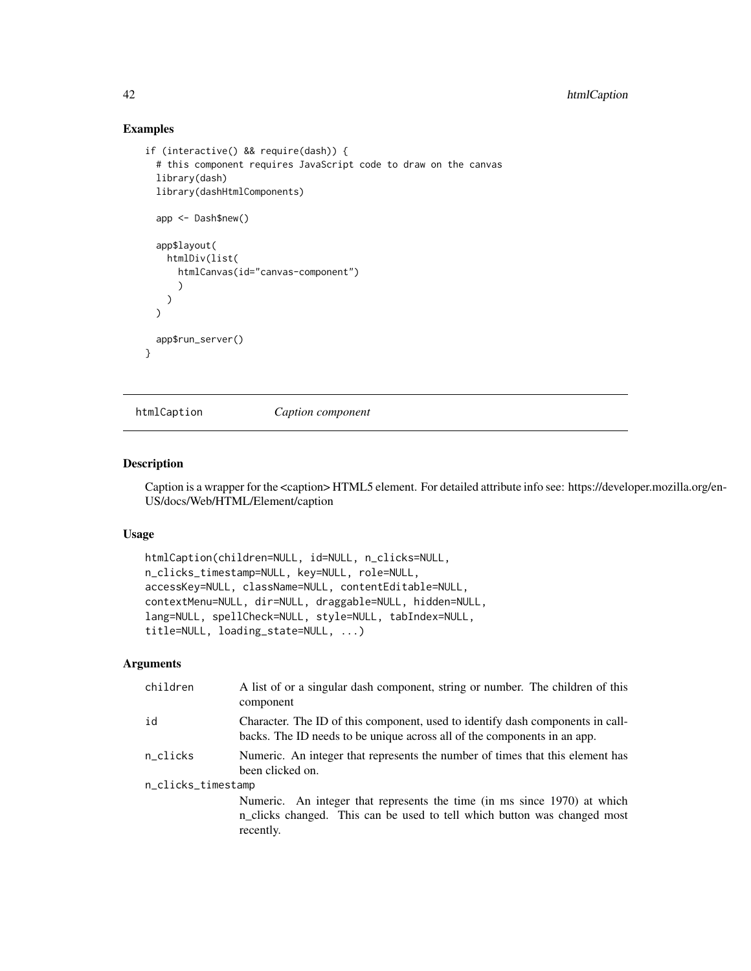## Examples

```
if (interactive() && require(dash)) {
 # this component requires JavaScript code to draw on the canvas
 library(dash)
 library(dashHtmlComponents)
 app <- Dash$new()
 app$layout(
   htmlDiv(list(
      htmlCanvas(id="canvas-component")
      \lambda)
 \mathcal{L}app$run_server()
}
```
htmlCaption *Caption component*

### Description

Caption is a wrapper for the <caption> HTML5 element. For detailed attribute info see: https://developer.mozilla.org/en-US/docs/Web/HTML/Element/caption

#### Usage

```
htmlCaption(children=NULL, id=NULL, n_clicks=NULL,
n_clicks_timestamp=NULL, key=NULL, role=NULL,
accessKey=NULL, className=NULL, contentEditable=NULL,
contextMenu=NULL, dir=NULL, draggable=NULL, hidden=NULL,
lang=NULL, spellCheck=NULL, style=NULL, tabIndex=NULL,
title=NULL, loading_state=NULL, ...)
```

| children           | A list of or a singular dash component, string or number. The children of this<br>component                                                                       |  |
|--------------------|-------------------------------------------------------------------------------------------------------------------------------------------------------------------|--|
| id                 | Character. The ID of this component, used to identify dash components in call-<br>backs. The ID needs to be unique across all of the components in an app.        |  |
| n clicks           | Numeric. An integer that represents the number of times that this element has<br>been clicked on.                                                                 |  |
| n_clicks_timestamp |                                                                                                                                                                   |  |
|                    | Numeric. An integer that represents the time (in ms since 1970) at which<br>n_clicks changed. This can be used to tell which button was changed most<br>recently. |  |
|                    |                                                                                                                                                                   |  |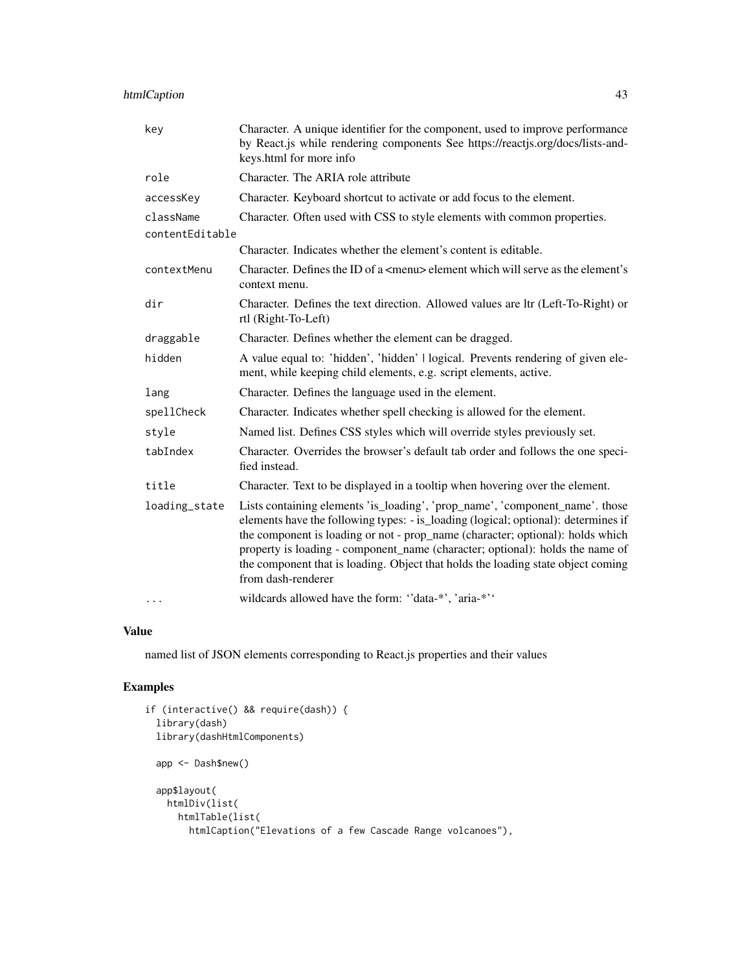| key             | Character. A unique identifier for the component, used to improve performance<br>by React.js while rendering components See https://reactjs.org/docs/lists-and-<br>keys.html for more info                                                                                                                                                                                                                                                      |
|-----------------|-------------------------------------------------------------------------------------------------------------------------------------------------------------------------------------------------------------------------------------------------------------------------------------------------------------------------------------------------------------------------------------------------------------------------------------------------|
| role            | Character. The ARIA role attribute                                                                                                                                                                                                                                                                                                                                                                                                              |
| accessKey       | Character. Keyboard shortcut to activate or add focus to the element.                                                                                                                                                                                                                                                                                                                                                                           |
| className       | Character. Often used with CSS to style elements with common properties.                                                                                                                                                                                                                                                                                                                                                                        |
| contentEditable |                                                                                                                                                                                                                                                                                                                                                                                                                                                 |
|                 | Character. Indicates whether the element's content is editable.                                                                                                                                                                                                                                                                                                                                                                                 |
| contextMenu     | Character. Defines the ID of a <menu> element which will serve as the element's<br/>context menu.</menu>                                                                                                                                                                                                                                                                                                                                        |
| dir             | Character. Defines the text direction. Allowed values are ltr (Left-To-Right) or<br>rtl (Right-To-Left)                                                                                                                                                                                                                                                                                                                                         |
| draggable       | Character. Defines whether the element can be dragged.                                                                                                                                                                                                                                                                                                                                                                                          |
| hidden          | A value equal to: 'hidden', 'hidden'   logical. Prevents rendering of given ele-<br>ment, while keeping child elements, e.g. script elements, active.                                                                                                                                                                                                                                                                                           |
| lang            | Character. Defines the language used in the element.                                                                                                                                                                                                                                                                                                                                                                                            |
| spellCheck      | Character. Indicates whether spell checking is allowed for the element.                                                                                                                                                                                                                                                                                                                                                                         |
| style           | Named list. Defines CSS styles which will override styles previously set.                                                                                                                                                                                                                                                                                                                                                                       |
| tabIndex        | Character. Overrides the browser's default tab order and follows the one speci-<br>fied instead.                                                                                                                                                                                                                                                                                                                                                |
| title           | Character. Text to be displayed in a tooltip when hovering over the element.                                                                                                                                                                                                                                                                                                                                                                    |
| loading_state   | Lists containing elements 'is_loading', 'prop_name', 'component_name'. those<br>elements have the following types: - is_loading (logical; optional): determines if<br>the component is loading or not - prop_name (character; optional): holds which<br>property is loading - component_name (character; optional): holds the name of<br>the component that is loading. Object that holds the loading state object coming<br>from dash-renderer |
| $\cdots$        | wildcards allowed have the form: "data-*', 'aria-*''                                                                                                                                                                                                                                                                                                                                                                                            |

named list of JSON elements corresponding to React.js properties and their values

```
if (interactive() && require(dash)) {
 library(dash)
 library(dashHtmlComponents)
 app <- Dash$new()
 app$layout(
   htmlDiv(list(
     htmlTable(list(
       htmlCaption("Elevations of a few Cascade Range volcanoes"),
```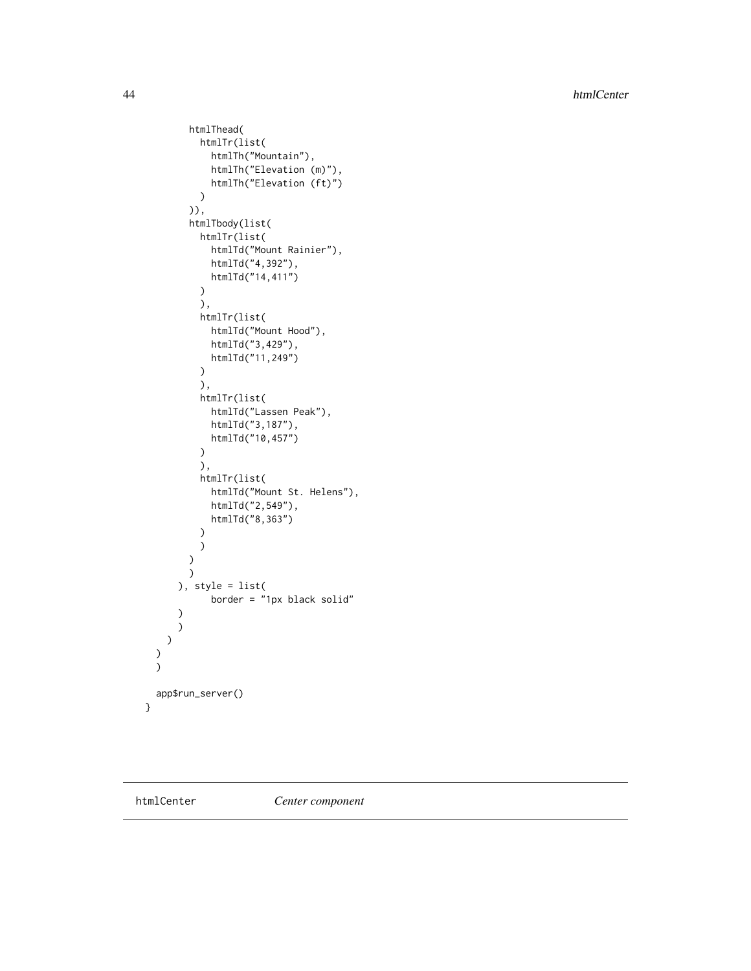44 htmlCenter and the set of the set of the set of the set of the set of the set of the set of the set of the set of the set of the set of the set of the set of the set of the set of the set of the set of the set of the se

```
htmlThead(
          htmlTr(list(
            htmlTh("Mountain"),
            htmlTh("Elevation (m)"),
            htmlTh("Elevation (ft)")
          )
        )),
        htmlTbody(list(
          htmlTr(list(
            htmlTd("Mount Rainier"),
            htmlTd("4,392"),
            htmlTd("14,411")
          )
          ),
          htmlTr(list(
            htmlTd("Mount Hood"),
            htmlTd("3,429"),
            htmlTd("11,249")
          )
          ),
          htmlTr(list(
            htmlTd("Lassen Peak"),
            htmlTd("3,187"),
            htmlTd("10,457")
          )
          ),
          htmlTr(list(
            htmlTd("Mount St. Helens"),
            htmlTd("2,549"),
            htmlTd("8,363")
          )
          )
        )
       )
      ), style = list(
            border = "1px black solid"
      \lambda)
   )
 )
 \mathcal{L}app$run_server()
}
```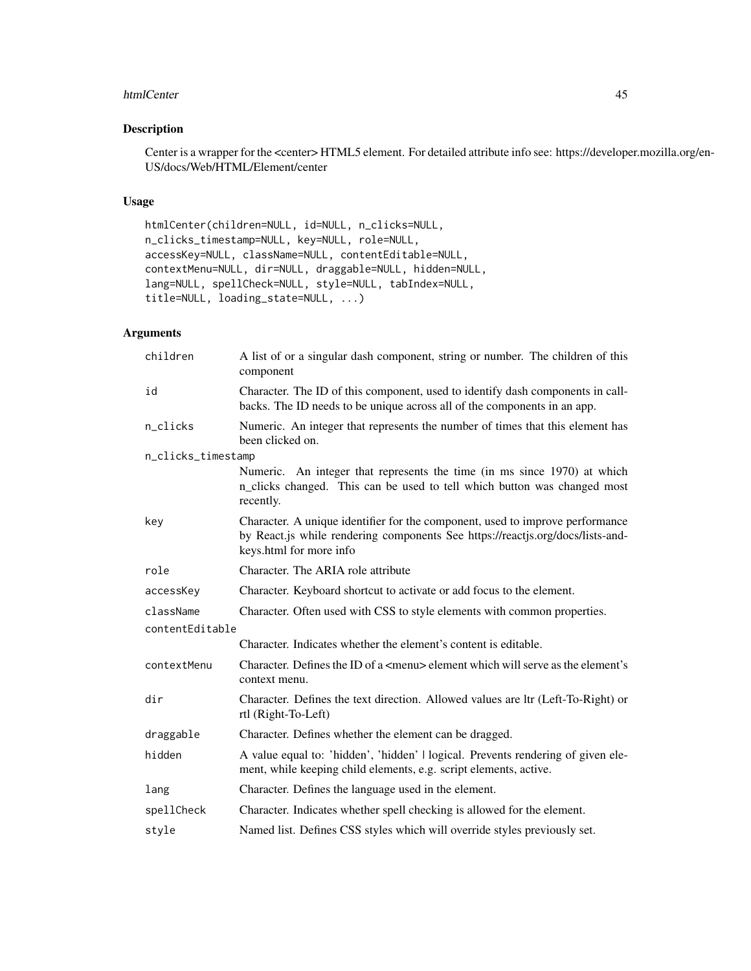#### htmlCenter 45

## Description

Center is a wrapper for the <center> HTML5 element. For detailed attribute info see: https://developer.mozilla.org/en-US/docs/Web/HTML/Element/center

## Usage

htmlCenter(children=NULL, id=NULL, n\_clicks=NULL, n\_clicks\_timestamp=NULL, key=NULL, role=NULL, accessKey=NULL, className=NULL, contentEditable=NULL, contextMenu=NULL, dir=NULL, draggable=NULL, hidden=NULL, lang=NULL, spellCheck=NULL, style=NULL, tabIndex=NULL, title=NULL, loading\_state=NULL, ...)

| children           | A list of or a singular dash component, string or number. The children of this<br>component                                                                                                |
|--------------------|--------------------------------------------------------------------------------------------------------------------------------------------------------------------------------------------|
| id                 | Character. The ID of this component, used to identify dash components in call-<br>backs. The ID needs to be unique across all of the components in an app.                                 |
| n_clicks           | Numeric. An integer that represents the number of times that this element has<br>been clicked on.                                                                                          |
| n_clicks_timestamp |                                                                                                                                                                                            |
|                    | Numeric. An integer that represents the time (in ms since 1970) at which<br>n_clicks changed. This can be used to tell which button was changed most<br>recently.                          |
| key                | Character. A unique identifier for the component, used to improve performance<br>by React.js while rendering components See https://reactjs.org/docs/lists-and-<br>keys.html for more info |
| role               | Character. The ARIA role attribute                                                                                                                                                         |
| accessKey          | Character. Keyboard shortcut to activate or add focus to the element.                                                                                                                      |
| className          | Character. Often used with CSS to style elements with common properties.                                                                                                                   |
| contentEditable    |                                                                                                                                                                                            |
|                    | Character. Indicates whether the element's content is editable.                                                                                                                            |
| contextMenu        | Character. Defines the ID of a <menu> element which will serve as the element's<br/>context menu.</menu>                                                                                   |
| dir                | Character. Defines the text direction. Allowed values are ltr (Left-To-Right) or<br>rtl (Right-To-Left)                                                                                    |
| draggable          | Character. Defines whether the element can be dragged.                                                                                                                                     |
| hidden             | A value equal to: 'hidden', 'hidden'   logical. Prevents rendering of given ele-<br>ment, while keeping child elements, e.g. script elements, active.                                      |
| lang               | Character. Defines the language used in the element.                                                                                                                                       |
| spellCheck         | Character. Indicates whether spell checking is allowed for the element.                                                                                                                    |
| style              | Named list. Defines CSS styles which will override styles previously set.                                                                                                                  |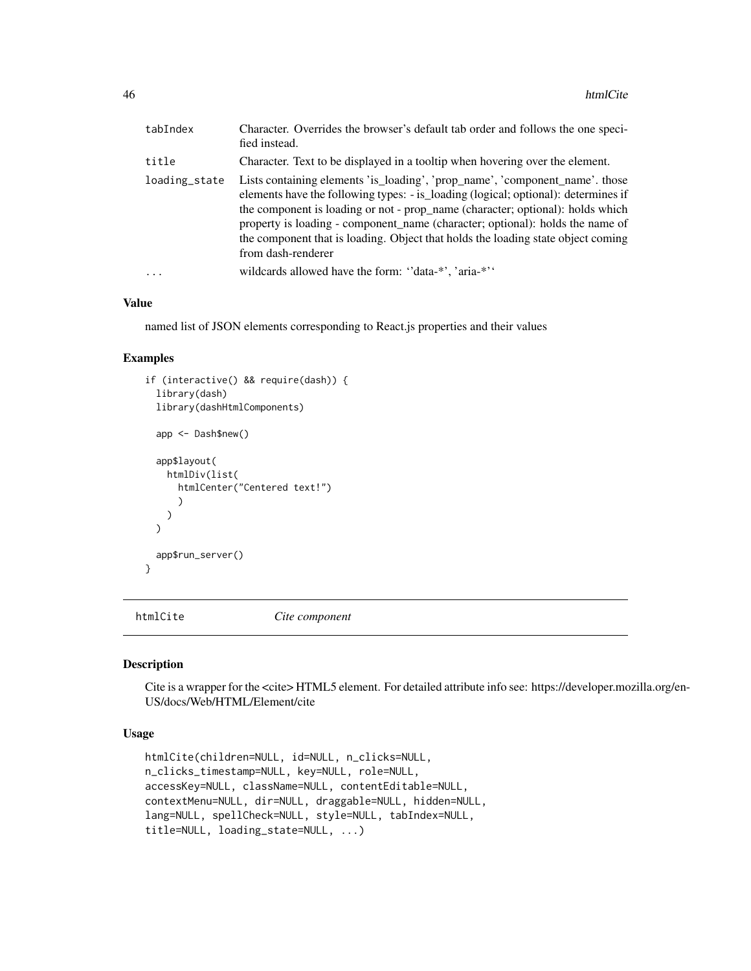| tabIndex      | Character. Overrides the browser's default tab order and follows the one speci-<br>fied instead.                                                                                                                                                                                                                                                                                                                                                |
|---------------|-------------------------------------------------------------------------------------------------------------------------------------------------------------------------------------------------------------------------------------------------------------------------------------------------------------------------------------------------------------------------------------------------------------------------------------------------|
| title         | Character. Text to be displayed in a tooltip when hovering over the element.                                                                                                                                                                                                                                                                                                                                                                    |
| loading_state | Lists containing elements 'is_loading', 'prop_name', 'component_name'. those<br>elements have the following types: - is_loading (logical; optional): determines if<br>the component is loading or not - prop_name (character; optional): holds which<br>property is loading - component_name (character; optional): holds the name of<br>the component that is loading. Object that holds the loading state object coming<br>from dash-renderer |
| .             | wildcards allowed have the form: "data-*', 'aria-*''                                                                                                                                                                                                                                                                                                                                                                                            |

named list of JSON elements corresponding to React.js properties and their values

## Examples

```
if (interactive() && require(dash)) {
 library(dash)
 library(dashHtmlComponents)
 app <- Dash$new()
 app$layout(
   htmlDiv(list(
      htmlCenter("Centered text!")
      )
   \lambda\lambdaapp$run_server()
}
```
htmlCite *Cite component*

#### Description

Cite is a wrapper for the <cite> HTML5 element. For detailed attribute info see: https://developer.mozilla.org/en-US/docs/Web/HTML/Element/cite

#### Usage

```
htmlCite(children=NULL, id=NULL, n_clicks=NULL,
n_clicks_timestamp=NULL, key=NULL, role=NULL,
accessKey=NULL, className=NULL, contentEditable=NULL,
contextMenu=NULL, dir=NULL, draggable=NULL, hidden=NULL,
lang=NULL, spellCheck=NULL, style=NULL, tabIndex=NULL,
title=NULL, loading_state=NULL, ...)
```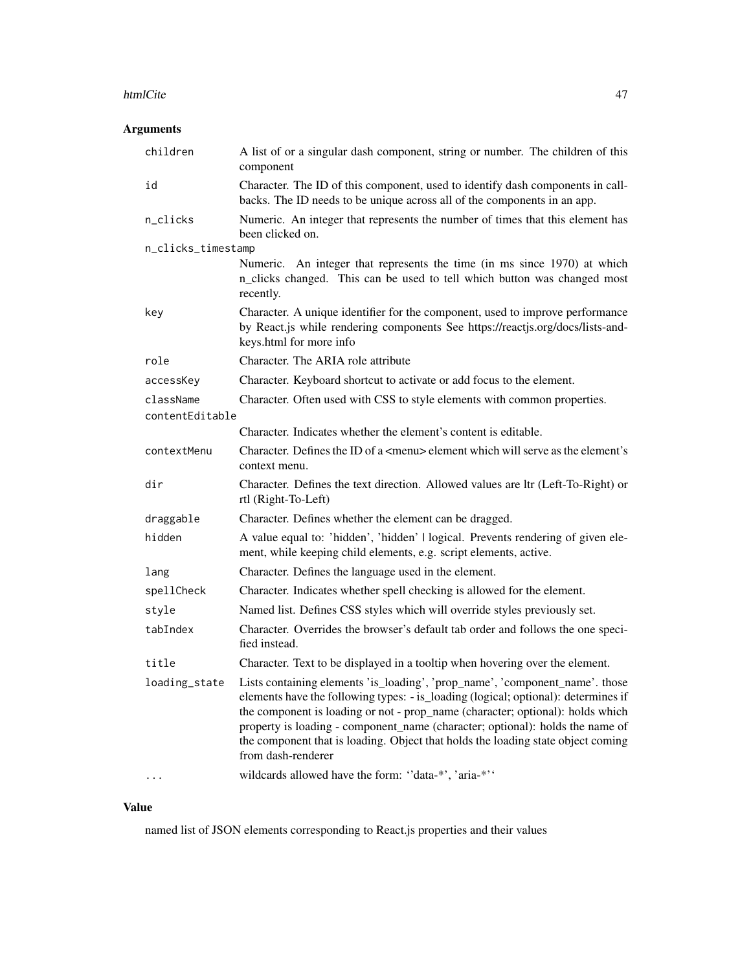#### htmlCite and the state of the state of the state and the state of the state of the state and the state of the state of the state of the state of the state of the state of the state of the state of the state of the state of

# Arguments

| children           | A list of or a singular dash component, string or number. The children of this<br>component                                                                                                                                                                                                                                                                                                                                                     |
|--------------------|-------------------------------------------------------------------------------------------------------------------------------------------------------------------------------------------------------------------------------------------------------------------------------------------------------------------------------------------------------------------------------------------------------------------------------------------------|
| id                 | Character. The ID of this component, used to identify dash components in call-<br>backs. The ID needs to be unique across all of the components in an app.                                                                                                                                                                                                                                                                                      |
| n_clicks           | Numeric. An integer that represents the number of times that this element has<br>been clicked on.                                                                                                                                                                                                                                                                                                                                               |
| n_clicks_timestamp |                                                                                                                                                                                                                                                                                                                                                                                                                                                 |
|                    | Numeric. An integer that represents the time (in ms since 1970) at which<br>n_clicks changed. This can be used to tell which button was changed most<br>recently.                                                                                                                                                                                                                                                                               |
| key                | Character. A unique identifier for the component, used to improve performance<br>by React.js while rendering components See https://reactjs.org/docs/lists-and-<br>keys.html for more info                                                                                                                                                                                                                                                      |
| role               | Character. The ARIA role attribute                                                                                                                                                                                                                                                                                                                                                                                                              |
| accessKey          | Character. Keyboard shortcut to activate or add focus to the element.                                                                                                                                                                                                                                                                                                                                                                           |
| className          | Character. Often used with CSS to style elements with common properties.                                                                                                                                                                                                                                                                                                                                                                        |
| contentEditable    |                                                                                                                                                                                                                                                                                                                                                                                                                                                 |
|                    | Character. Indicates whether the element's content is editable.                                                                                                                                                                                                                                                                                                                                                                                 |
| contextMenu        | Character. Defines the ID of a <menu> element which will serve as the element's<br/>context menu.</menu>                                                                                                                                                                                                                                                                                                                                        |
| dir                | Character. Defines the text direction. Allowed values are ltr (Left-To-Right) or<br>rtl (Right-To-Left)                                                                                                                                                                                                                                                                                                                                         |
| draggable          | Character. Defines whether the element can be dragged.                                                                                                                                                                                                                                                                                                                                                                                          |
| hidden             | A value equal to: 'hidden', 'hidden'   logical. Prevents rendering of given ele-<br>ment, while keeping child elements, e.g. script elements, active.                                                                                                                                                                                                                                                                                           |
| lang               | Character. Defines the language used in the element.                                                                                                                                                                                                                                                                                                                                                                                            |
| spellCheck         | Character. Indicates whether spell checking is allowed for the element.                                                                                                                                                                                                                                                                                                                                                                         |
| style              | Named list. Defines CSS styles which will override styles previously set.                                                                                                                                                                                                                                                                                                                                                                       |
| tabIndex           | Character. Overrides the browser's default tab order and follows the one speci-<br>fied instead.                                                                                                                                                                                                                                                                                                                                                |
| title              | Character. Text to be displayed in a tooltip when hovering over the element.                                                                                                                                                                                                                                                                                                                                                                    |
| loading_state      | Lists containing elements 'is_loading', 'prop_name', 'component_name'. those<br>elements have the following types: - is_loading (logical; optional): determines if<br>the component is loading or not - prop_name (character; optional): holds which<br>property is loading - component_name (character; optional): holds the name of<br>the component that is loading. Object that holds the loading state object coming<br>from dash-renderer |
|                    | wildcards allowed have the form: "data-*', 'aria-*''                                                                                                                                                                                                                                                                                                                                                                                            |

## Value

named list of JSON elements corresponding to React.js properties and their values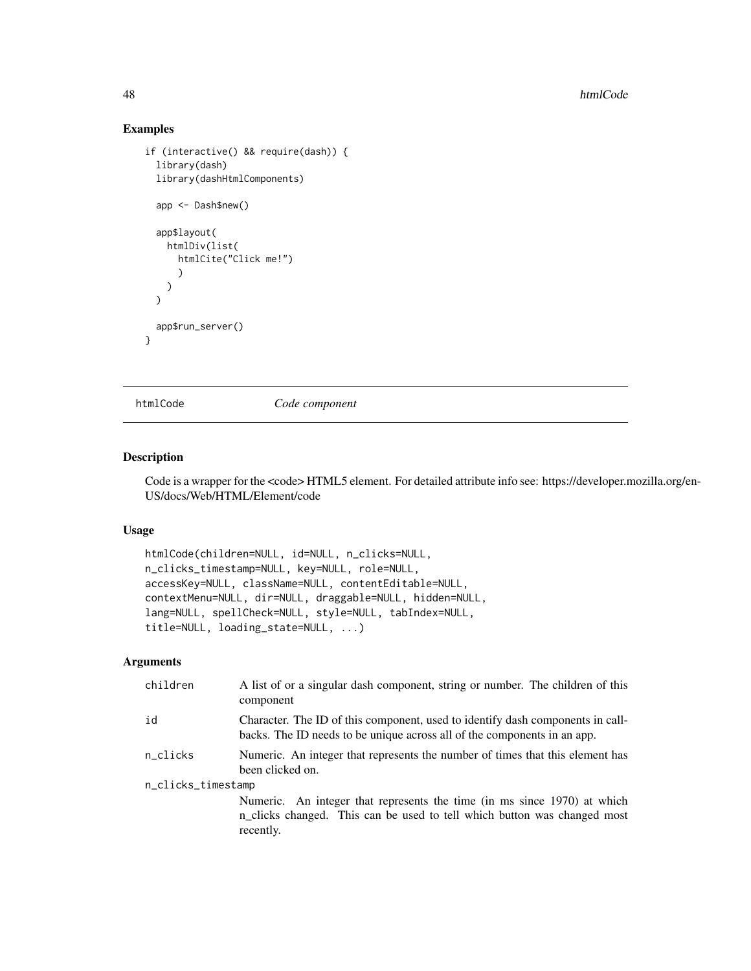## Examples

```
if (interactive() && require(dash)) {
 library(dash)
 library(dashHtmlComponents)
 app <- Dash$new()
 app$layout(
   htmlDiv(list(
     htmlCite("Click me!")
      \lambda)
 \lambdaapp$run_server()
}
```
htmlCode *Code component*

## Description

Code is a wrapper for the <code>HTML5 element. For detailed attribute info see: https://developer.mozilla.org/en-US/docs/Web/HTML/Element/code

## Usage

```
htmlCode(children=NULL, id=NULL, n_clicks=NULL,
n_clicks_timestamp=NULL, key=NULL, role=NULL,
accessKey=NULL, className=NULL, contentEditable=NULL,
contextMenu=NULL, dir=NULL, draggable=NULL, hidden=NULL,
lang=NULL, spellCheck=NULL, style=NULL, tabIndex=NULL,
title=NULL, loading_state=NULL, ...)
```

| children           | A list of or a singular dash component, string or number. The children of this<br>component                                                                       |  |
|--------------------|-------------------------------------------------------------------------------------------------------------------------------------------------------------------|--|
| id                 | Character. The ID of this component, used to identify dash components in call-<br>backs. The ID needs to be unique across all of the components in an app.        |  |
| n_clicks           | Numeric. An integer that represents the number of times that this element has<br>been clicked on.                                                                 |  |
| n_clicks_timestamp |                                                                                                                                                                   |  |
|                    | Numeric. An integer that represents the time (in ms since 1970) at which<br>n_clicks changed. This can be used to tell which button was changed most<br>recently. |  |
|                    |                                                                                                                                                                   |  |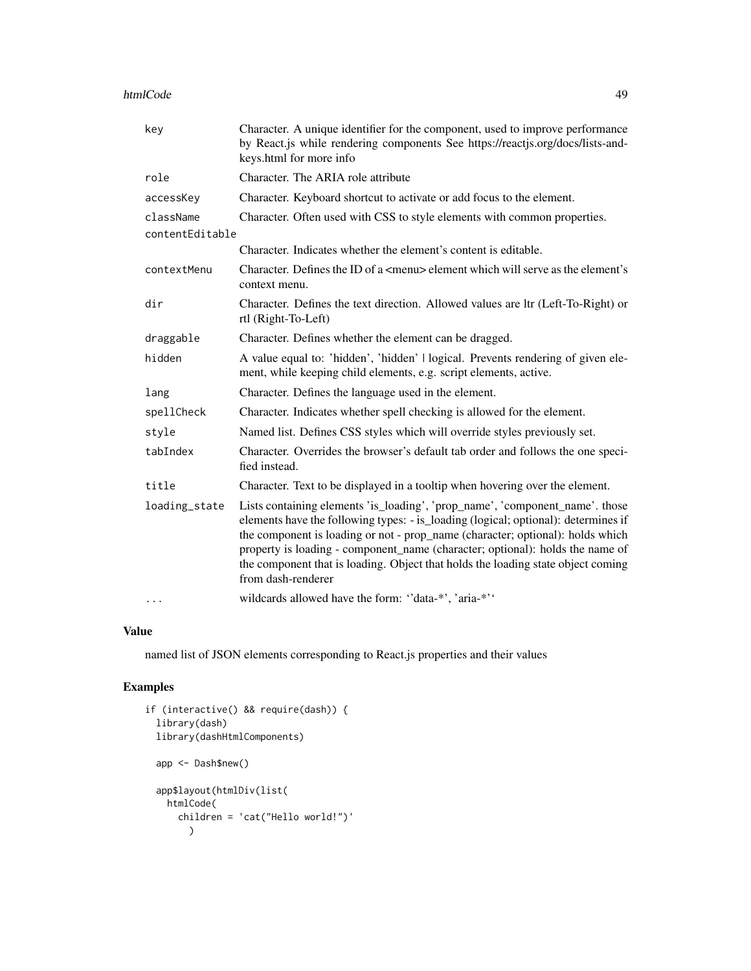#### htmlCode and the set of the set of the set of the set of the set of the set of the set of the set of the set of the set of the set of the set of the set of the set of the set of the set of the set of the set of the set of

| key             | Character. A unique identifier for the component, used to improve performance<br>by React.js while rendering components See https://reactjs.org/docs/lists-and-<br>keys.html for more info                                                                                                                                                                                                                                                      |
|-----------------|-------------------------------------------------------------------------------------------------------------------------------------------------------------------------------------------------------------------------------------------------------------------------------------------------------------------------------------------------------------------------------------------------------------------------------------------------|
| role            | Character. The ARIA role attribute                                                                                                                                                                                                                                                                                                                                                                                                              |
| accessKey       | Character. Keyboard shortcut to activate or add focus to the element.                                                                                                                                                                                                                                                                                                                                                                           |
| className       | Character. Often used with CSS to style elements with common properties.                                                                                                                                                                                                                                                                                                                                                                        |
| contentEditable |                                                                                                                                                                                                                                                                                                                                                                                                                                                 |
|                 | Character. Indicates whether the element's content is editable.                                                                                                                                                                                                                                                                                                                                                                                 |
| contextMenu     | Character. Defines the ID of a <menu> element which will serve as the element's<br/>context menu.</menu>                                                                                                                                                                                                                                                                                                                                        |
| dir             | Character. Defines the text direction. Allowed values are ltr (Left-To-Right) or<br>rtl (Right-To-Left)                                                                                                                                                                                                                                                                                                                                         |
| draggable       | Character. Defines whether the element can be dragged.                                                                                                                                                                                                                                                                                                                                                                                          |
| hidden          | A value equal to: 'hidden', 'hidden'   logical. Prevents rendering of given ele-<br>ment, while keeping child elements, e.g. script elements, active.                                                                                                                                                                                                                                                                                           |
| lang            | Character. Defines the language used in the element.                                                                                                                                                                                                                                                                                                                                                                                            |
| spellCheck      | Character. Indicates whether spell checking is allowed for the element.                                                                                                                                                                                                                                                                                                                                                                         |
| style           | Named list. Defines CSS styles which will override styles previously set.                                                                                                                                                                                                                                                                                                                                                                       |
| tabIndex        | Character. Overrides the browser's default tab order and follows the one speci-<br>fied instead.                                                                                                                                                                                                                                                                                                                                                |
| title           | Character. Text to be displayed in a tooltip when hovering over the element.                                                                                                                                                                                                                                                                                                                                                                    |
| loading_state   | Lists containing elements 'is_loading', 'prop_name', 'component_name'. those<br>elements have the following types: - is_loading (logical; optional): determines if<br>the component is loading or not - prop_name (character; optional): holds which<br>property is loading - component_name (character; optional): holds the name of<br>the component that is loading. Object that holds the loading state object coming<br>from dash-renderer |
| $\ddotsc$       | wildcards allowed have the form: "data-*', 'aria-*''                                                                                                                                                                                                                                                                                                                                                                                            |

#### Value

named list of JSON elements corresponding to React.js properties and their values

```
if (interactive() && require(dash)) {
  library(dash)
  library(dashHtmlComponents)
  app <- Dash$new()
  app$layout(htmlDiv(list(
   htmlCode(
     children = 'cat("Hello world!")'
        \lambda
```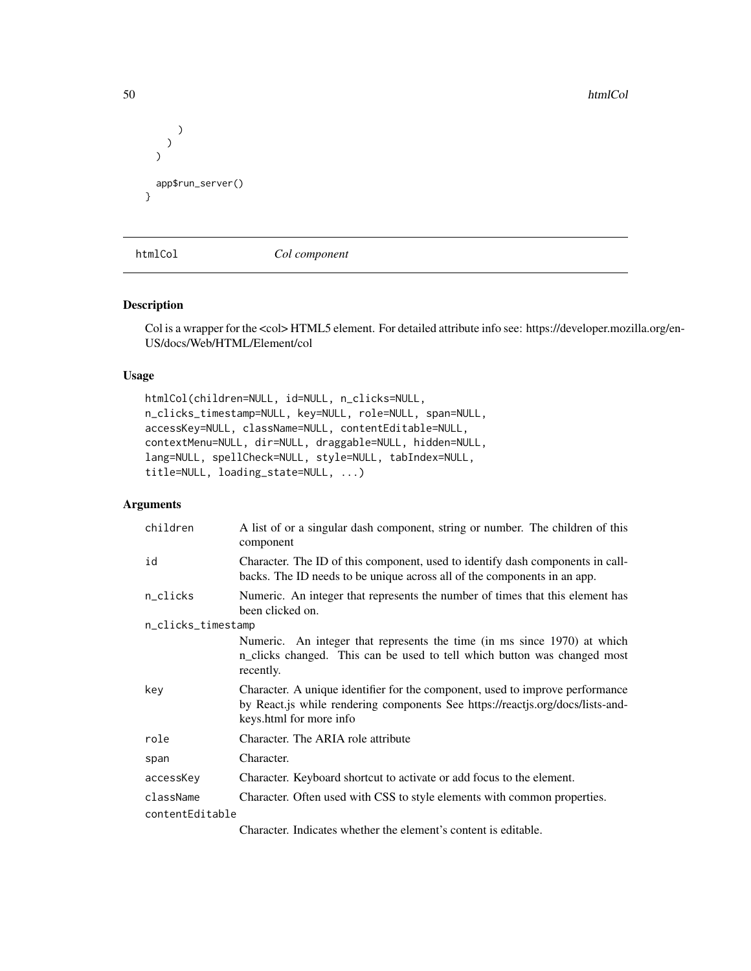```
)
    )
  )
  app$run_server()
}
```
htmlCol *Col component*

#### Description

Col is a wrapper for the <col> HTML5 element. For detailed attribute info see: https://developer.mozilla.org/en-US/docs/Web/HTML/Element/col

## Usage

```
htmlCol(children=NULL, id=NULL, n_clicks=NULL,
n_clicks_timestamp=NULL, key=NULL, role=NULL, span=NULL,
accessKey=NULL, className=NULL, contentEditable=NULL,
contextMenu=NULL, dir=NULL, draggable=NULL, hidden=NULL,
lang=NULL, spellCheck=NULL, style=NULL, tabIndex=NULL,
title=NULL, loading_state=NULL, ...)
```
## Arguments

| children           | A list of or a singular dash component, string or number. The children of this<br>component                                                                                                |
|--------------------|--------------------------------------------------------------------------------------------------------------------------------------------------------------------------------------------|
| id                 | Character. The ID of this component, used to identify dash components in call-<br>backs. The ID needs to be unique across all of the components in an app.                                 |
| n_clicks           | Numeric. An integer that represents the number of times that this element has<br>been clicked on.                                                                                          |
| n_clicks_timestamp |                                                                                                                                                                                            |
|                    | Numeric. An integer that represents the time (in ms since 1970) at which<br>n_clicks changed. This can be used to tell which button was changed most<br>recently.                          |
| key                | Character. A unique identifier for the component, used to improve performance<br>by React.js while rendering components See https://reactjs.org/docs/lists-and-<br>keys.html for more info |
| role               | Character. The ARIA role attribute                                                                                                                                                         |
| span               | Character.                                                                                                                                                                                 |
| accessKey          | Character. Keyboard shortcut to activate or add focus to the element.                                                                                                                      |
| className          | Character. Often used with CSS to style elements with common properties.                                                                                                                   |
| contentEditable    |                                                                                                                                                                                            |
|                    | Character. Indicates whether the element's content is editable.                                                                                                                            |

50 htmlCol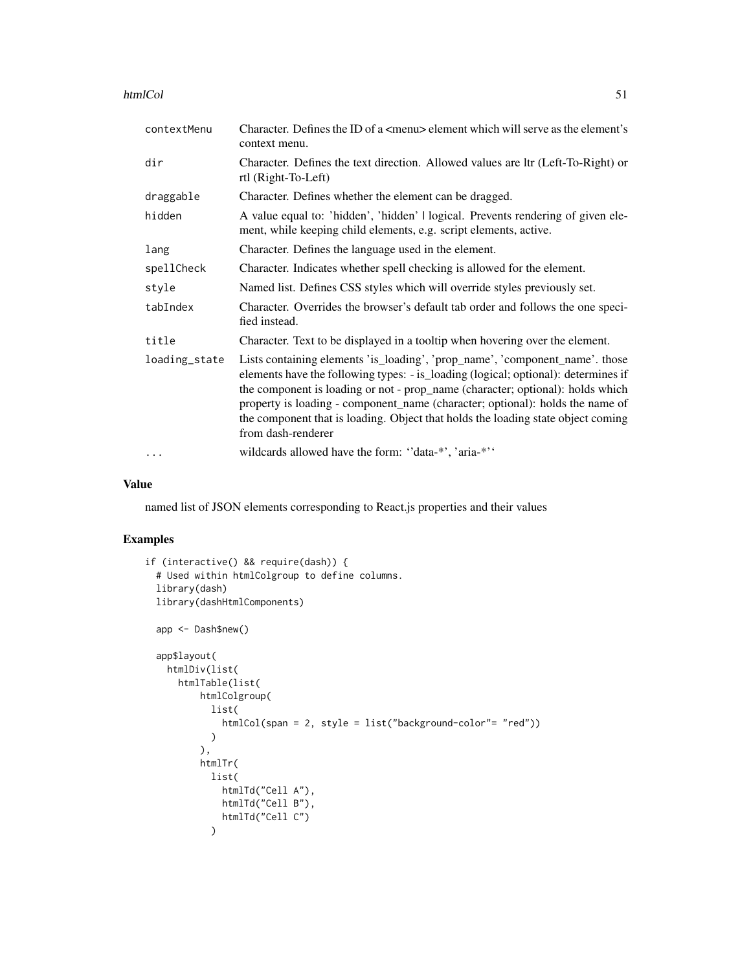| htmlCol |  |  |
|---------|--|--|
|         |  |  |

| contextMenu   | Character. Defines the ID of a $\leq$ menu> element which will serve as the element's<br>context menu.                                                                                                                                                                                                                                                                                                                                          |
|---------------|-------------------------------------------------------------------------------------------------------------------------------------------------------------------------------------------------------------------------------------------------------------------------------------------------------------------------------------------------------------------------------------------------------------------------------------------------|
| dir           | Character. Defines the text direction. Allowed values are ltr (Left-To-Right) or<br>rtl (Right-To-Left)                                                                                                                                                                                                                                                                                                                                         |
| draggable     | Character. Defines whether the element can be dragged.                                                                                                                                                                                                                                                                                                                                                                                          |
| hidden        | A value equal to: 'hidden', 'hidden'   logical. Prevents rendering of given ele-<br>ment, while keeping child elements, e.g. script elements, active.                                                                                                                                                                                                                                                                                           |
| lang          | Character. Defines the language used in the element.                                                                                                                                                                                                                                                                                                                                                                                            |
| spellCheck    | Character. Indicates whether spell checking is allowed for the element.                                                                                                                                                                                                                                                                                                                                                                         |
| style         | Named list. Defines CSS styles which will override styles previously set.                                                                                                                                                                                                                                                                                                                                                                       |
| tabIndex      | Character. Overrides the browser's default tab order and follows the one speci-<br>fied instead.                                                                                                                                                                                                                                                                                                                                                |
| title         | Character. Text to be displayed in a tooltip when hovering over the element.                                                                                                                                                                                                                                                                                                                                                                    |
| loading_state | Lists containing elements 'is_loading', 'prop_name', 'component_name'. those<br>elements have the following types: - is_loading (logical; optional): determines if<br>the component is loading or not - prop_name (character; optional): holds which<br>property is loading - component_name (character; optional): holds the name of<br>the component that is loading. Object that holds the loading state object coming<br>from dash-renderer |
| $\cdots$      | wildcards allowed have the form: "data-*', 'aria-*''                                                                                                                                                                                                                                                                                                                                                                                            |

named list of JSON elements corresponding to React.js properties and their values

```
if (interactive() && require(dash)) {
  # Used within htmlColgroup to define columns.
  library(dash)
  library(dashHtmlComponents)
  app <- Dash$new()
  app$layout(
    htmlDiv(list(
      htmlTable(list(
          htmlColgroup(
            list(
              htmlCol(span = 2, style = list("background-color"= "red"))
            \lambda),
          htmlTr(
            list(
              htmlTd("Cell A"),
              htmlTd("Cell B"),
              htmlTd("Cell C")
            \mathcal{L}
```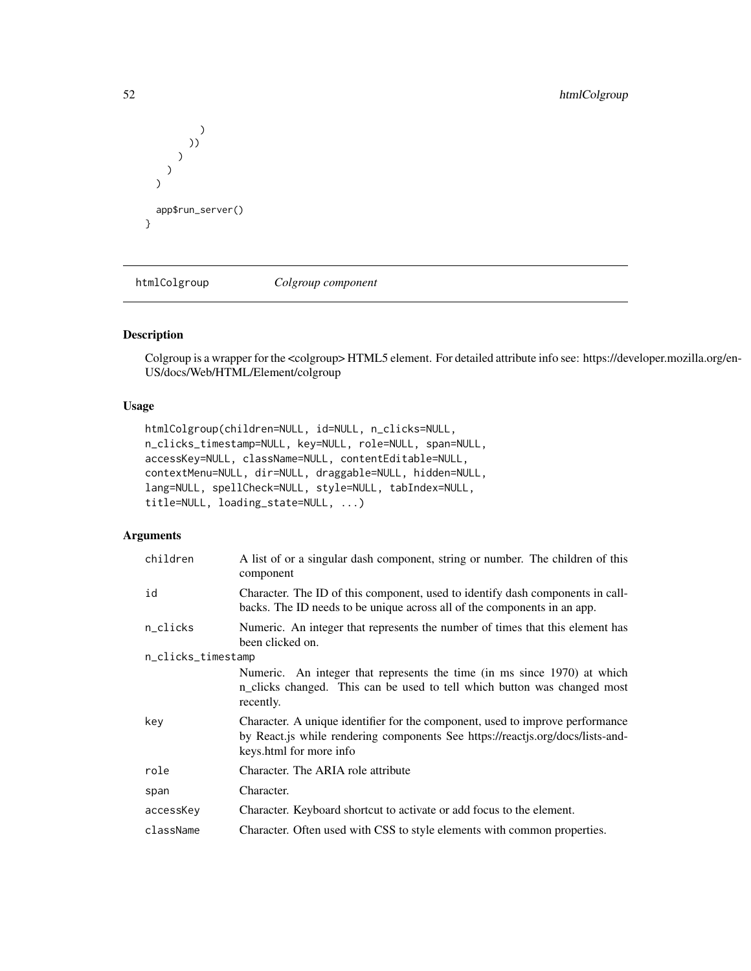```
)
              ))
          )
    )
   \overline{\phantom{a}}app$run_server()
}
```
htmlColgroup *Colgroup component*

## Description

Colgroup is a wrapper for the <colgroup> HTML5 element. For detailed attribute info see: https://developer.mozilla.org/en-US/docs/Web/HTML/Element/colgroup

## Usage

```
htmlColgroup(children=NULL, id=NULL, n_clicks=NULL,
n_clicks_timestamp=NULL, key=NULL, role=NULL, span=NULL,
accessKey=NULL, className=NULL, contentEditable=NULL,
contextMenu=NULL, dir=NULL, draggable=NULL, hidden=NULL,
lang=NULL, spellCheck=NULL, style=NULL, tabIndex=NULL,
title=NULL, loading_state=NULL, ...)
```

| children           | A list of or a singular dash component, string or number. The children of this<br>component                                                                                                 |
|--------------------|---------------------------------------------------------------------------------------------------------------------------------------------------------------------------------------------|
| id                 | Character. The ID of this component, used to identify dash components in call-<br>backs. The ID needs to be unique across all of the components in an app.                                  |
| n_clicks           | Numeric. An integer that represents the number of times that this element has<br>been clicked on.                                                                                           |
| n_clicks_timestamp |                                                                                                                                                                                             |
|                    | Numeric. An integer that represents the time (in ms since 1970) at which<br>n_clicks changed. This can be used to tell which button was changed most<br>recently.                           |
| key                | Character. A unique identifier for the component, used to improve performance<br>by React. is while rendering components See https://reactis.org/docs/lists-and-<br>keys.html for more info |
| role               | Character. The ARIA role attribute                                                                                                                                                          |
| span               | Character.                                                                                                                                                                                  |
| accessKey          | Character. Keyboard shortcut to activate or add focus to the element.                                                                                                                       |
| className          | Character. Often used with CSS to style elements with common properties.                                                                                                                    |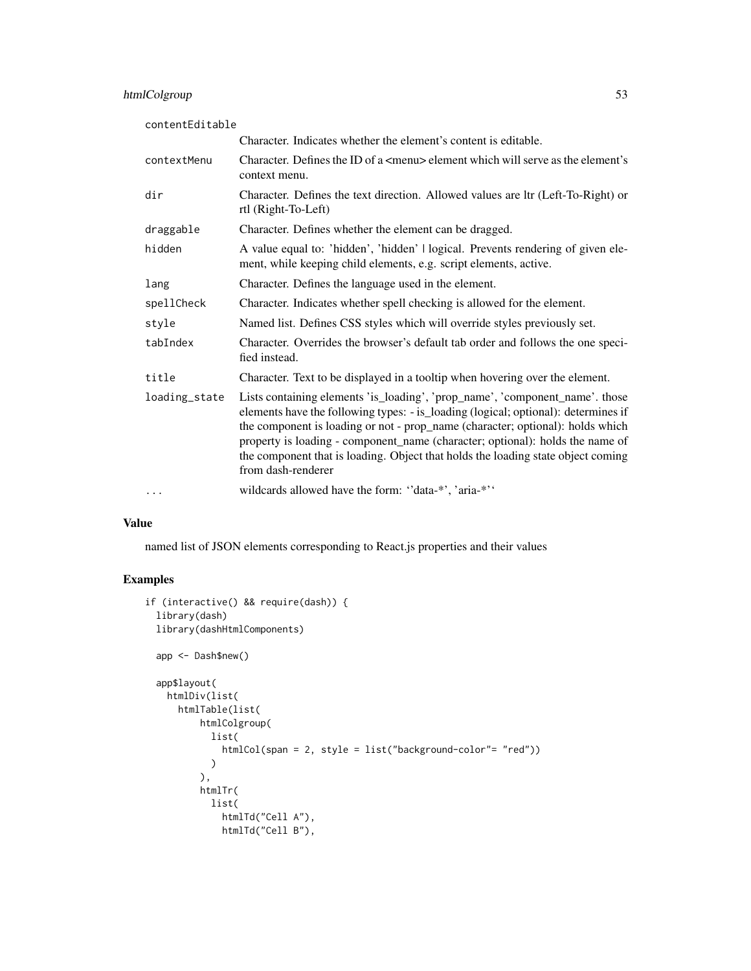| contentEditable |                                                                                                                                                                                                                                                                                                                                                                                                                                                 |
|-----------------|-------------------------------------------------------------------------------------------------------------------------------------------------------------------------------------------------------------------------------------------------------------------------------------------------------------------------------------------------------------------------------------------------------------------------------------------------|
|                 | Character. Indicates whether the element's content is editable.                                                                                                                                                                                                                                                                                                                                                                                 |
| contextMenu     | Character. Defines the ID of a $\leq$ menu $\geq$ element which will serve as the element's<br>context menu.                                                                                                                                                                                                                                                                                                                                    |
| dir             | Character. Defines the text direction. Allowed values are ltr (Left-To-Right) or<br>rtl (Right-To-Left)                                                                                                                                                                                                                                                                                                                                         |
| draggable       | Character. Defines whether the element can be dragged.                                                                                                                                                                                                                                                                                                                                                                                          |
| hidden          | A value equal to: 'hidden', 'hidden'   logical. Prevents rendering of given ele-<br>ment, while keeping child elements, e.g. script elements, active.                                                                                                                                                                                                                                                                                           |
| lang            | Character. Defines the language used in the element.                                                                                                                                                                                                                                                                                                                                                                                            |
| spellCheck      | Character. Indicates whether spell checking is allowed for the element.                                                                                                                                                                                                                                                                                                                                                                         |
| style           | Named list. Defines CSS styles which will override styles previously set.                                                                                                                                                                                                                                                                                                                                                                       |
| tabIndex        | Character. Overrides the browser's default tab order and follows the one speci-<br>fied instead.                                                                                                                                                                                                                                                                                                                                                |
| title           | Character. Text to be displayed in a tooltip when hovering over the element.                                                                                                                                                                                                                                                                                                                                                                    |
| loading_state   | Lists containing elements 'is_loading', 'prop_name', 'component_name'. those<br>elements have the following types: - is_loading (logical; optional): determines if<br>the component is loading or not - prop_name (character; optional): holds which<br>property is loading - component_name (character; optional): holds the name of<br>the component that is loading. Object that holds the loading state object coming<br>from dash-renderer |
| $\cdots$        | wildcards allowed have the form: "data-*', 'aria-*''                                                                                                                                                                                                                                                                                                                                                                                            |

named list of JSON elements corresponding to React.js properties and their values

```
if (interactive() && require(dash)) {
  library(dash)
  library(dashHtmlComponents)
  app <- Dash$new()
  app$layout(
   htmlDiv(list(
      htmlTable(list(
         htmlColgroup(
            list(
              htmlCol(span = 2, style = list("background-color"= "red"))
            \lambda),
          htmlTr(
            list(
              htmlTd("Cell A"),
              htmlTd("Cell B"),
```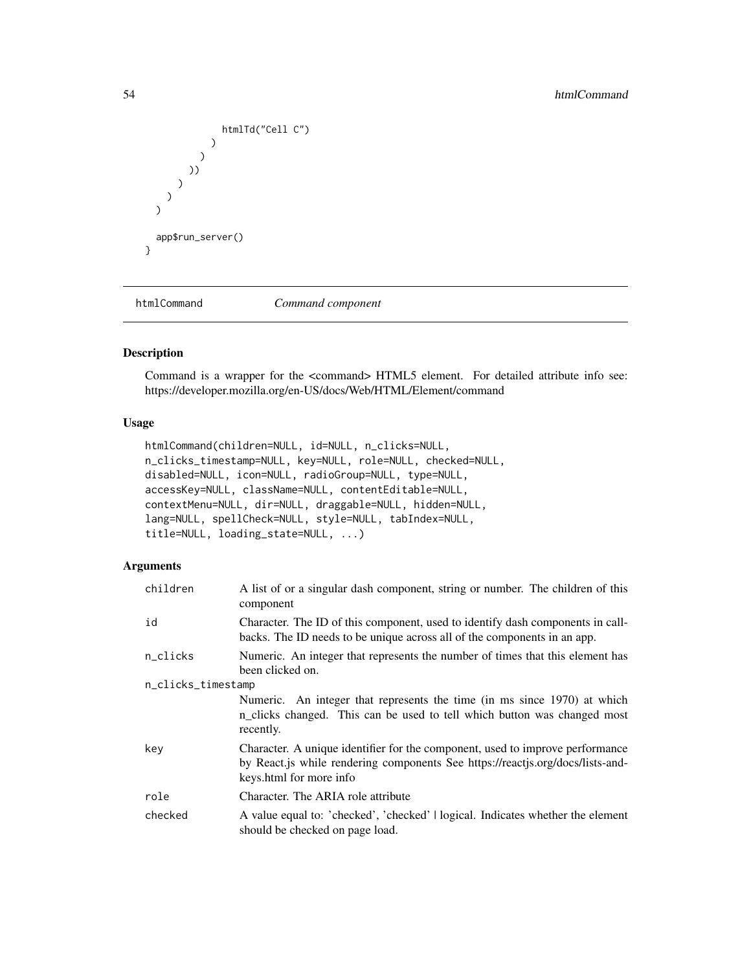```
htmlTd("Cell C")
                  )
                )
             ))
          )
      )
  \overline{\phantom{a}}app$run_server()
}
```
htmlCommand *Command component*

## Description

Command is a wrapper for the <command> HTML5 element. For detailed attribute info see: https://developer.mozilla.org/en-US/docs/Web/HTML/Element/command

#### Usage

```
htmlCommand(children=NULL, id=NULL, n_clicks=NULL,
n_clicks_timestamp=NULL, key=NULL, role=NULL, checked=NULL,
disabled=NULL, icon=NULL, radioGroup=NULL, type=NULL,
accessKey=NULL, className=NULL, contentEditable=NULL,
contextMenu=NULL, dir=NULL, draggable=NULL, hidden=NULL,
lang=NULL, spellCheck=NULL, style=NULL, tabIndex=NULL,
title=NULL, loading_state=NULL, ...)
```

| children           | A list of or a singular dash component, string or number. The children of this<br>component                                                                                                |
|--------------------|--------------------------------------------------------------------------------------------------------------------------------------------------------------------------------------------|
| id                 | Character. The ID of this component, used to identify dash components in call-<br>backs. The ID needs to be unique across all of the components in an app.                                 |
| n_clicks           | Numeric. An integer that represents the number of times that this element has<br>been clicked on.                                                                                          |
| n_clicks_timestamp |                                                                                                                                                                                            |
|                    | Numeric. An integer that represents the time (in ms since 1970) at which<br>n_clicks changed. This can be used to tell which button was changed most<br>recently.                          |
| key                | Character. A unique identifier for the component, used to improve performance<br>by React.js while rendering components See https://reactjs.org/docs/lists-and-<br>keys.html for more info |
| role               | Character. The ARIA role attribute                                                                                                                                                         |
| checked            | A value equal to: 'checked', 'checked'   logical. Indicates whether the element<br>should be checked on page load.                                                                         |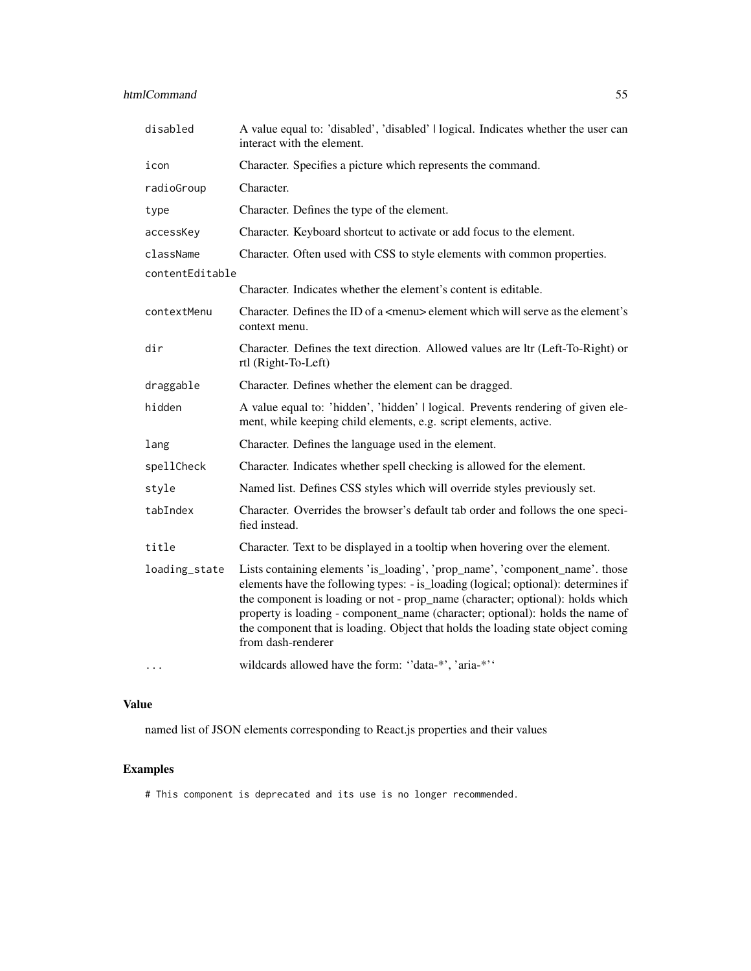| disabled        | A value equal to: 'disabled', 'disabled'   logical. Indicates whether the user can<br>interact with the element.                                                                                                                                                                                                                                                                                                                                |
|-----------------|-------------------------------------------------------------------------------------------------------------------------------------------------------------------------------------------------------------------------------------------------------------------------------------------------------------------------------------------------------------------------------------------------------------------------------------------------|
| icon            | Character. Specifies a picture which represents the command.                                                                                                                                                                                                                                                                                                                                                                                    |
| radioGroup      | Character.                                                                                                                                                                                                                                                                                                                                                                                                                                      |
| type            | Character. Defines the type of the element.                                                                                                                                                                                                                                                                                                                                                                                                     |
| accessKey       | Character. Keyboard shortcut to activate or add focus to the element.                                                                                                                                                                                                                                                                                                                                                                           |
| className       | Character. Often used with CSS to style elements with common properties.                                                                                                                                                                                                                                                                                                                                                                        |
| contentEditable |                                                                                                                                                                                                                                                                                                                                                                                                                                                 |
|                 | Character. Indicates whether the element's content is editable.                                                                                                                                                                                                                                                                                                                                                                                 |
| contextMenu     | Character. Defines the ID of a <menu> element which will serve as the element's<br/>context menu.</menu>                                                                                                                                                                                                                                                                                                                                        |
| dir             | Character. Defines the text direction. Allowed values are ltr (Left-To-Right) or<br>rtl (Right-To-Left)                                                                                                                                                                                                                                                                                                                                         |
| draggable       | Character. Defines whether the element can be dragged.                                                                                                                                                                                                                                                                                                                                                                                          |
| hidden          | A value equal to: 'hidden', 'hidden'   logical. Prevents rendering of given ele-<br>ment, while keeping child elements, e.g. script elements, active.                                                                                                                                                                                                                                                                                           |
| lang            | Character. Defines the language used in the element.                                                                                                                                                                                                                                                                                                                                                                                            |
| spellCheck      | Character. Indicates whether spell checking is allowed for the element.                                                                                                                                                                                                                                                                                                                                                                         |
| style           | Named list. Defines CSS styles which will override styles previously set.                                                                                                                                                                                                                                                                                                                                                                       |
| tabIndex        | Character. Overrides the browser's default tab order and follows the one speci-<br>fied instead.                                                                                                                                                                                                                                                                                                                                                |
| title           | Character. Text to be displayed in a tooltip when hovering over the element.                                                                                                                                                                                                                                                                                                                                                                    |
| loading_state   | Lists containing elements 'is_loading', 'prop_name', 'component_name'. those<br>elements have the following types: - is_loading (logical; optional): determines if<br>the component is loading or not - prop_name (character; optional): holds which<br>property is loading - component_name (character; optional): holds the name of<br>the component that is loading. Object that holds the loading state object coming<br>from dash-renderer |
|                 | wildcards allowed have the form: "data-*', 'aria-*''                                                                                                                                                                                                                                                                                                                                                                                            |

named list of JSON elements corresponding to React.js properties and their values

# Examples

# This component is deprecated and its use is no longer recommended.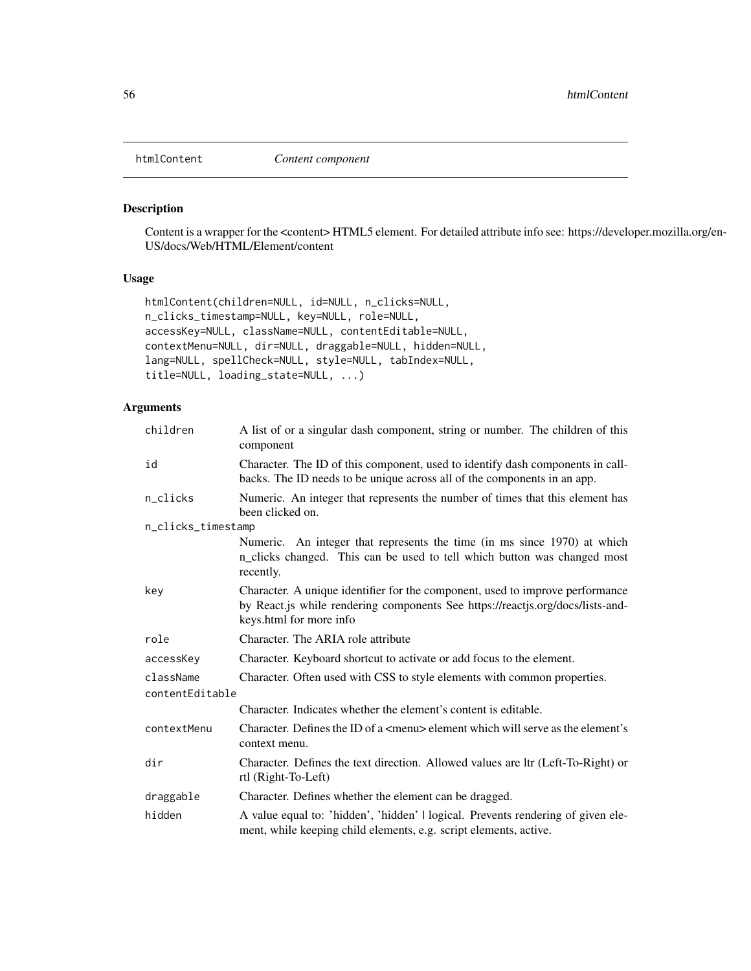#### Description

Content is a wrapper for the <content> HTML5 element. For detailed attribute info see: https://developer.mozilla.org/en-US/docs/Web/HTML/Element/content

### Usage

```
htmlContent(children=NULL, id=NULL, n_clicks=NULL,
n_clicks_timestamp=NULL, key=NULL, role=NULL,
accessKey=NULL, className=NULL, contentEditable=NULL,
contextMenu=NULL, dir=NULL, draggable=NULL, hidden=NULL,
lang=NULL, spellCheck=NULL, style=NULL, tabIndex=NULL,
title=NULL, loading_state=NULL, ...)
```

| children           | A list of or a singular dash component, string or number. The children of this<br>component                                                                                                |
|--------------------|--------------------------------------------------------------------------------------------------------------------------------------------------------------------------------------------|
| id                 | Character. The ID of this component, used to identify dash components in call-<br>backs. The ID needs to be unique across all of the components in an app.                                 |
| n_clicks           | Numeric. An integer that represents the number of times that this element has<br>been clicked on.                                                                                          |
| n_clicks_timestamp |                                                                                                                                                                                            |
|                    | Numeric. An integer that represents the time (in ms since 1970) at which<br>n_clicks changed. This can be used to tell which button was changed most<br>recently.                          |
| key                | Character. A unique identifier for the component, used to improve performance<br>by React.js while rendering components See https://reactjs.org/docs/lists-and-<br>keys.html for more info |
| role               | Character. The ARIA role attribute                                                                                                                                                         |
| accessKey          | Character. Keyboard shortcut to activate or add focus to the element.                                                                                                                      |
| className          | Character. Often used with CSS to style elements with common properties.                                                                                                                   |
| contentEditable    |                                                                                                                                                                                            |
|                    | Character. Indicates whether the element's content is editable.                                                                                                                            |
| contextMenu        | Character. Defines the ID of a <menu> element which will serve as the element's<br/>context menu.</menu>                                                                                   |
| dir                | Character. Defines the text direction. Allowed values are ltr (Left-To-Right) or<br>rtl (Right-To-Left)                                                                                    |
| draggable          | Character. Defines whether the element can be dragged.                                                                                                                                     |
| hidden             | A value equal to: 'hidden', 'hidden'   logical. Prevents rendering of given ele-<br>ment, while keeping child elements, e.g. script elements, active.                                      |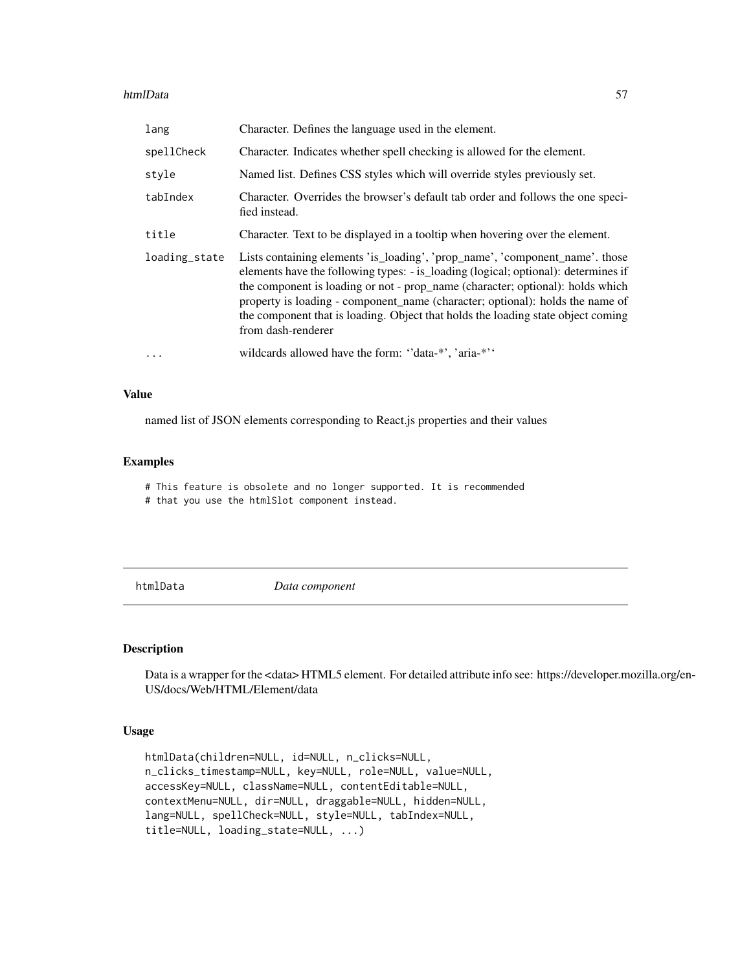#### htmlData 57

| lang          | Character. Defines the language used in the element.                                                                                                                                                                                                                                                                                                                                                                                            |
|---------------|-------------------------------------------------------------------------------------------------------------------------------------------------------------------------------------------------------------------------------------------------------------------------------------------------------------------------------------------------------------------------------------------------------------------------------------------------|
| spellCheck    | Character. Indicates whether spell checking is allowed for the element.                                                                                                                                                                                                                                                                                                                                                                         |
| style         | Named list. Defines CSS styles which will override styles previously set.                                                                                                                                                                                                                                                                                                                                                                       |
| tabIndex      | Character. Overrides the browser's default tab order and follows the one speci-<br>fied instead.                                                                                                                                                                                                                                                                                                                                                |
| title         | Character. Text to be displayed in a tooltip when hovering over the element.                                                                                                                                                                                                                                                                                                                                                                    |
| loading_state | Lists containing elements 'is_loading', 'prop_name', 'component_name'. those<br>elements have the following types: - is loading (logical; optional): determines if<br>the component is loading or not - prop_name (character; optional): holds which<br>property is loading - component_name (character; optional): holds the name of<br>the component that is loading. Object that holds the loading state object coming<br>from dash-renderer |
| $\ddotsc$     | wildcards allowed have the form: "data-*', 'aria-*''                                                                                                                                                                                                                                                                                                                                                                                            |

#### Value

named list of JSON elements corresponding to React.js properties and their values

#### Examples

# This feature is obsolete and no longer supported. It is recommended

# that you use the htmlSlot component instead.

htmlData *Data component*

#### Description

Data is a wrapper for the <data> HTML5 element. For detailed attribute info see: https://developer.mozilla.org/en-US/docs/Web/HTML/Element/data

### Usage

```
htmlData(children=NULL, id=NULL, n_clicks=NULL,
n_clicks_timestamp=NULL, key=NULL, role=NULL, value=NULL,
accessKey=NULL, className=NULL, contentEditable=NULL,
contextMenu=NULL, dir=NULL, draggable=NULL, hidden=NULL,
lang=NULL, spellCheck=NULL, style=NULL, tabIndex=NULL,
title=NULL, loading_state=NULL, ...)
```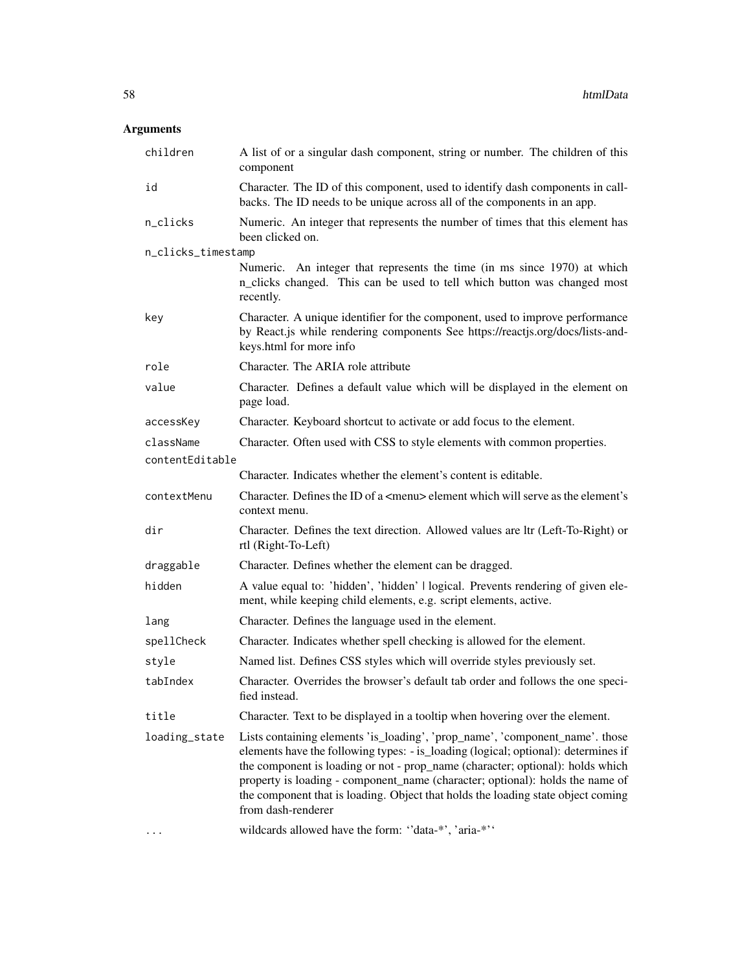| children           | A list of or a singular dash component, string or number. The children of this<br>component                                                                                                                                                                                                                                                                                                                                                     |
|--------------------|-------------------------------------------------------------------------------------------------------------------------------------------------------------------------------------------------------------------------------------------------------------------------------------------------------------------------------------------------------------------------------------------------------------------------------------------------|
| id                 | Character. The ID of this component, used to identify dash components in call-<br>backs. The ID needs to be unique across all of the components in an app.                                                                                                                                                                                                                                                                                      |
| n_clicks           | Numeric. An integer that represents the number of times that this element has<br>been clicked on.                                                                                                                                                                                                                                                                                                                                               |
| n_clicks_timestamp |                                                                                                                                                                                                                                                                                                                                                                                                                                                 |
|                    | Numeric. An integer that represents the time (in ms since 1970) at which<br>n_clicks changed. This can be used to tell which button was changed most<br>recently.                                                                                                                                                                                                                                                                               |
| key                | Character. A unique identifier for the component, used to improve performance<br>by React.js while rendering components See https://reactjs.org/docs/lists-and-<br>keys.html for more info                                                                                                                                                                                                                                                      |
| role               | Character. The ARIA role attribute                                                                                                                                                                                                                                                                                                                                                                                                              |
| value              | Character. Defines a default value which will be displayed in the element on<br>page load.                                                                                                                                                                                                                                                                                                                                                      |
| accessKey          | Character. Keyboard shortcut to activate or add focus to the element.                                                                                                                                                                                                                                                                                                                                                                           |
| className          | Character. Often used with CSS to style elements with common properties.                                                                                                                                                                                                                                                                                                                                                                        |
| contentEditable    |                                                                                                                                                                                                                                                                                                                                                                                                                                                 |
|                    | Character. Indicates whether the element's content is editable.                                                                                                                                                                                                                                                                                                                                                                                 |
| contextMenu        | Character. Defines the ID of a <menu> element which will serve as the element's<br/>context menu.</menu>                                                                                                                                                                                                                                                                                                                                        |
| dir                | Character. Defines the text direction. Allowed values are ltr (Left-To-Right) or<br>rtl (Right-To-Left)                                                                                                                                                                                                                                                                                                                                         |
| draggable          | Character. Defines whether the element can be dragged.                                                                                                                                                                                                                                                                                                                                                                                          |
| hidden             | A value equal to: 'hidden', 'hidden'   logical. Prevents rendering of given ele-<br>ment, while keeping child elements, e.g. script elements, active.                                                                                                                                                                                                                                                                                           |
| lang               | Character. Defines the language used in the element.                                                                                                                                                                                                                                                                                                                                                                                            |
| spellCheck         | Character. Indicates whether spell checking is allowed for the element.                                                                                                                                                                                                                                                                                                                                                                         |
| style              | Named list. Defines CSS styles which will override styles previously set.                                                                                                                                                                                                                                                                                                                                                                       |
| tabIndex           | Character. Overrides the browser's default tab order and follows the one speci-<br>fied instead.                                                                                                                                                                                                                                                                                                                                                |
| title              | Character. Text to be displayed in a tooltip when hovering over the element.                                                                                                                                                                                                                                                                                                                                                                    |
| loading_state      | Lists containing elements 'is_loading', 'prop_name', 'component_name'. those<br>elements have the following types: - is_loading (logical; optional): determines if<br>the component is loading or not - prop_name (character; optional): holds which<br>property is loading - component_name (character; optional): holds the name of<br>the component that is loading. Object that holds the loading state object coming<br>from dash-renderer |
| $\cdots$           | wildcards allowed have the form: "data-*', 'aria-*''                                                                                                                                                                                                                                                                                                                                                                                            |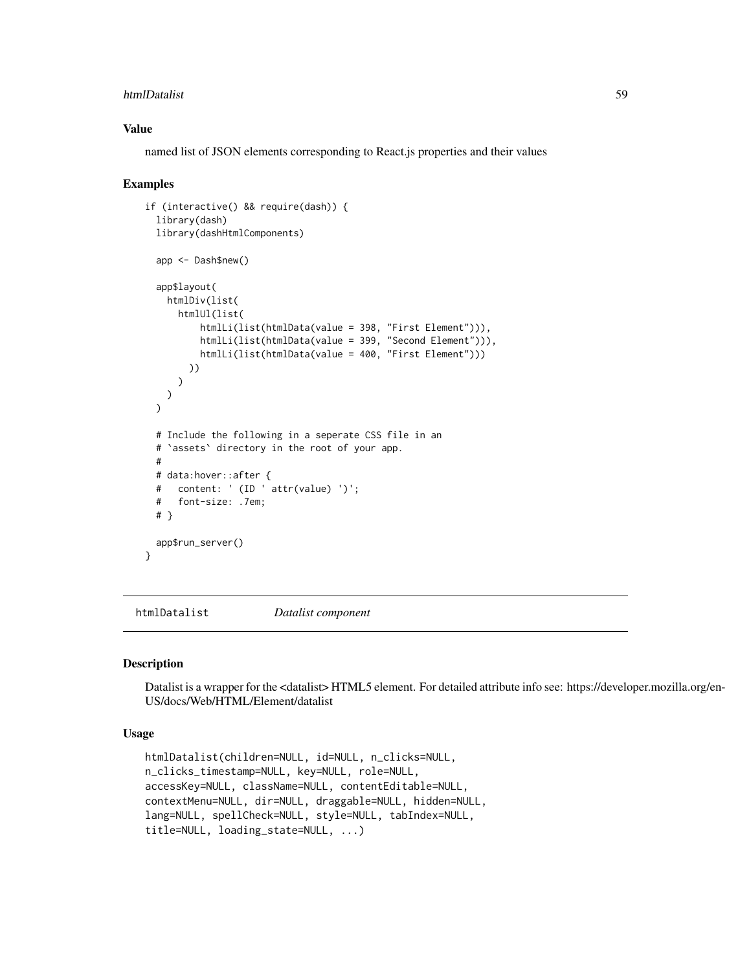#### htmlDatalist 59

#### Value

named list of JSON elements corresponding to React.js properties and their values

#### Examples

```
if (interactive() && require(dash)) {
 library(dash)
 library(dashHtmlComponents)
 app <- Dash$new()
 app$layout(
   htmlDiv(list(
     htmlUl(list(
          htmlLi(list(htmlData(value = 398, "First Element"))),
          htmlLi(list(htmlData(value = 399, "Second Element"))),
          htmlLi(list(htmlData(value = 400, "First Element")))
       ))
     )
   )
 \lambda# Include the following in a seperate CSS file in an
 # `assets` directory in the root of your app.
 #
 # data:hover::after {
 # content: ' (ID ' attr(value) ')';
 # font-size: .7em;
 # }
 app$run_server()
}
```
htmlDatalist *Datalist component*

#### Description

Datalist is a wrapper for the <datalist> HTML5 element. For detailed attribute info see: https://developer.mozilla.org/en-US/docs/Web/HTML/Element/datalist

#### Usage

```
htmlDatalist(children=NULL, id=NULL, n_clicks=NULL,
n_clicks_timestamp=NULL, key=NULL, role=NULL,
accessKey=NULL, className=NULL, contentEditable=NULL,
contextMenu=NULL, dir=NULL, draggable=NULL, hidden=NULL,
lang=NULL, spellCheck=NULL, style=NULL, tabIndex=NULL,
title=NULL, loading_state=NULL, ...)
```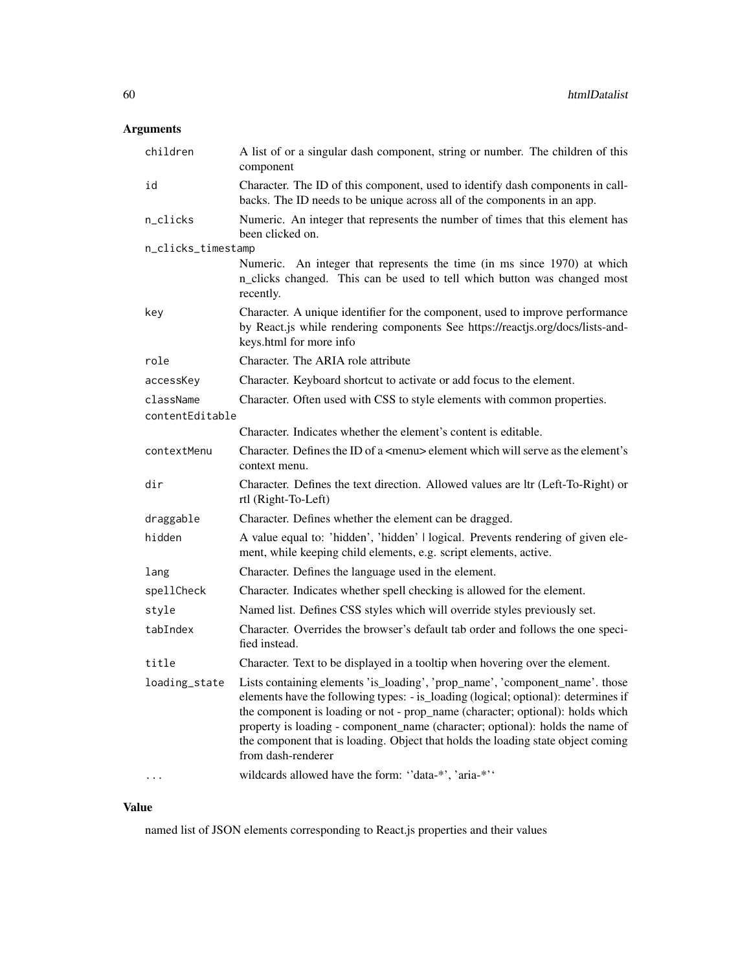# Arguments

| children           | A list of or a singular dash component, string or number. The children of this<br>component                                                                                                                                                                                                                                                                                                                                                     |
|--------------------|-------------------------------------------------------------------------------------------------------------------------------------------------------------------------------------------------------------------------------------------------------------------------------------------------------------------------------------------------------------------------------------------------------------------------------------------------|
| id                 | Character. The ID of this component, used to identify dash components in call-<br>backs. The ID needs to be unique across all of the components in an app.                                                                                                                                                                                                                                                                                      |
| n_clicks           | Numeric. An integer that represents the number of times that this element has<br>been clicked on.                                                                                                                                                                                                                                                                                                                                               |
| n_clicks_timestamp |                                                                                                                                                                                                                                                                                                                                                                                                                                                 |
|                    | Numeric. An integer that represents the time (in ms since 1970) at which<br>n_clicks changed. This can be used to tell which button was changed most<br>recently.                                                                                                                                                                                                                                                                               |
| key                | Character. A unique identifier for the component, used to improve performance<br>by React.js while rendering components See https://reactjs.org/docs/lists-and-<br>keys.html for more info                                                                                                                                                                                                                                                      |
| role               | Character. The ARIA role attribute                                                                                                                                                                                                                                                                                                                                                                                                              |
| accessKey          | Character. Keyboard shortcut to activate or add focus to the element.                                                                                                                                                                                                                                                                                                                                                                           |
| className          | Character. Often used with CSS to style elements with common properties.                                                                                                                                                                                                                                                                                                                                                                        |
| contentEditable    |                                                                                                                                                                                                                                                                                                                                                                                                                                                 |
|                    | Character. Indicates whether the element's content is editable.                                                                                                                                                                                                                                                                                                                                                                                 |
| contextMenu        | Character. Defines the ID of a <menu> element which will serve as the element's<br/>context menu.</menu>                                                                                                                                                                                                                                                                                                                                        |
| dir                | Character. Defines the text direction. Allowed values are ltr (Left-To-Right) or<br>rtl (Right-To-Left)                                                                                                                                                                                                                                                                                                                                         |
| draggable          | Character. Defines whether the element can be dragged.                                                                                                                                                                                                                                                                                                                                                                                          |
| hidden             | A value equal to: 'hidden', 'hidden'   logical. Prevents rendering of given ele-<br>ment, while keeping child elements, e.g. script elements, active.                                                                                                                                                                                                                                                                                           |
| lang               | Character. Defines the language used in the element.                                                                                                                                                                                                                                                                                                                                                                                            |
| spellCheck         | Character. Indicates whether spell checking is allowed for the element.                                                                                                                                                                                                                                                                                                                                                                         |
| stvle              | Named list. Defines CSS styles which will override styles previously set.                                                                                                                                                                                                                                                                                                                                                                       |
| tabIndex           | Character. Overrides the browser's default tab order and follows the one speci-<br>fied instead.                                                                                                                                                                                                                                                                                                                                                |
| title              | Character. Text to be displayed in a tooltip when hovering over the element.                                                                                                                                                                                                                                                                                                                                                                    |
| loading_state      | Lists containing elements 'is_loading', 'prop_name', 'component_name'. those<br>elements have the following types: - is_loading (logical; optional): determines if<br>the component is loading or not - prop_name (character; optional): holds which<br>property is loading - component_name (character; optional): holds the name of<br>the component that is loading. Object that holds the loading state object coming<br>from dash-renderer |
|                    | wildcards allowed have the form: "data-*', 'aria-*''                                                                                                                                                                                                                                                                                                                                                                                            |

## Value

named list of JSON elements corresponding to React.js properties and their values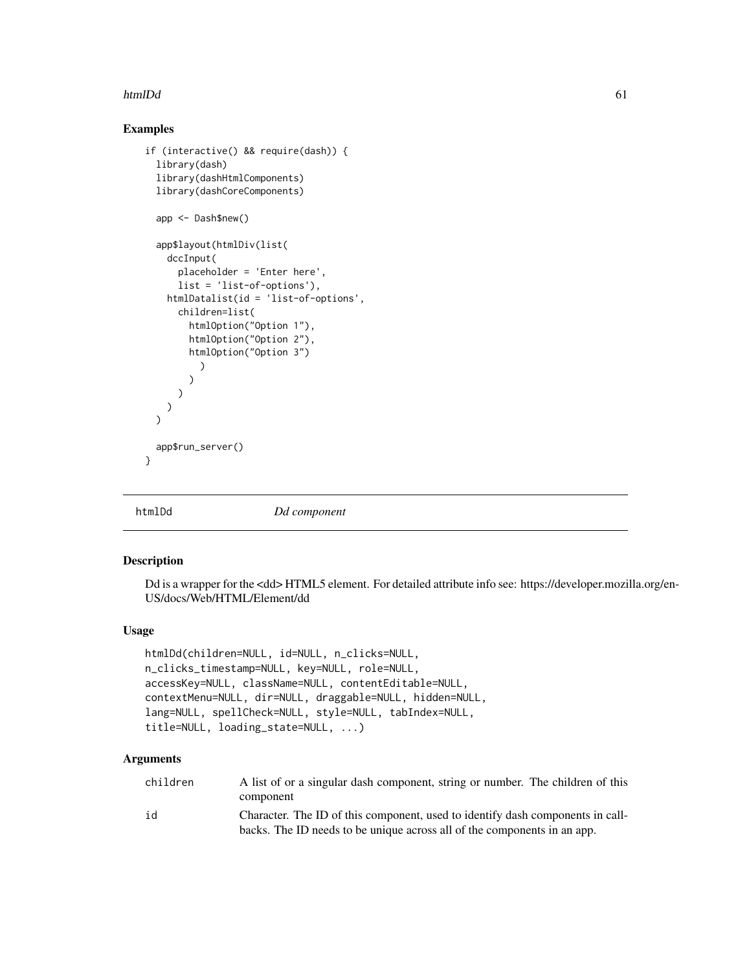#### htmlDd 61

## Examples

```
if (interactive() && require(dash)) {
 library(dash)
 library(dashHtmlComponents)
 library(dashCoreComponents)
 app <- Dash$new()
 app$layout(htmlDiv(list(
   dccInput(
      placeholder = 'Enter here',
      list = 'list-of-options'),
   htmlDatalist(id = 'list-of-options',
      children=list(
        htmlOption("Option 1"),
        htmlOption("Option 2"),
        htmlOption("Option 3")
          )
        \lambda)
   )
 \mathcal{L}app$run_server()
}
```
htmlDd *Dd component*

### Description

Dd is a wrapper for the <dd> HTML5 element. For detailed attribute info see: https://developer.mozilla.org/en-US/docs/Web/HTML/Element/dd

#### Usage

```
htmlDd(children=NULL, id=NULL, n_clicks=NULL,
n_clicks_timestamp=NULL, key=NULL, role=NULL,
accessKey=NULL, className=NULL, contentEditable=NULL,
contextMenu=NULL, dir=NULL, draggable=NULL, hidden=NULL,
lang=NULL, spellCheck=NULL, style=NULL, tabIndex=NULL,
title=NULL, loading_state=NULL, ...)
```

| children | A list of or a singular dash component, string or number. The children of this |
|----------|--------------------------------------------------------------------------------|
|          | component                                                                      |
| id       | Character. The ID of this component, used to identify dash components in call- |
|          | backs. The ID needs to be unique across all of the components in an app.       |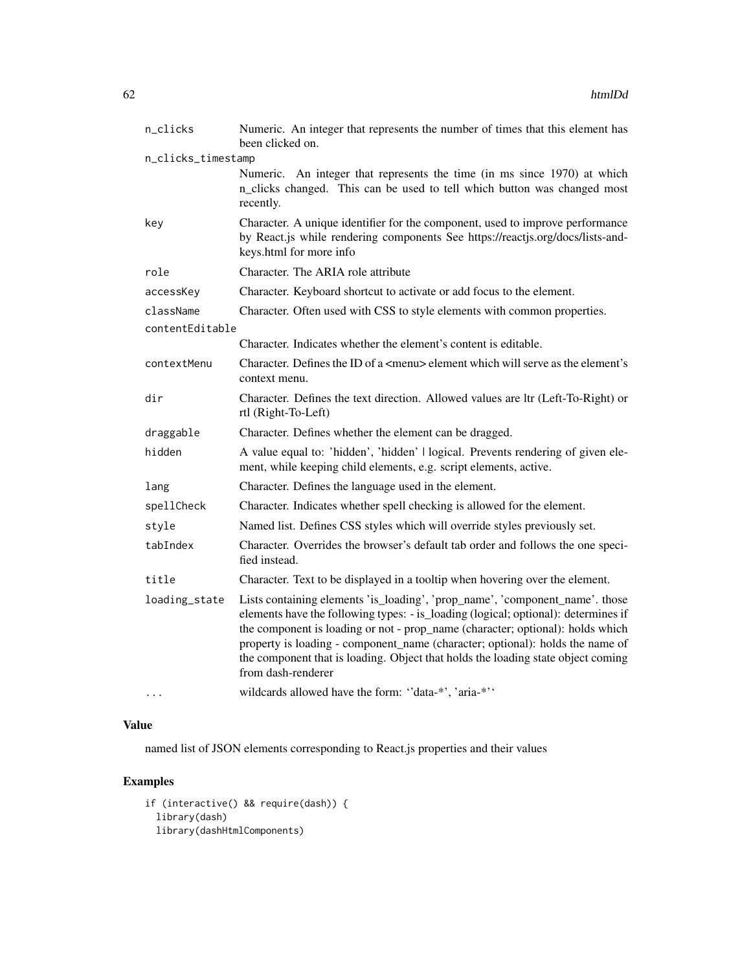| n_clicks           | Numeric. An integer that represents the number of times that this element has<br>been clicked on.                                                                                                                                                                                                                                                                                                                                               |
|--------------------|-------------------------------------------------------------------------------------------------------------------------------------------------------------------------------------------------------------------------------------------------------------------------------------------------------------------------------------------------------------------------------------------------------------------------------------------------|
| n_clicks_timestamp |                                                                                                                                                                                                                                                                                                                                                                                                                                                 |
|                    | Numeric. An integer that represents the time (in ms since 1970) at which<br>n_clicks changed. This can be used to tell which button was changed most<br>recently.                                                                                                                                                                                                                                                                               |
| key                | Character. A unique identifier for the component, used to improve performance<br>by React.js while rendering components See https://reactjs.org/docs/lists-and-<br>keys.html for more info                                                                                                                                                                                                                                                      |
| role               | Character. The ARIA role attribute                                                                                                                                                                                                                                                                                                                                                                                                              |
| accessKey          | Character. Keyboard shortcut to activate or add focus to the element.                                                                                                                                                                                                                                                                                                                                                                           |
| className          | Character. Often used with CSS to style elements with common properties.                                                                                                                                                                                                                                                                                                                                                                        |
| contentEditable    |                                                                                                                                                                                                                                                                                                                                                                                                                                                 |
|                    | Character. Indicates whether the element's content is editable.                                                                                                                                                                                                                                                                                                                                                                                 |
| contextMenu        | Character. Defines the ID of a <menu> element which will serve as the element's<br/>context menu.</menu>                                                                                                                                                                                                                                                                                                                                        |
| dir                | Character. Defines the text direction. Allowed values are ltr (Left-To-Right) or<br>rtl (Right-To-Left)                                                                                                                                                                                                                                                                                                                                         |
| draggable          | Character. Defines whether the element can be dragged.                                                                                                                                                                                                                                                                                                                                                                                          |
| hidden             | A value equal to: 'hidden', 'hidden'   logical. Prevents rendering of given ele-<br>ment, while keeping child elements, e.g. script elements, active.                                                                                                                                                                                                                                                                                           |
| lang               | Character. Defines the language used in the element.                                                                                                                                                                                                                                                                                                                                                                                            |
| spellCheck         | Character. Indicates whether spell checking is allowed for the element.                                                                                                                                                                                                                                                                                                                                                                         |
| style              | Named list. Defines CSS styles which will override styles previously set.                                                                                                                                                                                                                                                                                                                                                                       |
| tabIndex           | Character. Overrides the browser's default tab order and follows the one speci-<br>fied instead.                                                                                                                                                                                                                                                                                                                                                |
| title              | Character. Text to be displayed in a tooltip when hovering over the element.                                                                                                                                                                                                                                                                                                                                                                    |
| loading_state      | Lists containing elements 'is_loading', 'prop_name', 'component_name'. those<br>elements have the following types: - is_loading (logical; optional): determines if<br>the component is loading or not - prop_name (character; optional): holds which<br>property is loading - component_name (character; optional): holds the name of<br>the component that is loading. Object that holds the loading state object coming<br>from dash-renderer |
|                    | wildcards allowed have the form: "data-*', 'aria-*''                                                                                                                                                                                                                                                                                                                                                                                            |

named list of JSON elements corresponding to React.js properties and their values

```
if (interactive() && require(dash)) {
 library(dash)
 library(dashHtmlComponents)
```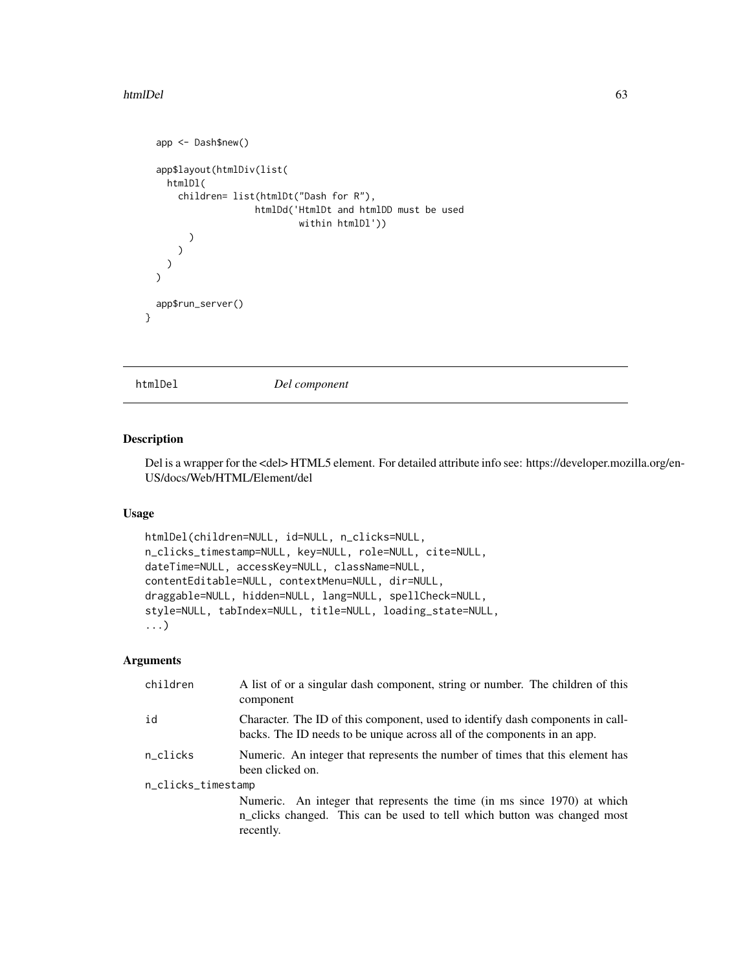#### htmlDel 63

```
app <- Dash$new()
  app$layout(htmlDiv(list(
    htmlDl(
      children= list(htmlDt("Dash for R"),
                     htmlDd('HtmlDt and htmlDD must be used
                              within htmlDl'))
        )
      \lambda)
  \mathcal{L}app$run_server()
}
```
htmlDel *Del component*

### Description

Del is a wrapper for the <del>HTML5 element. For detailed attribute info see: https://developer.mozilla.org/en-US/docs/Web/HTML/Element/del

#### Usage

```
htmlDel(children=NULL, id=NULL, n_clicks=NULL,
n_clicks_timestamp=NULL, key=NULL, role=NULL, cite=NULL,
dateTime=NULL, accessKey=NULL, className=NULL,
contentEditable=NULL, contextMenu=NULL, dir=NULL,
draggable=NULL, hidden=NULL, lang=NULL, spellCheck=NULL,
style=NULL, tabIndex=NULL, title=NULL, loading_state=NULL,
...)
```

| children           | A list of or a singular dash component, string or number. The children of this<br>component                                                                       |  |
|--------------------|-------------------------------------------------------------------------------------------------------------------------------------------------------------------|--|
| id                 | Character. The ID of this component, used to identify dash components in call-<br>backs. The ID needs to be unique across all of the components in an app.        |  |
| n_clicks           | Numeric. An integer that represents the number of times that this element has<br>been clicked on.                                                                 |  |
| n_clicks_timestamp |                                                                                                                                                                   |  |
|                    | Numeric. An integer that represents the time (in ms since 1970) at which<br>n_clicks changed. This can be used to tell which button was changed most<br>recently. |  |
|                    |                                                                                                                                                                   |  |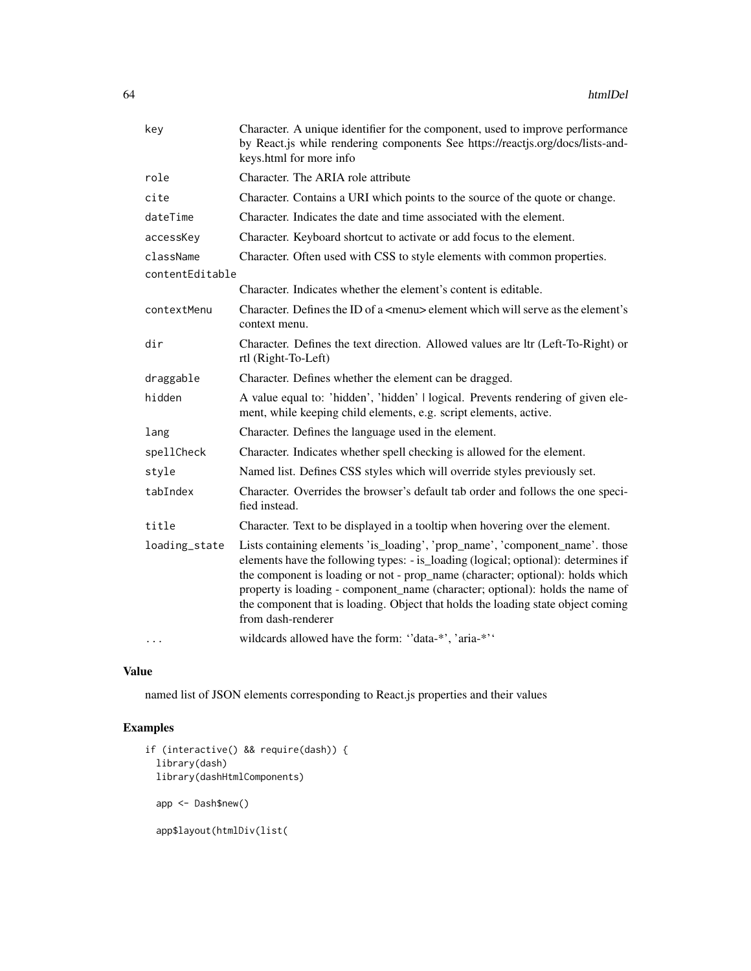| key             | Character. A unique identifier for the component, used to improve performance<br>by React.js while rendering components See https://reactjs.org/docs/lists-and-<br>keys.html for more info                                                                                                                                                                                                                                                      |
|-----------------|-------------------------------------------------------------------------------------------------------------------------------------------------------------------------------------------------------------------------------------------------------------------------------------------------------------------------------------------------------------------------------------------------------------------------------------------------|
| role            | Character. The ARIA role attribute                                                                                                                                                                                                                                                                                                                                                                                                              |
| cite            | Character. Contains a URI which points to the source of the quote or change.                                                                                                                                                                                                                                                                                                                                                                    |
| dateTime        | Character. Indicates the date and time associated with the element.                                                                                                                                                                                                                                                                                                                                                                             |
| accessKey       | Character. Keyboard shortcut to activate or add focus to the element.                                                                                                                                                                                                                                                                                                                                                                           |
| className       | Character. Often used with CSS to style elements with common properties.                                                                                                                                                                                                                                                                                                                                                                        |
| contentEditable |                                                                                                                                                                                                                                                                                                                                                                                                                                                 |
|                 | Character. Indicates whether the element's content is editable.                                                                                                                                                                                                                                                                                                                                                                                 |
| contextMenu     | Character. Defines the ID of a <menu> element which will serve as the element's<br/>context menu.</menu>                                                                                                                                                                                                                                                                                                                                        |
| dir             | Character. Defines the text direction. Allowed values are ltr (Left-To-Right) or<br>rtl (Right-To-Left)                                                                                                                                                                                                                                                                                                                                         |
| draggable       | Character. Defines whether the element can be dragged.                                                                                                                                                                                                                                                                                                                                                                                          |
| hidden          | A value equal to: 'hidden', 'hidden'   logical. Prevents rendering of given ele-<br>ment, while keeping child elements, e.g. script elements, active.                                                                                                                                                                                                                                                                                           |
| lang            | Character. Defines the language used in the element.                                                                                                                                                                                                                                                                                                                                                                                            |
| spellCheck      | Character. Indicates whether spell checking is allowed for the element.                                                                                                                                                                                                                                                                                                                                                                         |
| style           | Named list. Defines CSS styles which will override styles previously set.                                                                                                                                                                                                                                                                                                                                                                       |
| tabIndex        | Character. Overrides the browser's default tab order and follows the one speci-<br>fied instead.                                                                                                                                                                                                                                                                                                                                                |
| title           | Character. Text to be displayed in a tooltip when hovering over the element.                                                                                                                                                                                                                                                                                                                                                                    |
| loading_state   | Lists containing elements 'is_loading', 'prop_name', 'component_name'. those<br>elements have the following types: - is_loading (logical; optional): determines if<br>the component is loading or not - prop_name (character; optional): holds which<br>property is loading - component_name (character; optional): holds the name of<br>the component that is loading. Object that holds the loading state object coming<br>from dash-renderer |
|                 | wildcards allowed have the form: "data-*', 'aria-*''                                                                                                                                                                                                                                                                                                                                                                                            |

named list of JSON elements corresponding to React.js properties and their values

```
if (interactive() && require(dash)) {
  library(dash)
 library(dashHtmlComponents)
 app <- Dash$new()
  app$layout(htmlDiv(list(
```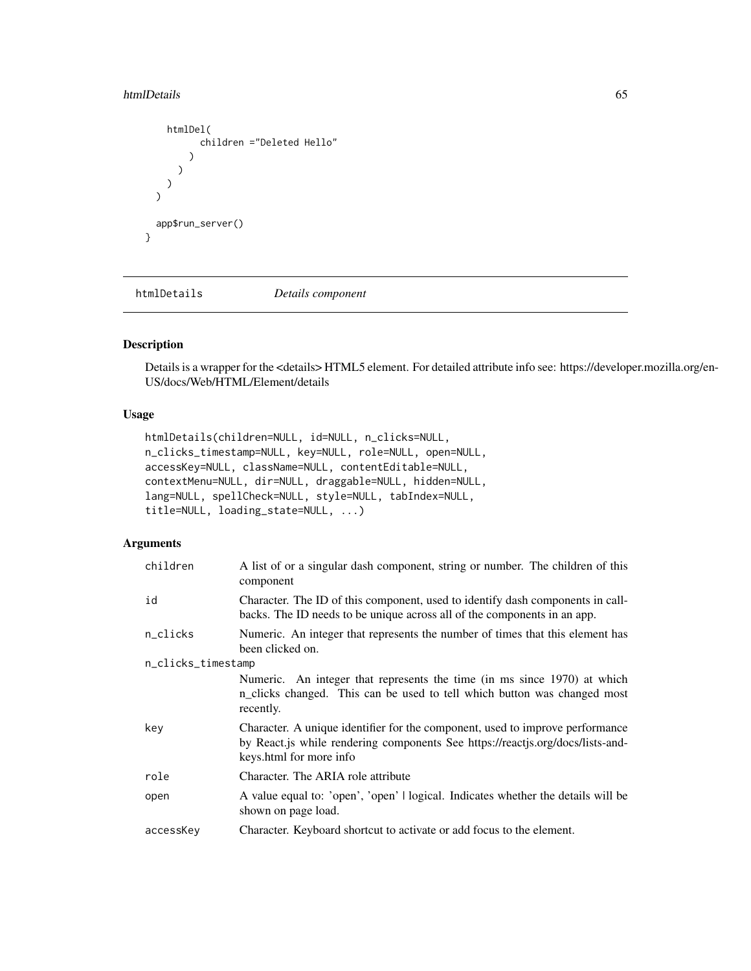#### htmlDetails 65

```
htmlDel(
         children ="Deleted Hello"
      )
    )
 )
\mathcal{L}app$run_server()
```
htmlDetails *Details component*

## Description

}

Details is a wrapper for the <details> HTML5 element. For detailed attribute info see: https://developer.mozilla.org/en-US/docs/Web/HTML/Element/details

### Usage

```
htmlDetails(children=NULL, id=NULL, n_clicks=NULL,
n_clicks_timestamp=NULL, key=NULL, role=NULL, open=NULL,
accessKey=NULL, className=NULL, contentEditable=NULL,
contextMenu=NULL, dir=NULL, draggable=NULL, hidden=NULL,
lang=NULL, spellCheck=NULL, style=NULL, tabIndex=NULL,
title=NULL, loading_state=NULL, ...)
```

| children           | A list of or a singular dash component, string or number. The children of this<br>component                                                                                                 |
|--------------------|---------------------------------------------------------------------------------------------------------------------------------------------------------------------------------------------|
| id                 | Character. The ID of this component, used to identify dash components in call-<br>backs. The ID needs to be unique across all of the components in an app.                                  |
| n_clicks           | Numeric. An integer that represents the number of times that this element has<br>been clicked on.                                                                                           |
| n_clicks_timestamp |                                                                                                                                                                                             |
|                    | Numeric. An integer that represents the time (in ms since 1970) at which<br>n_clicks changed. This can be used to tell which button was changed most<br>recently.                           |
| key                | Character. A unique identifier for the component, used to improve performance<br>by React. is while rendering components See https://reactis.org/docs/lists-and-<br>keys.html for more info |
| role               | Character. The ARIA role attribute                                                                                                                                                          |
| open               | A value equal to: 'open', 'open'   logical. Indicates whether the details will be<br>shown on page load.                                                                                    |
| accessKey          | Character. Keyboard shortcut to activate or add focus to the element.                                                                                                                       |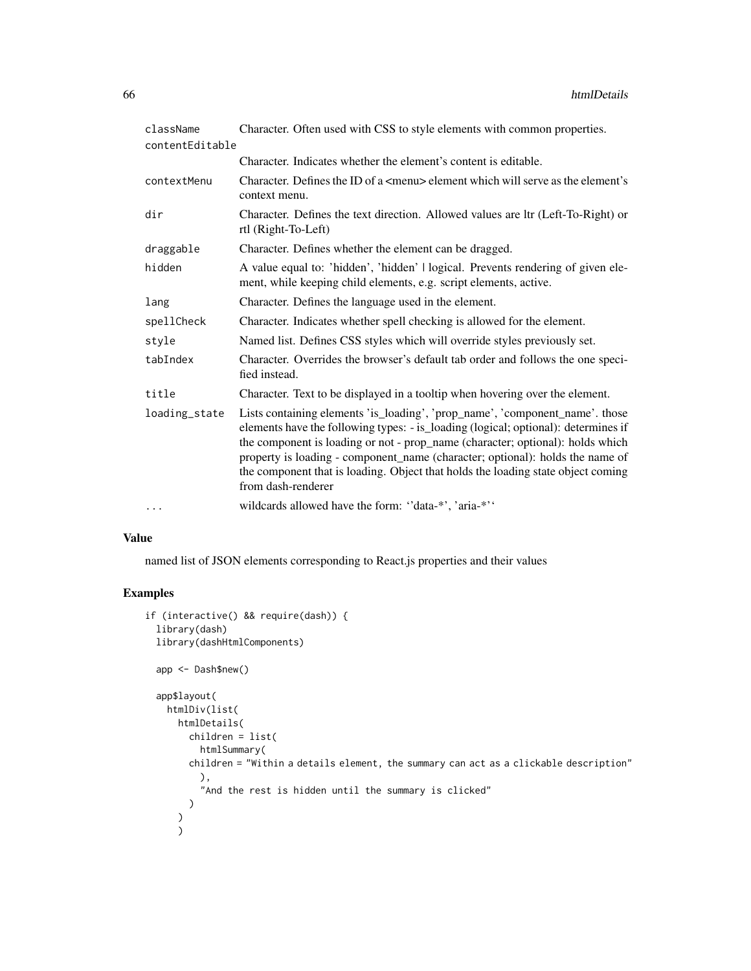| className       | Character. Often used with CSS to style elements with common properties.                                                                                                                                                                                                                                                                                                                                                                        |
|-----------------|-------------------------------------------------------------------------------------------------------------------------------------------------------------------------------------------------------------------------------------------------------------------------------------------------------------------------------------------------------------------------------------------------------------------------------------------------|
| contentEditable |                                                                                                                                                                                                                                                                                                                                                                                                                                                 |
|                 | Character. Indicates whether the element's content is editable.                                                                                                                                                                                                                                                                                                                                                                                 |
| contextMenu     | Character. Defines the ID of a <menu> element which will serve as the element's<br/>context menu.</menu>                                                                                                                                                                                                                                                                                                                                        |
| dir             | Character. Defines the text direction. Allowed values are ltr (Left-To-Right) or<br>rtl (Right-To-Left)                                                                                                                                                                                                                                                                                                                                         |
| draggable       | Character. Defines whether the element can be dragged.                                                                                                                                                                                                                                                                                                                                                                                          |
| hidden          | A value equal to: 'hidden', 'hidden'   logical. Prevents rendering of given ele-<br>ment, while keeping child elements, e.g. script elements, active.                                                                                                                                                                                                                                                                                           |
| lang            | Character. Defines the language used in the element.                                                                                                                                                                                                                                                                                                                                                                                            |
| spellCheck      | Character. Indicates whether spell checking is allowed for the element.                                                                                                                                                                                                                                                                                                                                                                         |
| style           | Named list. Defines CSS styles which will override styles previously set.                                                                                                                                                                                                                                                                                                                                                                       |
| tabIndex        | Character. Overrides the browser's default tab order and follows the one speci-<br>fied instead.                                                                                                                                                                                                                                                                                                                                                |
| title           | Character. Text to be displayed in a tooltip when hovering over the element.                                                                                                                                                                                                                                                                                                                                                                    |
| loading_state   | Lists containing elements 'is_loading', 'prop_name', 'component_name'. those<br>elements have the following types: - is_loading (logical; optional): determines if<br>the component is loading or not - prop_name (character; optional): holds which<br>property is loading - component_name (character; optional): holds the name of<br>the component that is loading. Object that holds the loading state object coming<br>from dash-renderer |
| $\cdots$        | wildcards allowed have the form: "data-*', 'aria-*''                                                                                                                                                                                                                                                                                                                                                                                            |

named list of JSON elements corresponding to React.js properties and their values

```
if (interactive() && require(dash)) {
  library(dash)
  library(dashHtmlComponents)
  app <- Dash$new()
  app$layout(
    htmlDiv(list(
      htmlDetails(
        children = list(
          htmlSummary(
        children = "Within a details element, the summary can act as a clickable description"
          ),
           "And the rest is hidden until the summary is clicked"
        )
      \lambda\overline{\phantom{a}}
```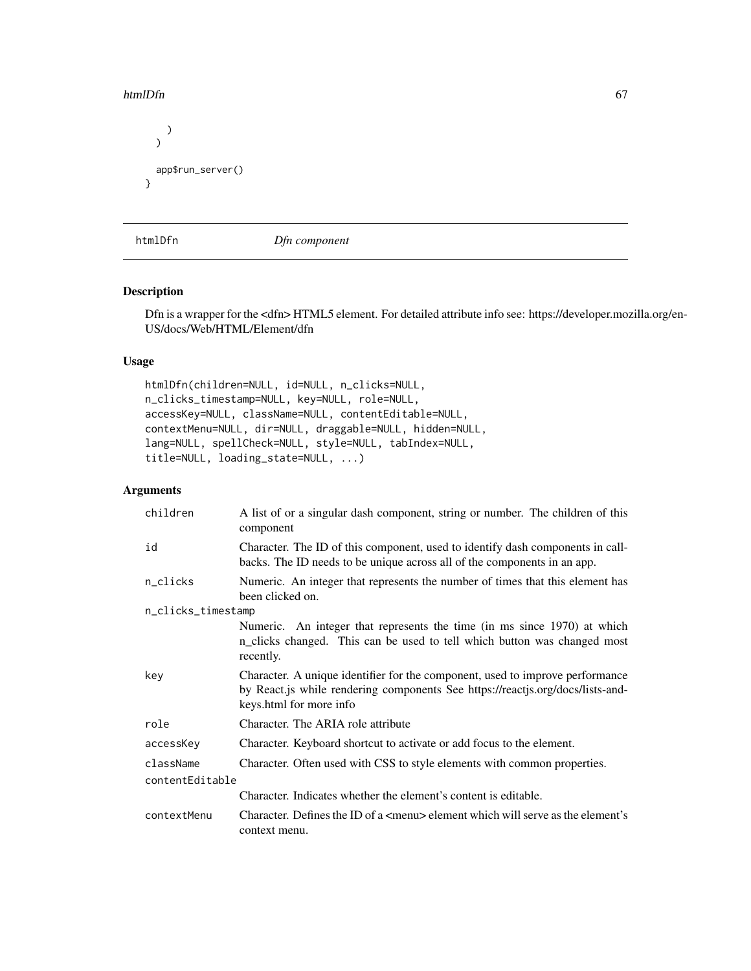#### htmlDfn 67

```
)
  \mathcal{L}app$run_server()
}
```
htmlDfn *Dfn component*

### Description

Dfn is a wrapper for the <dfn> HTML5 element. For detailed attribute info see: https://developer.mozilla.org/en-US/docs/Web/HTML/Element/dfn

#### Usage

```
htmlDfn(children=NULL, id=NULL, n_clicks=NULL,
n_clicks_timestamp=NULL, key=NULL, role=NULL,
accessKey=NULL, className=NULL, contentEditable=NULL,
contextMenu=NULL, dir=NULL, draggable=NULL, hidden=NULL,
lang=NULL, spellCheck=NULL, style=NULL, tabIndex=NULL,
title=NULL, loading_state=NULL, ...)
```

| children           | A list of or a singular dash component, string or number. The children of this<br>component                                                                                                |  |
|--------------------|--------------------------------------------------------------------------------------------------------------------------------------------------------------------------------------------|--|
| id                 | Character. The ID of this component, used to identify dash components in call-<br>backs. The ID needs to be unique across all of the components in an app.                                 |  |
| n_clicks           | Numeric. An integer that represents the number of times that this element has<br>been clicked on.                                                                                          |  |
| n_clicks_timestamp |                                                                                                                                                                                            |  |
|                    | Numeric. An integer that represents the time (in ms since 1970) at which<br>n_clicks changed. This can be used to tell which button was changed most<br>recently.                          |  |
| key                | Character. A unique identifier for the component, used to improve performance<br>by React.js while rendering components See https://reactjs.org/docs/lists-and-<br>keys.html for more info |  |
| role               | Character. The ARIA role attribute                                                                                                                                                         |  |
| accessKey          | Character. Keyboard shortcut to activate or add focus to the element.                                                                                                                      |  |
| className          | Character. Often used with CSS to style elements with common properties.                                                                                                                   |  |
| contentEditable    |                                                                                                                                                                                            |  |
|                    | Character. Indicates whether the element's content is editable.                                                                                                                            |  |
| contextMenu        | Character. Defines the ID of a $\leq$ menu> element which will serve as the element's<br>context menu.                                                                                     |  |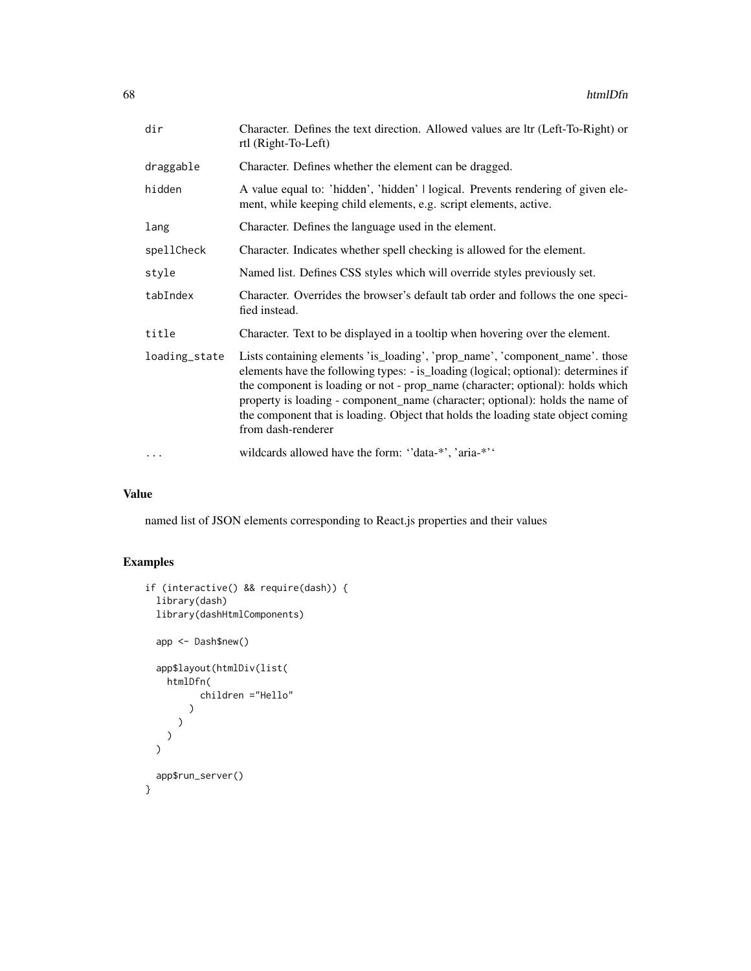| dir           | Character. Defines the text direction. Allowed values are ltr (Left-To-Right) or<br>rtl (Right-To-Left)                                                                                                                                                                                                                                                                                                                                         |
|---------------|-------------------------------------------------------------------------------------------------------------------------------------------------------------------------------------------------------------------------------------------------------------------------------------------------------------------------------------------------------------------------------------------------------------------------------------------------|
| draggable     | Character. Defines whether the element can be dragged.                                                                                                                                                                                                                                                                                                                                                                                          |
| hidden        | A value equal to: 'hidden', 'hidden'   logical. Prevents rendering of given ele-<br>ment, while keeping child elements, e.g. script elements, active.                                                                                                                                                                                                                                                                                           |
| lang          | Character. Defines the language used in the element.                                                                                                                                                                                                                                                                                                                                                                                            |
| spellCheck    | Character. Indicates whether spell checking is allowed for the element.                                                                                                                                                                                                                                                                                                                                                                         |
| style         | Named list. Defines CSS styles which will override styles previously set.                                                                                                                                                                                                                                                                                                                                                                       |
| tabIndex      | Character. Overrides the browser's default tab order and follows the one speci-<br>fied instead.                                                                                                                                                                                                                                                                                                                                                |
| title         | Character. Text to be displayed in a tooltip when hovering over the element.                                                                                                                                                                                                                                                                                                                                                                    |
| loading_state | Lists containing elements 'is_loading', 'prop_name', 'component_name'. those<br>elements have the following types: - is_loading (logical; optional): determines if<br>the component is loading or not - prop_name (character; optional): holds which<br>property is loading - component_name (character; optional): holds the name of<br>the component that is loading. Object that holds the loading state object coming<br>from dash-renderer |
| $\ddotsc$     | wildcards allowed have the form: "data-*", 'aria-*"                                                                                                                                                                                                                                                                                                                                                                                             |

named list of JSON elements corresponding to React.js properties and their values

```
if (interactive() && require(dash)) {
 library(dash)
 library(dashHtmlComponents)
 app <- Dash$new()
 app$layout(htmlDiv(list(
   htmlDfn(
         children ="Hello"
       )
     )
   )
 )
 app$run_server()
}
```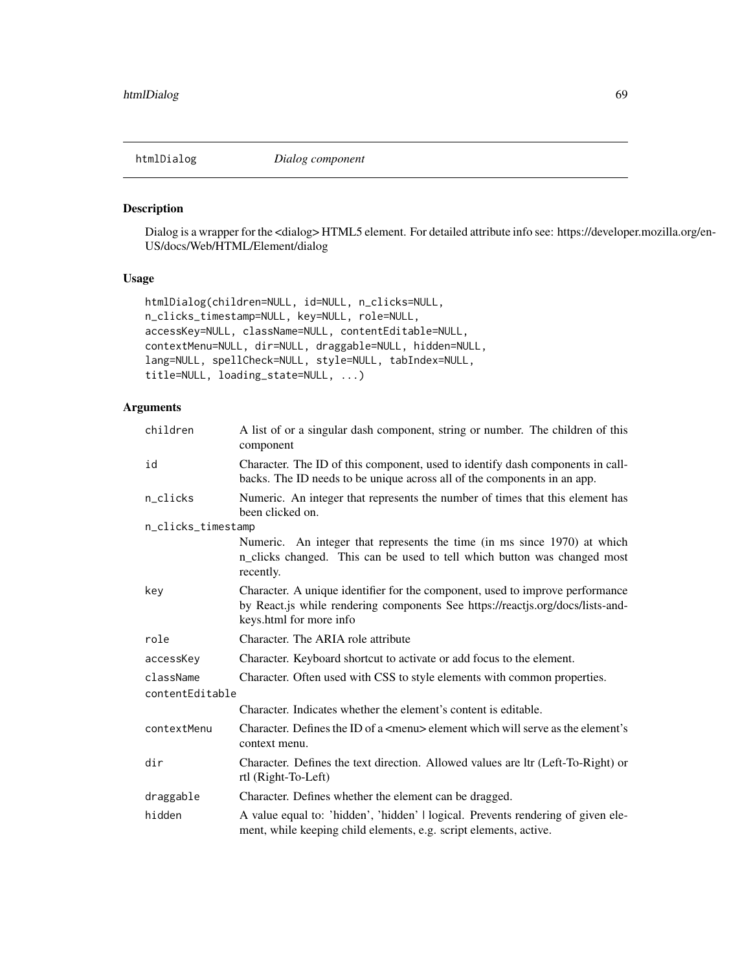htmlDialog *Dialog component*

#### Description

Dialog is a wrapper for the <dialog> HTML5 element. For detailed attribute info see: https://developer.mozilla.org/en-US/docs/Web/HTML/Element/dialog

## Usage

```
htmlDialog(children=NULL, id=NULL, n_clicks=NULL,
n_clicks_timestamp=NULL, key=NULL, role=NULL,
accessKey=NULL, className=NULL, contentEditable=NULL,
contextMenu=NULL, dir=NULL, draggable=NULL, hidden=NULL,
lang=NULL, spellCheck=NULL, style=NULL, tabIndex=NULL,
title=NULL, loading_state=NULL, ...)
```

| children           | A list of or a singular dash component, string or number. The children of this<br>component                                                                                                |  |
|--------------------|--------------------------------------------------------------------------------------------------------------------------------------------------------------------------------------------|--|
| id                 | Character. The ID of this component, used to identify dash components in call-<br>backs. The ID needs to be unique across all of the components in an app.                                 |  |
| n_clicks           | Numeric. An integer that represents the number of times that this element has<br>been clicked on.                                                                                          |  |
| n_clicks_timestamp |                                                                                                                                                                                            |  |
|                    | Numeric. An integer that represents the time (in ms since 1970) at which<br>n_clicks changed. This can be used to tell which button was changed most<br>recently.                          |  |
| key                | Character. A unique identifier for the component, used to improve performance<br>by React.js while rendering components See https://reactjs.org/docs/lists-and-<br>keys.html for more info |  |
| role               | Character. The ARIA role attribute                                                                                                                                                         |  |
| accessKey          | Character. Keyboard shortcut to activate or add focus to the element.                                                                                                                      |  |
| className          | Character. Often used with CSS to style elements with common properties.                                                                                                                   |  |
| contentEditable    |                                                                                                                                                                                            |  |
|                    | Character. Indicates whether the element's content is editable.                                                                                                                            |  |
| contextMenu        | Character. Defines the ID of a $\leq$ menu $\geq$ element which will serve as the element's<br>context menu.                                                                               |  |
| dir                | Character. Defines the text direction. Allowed values are ltr (Left-To-Right) or<br>rtl (Right-To-Left)                                                                                    |  |
| draggable          | Character. Defines whether the element can be dragged.                                                                                                                                     |  |
| hidden             | A value equal to: 'hidden', 'hidden'   logical. Prevents rendering of given ele-<br>ment, while keeping child elements, e.g. script elements, active.                                      |  |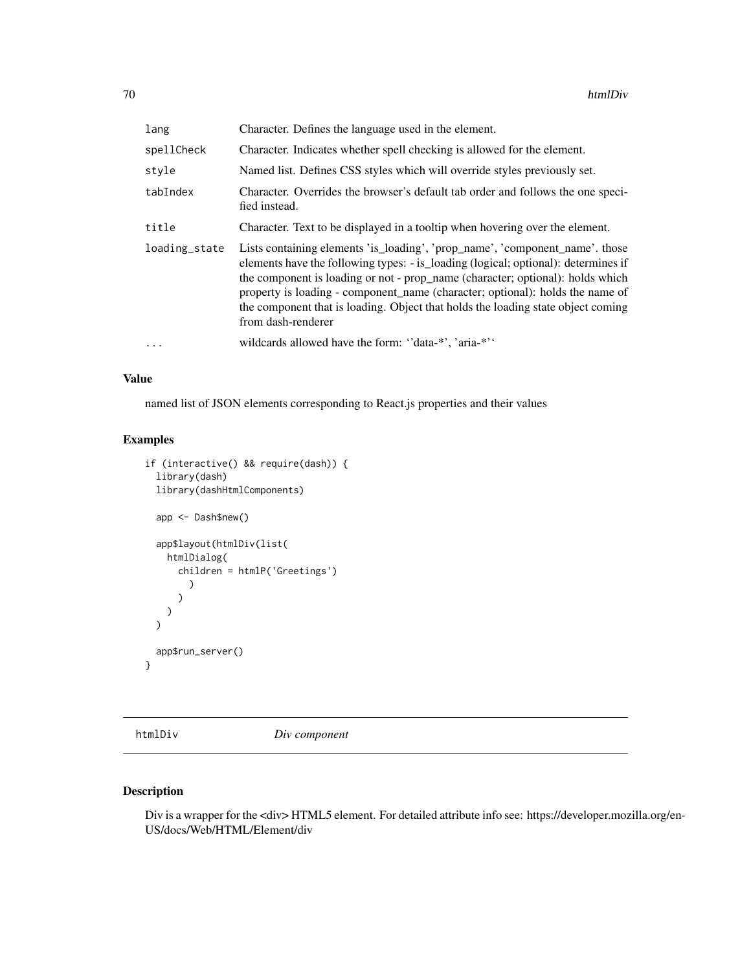| lang          | Character. Defines the language used in the element.                                                                                                                                                                                                                                                                                                                                                                                            |
|---------------|-------------------------------------------------------------------------------------------------------------------------------------------------------------------------------------------------------------------------------------------------------------------------------------------------------------------------------------------------------------------------------------------------------------------------------------------------|
| spellCheck    | Character. Indicates whether spell checking is allowed for the element.                                                                                                                                                                                                                                                                                                                                                                         |
| style         | Named list. Defines CSS styles which will override styles previously set.                                                                                                                                                                                                                                                                                                                                                                       |
| tabIndex      | Character. Overrides the browser's default tab order and follows the one speci-<br>fied instead.                                                                                                                                                                                                                                                                                                                                                |
| title         | Character. Text to be displayed in a tooltip when hovering over the element.                                                                                                                                                                                                                                                                                                                                                                    |
| loading_state | Lists containing elements 'is_loading', 'prop_name', 'component_name'. those<br>elements have the following types: - is loading (logical; optional): determines if<br>the component is loading or not - prop_name (character; optional): holds which<br>property is loading - component name (character; optional): holds the name of<br>the component that is loading. Object that holds the loading state object coming<br>from dash-renderer |
| $\cdots$      | wildcards allowed have the form: "data-*', 'aria-*''                                                                                                                                                                                                                                                                                                                                                                                            |

named list of JSON elements corresponding to React.js properties and their values

## Examples

```
if (interactive() && require(dash)) {
 library(dash)
 library(dashHtmlComponents)
 app <- Dash$new()
 app$layout(htmlDiv(list(
   htmlDialog(
      children = htmlP('Greetings')
        )
      )
   )
 \mathcal{L}app$run_server()
}
```
htmlDiv *Div component*

## Description

Div is a wrapper for the <div> HTML5 element. For detailed attribute info see: https://developer.mozilla.org/en-US/docs/Web/HTML/Element/div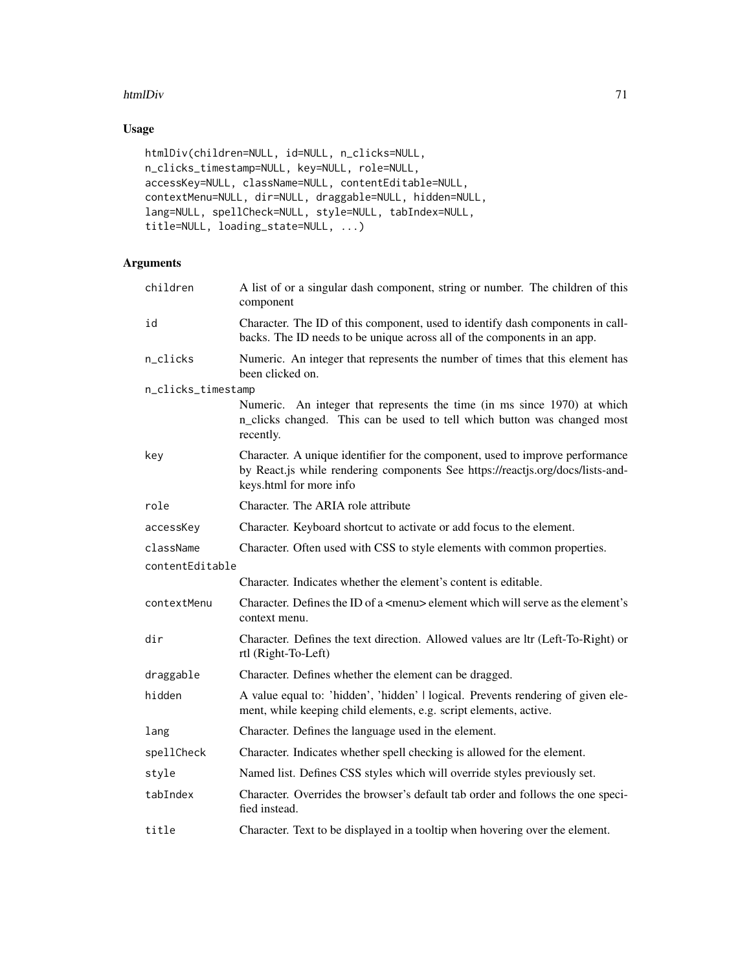#### htmlDiv 71

## Usage

```
htmlDiv(children=NULL, id=NULL, n_clicks=NULL,
n_clicks_timestamp=NULL, key=NULL, role=NULL,
accessKey=NULL, className=NULL, contentEditable=NULL,
contextMenu=NULL, dir=NULL, draggable=NULL, hidden=NULL,
lang=NULL, spellCheck=NULL, style=NULL, tabIndex=NULL,
title=NULL, loading_state=NULL, ...)
```

| children           | A list of or a singular dash component, string or number. The children of this<br>component                                                                                                |
|--------------------|--------------------------------------------------------------------------------------------------------------------------------------------------------------------------------------------|
| id                 | Character. The ID of this component, used to identify dash components in call-<br>backs. The ID needs to be unique across all of the components in an app.                                 |
| n_clicks           | Numeric. An integer that represents the number of times that this element has<br>been clicked on.                                                                                          |
| n_clicks_timestamp |                                                                                                                                                                                            |
|                    | Numeric. An integer that represents the time (in ms since 1970) at which<br>n_clicks changed. This can be used to tell which button was changed most<br>recently.                          |
| key                | Character. A unique identifier for the component, used to improve performance<br>by React.js while rendering components See https://reactjs.org/docs/lists-and-<br>keys.html for more info |
| role               | Character. The ARIA role attribute                                                                                                                                                         |
| accessKey          | Character. Keyboard shortcut to activate or add focus to the element.                                                                                                                      |
| className          | Character. Often used with CSS to style elements with common properties.                                                                                                                   |
| contentEditable    |                                                                                                                                                                                            |
|                    | Character. Indicates whether the element's content is editable.                                                                                                                            |
| contextMenu        | Character. Defines the ID of a <menu> element which will serve as the element's<br/>context menu.</menu>                                                                                   |
| dir                | Character. Defines the text direction. Allowed values are ltr (Left-To-Right) or<br>rtl (Right-To-Left)                                                                                    |
| draggable          | Character. Defines whether the element can be dragged.                                                                                                                                     |
| hidden             | A value equal to: 'hidden', 'hidden'   logical. Prevents rendering of given ele-<br>ment, while keeping child elements, e.g. script elements, active.                                      |
| lang               | Character. Defines the language used in the element.                                                                                                                                       |
| spellCheck         | Character. Indicates whether spell checking is allowed for the element.                                                                                                                    |
| style              | Named list. Defines CSS styles which will override styles previously set.                                                                                                                  |
| tabIndex           | Character. Overrides the browser's default tab order and follows the one speci-<br>fied instead.                                                                                           |
| title              | Character. Text to be displayed in a tooltip when hovering over the element.                                                                                                               |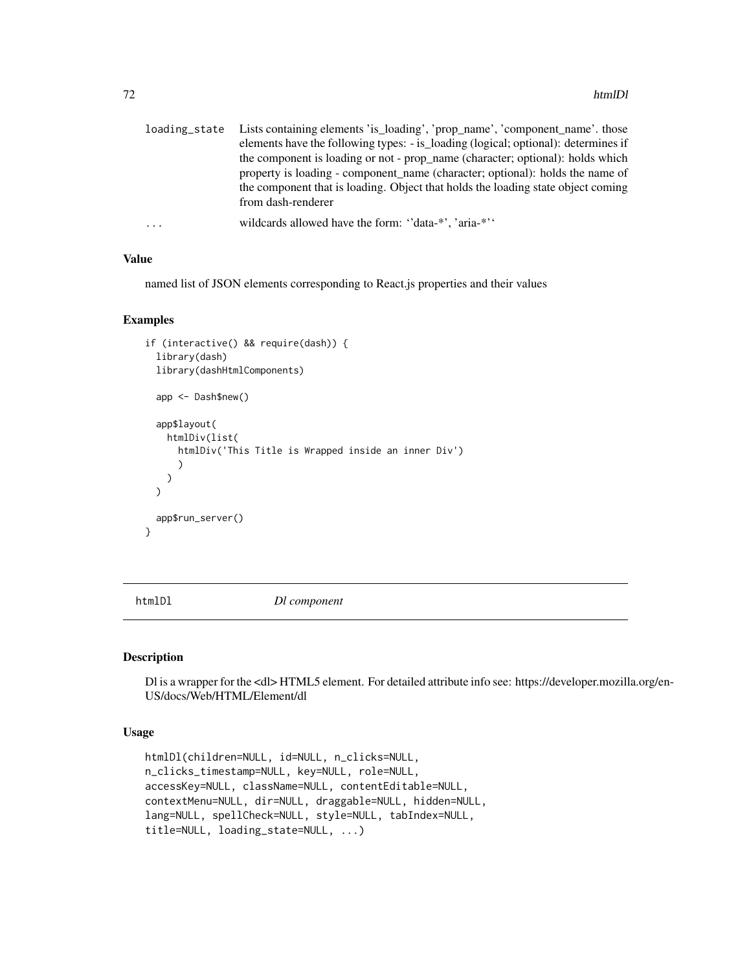| loading state | Lists containing elements 'is_loading', 'prop_name', 'component_name'. those       |
|---------------|------------------------------------------------------------------------------------|
|               | elements have the following types: - is_loading (logical; optional): determines if |
|               | the component is loading or not - prop_name (character; optional): holds which     |
|               | property is loading - component name (character; optional): holds the name of      |
|               | the component that is loading. Object that holds the loading state object coming   |
|               | from dash-renderer                                                                 |
| $\cdots$      | wildcards allowed have the form: "data-*", 'aria-*"                                |

named list of JSON elements corresponding to React.js properties and their values

#### Examples

```
if (interactive() && require(dash)) {
 library(dash)
 library(dashHtmlComponents)
 app <- Dash$new()
 app$layout(
   htmlDiv(list(
      htmlDiv('This Title is Wrapped inside an inner Div')
      )
   )
 \lambdaapp$run_server()
}
```
htmlDl *Dl component*

### Description

Dl is a wrapper for the <dl> HTML5 element. For detailed attribute info see: https://developer.mozilla.org/en-US/docs/Web/HTML/Element/dl

#### Usage

```
htmlDl(children=NULL, id=NULL, n_clicks=NULL,
n_clicks_timestamp=NULL, key=NULL, role=NULL,
accessKey=NULL, className=NULL, contentEditable=NULL,
contextMenu=NULL, dir=NULL, draggable=NULL, hidden=NULL,
lang=NULL, spellCheck=NULL, style=NULL, tabIndex=NULL,
title=NULL, loading_state=NULL, ...)
```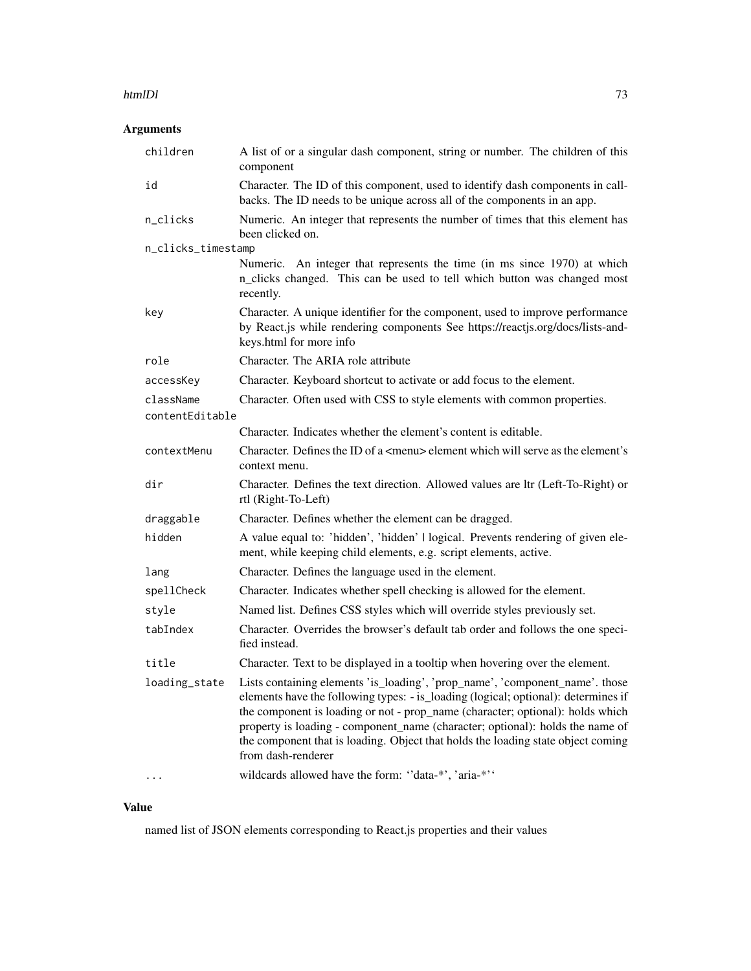### htmlDl 33

# Arguments

| children           | A list of or a singular dash component, string or number. The children of this<br>component                                                                                                                                                                                                                                                                                                                                                     |
|--------------------|-------------------------------------------------------------------------------------------------------------------------------------------------------------------------------------------------------------------------------------------------------------------------------------------------------------------------------------------------------------------------------------------------------------------------------------------------|
| id                 | Character. The ID of this component, used to identify dash components in call-<br>backs. The ID needs to be unique across all of the components in an app.                                                                                                                                                                                                                                                                                      |
| n_clicks           | Numeric. An integer that represents the number of times that this element has<br>been clicked on.                                                                                                                                                                                                                                                                                                                                               |
| n_clicks_timestamp |                                                                                                                                                                                                                                                                                                                                                                                                                                                 |
|                    | Numeric. An integer that represents the time (in ms since 1970) at which<br>n_clicks changed. This can be used to tell which button was changed most<br>recently.                                                                                                                                                                                                                                                                               |
| key                | Character. A unique identifier for the component, used to improve performance<br>by React.js while rendering components See https://reactjs.org/docs/lists-and-<br>keys.html for more info                                                                                                                                                                                                                                                      |
| role               | Character. The ARIA role attribute                                                                                                                                                                                                                                                                                                                                                                                                              |
| accessKey          | Character. Keyboard shortcut to activate or add focus to the element.                                                                                                                                                                                                                                                                                                                                                                           |
| className          | Character. Often used with CSS to style elements with common properties.                                                                                                                                                                                                                                                                                                                                                                        |
| contentEditable    |                                                                                                                                                                                                                                                                                                                                                                                                                                                 |
|                    | Character. Indicates whether the element's content is editable.                                                                                                                                                                                                                                                                                                                                                                                 |
| contextMenu        | Character. Defines the ID of a <menu> element which will serve as the element's<br/>context menu.</menu>                                                                                                                                                                                                                                                                                                                                        |
| dir                | Character. Defines the text direction. Allowed values are ltr (Left-To-Right) or<br>rtl (Right-To-Left)                                                                                                                                                                                                                                                                                                                                         |
| draggable          | Character. Defines whether the element can be dragged.                                                                                                                                                                                                                                                                                                                                                                                          |
| hidden             | A value equal to: 'hidden', 'hidden'   logical. Prevents rendering of given ele-<br>ment, while keeping child elements, e.g. script elements, active.                                                                                                                                                                                                                                                                                           |
| lang               | Character. Defines the language used in the element.                                                                                                                                                                                                                                                                                                                                                                                            |
| spellCheck         | Character. Indicates whether spell checking is allowed for the element.                                                                                                                                                                                                                                                                                                                                                                         |
| style              | Named list. Defines CSS styles which will override styles previously set.                                                                                                                                                                                                                                                                                                                                                                       |
| tabIndex           | Character. Overrides the browser's default tab order and follows the one speci-<br>fied instead.                                                                                                                                                                                                                                                                                                                                                |
| title              | Character. Text to be displayed in a tooltip when hovering over the element.                                                                                                                                                                                                                                                                                                                                                                    |
| loading_state      | Lists containing elements 'is_loading', 'prop_name', 'component_name'. those<br>elements have the following types: - is_loading (logical; optional): determines if<br>the component is loading or not - prop_name (character; optional): holds which<br>property is loading - component_name (character; optional): holds the name of<br>the component that is loading. Object that holds the loading state object coming<br>from dash-renderer |
|                    | wildcards allowed have the form: "data-*', 'aria-*''                                                                                                                                                                                                                                                                                                                                                                                            |

# Value

named list of JSON elements corresponding to React.js properties and their values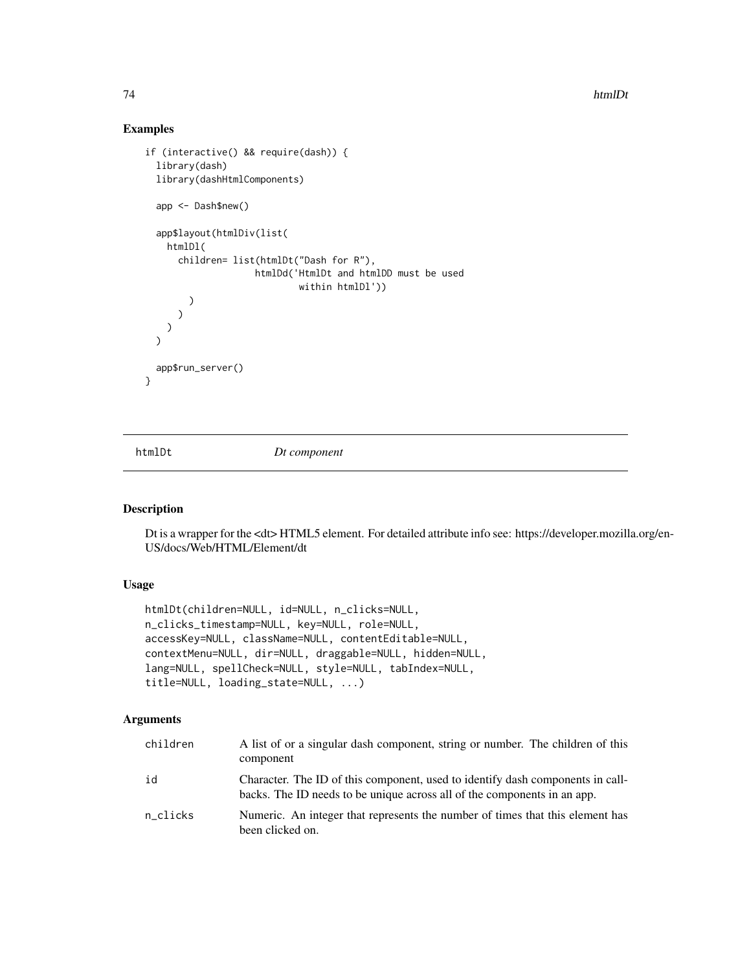74 htmlDt and the control of the control of the control of the control of the control of the control of the control of the control of the control of the control of the control of the control of the control of the control o

# Examples

```
if (interactive() && require(dash)) {
 library(dash)
 library(dashHtmlComponents)
 app <- Dash$new()
 app$layout(htmlDiv(list(
   htmlDl(
      children= list(htmlDt("Dash for R"),
                    htmlDd('HtmlDt and htmlDD must be used
                            within htmlDl'))
        )
      )
   )
 \lambdaapp$run_server()
}
```
htmlDt *Dt component*

## Description

Dt is a wrapper for the <dt> HTML5 element. For detailed attribute info see: https://developer.mozilla.org/en-US/docs/Web/HTML/Element/dt

# Usage

```
htmlDt(children=NULL, id=NULL, n_clicks=NULL,
n_clicks_timestamp=NULL, key=NULL, role=NULL,
accessKey=NULL, className=NULL, contentEditable=NULL,
contextMenu=NULL, dir=NULL, draggable=NULL, hidden=NULL,
lang=NULL, spellCheck=NULL, style=NULL, tabIndex=NULL,
title=NULL, loading_state=NULL, ...)
```

| children | A list of or a singular dash component, string or number. The children of this<br>component                                                                |
|----------|------------------------------------------------------------------------------------------------------------------------------------------------------------|
| id       | Character. The ID of this component, used to identify dash components in call-<br>backs. The ID needs to be unique across all of the components in an app. |
| n_clicks | Numeric. An integer that represents the number of times that this element has<br>been clicked on.                                                          |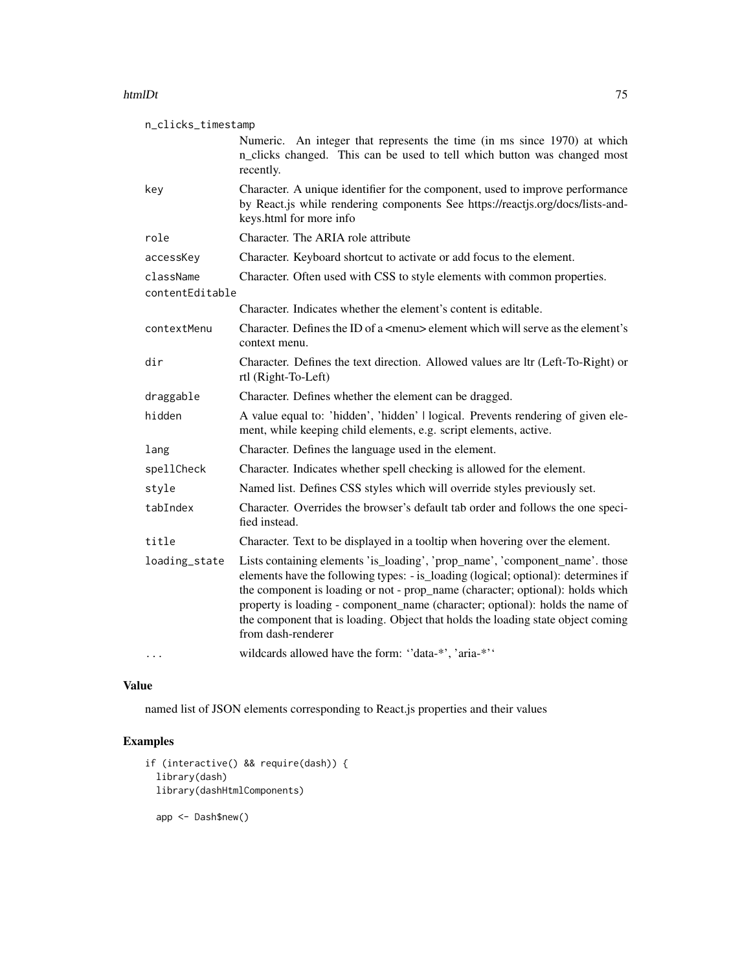### htmlDt 75

| n_clicks_timestamp           |                                                                                                                                                                                                                                                                                                                                                                                                                                                 |
|------------------------------|-------------------------------------------------------------------------------------------------------------------------------------------------------------------------------------------------------------------------------------------------------------------------------------------------------------------------------------------------------------------------------------------------------------------------------------------------|
|                              | Numeric. An integer that represents the time (in ms since 1970) at which<br>n_clicks changed. This can be used to tell which button was changed most<br>recently.                                                                                                                                                                                                                                                                               |
| key                          | Character. A unique identifier for the component, used to improve performance<br>by React.js while rendering components See https://reactjs.org/docs/lists-and-<br>keys.html for more info                                                                                                                                                                                                                                                      |
| role                         | Character. The ARIA role attribute                                                                                                                                                                                                                                                                                                                                                                                                              |
| accessKey                    | Character. Keyboard shortcut to activate or add focus to the element.                                                                                                                                                                                                                                                                                                                                                                           |
| className<br>contentEditable | Character. Often used with CSS to style elements with common properties.                                                                                                                                                                                                                                                                                                                                                                        |
|                              | Character. Indicates whether the element's content is editable.                                                                                                                                                                                                                                                                                                                                                                                 |
| contextMenu                  | Character. Defines the ID of a <menu> element which will serve as the element's<br/>context menu.</menu>                                                                                                                                                                                                                                                                                                                                        |
| dir                          | Character. Defines the text direction. Allowed values are ltr (Left-To-Right) or<br>rtl (Right-To-Left)                                                                                                                                                                                                                                                                                                                                         |
| draggable                    | Character. Defines whether the element can be dragged.                                                                                                                                                                                                                                                                                                                                                                                          |
| hidden                       | A value equal to: 'hidden', 'hidden'   logical. Prevents rendering of given ele-<br>ment, while keeping child elements, e.g. script elements, active.                                                                                                                                                                                                                                                                                           |
| lang                         | Character. Defines the language used in the element.                                                                                                                                                                                                                                                                                                                                                                                            |
| spellCheck                   | Character. Indicates whether spell checking is allowed for the element.                                                                                                                                                                                                                                                                                                                                                                         |
| style                        | Named list. Defines CSS styles which will override styles previously set.                                                                                                                                                                                                                                                                                                                                                                       |
| tabIndex                     | Character. Overrides the browser's default tab order and follows the one speci-<br>fied instead.                                                                                                                                                                                                                                                                                                                                                |
| title                        | Character. Text to be displayed in a tooltip when hovering over the element.                                                                                                                                                                                                                                                                                                                                                                    |
| loading_state                | Lists containing elements 'is_loading', 'prop_name', 'component_name'. those<br>elements have the following types: - is_loading (logical; optional): determines if<br>the component is loading or not - prop_name (character; optional): holds which<br>property is loading - component_name (character; optional): holds the name of<br>the component that is loading. Object that holds the loading state object coming<br>from dash-renderer |
| $\cdots$                     | wildcards allowed have the form: "data-*', 'aria-*''                                                                                                                                                                                                                                                                                                                                                                                            |

## Value

named list of JSON elements corresponding to React.js properties and their values

# Examples

```
if (interactive() && require(dash)) {
 library(dash)
 library(dashHtmlComponents)
  app <- Dash$new()
```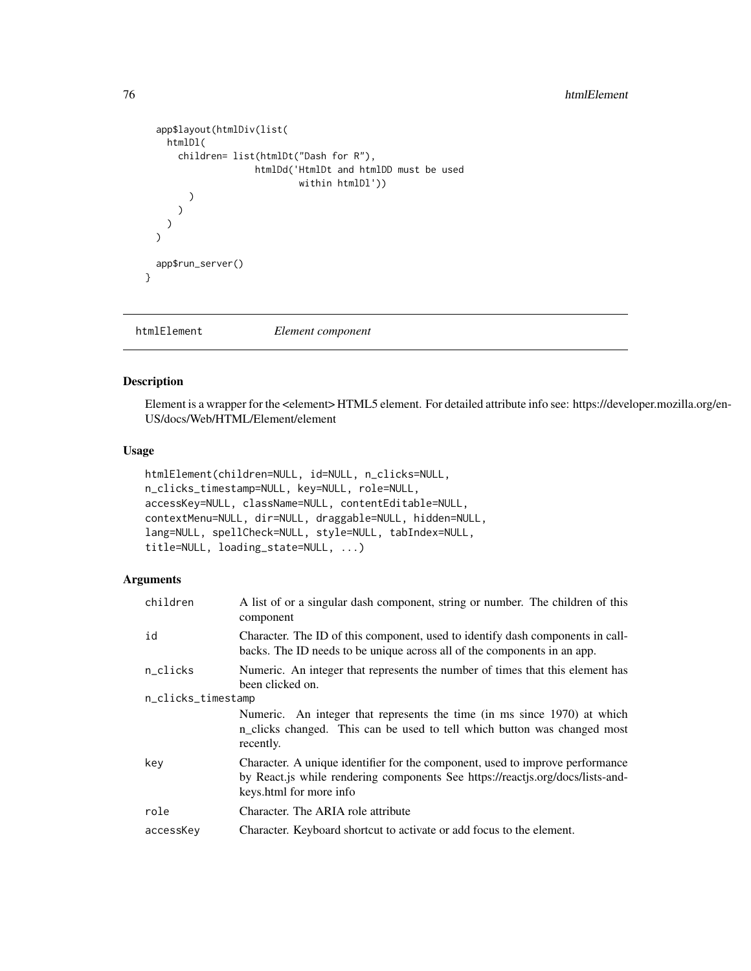```
app$layout(htmlDiv(list(
   htmlDl(
      children= list(htmlDt("Dash for R"),
                     htmlDd('HtmlDt and htmlDD must be used
                             within htmlDl'))
        )
      )
   )
 \mathcal{L}app$run_server()
}
```
htmlElement *Element component*

## Description

Element is a wrapper for the <element> HTML5 element. For detailed attribute info see: https://developer.mozilla.org/en-US/docs/Web/HTML/Element/element

## Usage

```
htmlElement(children=NULL, id=NULL, n_clicks=NULL,
n_clicks_timestamp=NULL, key=NULL, role=NULL,
accessKey=NULL, className=NULL, contentEditable=NULL,
contextMenu=NULL, dir=NULL, draggable=NULL, hidden=NULL,
lang=NULL, spellCheck=NULL, style=NULL, tabIndex=NULL,
title=NULL, loading_state=NULL, ...)
```

| children           | A list of or a singular dash component, string or number. The children of this<br>component                                                                                                |
|--------------------|--------------------------------------------------------------------------------------------------------------------------------------------------------------------------------------------|
| id                 | Character. The ID of this component, used to identify dash components in call-<br>backs. The ID needs to be unique across all of the components in an app.                                 |
| n_clicks           | Numeric. An integer that represents the number of times that this element has<br>been clicked on.                                                                                          |
| n_clicks_timestamp |                                                                                                                                                                                            |
|                    | Numeric. An integer that represents the time (in ms since 1970) at which<br>n_clicks changed. This can be used to tell which button was changed most<br>recently.                          |
| key                | Character. A unique identifier for the component, used to improve performance<br>by React.js while rendering components See https://reactjs.org/docs/lists-and-<br>keys.html for more info |
| role               | Character. The ARIA role attribute                                                                                                                                                         |
| accessKey          | Character. Keyboard shortcut to activate or add focus to the element.                                                                                                                      |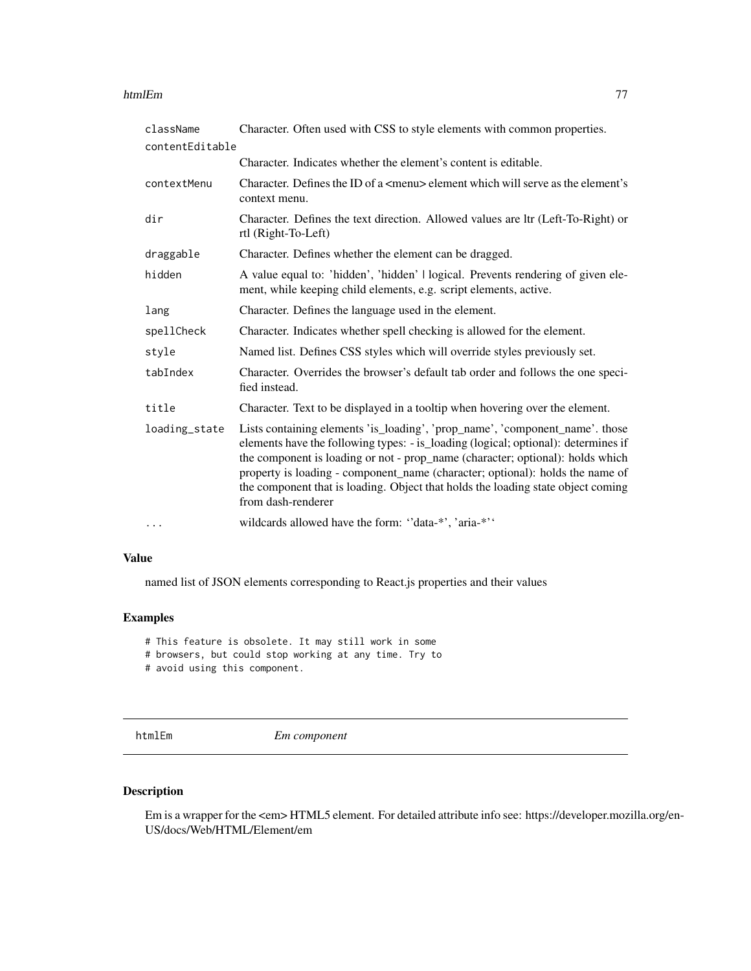#### htmlEm 277

| className       | Character. Often used with CSS to style elements with common properties.                                                                                                                                                                                                                                                                                                                                                                        |
|-----------------|-------------------------------------------------------------------------------------------------------------------------------------------------------------------------------------------------------------------------------------------------------------------------------------------------------------------------------------------------------------------------------------------------------------------------------------------------|
| contentEditable |                                                                                                                                                                                                                                                                                                                                                                                                                                                 |
|                 | Character. Indicates whether the element's content is editable.                                                                                                                                                                                                                                                                                                                                                                                 |
| contextMenu     | Character. Defines the ID of a $\leq$ menu $\geq$ element which will serve as the element's<br>context menu.                                                                                                                                                                                                                                                                                                                                    |
| dir             | Character. Defines the text direction. Allowed values are ltr (Left-To-Right) or<br>rtl (Right-To-Left)                                                                                                                                                                                                                                                                                                                                         |
| draggable       | Character. Defines whether the element can be dragged.                                                                                                                                                                                                                                                                                                                                                                                          |
| hidden          | A value equal to: 'hidden', 'hidden'   logical. Prevents rendering of given ele-<br>ment, while keeping child elements, e.g. script elements, active.                                                                                                                                                                                                                                                                                           |
| lang            | Character. Defines the language used in the element.                                                                                                                                                                                                                                                                                                                                                                                            |
| spellCheck      | Character. Indicates whether spell checking is allowed for the element.                                                                                                                                                                                                                                                                                                                                                                         |
| style           | Named list. Defines CSS styles which will override styles previously set.                                                                                                                                                                                                                                                                                                                                                                       |
| tabIndex        | Character. Overrides the browser's default tab order and follows the one speci-<br>fied instead.                                                                                                                                                                                                                                                                                                                                                |
| title           | Character. Text to be displayed in a tooltip when hovering over the element.                                                                                                                                                                                                                                                                                                                                                                    |
| loading_state   | Lists containing elements 'is_loading', 'prop_name', 'component_name'. those<br>elements have the following types: - is_loading (logical; optional): determines if<br>the component is loading or not - prop_name (character; optional): holds which<br>property is loading - component_name (character; optional): holds the name of<br>the component that is loading. Object that holds the loading state object coming<br>from dash-renderer |
| $\cdots$        | wildcards allowed have the form: "data-*', 'aria-*''                                                                                                                                                                                                                                                                                                                                                                                            |

## Value

named list of JSON elements corresponding to React.js properties and their values

## Examples

# This feature is obsolete. It may still work in some

- # browsers, but could stop working at any time. Try to
- # avoid using this component.

htmlEm *Em component*

# Description

Em is a wrapper for the <em> HTML5 element. For detailed attribute info see: https://developer.mozilla.org/en-US/docs/Web/HTML/Element/em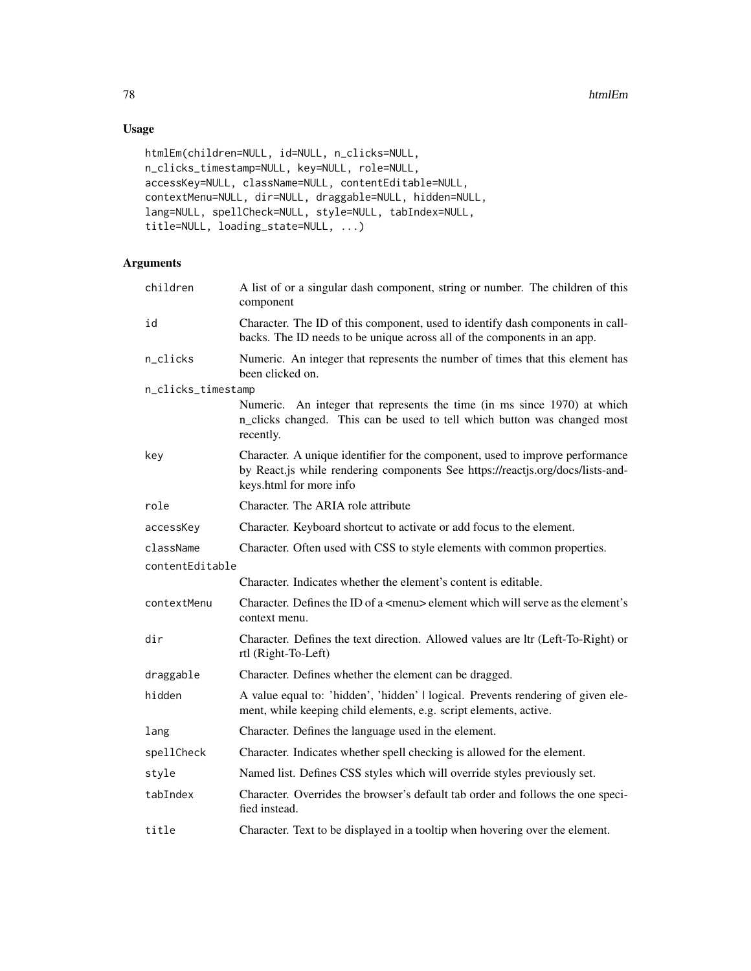# Usage

```
htmlEm(children=NULL, id=NULL, n_clicks=NULL,
n_clicks_timestamp=NULL, key=NULL, role=NULL,
accessKey=NULL, className=NULL, contentEditable=NULL,
contextMenu=NULL, dir=NULL, draggable=NULL, hidden=NULL,
lang=NULL, spellCheck=NULL, style=NULL, tabIndex=NULL,
title=NULL, loading_state=NULL, ...)
```

| children           | A list of or a singular dash component, string or number. The children of this<br>component                                                                                                |
|--------------------|--------------------------------------------------------------------------------------------------------------------------------------------------------------------------------------------|
| id                 | Character. The ID of this component, used to identify dash components in call-<br>backs. The ID needs to be unique across all of the components in an app.                                 |
| n_clicks           | Numeric. An integer that represents the number of times that this element has<br>been clicked on.                                                                                          |
| n_clicks_timestamp |                                                                                                                                                                                            |
|                    | Numeric. An integer that represents the time (in ms since 1970) at which<br>n_clicks changed. This can be used to tell which button was changed most<br>recently.                          |
| key                | Character. A unique identifier for the component, used to improve performance<br>by React.js while rendering components See https://reactjs.org/docs/lists-and-<br>keys.html for more info |
| role               | Character. The ARIA role attribute                                                                                                                                                         |
| accessKey          | Character. Keyboard shortcut to activate or add focus to the element.                                                                                                                      |
| className          | Character. Often used with CSS to style elements with common properties.                                                                                                                   |
| contentEditable    |                                                                                                                                                                                            |
|                    | Character. Indicates whether the element's content is editable.                                                                                                                            |
| contextMenu        | Character. Defines the ID of a <menu> element which will serve as the element's<br/>context menu.</menu>                                                                                   |
| dir                | Character. Defines the text direction. Allowed values are ltr (Left-To-Right) or<br>rtl (Right-To-Left)                                                                                    |
| draggable          | Character. Defines whether the element can be dragged.                                                                                                                                     |
| hidden             | A value equal to: 'hidden', 'hidden'   logical. Prevents rendering of given ele-<br>ment, while keeping child elements, e.g. script elements, active.                                      |
| lang               | Character. Defines the language used in the element.                                                                                                                                       |
| spellCheck         | Character. Indicates whether spell checking is allowed for the element.                                                                                                                    |
| style              | Named list. Defines CSS styles which will override styles previously set.                                                                                                                  |
| tabIndex           | Character. Overrides the browser's default tab order and follows the one speci-<br>fied instead.                                                                                           |
| title              | Character. Text to be displayed in a tooltip when hovering over the element.                                                                                                               |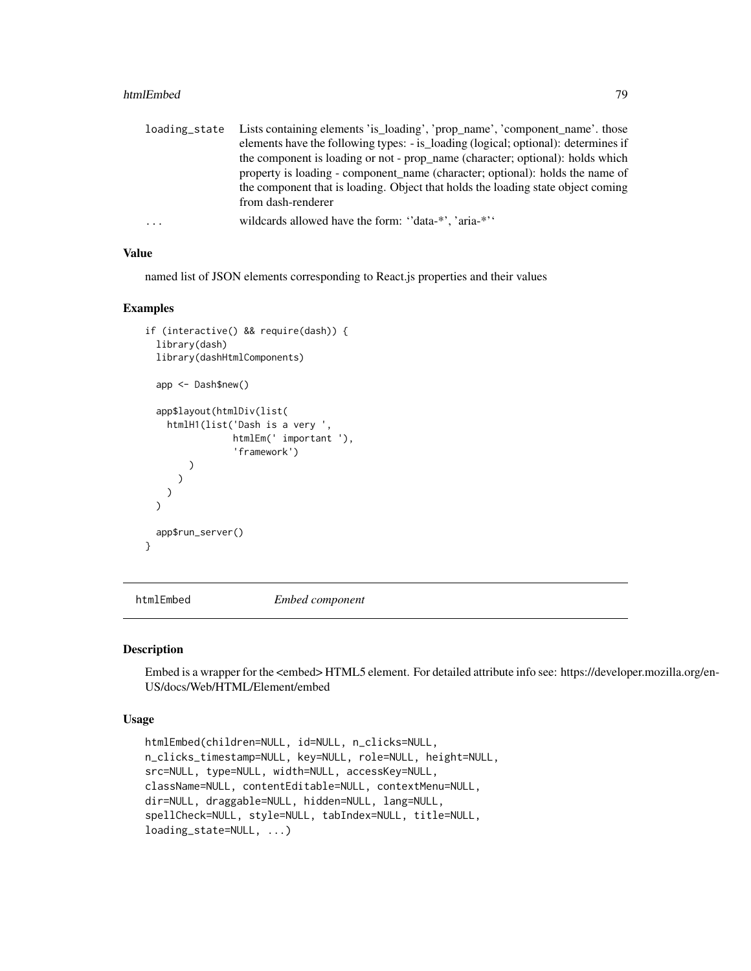### htmlEmbed 79

| loading_state | Lists containing elements 'is_loading', 'prop_name', 'component_name'. those       |
|---------------|------------------------------------------------------------------------------------|
|               | elements have the following types: - is_loading (logical; optional): determines if |
|               | the component is loading or not - prop_name (character; optional): holds which     |
|               | property is loading - component name (character; optional): holds the name of      |
|               | the component that is loading. Object that holds the loading state object coming   |
|               | from dash-renderer                                                                 |
| $\ddots$      | wildcards allowed have the form: "data-*", 'aria-*"                                |

### Value

named list of JSON elements corresponding to React.js properties and their values

### Examples

```
if (interactive() && require(dash)) {
 library(dash)
 library(dashHtmlComponents)
 app <- Dash$new()
 app$layout(htmlDiv(list(
   htmlH1(list('Dash is a very ',
                htmlEm(' important '),
                 'framework')
        )
      )
   )
 \lambdaapp$run_server()
}
```
htmlEmbed *Embed component*

#### Description

Embed is a wrapper for the <embed> HTML5 element. For detailed attribute info see: https://developer.mozilla.org/en-US/docs/Web/HTML/Element/embed

### Usage

```
htmlEmbed(children=NULL, id=NULL, n_clicks=NULL,
n_clicks_timestamp=NULL, key=NULL, role=NULL, height=NULL,
src=NULL, type=NULL, width=NULL, accessKey=NULL,
className=NULL, contentEditable=NULL, contextMenu=NULL,
dir=NULL, draggable=NULL, hidden=NULL, lang=NULL,
spellCheck=NULL, style=NULL, tabIndex=NULL, title=NULL,
loading_state=NULL, ...)
```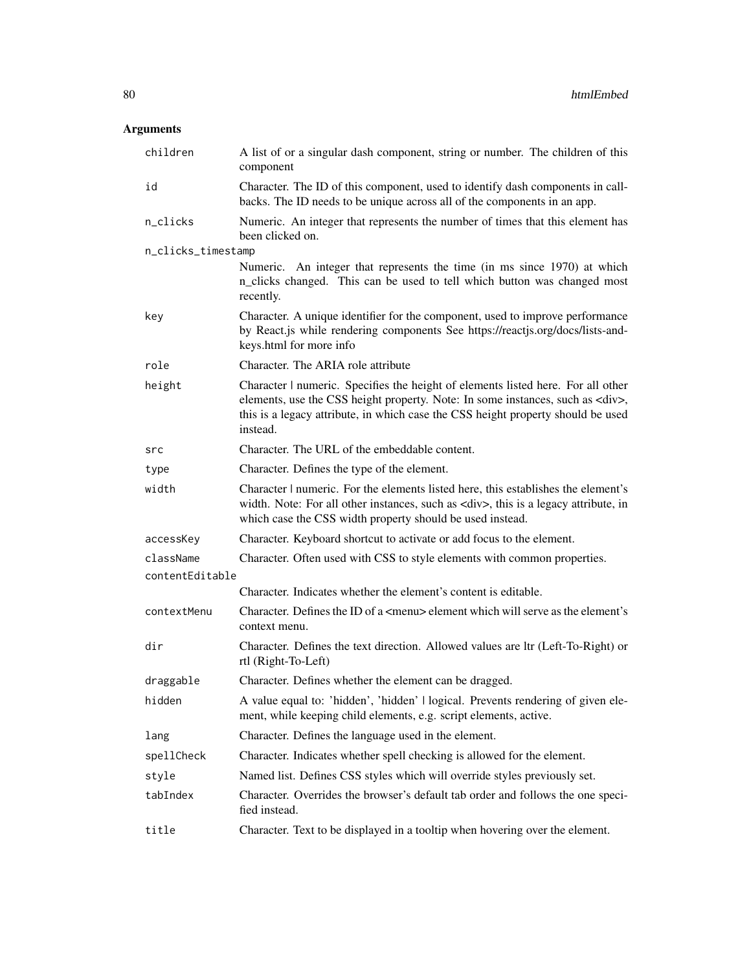| children           | A list of or a singular dash component, string or number. The children of this<br>component                                                                                                                                                                                |
|--------------------|----------------------------------------------------------------------------------------------------------------------------------------------------------------------------------------------------------------------------------------------------------------------------|
| id                 | Character. The ID of this component, used to identify dash components in call-<br>backs. The ID needs to be unique across all of the components in an app.                                                                                                                 |
| n_clicks           | Numeric. An integer that represents the number of times that this element has<br>been clicked on.                                                                                                                                                                          |
| n_clicks_timestamp |                                                                                                                                                                                                                                                                            |
|                    | Numeric. An integer that represents the time (in ms since 1970) at which<br>n_clicks changed. This can be used to tell which button was changed most<br>recently.                                                                                                          |
| key                | Character. A unique identifier for the component, used to improve performance<br>by React.js while rendering components See https://reactjs.org/docs/lists-and-<br>keys.html for more info                                                                                 |
| role               | Character. The ARIA role attribute                                                                                                                                                                                                                                         |
| height             | Character   numeric. Specifies the height of elements listed here. For all other<br>elements, use the CSS height property. Note: In some instances, such as <div>,<br/>this is a legacy attribute, in which case the CSS height property should be used<br/>instead.</div> |
| src                | Character. The URL of the embeddable content.                                                                                                                                                                                                                              |
| type               | Character. Defines the type of the element.                                                                                                                                                                                                                                |
| width              | Character   numeric. For the elements listed here, this establishes the element's<br>width. Note: For all other instances, such as <div>, this is a legacy attribute, in<br/>which case the CSS width property should be used instead.</div>                               |
| accessKey          | Character. Keyboard shortcut to activate or add focus to the element.                                                                                                                                                                                                      |
| className          | Character. Often used with CSS to style elements with common properties.                                                                                                                                                                                                   |
| contentEditable    |                                                                                                                                                                                                                                                                            |
|                    | Character. Indicates whether the element's content is editable.                                                                                                                                                                                                            |
| contextMenu        | Character. Defines the ID of a <menu> element which will serve as the element's<br/>context menu.</menu>                                                                                                                                                                   |
| dir                | Character. Defines the text direction. Allowed values are ltr (Left-To-Right) or<br>rtl (Right-To-Left)                                                                                                                                                                    |
| draggable          | Character. Defines whether the element can be dragged.                                                                                                                                                                                                                     |
| hidden             | A value equal to: 'hidden', 'hidden'   logical. Prevents rendering of given ele-<br>ment, while keeping child elements, e.g. script elements, active.                                                                                                                      |
| lang               | Character. Defines the language used in the element.                                                                                                                                                                                                                       |
| spellCheck         | Character. Indicates whether spell checking is allowed for the element.                                                                                                                                                                                                    |
| style              | Named list. Defines CSS styles which will override styles previously set.                                                                                                                                                                                                  |
| tabIndex           | Character. Overrides the browser's default tab order and follows the one speci-<br>fied instead.                                                                                                                                                                           |
| title              | Character. Text to be displayed in a tooltip when hovering over the element.                                                                                                                                                                                               |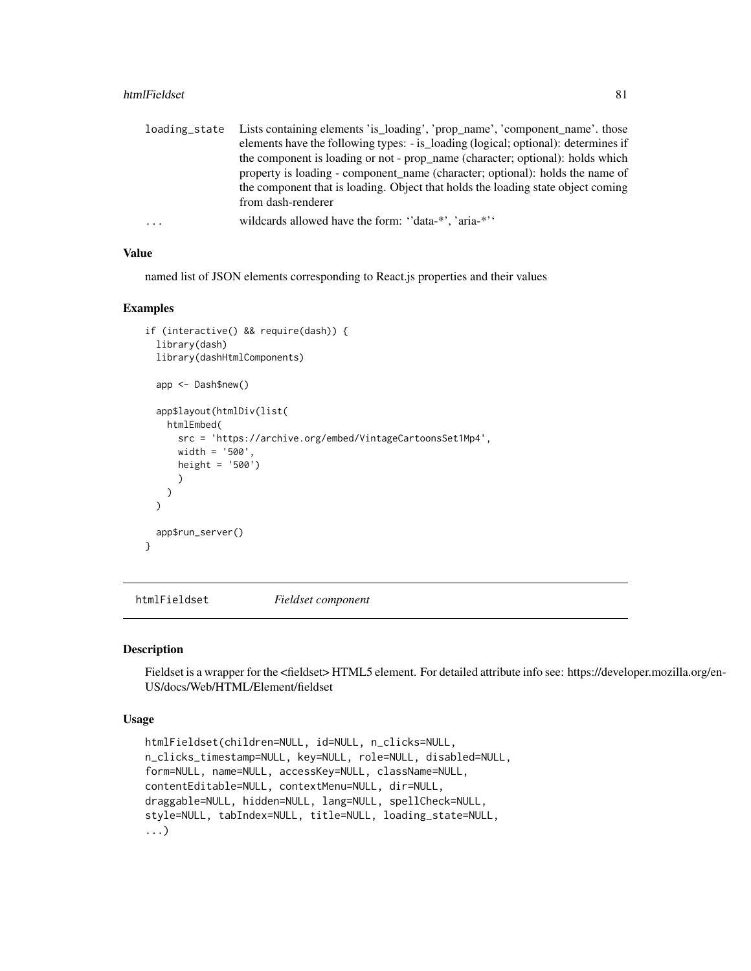### htmlFieldset 81

| loading_state | Lists containing elements 'is_loading', 'prop_name', 'component_name'. those       |
|---------------|------------------------------------------------------------------------------------|
|               | elements have the following types: - is_loading (logical; optional): determines if |
|               | the component is loading or not - prop_name (character; optional): holds which     |
|               | property is loading - component name (character; optional): holds the name of      |
|               | the component that is loading. Object that holds the loading state object coming   |
|               | from dash-renderer                                                                 |
| $\ddots$      | wildcards allowed have the form: "data-*", 'aria-*"                                |

## Value

named list of JSON elements corresponding to React.js properties and their values

### Examples

```
if (interactive() && require(dash)) {
 library(dash)
 library(dashHtmlComponents)
 app <- Dash$new()
 app$layout(htmlDiv(list(
   htmlEmbed(
      src = 'https://archive.org/embed/VintageCartoonsSet1Mp4',
      width = '500',
     height = '500')
      )
   )
 \lambdaapp$run_server()
}
```
htmlFieldset *Fieldset component*

#### Description

Fieldset is a wrapper for the <fieldset> HTML5 element. For detailed attribute info see: https://developer.mozilla.org/en-US/docs/Web/HTML/Element/fieldset

### Usage

```
htmlFieldset(children=NULL, id=NULL, n_clicks=NULL,
n_clicks_timestamp=NULL, key=NULL, role=NULL, disabled=NULL,
form=NULL, name=NULL, accessKey=NULL, className=NULL,
contentEditable=NULL, contextMenu=NULL, dir=NULL,
draggable=NULL, hidden=NULL, lang=NULL, spellCheck=NULL,
style=NULL, tabIndex=NULL, title=NULL, loading_state=NULL,
...)
```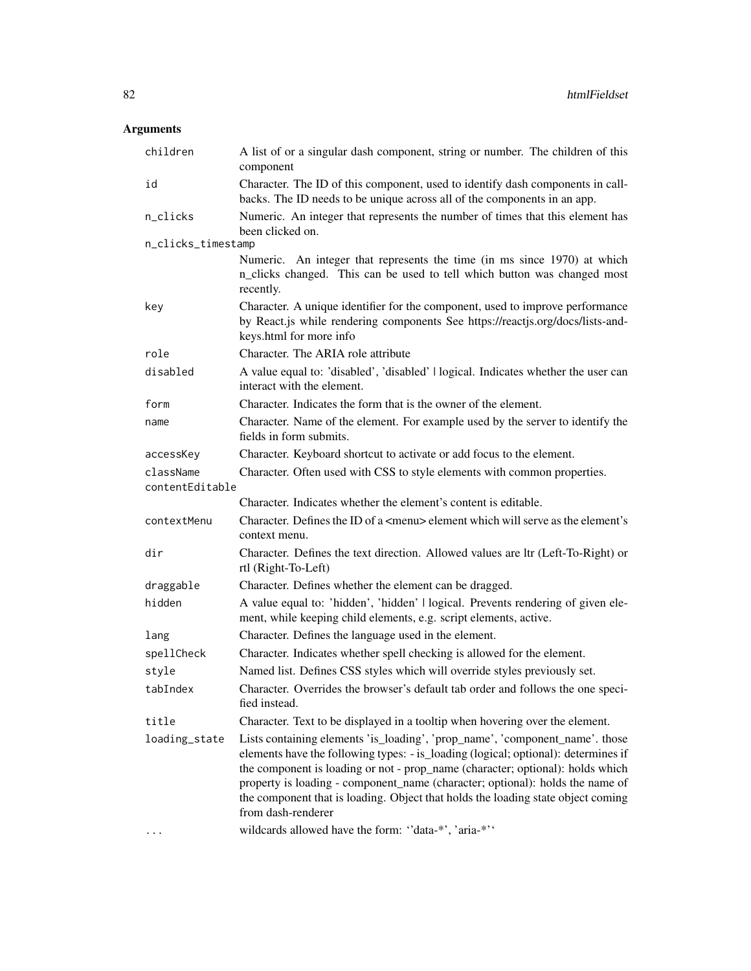| children           | A list of or a singular dash component, string or number. The children of this<br>component                                                                                                                                                                                                                                                                                                                                                     |
|--------------------|-------------------------------------------------------------------------------------------------------------------------------------------------------------------------------------------------------------------------------------------------------------------------------------------------------------------------------------------------------------------------------------------------------------------------------------------------|
| id                 | Character. The ID of this component, used to identify dash components in call-<br>backs. The ID needs to be unique across all of the components in an app.                                                                                                                                                                                                                                                                                      |
| n_clicks           | Numeric. An integer that represents the number of times that this element has<br>been clicked on.                                                                                                                                                                                                                                                                                                                                               |
| n_clicks_timestamp |                                                                                                                                                                                                                                                                                                                                                                                                                                                 |
|                    | Numeric. An integer that represents the time (in ms since 1970) at which<br>n_clicks changed. This can be used to tell which button was changed most<br>recently.                                                                                                                                                                                                                                                                               |
| key                | Character. A unique identifier for the component, used to improve performance<br>by React.js while rendering components See https://reactjs.org/docs/lists-and-<br>keys.html for more info                                                                                                                                                                                                                                                      |
| role               | Character. The ARIA role attribute                                                                                                                                                                                                                                                                                                                                                                                                              |
| disabled           | A value equal to: 'disabled', 'disabled'   logical. Indicates whether the user can<br>interact with the element.                                                                                                                                                                                                                                                                                                                                |
| form               | Character. Indicates the form that is the owner of the element.                                                                                                                                                                                                                                                                                                                                                                                 |
| name               | Character. Name of the element. For example used by the server to identify the<br>fields in form submits.                                                                                                                                                                                                                                                                                                                                       |
| accessKey          | Character. Keyboard shortcut to activate or add focus to the element.                                                                                                                                                                                                                                                                                                                                                                           |
| className          | Character. Often used with CSS to style elements with common properties.                                                                                                                                                                                                                                                                                                                                                                        |
| contentEditable    |                                                                                                                                                                                                                                                                                                                                                                                                                                                 |
|                    | Character. Indicates whether the element's content is editable.                                                                                                                                                                                                                                                                                                                                                                                 |
| contextMenu        | Character. Defines the ID of a <menu> element which will serve as the element's<br/>context menu.</menu>                                                                                                                                                                                                                                                                                                                                        |
| dir                | Character. Defines the text direction. Allowed values are ltr (Left-To-Right) or<br>rtl (Right-To-Left)                                                                                                                                                                                                                                                                                                                                         |
| draggable          | Character. Defines whether the element can be dragged.                                                                                                                                                                                                                                                                                                                                                                                          |
| hidden             | A value equal to: 'hidden', 'hidden'   logical. Prevents rendering of given ele-<br>ment, while keeping child elements, e.g. script elements, active.                                                                                                                                                                                                                                                                                           |
| lang               | Character. Defines the language used in the element.                                                                                                                                                                                                                                                                                                                                                                                            |
| spellCheck         | Character. Indicates whether spell checking is allowed for the element.                                                                                                                                                                                                                                                                                                                                                                         |
| style              | Named list. Defines CSS styles which will override styles previously set.                                                                                                                                                                                                                                                                                                                                                                       |
| tabIndex           | Character. Overrides the browser's default tab order and follows the one speci-<br>fied instead.                                                                                                                                                                                                                                                                                                                                                |
| title              | Character. Text to be displayed in a tooltip when hovering over the element.                                                                                                                                                                                                                                                                                                                                                                    |
| loading_state      | Lists containing elements 'is_loading', 'prop_name', 'component_name'. those<br>elements have the following types: - is_loading (logical; optional): determines if<br>the component is loading or not - prop_name (character; optional): holds which<br>property is loading - component_name (character; optional): holds the name of<br>the component that is loading. Object that holds the loading state object coming<br>from dash-renderer |
|                    | wildcards allowed have the form: "data-*', 'aria-*''                                                                                                                                                                                                                                                                                                                                                                                            |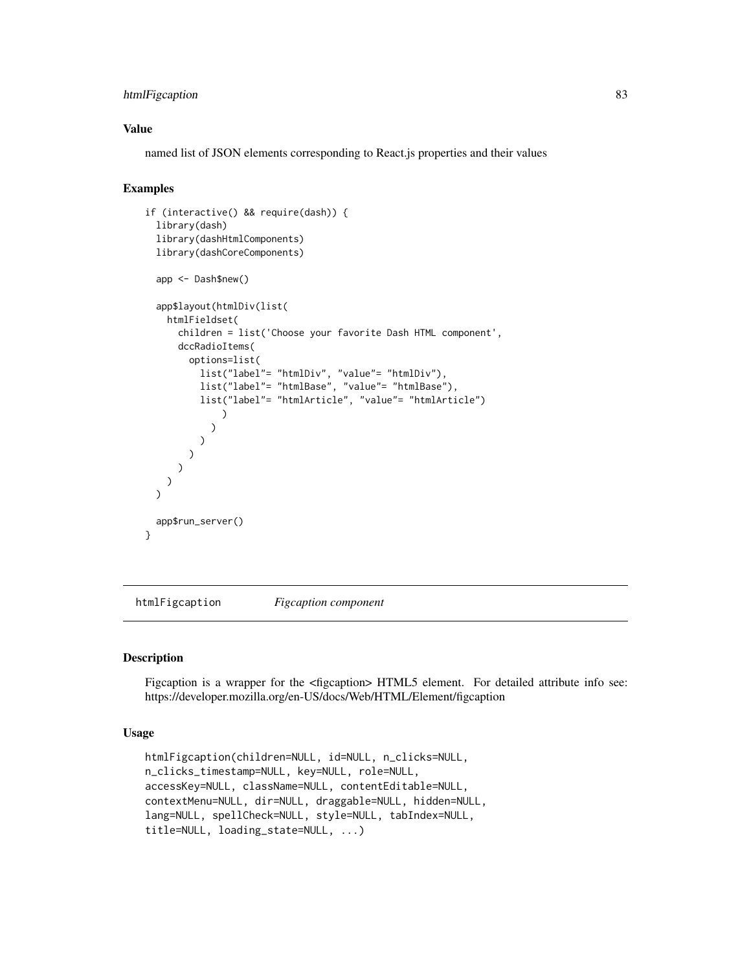# htmlFigcaption 83

## Value

named list of JSON elements corresponding to React.js properties and their values

# Examples

```
if (interactive() && require(dash)) {
 library(dash)
 library(dashHtmlComponents)
 library(dashCoreComponents)
 app <- Dash$new()
 app$layout(htmlDiv(list(
   htmlFieldset(
      children = list('Choose your favorite Dash HTML component',
      dccRadioItems(
       options=list(
          list("label"= "htmlDiv", "value"= "htmlDiv"),
          list("label"= "htmlBase", "value"= "htmlBase"),
          list("label"= "htmlArticle", "value"= "htmlArticle")
              )
            )
         )
       )
     )
   )
 \lambdaapp$run_server()
}
```
htmlFigcaption *Figcaption component*

## Description

Figcaption is a wrapper for the  $\langle$  figcaption> HTML5 element. For detailed attribute info see: https://developer.mozilla.org/en-US/docs/Web/HTML/Element/figcaption

## Usage

```
htmlFigcaption(children=NULL, id=NULL, n_clicks=NULL,
n_clicks_timestamp=NULL, key=NULL, role=NULL,
accessKey=NULL, className=NULL, contentEditable=NULL,
contextMenu=NULL, dir=NULL, draggable=NULL, hidden=NULL,
lang=NULL, spellCheck=NULL, style=NULL, tabIndex=NULL,
title=NULL, loading_state=NULL, ...)
```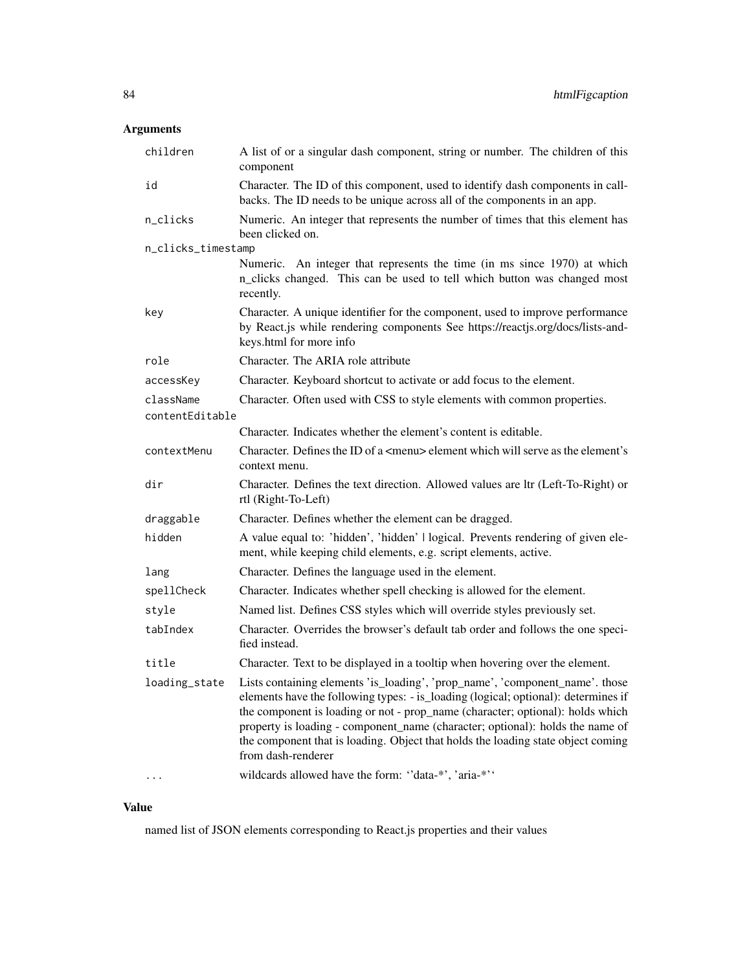# Arguments

| children           | A list of or a singular dash component, string or number. The children of this<br>component                                                                                                                                                                                                                                                                                                                                                     |
|--------------------|-------------------------------------------------------------------------------------------------------------------------------------------------------------------------------------------------------------------------------------------------------------------------------------------------------------------------------------------------------------------------------------------------------------------------------------------------|
| id                 | Character. The ID of this component, used to identify dash components in call-<br>backs. The ID needs to be unique across all of the components in an app.                                                                                                                                                                                                                                                                                      |
| n_clicks           | Numeric. An integer that represents the number of times that this element has<br>been clicked on.                                                                                                                                                                                                                                                                                                                                               |
| n_clicks_timestamp |                                                                                                                                                                                                                                                                                                                                                                                                                                                 |
|                    | Numeric. An integer that represents the time (in ms since 1970) at which<br>n_clicks changed. This can be used to tell which button was changed most<br>recently.                                                                                                                                                                                                                                                                               |
| key                | Character. A unique identifier for the component, used to improve performance<br>by React.js while rendering components See https://reactjs.org/docs/lists-and-<br>keys.html for more info                                                                                                                                                                                                                                                      |
| role               | Character. The ARIA role attribute                                                                                                                                                                                                                                                                                                                                                                                                              |
| accessKey          | Character. Keyboard shortcut to activate or add focus to the element.                                                                                                                                                                                                                                                                                                                                                                           |
| className          | Character. Often used with CSS to style elements with common properties.                                                                                                                                                                                                                                                                                                                                                                        |
| contentEditable    |                                                                                                                                                                                                                                                                                                                                                                                                                                                 |
|                    | Character. Indicates whether the element's content is editable.                                                                                                                                                                                                                                                                                                                                                                                 |
| contextMenu        | Character. Defines the ID of a <menu> element which will serve as the element's<br/>context menu.</menu>                                                                                                                                                                                                                                                                                                                                        |
| dir                | Character. Defines the text direction. Allowed values are ltr (Left-To-Right) or<br>rtl (Right-To-Left)                                                                                                                                                                                                                                                                                                                                         |
| draggable          | Character. Defines whether the element can be dragged.                                                                                                                                                                                                                                                                                                                                                                                          |
| hidden             | A value equal to: 'hidden', 'hidden'   logical. Prevents rendering of given ele-<br>ment, while keeping child elements, e.g. script elements, active.                                                                                                                                                                                                                                                                                           |
| lang               | Character. Defines the language used in the element.                                                                                                                                                                                                                                                                                                                                                                                            |
| spellCheck         | Character. Indicates whether spell checking is allowed for the element.                                                                                                                                                                                                                                                                                                                                                                         |
| style              | Named list. Defines CSS styles which will override styles previously set.                                                                                                                                                                                                                                                                                                                                                                       |
| tabIndex           | Character. Overrides the browser's default tab order and follows the one speci-<br>fied instead.                                                                                                                                                                                                                                                                                                                                                |
| title              | Character. Text to be displayed in a tooltip when hovering over the element.                                                                                                                                                                                                                                                                                                                                                                    |
| loading_state      | Lists containing elements 'is_loading', 'prop_name', 'component_name'. those<br>elements have the following types: - is_loading (logical; optional): determines if<br>the component is loading or not - prop_name (character; optional): holds which<br>property is loading - component_name (character; optional): holds the name of<br>the component that is loading. Object that holds the loading state object coming<br>from dash-renderer |
|                    | wildcards allowed have the form: "data-*', 'aria-*''                                                                                                                                                                                                                                                                                                                                                                                            |

# Value

named list of JSON elements corresponding to React.js properties and their values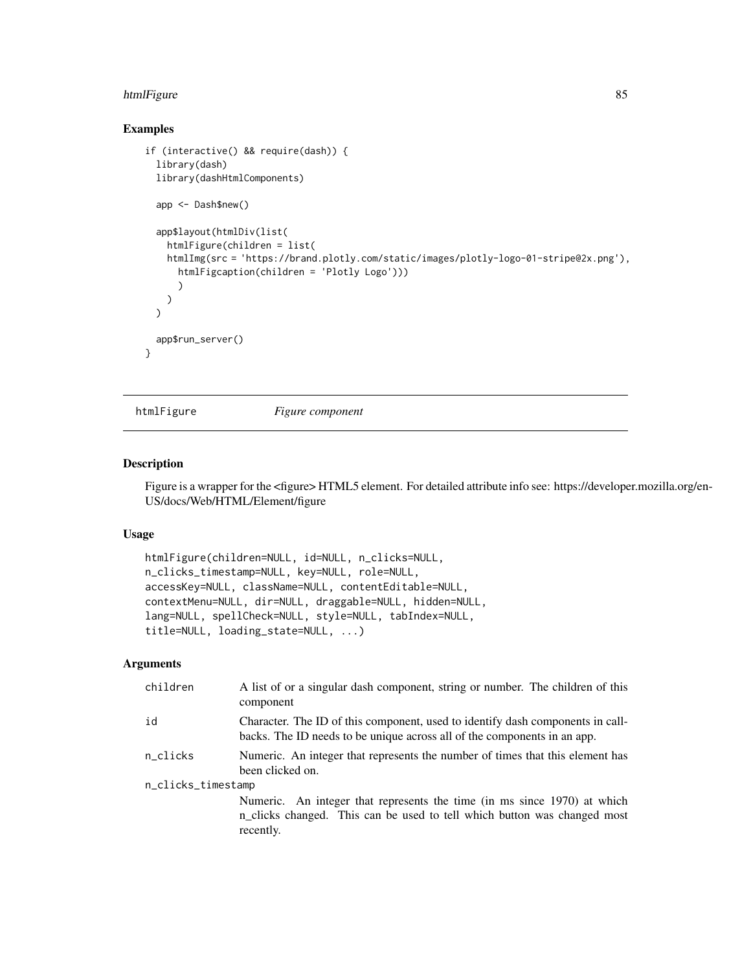#### htmlFigure 85

## Examples

```
if (interactive() && require(dash)) {
 library(dash)
 library(dashHtmlComponents)
 app <- Dash$new()
 app$layout(htmlDiv(list(
   htmlFigure(children = list(
   htmlImg(src = 'https://brand.plotly.com/static/images/plotly-logo-01-stripe@2x.png'),
     htmlFigcaption(children = 'Plotly Logo')))
      )
   )
 \mathcal{L}app$run_server()
}
```
htmlFigure *Figure component*

#### Description

Figure is a wrapper for the <figure> HTML5 element. For detailed attribute info see: https://developer.mozilla.org/en-US/docs/Web/HTML/Element/figure

#### Usage

```
htmlFigure(children=NULL, id=NULL, n_clicks=NULL,
n_clicks_timestamp=NULL, key=NULL, role=NULL,
accessKey=NULL, className=NULL, contentEditable=NULL,
contextMenu=NULL, dir=NULL, draggable=NULL, hidden=NULL,
lang=NULL, spellCheck=NULL, style=NULL, tabIndex=NULL,
title=NULL, loading_state=NULL, ...)
```

| children           | A list of or a singular dash component, string or number. The children of this<br>component                                                                       |  |
|--------------------|-------------------------------------------------------------------------------------------------------------------------------------------------------------------|--|
| id                 | Character. The ID of this component, used to identify dash components in call-<br>backs. The ID needs to be unique across all of the components in an app.        |  |
| n_clicks           | Numeric. An integer that represents the number of times that this element has<br>been clicked on.                                                                 |  |
| n_clicks_timestamp |                                                                                                                                                                   |  |
|                    | Numeric. An integer that represents the time (in ms since 1970) at which<br>n_clicks changed. This can be used to tell which button was changed most<br>recently. |  |
|                    |                                                                                                                                                                   |  |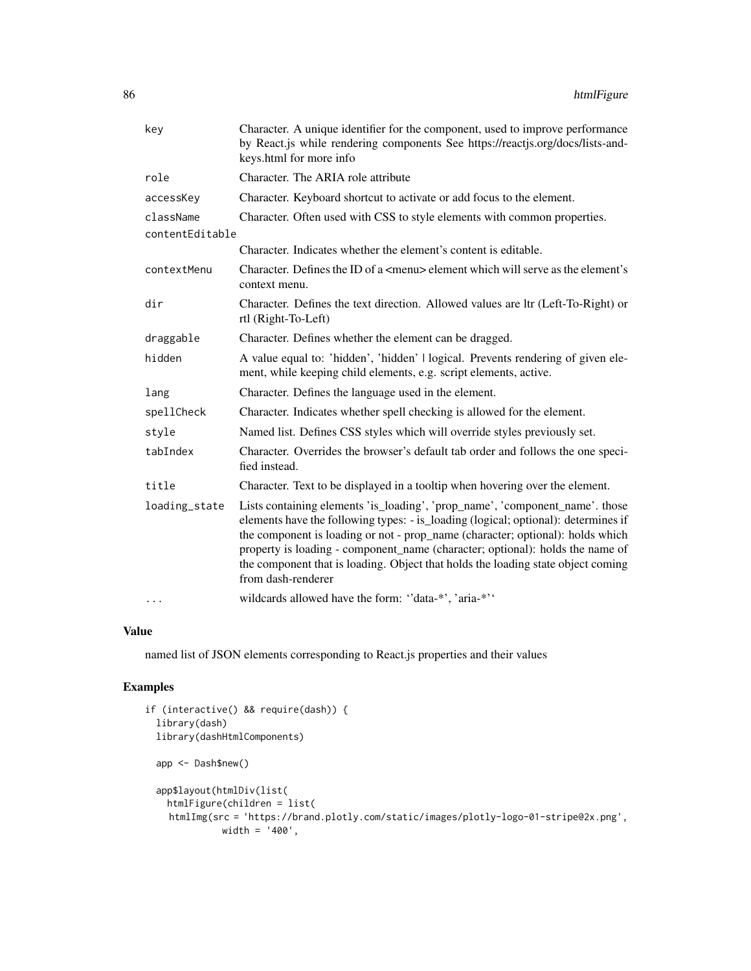| key             | Character. A unique identifier for the component, used to improve performance<br>by React.js while rendering components See https://reactjs.org/docs/lists-and-<br>keys.html for more info                                                                                                                                                                                                                                                      |
|-----------------|-------------------------------------------------------------------------------------------------------------------------------------------------------------------------------------------------------------------------------------------------------------------------------------------------------------------------------------------------------------------------------------------------------------------------------------------------|
| role            | Character. The ARIA role attribute                                                                                                                                                                                                                                                                                                                                                                                                              |
| accessKey       | Character. Keyboard shortcut to activate or add focus to the element.                                                                                                                                                                                                                                                                                                                                                                           |
| className       | Character. Often used with CSS to style elements with common properties.                                                                                                                                                                                                                                                                                                                                                                        |
| contentEditable |                                                                                                                                                                                                                                                                                                                                                                                                                                                 |
|                 | Character. Indicates whether the element's content is editable.                                                                                                                                                                                                                                                                                                                                                                                 |
| contextMenu     | Character. Defines the ID of a <menu> element which will serve as the element's<br/>context menu.</menu>                                                                                                                                                                                                                                                                                                                                        |
| dir             | Character. Defines the text direction. Allowed values are ltr (Left-To-Right) or<br>rtl (Right-To-Left)                                                                                                                                                                                                                                                                                                                                         |
| draggable       | Character. Defines whether the element can be dragged.                                                                                                                                                                                                                                                                                                                                                                                          |
| hidden          | A value equal to: 'hidden', 'hidden'   logical. Prevents rendering of given ele-<br>ment, while keeping child elements, e.g. script elements, active.                                                                                                                                                                                                                                                                                           |
| lang            | Character. Defines the language used in the element.                                                                                                                                                                                                                                                                                                                                                                                            |
| spellCheck      | Character. Indicates whether spell checking is allowed for the element.                                                                                                                                                                                                                                                                                                                                                                         |
| style           | Named list. Defines CSS styles which will override styles previously set.                                                                                                                                                                                                                                                                                                                                                                       |
| tabIndex        | Character. Overrides the browser's default tab order and follows the one speci-<br>fied instead.                                                                                                                                                                                                                                                                                                                                                |
| title           | Character. Text to be displayed in a tooltip when hovering over the element.                                                                                                                                                                                                                                                                                                                                                                    |
| loading_state   | Lists containing elements 'is_loading', 'prop_name', 'component_name'. those<br>elements have the following types: - is_loading (logical; optional): determines if<br>the component is loading or not - prop_name (character; optional): holds which<br>property is loading - component_name (character; optional): holds the name of<br>the component that is loading. Object that holds the loading state object coming<br>from dash-renderer |
| $\cdots$        | wildcards allowed have the form: "data-*', 'aria-*''                                                                                                                                                                                                                                                                                                                                                                                            |

named list of JSON elements corresponding to React.js properties and their values

# Examples

```
if (interactive() && require(dash)) {
 library(dash)
 library(dashHtmlComponents)
 app <- Dash$new()
 app$layout(htmlDiv(list(
   htmlFigure(children = list(
    htmlImg(src = 'https://brand.plotly.com/static/images/plotly-logo-01-stripe@2x.png',
             width = '400',
```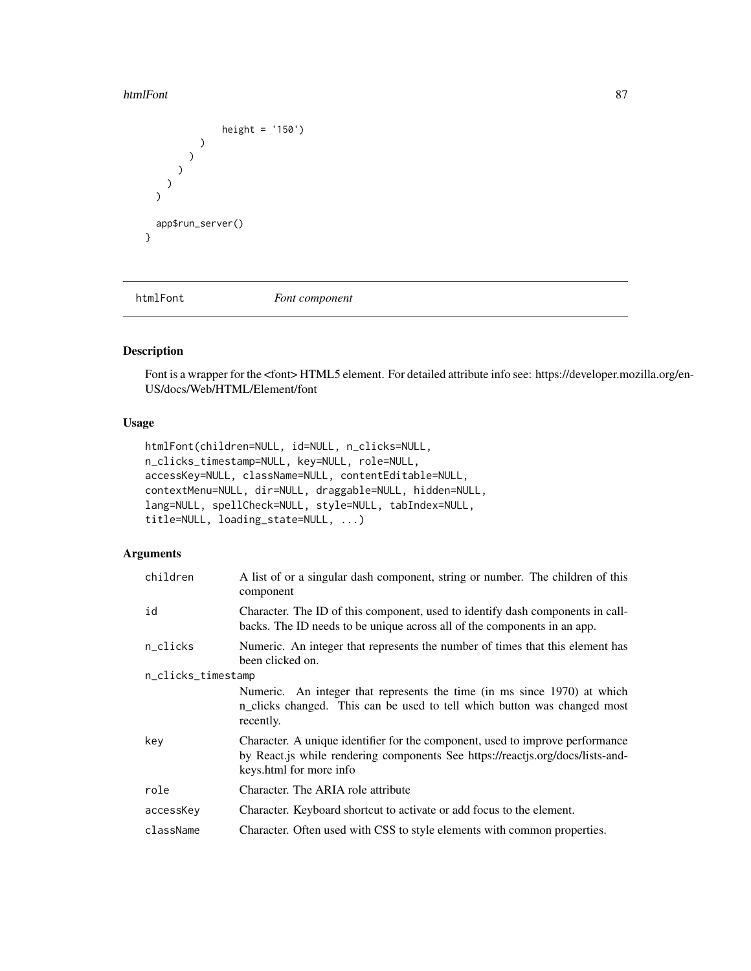#### htmlFont 87

```
height = '150')
             )
          )
       )
     )
  \overline{\phantom{a}}app$run_server()
}
```
htmlFont *Font component*

# Description

Font is a wrapper for the <font> HTML5 element. For detailed attribute info see: https://developer.mozilla.org/en-US/docs/Web/HTML/Element/font

# Usage

```
htmlFont(children=NULL, id=NULL, n_clicks=NULL,
n_clicks_timestamp=NULL, key=NULL, role=NULL,
accessKey=NULL, className=NULL, contentEditable=NULL,
contextMenu=NULL, dir=NULL, draggable=NULL, hidden=NULL,
lang=NULL, spellCheck=NULL, style=NULL, tabIndex=NULL,
title=NULL, loading_state=NULL, ...)
```

| children           | A list of or a singular dash component, string or number. The children of this<br>component                                                                                                 |
|--------------------|---------------------------------------------------------------------------------------------------------------------------------------------------------------------------------------------|
| id                 | Character. The ID of this component, used to identify dash components in call-<br>backs. The ID needs to be unique across all of the components in an app.                                  |
| n_clicks           | Numeric. An integer that represents the number of times that this element has<br>been clicked on.                                                                                           |
| n_clicks_timestamp |                                                                                                                                                                                             |
|                    | Numeric. An integer that represents the time (in ms since 1970) at which<br>n_clicks changed. This can be used to tell which button was changed most<br>recently.                           |
| key                | Character. A unique identifier for the component, used to improve performance<br>by React. is while rendering components See https://reactjs.org/docs/lists-and-<br>keys.html for more info |
| role               | Character. The ARIA role attribute                                                                                                                                                          |
| accessKey          | Character. Keyboard shortcut to activate or add focus to the element.                                                                                                                       |
| className          | Character. Often used with CSS to style elements with common properties.                                                                                                                    |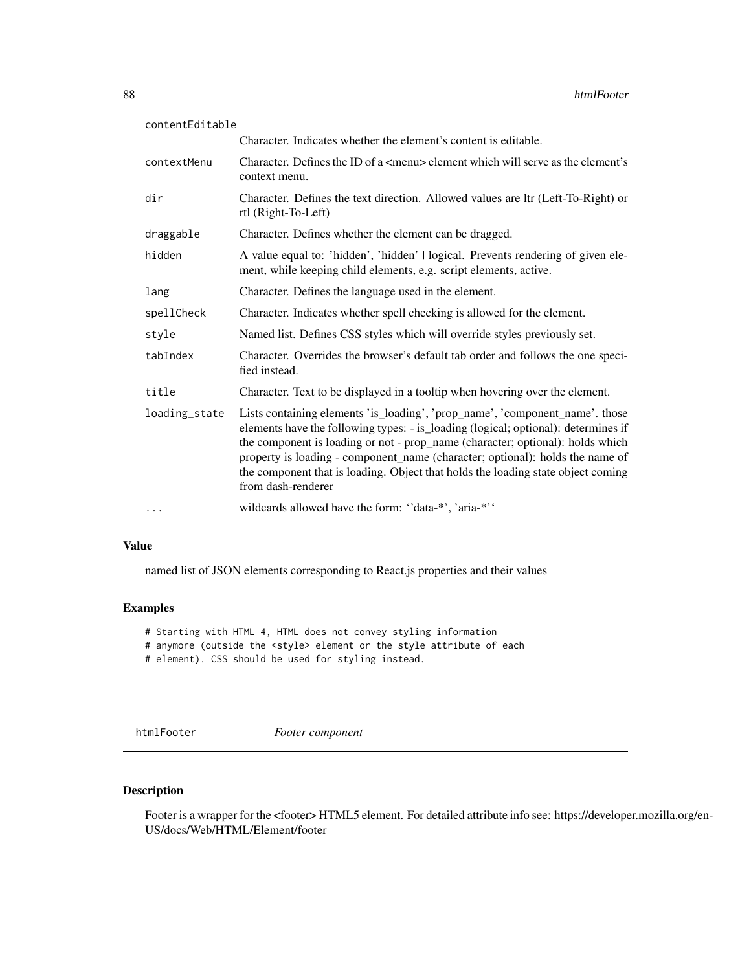| contentEditable |                                                                                                                                                                                                                                                                                                                                                                                                                                                 |
|-----------------|-------------------------------------------------------------------------------------------------------------------------------------------------------------------------------------------------------------------------------------------------------------------------------------------------------------------------------------------------------------------------------------------------------------------------------------------------|
|                 | Character. Indicates whether the element's content is editable.                                                                                                                                                                                                                                                                                                                                                                                 |
| contextMenu     | Character. Defines the ID of a $\leq$ menu $\geq$ element which will serve as the element's<br>context menu.                                                                                                                                                                                                                                                                                                                                    |
| dir             | Character. Defines the text direction. Allowed values are ltr (Left-To-Right) or<br>rtl (Right-To-Left)                                                                                                                                                                                                                                                                                                                                         |
| draggable       | Character. Defines whether the element can be dragged.                                                                                                                                                                                                                                                                                                                                                                                          |
| hidden          | A value equal to: 'hidden', 'hidden'   logical. Prevents rendering of given ele-<br>ment, while keeping child elements, e.g. script elements, active.                                                                                                                                                                                                                                                                                           |
| lang            | Character. Defines the language used in the element.                                                                                                                                                                                                                                                                                                                                                                                            |
| spellCheck      | Character. Indicates whether spell checking is allowed for the element.                                                                                                                                                                                                                                                                                                                                                                         |
| style           | Named list. Defines CSS styles which will override styles previously set.                                                                                                                                                                                                                                                                                                                                                                       |
| tabIndex        | Character. Overrides the browser's default tab order and follows the one speci-<br>fied instead.                                                                                                                                                                                                                                                                                                                                                |
| title           | Character. Text to be displayed in a tooltip when hovering over the element.                                                                                                                                                                                                                                                                                                                                                                    |
| loading_state   | Lists containing elements 'is_loading', 'prop_name', 'component_name'. those<br>elements have the following types: - is_loading (logical; optional): determines if<br>the component is loading or not - prop_name (character; optional): holds which<br>property is loading - component_name (character; optional): holds the name of<br>the component that is loading. Object that holds the loading state object coming<br>from dash-renderer |
| $\cdots$        | wildcards allowed have the form: "data-*', 'aria-*''                                                                                                                                                                                                                                                                                                                                                                                            |

named list of JSON elements corresponding to React.js properties and their values

### Examples

|  |  |  |  |  |  |  |  |  |  | # Starting with HTML 4, HTML does not convey styling information |
|--|--|--|--|--|--|--|--|--|--|------------------------------------------------------------------|
|--|--|--|--|--|--|--|--|--|--|------------------------------------------------------------------|

- # anymore (outside the <style> element or the style attribute of each
- # element). CSS should be used for styling instead.

htmlFooter *Footer component*

# Description

Footer is a wrapper for the <footer> HTML5 element. For detailed attribute info see: https://developer.mozilla.org/en-US/docs/Web/HTML/Element/footer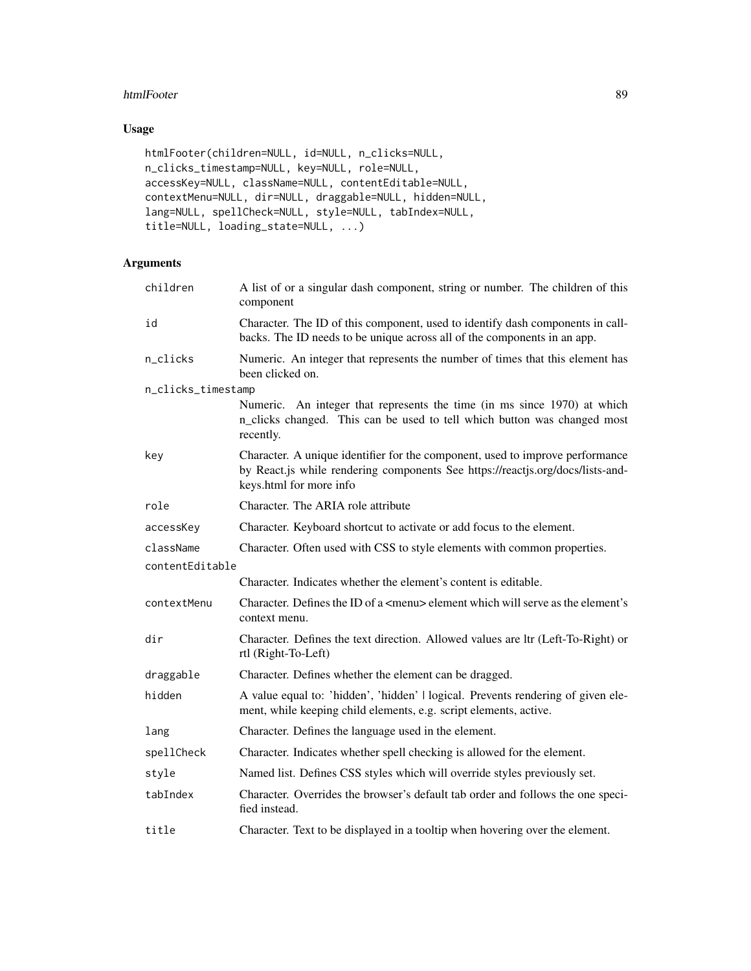### htmlFooter 89

# Usage

```
htmlFooter(children=NULL, id=NULL, n_clicks=NULL,
n_clicks_timestamp=NULL, key=NULL, role=NULL,
accessKey=NULL, className=NULL, contentEditable=NULL,
contextMenu=NULL, dir=NULL, draggable=NULL, hidden=NULL,
lang=NULL, spellCheck=NULL, style=NULL, tabIndex=NULL,
title=NULL, loading_state=NULL, ...)
```

| children           | A list of or a singular dash component, string or number. The children of this<br>component                                                                                                |
|--------------------|--------------------------------------------------------------------------------------------------------------------------------------------------------------------------------------------|
| id                 | Character. The ID of this component, used to identify dash components in call-<br>backs. The ID needs to be unique across all of the components in an app.                                 |
| n_clicks           | Numeric. An integer that represents the number of times that this element has<br>been clicked on.                                                                                          |
| n_clicks_timestamp |                                                                                                                                                                                            |
|                    | Numeric. An integer that represents the time (in ms since 1970) at which<br>n_clicks changed. This can be used to tell which button was changed most<br>recently.                          |
| key                | Character. A unique identifier for the component, used to improve performance<br>by React.js while rendering components See https://reactjs.org/docs/lists-and-<br>keys.html for more info |
| role               | Character. The ARIA role attribute                                                                                                                                                         |
| accessKey          | Character. Keyboard shortcut to activate or add focus to the element.                                                                                                                      |
| className          | Character. Often used with CSS to style elements with common properties.                                                                                                                   |
| contentEditable    |                                                                                                                                                                                            |
|                    | Character. Indicates whether the element's content is editable.                                                                                                                            |
| contextMenu        | Character. Defines the ID of a <menu> element which will serve as the element's<br/>context menu.</menu>                                                                                   |
| dir                | Character. Defines the text direction. Allowed values are ltr (Left-To-Right) or<br>rtl (Right-To-Left)                                                                                    |
| draggable          | Character. Defines whether the element can be dragged.                                                                                                                                     |
| hidden             | A value equal to: 'hidden', 'hidden'   logical. Prevents rendering of given ele-<br>ment, while keeping child elements, e.g. script elements, active.                                      |
| lang               | Character. Defines the language used in the element.                                                                                                                                       |
| spellCheck         | Character. Indicates whether spell checking is allowed for the element.                                                                                                                    |
| style              | Named list. Defines CSS styles which will override styles previously set.                                                                                                                  |
| tabIndex           | Character. Overrides the browser's default tab order and follows the one speci-<br>fied instead.                                                                                           |
| title              | Character. Text to be displayed in a tooltip when hovering over the element.                                                                                                               |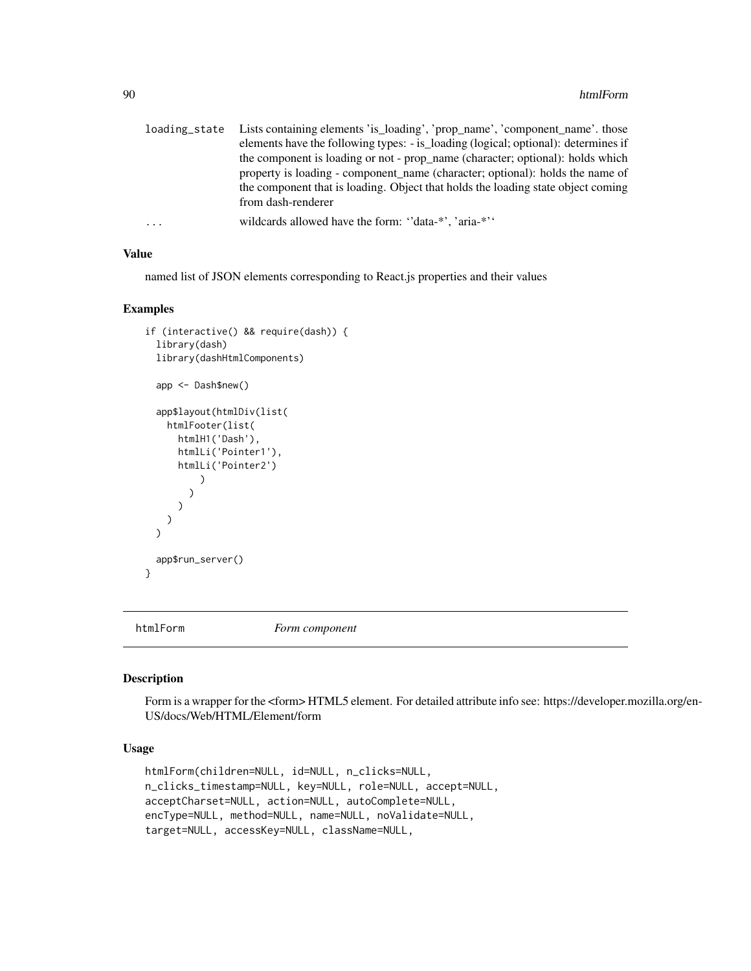|   | loading_state Lists containing elements 'is_loading', 'prop_name', 'component_name'. those |
|---|--------------------------------------------------------------------------------------------|
|   | elements have the following types: - is_loading (logical; optional): determines if         |
|   | the component is loading or not - prop_name (character; optional): holds which             |
|   | property is loading - component name (character; optional): holds the name of              |
|   | the component that is loading. Object that holds the loading state object coming           |
|   | from dash-renderer                                                                         |
| . | wildcards allowed have the form: "data-*", 'aria-*"                                        |

named list of JSON elements corresponding to React.js properties and their values

#### Examples

```
if (interactive() && require(dash)) {
 library(dash)
 library(dashHtmlComponents)
 app <- Dash$new()
 app$layout(htmlDiv(list(
   htmlFooter(list(
      htmlH1('Dash'),
      htmlLi('Pointer1'),
      htmlLi('Pointer2')
          )
        )
      )
   )
 \mathcal{L}app$run_server()
}
```
htmlForm *Form component*

### Description

Form is a wrapper for the <form> HTML5 element. For detailed attribute info see: https://developer.mozilla.org/en-US/docs/Web/HTML/Element/form

## Usage

```
htmlForm(children=NULL, id=NULL, n_clicks=NULL,
n_clicks_timestamp=NULL, key=NULL, role=NULL, accept=NULL,
acceptCharset=NULL, action=NULL, autoComplete=NULL,
encType=NULL, method=NULL, name=NULL, noValidate=NULL,
target=NULL, accessKey=NULL, className=NULL,
```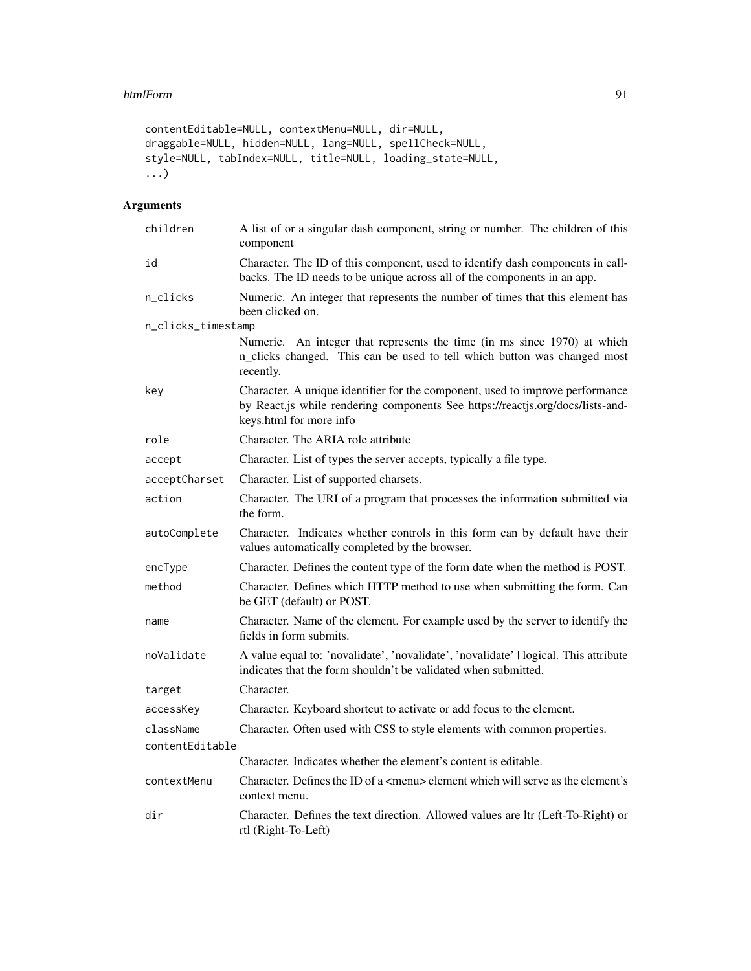#### htmlForm 91

```
contentEditable=NULL, contextMenu=NULL, dir=NULL,
draggable=NULL, hidden=NULL, lang=NULL, spellCheck=NULL,
style=NULL, tabIndex=NULL, title=NULL, loading_state=NULL,
...)
```

| children           | A list of or a singular dash component, string or number. The children of this<br>component                                                                                                |
|--------------------|--------------------------------------------------------------------------------------------------------------------------------------------------------------------------------------------|
| id                 | Character. The ID of this component, used to identify dash components in call-<br>backs. The ID needs to be unique across all of the components in an app.                                 |
| n_clicks           | Numeric. An integer that represents the number of times that this element has<br>been clicked on.                                                                                          |
| n_clicks_timestamp |                                                                                                                                                                                            |
|                    | Numeric. An integer that represents the time (in ms since 1970) at which<br>n_clicks changed. This can be used to tell which button was changed most<br>recently.                          |
| key                | Character. A unique identifier for the component, used to improve performance<br>by React.js while rendering components See https://reactjs.org/docs/lists-and-<br>keys.html for more info |
| role               | Character. The ARIA role attribute                                                                                                                                                         |
| accept             | Character. List of types the server accepts, typically a file type.                                                                                                                        |
| acceptCharset      | Character. List of supported charsets.                                                                                                                                                     |
| action             | Character. The URI of a program that processes the information submitted via<br>the form.                                                                                                  |
| autoComplete       | Character. Indicates whether controls in this form can by default have their<br>values automatically completed by the browser.                                                             |
| encType            | Character. Defines the content type of the form date when the method is POST.                                                                                                              |
| method             | Character. Defines which HTTP method to use when submitting the form. Can<br>be GET (default) or POST.                                                                                     |
| name               | Character. Name of the element. For example used by the server to identify the<br>fields in form submits.                                                                                  |
| noValidate         | A value equal to: 'novalidate', 'novalidate', 'novalidate'   logical. This attribute<br>indicates that the form shouldn't be validated when submitted.                                     |
| target             | Character.                                                                                                                                                                                 |
| accessKey          | Character. Keyboard shortcut to activate or add focus to the element.                                                                                                                      |
| className          | Character. Often used with CSS to style elements with common properties.                                                                                                                   |
| contentEditable    |                                                                                                                                                                                            |
|                    | Character. Indicates whether the element's content is editable.                                                                                                                            |
| contextMenu        | Character. Defines the ID of a <menu> element which will serve as the element's<br/>context menu.</menu>                                                                                   |
| dir                | Character. Defines the text direction. Allowed values are ltr (Left-To-Right) or<br>rtl (Right-To-Left)                                                                                    |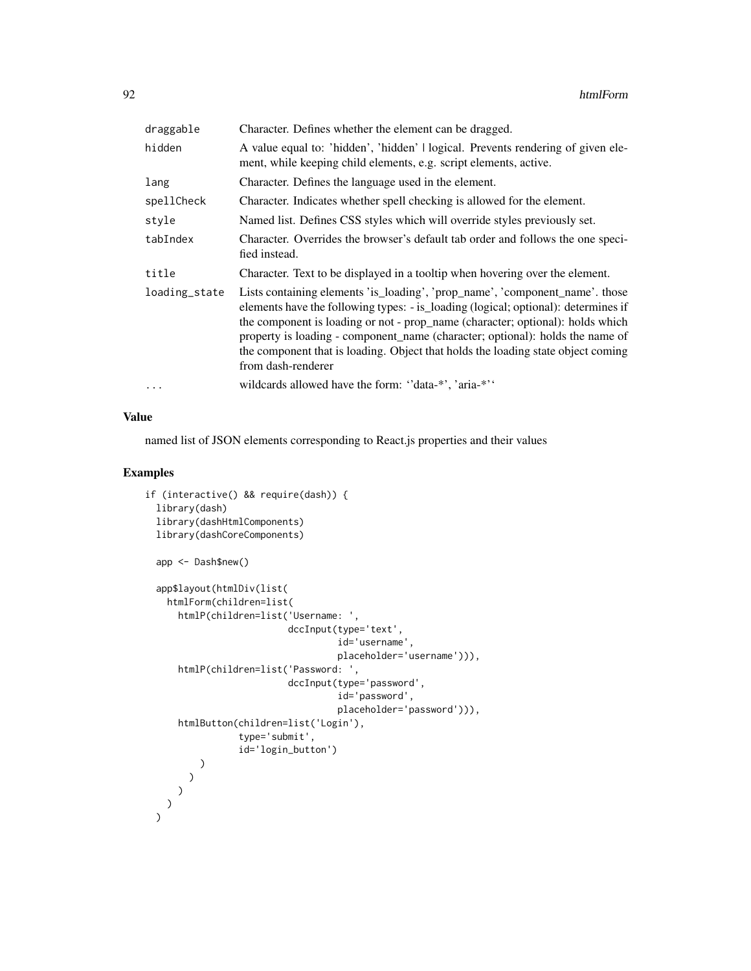| draggable     | Character. Defines whether the element can be dragged.                                                                                                                                                                                                                                                                                                                                                                                          |
|---------------|-------------------------------------------------------------------------------------------------------------------------------------------------------------------------------------------------------------------------------------------------------------------------------------------------------------------------------------------------------------------------------------------------------------------------------------------------|
| hidden        | A value equal to: 'hidden', 'hidden'   logical. Prevents rendering of given ele-<br>ment, while keeping child elements, e.g. script elements, active.                                                                                                                                                                                                                                                                                           |
| lang          | Character. Defines the language used in the element.                                                                                                                                                                                                                                                                                                                                                                                            |
| spellCheck    | Character. Indicates whether spell checking is allowed for the element.                                                                                                                                                                                                                                                                                                                                                                         |
| style         | Named list. Defines CSS styles which will override styles previously set.                                                                                                                                                                                                                                                                                                                                                                       |
| tabIndex      | Character. Overrides the browser's default tab order and follows the one speci-<br>fied instead.                                                                                                                                                                                                                                                                                                                                                |
| title         | Character. Text to be displayed in a tooltip when hovering over the element.                                                                                                                                                                                                                                                                                                                                                                    |
| loading_state | Lists containing elements 'is_loading', 'prop_name', 'component_name'. those<br>elements have the following types: - is_loading (logical; optional): determines if<br>the component is loading or not - prop_name (character; optional): holds which<br>property is loading - component_name (character; optional): holds the name of<br>the component that is loading. Object that holds the loading state object coming<br>from dash-renderer |
| $\cdots$      | wildcards allowed have the form: "data-*', 'aria-*''                                                                                                                                                                                                                                                                                                                                                                                            |

named list of JSON elements corresponding to React.js properties and their values

## Examples

```
if (interactive() && require(dash)) {
 library(dash)
 library(dashHtmlComponents)
 library(dashCoreComponents)
 app <- Dash$new()
 app$layout(htmlDiv(list(
   htmlForm(children=list(
     htmlP(children=list('Username: ',
                          dccInput(type='text',
                                   id='username',
                                   placeholder='username'))),
     htmlP(children=list('Password: ',
                          dccInput(type='password',
                                   id='password',
                                   placeholder='password'))),
     htmlButton(children=list('Login'),
                 type='submit',
                 id='login_button')
          )
        )
      )
    )
  )
```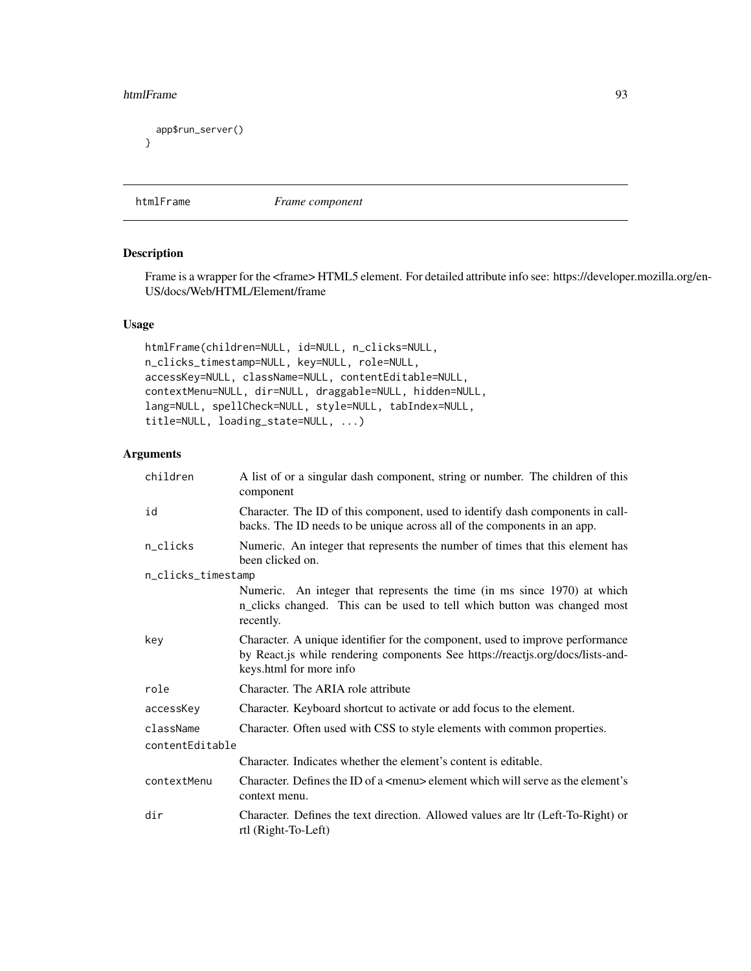#### htmlFrame 93

```
app$run_server()
}
```
htmlFrame *Frame component*

## Description

Frame is a wrapper for the <frame> HTML5 element. For detailed attribute info see: https://developer.mozilla.org/en-US/docs/Web/HTML/Element/frame

## Usage

```
htmlFrame(children=NULL, id=NULL, n_clicks=NULL,
n_clicks_timestamp=NULL, key=NULL, role=NULL,
accessKey=NULL, className=NULL, contentEditable=NULL,
contextMenu=NULL, dir=NULL, draggable=NULL, hidden=NULL,
lang=NULL, spellCheck=NULL, style=NULL, tabIndex=NULL,
title=NULL, loading_state=NULL, ...)
```

| children           | A list of or a singular dash component, string or number. The children of this<br>component                                                                                                |
|--------------------|--------------------------------------------------------------------------------------------------------------------------------------------------------------------------------------------|
| id                 | Character. The ID of this component, used to identify dash components in call-<br>backs. The ID needs to be unique across all of the components in an app.                                 |
| n_clicks           | Numeric. An integer that represents the number of times that this element has<br>been clicked on.                                                                                          |
| n_clicks_timestamp |                                                                                                                                                                                            |
|                    | Numeric. An integer that represents the time (in ms since 1970) at which<br>n_clicks changed. This can be used to tell which button was changed most<br>recently.                          |
| key                | Character. A unique identifier for the component, used to improve performance<br>by React.js while rendering components See https://reactjs.org/docs/lists-and-<br>keys.html for more info |
| role               | Character. The ARIA role attribute                                                                                                                                                         |
| accessKey          | Character. Keyboard shortcut to activate or add focus to the element.                                                                                                                      |
| className          | Character. Often used with CSS to style elements with common properties.                                                                                                                   |
| contentEditable    |                                                                                                                                                                                            |
|                    | Character. Indicates whether the element's content is editable.                                                                                                                            |
| contextMenu        | Character. Defines the ID of a $\leq$ menu> element which will serve as the element's<br>context menu.                                                                                     |
| dir                | Character. Defines the text direction. Allowed values are ltr (Left-To-Right) or<br>rtl (Right-To-Left)                                                                                    |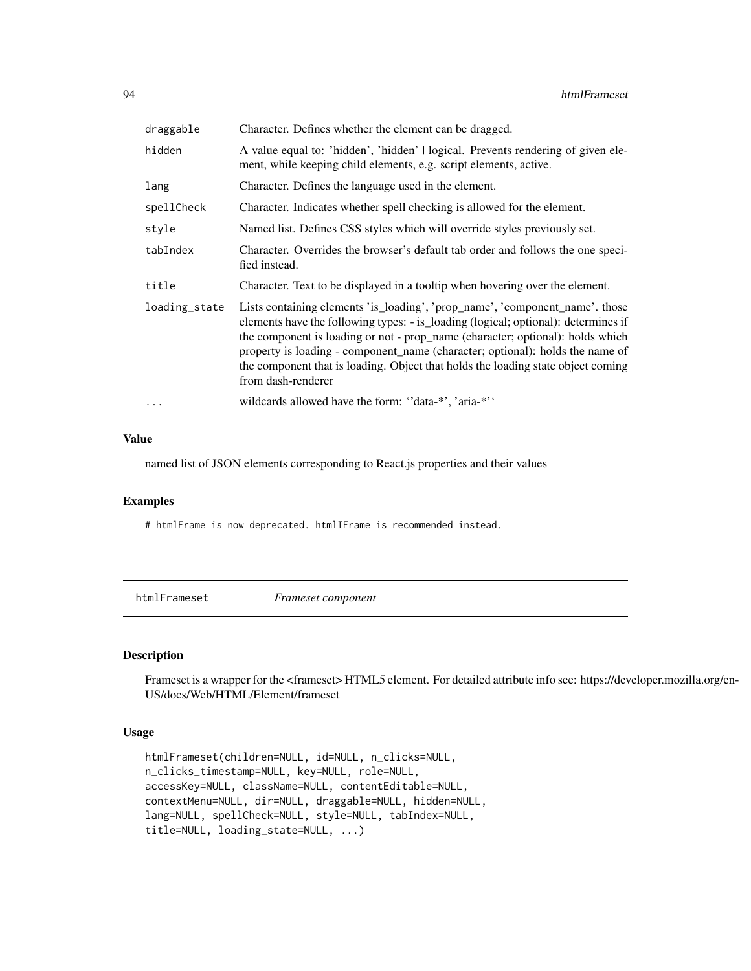| draggable     | Character. Defines whether the element can be dragged.                                                                                                                                                                                                                                                                                                                                                                                          |
|---------------|-------------------------------------------------------------------------------------------------------------------------------------------------------------------------------------------------------------------------------------------------------------------------------------------------------------------------------------------------------------------------------------------------------------------------------------------------|
| hidden        | A value equal to: 'hidden', 'hidden'   logical. Prevents rendering of given ele-<br>ment, while keeping child elements, e.g. script elements, active.                                                                                                                                                                                                                                                                                           |
| lang          | Character. Defines the language used in the element.                                                                                                                                                                                                                                                                                                                                                                                            |
| spellCheck    | Character. Indicates whether spell checking is allowed for the element.                                                                                                                                                                                                                                                                                                                                                                         |
| style         | Named list. Defines CSS styles which will override styles previously set.                                                                                                                                                                                                                                                                                                                                                                       |
| tabIndex      | Character. Overrides the browser's default tab order and follows the one speci-<br>fied instead.                                                                                                                                                                                                                                                                                                                                                |
| title         | Character. Text to be displayed in a tooltip when hovering over the element.                                                                                                                                                                                                                                                                                                                                                                    |
| loading_state | Lists containing elements 'is_loading', 'prop_name', 'component_name'. those<br>elements have the following types: - is_loading (logical; optional): determines if<br>the component is loading or not - prop_name (character; optional): holds which<br>property is loading - component_name (character; optional): holds the name of<br>the component that is loading. Object that holds the loading state object coming<br>from dash-renderer |
| .             | wildcards allowed have the form: "data-*", 'aria-*"                                                                                                                                                                                                                                                                                                                                                                                             |

named list of JSON elements corresponding to React.js properties and their values

### Examples

# htmlFrame is now deprecated. htmlIFrame is recommended instead.

htmlFrameset *Frameset component*

# Description

Frameset is a wrapper for the <frameset> HTML5 element. For detailed attribute info see: https://developer.mozilla.org/en-US/docs/Web/HTML/Element/frameset

### Usage

```
htmlFrameset(children=NULL, id=NULL, n_clicks=NULL,
n_clicks_timestamp=NULL, key=NULL, role=NULL,
accessKey=NULL, className=NULL, contentEditable=NULL,
contextMenu=NULL, dir=NULL, draggable=NULL, hidden=NULL,
lang=NULL, spellCheck=NULL, style=NULL, tabIndex=NULL,
title=NULL, loading_state=NULL, ...)
```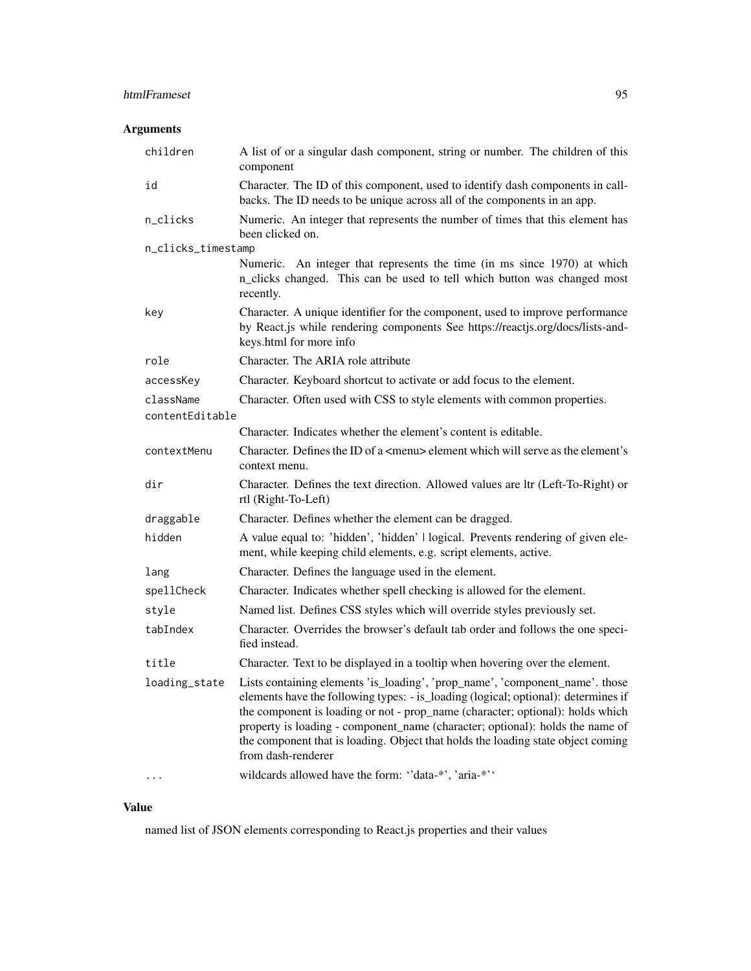# htmlFrameset 95

# Arguments

| children           | A list of or a singular dash component, string or number. The children of this<br>component                                                                                                                                                                                                                                                                                                                                                     |
|--------------------|-------------------------------------------------------------------------------------------------------------------------------------------------------------------------------------------------------------------------------------------------------------------------------------------------------------------------------------------------------------------------------------------------------------------------------------------------|
| id                 | Character. The ID of this component, used to identify dash components in call-<br>backs. The ID needs to be unique across all of the components in an app.                                                                                                                                                                                                                                                                                      |
| n_clicks           | Numeric. An integer that represents the number of times that this element has<br>been clicked on.                                                                                                                                                                                                                                                                                                                                               |
| n_clicks_timestamp |                                                                                                                                                                                                                                                                                                                                                                                                                                                 |
|                    | Numeric. An integer that represents the time (in ms since 1970) at which<br>n_clicks changed. This can be used to tell which button was changed most<br>recently.                                                                                                                                                                                                                                                                               |
| key                | Character. A unique identifier for the component, used to improve performance<br>by React.js while rendering components See https://reactjs.org/docs/lists-and-<br>keys.html for more info                                                                                                                                                                                                                                                      |
| role               | Character. The ARIA role attribute                                                                                                                                                                                                                                                                                                                                                                                                              |
| accessKey          | Character. Keyboard shortcut to activate or add focus to the element.                                                                                                                                                                                                                                                                                                                                                                           |
| className          | Character. Often used with CSS to style elements with common properties.                                                                                                                                                                                                                                                                                                                                                                        |
| contentEditable    |                                                                                                                                                                                                                                                                                                                                                                                                                                                 |
|                    | Character. Indicates whether the element's content is editable.                                                                                                                                                                                                                                                                                                                                                                                 |
| contextMenu        | Character. Defines the ID of a $\leq$ menu> element which will serve as the element's<br>context menu.                                                                                                                                                                                                                                                                                                                                          |
| dir                | Character. Defines the text direction. Allowed values are ltr (Left-To-Right) or<br>rtl (Right-To-Left)                                                                                                                                                                                                                                                                                                                                         |
| draggable          | Character. Defines whether the element can be dragged.                                                                                                                                                                                                                                                                                                                                                                                          |
| hidden             | A value equal to: 'hidden', 'hidden'   logical. Prevents rendering of given ele-<br>ment, while keeping child elements, e.g. script elements, active.                                                                                                                                                                                                                                                                                           |
| lang               | Character. Defines the language used in the element.                                                                                                                                                                                                                                                                                                                                                                                            |
| spellCheck         | Character. Indicates whether spell checking is allowed for the element.                                                                                                                                                                                                                                                                                                                                                                         |
| style              | Named list. Defines CSS styles which will override styles previously set.                                                                                                                                                                                                                                                                                                                                                                       |
| tabIndex           | Character. Overrides the browser's default tab order and follows the one speci-<br>fied instead.                                                                                                                                                                                                                                                                                                                                                |
| title              | Character. Text to be displayed in a tooltip when hovering over the element.                                                                                                                                                                                                                                                                                                                                                                    |
| loading_state      | Lists containing elements 'is_loading', 'prop_name', 'component_name'. those<br>elements have the following types: - is_loading (logical; optional): determines if<br>the component is loading or not - prop_name (character; optional): holds which<br>property is loading - component_name (character; optional): holds the name of<br>the component that is loading. Object that holds the loading state object coming<br>from dash-renderer |
|                    | wildcards allowed have the form: "data-*', 'aria-*''                                                                                                                                                                                                                                                                                                                                                                                            |

# Value

named list of JSON elements corresponding to React.js properties and their values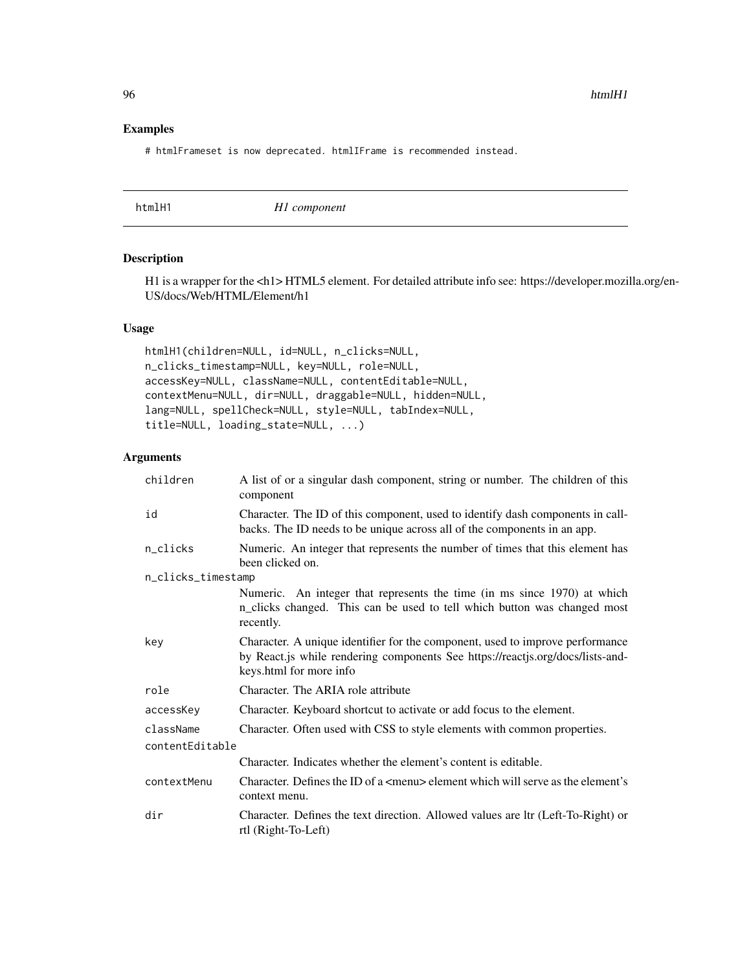## Examples

# htmlFrameset is now deprecated. htmlIFrame is recommended instead.

| htmlH1 | H <sub>1</sub> component |  |
|--------|--------------------------|--|
|--------|--------------------------|--|

#### Description

H1 is a wrapper for the <h1> HTML5 element. For detailed attribute info see: https://developer.mozilla.org/en-US/docs/Web/HTML/Element/h1

## Usage

```
htmlH1(children=NULL, id=NULL, n_clicks=NULL,
n_clicks_timestamp=NULL, key=NULL, role=NULL,
accessKey=NULL, className=NULL, contentEditable=NULL,
contextMenu=NULL, dir=NULL, draggable=NULL, hidden=NULL,
lang=NULL, spellCheck=NULL, style=NULL, tabIndex=NULL,
title=NULL, loading_state=NULL, ...)
```

| children           | A list of or a singular dash component, string or number. The children of this<br>component                                                                                                |  |
|--------------------|--------------------------------------------------------------------------------------------------------------------------------------------------------------------------------------------|--|
| id                 | Character. The ID of this component, used to identify dash components in call-<br>backs. The ID needs to be unique across all of the components in an app.                                 |  |
| n_clicks           | Numeric. An integer that represents the number of times that this element has<br>been clicked on.                                                                                          |  |
| n_clicks_timestamp |                                                                                                                                                                                            |  |
|                    | Numeric. An integer that represents the time (in ms since 1970) at which<br>n_clicks changed. This can be used to tell which button was changed most<br>recently.                          |  |
| key                | Character. A unique identifier for the component, used to improve performance<br>by React.js while rendering components See https://reactjs.org/docs/lists-and-<br>keys.html for more info |  |
| role               | Character. The ARIA role attribute                                                                                                                                                         |  |
| accessKey          | Character. Keyboard shortcut to activate or add focus to the element.                                                                                                                      |  |
| className          | Character. Often used with CSS to style elements with common properties.                                                                                                                   |  |
| contentEditable    |                                                                                                                                                                                            |  |
|                    | Character. Indicates whether the element's content is editable.                                                                                                                            |  |
| contextMenu        | Character. Defines the ID of a $\leq$ menu> element which will serve as the element's<br>context menu.                                                                                     |  |
| dir                | Character. Defines the text direction. Allowed values are ltr (Left-To-Right) or<br>rtl (Right-To-Left)                                                                                    |  |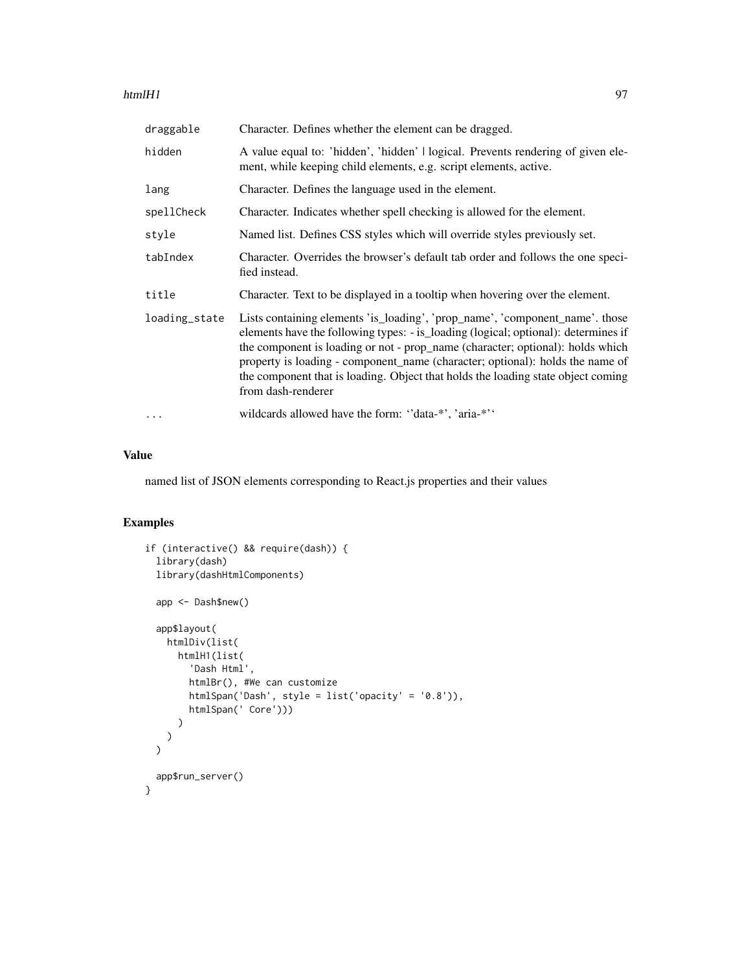### htmlH1 97

| draggable     | Character. Defines whether the element can be dragged.                                                                                                                                                                                                                                                                                                                                                                                          |
|---------------|-------------------------------------------------------------------------------------------------------------------------------------------------------------------------------------------------------------------------------------------------------------------------------------------------------------------------------------------------------------------------------------------------------------------------------------------------|
| hidden        | A value equal to: 'hidden', 'hidden'   logical. Prevents rendering of given ele-<br>ment, while keeping child elements, e.g. script elements, active.                                                                                                                                                                                                                                                                                           |
| lang          | Character. Defines the language used in the element.                                                                                                                                                                                                                                                                                                                                                                                            |
| spellCheck    | Character. Indicates whether spell checking is allowed for the element.                                                                                                                                                                                                                                                                                                                                                                         |
| style         | Named list. Defines CSS styles which will override styles previously set.                                                                                                                                                                                                                                                                                                                                                                       |
| tabIndex      | Character. Overrides the browser's default tab order and follows the one speci-<br>fied instead.                                                                                                                                                                                                                                                                                                                                                |
| title         | Character. Text to be displayed in a tooltip when hovering over the element.                                                                                                                                                                                                                                                                                                                                                                    |
| loading_state | Lists containing elements 'is_loading', 'prop_name', 'component_name'. those<br>elements have the following types: - is loading (logical; optional): determines if<br>the component is loading or not - prop_name (character; optional): holds which<br>property is loading - component_name (character; optional): holds the name of<br>the component that is loading. Object that holds the loading state object coming<br>from dash-renderer |
| $\cdots$      | wildcards allowed have the form: "data-*', 'aria-*''                                                                                                                                                                                                                                                                                                                                                                                            |

### Value

named list of JSON elements corresponding to React.js properties and their values

# Examples

```
if (interactive() && require(dash)) {
  library(dash)
  library(dashHtmlComponents)
  app <- Dash$new()
  app$layout(
    htmlDiv(list(
     htmlH1(list(
        'Dash Html',
        htmlBr(), #We can customize
        htmlSpan('Dash', style = list('opacity' = '0.8')),
        htmlSpan(' Core')))
      )
   )
  \overline{)}app$run_server()
}
```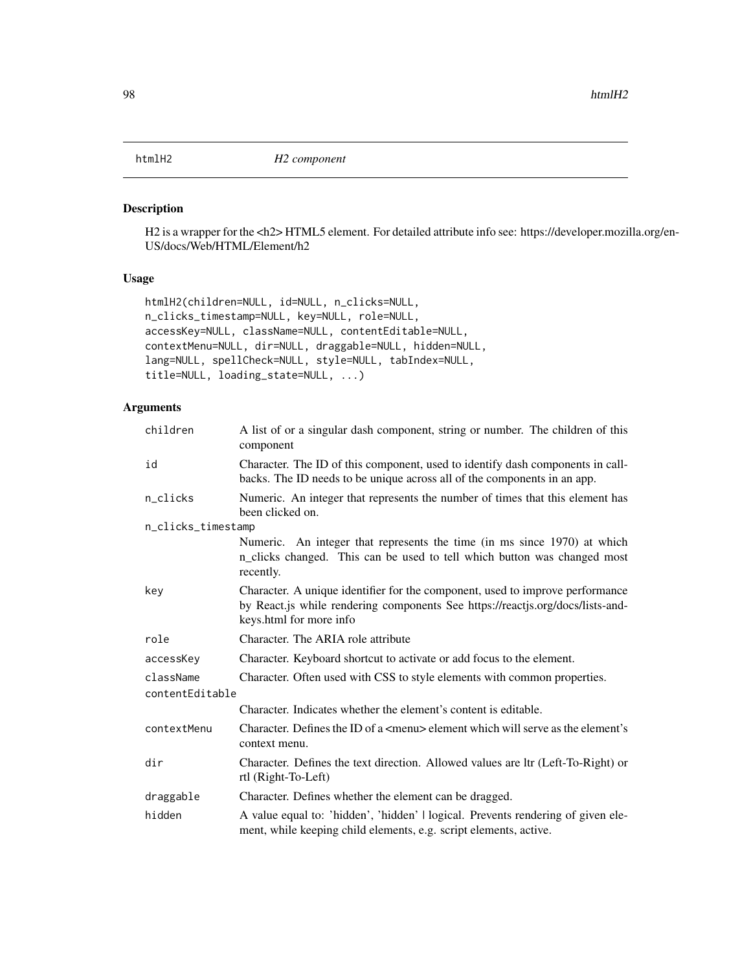## Description

H2 is a wrapper for the <h2> HTML5 element. For detailed attribute info see: https://developer.mozilla.org/en-US/docs/Web/HTML/Element/h2

## Usage

```
htmlH2(children=NULL, id=NULL, n_clicks=NULL,
n_clicks_timestamp=NULL, key=NULL, role=NULL,
accessKey=NULL, className=NULL, contentEditable=NULL,
contextMenu=NULL, dir=NULL, draggable=NULL, hidden=NULL,
lang=NULL, spellCheck=NULL, style=NULL, tabIndex=NULL,
title=NULL, loading_state=NULL, ...)
```

| children           | A list of or a singular dash component, string or number. The children of this<br>component                                                                                                |  |
|--------------------|--------------------------------------------------------------------------------------------------------------------------------------------------------------------------------------------|--|
| id                 | Character. The ID of this component, used to identify dash components in call-<br>backs. The ID needs to be unique across all of the components in an app.                                 |  |
| n_clicks           | Numeric. An integer that represents the number of times that this element has<br>been clicked on.                                                                                          |  |
| n_clicks_timestamp |                                                                                                                                                                                            |  |
|                    | Numeric. An integer that represents the time (in ms since 1970) at which<br>n_clicks changed. This can be used to tell which button was changed most<br>recently.                          |  |
| key                | Character. A unique identifier for the component, used to improve performance<br>by React.js while rendering components See https://reactjs.org/docs/lists-and-<br>keys.html for more info |  |
| role               | Character. The ARIA role attribute                                                                                                                                                         |  |
| accessKey          | Character. Keyboard shortcut to activate or add focus to the element.                                                                                                                      |  |
| className          | Character. Often used with CSS to style elements with common properties.                                                                                                                   |  |
| contentEditable    |                                                                                                                                                                                            |  |
|                    | Character. Indicates whether the element's content is editable.                                                                                                                            |  |
| contextMenu        | Character. Defines the ID of a <menu> element which will serve as the element's<br/>context menu.</menu>                                                                                   |  |
| dir                | Character. Defines the text direction. Allowed values are ltr (Left-To-Right) or<br>rtl (Right-To-Left)                                                                                    |  |
| draggable          | Character. Defines whether the element can be dragged.                                                                                                                                     |  |
| hidden             | A value equal to: 'hidden', 'hidden'   logical. Prevents rendering of given ele-<br>ment, while keeping child elements, e.g. script elements, active.                                      |  |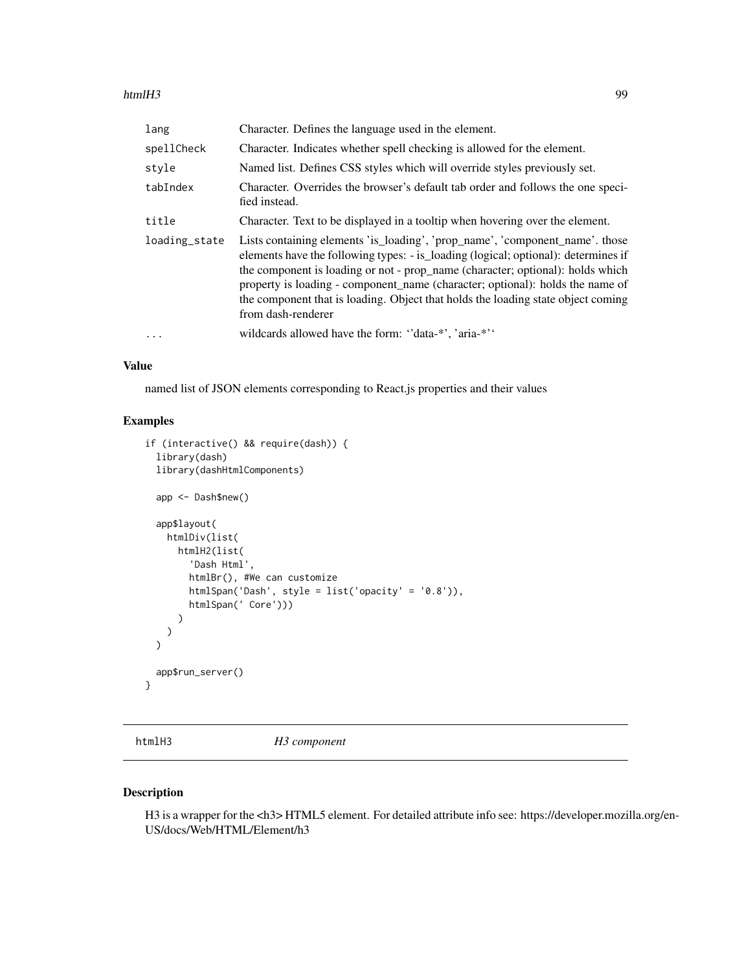### htmlH3 99

| lang          | Character. Defines the language used in the element.                                                                                                                                                                                                                                                                                                                                                                                            |
|---------------|-------------------------------------------------------------------------------------------------------------------------------------------------------------------------------------------------------------------------------------------------------------------------------------------------------------------------------------------------------------------------------------------------------------------------------------------------|
| spellCheck    | Character. Indicates whether spell checking is allowed for the element.                                                                                                                                                                                                                                                                                                                                                                         |
| style         | Named list. Defines CSS styles which will override styles previously set.                                                                                                                                                                                                                                                                                                                                                                       |
| tabIndex      | Character. Overrides the browser's default tab order and follows the one speci-<br>fied instead.                                                                                                                                                                                                                                                                                                                                                |
| title         | Character. Text to be displayed in a tooltip when hovering over the element.                                                                                                                                                                                                                                                                                                                                                                    |
| loading_state | Lists containing elements 'is_loading', 'prop_name', 'component_name'. those<br>elements have the following types: - is loading (logical; optional): determines if<br>the component is loading or not - prop_name (character; optional): holds which<br>property is loading - component_name (character; optional): holds the name of<br>the component that is loading. Object that holds the loading state object coming<br>from dash-renderer |
| $\ddotsc$     | wildcards allowed have the form: "data-*", 'aria-*"                                                                                                                                                                                                                                                                                                                                                                                             |

### Value

named list of JSON elements corresponding to React.js properties and their values

## Examples

```
if (interactive() && require(dash)) {
 library(dash)
 library(dashHtmlComponents)
 app <- Dash$new()
 app$layout(
   htmlDiv(list(
      htmlH2(list(
        'Dash Html',
        htmlBr(), #We can customize
        htmlSpan('Dash', style = list('opacity' = '0.8')),
        htmlSpan(' Core')))
      )
   )
 \mathcal{L}app$run_server()
}
```
htmlH3 *H3 component*

## Description

H3 is a wrapper for the <h3> HTML5 element. For detailed attribute info see: https://developer.mozilla.org/en-US/docs/Web/HTML/Element/h3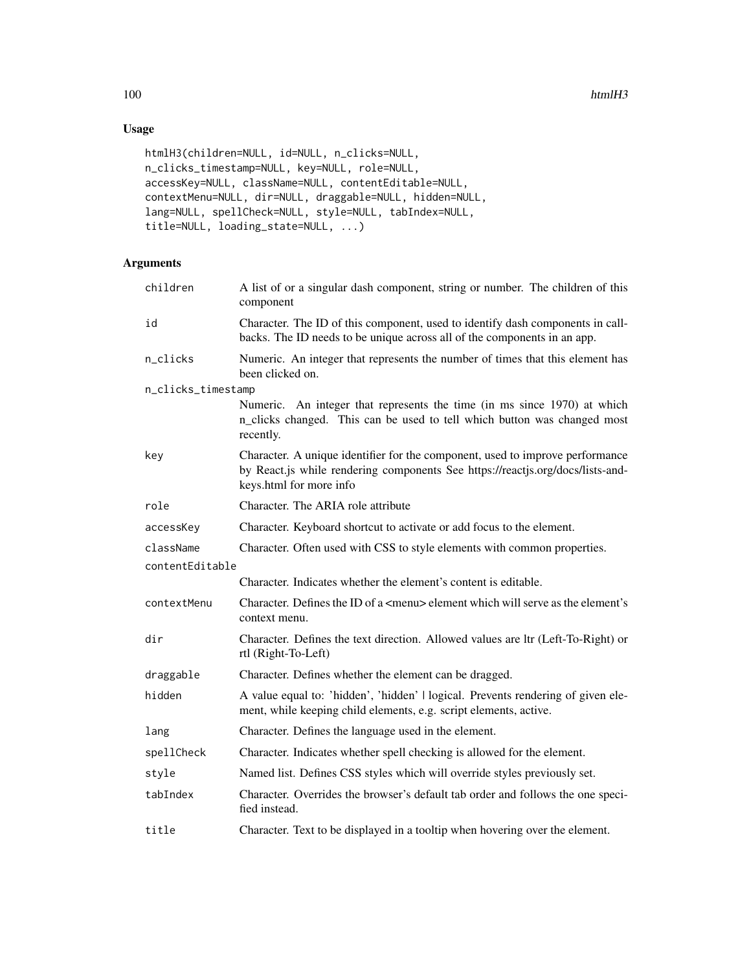# Usage

```
htmlH3(children=NULL, id=NULL, n_clicks=NULL,
n_clicks_timestamp=NULL, key=NULL, role=NULL,
accessKey=NULL, className=NULL, contentEditable=NULL,
contextMenu=NULL, dir=NULL, draggable=NULL, hidden=NULL,
lang=NULL, spellCheck=NULL, style=NULL, tabIndex=NULL,
title=NULL, loading_state=NULL, ...)
```

| children           | A list of or a singular dash component, string or number. The children of this<br>component                                                                                                |
|--------------------|--------------------------------------------------------------------------------------------------------------------------------------------------------------------------------------------|
| id                 | Character. The ID of this component, used to identify dash components in call-<br>backs. The ID needs to be unique across all of the components in an app.                                 |
| n_clicks           | Numeric. An integer that represents the number of times that this element has<br>been clicked on.                                                                                          |
| n_clicks_timestamp |                                                                                                                                                                                            |
|                    | Numeric. An integer that represents the time (in ms since 1970) at which<br>n_clicks changed. This can be used to tell which button was changed most<br>recently.                          |
| key                | Character. A unique identifier for the component, used to improve performance<br>by React.js while rendering components See https://reactjs.org/docs/lists-and-<br>keys.html for more info |
| role               | Character. The ARIA role attribute                                                                                                                                                         |
| accessKey          | Character. Keyboard shortcut to activate or add focus to the element.                                                                                                                      |
| className          | Character. Often used with CSS to style elements with common properties.                                                                                                                   |
| contentEditable    |                                                                                                                                                                                            |
|                    | Character. Indicates whether the element's content is editable.                                                                                                                            |
| contextMenu        | Character. Defines the ID of a <menu> element which will serve as the element's<br/>context menu.</menu>                                                                                   |
| dir                | Character. Defines the text direction. Allowed values are ltr (Left-To-Right) or<br>rtl (Right-To-Left)                                                                                    |
| draggable          | Character. Defines whether the element can be dragged.                                                                                                                                     |
| hidden             | A value equal to: 'hidden', 'hidden'   logical. Prevents rendering of given ele-<br>ment, while keeping child elements, e.g. script elements, active.                                      |
| lang               | Character. Defines the language used in the element.                                                                                                                                       |
| spellCheck         | Character. Indicates whether spell checking is allowed for the element.                                                                                                                    |
| style              | Named list. Defines CSS styles which will override styles previously set.                                                                                                                  |
| tabIndex           | Character. Overrides the browser's default tab order and follows the one speci-<br>fied instead.                                                                                           |
| title              | Character. Text to be displayed in a tooltip when hovering over the element.                                                                                                               |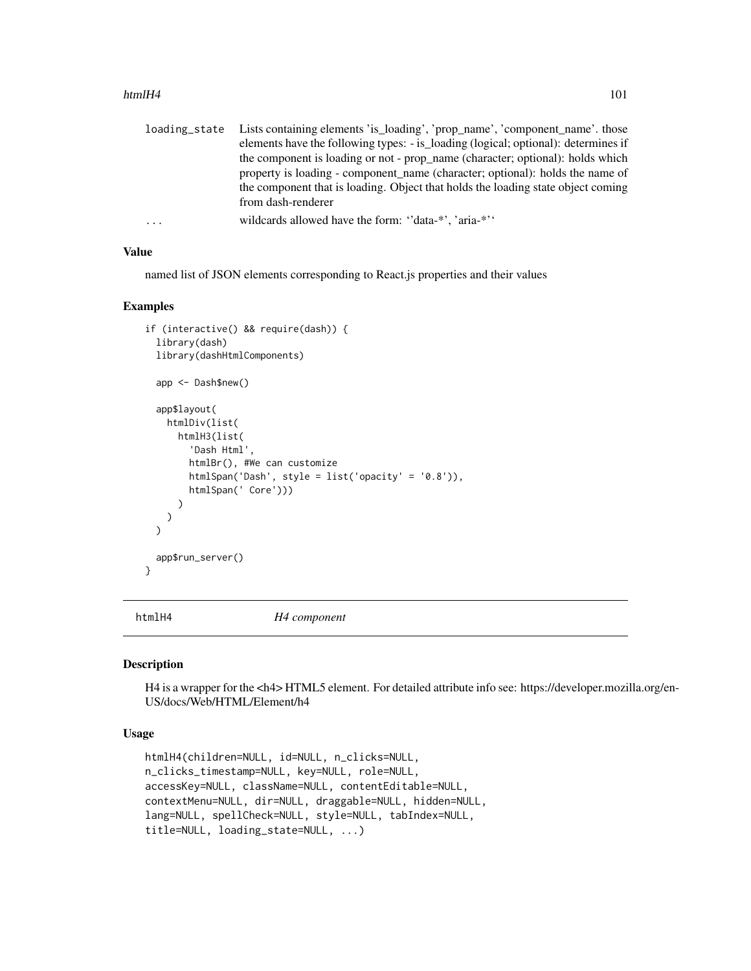### htmlH4 101

|   | loading_state Lists containing elements 'is_loading', 'prop_name', 'component_name'. those |
|---|--------------------------------------------------------------------------------------------|
|   | elements have the following types: - is_loading (logical; optional): determines if         |
|   | the component is loading or not - prop_name (character; optional): holds which             |
|   | property is loading - component name (character; optional): holds the name of              |
|   | the component that is loading. Object that holds the loading state object coming           |
|   | from dash-renderer                                                                         |
| . | wildcards allowed have the form: "data-*", 'aria-*"                                        |

## Value

named list of JSON elements corresponding to React.js properties and their values

### Examples

```
if (interactive() && require(dash)) {
 library(dash)
 library(dashHtmlComponents)
 app <- Dash$new()
 app$layout(
   htmlDiv(list(
     htmlH3(list(
        'Dash Html',
       htmlBr(), #We can customize
       htmlSpan('Dash', style = list('opacity' = '0.8')),
       htmlSpan(' Core')))
     )
   )
 )
 app$run_server()
}
```
htmlH4 *H4 component*

#### Description

H4 is a wrapper for the <h4> HTML5 element. For detailed attribute info see: https://developer.mozilla.org/en-US/docs/Web/HTML/Element/h4

## Usage

```
htmlH4(children=NULL, id=NULL, n_clicks=NULL,
n_clicks_timestamp=NULL, key=NULL, role=NULL,
accessKey=NULL, className=NULL, contentEditable=NULL,
contextMenu=NULL, dir=NULL, draggable=NULL, hidden=NULL,
lang=NULL, spellCheck=NULL, style=NULL, tabIndex=NULL,
title=NULL, loading_state=NULL, ...)
```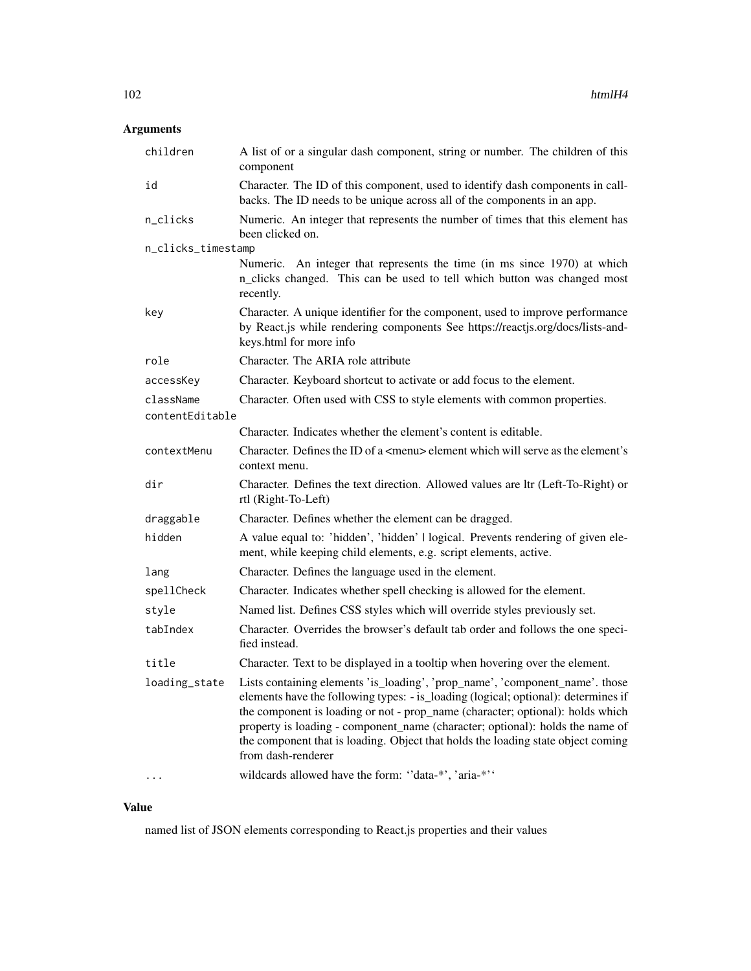# Arguments

| children           | A list of or a singular dash component, string or number. The children of this<br>component                                                                                                                                                                                                                                                                                                                                                     |
|--------------------|-------------------------------------------------------------------------------------------------------------------------------------------------------------------------------------------------------------------------------------------------------------------------------------------------------------------------------------------------------------------------------------------------------------------------------------------------|
| id                 | Character. The ID of this component, used to identify dash components in call-<br>backs. The ID needs to be unique across all of the components in an app.                                                                                                                                                                                                                                                                                      |
| n_clicks           | Numeric. An integer that represents the number of times that this element has<br>been clicked on.                                                                                                                                                                                                                                                                                                                                               |
| n_clicks_timestamp |                                                                                                                                                                                                                                                                                                                                                                                                                                                 |
|                    | Numeric. An integer that represents the time (in ms since 1970) at which<br>n_clicks changed. This can be used to tell which button was changed most<br>recently.                                                                                                                                                                                                                                                                               |
| key                | Character. A unique identifier for the component, used to improve performance<br>by React.js while rendering components See https://reactjs.org/docs/lists-and-<br>keys.html for more info                                                                                                                                                                                                                                                      |
| role               | Character. The ARIA role attribute                                                                                                                                                                                                                                                                                                                                                                                                              |
| accessKey          | Character. Keyboard shortcut to activate or add focus to the element.                                                                                                                                                                                                                                                                                                                                                                           |
| className          | Character. Often used with CSS to style elements with common properties.                                                                                                                                                                                                                                                                                                                                                                        |
| contentEditable    |                                                                                                                                                                                                                                                                                                                                                                                                                                                 |
|                    | Character. Indicates whether the element's content is editable.                                                                                                                                                                                                                                                                                                                                                                                 |
| contextMenu        | Character. Defines the ID of a <menu> element which will serve as the element's<br/>context menu.</menu>                                                                                                                                                                                                                                                                                                                                        |
| dir                | Character. Defines the text direction. Allowed values are ltr (Left-To-Right) or<br>rtl (Right-To-Left)                                                                                                                                                                                                                                                                                                                                         |
| draggable          | Character. Defines whether the element can be dragged.                                                                                                                                                                                                                                                                                                                                                                                          |
| hidden             | A value equal to: 'hidden', 'hidden'   logical. Prevents rendering of given ele-<br>ment, while keeping child elements, e.g. script elements, active.                                                                                                                                                                                                                                                                                           |
| lang               | Character. Defines the language used in the element.                                                                                                                                                                                                                                                                                                                                                                                            |
| spellCheck         | Character. Indicates whether spell checking is allowed for the element.                                                                                                                                                                                                                                                                                                                                                                         |
| style              | Named list. Defines CSS styles which will override styles previously set.                                                                                                                                                                                                                                                                                                                                                                       |
| tabIndex           | Character. Overrides the browser's default tab order and follows the one speci-<br>fied instead.                                                                                                                                                                                                                                                                                                                                                |
| title              | Character. Text to be displayed in a tooltip when hovering over the element.                                                                                                                                                                                                                                                                                                                                                                    |
| loading_state      | Lists containing elements 'is_loading', 'prop_name', 'component_name'. those<br>elements have the following types: - is_loading (logical; optional): determines if<br>the component is loading or not - prop_name (character; optional): holds which<br>property is loading - component_name (character; optional): holds the name of<br>the component that is loading. Object that holds the loading state object coming<br>from dash-renderer |
|                    | wildcards allowed have the form: "data-*', 'aria-*''                                                                                                                                                                                                                                                                                                                                                                                            |

# Value

named list of JSON elements corresponding to React.js properties and their values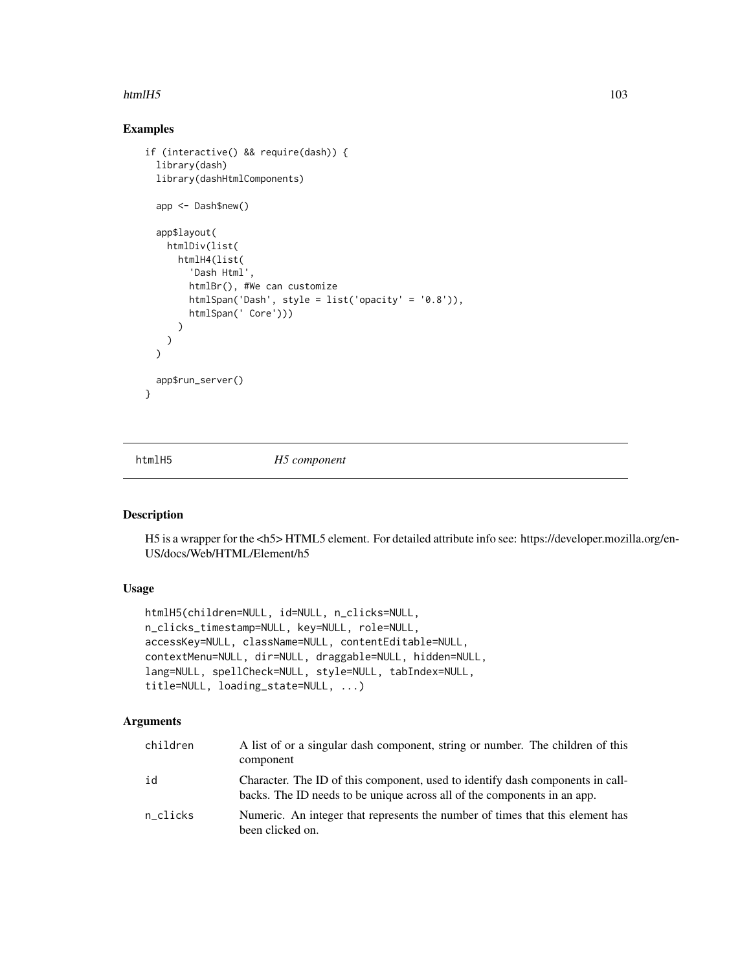### $htmlH5$  103

# Examples

```
if (interactive() && require(dash)) {
 library(dash)
 library(dashHtmlComponents)
 app <- Dash$new()
 app$layout(
   htmlDiv(list(
     htmlH4(list(
        'Dash Html',
       htmlBr(), #We can customize
       htmlSpan('Dash', style = list('opacity' = '0.8')),
       htmlSpan(' Core')))
     )
   )
 )
 app$run_server()
}
```
htmlH5 *H5 component*

### Description

H5 is a wrapper for the <h5> HTML5 element. For detailed attribute info see: https://developer.mozilla.org/en-US/docs/Web/HTML/Element/h5

## Usage

```
htmlH5(children=NULL, id=NULL, n_clicks=NULL,
n_clicks_timestamp=NULL, key=NULL, role=NULL,
accessKey=NULL, className=NULL, contentEditable=NULL,
contextMenu=NULL, dir=NULL, draggable=NULL, hidden=NULL,
lang=NULL, spellCheck=NULL, style=NULL, tabIndex=NULL,
title=NULL, loading_state=NULL, ...)
```

| children | A list of or a singular dash component, string or number. The children of this<br>component                                                                |
|----------|------------------------------------------------------------------------------------------------------------------------------------------------------------|
| id       | Character. The ID of this component, used to identify dash components in call-<br>backs. The ID needs to be unique across all of the components in an app. |
| n_clicks | Numeric. An integer that represents the number of times that this element has<br>been clicked on.                                                          |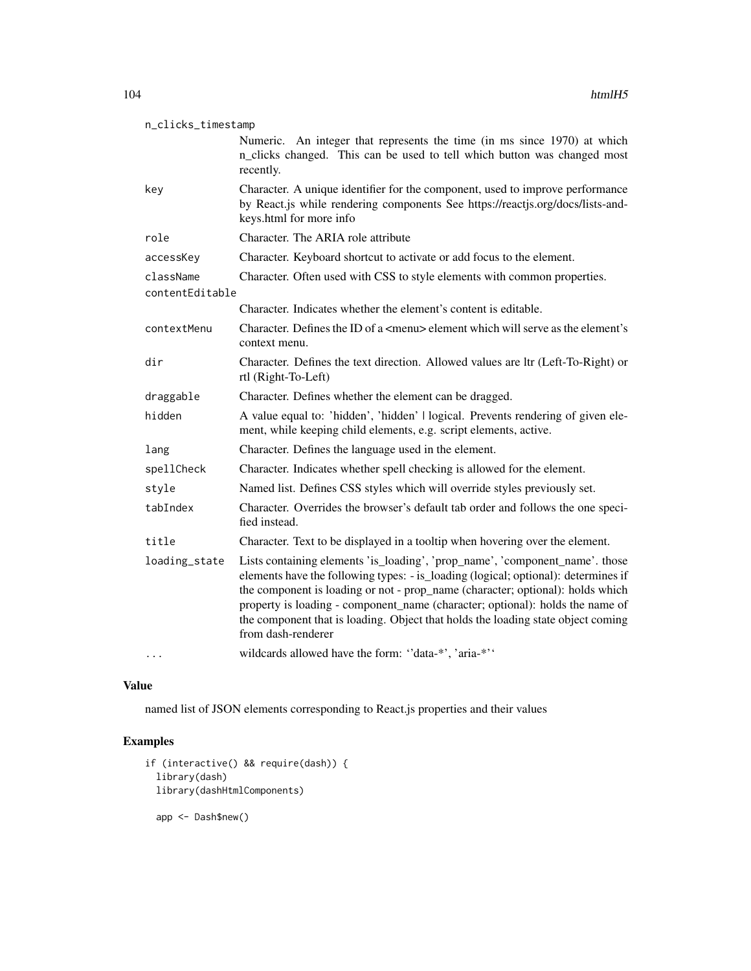| n_clicks_timestamp           |                                                                                                                                                                                                                                                                                                                                                                                                                                                 |  |
|------------------------------|-------------------------------------------------------------------------------------------------------------------------------------------------------------------------------------------------------------------------------------------------------------------------------------------------------------------------------------------------------------------------------------------------------------------------------------------------|--|
|                              | Numeric. An integer that represents the time (in ms since 1970) at which<br>n_clicks changed. This can be used to tell which button was changed most<br>recently.                                                                                                                                                                                                                                                                               |  |
| key                          | Character. A unique identifier for the component, used to improve performance<br>by React.js while rendering components See https://reactjs.org/docs/lists-and-<br>keys.html for more info                                                                                                                                                                                                                                                      |  |
| role                         | Character. The ARIA role attribute                                                                                                                                                                                                                                                                                                                                                                                                              |  |
| accessKey                    | Character. Keyboard shortcut to activate or add focus to the element.                                                                                                                                                                                                                                                                                                                                                                           |  |
| className<br>contentEditable | Character. Often used with CSS to style elements with common properties.                                                                                                                                                                                                                                                                                                                                                                        |  |
|                              | Character. Indicates whether the element's content is editable.                                                                                                                                                                                                                                                                                                                                                                                 |  |
| contextMenu                  | Character. Defines the ID of a <menu> element which will serve as the element's<br/>context menu.</menu>                                                                                                                                                                                                                                                                                                                                        |  |
| dir                          | Character. Defines the text direction. Allowed values are ltr (Left-To-Right) or<br>rtl (Right-To-Left)                                                                                                                                                                                                                                                                                                                                         |  |
| draggable                    | Character. Defines whether the element can be dragged.                                                                                                                                                                                                                                                                                                                                                                                          |  |
| hidden                       | A value equal to: 'hidden', 'hidden'   logical. Prevents rendering of given ele-<br>ment, while keeping child elements, e.g. script elements, active.                                                                                                                                                                                                                                                                                           |  |
| lang                         | Character. Defines the language used in the element.                                                                                                                                                                                                                                                                                                                                                                                            |  |
| spellCheck                   | Character. Indicates whether spell checking is allowed for the element.                                                                                                                                                                                                                                                                                                                                                                         |  |
| style                        | Named list. Defines CSS styles which will override styles previously set.                                                                                                                                                                                                                                                                                                                                                                       |  |
| tabIndex                     | Character. Overrides the browser's default tab order and follows the one speci-<br>fied instead.                                                                                                                                                                                                                                                                                                                                                |  |
| title                        | Character. Text to be displayed in a tooltip when hovering over the element.                                                                                                                                                                                                                                                                                                                                                                    |  |
| loading_state                | Lists containing elements 'is_loading', 'prop_name', 'component_name'. those<br>elements have the following types: - is_loading (logical; optional): determines if<br>the component is loading or not - prop_name (character; optional): holds which<br>property is loading - component_name (character; optional): holds the name of<br>the component that is loading. Object that holds the loading state object coming<br>from dash-renderer |  |
|                              | wildcards allowed have the form: "data-*', 'aria-*''                                                                                                                                                                                                                                                                                                                                                                                            |  |

named list of JSON elements corresponding to React.js properties and their values

# Examples

```
if (interactive() && require(dash)) {
 library(dash)
 library(dashHtmlComponents)
  app <- Dash$new()
```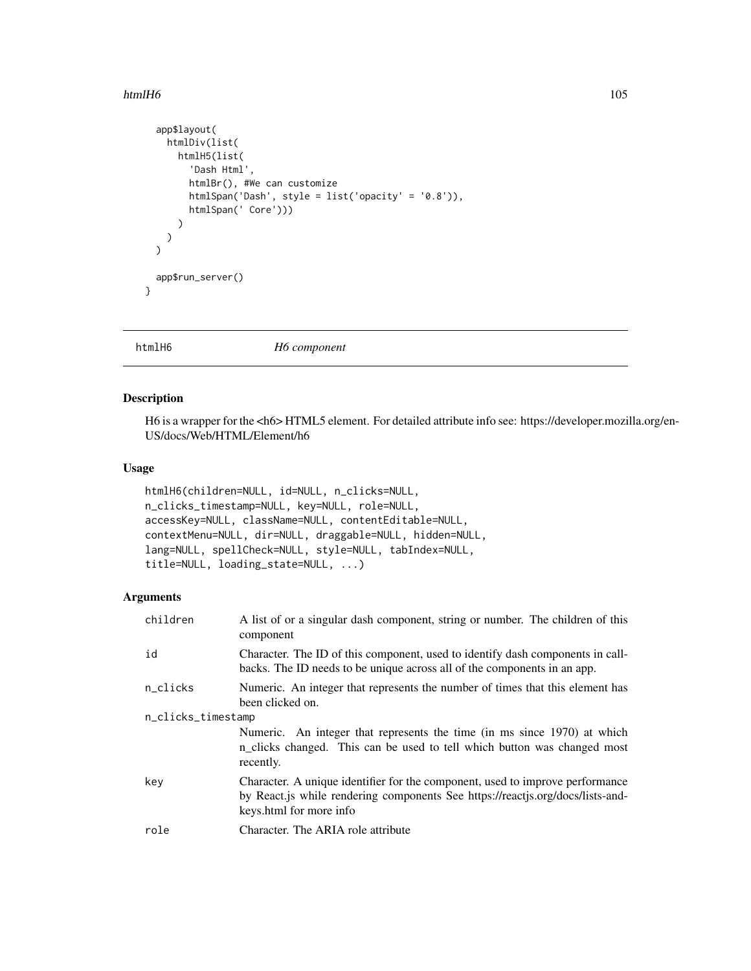### $h$ tmlH6 105

```
app$layout(
   htmlDiv(list(
      htmlH5(list(
        'Dash Html',
        htmlBr(), #We can customize
        htmlSpan('Dash', style = list('opacity' = '0.8')),
        htmlSpan(' Core')))
     )
   )
 \mathcal{L}app$run_server()
}
```
htmlH6 *H6 component*

# Description

H6 is a wrapper for the <h6> HTML5 element. For detailed attribute info see: https://developer.mozilla.org/en-US/docs/Web/HTML/Element/h6

# Usage

```
htmlH6(children=NULL, id=NULL, n_clicks=NULL,
n_clicks_timestamp=NULL, key=NULL, role=NULL,
accessKey=NULL, className=NULL, contentEditable=NULL,
contextMenu=NULL, dir=NULL, draggable=NULL, hidden=NULL,
lang=NULL, spellCheck=NULL, style=NULL, tabIndex=NULL,
title=NULL, loading_state=NULL, ...)
```

| children           | A list of or a singular dash component, string or number. The children of this<br>component                                                                                                |  |
|--------------------|--------------------------------------------------------------------------------------------------------------------------------------------------------------------------------------------|--|
| id                 | Character. The ID of this component, used to identify dash components in call-<br>backs. The ID needs to be unique across all of the components in an app.                                 |  |
| n_clicks           | Numeric. An integer that represents the number of times that this element has<br>been clicked on.                                                                                          |  |
| n_clicks_timestamp |                                                                                                                                                                                            |  |
|                    | Numeric. An integer that represents the time (in ms since 1970) at which<br>n_clicks changed. This can be used to tell which button was changed most<br>recently.                          |  |
| key                | Character. A unique identifier for the component, used to improve performance<br>by React.js while rendering components See https://reactjs.org/docs/lists-and-<br>keys.html for more info |  |
| role               | Character. The ARIA role attribute                                                                                                                                                         |  |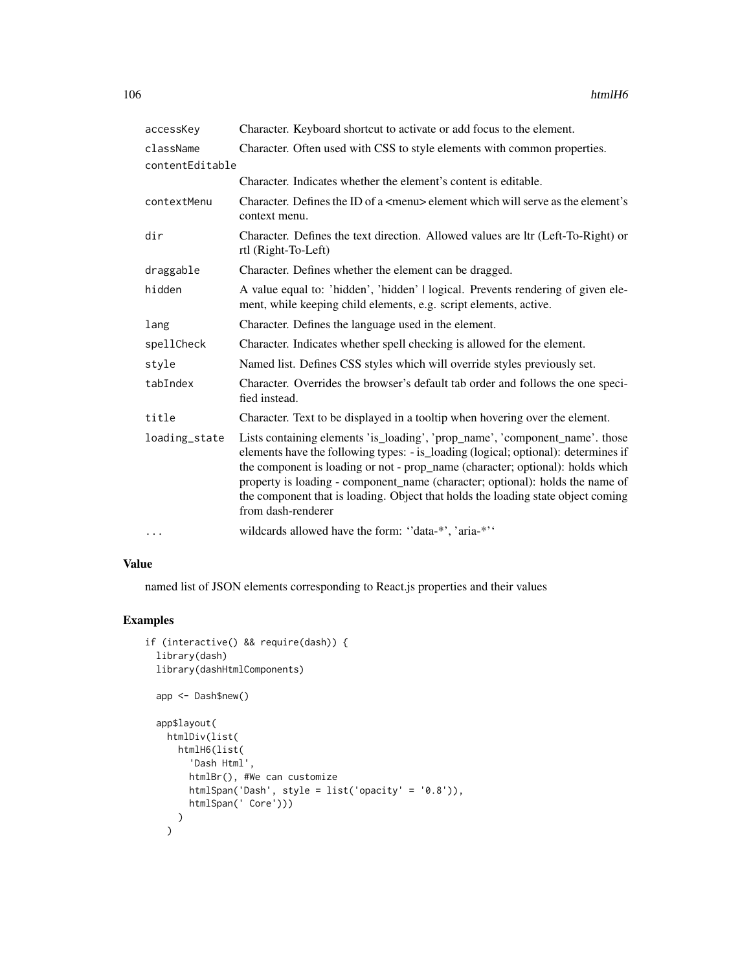| accessKey       | Character. Keyboard shortcut to activate or add focus to the element.                                                                                                                                                                                                                                                                                                                                                                           |
|-----------------|-------------------------------------------------------------------------------------------------------------------------------------------------------------------------------------------------------------------------------------------------------------------------------------------------------------------------------------------------------------------------------------------------------------------------------------------------|
| className       | Character. Often used with CSS to style elements with common properties.                                                                                                                                                                                                                                                                                                                                                                        |
| contentEditable |                                                                                                                                                                                                                                                                                                                                                                                                                                                 |
|                 | Character. Indicates whether the element's content is editable.                                                                                                                                                                                                                                                                                                                                                                                 |
| contextMenu     | Character. Defines the ID of a $\leq$ menu> element which will serve as the element's<br>context menu.                                                                                                                                                                                                                                                                                                                                          |
| dir             | Character. Defines the text direction. Allowed values are ltr (Left-To-Right) or<br>rtl (Right-To-Left)                                                                                                                                                                                                                                                                                                                                         |
| draggable       | Character. Defines whether the element can be dragged.                                                                                                                                                                                                                                                                                                                                                                                          |
| hidden          | A value equal to: 'hidden', 'hidden'   logical. Prevents rendering of given ele-<br>ment, while keeping child elements, e.g. script elements, active.                                                                                                                                                                                                                                                                                           |
| lang            | Character. Defines the language used in the element.                                                                                                                                                                                                                                                                                                                                                                                            |
| spellCheck      | Character. Indicates whether spell checking is allowed for the element.                                                                                                                                                                                                                                                                                                                                                                         |
| style           | Named list. Defines CSS styles which will override styles previously set.                                                                                                                                                                                                                                                                                                                                                                       |
| tabIndex        | Character. Overrides the browser's default tab order and follows the one speci-<br>fied instead.                                                                                                                                                                                                                                                                                                                                                |
| title           | Character. Text to be displayed in a tooltip when hovering over the element.                                                                                                                                                                                                                                                                                                                                                                    |
| loading_state   | Lists containing elements 'is_loading', 'prop_name', 'component_name'. those<br>elements have the following types: - is_loading (logical; optional): determines if<br>the component is loading or not - prop_name (character; optional): holds which<br>property is loading - component_name (character; optional): holds the name of<br>the component that is loading. Object that holds the loading state object coming<br>from dash-renderer |
| $\cdots$        | wildcards allowed have the form: "data-*', 'aria-*''                                                                                                                                                                                                                                                                                                                                                                                            |

named list of JSON elements corresponding to React.js properties and their values

# Examples

```
if (interactive() && require(dash)) {
  library(dash)
  library(dashHtmlComponents)
  app <- Dash$new()
  app$layout(
    htmlDiv(list(
     htmlH6(list(
        'Dash Html',
        htmlBr(), #We can customize
        htmlSpan('Dash', style = list('opacity' = '0.8')),
        htmlSpan(' Core')))
     )
    \overline{)}
```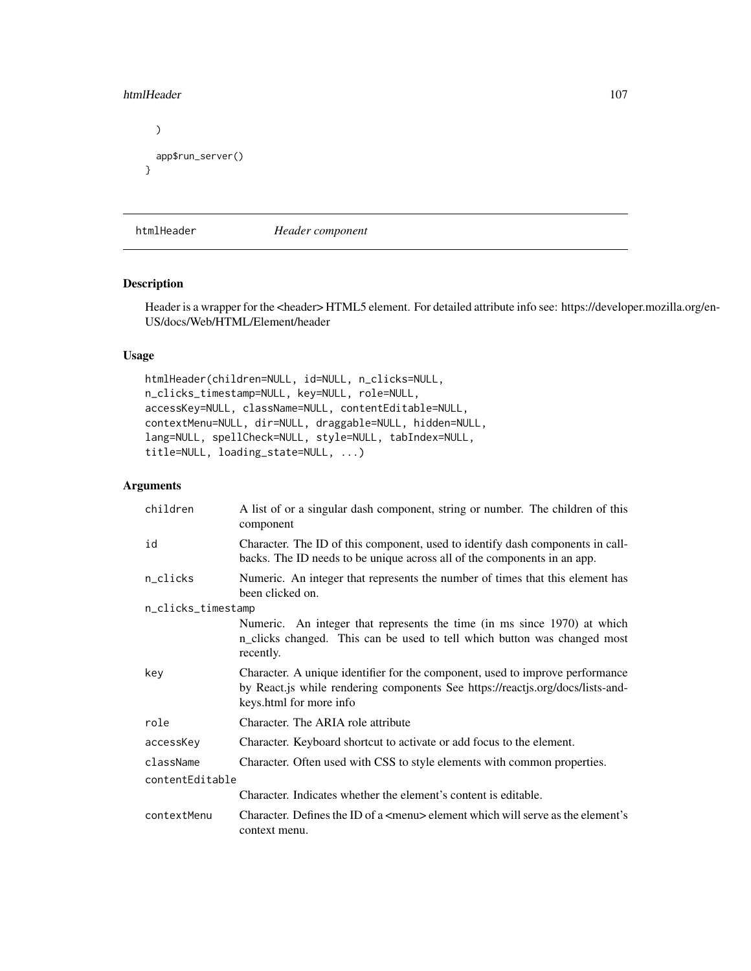### htmlHeader 107

```
)
 app$run_server()
}
```
htmlHeader *Header component*

# Description

Header is a wrapper for the <header> HTML5 element. For detailed attribute info see: https://developer.mozilla.org/en-US/docs/Web/HTML/Element/header

## Usage

```
htmlHeader(children=NULL, id=NULL, n_clicks=NULL,
n_clicks_timestamp=NULL, key=NULL, role=NULL,
accessKey=NULL, className=NULL, contentEditable=NULL,
contextMenu=NULL, dir=NULL, draggable=NULL, hidden=NULL,
lang=NULL, spellCheck=NULL, style=NULL, tabIndex=NULL,
title=NULL, loading_state=NULL, ...)
```

| children           | A list of or a singular dash component, string or number. The children of this<br>component                                                                                                |  |
|--------------------|--------------------------------------------------------------------------------------------------------------------------------------------------------------------------------------------|--|
| id                 | Character. The ID of this component, used to identify dash components in call-<br>backs. The ID needs to be unique across all of the components in an app.                                 |  |
| n_clicks           | Numeric. An integer that represents the number of times that this element has<br>been clicked on.                                                                                          |  |
| n_clicks_timestamp |                                                                                                                                                                                            |  |
|                    | Numeric. An integer that represents the time (in ms since 1970) at which<br>n_clicks changed. This can be used to tell which button was changed most<br>recently.                          |  |
| key                | Character. A unique identifier for the component, used to improve performance<br>by React.js while rendering components See https://reactjs.org/docs/lists-and-<br>keys.html for more info |  |
| role               | Character. The ARIA role attribute                                                                                                                                                         |  |
| accessKey          | Character. Keyboard shortcut to activate or add focus to the element.                                                                                                                      |  |
| className          | Character. Often used with CSS to style elements with common properties.                                                                                                                   |  |
| contentEditable    |                                                                                                                                                                                            |  |
|                    | Character. Indicates whether the element's content is editable.                                                                                                                            |  |
| contextMenu        | Character. Defines the ID of a $\leq$ menu $\geq$ element which will serve as the element's<br>context menu.                                                                               |  |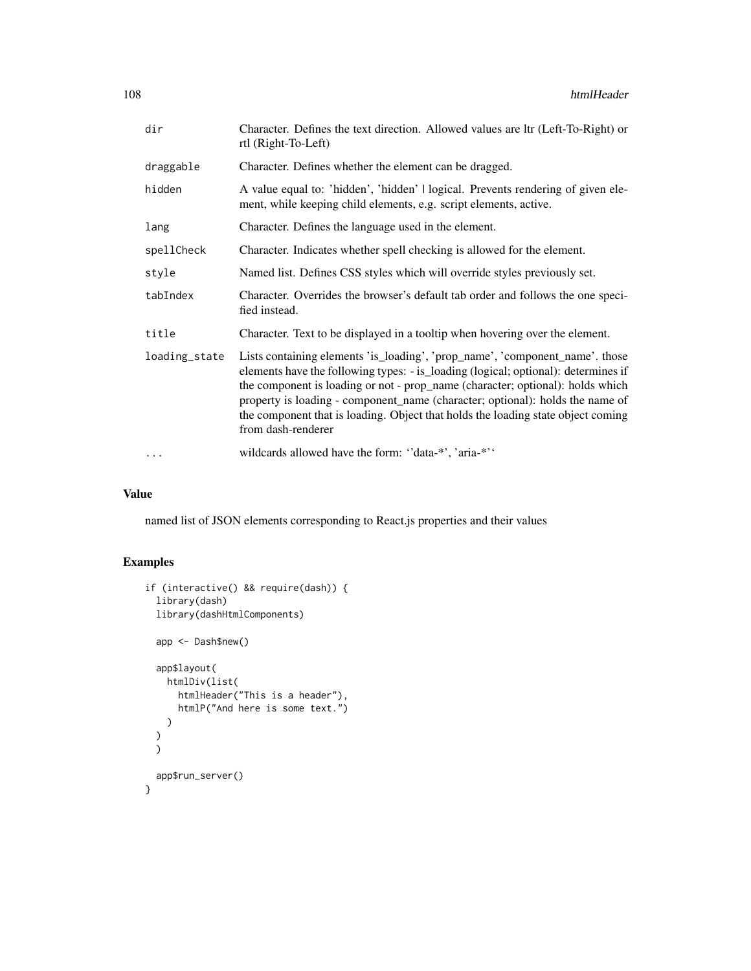| dir           | Character. Defines the text direction. Allowed values are ltr (Left-To-Right) or<br>rtl (Right-To-Left)                                                                                                                                                                                                                                                                                                                                         |
|---------------|-------------------------------------------------------------------------------------------------------------------------------------------------------------------------------------------------------------------------------------------------------------------------------------------------------------------------------------------------------------------------------------------------------------------------------------------------|
| draggable     | Character. Defines whether the element can be dragged.                                                                                                                                                                                                                                                                                                                                                                                          |
| hidden        | A value equal to: 'hidden', 'hidden'   logical. Prevents rendering of given ele-<br>ment, while keeping child elements, e.g. script elements, active.                                                                                                                                                                                                                                                                                           |
| lang          | Character. Defines the language used in the element.                                                                                                                                                                                                                                                                                                                                                                                            |
| spellCheck    | Character. Indicates whether spell checking is allowed for the element.                                                                                                                                                                                                                                                                                                                                                                         |
| style         | Named list. Defines CSS styles which will override styles previously set.                                                                                                                                                                                                                                                                                                                                                                       |
| tabIndex      | Character. Overrides the browser's default tab order and follows the one speci-<br>fied instead.                                                                                                                                                                                                                                                                                                                                                |
| title         | Character. Text to be displayed in a tooltip when hovering over the element.                                                                                                                                                                                                                                                                                                                                                                    |
| loading_state | Lists containing elements 'is_loading', 'prop_name', 'component_name'. those<br>elements have the following types: - is_loading (logical; optional): determines if<br>the component is loading or not - prop_name (character; optional): holds which<br>property is loading - component_name (character; optional): holds the name of<br>the component that is loading. Object that holds the loading state object coming<br>from dash-renderer |
| $\cdots$      | wildcards allowed have the form: "data-*", 'aria-*"                                                                                                                                                                                                                                                                                                                                                                                             |

named list of JSON elements corresponding to React.js properties and their values

# Examples

```
if (interactive() && require(dash)) {
 library(dash)
 library(dashHtmlComponents)
 app <- Dash$new()
 app$layout(
   htmlDiv(list(
     htmlHeader("This is a header"),
     htmlP("And here is some text.")
   )
  )
  )
 app$run_server()
}
```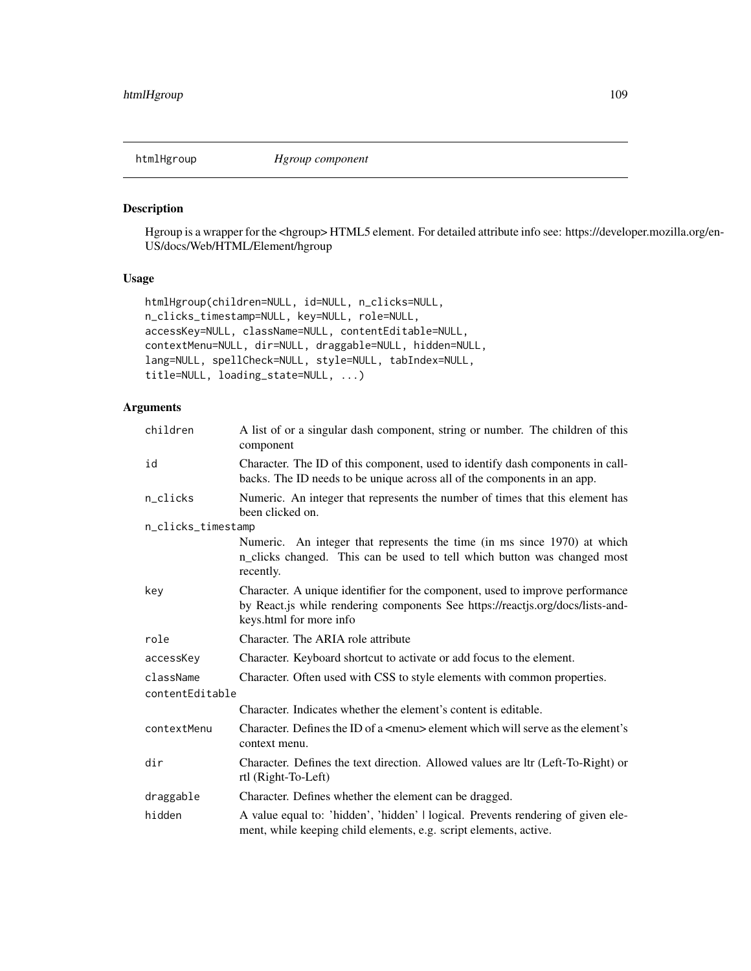htmlHgroup *Hgroup component*

## Description

Hgroup is a wrapper for the <hgroup> HTML5 element. For detailed attribute info see: https://developer.mozilla.org/en-US/docs/Web/HTML/Element/hgroup

## Usage

```
htmlHgroup(children=NULL, id=NULL, n_clicks=NULL,
n_clicks_timestamp=NULL, key=NULL, role=NULL,
accessKey=NULL, className=NULL, contentEditable=NULL,
contextMenu=NULL, dir=NULL, draggable=NULL, hidden=NULL,
lang=NULL, spellCheck=NULL, style=NULL, tabIndex=NULL,
title=NULL, loading_state=NULL, ...)
```

| children           | A list of or a singular dash component, string or number. The children of this<br>component                                                                                                |  |
|--------------------|--------------------------------------------------------------------------------------------------------------------------------------------------------------------------------------------|--|
| id                 | Character. The ID of this component, used to identify dash components in call-<br>backs. The ID needs to be unique across all of the components in an app.                                 |  |
| n_clicks           | Numeric. An integer that represents the number of times that this element has<br>been clicked on.                                                                                          |  |
| n_clicks_timestamp |                                                                                                                                                                                            |  |
|                    | Numeric. An integer that represents the time (in ms since 1970) at which<br>n_clicks changed. This can be used to tell which button was changed most<br>recently.                          |  |
| key                | Character. A unique identifier for the component, used to improve performance<br>by React.js while rendering components See https://reactjs.org/docs/lists-and-<br>keys.html for more info |  |
| role               | Character. The ARIA role attribute                                                                                                                                                         |  |
| accessKey          | Character. Keyboard shortcut to activate or add focus to the element.                                                                                                                      |  |
| className          | Character. Often used with CSS to style elements with common properties.                                                                                                                   |  |
| contentEditable    |                                                                                                                                                                                            |  |
|                    | Character. Indicates whether the element's content is editable.                                                                                                                            |  |
| contextMenu        | Character. Defines the ID of a $\leq$ menu> element which will serve as the element's<br>context menu.                                                                                     |  |
| dir                | Character. Defines the text direction. Allowed values are ltr (Left-To-Right) or<br>rtl (Right-To-Left)                                                                                    |  |
| draggable          | Character. Defines whether the element can be dragged.                                                                                                                                     |  |
| hidden             | A value equal to: 'hidden', 'hidden'   logical. Prevents rendering of given ele-<br>ment, while keeping child elements, e.g. script elements, active.                                      |  |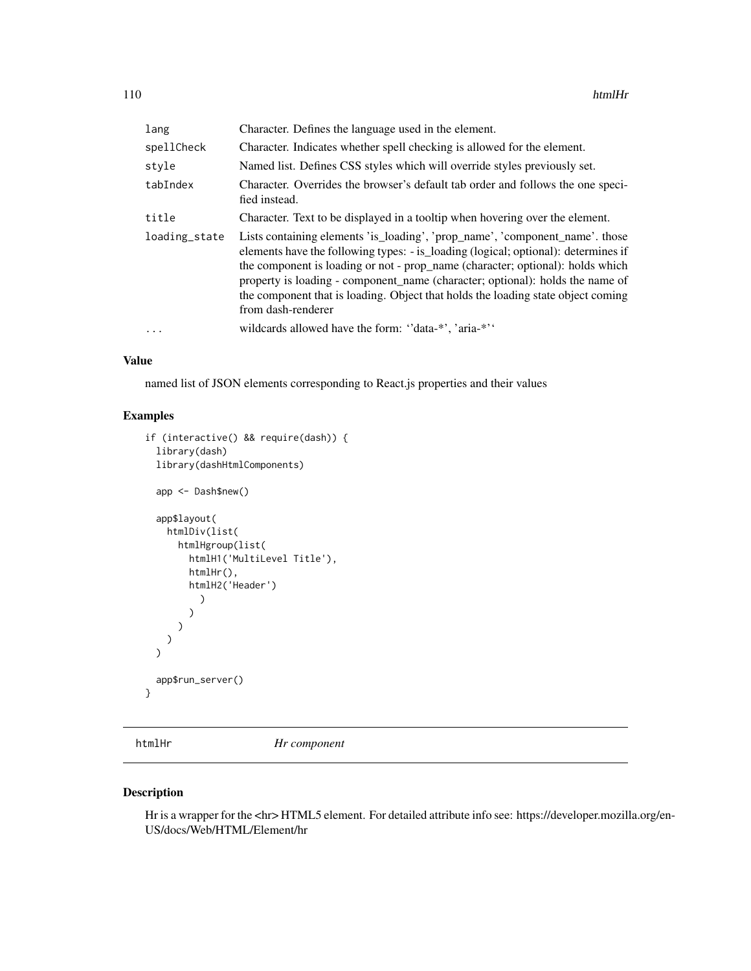| lang          | Character. Defines the language used in the element.                                                                                                                                                                                                                                                                                                                                                                                            |
|---------------|-------------------------------------------------------------------------------------------------------------------------------------------------------------------------------------------------------------------------------------------------------------------------------------------------------------------------------------------------------------------------------------------------------------------------------------------------|
| spellCheck    | Character. Indicates whether spell checking is allowed for the element.                                                                                                                                                                                                                                                                                                                                                                         |
| style         | Named list. Defines CSS styles which will override styles previously set.                                                                                                                                                                                                                                                                                                                                                                       |
| tabIndex      | Character. Overrides the browser's default tab order and follows the one speci-<br>fied instead.                                                                                                                                                                                                                                                                                                                                                |
| title         | Character. Text to be displayed in a tooltip when hovering over the element.                                                                                                                                                                                                                                                                                                                                                                    |
| loading_state | Lists containing elements 'is_loading', 'prop_name', 'component_name'. those<br>elements have the following types: - is_loading (logical; optional): determines if<br>the component is loading or not - prop_name (character; optional): holds which<br>property is loading - component name (character; optional): holds the name of<br>the component that is loading. Object that holds the loading state object coming<br>from dash-renderer |
| $\cdots$      | wildcards allowed have the form: "data-*', 'aria-*''                                                                                                                                                                                                                                                                                                                                                                                            |
|               |                                                                                                                                                                                                                                                                                                                                                                                                                                                 |

named list of JSON elements corresponding to React.js properties and their values

# Examples

```
if (interactive() && require(dash)) {
 library(dash)
 library(dashHtmlComponents)
 app <- Dash$new()
 app$layout(
   htmlDiv(list(
      htmlHgroup(list(
        htmlH1('MultiLevel Title'),
        htmlHr(),
        htmlH2('Header')
          )
        )
     )
   )
 \mathcal{L}app$run_server()
}
```
htmlHr *Hr component*

## Description

Hr is a wrapper for the <hr> HTML5 element. For detailed attribute info see: https://developer.mozilla.org/en-US/docs/Web/HTML/Element/hr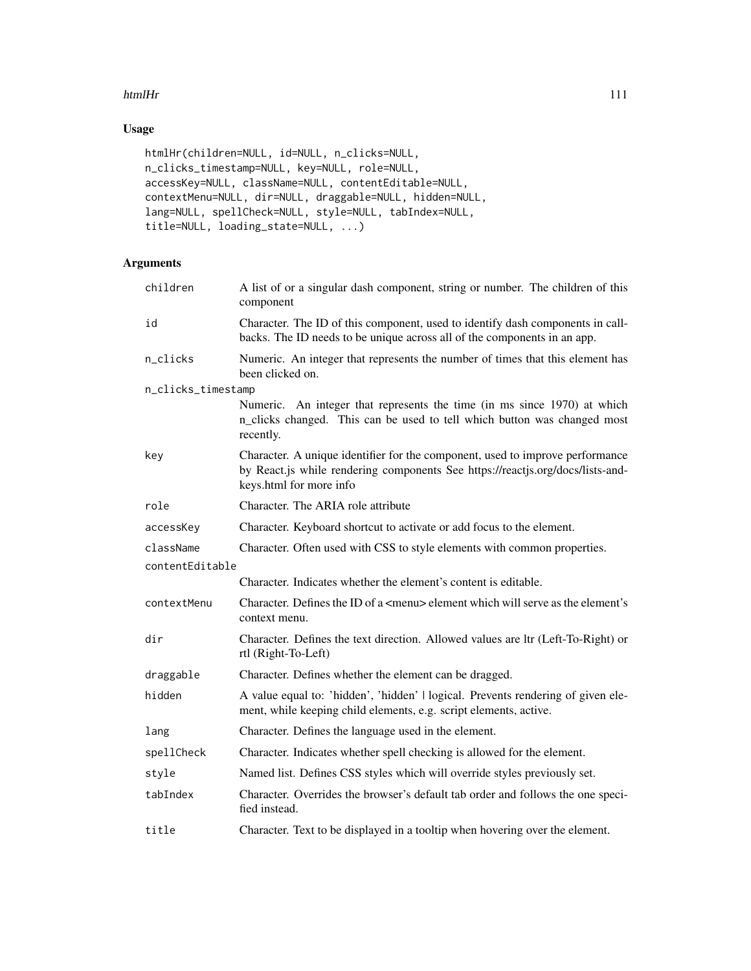### htmlHr 111

# Usage

```
htmlHr(children=NULL, id=NULL, n_clicks=NULL,
n_clicks_timestamp=NULL, key=NULL, role=NULL,
accessKey=NULL, className=NULL, contentEditable=NULL,
contextMenu=NULL, dir=NULL, draggable=NULL, hidden=NULL,
lang=NULL, spellCheck=NULL, style=NULL, tabIndex=NULL,
title=NULL, loading_state=NULL, ...)
```

| children           | A list of or a singular dash component, string or number. The children of this<br>component                                                                                                |
|--------------------|--------------------------------------------------------------------------------------------------------------------------------------------------------------------------------------------|
| id                 | Character. The ID of this component, used to identify dash components in call-<br>backs. The ID needs to be unique across all of the components in an app.                                 |
| n_clicks           | Numeric. An integer that represents the number of times that this element has<br>been clicked on.                                                                                          |
| n_clicks_timestamp |                                                                                                                                                                                            |
|                    | Numeric. An integer that represents the time (in ms since 1970) at which<br>n_clicks changed. This can be used to tell which button was changed most<br>recently.                          |
| key                | Character. A unique identifier for the component, used to improve performance<br>by React.js while rendering components See https://reactjs.org/docs/lists-and-<br>keys.html for more info |
| role               | Character. The ARIA role attribute                                                                                                                                                         |
| accessKey          | Character. Keyboard shortcut to activate or add focus to the element.                                                                                                                      |
| className          | Character. Often used with CSS to style elements with common properties.                                                                                                                   |
| contentEditable    |                                                                                                                                                                                            |
|                    | Character. Indicates whether the element's content is editable.                                                                                                                            |
| contextMenu        | Character. Defines the ID of a <menu> element which will serve as the element's<br/>context menu.</menu>                                                                                   |
| dir                | Character. Defines the text direction. Allowed values are ltr (Left-To-Right) or<br>rtl (Right-To-Left)                                                                                    |
| draggable          | Character. Defines whether the element can be dragged.                                                                                                                                     |
| hidden             | A value equal to: 'hidden', 'hidden'   logical. Prevents rendering of given ele-<br>ment, while keeping child elements, e.g. script elements, active.                                      |
| lang               | Character. Defines the language used in the element.                                                                                                                                       |
| spellCheck         | Character. Indicates whether spell checking is allowed for the element.                                                                                                                    |
| style              | Named list. Defines CSS styles which will override styles previously set.                                                                                                                  |
| tabIndex           | Character. Overrides the browser's default tab order and follows the one speci-<br>fied instead.                                                                                           |
| title              | Character. Text to be displayed in a tooltip when hovering over the element.                                                                                                               |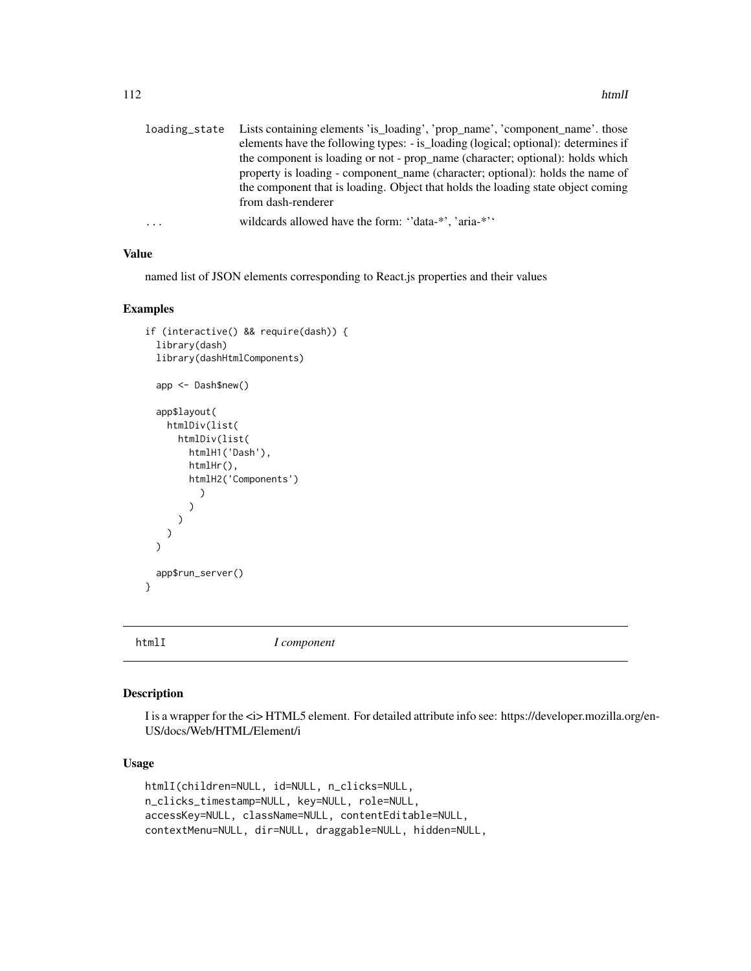|   | loading_state Lists containing elements 'is_loading', 'prop_name', 'component_name'. those |
|---|--------------------------------------------------------------------------------------------|
|   | elements have the following types: - is_loading (logical; optional): determines if         |
|   | the component is loading or not - prop_name (character; optional): holds which             |
|   | property is loading - component name (character; optional): holds the name of              |
|   | the component that is loading. Object that holds the loading state object coming           |
|   | from dash-renderer                                                                         |
| . | wildcards allowed have the form: "data-*", 'aria-*"                                        |

named list of JSON elements corresponding to React.js properties and their values

# Examples

```
if (interactive() && require(dash)) {
 library(dash)
 library(dashHtmlComponents)
 app <- Dash$new()
 app$layout(
   htmlDiv(list(
     htmlDiv(list(
        htmlH1('Dash'),
        htmlHr(),
        htmlH2('Components')
          )
        )
     )
   )
 \mathcal{L}app$run_server()
}
```
htmlI *I component*

#### Description

I is a wrapper for the  $\langle i \rangle$  HTML5 element. For detailed attribute info see: https://developer.mozilla.org/en-US/docs/Web/HTML/Element/i

### Usage

```
htmlI(children=NULL, id=NULL, n_clicks=NULL,
n_clicks_timestamp=NULL, key=NULL, role=NULL,
accessKey=NULL, className=NULL, contentEditable=NULL,
contextMenu=NULL, dir=NULL, draggable=NULL, hidden=NULL,
```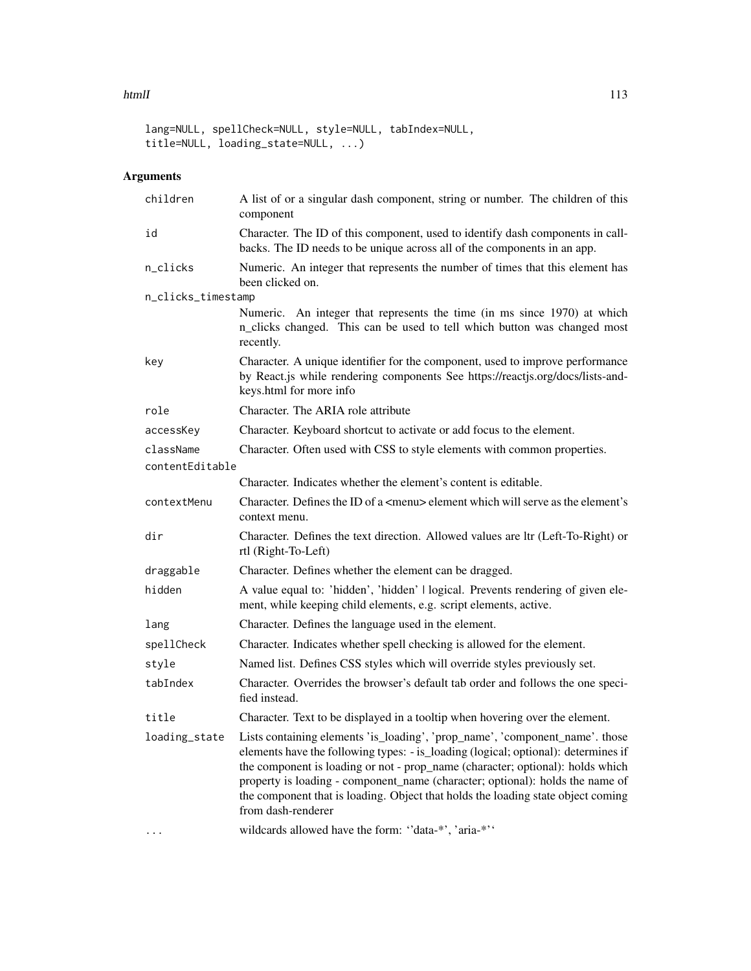#### htmlI 113

lang=NULL, spellCheck=NULL, style=NULL, tabIndex=NULL, title=NULL, loading\_state=NULL, ...)

| children           | A list of or a singular dash component, string or number. The children of this<br>component                                                                                                                                                                                                                                                                                                                                                     |
|--------------------|-------------------------------------------------------------------------------------------------------------------------------------------------------------------------------------------------------------------------------------------------------------------------------------------------------------------------------------------------------------------------------------------------------------------------------------------------|
| id                 | Character. The ID of this component, used to identify dash components in call-<br>backs. The ID needs to be unique across all of the components in an app.                                                                                                                                                                                                                                                                                      |
| n_clicks           | Numeric. An integer that represents the number of times that this element has<br>been clicked on.                                                                                                                                                                                                                                                                                                                                               |
| n_clicks_timestamp |                                                                                                                                                                                                                                                                                                                                                                                                                                                 |
|                    | Numeric. An integer that represents the time (in ms since 1970) at which<br>n_clicks changed. This can be used to tell which button was changed most<br>recently.                                                                                                                                                                                                                                                                               |
| key                | Character. A unique identifier for the component, used to improve performance<br>by React.js while rendering components See https://reactjs.org/docs/lists-and-<br>keys.html for more info                                                                                                                                                                                                                                                      |
| role               | Character. The ARIA role attribute                                                                                                                                                                                                                                                                                                                                                                                                              |
| accessKey          | Character. Keyboard shortcut to activate or add focus to the element.                                                                                                                                                                                                                                                                                                                                                                           |
| className          | Character. Often used with CSS to style elements with common properties.                                                                                                                                                                                                                                                                                                                                                                        |
| contentEditable    |                                                                                                                                                                                                                                                                                                                                                                                                                                                 |
|                    | Character. Indicates whether the element's content is editable.                                                                                                                                                                                                                                                                                                                                                                                 |
| contextMenu        | Character. Defines the ID of a <menu> element which will serve as the element's<br/>context menu.</menu>                                                                                                                                                                                                                                                                                                                                        |
| dir                | Character. Defines the text direction. Allowed values are ltr (Left-To-Right) or<br>rtl (Right-To-Left)                                                                                                                                                                                                                                                                                                                                         |
| draggable          | Character. Defines whether the element can be dragged.                                                                                                                                                                                                                                                                                                                                                                                          |
| hidden             | A value equal to: 'hidden', 'hidden'   logical. Prevents rendering of given ele-<br>ment, while keeping child elements, e.g. script elements, active.                                                                                                                                                                                                                                                                                           |
| lang               | Character. Defines the language used in the element.                                                                                                                                                                                                                                                                                                                                                                                            |
| spellCheck         | Character. Indicates whether spell checking is allowed for the element.                                                                                                                                                                                                                                                                                                                                                                         |
| style              | Named list. Defines CSS styles which will override styles previously set.                                                                                                                                                                                                                                                                                                                                                                       |
| tabIndex           | Character. Overrides the browser's default tab order and follows the one speci-<br>fied instead.                                                                                                                                                                                                                                                                                                                                                |
| title              | Character. Text to be displayed in a tooltip when hovering over the element.                                                                                                                                                                                                                                                                                                                                                                    |
| loading_state      | Lists containing elements 'is_loading', 'prop_name', 'component_name'. those<br>elements have the following types: - is_loading (logical; optional): determines if<br>the component is loading or not - prop_name (character; optional): holds which<br>property is loading - component_name (character; optional): holds the name of<br>the component that is loading. Object that holds the loading state object coming<br>from dash-renderer |
|                    | wildcards allowed have the form: "data-*', 'aria-*''                                                                                                                                                                                                                                                                                                                                                                                            |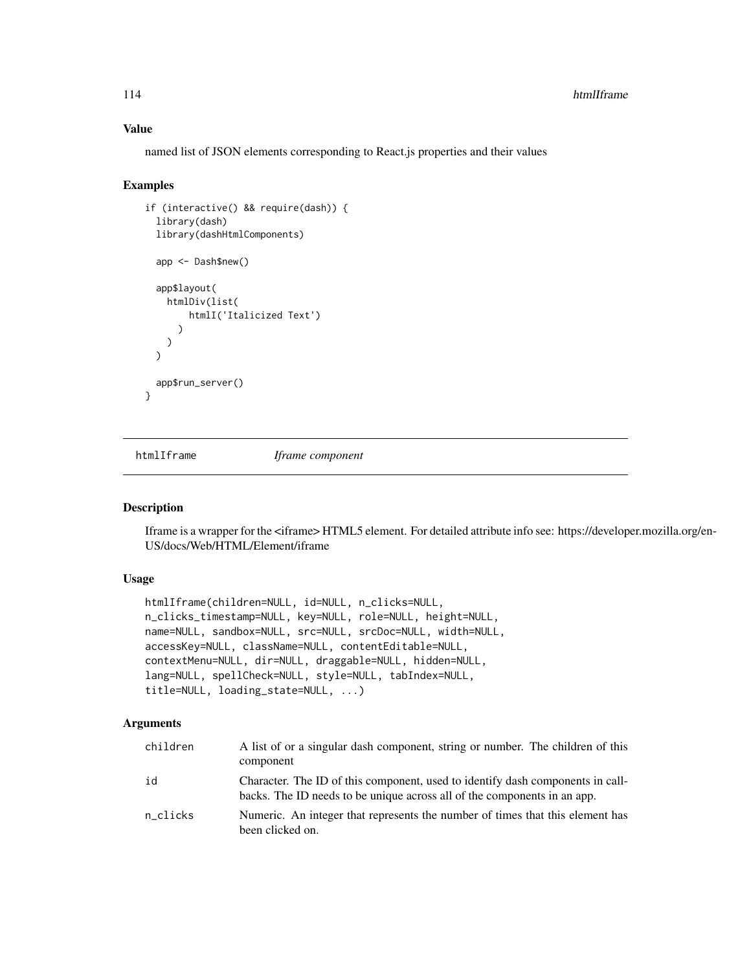named list of JSON elements corresponding to React.js properties and their values

#### Examples

```
if (interactive() && require(dash)) {
 library(dash)
 library(dashHtmlComponents)
 app <- Dash$new()
 app$layout(
   htmlDiv(list(
        htmlI('Italicized Text')
      )
   )
 \lambdaapp$run_server()
}
```
htmlIframe *Iframe component*

#### Description

Iframe is a wrapper for the <iframe> HTML5 element. For detailed attribute info see: https://developer.mozilla.org/en-US/docs/Web/HTML/Element/iframe

# Usage

```
htmlIframe(children=NULL, id=NULL, n_clicks=NULL,
n_clicks_timestamp=NULL, key=NULL, role=NULL, height=NULL,
name=NULL, sandbox=NULL, src=NULL, srcDoc=NULL, width=NULL,
accessKey=NULL, className=NULL, contentEditable=NULL,
contextMenu=NULL, dir=NULL, draggable=NULL, hidden=NULL,
lang=NULL, spellCheck=NULL, style=NULL, tabIndex=NULL,
title=NULL, loading_state=NULL, ...)
```

| children | A list of or a singular dash component, string or number. The children of this<br>component                                                                |
|----------|------------------------------------------------------------------------------------------------------------------------------------------------------------|
| id       | Character. The ID of this component, used to identify dash components in call-<br>backs. The ID needs to be unique across all of the components in an app. |
| n clicks | Numeric. An integer that represents the number of times that this element has<br>been clicked on.                                                          |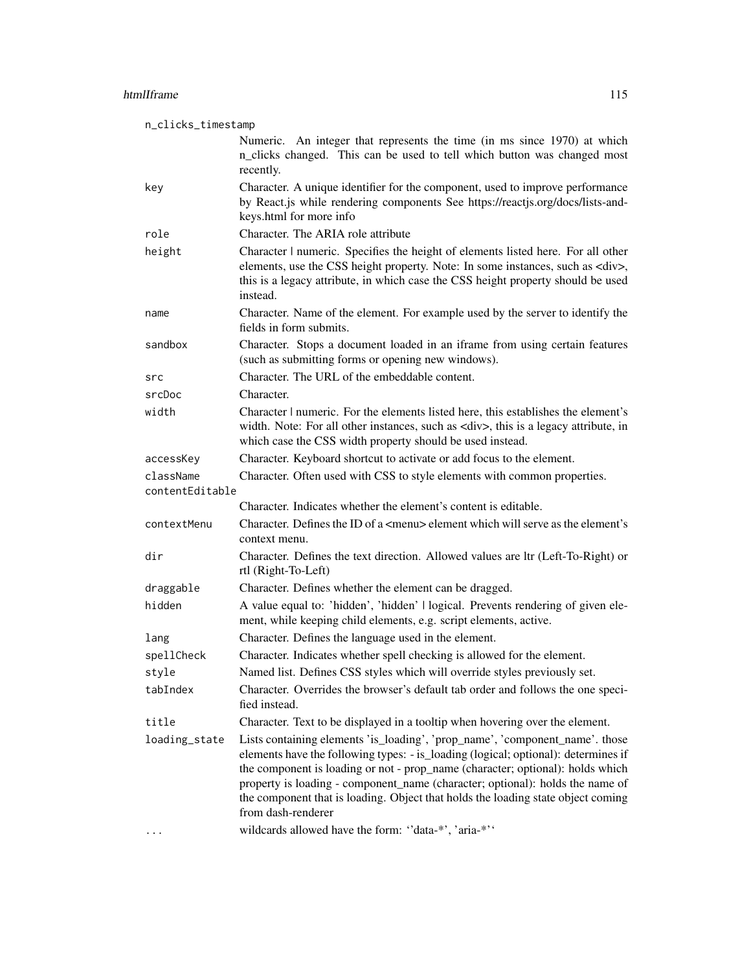| n_clicks_timestamp |                                                                                                                                                                                                                                                                                                                                                                                                                                                                                                         |  |
|--------------------|---------------------------------------------------------------------------------------------------------------------------------------------------------------------------------------------------------------------------------------------------------------------------------------------------------------------------------------------------------------------------------------------------------------------------------------------------------------------------------------------------------|--|
|                    | Numeric. An integer that represents the time (in ms since 1970) at which<br>n_clicks changed. This can be used to tell which button was changed most<br>recently.                                                                                                                                                                                                                                                                                                                                       |  |
| key                | Character. A unique identifier for the component, used to improve performance<br>by React.js while rendering components See https://reactjs.org/docs/lists-and-<br>keys.html for more info                                                                                                                                                                                                                                                                                                              |  |
| role               | Character. The ARIA role attribute                                                                                                                                                                                                                                                                                                                                                                                                                                                                      |  |
| height             | Character   numeric. Specifies the height of elements listed here. For all other<br>elements, use the CSS height property. Note: In some instances, such as <div>,<br/>this is a legacy attribute, in which case the CSS height property should be used<br/>instead.</div>                                                                                                                                                                                                                              |  |
| name               | Character. Name of the element. For example used by the server to identify the<br>fields in form submits.                                                                                                                                                                                                                                                                                                                                                                                               |  |
| sandbox            | Character. Stops a document loaded in an iframe from using certain features<br>(such as submitting forms or opening new windows).                                                                                                                                                                                                                                                                                                                                                                       |  |
| src                | Character. The URL of the embeddable content.                                                                                                                                                                                                                                                                                                                                                                                                                                                           |  |
| srcDoc             | Character.                                                                                                                                                                                                                                                                                                                                                                                                                                                                                              |  |
| width              | Character   numeric. For the elements listed here, this establishes the element's<br>width. Note: For all other instances, such as <div>, this is a legacy attribute, in<br/>which case the CSS width property should be used instead.</div>                                                                                                                                                                                                                                                            |  |
| accessKey          | Character. Keyboard shortcut to activate or add focus to the element.                                                                                                                                                                                                                                                                                                                                                                                                                                   |  |
| className          | Character. Often used with CSS to style elements with common properties.                                                                                                                                                                                                                                                                                                                                                                                                                                |  |
| contentEditable    |                                                                                                                                                                                                                                                                                                                                                                                                                                                                                                         |  |
|                    | Character. Indicates whether the element's content is editable.                                                                                                                                                                                                                                                                                                                                                                                                                                         |  |
| contextMenu        | Character. Defines the ID of a <menu> element which will serve as the element's<br/>context menu.</menu>                                                                                                                                                                                                                                                                                                                                                                                                |  |
| dir                | Character. Defines the text direction. Allowed values are ltr (Left-To-Right) or<br>rtl (Right-To-Left)                                                                                                                                                                                                                                                                                                                                                                                                 |  |
| draggable          | Character. Defines whether the element can be dragged.                                                                                                                                                                                                                                                                                                                                                                                                                                                  |  |
| hidden             | A value equal to: 'hidden', 'hidden'   logical. Prevents rendering of given ele-<br>ment, while keeping child elements, e.g. script elements, active.                                                                                                                                                                                                                                                                                                                                                   |  |
| lang               | Character. Defines the language used in the element.                                                                                                                                                                                                                                                                                                                                                                                                                                                    |  |
| spellCheck         | Character. Indicates whether spell checking is allowed for the element.                                                                                                                                                                                                                                                                                                                                                                                                                                 |  |
| style              | Named list. Defines CSS styles which will override styles previously set.                                                                                                                                                                                                                                                                                                                                                                                                                               |  |
| tabIndex           | Character. Overrides the browser's default tab order and follows the one speci-<br>fied instead.                                                                                                                                                                                                                                                                                                                                                                                                        |  |
| title              | Character. Text to be displayed in a tooltip when hovering over the element.                                                                                                                                                                                                                                                                                                                                                                                                                            |  |
| loading_state      | Lists containing elements 'is_loading', 'prop_name', 'component_name'. those<br>elements have the following types: - is_loading (logical; optional): determines if<br>the component is loading or not - prop_name (character; optional): holds which<br>property is loading - component_name (character; optional): holds the name of<br>the component that is loading. Object that holds the loading state object coming<br>from dash-renderer<br>wildcards allowed have the form: "data-*', 'aria-*'' |  |
|                    |                                                                                                                                                                                                                                                                                                                                                                                                                                                                                                         |  |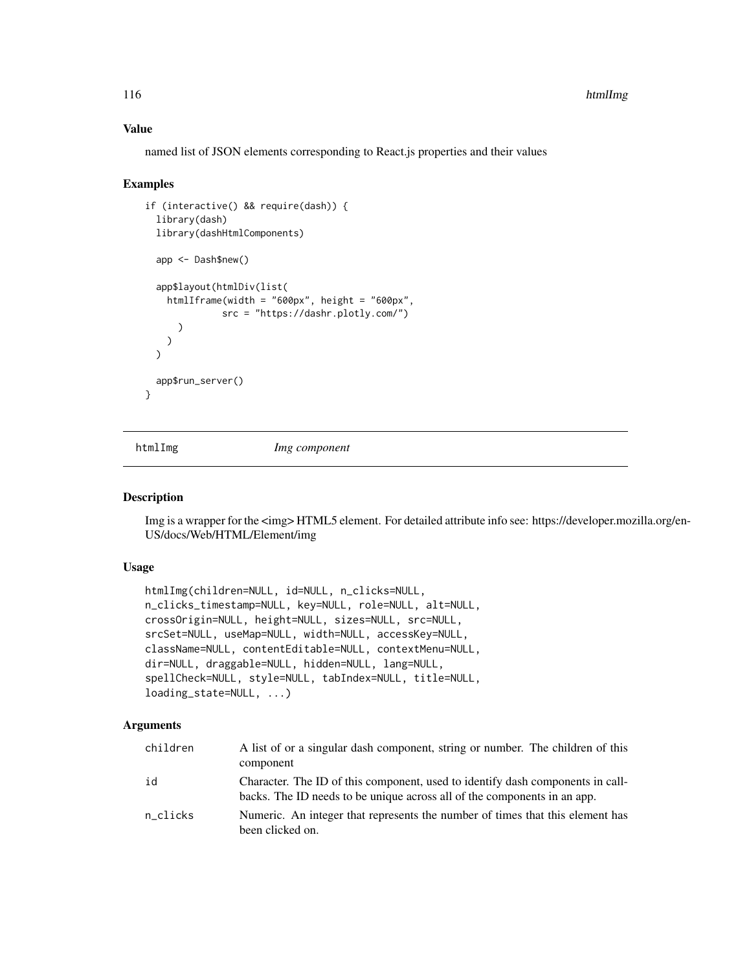named list of JSON elements corresponding to React.js properties and their values

#### Examples

```
if (interactive() && require(dash)) {
 library(dash)
 library(dashHtmlComponents)
 app <- Dash$new()
 app$layout(htmlDiv(list(
   htmlIframe(width = "600px", height = "600px",
              src = "https://dashr.plotly.com/")
      )
   \lambda\lambdaapp$run_server()
}
```
htmlImg *Img component*

#### Description

Img is a wrapper for the  $\langle$ img>HTML5 element. For detailed attribute info see: https://developer.mozilla.org/en-US/docs/Web/HTML/Element/img

# Usage

```
htmlImg(children=NULL, id=NULL, n_clicks=NULL,
n_clicks_timestamp=NULL, key=NULL, role=NULL, alt=NULL,
crossOrigin=NULL, height=NULL, sizes=NULL, src=NULL,
srcSet=NULL, useMap=NULL, width=NULL, accessKey=NULL,
className=NULL, contentEditable=NULL, contextMenu=NULL,
dir=NULL, draggable=NULL, hidden=NULL, lang=NULL,
spellCheck=NULL, style=NULL, tabIndex=NULL, title=NULL,
loading_state=NULL, ...)
```

| children | A list of or a singular dash component, string or number. The children of this<br>component                                                                |
|----------|------------------------------------------------------------------------------------------------------------------------------------------------------------|
| id       | Character. The ID of this component, used to identify dash components in call-<br>backs. The ID needs to be unique across all of the components in an app. |
| n clicks | Numeric. An integer that represents the number of times that this element has<br>been clicked on.                                                          |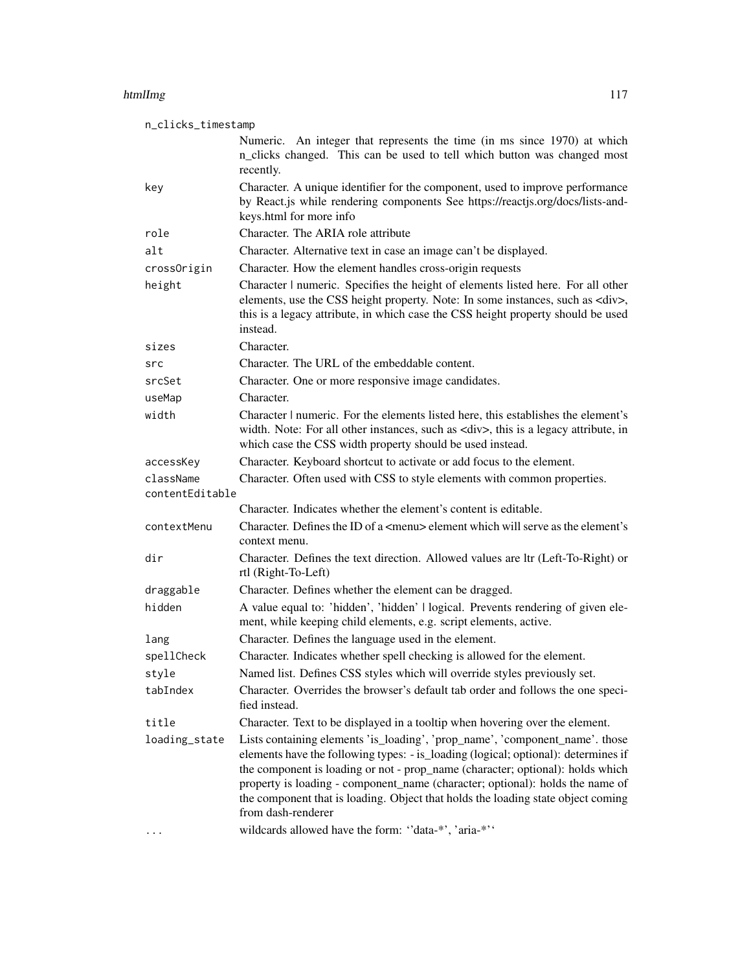#### htmlImg the contract of the contract of the contract of the contract of the contract of the contract of the contract of the contract of the contract of the contract of the contract of the contract of the contract of the co

n\_clicks\_timestamp Numeric. An integer that represents the time (in ms since 1970) at which n\_clicks changed. This can be used to tell which button was changed most recently. key Character. A unique identifier for the component, used to improve performance by React.js while rendering components See https://reactjs.org/docs/lists-andkeys.html for more info role Character. The ARIA role attribute alt Character. Alternative text in case an image can't be displayed. crossOrigin Character. How the element handles cross-origin requests height Character | numeric. Specifies the height of elements listed here. For all other elements, use the CSS height property. Note: In some instances, such as <div>, this is a legacy attribute, in which case the CSS height property should be used instead. sizes Character. src Character. The URL of the embeddable content. srcSet Character. One or more responsive image candidates. useMap Character. width Character | numeric. For the elements listed here, this establishes the element's width. Note: For all other instances, such as <div>, this is a legacy attribute, in which case the CSS width property should be used instead. accessKey Character. Keyboard shortcut to activate or add focus to the element. className Character. Often used with CSS to style elements with common properties. contentEditable Character. Indicates whether the element's content is editable. contextMenu Character. Defines the ID of a <menu> element which will serve as the element's context menu. dir Character. Defines the text direction. Allowed values are ltr (Left-To-Right) or rtl (Right-To-Left) draggable Character. Defines whether the element can be dragged. hidden A value equal to: 'hidden', 'hidden' | logical. Prevents rendering of given element, while keeping child elements, e.g. script elements, active. lang Character. Defines the language used in the element. spellCheck Character. Indicates whether spell checking is allowed for the element. style Named list. Defines CSS styles which will override styles previously set. tabIndex Character. Overrides the browser's default tab order and follows the one specified instead. title Character. Text to be displayed in a tooltip when hovering over the element. loading\_state Lists containing elements 'is\_loading', 'prop\_name', 'component\_name'. those elements have the following types: - is\_loading (logical; optional): determines if the component is loading or not - prop\_name (character; optional): holds which property is loading - component\_name (character; optional): holds the name of the component that is loading. Object that holds the loading state object coming from dash-renderer ... wildcards allowed have the form: ''data-\*', 'aria-\*''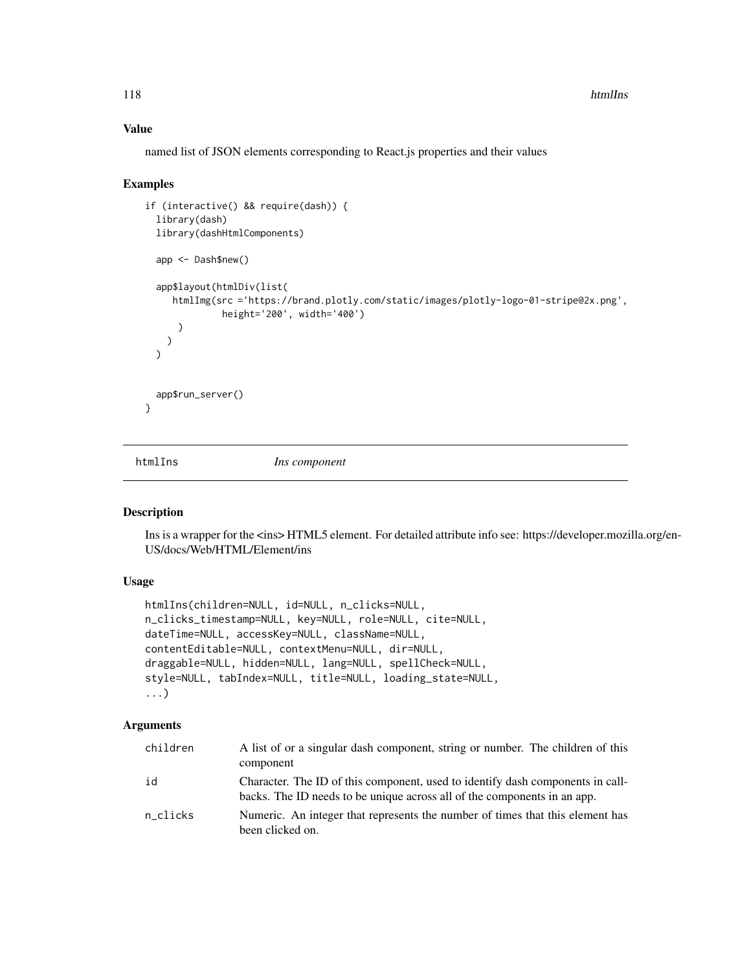named list of JSON elements corresponding to React.js properties and their values

#### Examples

```
if (interactive() && require(dash)) {
 library(dash)
 library(dashHtmlComponents)
 app <- Dash$new()
 app$layout(htmlDiv(list(
    htmlImg(src ='https://brand.plotly.com/static/images/plotly-logo-01-stripe@2x.png',
              height='200', width='400')
      )
   )
 \lambdaapp$run_server()
}
```
htmlIns *Ins component*

### Description

Ins is a wrapper for the <ins>HTML5 element. For detailed attribute info see: https://developer.mozilla.org/en-US/docs/Web/HTML/Element/ins

# Usage

```
htmlIns(children=NULL, id=NULL, n_clicks=NULL,
n_clicks_timestamp=NULL, key=NULL, role=NULL, cite=NULL,
dateTime=NULL, accessKey=NULL, className=NULL,
contentEditable=NULL, contextMenu=NULL, dir=NULL,
draggable=NULL, hidden=NULL, lang=NULL, spellCheck=NULL,
style=NULL, tabIndex=NULL, title=NULL, loading_state=NULL,
...)
```

| children | A list of or a singular dash component, string or number. The children of this<br>component                                                                |
|----------|------------------------------------------------------------------------------------------------------------------------------------------------------------|
| id       | Character. The ID of this component, used to identify dash components in call-<br>backs. The ID needs to be unique across all of the components in an app. |
| n clicks | Numeric. An integer that represents the number of times that this element has<br>been clicked on.                                                          |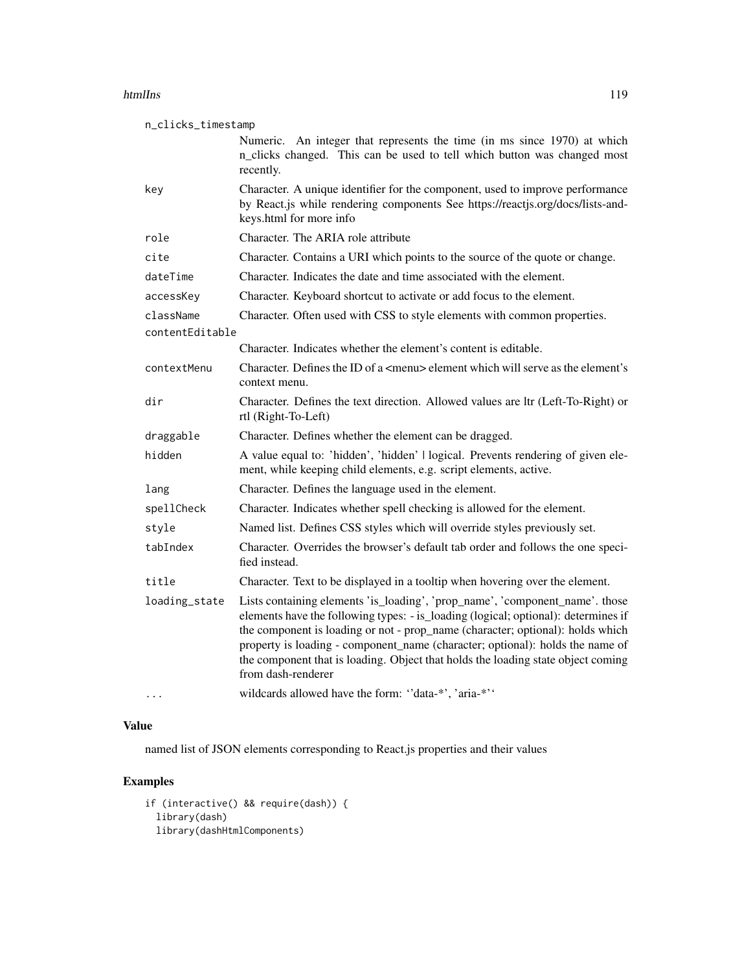#### htmlIns and the control of the control of the control of the control of the control of the control of the control of the control of the control of the control of the control of the control of the control of the control of

| n_clicks_timestamp           |                                                                                                                                                                                                                                                                                                                                                                                                                                                 |  |
|------------------------------|-------------------------------------------------------------------------------------------------------------------------------------------------------------------------------------------------------------------------------------------------------------------------------------------------------------------------------------------------------------------------------------------------------------------------------------------------|--|
|                              | Numeric. An integer that represents the time (in ms since 1970) at which<br>n_clicks changed. This can be used to tell which button was changed most<br>recently.                                                                                                                                                                                                                                                                               |  |
| key                          | Character. A unique identifier for the component, used to improve performance<br>by React.js while rendering components See https://reactjs.org/docs/lists-and-<br>keys.html for more info                                                                                                                                                                                                                                                      |  |
| role                         | Character. The ARIA role attribute                                                                                                                                                                                                                                                                                                                                                                                                              |  |
| cite                         | Character. Contains a URI which points to the source of the quote or change.                                                                                                                                                                                                                                                                                                                                                                    |  |
| dateTime                     | Character. Indicates the date and time associated with the element.                                                                                                                                                                                                                                                                                                                                                                             |  |
| accessKey                    | Character. Keyboard shortcut to activate or add focus to the element.                                                                                                                                                                                                                                                                                                                                                                           |  |
| className<br>contentEditable | Character. Often used with CSS to style elements with common properties.                                                                                                                                                                                                                                                                                                                                                                        |  |
|                              | Character. Indicates whether the element's content is editable.                                                                                                                                                                                                                                                                                                                                                                                 |  |
| contextMenu                  | Character. Defines the ID of a <menu> element which will serve as the element's<br/>context menu.</menu>                                                                                                                                                                                                                                                                                                                                        |  |
| dir                          | Character. Defines the text direction. Allowed values are ltr (Left-To-Right) or<br>rtl (Right-To-Left)                                                                                                                                                                                                                                                                                                                                         |  |
| draggable                    | Character. Defines whether the element can be dragged.                                                                                                                                                                                                                                                                                                                                                                                          |  |
| hidden                       | A value equal to: 'hidden', 'hidden'   logical. Prevents rendering of given ele-<br>ment, while keeping child elements, e.g. script elements, active.                                                                                                                                                                                                                                                                                           |  |
| lang                         | Character. Defines the language used in the element.                                                                                                                                                                                                                                                                                                                                                                                            |  |
| spellCheck                   | Character. Indicates whether spell checking is allowed for the element.                                                                                                                                                                                                                                                                                                                                                                         |  |
| style                        | Named list. Defines CSS styles which will override styles previously set.                                                                                                                                                                                                                                                                                                                                                                       |  |
| tabIndex                     | Character. Overrides the browser's default tab order and follows the one speci-<br>fied instead.                                                                                                                                                                                                                                                                                                                                                |  |
| title                        | Character. Text to be displayed in a tooltip when hovering over the element.                                                                                                                                                                                                                                                                                                                                                                    |  |
| loading_state                | Lists containing elements 'is_loading', 'prop_name', 'component_name'. those<br>elements have the following types: - is_loading (logical; optional): determines if<br>the component is loading or not - prop_name (character; optional): holds which<br>property is loading - component_name (character; optional): holds the name of<br>the component that is loading. Object that holds the loading state object coming<br>from dash-renderer |  |
| .                            | wildcards allowed have the form: "data-*', 'aria-*''                                                                                                                                                                                                                                                                                                                                                                                            |  |

# Value

named list of JSON elements corresponding to React.js properties and their values

```
if (interactive() && require(dash)) {
 library(dash)
 library(dashHtmlComponents)
```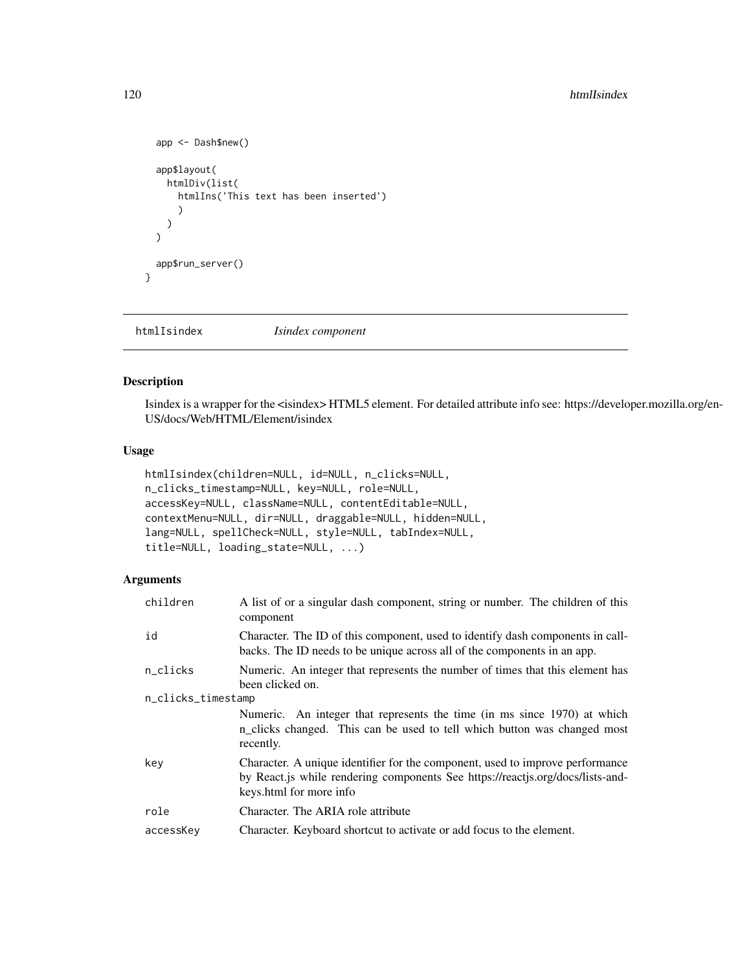```
app <- Dash$new()
  app$layout(
    htmlDiv(list(
      htmlIns('This text has been inserted')
      )
    )
  \mathcal{L}app$run_server()
}
```
htmlIsindex *Isindex component*

# Description

Isindex is a wrapper for the <isindex> HTML5 element. For detailed attribute info see: https://developer.mozilla.org/en-US/docs/Web/HTML/Element/isindex

### Usage

```
htmlIsindex(children=NULL, id=NULL, n_clicks=NULL,
n_clicks_timestamp=NULL, key=NULL, role=NULL,
accessKey=NULL, className=NULL, contentEditable=NULL,
contextMenu=NULL, dir=NULL, draggable=NULL, hidden=NULL,
lang=NULL, spellCheck=NULL, style=NULL, tabIndex=NULL,
title=NULL, loading_state=NULL, ...)
```

| children           | A list of or a singular dash component, string or number. The children of this<br>component                                                                                                |
|--------------------|--------------------------------------------------------------------------------------------------------------------------------------------------------------------------------------------|
| id                 | Character. The ID of this component, used to identify dash components in call-<br>backs. The ID needs to be unique across all of the components in an app.                                 |
| n_clicks           | Numeric. An integer that represents the number of times that this element has<br>been clicked on.                                                                                          |
| n_clicks_timestamp |                                                                                                                                                                                            |
|                    | Numeric. An integer that represents the time (in ms since 1970) at which<br>n_clicks changed. This can be used to tell which button was changed most<br>recently.                          |
| key                | Character. A unique identifier for the component, used to improve performance<br>by React.js while rendering components See https://reactjs.org/docs/lists-and-<br>keys.html for more info |
| role               | Character. The ARIA role attribute                                                                                                                                                         |
| accessKey          | Character. Keyboard shortcut to activate or add focus to the element.                                                                                                                      |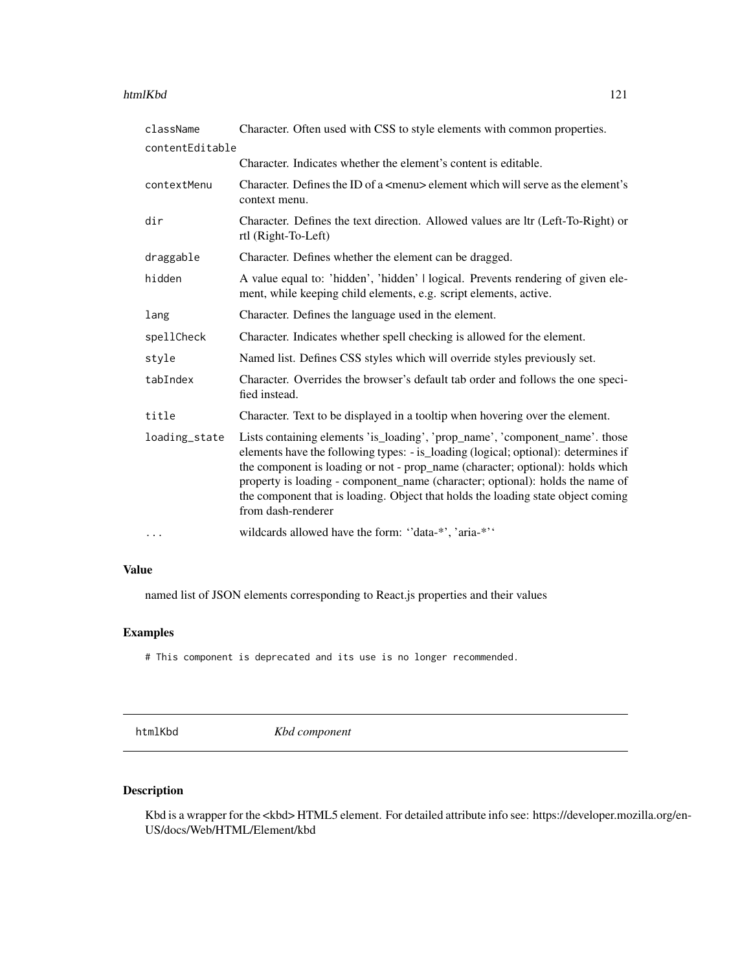#### htmlKbd 121

| className       | Character. Often used with CSS to style elements with common properties.                                                                                                                                                                                                                                                                                                                                                                        |
|-----------------|-------------------------------------------------------------------------------------------------------------------------------------------------------------------------------------------------------------------------------------------------------------------------------------------------------------------------------------------------------------------------------------------------------------------------------------------------|
| contentEditable |                                                                                                                                                                                                                                                                                                                                                                                                                                                 |
|                 | Character. Indicates whether the element's content is editable.                                                                                                                                                                                                                                                                                                                                                                                 |
| contextMenu     | Character. Defines the ID of a <menu> element which will serve as the element's<br/>context menu.</menu>                                                                                                                                                                                                                                                                                                                                        |
| dir             | Character. Defines the text direction. Allowed values are ltr (Left-To-Right) or<br>rtl (Right-To-Left)                                                                                                                                                                                                                                                                                                                                         |
| draggable       | Character. Defines whether the element can be dragged.                                                                                                                                                                                                                                                                                                                                                                                          |
| hidden          | A value equal to: 'hidden', 'hidden'   logical. Prevents rendering of given ele-<br>ment, while keeping child elements, e.g. script elements, active.                                                                                                                                                                                                                                                                                           |
| lang            | Character. Defines the language used in the element.                                                                                                                                                                                                                                                                                                                                                                                            |
| spellCheck      | Character. Indicates whether spell checking is allowed for the element.                                                                                                                                                                                                                                                                                                                                                                         |
| style           | Named list. Defines CSS styles which will override styles previously set.                                                                                                                                                                                                                                                                                                                                                                       |
| tabIndex        | Character. Overrides the browser's default tab order and follows the one speci-<br>fied instead.                                                                                                                                                                                                                                                                                                                                                |
| title           | Character. Text to be displayed in a tooltip when hovering over the element.                                                                                                                                                                                                                                                                                                                                                                    |
| loading_state   | Lists containing elements 'is_loading', 'prop_name', 'component_name'. those<br>elements have the following types: - is_loading (logical; optional): determines if<br>the component is loading or not - prop_name (character; optional): holds which<br>property is loading - component_name (character; optional): holds the name of<br>the component that is loading. Object that holds the loading state object coming<br>from dash-renderer |
| $\cdots$        | wildcards allowed have the form: "data-*', 'aria-*''                                                                                                                                                                                                                                                                                                                                                                                            |

## Value

named list of JSON elements corresponding to React.js properties and their values

## Examples

# This component is deprecated and its use is no longer recommended.

htmlKbd *Kbd component*

# Description

Kbd is a wrapper for the <kbd> HTML5 element. For detailed attribute info see: https://developer.mozilla.org/en-US/docs/Web/HTML/Element/kbd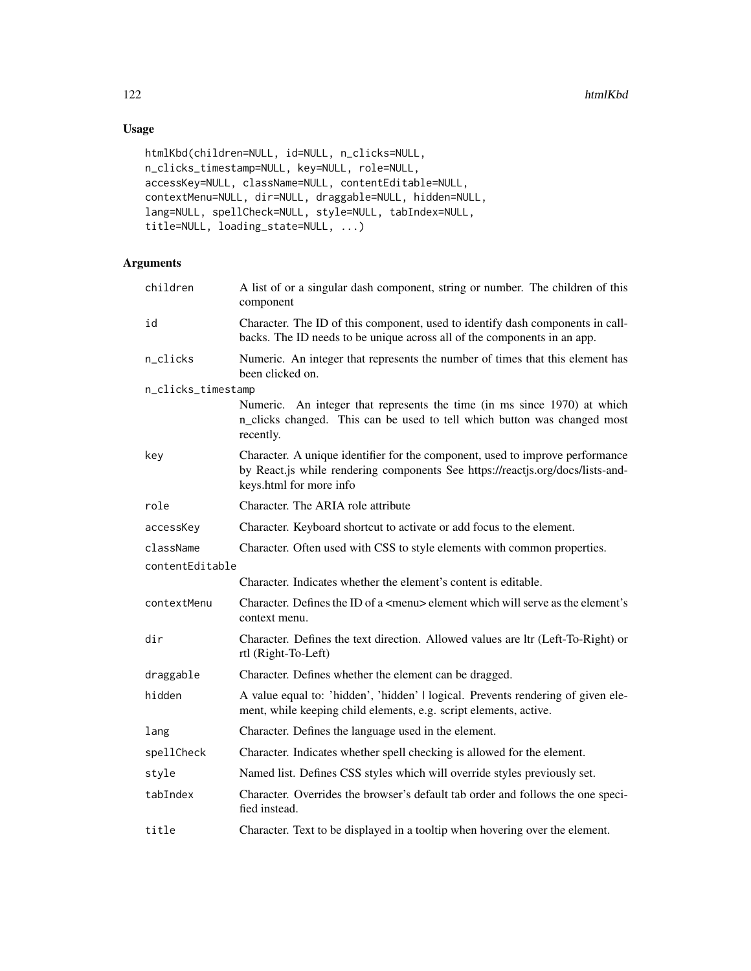# Usage

```
htmlKbd(children=NULL, id=NULL, n_clicks=NULL,
n_clicks_timestamp=NULL, key=NULL, role=NULL,
accessKey=NULL, className=NULL, contentEditable=NULL,
contextMenu=NULL, dir=NULL, draggable=NULL, hidden=NULL,
lang=NULL, spellCheck=NULL, style=NULL, tabIndex=NULL,
title=NULL, loading_state=NULL, ...)
```

| children           | A list of or a singular dash component, string or number. The children of this<br>component                                                                                                |
|--------------------|--------------------------------------------------------------------------------------------------------------------------------------------------------------------------------------------|
| id                 | Character. The ID of this component, used to identify dash components in call-<br>backs. The ID needs to be unique across all of the components in an app.                                 |
| n_clicks           | Numeric. An integer that represents the number of times that this element has<br>been clicked on.                                                                                          |
| n_clicks_timestamp |                                                                                                                                                                                            |
|                    | Numeric. An integer that represents the time (in ms since 1970) at which<br>n_clicks changed. This can be used to tell which button was changed most<br>recently.                          |
| key                | Character. A unique identifier for the component, used to improve performance<br>by React.js while rendering components See https://reactjs.org/docs/lists-and-<br>keys.html for more info |
| role               | Character. The ARIA role attribute                                                                                                                                                         |
| accessKey          | Character. Keyboard shortcut to activate or add focus to the element.                                                                                                                      |
| className          | Character. Often used with CSS to style elements with common properties.                                                                                                                   |
| contentEditable    |                                                                                                                                                                                            |
|                    | Character. Indicates whether the element's content is editable.                                                                                                                            |
| contextMenu        | Character. Defines the ID of a <menu> element which will serve as the element's<br/>context menu.</menu>                                                                                   |
| dir                | Character. Defines the text direction. Allowed values are ltr (Left-To-Right) or<br>rtl (Right-To-Left)                                                                                    |
| draggable          | Character. Defines whether the element can be dragged.                                                                                                                                     |
| hidden             | A value equal to: 'hidden', 'hidden'   logical. Prevents rendering of given ele-<br>ment, while keeping child elements, e.g. script elements, active.                                      |
| lang               | Character. Defines the language used in the element.                                                                                                                                       |
| spellCheck         | Character. Indicates whether spell checking is allowed for the element.                                                                                                                    |
| style              | Named list. Defines CSS styles which will override styles previously set.                                                                                                                  |
| tabIndex           | Character. Overrides the browser's default tab order and follows the one speci-<br>fied instead.                                                                                           |
| title              | Character. Text to be displayed in a tooltip when hovering over the element.                                                                                                               |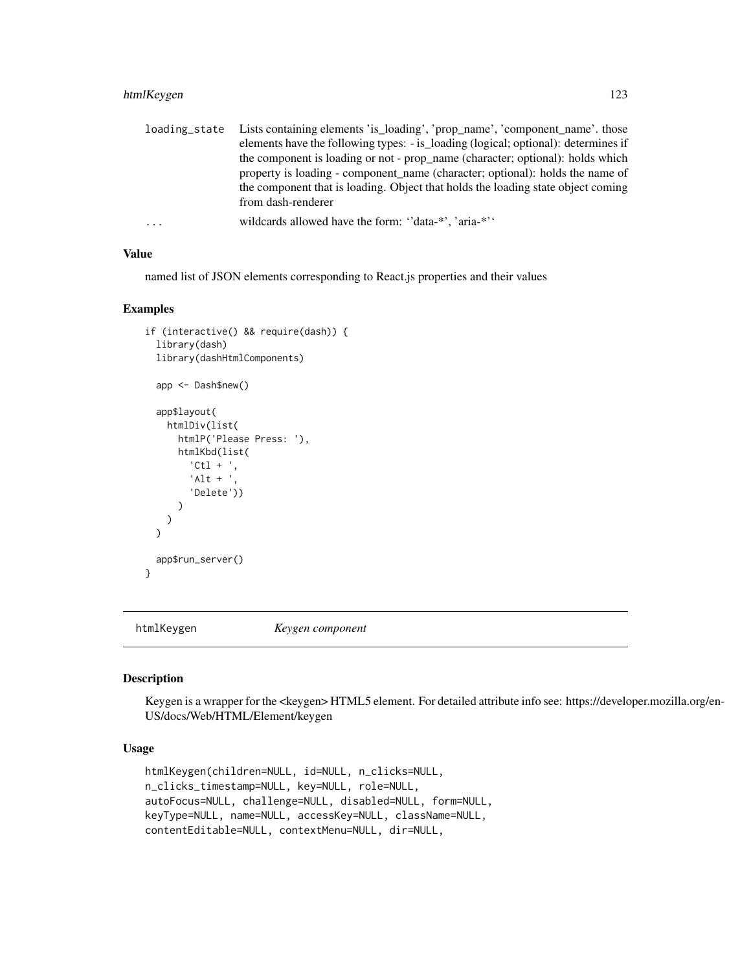## htmlKeygen 123

| loading_state | Lists containing elements 'is_loading', 'prop_name', 'component_name'. those       |
|---------------|------------------------------------------------------------------------------------|
|               | elements have the following types: - is_loading (logical; optional): determines if |
|               | the component is loading or not - prop_name (character; optional): holds which     |
|               | property is loading - component name (character; optional): holds the name of      |
|               | the component that is loading. Object that holds the loading state object coming   |
|               | from dash-renderer                                                                 |
| $\ddots$      | wildcards allowed have the form: "data-*", 'aria-*"                                |

#### Value

named list of JSON elements corresponding to React.js properties and their values

### Examples

```
if (interactive() && require(dash)) {
 library(dash)
 library(dashHtmlComponents)
 app <- Dash$new()
 app$layout(
   htmlDiv(list(
      htmlP('Please Press: '),
      htmlKbd(list(
         'Ctl + ',
         'Alt + ','Delete'))
      )
   )
 \mathcal{L}app$run_server()
}
```
htmlKeygen *Keygen component*

### Description

Keygen is a wrapper for the <keygen> HTML5 element. For detailed attribute info see: https://developer.mozilla.org/en-US/docs/Web/HTML/Element/keygen

# Usage

```
htmlKeygen(children=NULL, id=NULL, n_clicks=NULL,
n_clicks_timestamp=NULL, key=NULL, role=NULL,
autoFocus=NULL, challenge=NULL, disabled=NULL, form=NULL,
keyType=NULL, name=NULL, accessKey=NULL, className=NULL,
contentEditable=NULL, contextMenu=NULL, dir=NULL,
```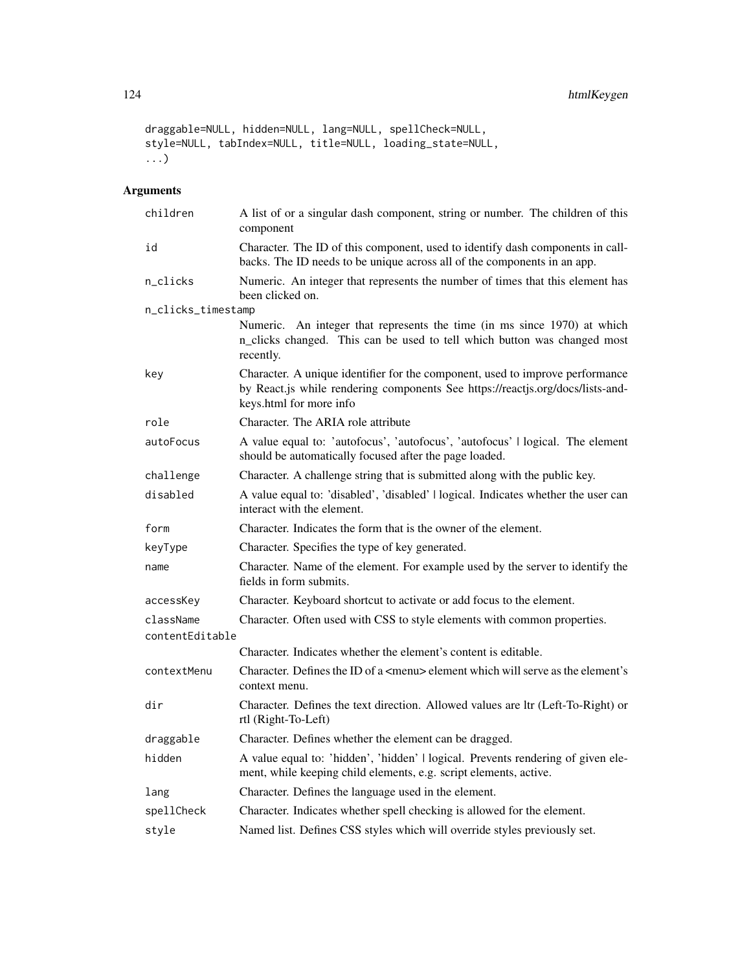```
draggable=NULL, hidden=NULL, lang=NULL, spellCheck=NULL,
style=NULL, tabIndex=NULL, title=NULL, loading_state=NULL,
...)
```

| children           | A list of or a singular dash component, string or number. The children of this<br>component                                                                                                |
|--------------------|--------------------------------------------------------------------------------------------------------------------------------------------------------------------------------------------|
| id                 | Character. The ID of this component, used to identify dash components in call-<br>backs. The ID needs to be unique across all of the components in an app.                                 |
| n_clicks           | Numeric. An integer that represents the number of times that this element has<br>been clicked on.                                                                                          |
| n_clicks_timestamp |                                                                                                                                                                                            |
|                    | Numeric. An integer that represents the time (in ms since 1970) at which<br>n_clicks changed. This can be used to tell which button was changed most<br>recently.                          |
| key                | Character. A unique identifier for the component, used to improve performance<br>by React.js while rendering components See https://reactjs.org/docs/lists-and-<br>keys.html for more info |
| role               | Character. The ARIA role attribute                                                                                                                                                         |
| autoFocus          | A value equal to: 'autofocus', 'autofocus', 'autofocus'   logical. The element<br>should be automatically focused after the page loaded.                                                   |
| challenge          | Character. A challenge string that is submitted along with the public key.                                                                                                                 |
| disabled           | A value equal to: 'disabled', 'disabled'   logical. Indicates whether the user can<br>interact with the element.                                                                           |
| form               | Character. Indicates the form that is the owner of the element.                                                                                                                            |
| keyType            | Character. Specifies the type of key generated.                                                                                                                                            |
| name               | Character. Name of the element. For example used by the server to identify the<br>fields in form submits.                                                                                  |
| accessKey          | Character. Keyboard shortcut to activate or add focus to the element.                                                                                                                      |
| className          | Character. Often used with CSS to style elements with common properties.                                                                                                                   |
| contentEditable    |                                                                                                                                                                                            |
|                    | Character. Indicates whether the element's content is editable.                                                                                                                            |
| contextMenu        | Character. Defines the ID of a $\leq$ menu $\geq$ element which will serve as the element's<br>context menu.                                                                               |
| dir                | Character. Defines the text direction. Allowed values are ltr (Left-To-Right) or<br>rtl (Right-To-Left)                                                                                    |
| draggable          | Character. Defines whether the element can be dragged.                                                                                                                                     |
| hidden             | A value equal to: 'hidden', 'hidden'   logical. Prevents rendering of given ele-<br>ment, while keeping child elements, e.g. script elements, active.                                      |
| lang               | Character. Defines the language used in the element.                                                                                                                                       |
| spellCheck         | Character. Indicates whether spell checking is allowed for the element.                                                                                                                    |
| style              | Named list. Defines CSS styles which will override styles previously set.                                                                                                                  |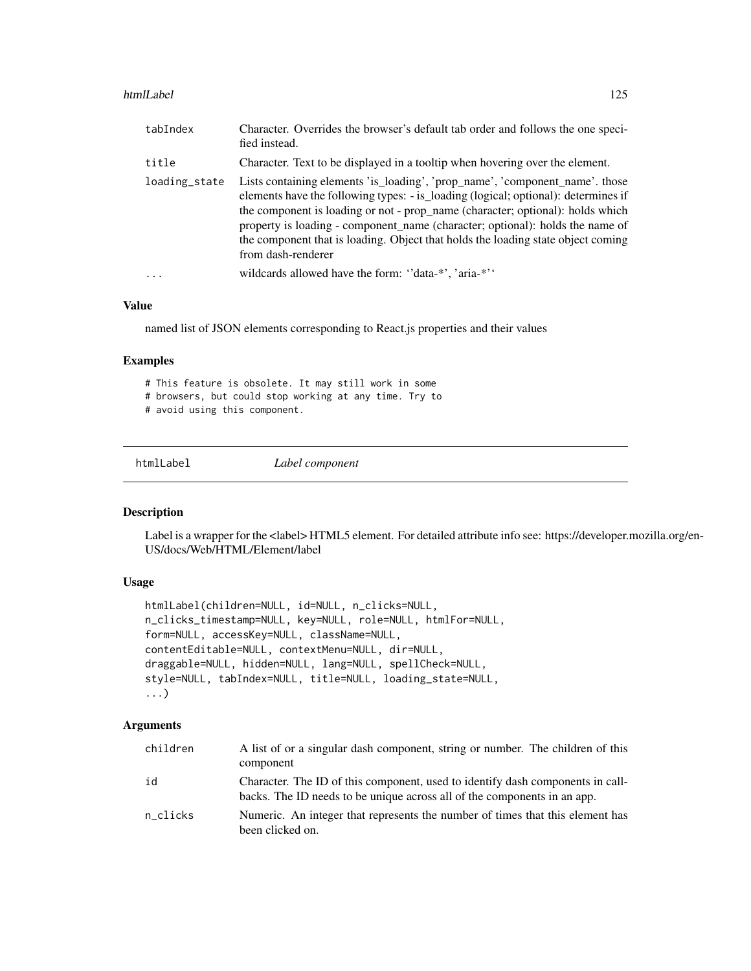#### htmlLabel 125

| tabIndex      | Character. Overrides the browser's default tab order and follows the one speci-<br>fied instead.                                                                                                                                                                                                                                                                                                                                                |
|---------------|-------------------------------------------------------------------------------------------------------------------------------------------------------------------------------------------------------------------------------------------------------------------------------------------------------------------------------------------------------------------------------------------------------------------------------------------------|
| title         | Character. Text to be displayed in a tooltip when hovering over the element.                                                                                                                                                                                                                                                                                                                                                                    |
| loading_state | Lists containing elements 'is_loading', 'prop_name', 'component_name'. those<br>elements have the following types: - is loading (logical; optional): determines if<br>the component is loading or not - prop_name (character; optional): holds which<br>property is loading - component_name (character; optional): holds the name of<br>the component that is loading. Object that holds the loading state object coming<br>from dash-renderer |
| .             | wildcards allowed have the form: "data-*', 'aria-*''                                                                                                                                                                                                                                                                                                                                                                                            |

### Value

named list of JSON elements corresponding to React.js properties and their values

#### Examples

# This feature is obsolete. It may still work in some # browsers, but could stop working at any time. Try to # avoid using this component.

htmlLabel *Label component*

### Description

Label is a wrapper for the <label> HTML5 element. For detailed attribute info see: https://developer.mozilla.org/en-US/docs/Web/HTML/Element/label

## Usage

```
htmlLabel(children=NULL, id=NULL, n_clicks=NULL,
n_clicks_timestamp=NULL, key=NULL, role=NULL, htmlFor=NULL,
form=NULL, accessKey=NULL, className=NULL,
contentEditable=NULL, contextMenu=NULL, dir=NULL,
draggable=NULL, hidden=NULL, lang=NULL, spellCheck=NULL,
style=NULL, tabIndex=NULL, title=NULL, loading_state=NULL,
...)
```

| children | A list of or a singular dash component, string or number. The children of this<br>component                                                                |
|----------|------------------------------------------------------------------------------------------------------------------------------------------------------------|
| id       | Character. The ID of this component, used to identify dash components in call-<br>backs. The ID needs to be unique across all of the components in an app. |
| n clicks | Numeric. An integer that represents the number of times that this element has<br>been clicked on.                                                          |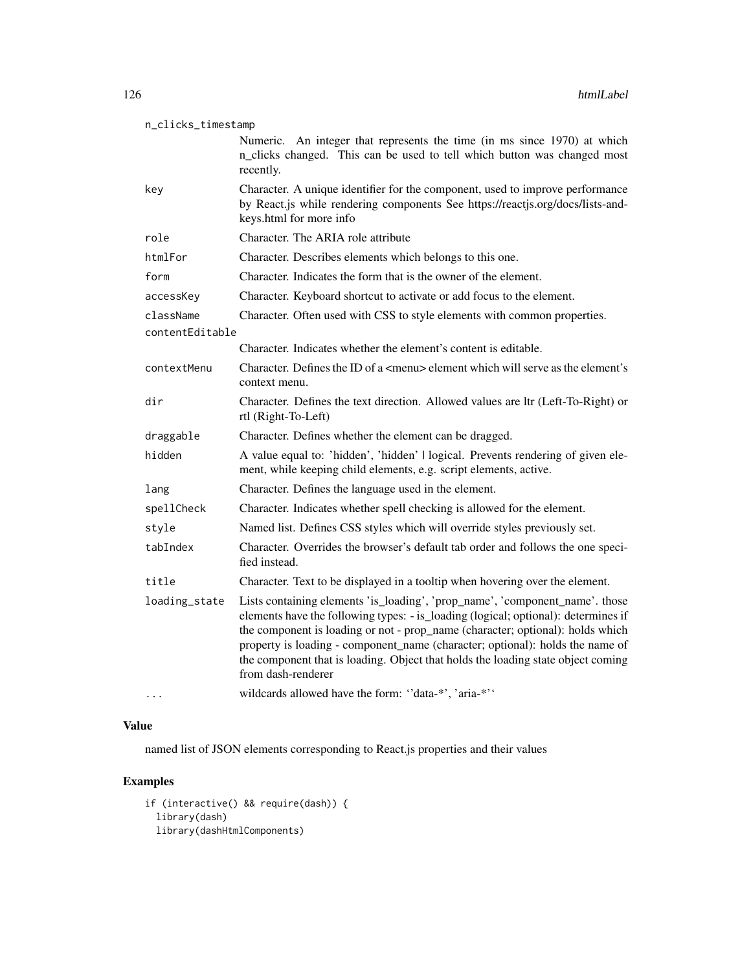| n_clicks_timestamp           |                                                                                                                                                                                                                                                                                                                                                                                                                                                 |
|------------------------------|-------------------------------------------------------------------------------------------------------------------------------------------------------------------------------------------------------------------------------------------------------------------------------------------------------------------------------------------------------------------------------------------------------------------------------------------------|
|                              | Numeric. An integer that represents the time (in ms since 1970) at which<br>n_clicks changed. This can be used to tell which button was changed most<br>recently.                                                                                                                                                                                                                                                                               |
| key                          | Character. A unique identifier for the component, used to improve performance<br>by React.js while rendering components See https://reactjs.org/docs/lists-and-<br>keys.html for more info                                                                                                                                                                                                                                                      |
| role                         | Character. The ARIA role attribute                                                                                                                                                                                                                                                                                                                                                                                                              |
| htmlFor                      | Character. Describes elements which belongs to this one.                                                                                                                                                                                                                                                                                                                                                                                        |
| form                         | Character. Indicates the form that is the owner of the element.                                                                                                                                                                                                                                                                                                                                                                                 |
| accessKey                    | Character. Keyboard shortcut to activate or add focus to the element.                                                                                                                                                                                                                                                                                                                                                                           |
| className<br>contentEditable | Character. Often used with CSS to style elements with common properties.                                                                                                                                                                                                                                                                                                                                                                        |
|                              | Character. Indicates whether the element's content is editable.                                                                                                                                                                                                                                                                                                                                                                                 |
| contextMenu                  | Character. Defines the ID of a <menu> element which will serve as the element's<br/>context menu.</menu>                                                                                                                                                                                                                                                                                                                                        |
| dir                          | Character. Defines the text direction. Allowed values are ltr (Left-To-Right) or<br>rtl (Right-To-Left)                                                                                                                                                                                                                                                                                                                                         |
| draggable                    | Character. Defines whether the element can be dragged.                                                                                                                                                                                                                                                                                                                                                                                          |
| hidden                       | A value equal to: 'hidden', 'hidden'   logical. Prevents rendering of given ele-<br>ment, while keeping child elements, e.g. script elements, active.                                                                                                                                                                                                                                                                                           |
| lang                         | Character. Defines the language used in the element.                                                                                                                                                                                                                                                                                                                                                                                            |
| spellCheck                   | Character. Indicates whether spell checking is allowed for the element.                                                                                                                                                                                                                                                                                                                                                                         |
| style                        | Named list. Defines CSS styles which will override styles previously set.                                                                                                                                                                                                                                                                                                                                                                       |
| tabIndex                     | Character. Overrides the browser's default tab order and follows the one speci-<br>fied instead.                                                                                                                                                                                                                                                                                                                                                |
| title                        | Character. Text to be displayed in a tooltip when hovering over the element.                                                                                                                                                                                                                                                                                                                                                                    |
| loading_state                | Lists containing elements 'is_loading', 'prop_name', 'component_name'. those<br>elements have the following types: - is_loading (logical; optional): determines if<br>the component is loading or not - prop_name (character; optional): holds which<br>property is loading - component_name (character; optional): holds the name of<br>the component that is loading. Object that holds the loading state object coming<br>from dash-renderer |
|                              | wildcards allowed have the form: "data-*', 'aria-*''                                                                                                                                                                                                                                                                                                                                                                                            |

named list of JSON elements corresponding to React.js properties and their values

```
if (interactive() && require(dash)) {
 library(dash)
 library(dashHtmlComponents)
```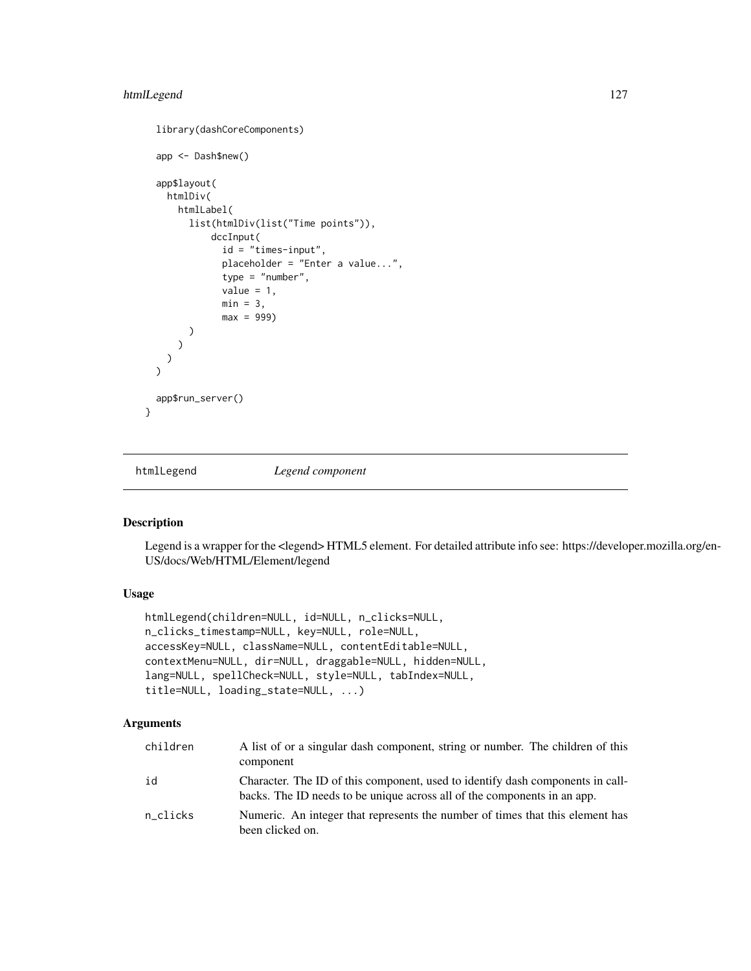## htmlLegend 127

```
library(dashCoreComponents)
 app <- Dash$new()
 app$layout(
   htmlDiv(
     htmlLabel(
       list(htmlDiv(list("Time points")),
            dccInput(
              id = "times-input",
              placeholder = "Enter a value...",
              type = "number",
              value = 1,
              min = 3,
              max = 999)
       )
     )
   )
 )
 app$run_server()
}
```
htmlLegend *Legend component*

## Description

Legend is a wrapper for the <legend> HTML5 element. For detailed attribute info see: https://developer.mozilla.org/en-US/docs/Web/HTML/Element/legend

# Usage

```
htmlLegend(children=NULL, id=NULL, n_clicks=NULL,
n_clicks_timestamp=NULL, key=NULL, role=NULL,
accessKey=NULL, className=NULL, contentEditable=NULL,
contextMenu=NULL, dir=NULL, draggable=NULL, hidden=NULL,
lang=NULL, spellCheck=NULL, style=NULL, tabIndex=NULL,
title=NULL, loading_state=NULL, ...)
```

| children | A list of or a singular dash component, string or number. The children of this<br>component                                                                |
|----------|------------------------------------------------------------------------------------------------------------------------------------------------------------|
| id       | Character. The ID of this component, used to identify dash components in call-<br>backs. The ID needs to be unique across all of the components in an app. |
| n clicks | Numeric. An integer that represents the number of times that this element has<br>been clicked on.                                                          |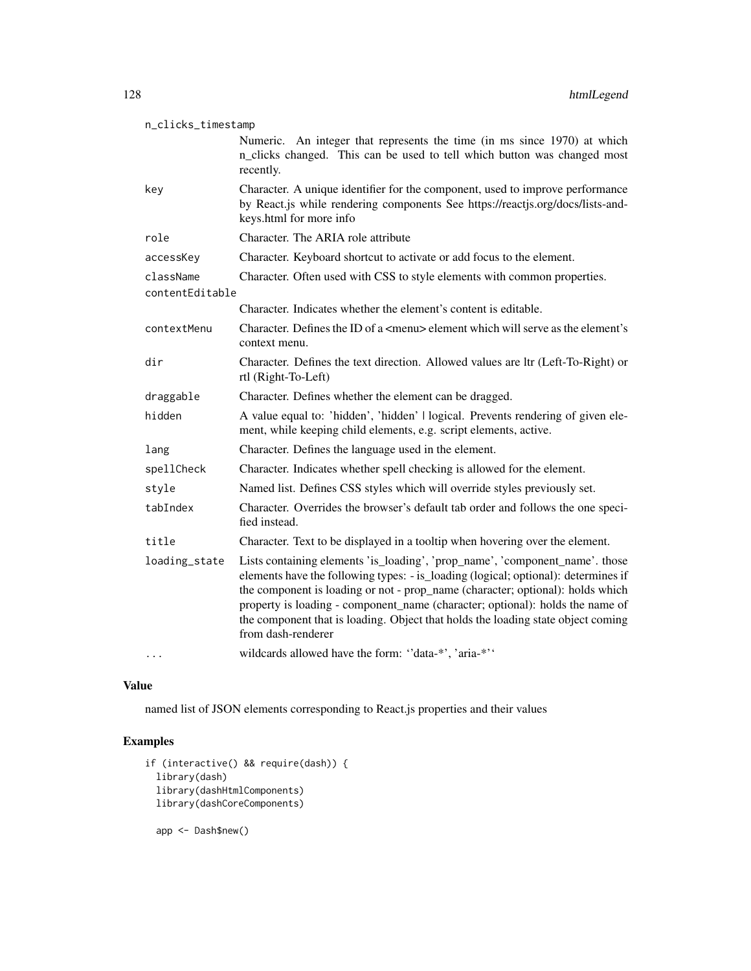| n_clicks_timestamp |                                                                                                                                                                                                                                                                                                                                                                                                                                                 |  |
|--------------------|-------------------------------------------------------------------------------------------------------------------------------------------------------------------------------------------------------------------------------------------------------------------------------------------------------------------------------------------------------------------------------------------------------------------------------------------------|--|
|                    | Numeric. An integer that represents the time (in ms since 1970) at which<br>n_clicks changed. This can be used to tell which button was changed most<br>recently.                                                                                                                                                                                                                                                                               |  |
| key                | Character. A unique identifier for the component, used to improve performance<br>by React.js while rendering components See https://reactjs.org/docs/lists-and-<br>keys.html for more info                                                                                                                                                                                                                                                      |  |
| role               | Character. The ARIA role attribute                                                                                                                                                                                                                                                                                                                                                                                                              |  |
| accessKey          | Character. Keyboard shortcut to activate or add focus to the element.                                                                                                                                                                                                                                                                                                                                                                           |  |
| className          | Character. Often used with CSS to style elements with common properties.                                                                                                                                                                                                                                                                                                                                                                        |  |
| contentEditable    |                                                                                                                                                                                                                                                                                                                                                                                                                                                 |  |
|                    | Character. Indicates whether the element's content is editable.                                                                                                                                                                                                                                                                                                                                                                                 |  |
| contextMenu        | Character. Defines the ID of a <menu> element which will serve as the element's<br/>context menu.</menu>                                                                                                                                                                                                                                                                                                                                        |  |
| dir                | Character. Defines the text direction. Allowed values are ltr (Left-To-Right) or<br>rtl (Right-To-Left)                                                                                                                                                                                                                                                                                                                                         |  |
| draggable          | Character. Defines whether the element can be dragged.                                                                                                                                                                                                                                                                                                                                                                                          |  |
| hidden             | A value equal to: 'hidden', 'hidden'   logical. Prevents rendering of given ele-<br>ment, while keeping child elements, e.g. script elements, active.                                                                                                                                                                                                                                                                                           |  |
| lang               | Character. Defines the language used in the element.                                                                                                                                                                                                                                                                                                                                                                                            |  |
| spellCheck         | Character. Indicates whether spell checking is allowed for the element.                                                                                                                                                                                                                                                                                                                                                                         |  |
| style              | Named list. Defines CSS styles which will override styles previously set.                                                                                                                                                                                                                                                                                                                                                                       |  |
| tabIndex           | Character. Overrides the browser's default tab order and follows the one speci-<br>fied instead.                                                                                                                                                                                                                                                                                                                                                |  |
| title              | Character. Text to be displayed in a tooltip when hovering over the element.                                                                                                                                                                                                                                                                                                                                                                    |  |
| loading_state      | Lists containing elements 'is_loading', 'prop_name', 'component_name'. those<br>elements have the following types: - is_loading (logical; optional): determines if<br>the component is loading or not - prop_name (character; optional): holds which<br>property is loading - component_name (character; optional): holds the name of<br>the component that is loading. Object that holds the loading state object coming<br>from dash-renderer |  |
|                    | wildcards allowed have the form: "data-*', 'aria-*''                                                                                                                                                                                                                                                                                                                                                                                            |  |

named list of JSON elements corresponding to React.js properties and their values

```
if (interactive() && require(dash)) {
 library(dash)
  library(dashHtmlComponents)
 library(dashCoreComponents)
  app <- Dash$new()
```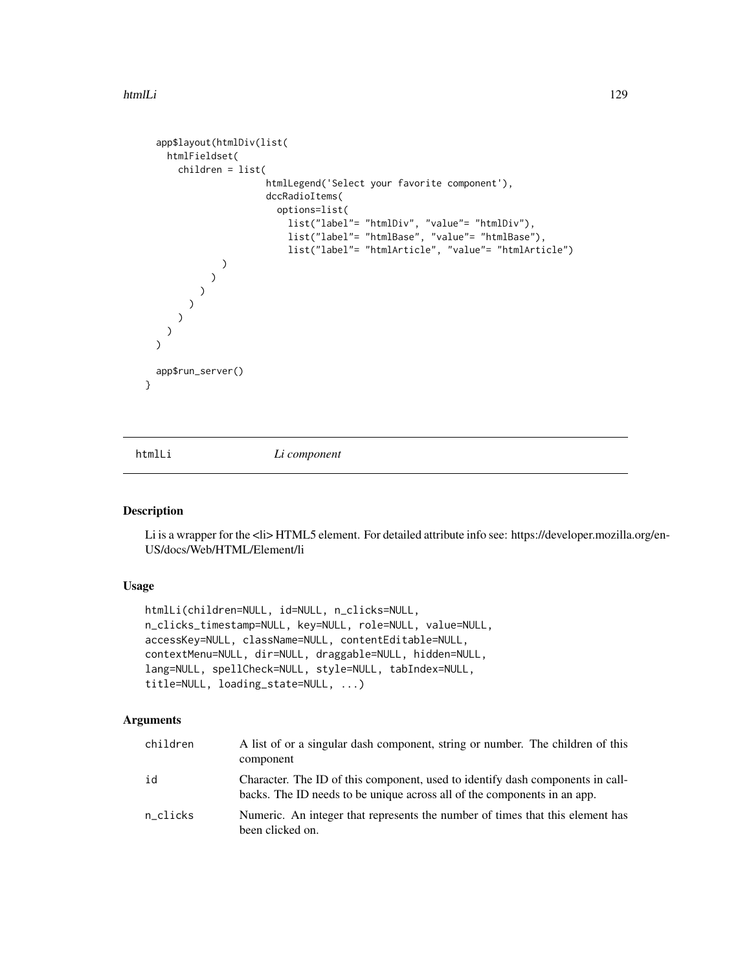```
app$layout(htmlDiv(list(
    htmlFieldset(
      children = list(
                        htmlLegend('Select your favorite component'),
                        dccRadioItems(
                          options=list(
                            list("label"= "htmlDiv", "value"= "htmlDiv"),
                            list("label"= "htmlBase", "value"= "htmlBase"),
                            list("label"= "htmlArticle", "value"= "htmlArticle")
               )
            \rightarrow)
         )
     )
   )
  \overline{\phantom{a}}app$run_server()
}
```
htmlLi *Li component*

### Description

Li is a wrapper for the <li> HTML5 element. For detailed attribute info see: https://developer.mozilla.org/en-US/docs/Web/HTML/Element/li

# Usage

```
htmlLi(children=NULL, id=NULL, n_clicks=NULL,
n_clicks_timestamp=NULL, key=NULL, role=NULL, value=NULL,
accessKey=NULL, className=NULL, contentEditable=NULL,
contextMenu=NULL, dir=NULL, draggable=NULL, hidden=NULL,
lang=NULL, spellCheck=NULL, style=NULL, tabIndex=NULL,
title=NULL, loading_state=NULL, ...)
```

| children | A list of or a singular dash component, string or number. The children of this<br>component                                                                |
|----------|------------------------------------------------------------------------------------------------------------------------------------------------------------|
| id       | Character. The ID of this component, used to identify dash components in call-<br>backs. The ID needs to be unique across all of the components in an app. |
| n clicks | Numeric. An integer that represents the number of times that this element has<br>been clicked on.                                                          |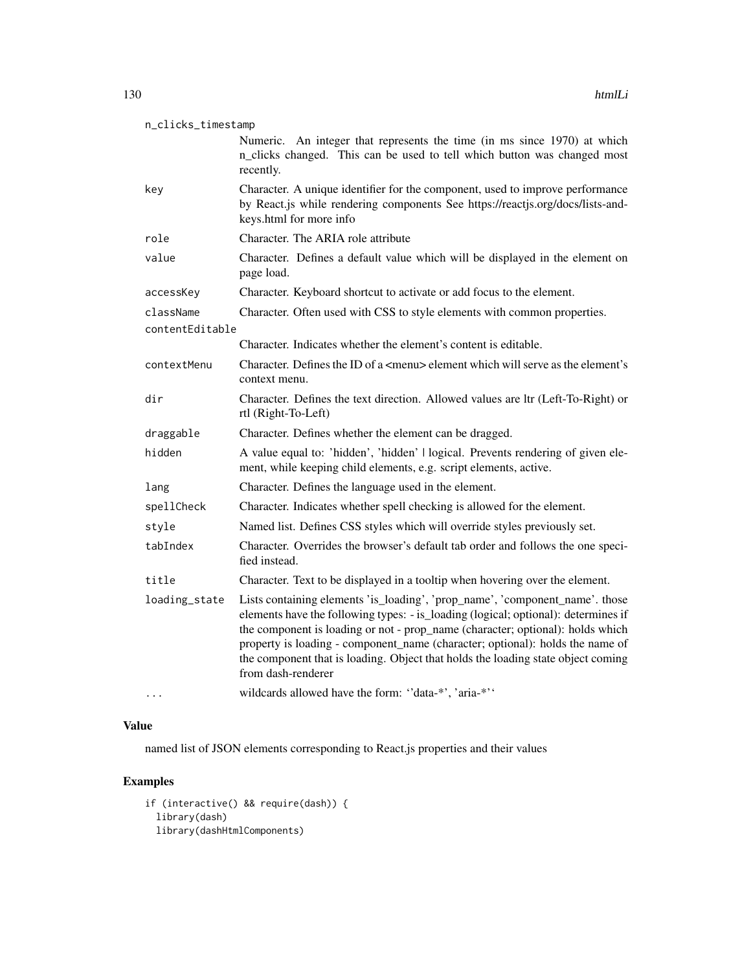| n_clicks_timestamp |  |
|--------------------|--|
|--------------------|--|

Numeric. An integer that represents the time (in ms since 1970) at which n\_clicks changed. This can be used to tell which button was changed most recently. key Character. A unique identifier for the component, used to improve performance by React.js while rendering components See https://reactjs.org/docs/lists-andkeys.html for more info role Character. The ARIA role attribute value Character. Defines a default value which will be displayed in the element on page load. accessKey Character. Keyboard shortcut to activate or add focus to the element. className Character. Often used with CSS to style elements with common properties. contentEditable Character. Indicates whether the element's content is editable. contextMenu Character. Defines the ID of a <menu> element which will serve as the element's context menu. dir Character. Defines the text direction. Allowed values are ltr (Left-To-Right) or rtl (Right-To-Left) draggable Character. Defines whether the element can be dragged. hidden A value equal to: 'hidden', 'hidden' | logical. Prevents rendering of given element, while keeping child elements, e.g. script elements, active. lang Character. Defines the language used in the element. spellCheck Character. Indicates whether spell checking is allowed for the element. style Named list. Defines CSS styles which will override styles previously set. tabIndex Character. Overrides the browser's default tab order and follows the one specified instead. title Character. Text to be displayed in a tooltip when hovering over the element. loading\_state Lists containing elements 'is\_loading', 'prop\_name', 'component\_name'. those elements have the following types: - is\_loading (logical; optional): determines if the component is loading or not - prop\_name (character; optional): holds which property is loading - component\_name (character; optional): holds the name of the component that is loading. Object that holds the loading state object coming from dash-renderer ... wildcards allowed have the form: ''data-\*', 'aria-\*''

#### Value

named list of JSON elements corresponding to React.js properties and their values

```
if (interactive() && require(dash)) {
 library(dash)
 library(dashHtmlComponents)
```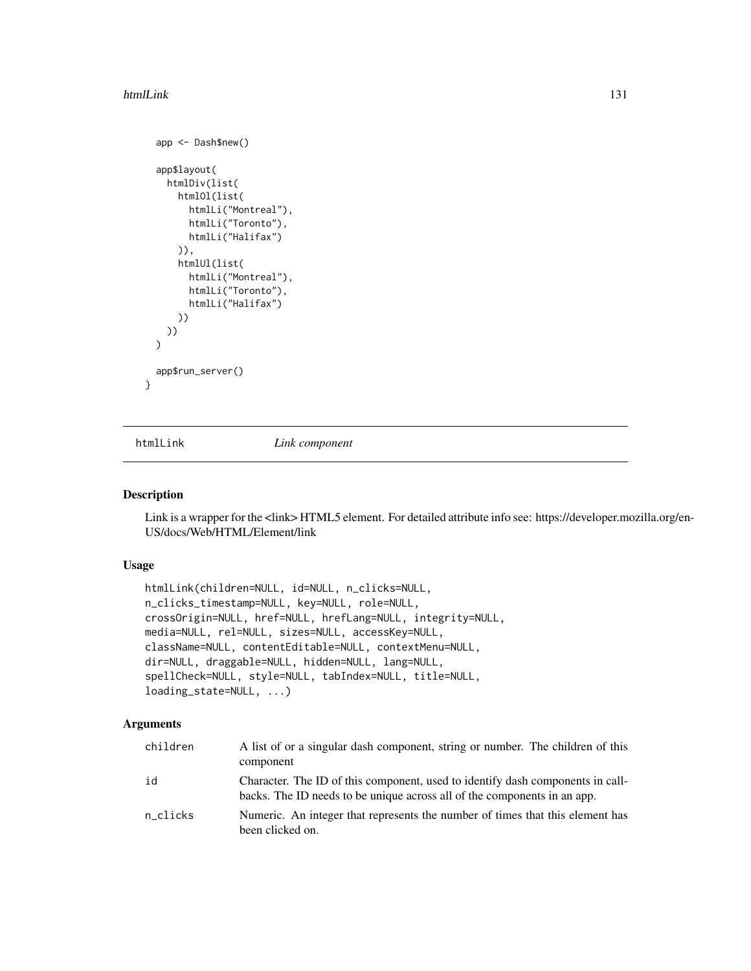#### htmlLink 131

```
app <- Dash$new()
 app$layout(
   htmlDiv(list(
     htmlOl(list(
        htmlLi("Montreal"),
        htmlLi("Toronto"),
        htmlLi("Halifax")
      )),
      htmlUl(list(
        htmlLi("Montreal"),
        htmlLi("Toronto"),
        htmlLi("Halifax")
      ))
   ))
 \lambdaapp$run_server()
}
```
htmlLink *Link component*

### Description

Link is a wrapper for the <link>HTML5 element. For detailed attribute info see: https://developer.mozilla.org/en-US/docs/Web/HTML/Element/link

### Usage

```
htmlLink(children=NULL, id=NULL, n_clicks=NULL,
n_clicks_timestamp=NULL, key=NULL, role=NULL,
crossOrigin=NULL, href=NULL, hrefLang=NULL, integrity=NULL,
media=NULL, rel=NULL, sizes=NULL, accessKey=NULL,
className=NULL, contentEditable=NULL, contextMenu=NULL,
dir=NULL, draggable=NULL, hidden=NULL, lang=NULL,
spellCheck=NULL, style=NULL, tabIndex=NULL, title=NULL,
loading_state=NULL, ...)
```

| children | A list of or a singular dash component, string or number. The children of this<br>component                                                                |
|----------|------------------------------------------------------------------------------------------------------------------------------------------------------------|
| id       | Character. The ID of this component, used to identify dash components in call-<br>backs. The ID needs to be unique across all of the components in an app. |
| n clicks | Numeric. An integer that represents the number of times that this element has<br>been clicked on.                                                          |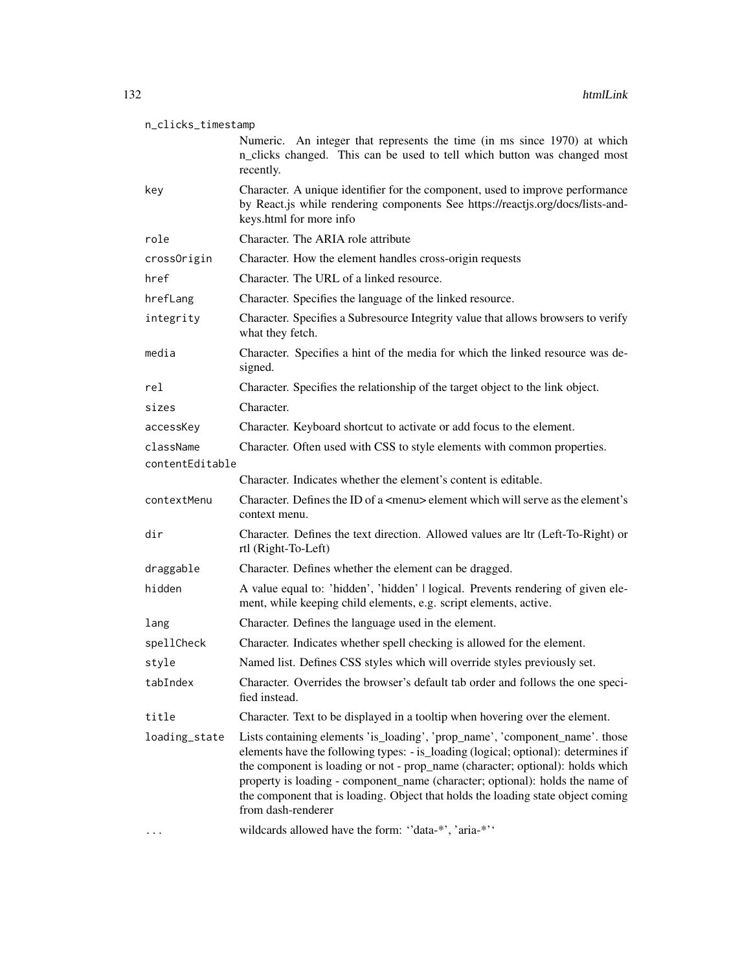### n\_clicks\_timestamp

Numeric. An integer that represents the time (in ms since 1970) at which n\_clicks changed. This can be used to tell which button was changed most recently. key Character. A unique identifier for the component, used to improve performance by React.js while rendering components See https://reactjs.org/docs/lists-andkeys.html for more info role Character. The ARIA role attribute  $\text{Cov}(x)$ 

| crossOrigin     | Character. How the element handles cross-origin requests                                                                                                                                                                                                                                                                                                                                                                                        |
|-----------------|-------------------------------------------------------------------------------------------------------------------------------------------------------------------------------------------------------------------------------------------------------------------------------------------------------------------------------------------------------------------------------------------------------------------------------------------------|
| href            | Character. The URL of a linked resource.                                                                                                                                                                                                                                                                                                                                                                                                        |
| hrefLang        | Character. Specifies the language of the linked resource.                                                                                                                                                                                                                                                                                                                                                                                       |
| integrity       | Character. Specifies a Subresource Integrity value that allows browsers to verify<br>what they fetch.                                                                                                                                                                                                                                                                                                                                           |
| media           | Character. Specifies a hint of the media for which the linked resource was de-<br>signed.                                                                                                                                                                                                                                                                                                                                                       |
| rel             | Character. Specifies the relationship of the target object to the link object.                                                                                                                                                                                                                                                                                                                                                                  |
| sizes           | Character.                                                                                                                                                                                                                                                                                                                                                                                                                                      |
| accessKey       | Character. Keyboard shortcut to activate or add focus to the element.                                                                                                                                                                                                                                                                                                                                                                           |
| className       | Character. Often used with CSS to style elements with common properties.                                                                                                                                                                                                                                                                                                                                                                        |
| contentEditable |                                                                                                                                                                                                                                                                                                                                                                                                                                                 |
|                 | Character. Indicates whether the element's content is editable.                                                                                                                                                                                                                                                                                                                                                                                 |
| contextMenu     | Character. Defines the ID of a <menu> element which will serve as the element's<br/>context menu.</menu>                                                                                                                                                                                                                                                                                                                                        |
| dir             | Character. Defines the text direction. Allowed values are ltr (Left-To-Right) or<br>rtl (Right-To-Left)                                                                                                                                                                                                                                                                                                                                         |
| draggable       | Character. Defines whether the element can be dragged.                                                                                                                                                                                                                                                                                                                                                                                          |
| hidden          | A value equal to: 'hidden', 'hidden'   logical. Prevents rendering of given ele-<br>ment, while keeping child elements, e.g. script elements, active.                                                                                                                                                                                                                                                                                           |
| lang            | Character. Defines the language used in the element.                                                                                                                                                                                                                                                                                                                                                                                            |
| spellCheck      | Character. Indicates whether spell checking is allowed for the element.                                                                                                                                                                                                                                                                                                                                                                         |
| style           | Named list. Defines CSS styles which will override styles previously set.                                                                                                                                                                                                                                                                                                                                                                       |
| tabIndex        | Character. Overrides the browser's default tab order and follows the one speci-<br>fied instead.                                                                                                                                                                                                                                                                                                                                                |
| title           | Character. Text to be displayed in a tooltip when hovering over the element.                                                                                                                                                                                                                                                                                                                                                                    |
| loading_state   | Lists containing elements 'is_loading', 'prop_name', 'component_name'. those<br>elements have the following types: - is_loading (logical; optional): determines if<br>the component is loading or not - prop_name (character; optional): holds which<br>property is loading - component_name (character; optional): holds the name of<br>the component that is loading. Object that holds the loading state object coming<br>from dash-renderer |
|                 | wildcards allowed have the form: "data-*', 'aria-*''                                                                                                                                                                                                                                                                                                                                                                                            |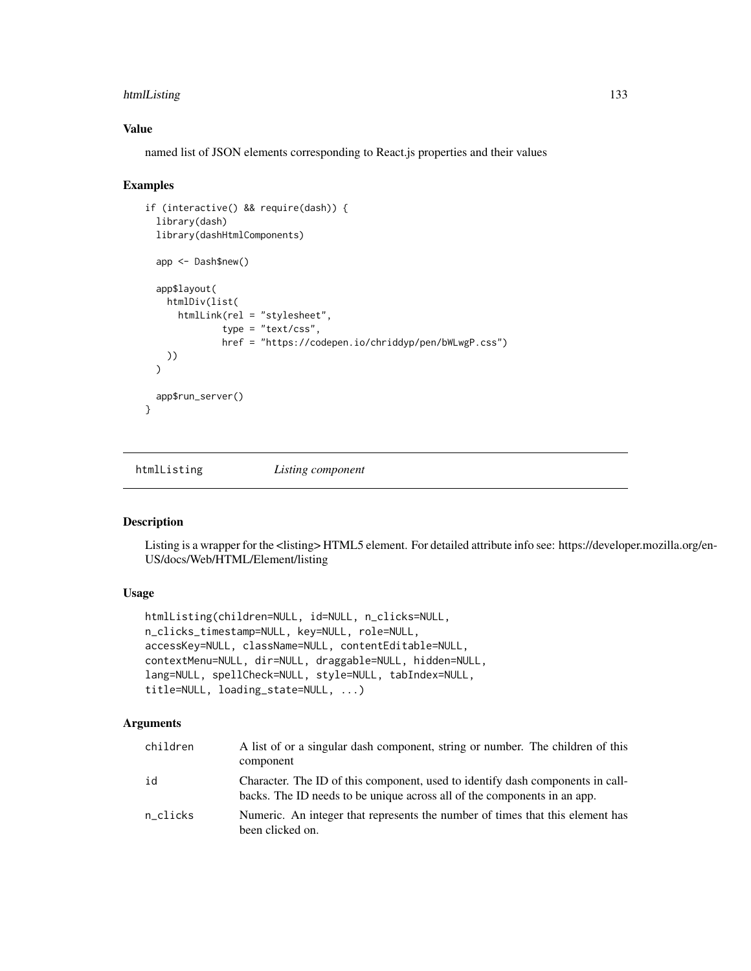# htmlListing 133

### Value

named list of JSON elements corresponding to React.js properties and their values

#### Examples

```
if (interactive() && require(dash)) {
 library(dash)
 library(dashHtmlComponents)
 app <- Dash$new()
 app$layout(
   htmlDiv(list(
      htmlLink(rel = "stylesheet",
              type = "text/css",
              href = "https://codepen.io/chriddyp/pen/bWLwgP.css")
   ))
 \lambdaapp$run_server()
}
```
htmlListing *Listing component*

### Description

Listing is a wrapper for the <listing> HTML5 element. For detailed attribute info see: https://developer.mozilla.org/en-US/docs/Web/HTML/Element/listing

# Usage

```
htmlListing(children=NULL, id=NULL, n_clicks=NULL,
n_clicks_timestamp=NULL, key=NULL, role=NULL,
accessKey=NULL, className=NULL, contentEditable=NULL,
contextMenu=NULL, dir=NULL, draggable=NULL, hidden=NULL,
lang=NULL, spellCheck=NULL, style=NULL, tabIndex=NULL,
title=NULL, loading_state=NULL, ...)
```

| children | A list of or a singular dash component, string or number. The children of this<br>component                                                                |
|----------|------------------------------------------------------------------------------------------------------------------------------------------------------------|
| id       | Character. The ID of this component, used to identify dash components in call-<br>backs. The ID needs to be unique across all of the components in an app. |
| n clicks | Numeric. An integer that represents the number of times that this element has<br>been clicked on.                                                          |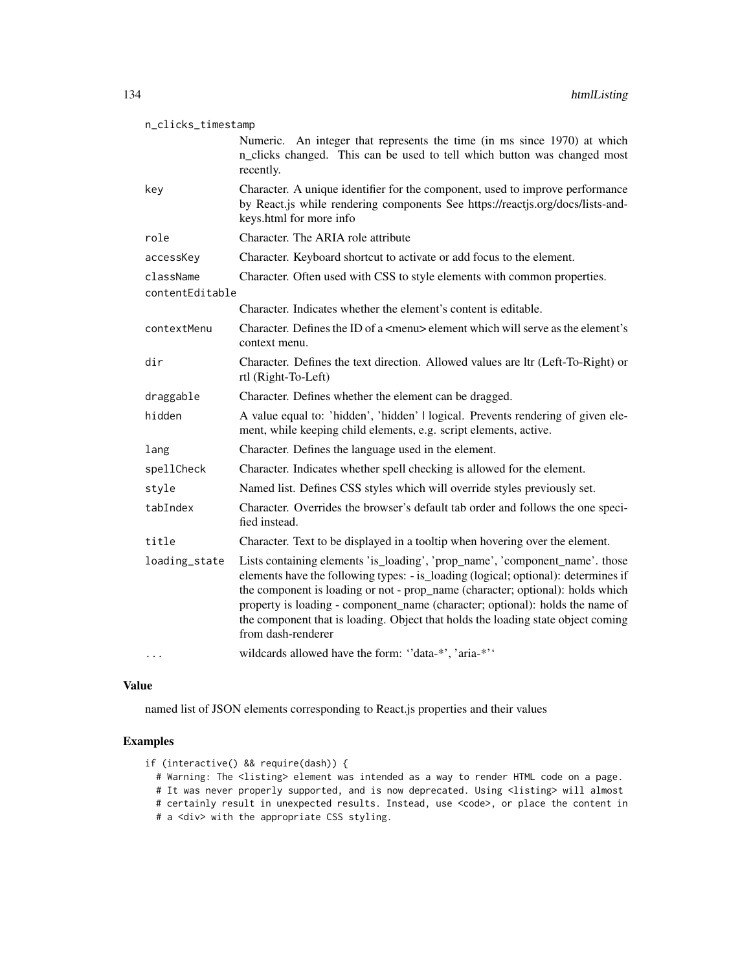| n_clicks_timestamp           |                                                                                                                                                                                                                                                                                                                                                                                                                                                 |  |
|------------------------------|-------------------------------------------------------------------------------------------------------------------------------------------------------------------------------------------------------------------------------------------------------------------------------------------------------------------------------------------------------------------------------------------------------------------------------------------------|--|
|                              | Numeric. An integer that represents the time (in ms since 1970) at which<br>n_clicks changed. This can be used to tell which button was changed most<br>recently.                                                                                                                                                                                                                                                                               |  |
| key                          | Character. A unique identifier for the component, used to improve performance<br>by React.js while rendering components See https://reactjs.org/docs/lists-and-<br>keys.html for more info                                                                                                                                                                                                                                                      |  |
| role                         | Character. The ARIA role attribute                                                                                                                                                                                                                                                                                                                                                                                                              |  |
| accessKey                    | Character. Keyboard shortcut to activate or add focus to the element.                                                                                                                                                                                                                                                                                                                                                                           |  |
| className<br>contentEditable | Character. Often used with CSS to style elements with common properties.                                                                                                                                                                                                                                                                                                                                                                        |  |
|                              | Character. Indicates whether the element's content is editable.                                                                                                                                                                                                                                                                                                                                                                                 |  |
| contextMenu                  | Character. Defines the ID of a $\leq$ menu $\geq$ element which will serve as the element's<br>context menu.                                                                                                                                                                                                                                                                                                                                    |  |
| dir                          | Character. Defines the text direction. Allowed values are ltr (Left-To-Right) or<br>rtl (Right-To-Left)                                                                                                                                                                                                                                                                                                                                         |  |
| draggable                    | Character. Defines whether the element can be dragged.                                                                                                                                                                                                                                                                                                                                                                                          |  |
| hidden                       | A value equal to: 'hidden', 'hidden'   logical. Prevents rendering of given ele-<br>ment, while keeping child elements, e.g. script elements, active.                                                                                                                                                                                                                                                                                           |  |
| lang                         | Character. Defines the language used in the element.                                                                                                                                                                                                                                                                                                                                                                                            |  |
| spellCheck                   | Character. Indicates whether spell checking is allowed for the element.                                                                                                                                                                                                                                                                                                                                                                         |  |
| style                        | Named list. Defines CSS styles which will override styles previously set.                                                                                                                                                                                                                                                                                                                                                                       |  |
| tabIndex                     | Character. Overrides the browser's default tab order and follows the one speci-<br>fied instead.                                                                                                                                                                                                                                                                                                                                                |  |
| title                        | Character. Text to be displayed in a tooltip when hovering over the element.                                                                                                                                                                                                                                                                                                                                                                    |  |
| loading_state                | Lists containing elements 'is_loading', 'prop_name', 'component_name'. those<br>elements have the following types: - is_loading (logical; optional): determines if<br>the component is loading or not - prop_name (character; optional): holds which<br>property is loading - component_name (character; optional): holds the name of<br>the component that is loading. Object that holds the loading state object coming<br>from dash-renderer |  |
|                              | wildcards allowed have the form: "data-*', 'aria-*''                                                                                                                                                                                                                                                                                                                                                                                            |  |

named list of JSON elements corresponding to React.js properties and their values

### Examples

- if (interactive() && require(dash)) {
	- # Warning: The <listing> element was intended as a way to render HTML code on a page.

# It was never properly supported, and is now deprecated. Using <listing> will almost

- # certainly result in unexpected results. Instead, use <code>, or place the content in
- # a <div> with the appropriate CSS styling.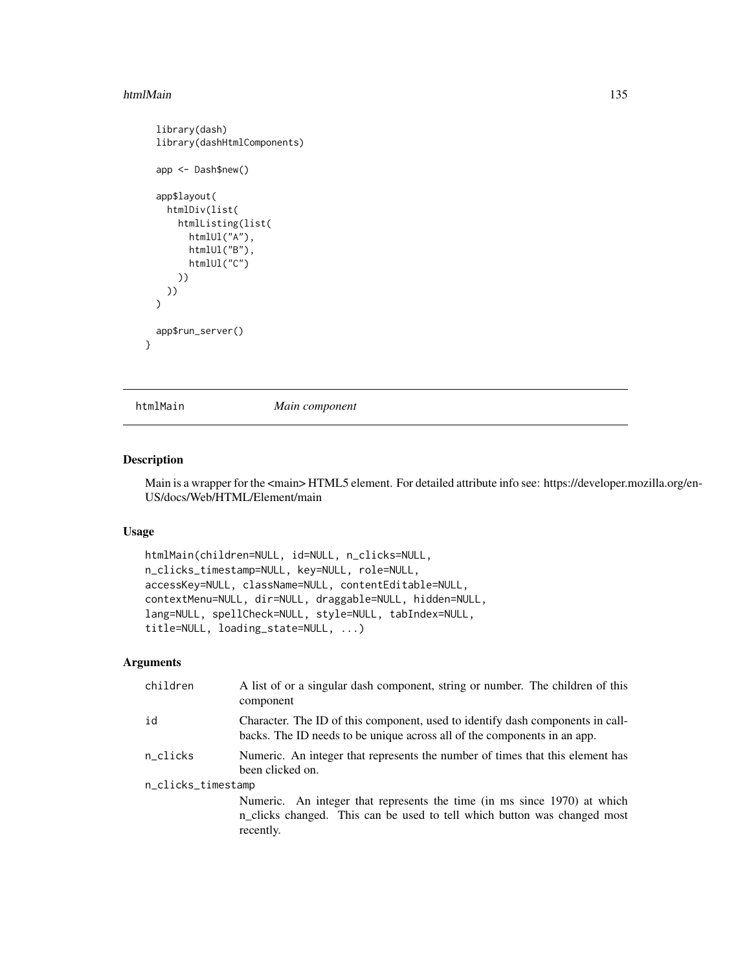#### htmlMain 135

```
library(dash)
library(dashHtmlComponents)
app <- Dash$new()
app$layout(
  htmlDiv(list(
    htmlListing(list(
      htmlUl("A"),
      htmlUl("B"),
      htmlUl("C")
    ))
  ))
\overline{\phantom{a}}app$run_server()
```
}

htmlMain *Main component*

### Description

Main is a wrapper for the <main> HTML5 element. For detailed attribute info see: https://developer.mozilla.org/en-US/docs/Web/HTML/Element/main

### Usage

```
htmlMain(children=NULL, id=NULL, n_clicks=NULL,
n_clicks_timestamp=NULL, key=NULL, role=NULL,
accessKey=NULL, className=NULL, contentEditable=NULL,
contextMenu=NULL, dir=NULL, draggable=NULL, hidden=NULL,
lang=NULL, spellCheck=NULL, style=NULL, tabIndex=NULL,
title=NULL, loading_state=NULL, ...)
```

| children           | A list of or a singular dash component, string or number. The children of this<br>component                                                                       |  |
|--------------------|-------------------------------------------------------------------------------------------------------------------------------------------------------------------|--|
| id                 | Character. The ID of this component, used to identify dash components in call-<br>backs. The ID needs to be unique across all of the components in an app.        |  |
| n_clicks           | Numeric. An integer that represents the number of times that this element has<br>been clicked on.                                                                 |  |
| n_clicks_timestamp |                                                                                                                                                                   |  |
|                    | Numeric. An integer that represents the time (in ms since 1970) at which<br>n_clicks changed. This can be used to tell which button was changed most<br>recently. |  |
|                    |                                                                                                                                                                   |  |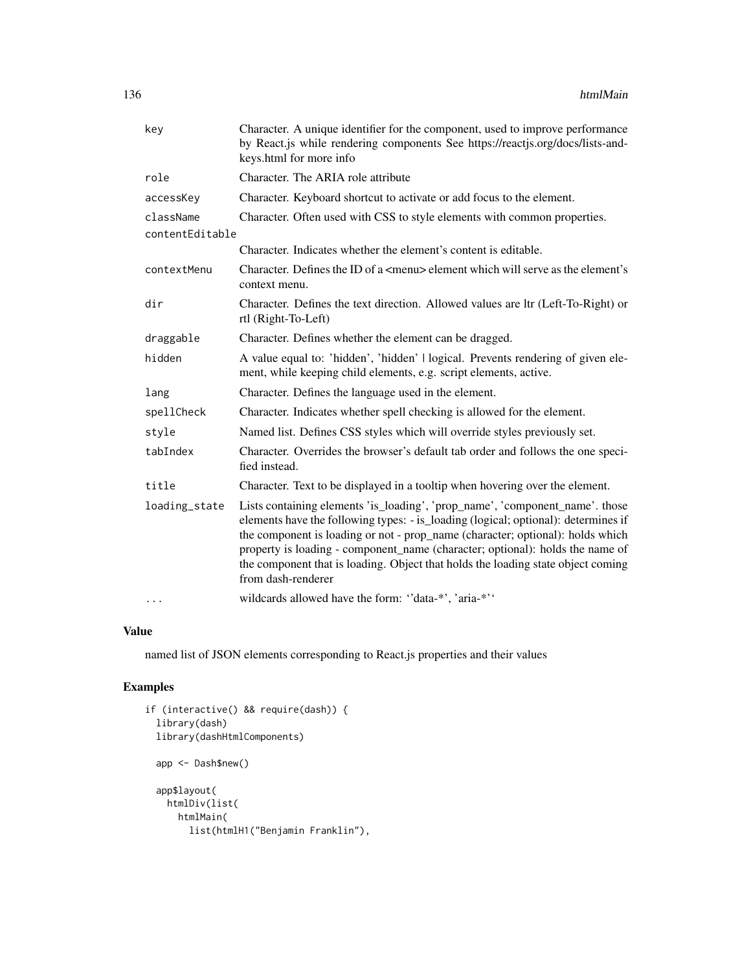| key             | Character. A unique identifier for the component, used to improve performance<br>by React.js while rendering components See https://reactjs.org/docs/lists-and-<br>keys.html for more info                                                                                                                                                                                                                                                      |
|-----------------|-------------------------------------------------------------------------------------------------------------------------------------------------------------------------------------------------------------------------------------------------------------------------------------------------------------------------------------------------------------------------------------------------------------------------------------------------|
| role            | Character. The ARIA role attribute                                                                                                                                                                                                                                                                                                                                                                                                              |
| accessKey       | Character. Keyboard shortcut to activate or add focus to the element.                                                                                                                                                                                                                                                                                                                                                                           |
| className       | Character. Often used with CSS to style elements with common properties.                                                                                                                                                                                                                                                                                                                                                                        |
| contentEditable |                                                                                                                                                                                                                                                                                                                                                                                                                                                 |
|                 | Character. Indicates whether the element's content is editable.                                                                                                                                                                                                                                                                                                                                                                                 |
| contextMenu     | Character. Defines the ID of a <menu> element which will serve as the element's<br/>context menu.</menu>                                                                                                                                                                                                                                                                                                                                        |
| dir             | Character. Defines the text direction. Allowed values are ltr (Left-To-Right) or<br>rtl (Right-To-Left)                                                                                                                                                                                                                                                                                                                                         |
| draggable       | Character. Defines whether the element can be dragged.                                                                                                                                                                                                                                                                                                                                                                                          |
| hidden          | A value equal to: 'hidden', 'hidden'   logical. Prevents rendering of given ele-<br>ment, while keeping child elements, e.g. script elements, active.                                                                                                                                                                                                                                                                                           |
| lang            | Character. Defines the language used in the element.                                                                                                                                                                                                                                                                                                                                                                                            |
| spellCheck      | Character. Indicates whether spell checking is allowed for the element.                                                                                                                                                                                                                                                                                                                                                                         |
| style           | Named list. Defines CSS styles which will override styles previously set.                                                                                                                                                                                                                                                                                                                                                                       |
| tabIndex        | Character. Overrides the browser's default tab order and follows the one speci-<br>fied instead.                                                                                                                                                                                                                                                                                                                                                |
| title           | Character. Text to be displayed in a tooltip when hovering over the element.                                                                                                                                                                                                                                                                                                                                                                    |
| loading_state   | Lists containing elements 'is_loading', 'prop_name', 'component_name'. those<br>elements have the following types: - is_loading (logical; optional): determines if<br>the component is loading or not - prop_name (character; optional): holds which<br>property is loading - component_name (character; optional): holds the name of<br>the component that is loading. Object that holds the loading state object coming<br>from dash-renderer |
| $\cdots$        | wildcards allowed have the form: "data-*', 'aria-*''                                                                                                                                                                                                                                                                                                                                                                                            |

named list of JSON elements corresponding to React.js properties and their values

```
if (interactive() && require(dash)) {
  library(dash)
  library(dashHtmlComponents)
  app <- Dash$new()
  app$layout(
   htmlDiv(list(
     htmlMain(
       list(htmlH1("Benjamin Franklin"),
```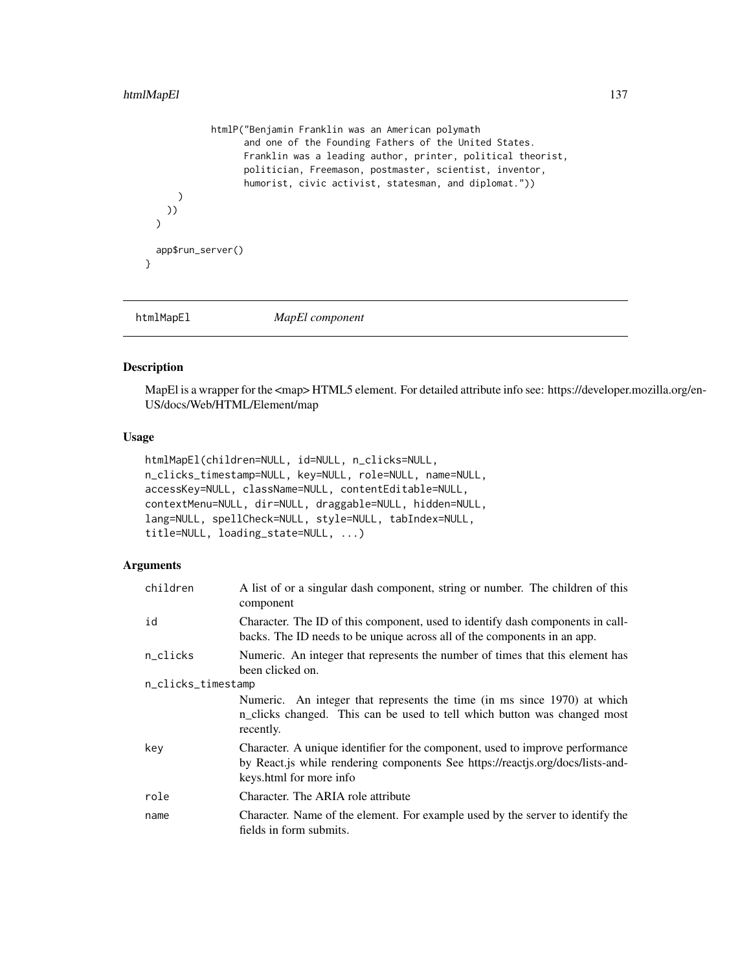## htmlMapEl 137

```
htmlP("Benjamin Franklin was an American polymath
                  and one of the Founding Fathers of the United States.
                  Franklin was a leading author, printer, political theorist,
                  politician, Freemason, postmaster, scientist, inventor,
                  humorist, civic activist, statesman, and diplomat."))
     )
   ))
 \mathcal{L}app$run_server()
}
```
htmlMapEl *MapEl component*

#### Description

MapEl is a wrapper for the <map> HTML5 element. For detailed attribute info see: https://developer.mozilla.org/en-US/docs/Web/HTML/Element/map

#### Usage

```
htmlMapEl(children=NULL, id=NULL, n_clicks=NULL,
n_clicks_timestamp=NULL, key=NULL, role=NULL, name=NULL,
accessKey=NULL, className=NULL, contentEditable=NULL,
contextMenu=NULL, dir=NULL, draggable=NULL, hidden=NULL,
lang=NULL, spellCheck=NULL, style=NULL, tabIndex=NULL,
title=NULL, loading_state=NULL, ...)
```

| children           | A list of or a singular dash component, string or number. The children of this<br>component                                                                                                |
|--------------------|--------------------------------------------------------------------------------------------------------------------------------------------------------------------------------------------|
| id                 | Character. The ID of this component, used to identify dash components in call-<br>backs. The ID needs to be unique across all of the components in an app.                                 |
| n_clicks           | Numeric. An integer that represents the number of times that this element has<br>been clicked on.                                                                                          |
| n_clicks_timestamp |                                                                                                                                                                                            |
|                    | Numeric. An integer that represents the time (in ms since 1970) at which<br>n_clicks changed. This can be used to tell which button was changed most<br>recently.                          |
| key                | Character. A unique identifier for the component, used to improve performance<br>by React.js while rendering components See https://reactjs.org/docs/lists-and-<br>keys.html for more info |
| role               | Character. The ARIA role attribute                                                                                                                                                         |
| name               | Character. Name of the element. For example used by the server to identify the<br>fields in form submits.                                                                                  |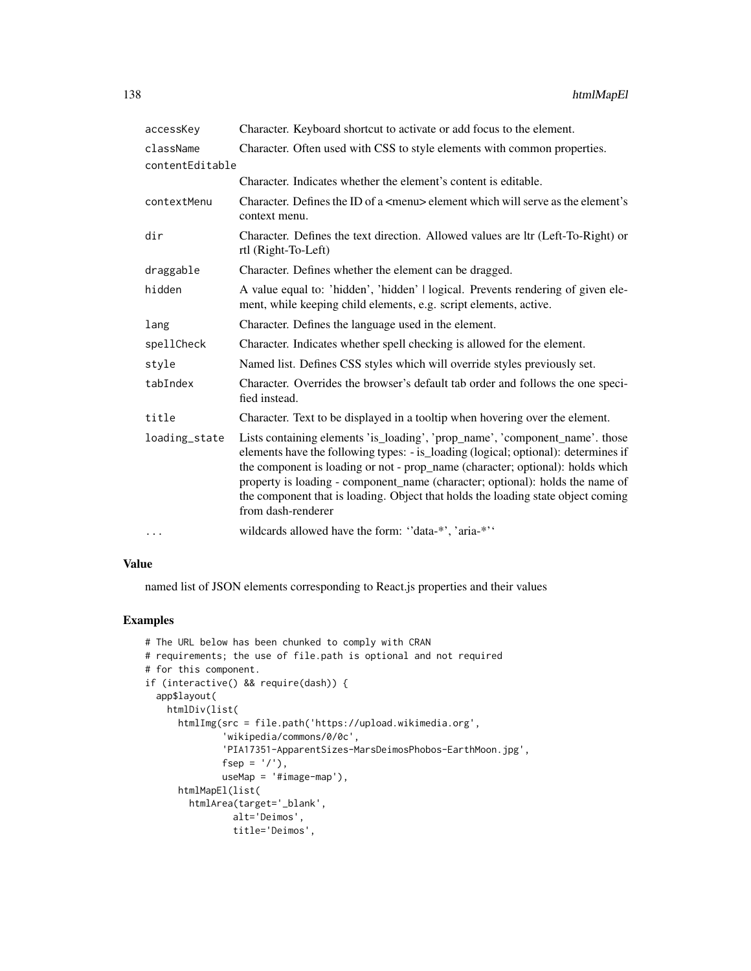| accessKey       | Character. Keyboard shortcut to activate or add focus to the element.                                                                                                                                                                                                                                                                                                                                                                           |
|-----------------|-------------------------------------------------------------------------------------------------------------------------------------------------------------------------------------------------------------------------------------------------------------------------------------------------------------------------------------------------------------------------------------------------------------------------------------------------|
| className       | Character. Often used with CSS to style elements with common properties.                                                                                                                                                                                                                                                                                                                                                                        |
| contentEditable |                                                                                                                                                                                                                                                                                                                                                                                                                                                 |
|                 | Character. Indicates whether the element's content is editable.                                                                                                                                                                                                                                                                                                                                                                                 |
| contextMenu     | Character. Defines the ID of a $\leq$ menu> element which will serve as the element's<br>context menu.                                                                                                                                                                                                                                                                                                                                          |
| dir             | Character. Defines the text direction. Allowed values are ltr (Left-To-Right) or<br>rtl (Right-To-Left)                                                                                                                                                                                                                                                                                                                                         |
| draggable       | Character. Defines whether the element can be dragged.                                                                                                                                                                                                                                                                                                                                                                                          |
| hidden          | A value equal to: 'hidden', 'hidden'   logical. Prevents rendering of given ele-<br>ment, while keeping child elements, e.g. script elements, active.                                                                                                                                                                                                                                                                                           |
| lang            | Character. Defines the language used in the element.                                                                                                                                                                                                                                                                                                                                                                                            |
| spellCheck      | Character. Indicates whether spell checking is allowed for the element.                                                                                                                                                                                                                                                                                                                                                                         |
| style           | Named list. Defines CSS styles which will override styles previously set.                                                                                                                                                                                                                                                                                                                                                                       |
| tabIndex        | Character. Overrides the browser's default tab order and follows the one speci-<br>fied instead.                                                                                                                                                                                                                                                                                                                                                |
| title           | Character. Text to be displayed in a tooltip when hovering over the element.                                                                                                                                                                                                                                                                                                                                                                    |
| loading_state   | Lists containing elements 'is_loading', 'prop_name', 'component_name'. those<br>elements have the following types: - is_loading (logical; optional): determines if<br>the component is loading or not - prop_name (character; optional): holds which<br>property is loading - component_name (character; optional): holds the name of<br>the component that is loading. Object that holds the loading state object coming<br>from dash-renderer |
| $\cdots$        | wildcards allowed have the form: "data-*', 'aria-*''                                                                                                                                                                                                                                                                                                                                                                                            |

named list of JSON elements corresponding to React.js properties and their values

```
# The URL below has been chunked to comply with CRAN
# requirements; the use of file.path is optional and not required
# for this component.
if (interactive() && require(dash)) {
  app$layout(
   htmlDiv(list(
      htmlImg(src = file.path('https://upload.wikimedia.org',
              'wikipedia/commons/0/0c',
              'PIA17351-ApparentSizes-MarsDeimosPhobos-EarthMoon.jpg',
             fsep = '/'),
             useMap = '#image-map'),
      htmlMapEl(list(
       htmlArea(target='_blank',
               alt='Deimos',
               title='Deimos',
```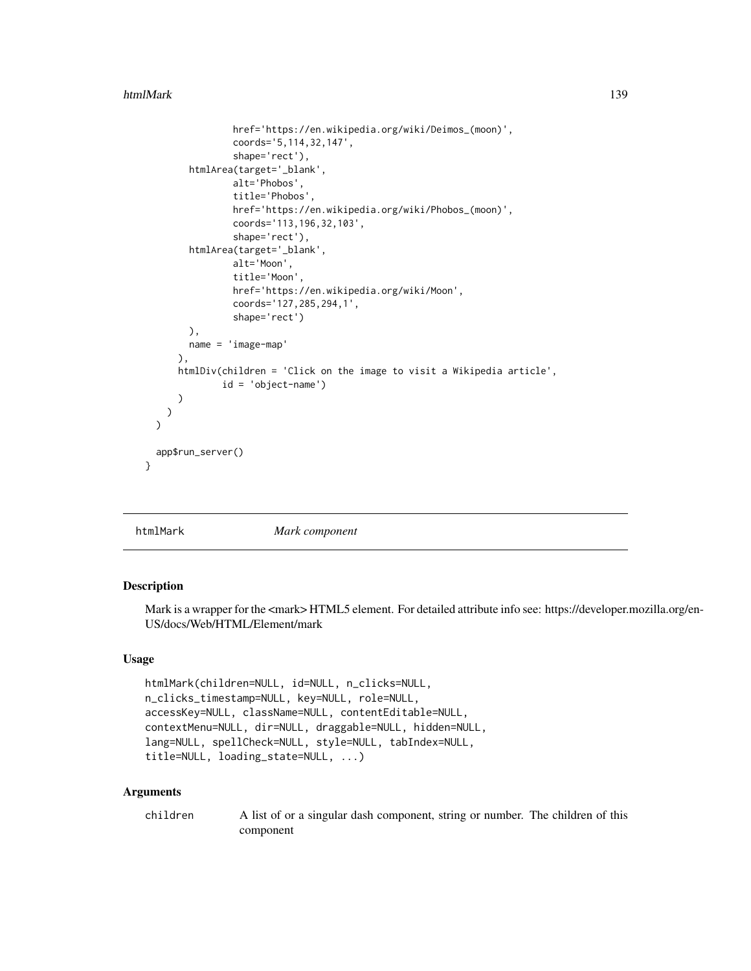#### htmlMark 139

```
href='https://en.wikipedia.org/wiki/Deimos_(moon)',
                coords='5,114,32,147',
                shape='rect'),
        htmlArea(target='_blank',
                alt='Phobos',
                title='Phobos',
                href='https://en.wikipedia.org/wiki/Phobos_(moon)',
                coords='113,196,32,103',
                shape='rect'),
        htmlArea(target='_blank',
                alt='Moon',
                title='Moon',
                href='https://en.wikipedia.org/wiki/Moon',
                coords='127,285,294,1',
                shape='rect')
        ),
        name = 'image-map'
      ),
      htmlDiv(children = 'Click on the image to visit a Wikipedia article',
              id = 'object-name')
      )
   )
 \lambdaapp$run_server()
}
```
htmlMark *Mark component*

# Description

Mark is a wrapper for the  $\langle$ mark>HTML5 element. For detailed attribute info see: https://developer.mozilla.org/en-US/docs/Web/HTML/Element/mark

#### Usage

```
htmlMark(children=NULL, id=NULL, n_clicks=NULL,
n_clicks_timestamp=NULL, key=NULL, role=NULL,
accessKey=NULL, className=NULL, contentEditable=NULL,
contextMenu=NULL, dir=NULL, draggable=NULL, hidden=NULL,
lang=NULL, spellCheck=NULL, style=NULL, tabIndex=NULL,
title=NULL, loading_state=NULL, ...)
```

| children | A list of or a singular dash component, string or number. The children of this |
|----------|--------------------------------------------------------------------------------|
|          | component                                                                      |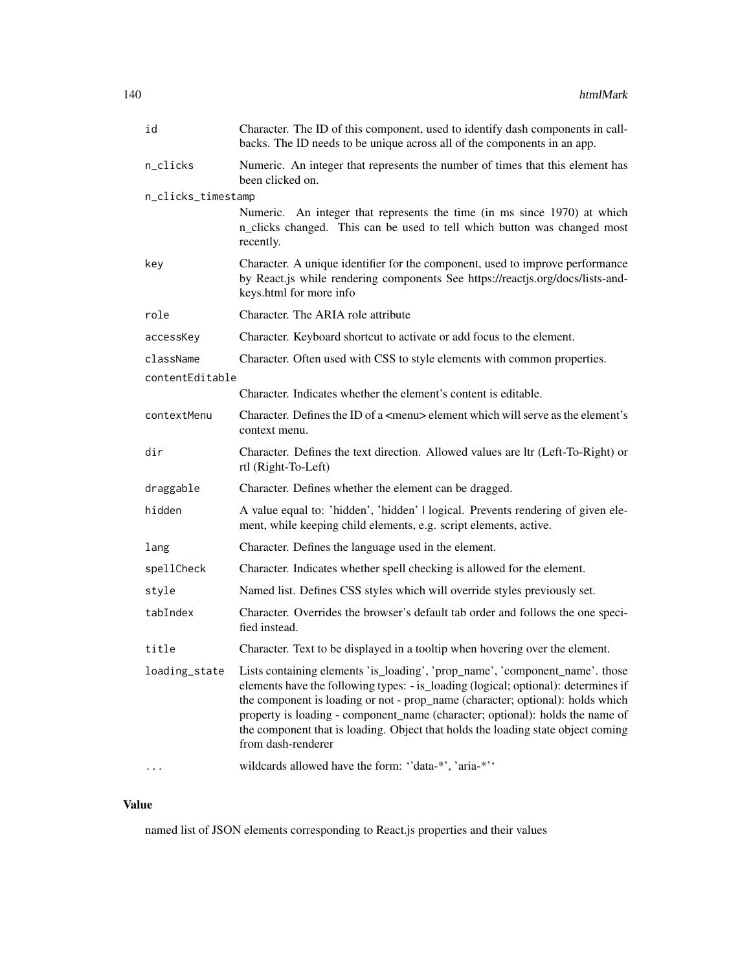| id                 | Character. The ID of this component, used to identify dash components in call-<br>backs. The ID needs to be unique across all of the components in an app.                                                                                                                                                                                                                                                                                                    |
|--------------------|---------------------------------------------------------------------------------------------------------------------------------------------------------------------------------------------------------------------------------------------------------------------------------------------------------------------------------------------------------------------------------------------------------------------------------------------------------------|
| n_clicks           | Numeric. An integer that represents the number of times that this element has<br>been clicked on.                                                                                                                                                                                                                                                                                                                                                             |
| n_clicks_timestamp |                                                                                                                                                                                                                                                                                                                                                                                                                                                               |
|                    | Numeric. An integer that represents the time (in ms since 1970) at which<br>n_clicks changed. This can be used to tell which button was changed most<br>recently.                                                                                                                                                                                                                                                                                             |
| key                | Character. A unique identifier for the component, used to improve performance<br>by React.js while rendering components See https://reactjs.org/docs/lists-and-<br>keys.html for more info                                                                                                                                                                                                                                                                    |
| role               | Character. The ARIA role attribute                                                                                                                                                                                                                                                                                                                                                                                                                            |
| accessKey          | Character. Keyboard shortcut to activate or add focus to the element.                                                                                                                                                                                                                                                                                                                                                                                         |
| className          | Character. Often used with CSS to style elements with common properties.                                                                                                                                                                                                                                                                                                                                                                                      |
| contentEditable    |                                                                                                                                                                                                                                                                                                                                                                                                                                                               |
|                    | Character. Indicates whether the element's content is editable.                                                                                                                                                                                                                                                                                                                                                                                               |
| contextMenu        | Character. Defines the ID of a <menu> element which will serve as the element's<br/>context menu.</menu>                                                                                                                                                                                                                                                                                                                                                      |
| dir                | Character. Defines the text direction. Allowed values are ltr (Left-To-Right) or<br>rtl (Right-To-Left)                                                                                                                                                                                                                                                                                                                                                       |
| draggable          | Character. Defines whether the element can be dragged.                                                                                                                                                                                                                                                                                                                                                                                                        |
| hidden             | A value equal to: 'hidden', 'hidden'   logical. Prevents rendering of given ele-<br>ment, while keeping child elements, e.g. script elements, active.                                                                                                                                                                                                                                                                                                         |
| lang               | Character. Defines the language used in the element.                                                                                                                                                                                                                                                                                                                                                                                                          |
| spellCheck         | Character. Indicates whether spell checking is allowed for the element.                                                                                                                                                                                                                                                                                                                                                                                       |
| style              | Named list. Defines CSS styles which will override styles previously set.                                                                                                                                                                                                                                                                                                                                                                                     |
| tabIndex           | Character. Overrides the browser's default tab order and follows the one speci-<br>fied instead.                                                                                                                                                                                                                                                                                                                                                              |
| title              | Character. Text to be displayed in a tooltip when hovering over the element.                                                                                                                                                                                                                                                                                                                                                                                  |
|                    | loading_state Lists containing elements 'is_loading', 'prop_name', 'component_name'. those<br>elements have the following types: - is_loading (logical; optional): determines if<br>the component is loading or not - prop_name (character; optional): holds which<br>property is loading - component_name (character; optional): holds the name of<br>the component that is loading. Object that holds the loading state object coming<br>from dash-renderer |
|                    | wildcards allowed have the form: "data-*', 'aria-*''                                                                                                                                                                                                                                                                                                                                                                                                          |

named list of JSON elements corresponding to React.js properties and their values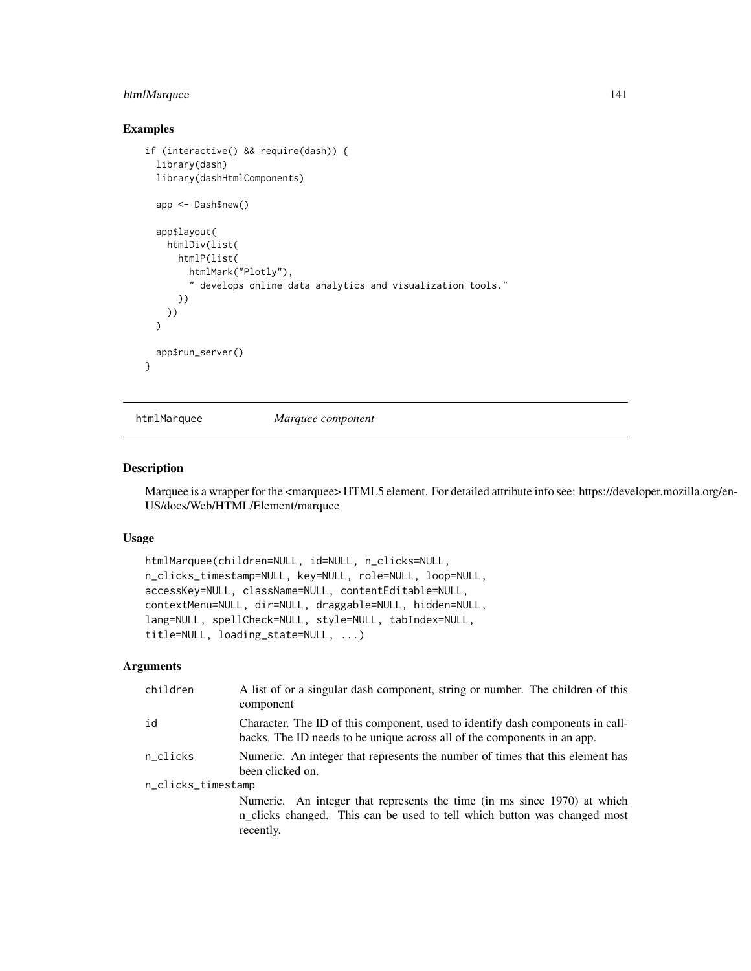# htmlMarquee 141

### Examples

```
if (interactive() && require(dash)) {
 library(dash)
 library(dashHtmlComponents)
 app <- Dash$new()
 app$layout(
   htmlDiv(list(
      htmlP(list(
       htmlMark("Plotly"),
        " develops online data analytics and visualization tools."
      ))
   ))
 \lambdaapp$run_server()
}
```
htmlMarquee *Marquee component*

#### Description

Marquee is a wrapper for the <marquee> HTML5 element. For detailed attribute info see: https://developer.mozilla.org/en-US/docs/Web/HTML/Element/marquee

### Usage

```
htmlMarquee(children=NULL, id=NULL, n_clicks=NULL,
n_clicks_timestamp=NULL, key=NULL, role=NULL, loop=NULL,
accessKey=NULL, className=NULL, contentEditable=NULL,
contextMenu=NULL, dir=NULL, draggable=NULL, hidden=NULL,
lang=NULL, spellCheck=NULL, style=NULL, tabIndex=NULL,
title=NULL, loading_state=NULL, ...)
```

| children           | A list of or a singular dash component, string or number. The children of this<br>component                                                                       |  |
|--------------------|-------------------------------------------------------------------------------------------------------------------------------------------------------------------|--|
| id                 | Character. The ID of this component, used to identify dash components in call-<br>backs. The ID needs to be unique across all of the components in an app.        |  |
| n_clicks           | Numeric. An integer that represents the number of times that this element has<br>been clicked on.                                                                 |  |
| n_clicks_timestamp |                                                                                                                                                                   |  |
|                    | Numeric. An integer that represents the time (in ms since 1970) at which<br>n_clicks changed. This can be used to tell which button was changed most<br>recently. |  |
|                    |                                                                                                                                                                   |  |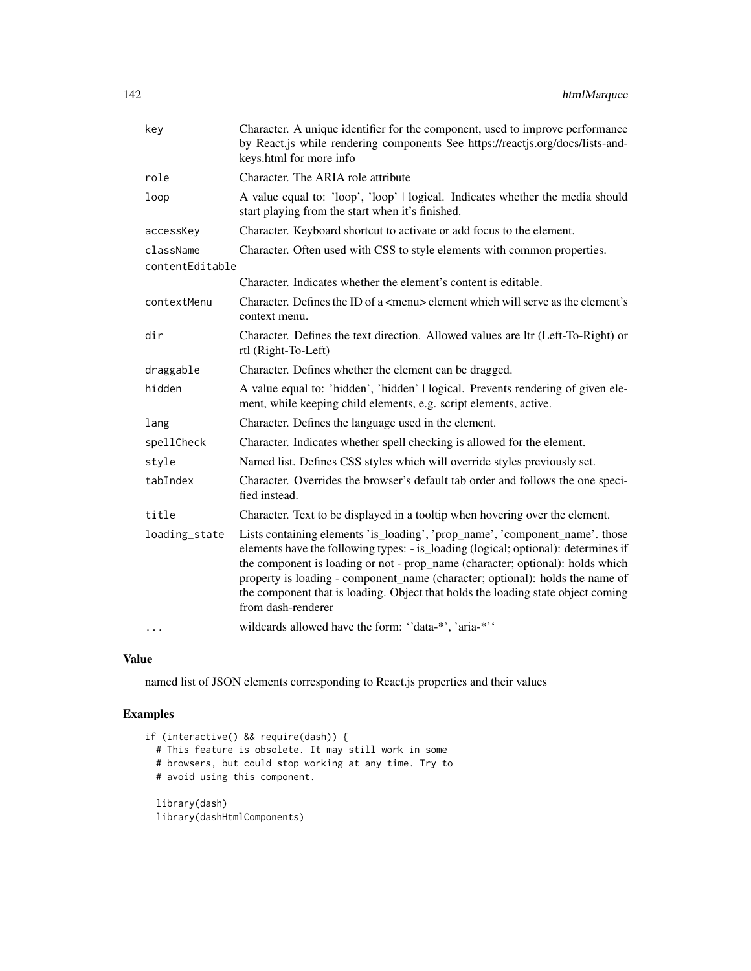| key             | Character. A unique identifier for the component, used to improve performance<br>by React.js while rendering components See https://reactjs.org/docs/lists-and-<br>keys.html for more info                                                                                                                                                                                                                                                      |
|-----------------|-------------------------------------------------------------------------------------------------------------------------------------------------------------------------------------------------------------------------------------------------------------------------------------------------------------------------------------------------------------------------------------------------------------------------------------------------|
| role            | Character. The ARIA role attribute                                                                                                                                                                                                                                                                                                                                                                                                              |
| loop            | A value equal to: 'loop', 'loop'   logical. Indicates whether the media should<br>start playing from the start when it's finished.                                                                                                                                                                                                                                                                                                              |
| accessKey       | Character. Keyboard shortcut to activate or add focus to the element.                                                                                                                                                                                                                                                                                                                                                                           |
| className       | Character. Often used with CSS to style elements with common properties.                                                                                                                                                                                                                                                                                                                                                                        |
| contentEditable | Character. Indicates whether the element's content is editable.                                                                                                                                                                                                                                                                                                                                                                                 |
| contextMenu     | Character. Defines the ID of a <menu> element which will serve as the element's<br/>context menu.</menu>                                                                                                                                                                                                                                                                                                                                        |
| dir             | Character. Defines the text direction. Allowed values are ltr (Left-To-Right) or<br>rtl (Right-To-Left)                                                                                                                                                                                                                                                                                                                                         |
| draggable       | Character. Defines whether the element can be dragged.                                                                                                                                                                                                                                                                                                                                                                                          |
| hidden          | A value equal to: 'hidden', 'hidden'   logical. Prevents rendering of given ele-<br>ment, while keeping child elements, e.g. script elements, active.                                                                                                                                                                                                                                                                                           |
| lang            | Character. Defines the language used in the element.                                                                                                                                                                                                                                                                                                                                                                                            |
| spellCheck      | Character. Indicates whether spell checking is allowed for the element.                                                                                                                                                                                                                                                                                                                                                                         |
| style           | Named list. Defines CSS styles which will override styles previously set.                                                                                                                                                                                                                                                                                                                                                                       |
| tabIndex        | Character. Overrides the browser's default tab order and follows the one speci-<br>fied instead.                                                                                                                                                                                                                                                                                                                                                |
| title           | Character. Text to be displayed in a tooltip when hovering over the element.                                                                                                                                                                                                                                                                                                                                                                    |
| loading_state   | Lists containing elements 'is_loading', 'prop_name', 'component_name'. those<br>elements have the following types: - is_loading (logical; optional): determines if<br>the component is loading or not - prop_name (character; optional): holds which<br>property is loading - component_name (character; optional): holds the name of<br>the component that is loading. Object that holds the loading state object coming<br>from dash-renderer |
| $\cdots$        | wildcards allowed have the form: "data-*', 'aria-*''                                                                                                                                                                                                                                                                                                                                                                                            |

named list of JSON elements corresponding to React.js properties and their values

```
if (interactive() && require(dash)) {
 # This feature is obsolete. It may still work in some
 # browsers, but could stop working at any time. Try to
 # avoid using this component.
 library(dash)
 library(dashHtmlComponents)
```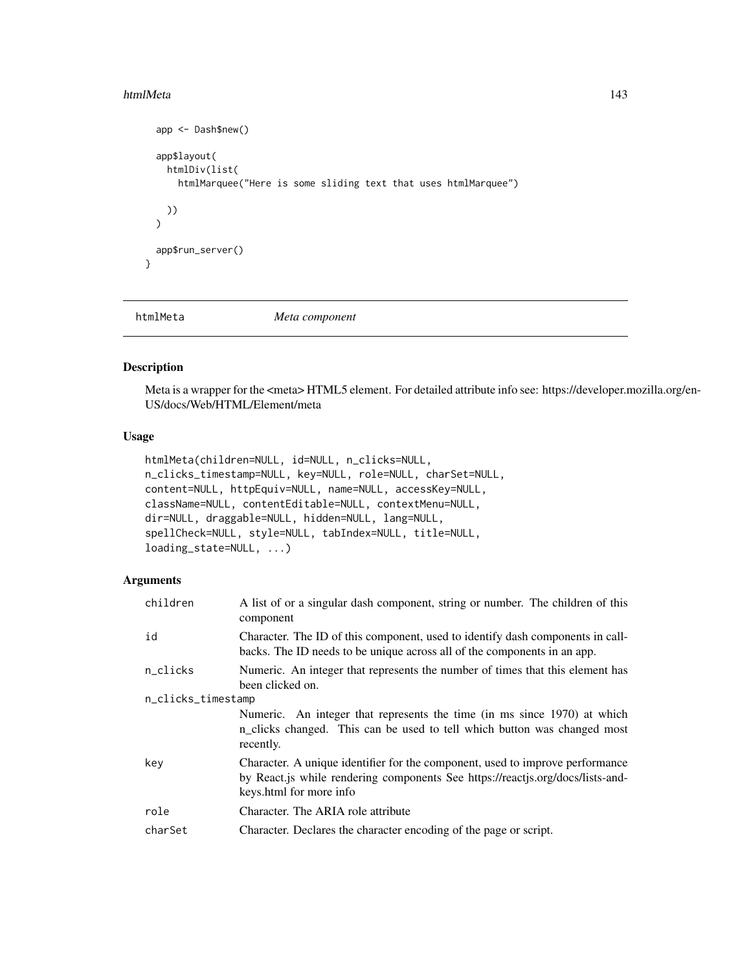#### htmlMeta 143

```
app <- Dash$new()
  app$layout(
    htmlDiv(list(
      htmlMarquee("Here is some sliding text that uses htmlMarquee")
   ))
  \mathcal{L}app$run_server()
}
```
htmlMeta *Meta component*

### Description

Meta is a wrapper for the <meta> HTML5 element. For detailed attribute info see: https://developer.mozilla.org/en-US/docs/Web/HTML/Element/meta

#### Usage

```
htmlMeta(children=NULL, id=NULL, n_clicks=NULL,
n_clicks_timestamp=NULL, key=NULL, role=NULL, charSet=NULL,
content=NULL, httpEquiv=NULL, name=NULL, accessKey=NULL,
className=NULL, contentEditable=NULL, contextMenu=NULL,
dir=NULL, draggable=NULL, hidden=NULL, lang=NULL,
spellCheck=NULL, style=NULL, tabIndex=NULL, title=NULL,
loading_state=NULL, ...)
```

| children           | A list of or a singular dash component, string or number. The children of this<br>component                                                                                                |
|--------------------|--------------------------------------------------------------------------------------------------------------------------------------------------------------------------------------------|
| id                 | Character. The ID of this component, used to identify dash components in call-<br>backs. The ID needs to be unique across all of the components in an app.                                 |
| n_clicks           | Numeric. An integer that represents the number of times that this element has<br>been clicked on.                                                                                          |
| n_clicks_timestamp |                                                                                                                                                                                            |
|                    | Numeric. An integer that represents the time (in ms since 1970) at which<br>n_clicks changed. This can be used to tell which button was changed most<br>recently.                          |
| key                | Character. A unique identifier for the component, used to improve performance<br>by React.js while rendering components See https://reactjs.org/docs/lists-and-<br>keys.html for more info |
| role               | Character. The ARIA role attribute                                                                                                                                                         |
| charSet            | Character. Declares the character encoding of the page or script.                                                                                                                          |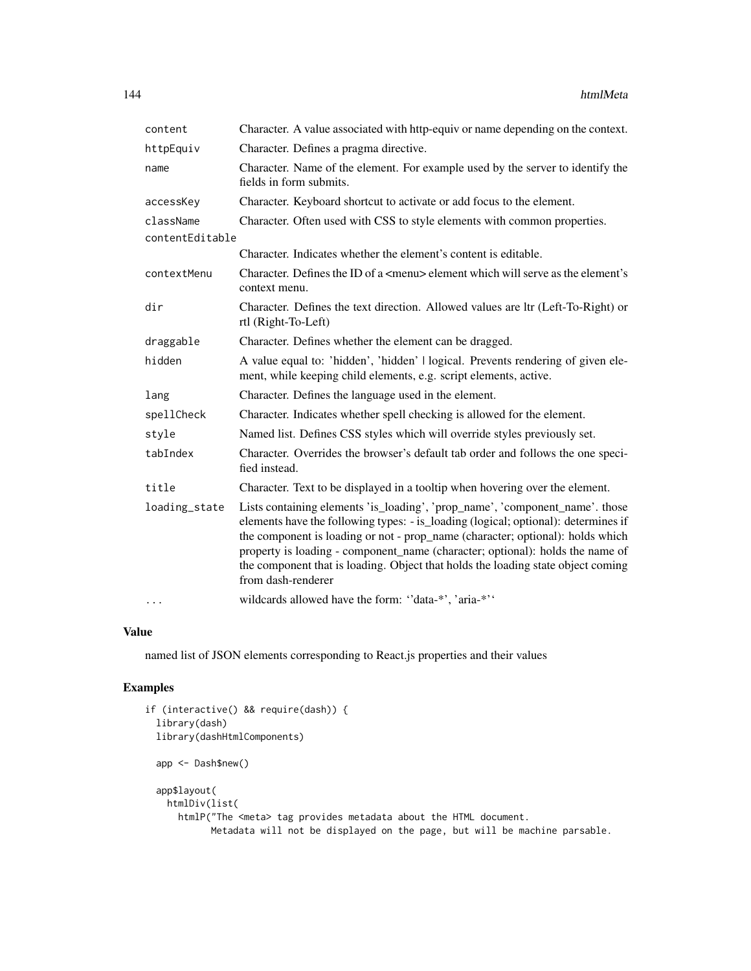| content                      | Character. A value associated with http-equiv or name depending on the context.                                                                                                                                                                                                                                                                                                                                                                 |
|------------------------------|-------------------------------------------------------------------------------------------------------------------------------------------------------------------------------------------------------------------------------------------------------------------------------------------------------------------------------------------------------------------------------------------------------------------------------------------------|
| httpEquiv                    | Character. Defines a pragma directive.                                                                                                                                                                                                                                                                                                                                                                                                          |
| name                         | Character. Name of the element. For example used by the server to identify the<br>fields in form submits.                                                                                                                                                                                                                                                                                                                                       |
| accessKey                    | Character. Keyboard shortcut to activate or add focus to the element.                                                                                                                                                                                                                                                                                                                                                                           |
| className<br>contentEditable | Character. Often used with CSS to style elements with common properties.                                                                                                                                                                                                                                                                                                                                                                        |
|                              | Character. Indicates whether the element's content is editable.                                                                                                                                                                                                                                                                                                                                                                                 |
| contextMenu                  | Character. Defines the ID of a <menu> element which will serve as the element's<br/>context menu.</menu>                                                                                                                                                                                                                                                                                                                                        |
| dir                          | Character. Defines the text direction. Allowed values are ltr (Left-To-Right) or<br>rtl (Right-To-Left)                                                                                                                                                                                                                                                                                                                                         |
| draggable                    | Character. Defines whether the element can be dragged.                                                                                                                                                                                                                                                                                                                                                                                          |
| hidden                       | A value equal to: 'hidden', 'hidden'   logical. Prevents rendering of given ele-<br>ment, while keeping child elements, e.g. script elements, active.                                                                                                                                                                                                                                                                                           |
| lang                         | Character. Defines the language used in the element.                                                                                                                                                                                                                                                                                                                                                                                            |
| spellCheck                   | Character. Indicates whether spell checking is allowed for the element.                                                                                                                                                                                                                                                                                                                                                                         |
| style                        | Named list. Defines CSS styles which will override styles previously set.                                                                                                                                                                                                                                                                                                                                                                       |
| tabIndex                     | Character. Overrides the browser's default tab order and follows the one speci-<br>fied instead.                                                                                                                                                                                                                                                                                                                                                |
| title                        | Character. Text to be displayed in a tooltip when hovering over the element.                                                                                                                                                                                                                                                                                                                                                                    |
| loading_state                | Lists containing elements 'is_loading', 'prop_name', 'component_name'. those<br>elements have the following types: - is_loading (logical; optional): determines if<br>the component is loading or not - prop_name (character; optional): holds which<br>property is loading - component_name (character; optional): holds the name of<br>the component that is loading. Object that holds the loading state object coming<br>from dash-renderer |
| $\cdots$                     | wildcards allowed have the form: "data-*', 'aria-*''                                                                                                                                                                                                                                                                                                                                                                                            |

named list of JSON elements corresponding to React.js properties and their values

```
if (interactive() && require(dash)) {
 library(dash)
 library(dashHtmlComponents)
 app <- Dash$new()
 app$layout(
   htmlDiv(list(
     htmlP("The <meta> tag provides metadata about the HTML document.
           Metadata will not be displayed on the page, but will be machine parsable.
```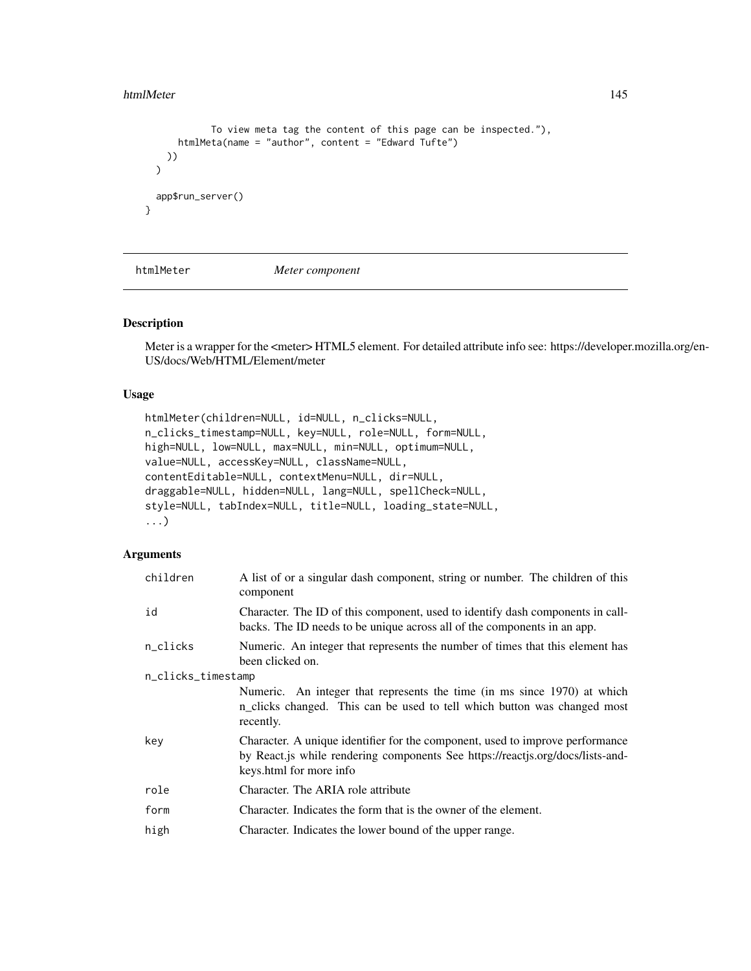#### htmlMeter 145

```
To view meta tag the content of this page can be inspected."),
      htmlMeta(name = "author", content = "Edward Tufte")
   ))
 \lambdaapp$run_server()
}
```
htmlMeter *Meter component*

#### Description

Meter is a wrapper for the <meter> HTML5 element. For detailed attribute info see: https://developer.mozilla.org/en-US/docs/Web/HTML/Element/meter

#### Usage

```
htmlMeter(children=NULL, id=NULL, n_clicks=NULL,
n_clicks_timestamp=NULL, key=NULL, role=NULL, form=NULL,
high=NULL, low=NULL, max=NULL, min=NULL, optimum=NULL,
value=NULL, accessKey=NULL, className=NULL,
contentEditable=NULL, contextMenu=NULL, dir=NULL,
draggable=NULL, hidden=NULL, lang=NULL, spellCheck=NULL,
style=NULL, tabIndex=NULL, title=NULL, loading_state=NULL,
...)
```

| children           | A list of or a singular dash component, string or number. The children of this<br>component                                                                                                |
|--------------------|--------------------------------------------------------------------------------------------------------------------------------------------------------------------------------------------|
| id                 | Character. The ID of this component, used to identify dash components in call-<br>backs. The ID needs to be unique across all of the components in an app.                                 |
| n_clicks           | Numeric. An integer that represents the number of times that this element has<br>been clicked on.                                                                                          |
| n_clicks_timestamp |                                                                                                                                                                                            |
|                    | Numeric. An integer that represents the time (in ms since 1970) at which<br>n_clicks changed. This can be used to tell which button was changed most<br>recently.                          |
| key                | Character. A unique identifier for the component, used to improve performance<br>by React.js while rendering components See https://reactjs.org/docs/lists-and-<br>keys.html for more info |
| role               | Character. The ARIA role attribute                                                                                                                                                         |
| form               | Character. Indicates the form that is the owner of the element.                                                                                                                            |
| high               | Character. Indicates the lower bound of the upper range.                                                                                                                                   |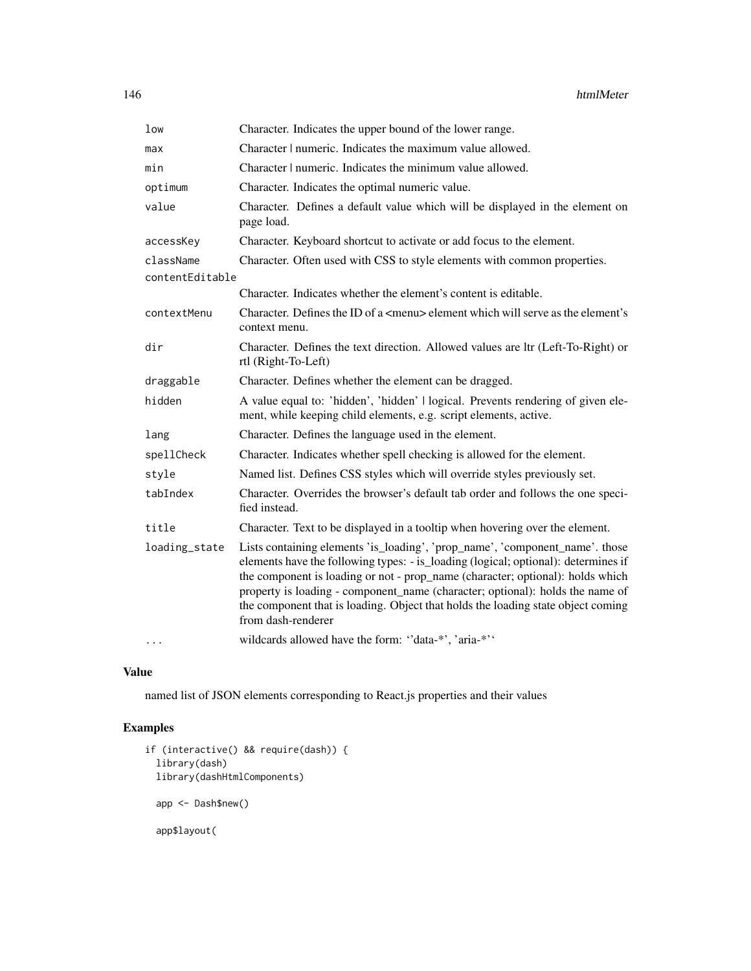| low             | Character. Indicates the upper bound of the lower range.                                                                                                                                                                                                                                                                                                                                                                                        |
|-----------------|-------------------------------------------------------------------------------------------------------------------------------------------------------------------------------------------------------------------------------------------------------------------------------------------------------------------------------------------------------------------------------------------------------------------------------------------------|
| max             | Character   numeric. Indicates the maximum value allowed.                                                                                                                                                                                                                                                                                                                                                                                       |
| min             | Character   numeric. Indicates the minimum value allowed.                                                                                                                                                                                                                                                                                                                                                                                       |
| optimum         | Character. Indicates the optimal numeric value.                                                                                                                                                                                                                                                                                                                                                                                                 |
| value           | Character. Defines a default value which will be displayed in the element on<br>page load.                                                                                                                                                                                                                                                                                                                                                      |
| accessKey       | Character. Keyboard shortcut to activate or add focus to the element.                                                                                                                                                                                                                                                                                                                                                                           |
| className       | Character. Often used with CSS to style elements with common properties.                                                                                                                                                                                                                                                                                                                                                                        |
| contentEditable |                                                                                                                                                                                                                                                                                                                                                                                                                                                 |
|                 | Character. Indicates whether the element's content is editable.                                                                                                                                                                                                                                                                                                                                                                                 |
| contextMenu     | Character. Defines the ID of a <menu> element which will serve as the element's<br/>context menu.</menu>                                                                                                                                                                                                                                                                                                                                        |
| dir             | Character. Defines the text direction. Allowed values are ltr (Left-To-Right) or<br>rtl (Right-To-Left)                                                                                                                                                                                                                                                                                                                                         |
| draggable       | Character. Defines whether the element can be dragged.                                                                                                                                                                                                                                                                                                                                                                                          |
| hidden          | A value equal to: 'hidden', 'hidden'   logical. Prevents rendering of given ele-<br>ment, while keeping child elements, e.g. script elements, active.                                                                                                                                                                                                                                                                                           |
| lang            | Character. Defines the language used in the element.                                                                                                                                                                                                                                                                                                                                                                                            |
| spellCheck      | Character. Indicates whether spell checking is allowed for the element.                                                                                                                                                                                                                                                                                                                                                                         |
| style           | Named list. Defines CSS styles which will override styles previously set.                                                                                                                                                                                                                                                                                                                                                                       |
| tabIndex        | Character. Overrides the browser's default tab order and follows the one speci-<br>fied instead.                                                                                                                                                                                                                                                                                                                                                |
| title           | Character. Text to be displayed in a tooltip when hovering over the element.                                                                                                                                                                                                                                                                                                                                                                    |
| loading_state   | Lists containing elements 'is_loading', 'prop_name', 'component_name'. those<br>elements have the following types: - is_loading (logical; optional): determines if<br>the component is loading or not - prop_name (character; optional): holds which<br>property is loading - component_name (character; optional): holds the name of<br>the component that is loading. Object that holds the loading state object coming<br>from dash-renderer |
| $\ddotsc$       | wildcards allowed have the form: "data-*', 'aria-*''                                                                                                                                                                                                                                                                                                                                                                                            |

named list of JSON elements corresponding to React.js properties and their values

```
if (interactive() && require(dash)) {
  library(dash)
 library(dashHtmlComponents)
  app <- Dash$new()
  app$layout(
```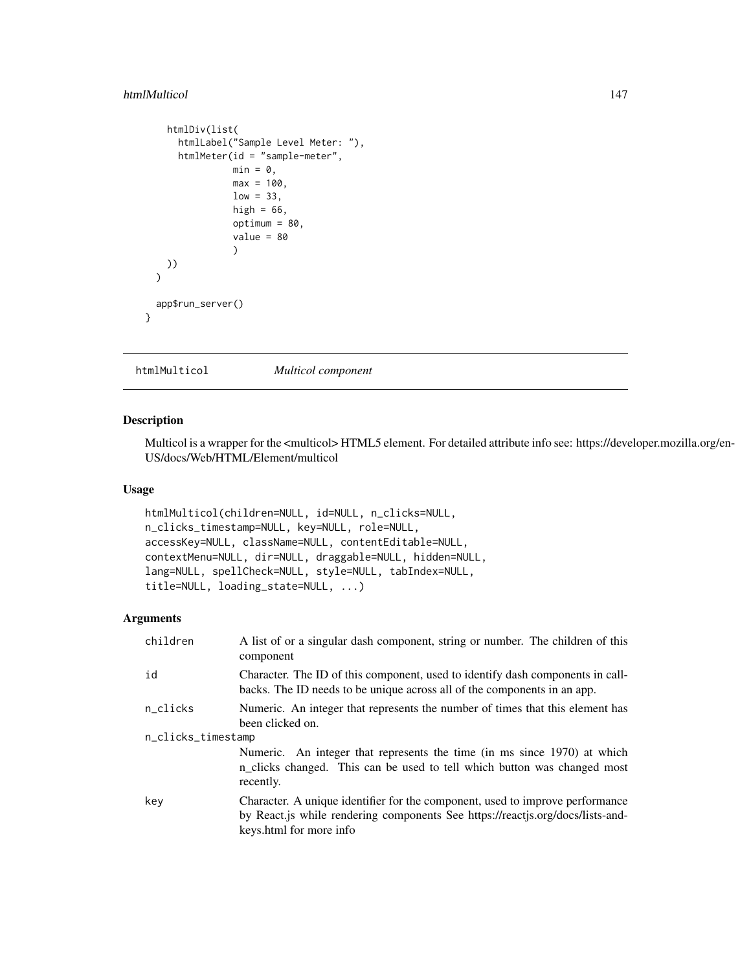#### htmlMulticol 147

```
htmlDiv(list(
      htmlLabel("Sample Level Meter: "),
      htmlMeter(id = "sample-meter",
                min = 0,
                max = 100,low = 33,high = 66,
                optimum = 80,
                 value = 80)
   ))
 \overline{)}app$run_server()
}
```
htmlMulticol *Multicol component*

#### Description

Multicol is a wrapper for the <multicol> HTML5 element. For detailed attribute info see: https://developer.mozilla.org/en-US/docs/Web/HTML/Element/multicol

## Usage

```
htmlMulticol(children=NULL, id=NULL, n_clicks=NULL,
n_clicks_timestamp=NULL, key=NULL, role=NULL,
accessKey=NULL, className=NULL, contentEditable=NULL,
contextMenu=NULL, dir=NULL, draggable=NULL, hidden=NULL,
lang=NULL, spellCheck=NULL, style=NULL, tabIndex=NULL,
title=NULL, loading_state=NULL, ...)
```

| children           | A list of or a singular dash component, string or number. The children of this<br>component                                                                                                |  |
|--------------------|--------------------------------------------------------------------------------------------------------------------------------------------------------------------------------------------|--|
| id                 | Character. The ID of this component, used to identify dash components in call-<br>backs. The ID needs to be unique across all of the components in an app.                                 |  |
| n_clicks           | Numeric. An integer that represents the number of times that this element has<br>been clicked on.                                                                                          |  |
| n_clicks_timestamp |                                                                                                                                                                                            |  |
|                    | Numeric. An integer that represents the time (in ms since 1970) at which<br>n_clicks changed. This can be used to tell which button was changed most<br>recently.                          |  |
| key                | Character. A unique identifier for the component, used to improve performance<br>by React.js while rendering components See https://reactjs.org/docs/lists-and-<br>keys.html for more info |  |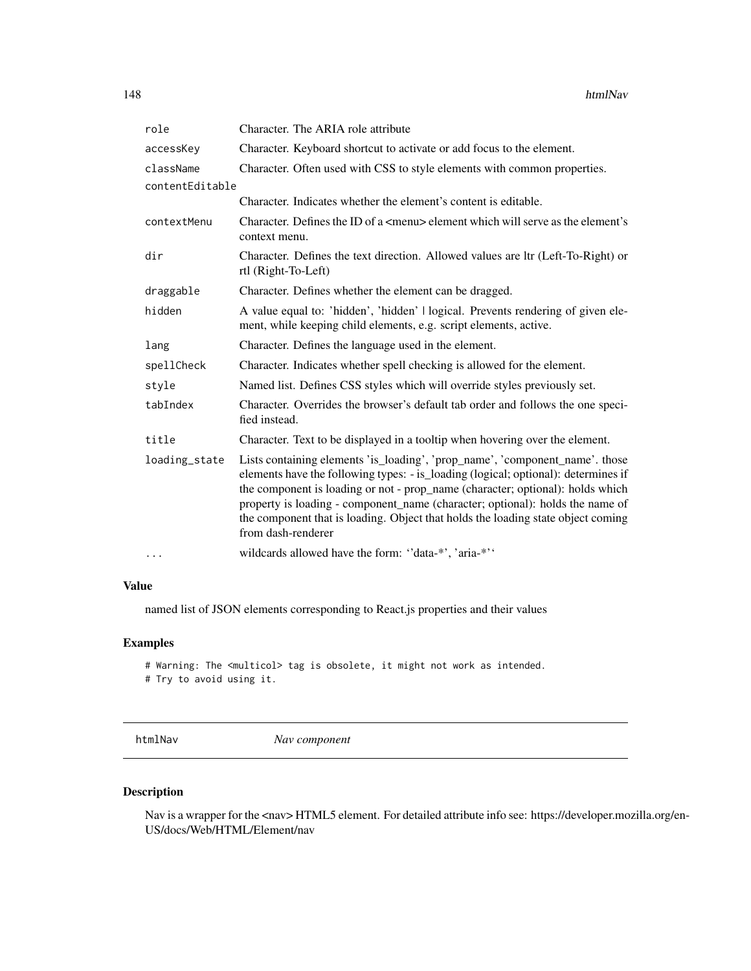| role            | Character. The ARIA role attribute                                                                                                                                                                                                                                                                                                                                                                                                              |
|-----------------|-------------------------------------------------------------------------------------------------------------------------------------------------------------------------------------------------------------------------------------------------------------------------------------------------------------------------------------------------------------------------------------------------------------------------------------------------|
| accessKey       | Character. Keyboard shortcut to activate or add focus to the element.                                                                                                                                                                                                                                                                                                                                                                           |
| className       | Character. Often used with CSS to style elements with common properties.                                                                                                                                                                                                                                                                                                                                                                        |
| contentEditable |                                                                                                                                                                                                                                                                                                                                                                                                                                                 |
|                 | Character. Indicates whether the element's content is editable.                                                                                                                                                                                                                                                                                                                                                                                 |
| contextMenu     | Character. Defines the ID of a $\leq$ menu $\geq$ element which will serve as the element's<br>context menu.                                                                                                                                                                                                                                                                                                                                    |
| dir             | Character. Defines the text direction. Allowed values are ltr (Left-To-Right) or<br>rtl (Right-To-Left)                                                                                                                                                                                                                                                                                                                                         |
| draggable       | Character. Defines whether the element can be dragged.                                                                                                                                                                                                                                                                                                                                                                                          |
| hidden          | A value equal to: 'hidden', 'hidden'   logical. Prevents rendering of given ele-<br>ment, while keeping child elements, e.g. script elements, active.                                                                                                                                                                                                                                                                                           |
| lang            | Character. Defines the language used in the element.                                                                                                                                                                                                                                                                                                                                                                                            |
| spellCheck      | Character. Indicates whether spell checking is allowed for the element.                                                                                                                                                                                                                                                                                                                                                                         |
| style           | Named list. Defines CSS styles which will override styles previously set.                                                                                                                                                                                                                                                                                                                                                                       |
| tabIndex        | Character. Overrides the browser's default tab order and follows the one speci-<br>fied instead.                                                                                                                                                                                                                                                                                                                                                |
| title           | Character. Text to be displayed in a tooltip when hovering over the element.                                                                                                                                                                                                                                                                                                                                                                    |
| loading_state   | Lists containing elements 'is_loading', 'prop_name', 'component_name'. those<br>elements have the following types: - is_loading (logical; optional): determines if<br>the component is loading or not - prop_name (character; optional): holds which<br>property is loading - component_name (character; optional): holds the name of<br>the component that is loading. Object that holds the loading state object coming<br>from dash-renderer |
| .               | wildcards allowed have the form: "data-*', 'aria-*''                                                                                                                                                                                                                                                                                                                                                                                            |

named list of JSON elements corresponding to React.js properties and their values

# Examples

# Warning: The <multicol> tag is obsolete, it might not work as intended. # Try to avoid using it.

htmlNav *Nav component*

# Description

Nav is a wrapper for the <nav> HTML5 element. For detailed attribute info see: https://developer.mozilla.org/en-US/docs/Web/HTML/Element/nav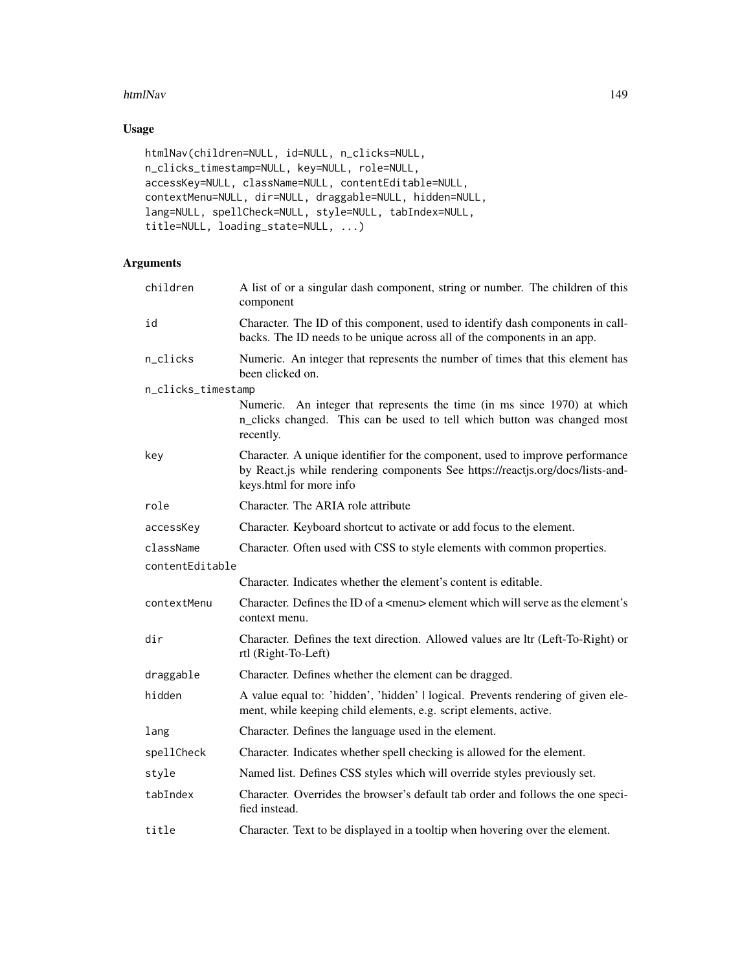#### htmlNav 149

# Usage

```
htmlNav(children=NULL, id=NULL, n_clicks=NULL,
n_clicks_timestamp=NULL, key=NULL, role=NULL,
accessKey=NULL, className=NULL, contentEditable=NULL,
contextMenu=NULL, dir=NULL, draggable=NULL, hidden=NULL,
lang=NULL, spellCheck=NULL, style=NULL, tabIndex=NULL,
title=NULL, loading_state=NULL, ...)
```

| children           | A list of or a singular dash component, string or number. The children of this<br>component                                                                                                |
|--------------------|--------------------------------------------------------------------------------------------------------------------------------------------------------------------------------------------|
| id                 | Character. The ID of this component, used to identify dash components in call-<br>backs. The ID needs to be unique across all of the components in an app.                                 |
| n_clicks           | Numeric. An integer that represents the number of times that this element has<br>been clicked on.                                                                                          |
| n_clicks_timestamp |                                                                                                                                                                                            |
|                    | Numeric. An integer that represents the time (in ms since 1970) at which<br>n_clicks changed. This can be used to tell which button was changed most<br>recently.                          |
| key                | Character. A unique identifier for the component, used to improve performance<br>by React.js while rendering components See https://reactjs.org/docs/lists-and-<br>keys.html for more info |
| role               | Character. The ARIA role attribute                                                                                                                                                         |
| accessKey          | Character. Keyboard shortcut to activate or add focus to the element.                                                                                                                      |
| className          | Character. Often used with CSS to style elements with common properties.                                                                                                                   |
| contentEditable    |                                                                                                                                                                                            |
|                    | Character. Indicates whether the element's content is editable.                                                                                                                            |
| contextMenu        | Character. Defines the ID of a <menu> element which will serve as the element's<br/>context menu.</menu>                                                                                   |
| dir                | Character. Defines the text direction. Allowed values are ltr (Left-To-Right) or<br>rtl (Right-To-Left)                                                                                    |
| draggable          | Character. Defines whether the element can be dragged.                                                                                                                                     |
| hidden             | A value equal to: 'hidden', 'hidden'   logical. Prevents rendering of given ele-<br>ment, while keeping child elements, e.g. script elements, active.                                      |
| lang               | Character. Defines the language used in the element.                                                                                                                                       |
| spellCheck         | Character. Indicates whether spell checking is allowed for the element.                                                                                                                    |
| style              | Named list. Defines CSS styles which will override styles previously set.                                                                                                                  |
| tabIndex           | Character. Overrides the browser's default tab order and follows the one speci-<br>fied instead.                                                                                           |
| title              | Character. Text to be displayed in a tooltip when hovering over the element.                                                                                                               |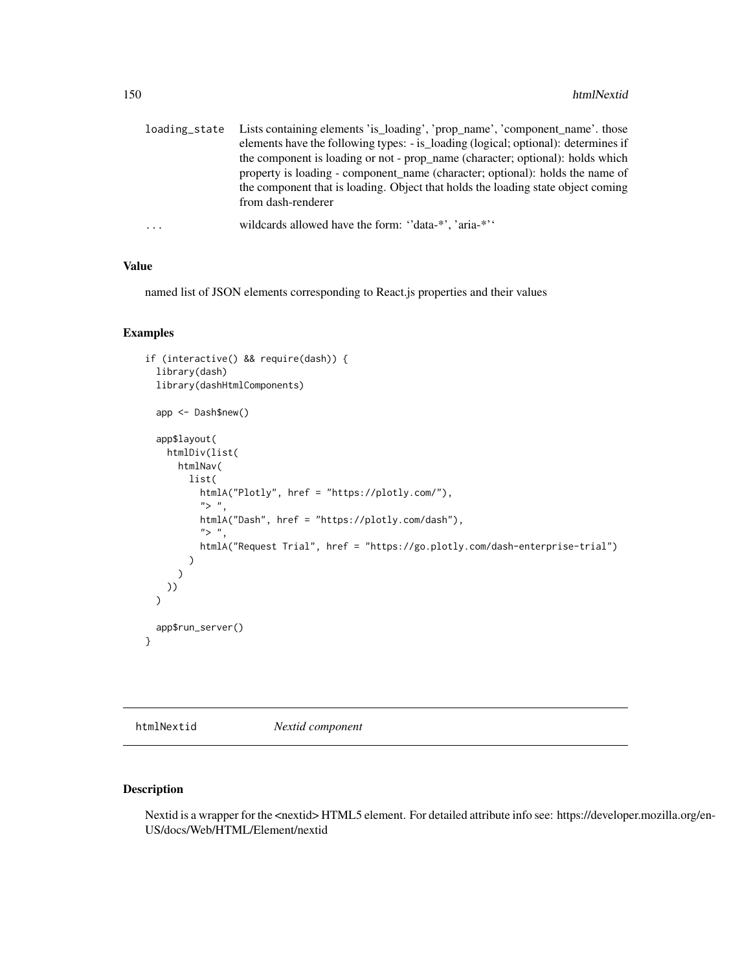| loading_state | Lists containing elements 'is_loading', 'prop_name', 'component_name'. those       |
|---------------|------------------------------------------------------------------------------------|
|               | elements have the following types: - is_loading (logical; optional): determines if |
|               | the component is loading or not - prop_name (character; optional): holds which     |
|               | property is loading - component name (character; optional): holds the name of      |
|               | the component that is loading. Object that holds the loading state object coming   |
|               | from dash-renderer                                                                 |
| $\cdots$      | wildcards allowed have the form: "data-*", 'aria-*"                                |
|               |                                                                                    |

named list of JSON elements corresponding to React.js properties and their values

#### Examples

```
if (interactive() && require(dash)) {
 library(dash)
 library(dashHtmlComponents)
 app <- Dash$new()
 app$layout(
   htmlDiv(list(
     htmlNav(
       list(
         htmlA("Plotly", href = "https://plotly.com/"),
          ">',
         htmlA("Dash", href = "https://plotly.com/dash"),
          ">',
         htmlA("Request Trial", href = "https://go.plotly.com/dash-enterprise-trial")
       )
     )
   ))
 )
 app$run_server()
}
```
htmlNextid *Nextid component*

#### Description

Nextid is a wrapper for the <nextid> HTML5 element. For detailed attribute info see: https://developer.mozilla.org/en-US/docs/Web/HTML/Element/nextid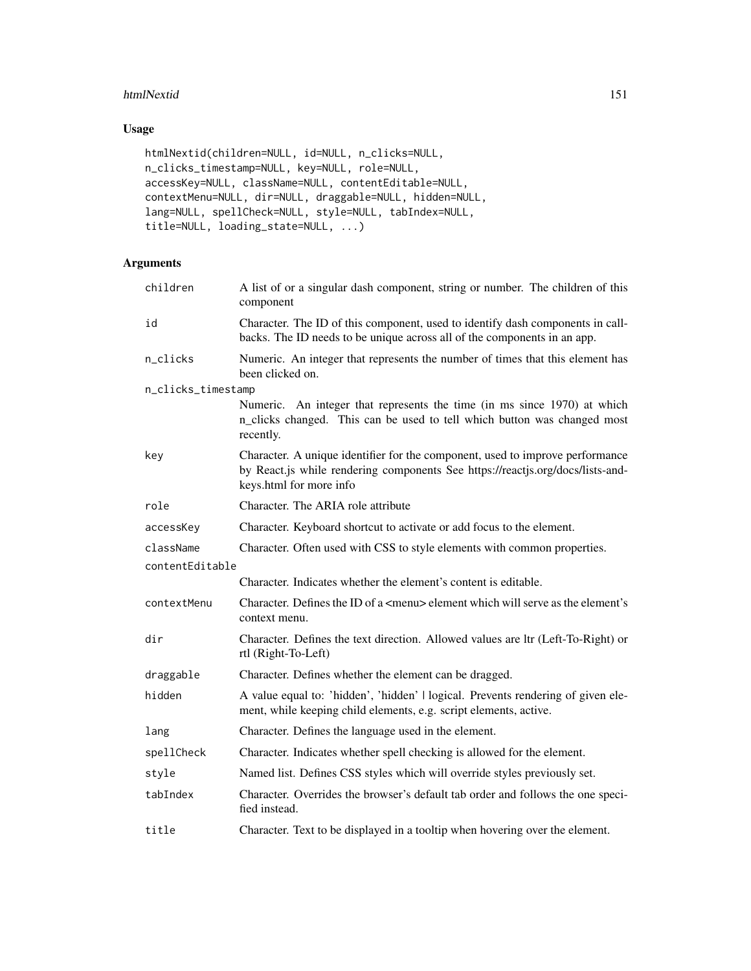#### htmlNextid 151

# Usage

```
htmlNextid(children=NULL, id=NULL, n_clicks=NULL,
n_clicks_timestamp=NULL, key=NULL, role=NULL,
accessKey=NULL, className=NULL, contentEditable=NULL,
contextMenu=NULL, dir=NULL, draggable=NULL, hidden=NULL,
lang=NULL, spellCheck=NULL, style=NULL, tabIndex=NULL,
title=NULL, loading_state=NULL, ...)
```

| children           | A list of or a singular dash component, string or number. The children of this<br>component                                                                                                |
|--------------------|--------------------------------------------------------------------------------------------------------------------------------------------------------------------------------------------|
| id                 | Character. The ID of this component, used to identify dash components in call-<br>backs. The ID needs to be unique across all of the components in an app.                                 |
| n_clicks           | Numeric. An integer that represents the number of times that this element has<br>been clicked on.                                                                                          |
| n_clicks_timestamp |                                                                                                                                                                                            |
|                    | Numeric. An integer that represents the time (in ms since 1970) at which<br>n_clicks changed. This can be used to tell which button was changed most<br>recently.                          |
| key                | Character. A unique identifier for the component, used to improve performance<br>by React.js while rendering components See https://reactjs.org/docs/lists-and-<br>keys.html for more info |
| role               | Character. The ARIA role attribute                                                                                                                                                         |
| accessKey          | Character. Keyboard shortcut to activate or add focus to the element.                                                                                                                      |
| className          | Character. Often used with CSS to style elements with common properties.                                                                                                                   |
| contentEditable    |                                                                                                                                                                                            |
|                    | Character. Indicates whether the element's content is editable.                                                                                                                            |
| contextMenu        | Character. Defines the ID of a <menu> element which will serve as the element's<br/>context menu.</menu>                                                                                   |
| dir                | Character. Defines the text direction. Allowed values are ltr (Left-To-Right) or<br>rtl (Right-To-Left)                                                                                    |
| draggable          | Character. Defines whether the element can be dragged.                                                                                                                                     |
| hidden             | A value equal to: 'hidden', 'hidden'   logical. Prevents rendering of given ele-<br>ment, while keeping child elements, e.g. script elements, active.                                      |
| lang               | Character. Defines the language used in the element.                                                                                                                                       |
| spellCheck         | Character. Indicates whether spell checking is allowed for the element.                                                                                                                    |
| style              | Named list. Defines CSS styles which will override styles previously set.                                                                                                                  |
| tabIndex           | Character. Overrides the browser's default tab order and follows the one speci-<br>fied instead.                                                                                           |
| title              | Character. Text to be displayed in a tooltip when hovering over the element.                                                                                                               |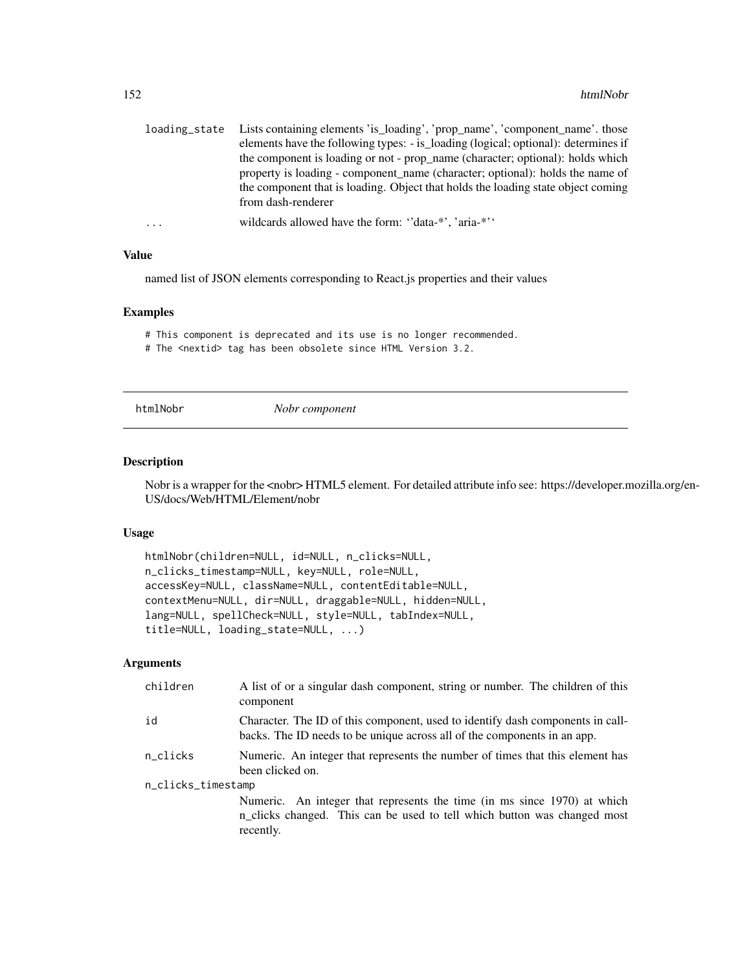| loading_state | Lists containing elements 'is_loading', 'prop_name', 'component_name'. those       |
|---------------|------------------------------------------------------------------------------------|
|               | elements have the following types: - is_loading (logical; optional): determines if |
|               | the component is loading or not - prop_name (character; optional): holds which     |
|               | property is loading - component name (character; optional): holds the name of      |
|               | the component that is loading. Object that holds the loading state object coming   |
|               | from dash-renderer                                                                 |
| $\cdot$       | wildcards allowed have the form: "data-*", 'aria-*"                                |

named list of JSON elements corresponding to React.js properties and their values

#### Examples

# This component is deprecated and its use is no longer recommended.

# The <nextid> tag has been obsolete since HTML Version 3.2.

htmlNobr *Nobr component*

#### Description

Nobr is a wrapper for the <nobr> HTML5 element. For detailed attribute info see: https://developer.mozilla.org/en-US/docs/Web/HTML/Element/nobr

#### Usage

```
htmlNobr(children=NULL, id=NULL, n_clicks=NULL,
n_clicks_timestamp=NULL, key=NULL, role=NULL,
accessKey=NULL, className=NULL, contentEditable=NULL,
contextMenu=NULL, dir=NULL, draggable=NULL, hidden=NULL,
lang=NULL, spellCheck=NULL, style=NULL, tabIndex=NULL,
title=NULL, loading_state=NULL, ...)
```

| id<br>backs. The ID needs to be unique across all of the components in an app.<br>n_clicks<br>been clicked on.<br>n_clicks_timestamp | children | A list of or a singular dash component, string or number. The children of this<br>component |  |
|--------------------------------------------------------------------------------------------------------------------------------------|----------|---------------------------------------------------------------------------------------------|--|
|                                                                                                                                      |          | Character. The ID of this component, used to identify dash components in call-              |  |
|                                                                                                                                      |          | Numeric. An integer that represents the number of times that this element has               |  |
|                                                                                                                                      |          |                                                                                             |  |
|                                                                                                                                      |          | Numeric. An integer that represents the time (in ms since 1970) at which                    |  |
|                                                                                                                                      |          | n_clicks changed. This can be used to tell which button was changed most<br>recently.       |  |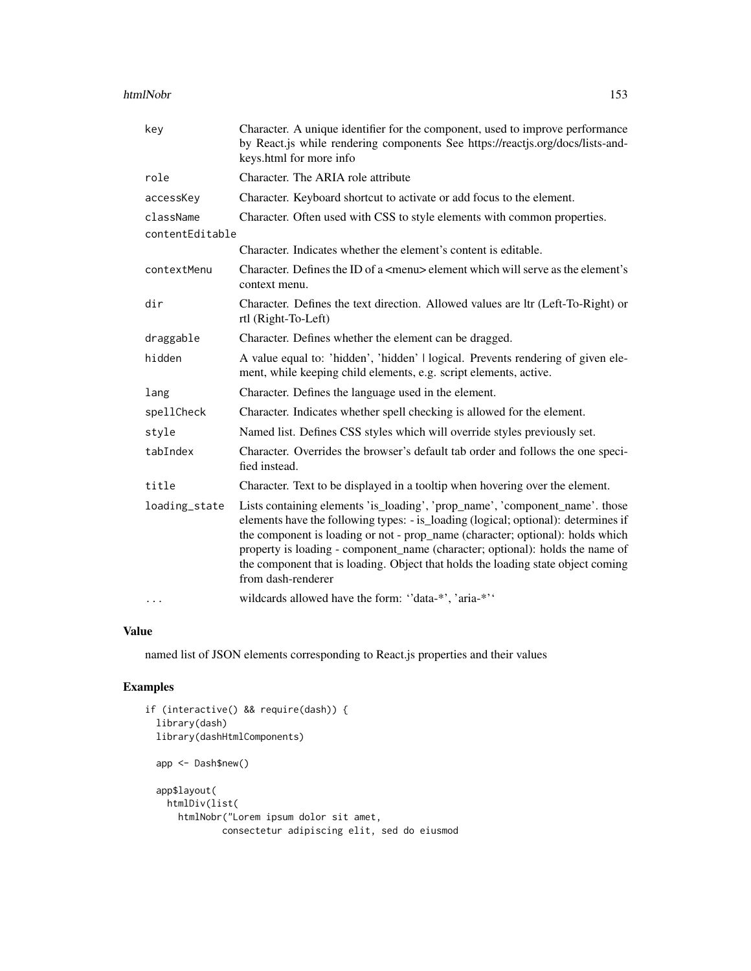#### htmlNobr 153

| key             | Character. A unique identifier for the component, used to improve performance<br>by React.js while rendering components See https://reactjs.org/docs/lists-and-<br>keys.html for more info                                                                                                                                                                                                                                                      |
|-----------------|-------------------------------------------------------------------------------------------------------------------------------------------------------------------------------------------------------------------------------------------------------------------------------------------------------------------------------------------------------------------------------------------------------------------------------------------------|
| role            | Character. The ARIA role attribute                                                                                                                                                                                                                                                                                                                                                                                                              |
| accessKey       | Character. Keyboard shortcut to activate or add focus to the element.                                                                                                                                                                                                                                                                                                                                                                           |
| className       | Character. Often used with CSS to style elements with common properties.                                                                                                                                                                                                                                                                                                                                                                        |
| contentEditable |                                                                                                                                                                                                                                                                                                                                                                                                                                                 |
|                 | Character. Indicates whether the element's content is editable.                                                                                                                                                                                                                                                                                                                                                                                 |
| contextMenu     | Character. Defines the ID of a <menu> element which will serve as the element's<br/>context menu.</menu>                                                                                                                                                                                                                                                                                                                                        |
| dir             | Character. Defines the text direction. Allowed values are ltr (Left-To-Right) or<br>rtl (Right-To-Left)                                                                                                                                                                                                                                                                                                                                         |
| draggable       | Character. Defines whether the element can be dragged.                                                                                                                                                                                                                                                                                                                                                                                          |
| hidden          | A value equal to: 'hidden', 'hidden'   logical. Prevents rendering of given ele-<br>ment, while keeping child elements, e.g. script elements, active.                                                                                                                                                                                                                                                                                           |
| lang            | Character. Defines the language used in the element.                                                                                                                                                                                                                                                                                                                                                                                            |
| spellCheck      | Character. Indicates whether spell checking is allowed for the element.                                                                                                                                                                                                                                                                                                                                                                         |
| style           | Named list. Defines CSS styles which will override styles previously set.                                                                                                                                                                                                                                                                                                                                                                       |
| tabIndex        | Character. Overrides the browser's default tab order and follows the one speci-<br>fied instead.                                                                                                                                                                                                                                                                                                                                                |
| title           | Character. Text to be displayed in a tooltip when hovering over the element.                                                                                                                                                                                                                                                                                                                                                                    |
| loading_state   | Lists containing elements 'is_loading', 'prop_name', 'component_name'. those<br>elements have the following types: - is_loading (logical; optional): determines if<br>the component is loading or not - prop_name (character; optional): holds which<br>property is loading - component_name (character; optional): holds the name of<br>the component that is loading. Object that holds the loading state object coming<br>from dash-renderer |
| $\cdots$        | wildcards allowed have the form: "data-*', 'aria-*''                                                                                                                                                                                                                                                                                                                                                                                            |

#### Value

named list of JSON elements corresponding to React.js properties and their values

```
if (interactive() && require(dash)) {
 library(dash)
 library(dashHtmlComponents)
 app <- Dash$new()
 app$layout(
   htmlDiv(list(
     htmlNobr("Lorem ipsum dolor sit amet,
             consectetur adipiscing elit, sed do eiusmod
```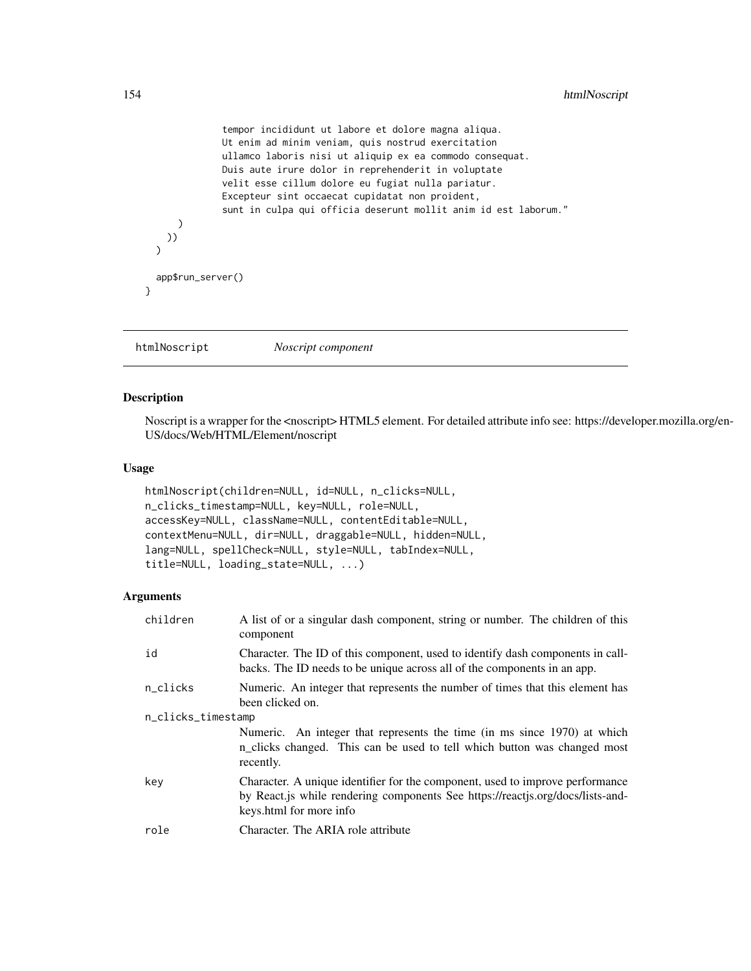```
tempor incididunt ut labore et dolore magna aliqua.
              Ut enim ad minim veniam, quis nostrud exercitation
              ullamco laboris nisi ut aliquip ex ea commodo consequat.
              Duis aute irure dolor in reprehenderit in voluptate
              velit esse cillum dolore eu fugiat nulla pariatur.
              Excepteur sint occaecat cupidatat non proident,
              sunt in culpa qui officia deserunt mollit anim id est laborum."
     )
   ))
 \lambdaapp$run_server()
}
```
htmlNoscript *Noscript component*

### Description

Noscript is a wrapper for the <noscript> HTML5 element. For detailed attribute info see: https://developer.mozilla.org/en-US/docs/Web/HTML/Element/noscript

#### Usage

```
htmlNoscript(children=NULL, id=NULL, n_clicks=NULL,
n_clicks_timestamp=NULL, key=NULL, role=NULL,
accessKey=NULL, className=NULL, contentEditable=NULL,
contextMenu=NULL, dir=NULL, draggable=NULL, hidden=NULL,
lang=NULL, spellCheck=NULL, style=NULL, tabIndex=NULL,
title=NULL, loading_state=NULL, ...)
```

| children           | A list of or a singular dash component, string or number. The children of this<br>component                                                                                                |  |
|--------------------|--------------------------------------------------------------------------------------------------------------------------------------------------------------------------------------------|--|
| id                 | Character. The ID of this component, used to identify dash components in call-<br>backs. The ID needs to be unique across all of the components in an app.                                 |  |
| n_clicks           | Numeric. An integer that represents the number of times that this element has<br>been clicked on.                                                                                          |  |
| n_clicks_timestamp |                                                                                                                                                                                            |  |
|                    | Numeric. An integer that represents the time (in ms since 1970) at which<br>n_clicks changed. This can be used to tell which button was changed most<br>recently.                          |  |
| key                | Character. A unique identifier for the component, used to improve performance<br>by React.js while rendering components See https://reactjs.org/docs/lists-and-<br>keys.html for more info |  |
| role               | Character. The ARIA role attribute                                                                                                                                                         |  |
|                    |                                                                                                                                                                                            |  |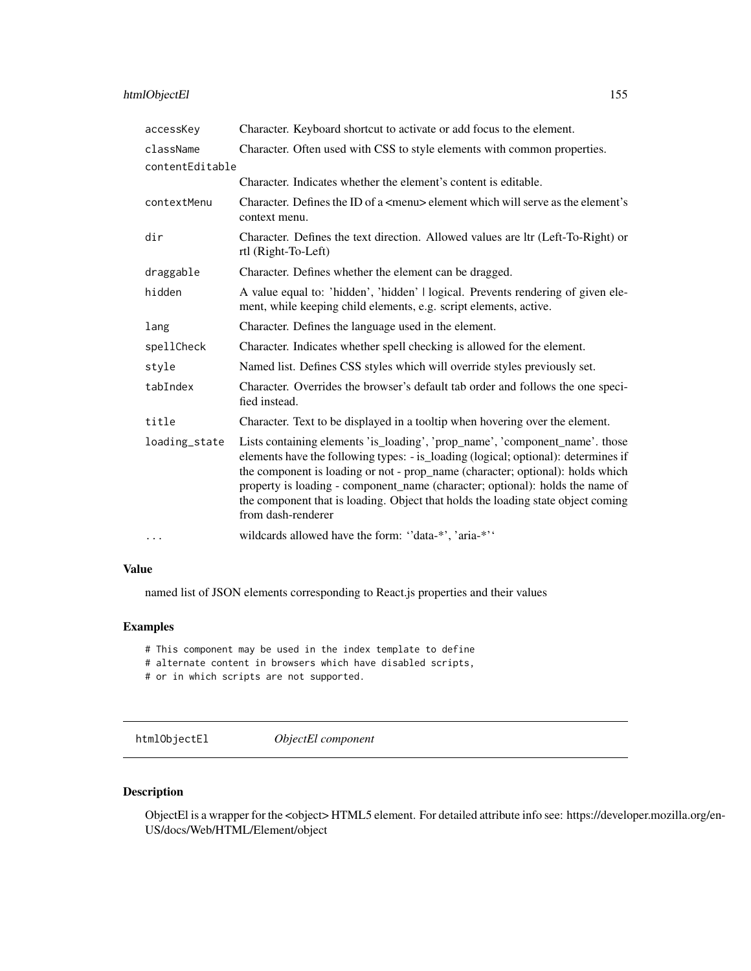| accessKey       | Character. Keyboard shortcut to activate or add focus to the element.                                                                                                                                                                                                                                                                                                                                                                           |
|-----------------|-------------------------------------------------------------------------------------------------------------------------------------------------------------------------------------------------------------------------------------------------------------------------------------------------------------------------------------------------------------------------------------------------------------------------------------------------|
| className       | Character. Often used with CSS to style elements with common properties.                                                                                                                                                                                                                                                                                                                                                                        |
| contentEditable |                                                                                                                                                                                                                                                                                                                                                                                                                                                 |
|                 | Character. Indicates whether the element's content is editable.                                                                                                                                                                                                                                                                                                                                                                                 |
| contextMenu     | Character. Defines the ID of a $\leq$ menu $\geq$ element which will serve as the element's<br>context menu.                                                                                                                                                                                                                                                                                                                                    |
| dir             | Character. Defines the text direction. Allowed values are ltr (Left-To-Right) or<br>rtl (Right-To-Left)                                                                                                                                                                                                                                                                                                                                         |
| draggable       | Character. Defines whether the element can be dragged.                                                                                                                                                                                                                                                                                                                                                                                          |
| hidden          | A value equal to: 'hidden', 'hidden'   logical. Prevents rendering of given ele-<br>ment, while keeping child elements, e.g. script elements, active.                                                                                                                                                                                                                                                                                           |
| lang            | Character. Defines the language used in the element.                                                                                                                                                                                                                                                                                                                                                                                            |
| spellCheck      | Character. Indicates whether spell checking is allowed for the element.                                                                                                                                                                                                                                                                                                                                                                         |
| style           | Named list. Defines CSS styles which will override styles previously set.                                                                                                                                                                                                                                                                                                                                                                       |
| tabIndex        | Character. Overrides the browser's default tab order and follows the one speci-<br>fied instead.                                                                                                                                                                                                                                                                                                                                                |
| title           | Character. Text to be displayed in a tooltip when hovering over the element.                                                                                                                                                                                                                                                                                                                                                                    |
| loading_state   | Lists containing elements 'is_loading', 'prop_name', 'component_name'. those<br>elements have the following types: - is_loading (logical; optional): determines if<br>the component is loading or not - prop_name (character; optional): holds which<br>property is loading - component_name (character; optional): holds the name of<br>the component that is loading. Object that holds the loading state object coming<br>from dash-renderer |
| $\cdots$        | wildcards allowed have the form: "data-*', 'aria-*''                                                                                                                                                                                                                                                                                                                                                                                            |

named list of JSON elements corresponding to React.js properties and their values

# Examples

# This component may be used in the index template to define

- # alternate content in browsers which have disabled scripts,
- # or in which scripts are not supported.

htmlObjectEl *ObjectEl component*

### Description

ObjectEl is a wrapper for the <object> HTML5 element. For detailed attribute info see: https://developer.mozilla.org/en-US/docs/Web/HTML/Element/object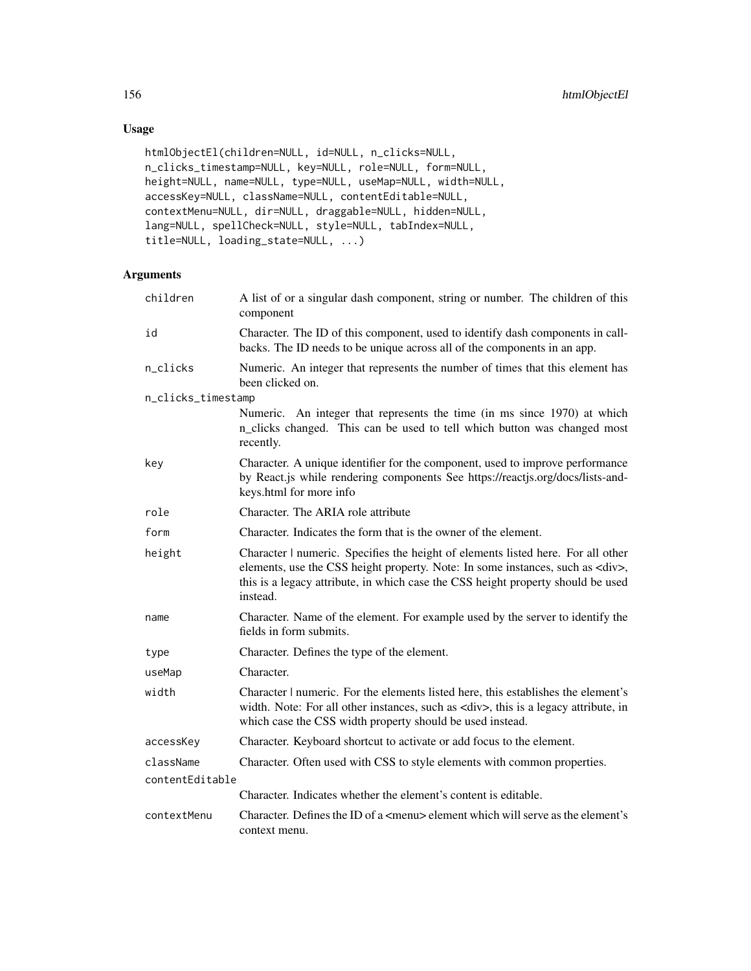# Usage

```
htmlObjectEl(children=NULL, id=NULL, n_clicks=NULL,
n_clicks_timestamp=NULL, key=NULL, role=NULL, form=NULL,
height=NULL, name=NULL, type=NULL, useMap=NULL, width=NULL,
accessKey=NULL, className=NULL, contentEditable=NULL,
contextMenu=NULL, dir=NULL, draggable=NULL, hidden=NULL,
lang=NULL, spellCheck=NULL, style=NULL, tabIndex=NULL,
title=NULL, loading_state=NULL, ...)
```

| children           | A list of or a singular dash component, string or number. The children of this<br>component                                                                                                                                                                                |  |
|--------------------|----------------------------------------------------------------------------------------------------------------------------------------------------------------------------------------------------------------------------------------------------------------------------|--|
| id                 | Character. The ID of this component, used to identify dash components in call-<br>backs. The ID needs to be unique across all of the components in an app.                                                                                                                 |  |
| n_clicks           | Numeric. An integer that represents the number of times that this element has<br>been clicked on.                                                                                                                                                                          |  |
| n_clicks_timestamp |                                                                                                                                                                                                                                                                            |  |
|                    | Numeric. An integer that represents the time (in ms since 1970) at which<br>n_clicks changed. This can be used to tell which button was changed most<br>recently.                                                                                                          |  |
| key                | Character. A unique identifier for the component, used to improve performance<br>by React.js while rendering components See https://reactjs.org/docs/lists-and-<br>keys.html for more info                                                                                 |  |
| role               | Character. The ARIA role attribute                                                                                                                                                                                                                                         |  |
| form               | Character. Indicates the form that is the owner of the element.                                                                                                                                                                                                            |  |
| height             | Character   numeric. Specifies the height of elements listed here. For all other<br>elements, use the CSS height property. Note: In some instances, such as <div>,<br/>this is a legacy attribute, in which case the CSS height property should be used<br/>instead.</div> |  |
| name               | Character. Name of the element. For example used by the server to identify the<br>fields in form submits.                                                                                                                                                                  |  |
| type               | Character. Defines the type of the element.                                                                                                                                                                                                                                |  |
| useMap             | Character.                                                                                                                                                                                                                                                                 |  |
| width              | Character   numeric. For the elements listed here, this establishes the element's<br>width. Note: For all other instances, such as <div>, this is a legacy attribute, in<br/>which case the CSS width property should be used instead.</div>                               |  |
| accessKey          | Character. Keyboard shortcut to activate or add focus to the element.                                                                                                                                                                                                      |  |
| className          | Character. Often used with CSS to style elements with common properties.                                                                                                                                                                                                   |  |
| contentEditable    |                                                                                                                                                                                                                                                                            |  |
|                    | Character. Indicates whether the element's content is editable.                                                                                                                                                                                                            |  |
| contextMenu        | Character. Defines the ID of a <menu> element which will serve as the element's<br/>context menu.</menu>                                                                                                                                                                   |  |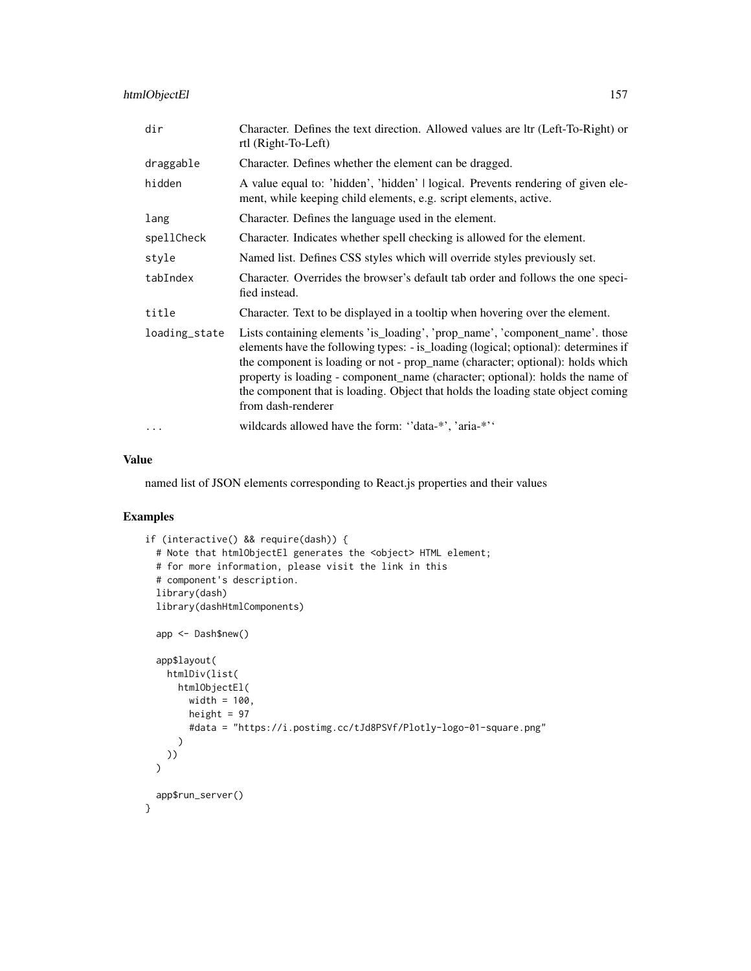# htmlObjectEl 157

| dir           | Character. Defines the text direction. Allowed values are ltr (Left-To-Right) or<br>rtl (Right-To-Left)                                                                                                                                                                                                                                                                                                                                         |
|---------------|-------------------------------------------------------------------------------------------------------------------------------------------------------------------------------------------------------------------------------------------------------------------------------------------------------------------------------------------------------------------------------------------------------------------------------------------------|
| draggable     | Character. Defines whether the element can be dragged.                                                                                                                                                                                                                                                                                                                                                                                          |
| hidden        | A value equal to: 'hidden', 'hidden'   logical. Prevents rendering of given ele-<br>ment, while keeping child elements, e.g. script elements, active.                                                                                                                                                                                                                                                                                           |
| lang          | Character. Defines the language used in the element.                                                                                                                                                                                                                                                                                                                                                                                            |
| spellCheck    | Character. Indicates whether spell checking is allowed for the element.                                                                                                                                                                                                                                                                                                                                                                         |
| style         | Named list. Defines CSS styles which will override styles previously set.                                                                                                                                                                                                                                                                                                                                                                       |
| tabIndex      | Character. Overrides the browser's default tab order and follows the one speci-<br>fied instead.                                                                                                                                                                                                                                                                                                                                                |
| title         | Character. Text to be displayed in a tooltip when hovering over the element.                                                                                                                                                                                                                                                                                                                                                                    |
| loading_state | Lists containing elements 'is_loading', 'prop_name', 'component_name'. those<br>elements have the following types: - is_loading (logical; optional): determines if<br>the component is loading or not - prop_name (character; optional): holds which<br>property is loading - component_name (character; optional): holds the name of<br>the component that is loading. Object that holds the loading state object coming<br>from dash-renderer |
| .             | wildcards allowed have the form: "data-*", 'aria-*"                                                                                                                                                                                                                                                                                                                                                                                             |

#### Value

named list of JSON elements corresponding to React.js properties and their values

```
if (interactive() && require(dash)) {
 # Note that htmlObjectEl generates the <object> HTML element;
 # for more information, please visit the link in this
 # component's description.
 library(dash)
 library(dashHtmlComponents)
 app <- Dash$new()
 app$layout(
   htmlDiv(list(
     htmlObjectEl(
       width = 100,
       height = 97
       #data = "https://i.postimg.cc/tJd8PSVf/Plotly-logo-01-square.png"
     )
   ))
 \lambdaapp$run_server()
}
```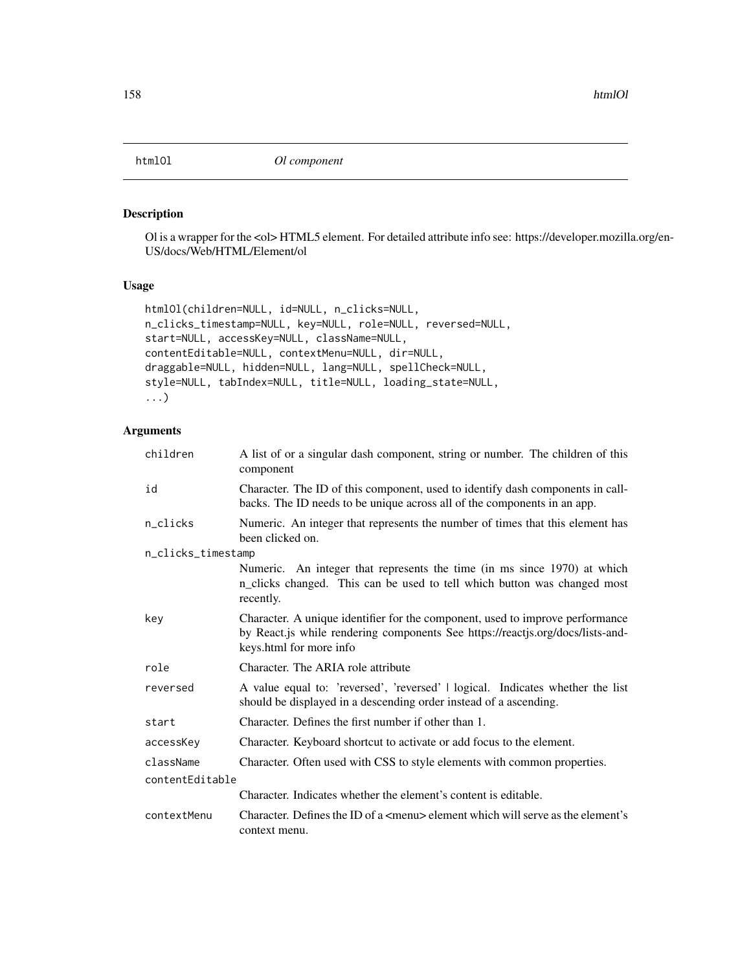### Description

Ol is a wrapper for the <ol> HTML5 element. For detailed attribute info see: https://developer.mozilla.org/en-US/docs/Web/HTML/Element/ol

### Usage

```
htmlOl(children=NULL, id=NULL, n_clicks=NULL,
n_clicks_timestamp=NULL, key=NULL, role=NULL, reversed=NULL,
start=NULL, accessKey=NULL, className=NULL,
contentEditable=NULL, contextMenu=NULL, dir=NULL,
draggable=NULL, hidden=NULL, lang=NULL, spellCheck=NULL,
style=NULL, tabIndex=NULL, title=NULL, loading_state=NULL,
...)
```

| children           | A list of or a singular dash component, string or number. The children of this<br>component                                                                                                |
|--------------------|--------------------------------------------------------------------------------------------------------------------------------------------------------------------------------------------|
| id                 | Character. The ID of this component, used to identify dash components in call-<br>backs. The ID needs to be unique across all of the components in an app.                                 |
| n_clicks           | Numeric. An integer that represents the number of times that this element has<br>been clicked on.                                                                                          |
| n_clicks_timestamp |                                                                                                                                                                                            |
|                    | Numeric. An integer that represents the time (in ms since 1970) at which<br>n_clicks changed. This can be used to tell which button was changed most<br>recently.                          |
| key                | Character. A unique identifier for the component, used to improve performance<br>by React.js while rendering components See https://reactjs.org/docs/lists-and-<br>keys.html for more info |
| role               | Character. The ARIA role attribute                                                                                                                                                         |
| reversed           | A value equal to: 'reversed', 'reversed'   logical. Indicates whether the list<br>should be displayed in a descending order instead of a ascending.                                        |
| start              | Character. Defines the first number if other than 1.                                                                                                                                       |
| accessKey          | Character. Keyboard shortcut to activate or add focus to the element.                                                                                                                      |
| className          | Character. Often used with CSS to style elements with common properties.                                                                                                                   |
| contentEditable    |                                                                                                                                                                                            |
|                    | Character. Indicates whether the element's content is editable.                                                                                                                            |
| contextMenu        | Character. Defines the ID of a $\leq$ menu $\geq$ element which will serve as the element's<br>context menu.                                                                               |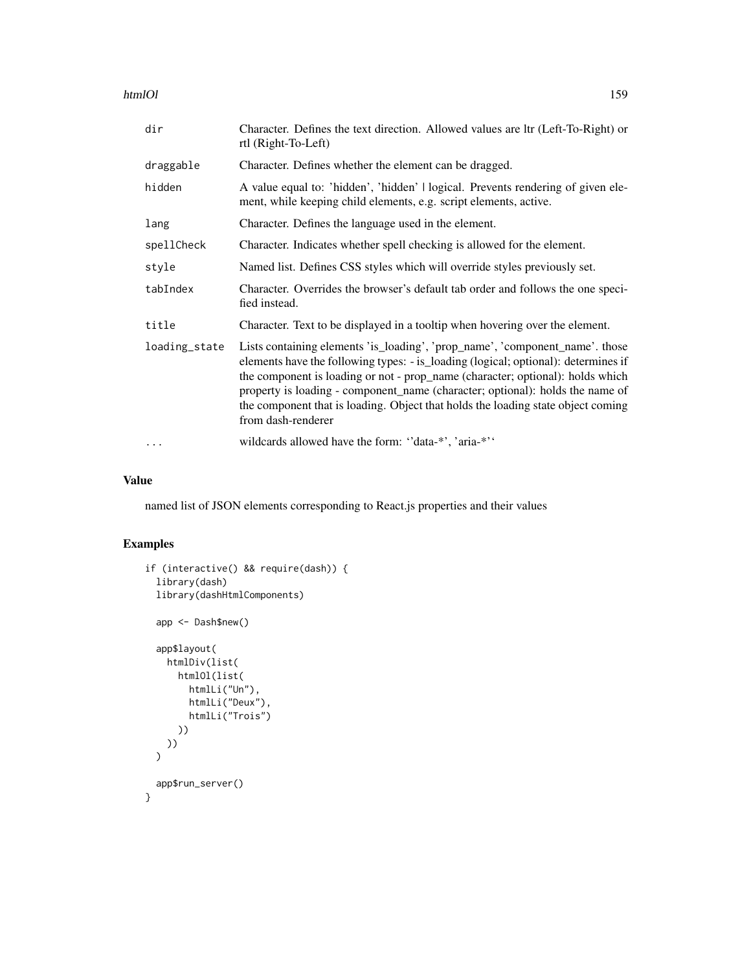htmlOl the contract of the contract of the contract of the contract of the contract of the contract of the contract of the contract of the contract of the contract of the contract of the contract of the contract of the con

| dir           | Character. Defines the text direction. Allowed values are ltr (Left-To-Right) or<br>rtl (Right-To-Left)                                                                                                                                                                                                                                                                                                                                         |
|---------------|-------------------------------------------------------------------------------------------------------------------------------------------------------------------------------------------------------------------------------------------------------------------------------------------------------------------------------------------------------------------------------------------------------------------------------------------------|
| draggable     | Character. Defines whether the element can be dragged.                                                                                                                                                                                                                                                                                                                                                                                          |
| hidden        | A value equal to: 'hidden', 'hidden'   logical. Prevents rendering of given ele-<br>ment, while keeping child elements, e.g. script elements, active.                                                                                                                                                                                                                                                                                           |
| lang          | Character. Defines the language used in the element.                                                                                                                                                                                                                                                                                                                                                                                            |
| spellCheck    | Character. Indicates whether spell checking is allowed for the element.                                                                                                                                                                                                                                                                                                                                                                         |
| style         | Named list. Defines CSS styles which will override styles previously set.                                                                                                                                                                                                                                                                                                                                                                       |
| tabIndex      | Character. Overrides the browser's default tab order and follows the one speci-<br>fied instead.                                                                                                                                                                                                                                                                                                                                                |
| title         | Character. Text to be displayed in a tooltip when hovering over the element.                                                                                                                                                                                                                                                                                                                                                                    |
| loading_state | Lists containing elements 'is_loading', 'prop_name', 'component_name'. those<br>elements have the following types: - is_loading (logical; optional): determines if<br>the component is loading or not - prop_name (character; optional): holds which<br>property is loading - component_name (character; optional): holds the name of<br>the component that is loading. Object that holds the loading state object coming<br>from dash-renderer |
|               | wildcards allowed have the form: "data-*', 'aria-*''                                                                                                                                                                                                                                                                                                                                                                                            |

## Value

named list of JSON elements corresponding to React.js properties and their values

```
if (interactive() && require(dash)) {
  library(dash)
  library(dashHtmlComponents)
  app <- Dash$new()
  app$layout(
   htmlDiv(list(
     htmlOl(list(
       htmlLi("Un"),
       htmlLi("Deux"),
        htmlLi("Trois")
     ))
    ))
  )
 app$run_server()
}
```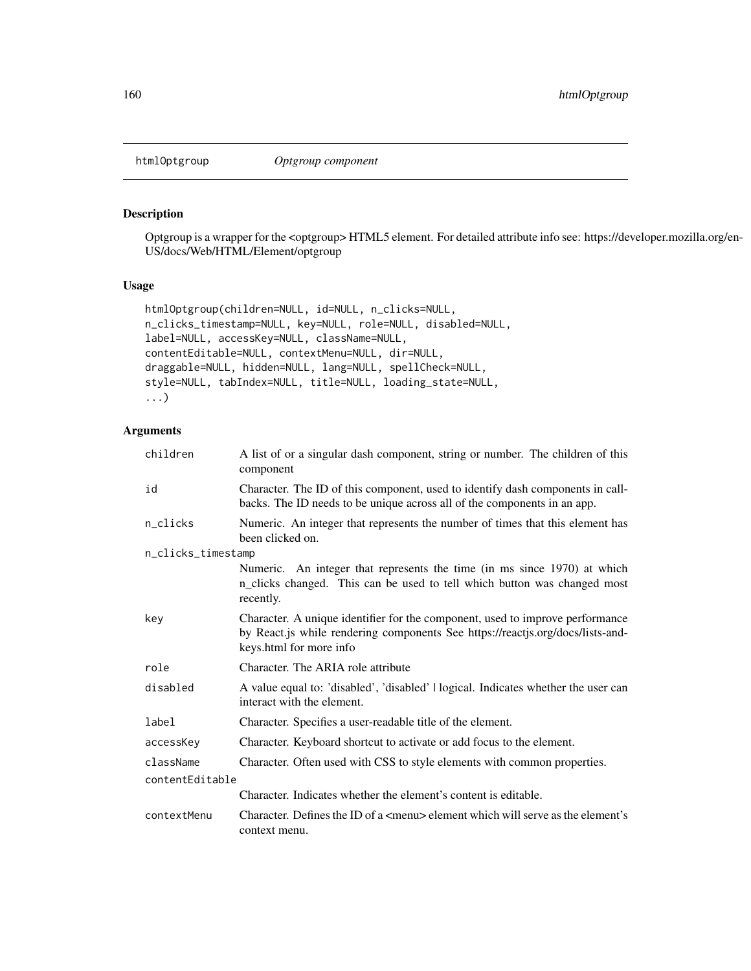### Description

Optgroup is a wrapper for the <optgroup> HTML5 element. For detailed attribute info see: https://developer.mozilla.org/en-US/docs/Web/HTML/Element/optgroup

### Usage

```
htmlOptgroup(children=NULL, id=NULL, n_clicks=NULL,
n_clicks_timestamp=NULL, key=NULL, role=NULL, disabled=NULL,
label=NULL, accessKey=NULL, className=NULL,
contentEditable=NULL, contextMenu=NULL, dir=NULL,
draggable=NULL, hidden=NULL, lang=NULL, spellCheck=NULL,
style=NULL, tabIndex=NULL, title=NULL, loading_state=NULL,
...)
```

| children           | A list of or a singular dash component, string or number. The children of this<br>component                                                                                                |
|--------------------|--------------------------------------------------------------------------------------------------------------------------------------------------------------------------------------------|
| id                 | Character. The ID of this component, used to identify dash components in call-<br>backs. The ID needs to be unique across all of the components in an app.                                 |
| n_clicks           | Numeric. An integer that represents the number of times that this element has<br>been clicked on.                                                                                          |
| n_clicks_timestamp |                                                                                                                                                                                            |
|                    | Numeric. An integer that represents the time (in ms since 1970) at which<br>n_clicks changed. This can be used to tell which button was changed most<br>recently.                          |
| key                | Character. A unique identifier for the component, used to improve performance<br>by React.js while rendering components See https://reactjs.org/docs/lists-and-<br>keys.html for more info |
| role               | Character. The ARIA role attribute                                                                                                                                                         |
| disabled           | A value equal to: 'disabled', 'disabled'   logical. Indicates whether the user can<br>interact with the element.                                                                           |
| label              | Character. Specifies a user-readable title of the element.                                                                                                                                 |
| accessKey          | Character. Keyboard shortcut to activate or add focus to the element.                                                                                                                      |
| className          | Character. Often used with CSS to style elements with common properties.                                                                                                                   |
| contentEditable    |                                                                                                                                                                                            |
|                    | Character. Indicates whether the element's content is editable.                                                                                                                            |
| contextMenu        | Character. Defines the ID of a $\leq$ menu $\geq$ element which will serve as the element's<br>context menu.                                                                               |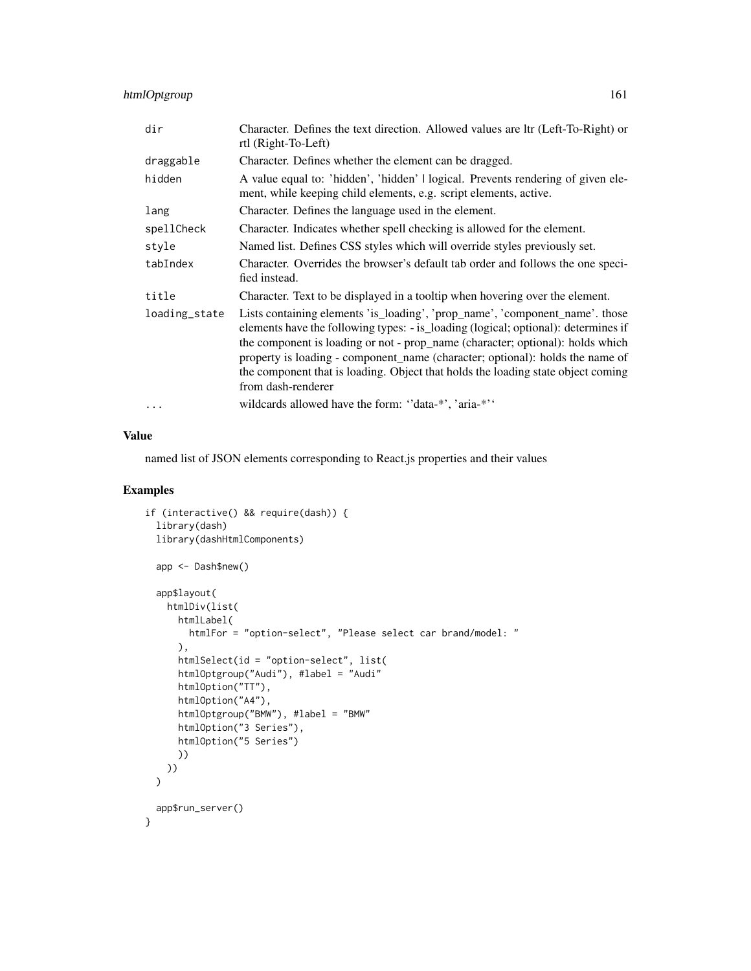### htmlOptgroup 161

| dir           | Character. Defines the text direction. Allowed values are ltr (Left-To-Right) or<br>rtl (Right-To-Left)                                                                                                                                                                                                                                                                                                                                         |
|---------------|-------------------------------------------------------------------------------------------------------------------------------------------------------------------------------------------------------------------------------------------------------------------------------------------------------------------------------------------------------------------------------------------------------------------------------------------------|
| draggable     | Character. Defines whether the element can be dragged.                                                                                                                                                                                                                                                                                                                                                                                          |
| hidden        | A value equal to: 'hidden', 'hidden'   logical. Prevents rendering of given ele-<br>ment, while keeping child elements, e.g. script elements, active.                                                                                                                                                                                                                                                                                           |
| lang          | Character. Defines the language used in the element.                                                                                                                                                                                                                                                                                                                                                                                            |
| spellCheck    | Character. Indicates whether spell checking is allowed for the element.                                                                                                                                                                                                                                                                                                                                                                         |
| style         | Named list. Defines CSS styles which will override styles previously set.                                                                                                                                                                                                                                                                                                                                                                       |
| tabIndex      | Character. Overrides the browser's default tab order and follows the one speci-<br>fied instead.                                                                                                                                                                                                                                                                                                                                                |
| title         | Character. Text to be displayed in a tooltip when hovering over the element.                                                                                                                                                                                                                                                                                                                                                                    |
| loading_state | Lists containing elements 'is_loading', 'prop_name', 'component_name'. those<br>elements have the following types: - is_loading (logical; optional): determines if<br>the component is loading or not - prop_name (character; optional): holds which<br>property is loading - component_name (character; optional): holds the name of<br>the component that is loading. Object that holds the loading state object coming<br>from dash-renderer |
| $\cdots$      | wildcards allowed have the form: "data-*", 'aria-*"                                                                                                                                                                                                                                                                                                                                                                                             |

#### Value

named list of JSON elements corresponding to React.js properties and their values

```
if (interactive() && require(dash)) {
 library(dash)
 library(dashHtmlComponents)
 app <- Dash$new()
 app$layout(
   htmlDiv(list(
     htmlLabel(
       htmlFor = "option-select", "Please select car brand/model: "
     ),
     htmlSelect(id = "option-select", list(
     htmlOptgroup("Audi"), #label = "Audi"
     htmlOption("TT"),
     htmlOption("A4"),
     htmlOptgroup("BMW"), #label = "BMW"
     htmlOption("3 Series"),
     htmlOption("5 Series")
     ))
   ))
 \lambdaapp$run_server()
}
```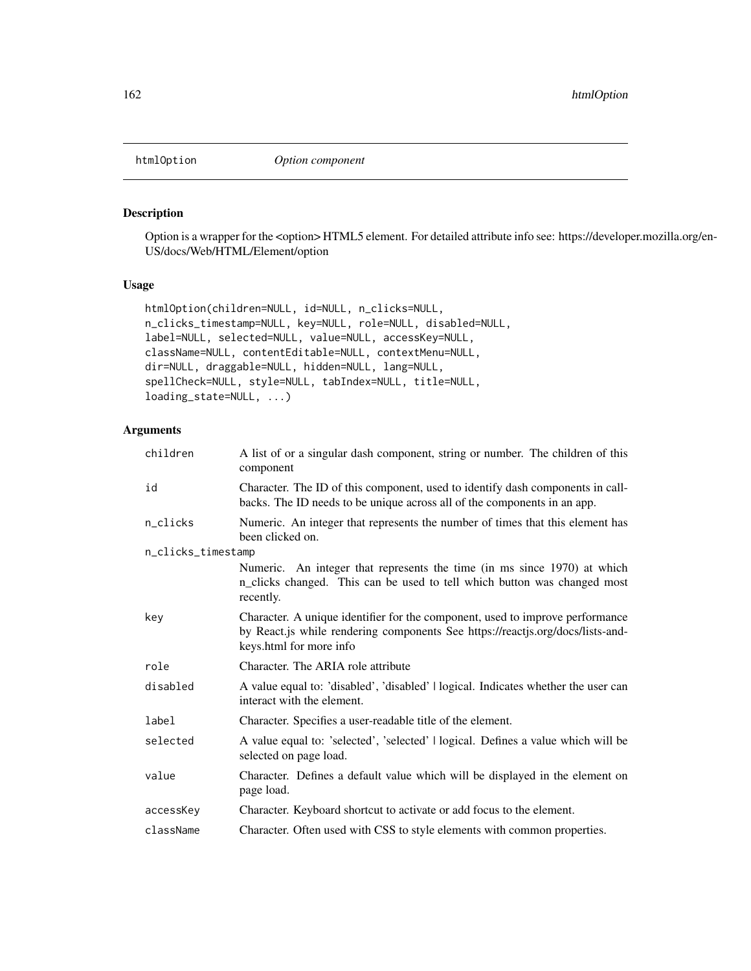#### Description

Option is a wrapper for the <option> HTML5 element. For detailed attribute info see: https://developer.mozilla.org/en-US/docs/Web/HTML/Element/option

### Usage

```
htmlOption(children=NULL, id=NULL, n_clicks=NULL,
n_clicks_timestamp=NULL, key=NULL, role=NULL, disabled=NULL,
label=NULL, selected=NULL, value=NULL, accessKey=NULL,
className=NULL, contentEditable=NULL, contextMenu=NULL,
dir=NULL, draggable=NULL, hidden=NULL, lang=NULL,
spellCheck=NULL, style=NULL, tabIndex=NULL, title=NULL,
loading_state=NULL, ...)
```

| children           | A list of or a singular dash component, string or number. The children of this<br>component                                                                                                |
|--------------------|--------------------------------------------------------------------------------------------------------------------------------------------------------------------------------------------|
| id                 | Character. The ID of this component, used to identify dash components in call-<br>backs. The ID needs to be unique across all of the components in an app.                                 |
| n_clicks           | Numeric. An integer that represents the number of times that this element has<br>been clicked on.                                                                                          |
| n_clicks_timestamp |                                                                                                                                                                                            |
|                    | Numeric. An integer that represents the time (in ms since 1970) at which<br>n_clicks changed. This can be used to tell which button was changed most<br>recently.                          |
| key                | Character. A unique identifier for the component, used to improve performance<br>by React.js while rendering components See https://reactjs.org/docs/lists-and-<br>keys.html for more info |
| role               | Character. The ARIA role attribute                                                                                                                                                         |
| disabled           | A value equal to: 'disabled', 'disabled'   logical. Indicates whether the user can<br>interact with the element.                                                                           |
| label              | Character. Specifies a user-readable title of the element.                                                                                                                                 |
| selected           | A value equal to: 'selected', 'selected'   logical. Defines a value which will be<br>selected on page load.                                                                                |
| value              | Character. Defines a default value which will be displayed in the element on<br>page load.                                                                                                 |
| accessKey          | Character. Keyboard shortcut to activate or add focus to the element.                                                                                                                      |
| className          | Character. Often used with CSS to style elements with common properties.                                                                                                                   |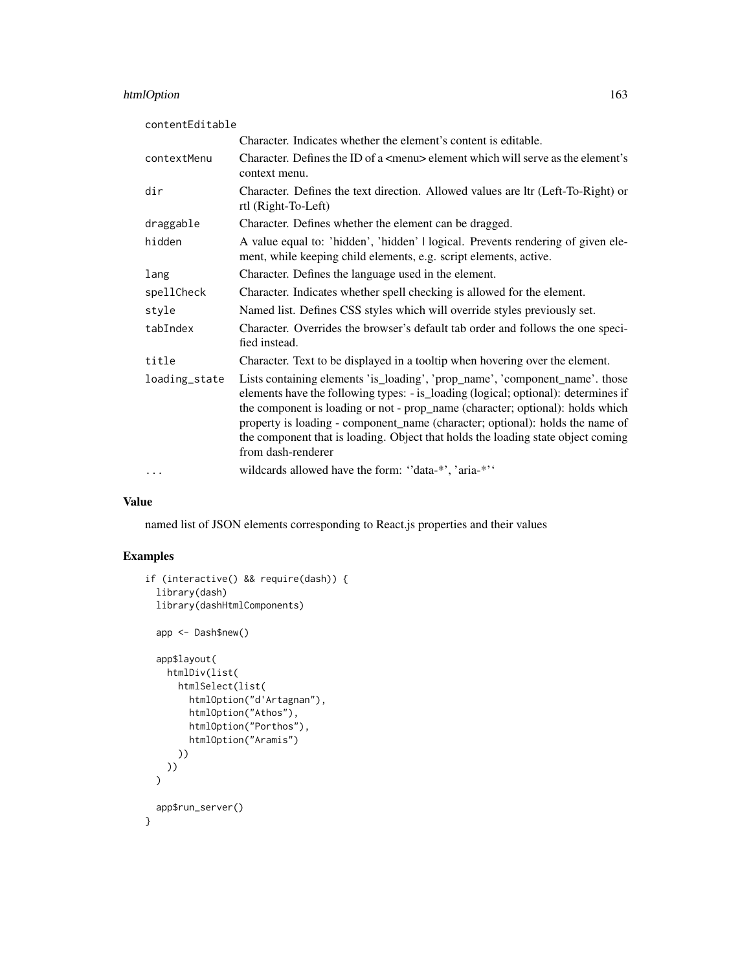# htmlOption 163

| contentEditable |                                                                                                                                                                                                                                                                                                                                                                                                                                                 |
|-----------------|-------------------------------------------------------------------------------------------------------------------------------------------------------------------------------------------------------------------------------------------------------------------------------------------------------------------------------------------------------------------------------------------------------------------------------------------------|
|                 | Character. Indicates whether the element's content is editable.                                                                                                                                                                                                                                                                                                                                                                                 |
| contextMenu     | Character. Defines the ID of a $\leq$ menu> element which will serve as the element's<br>context menu.                                                                                                                                                                                                                                                                                                                                          |
| dir             | Character. Defines the text direction. Allowed values are ltr (Left-To-Right) or<br>rtl (Right-To-Left)                                                                                                                                                                                                                                                                                                                                         |
| draggable       | Character. Defines whether the element can be dragged.                                                                                                                                                                                                                                                                                                                                                                                          |
| hidden          | A value equal to: 'hidden', 'hidden'   logical. Prevents rendering of given ele-<br>ment, while keeping child elements, e.g. script elements, active.                                                                                                                                                                                                                                                                                           |
| lang            | Character. Defines the language used in the element.                                                                                                                                                                                                                                                                                                                                                                                            |
| spellCheck      | Character. Indicates whether spell checking is allowed for the element.                                                                                                                                                                                                                                                                                                                                                                         |
| style           | Named list. Defines CSS styles which will override styles previously set.                                                                                                                                                                                                                                                                                                                                                                       |
| tabIndex        | Character. Overrides the browser's default tab order and follows the one speci-<br>fied instead.                                                                                                                                                                                                                                                                                                                                                |
| title           | Character. Text to be displayed in a tooltip when hovering over the element.                                                                                                                                                                                                                                                                                                                                                                    |
| loading_state   | Lists containing elements 'is_loading', 'prop_name', 'component_name'. those<br>elements have the following types: - is_loading (logical; optional): determines if<br>the component is loading or not - prop_name (character; optional): holds which<br>property is loading - component_name (character; optional): holds the name of<br>the component that is loading. Object that holds the loading state object coming<br>from dash-renderer |
| $\cdots$        | wildcards allowed have the form: "data-*', 'aria-*''                                                                                                                                                                                                                                                                                                                                                                                            |

### Value

named list of JSON elements corresponding to React.js properties and their values

```
if (interactive() && require(dash)) {
 library(dash)
 library(dashHtmlComponents)
 app <- Dash$new()
 app$layout(
   htmlDiv(list(
     htmlSelect(list(
       htmlOption("d'Artagnan"),
       htmlOption("Athos"),
       htmlOption("Porthos"),
        htmlOption("Aramis")
     ))
   ))
 \overline{)}app$run_server()
}
```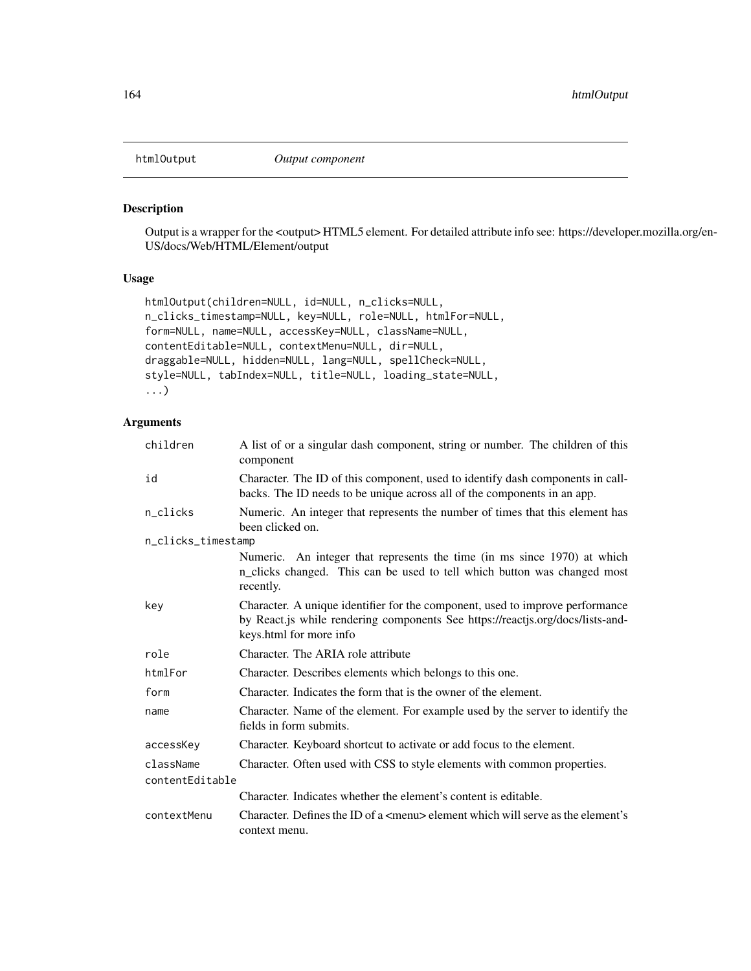#### Description

Output is a wrapper for the <output> HTML5 element. For detailed attribute info see: https://developer.mozilla.org/en-US/docs/Web/HTML/Element/output

### Usage

```
htmlOutput(children=NULL, id=NULL, n_clicks=NULL,
n_clicks_timestamp=NULL, key=NULL, role=NULL, htmlFor=NULL,
form=NULL, name=NULL, accessKey=NULL, className=NULL,
contentEditable=NULL, contextMenu=NULL, dir=NULL,
draggable=NULL, hidden=NULL, lang=NULL, spellCheck=NULL,
style=NULL, tabIndex=NULL, title=NULL, loading_state=NULL,
...)
```

| children           | A list of or a singular dash component, string or number. The children of this<br>component                                                                                                |
|--------------------|--------------------------------------------------------------------------------------------------------------------------------------------------------------------------------------------|
| id                 | Character. The ID of this component, used to identify dash components in call-<br>backs. The ID needs to be unique across all of the components in an app.                                 |
| n_clicks           | Numeric. An integer that represents the number of times that this element has<br>been clicked on.                                                                                          |
| n_clicks_timestamp |                                                                                                                                                                                            |
|                    | Numeric. An integer that represents the time (in ms since 1970) at which<br>n_clicks changed. This can be used to tell which button was changed most<br>recently.                          |
| key                | Character. A unique identifier for the component, used to improve performance<br>by React.js while rendering components See https://reactjs.org/docs/lists-and-<br>keys.html for more info |
| role               | Character. The ARIA role attribute                                                                                                                                                         |
| htmlFor            | Character. Describes elements which belongs to this one.                                                                                                                                   |
| form               | Character. Indicates the form that is the owner of the element.                                                                                                                            |
| name               | Character. Name of the element. For example used by the server to identify the<br>fields in form submits.                                                                                  |
| accessKey          | Character. Keyboard shortcut to activate or add focus to the element.                                                                                                                      |
| className          | Character. Often used with CSS to style elements with common properties.                                                                                                                   |
| contentEditable    |                                                                                                                                                                                            |
|                    | Character. Indicates whether the element's content is editable.                                                                                                                            |
| contextMenu        | Character. Defines the ID of a $\leq$ menu $\geq$ element which will serve as the element's<br>context menu.                                                                               |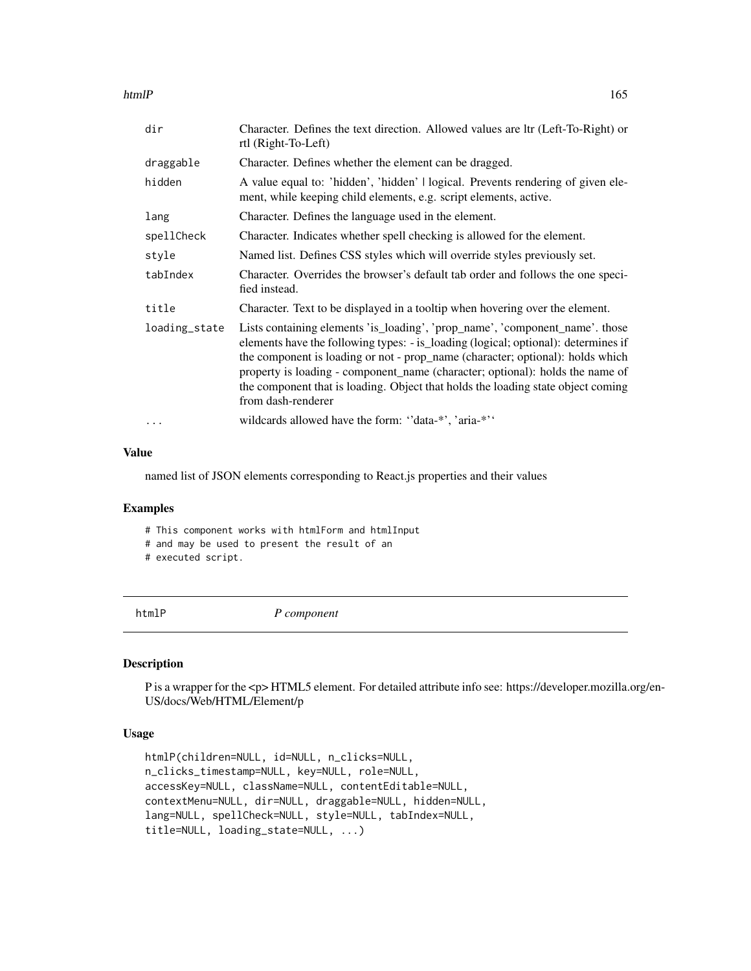htmlP 165

| dir           | Character. Defines the text direction. Allowed values are ltr (Left-To-Right) or<br>rtl (Right-To-Left)                                                                                                                                                                                                                                                                                                                                         |
|---------------|-------------------------------------------------------------------------------------------------------------------------------------------------------------------------------------------------------------------------------------------------------------------------------------------------------------------------------------------------------------------------------------------------------------------------------------------------|
| draggable     | Character. Defines whether the element can be dragged.                                                                                                                                                                                                                                                                                                                                                                                          |
| hidden        | A value equal to: 'hidden', 'hidden'   logical. Prevents rendering of given ele-<br>ment, while keeping child elements, e.g. script elements, active.                                                                                                                                                                                                                                                                                           |
| lang          | Character. Defines the language used in the element.                                                                                                                                                                                                                                                                                                                                                                                            |
| spellCheck    | Character. Indicates whether spell checking is allowed for the element.                                                                                                                                                                                                                                                                                                                                                                         |
| style         | Named list. Defines CSS styles which will override styles previously set.                                                                                                                                                                                                                                                                                                                                                                       |
| tabIndex      | Character. Overrides the browser's default tab order and follows the one speci-<br>fied instead.                                                                                                                                                                                                                                                                                                                                                |
| title         | Character. Text to be displayed in a tooltip when hovering over the element.                                                                                                                                                                                                                                                                                                                                                                    |
| loading_state | Lists containing elements 'is_loading', 'prop_name', 'component_name'. those<br>elements have the following types: - is_loading (logical; optional): determines if<br>the component is loading or not - prop_name (character; optional): holds which<br>property is loading - component_name (character; optional): holds the name of<br>the component that is loading. Object that holds the loading state object coming<br>from dash-renderer |
|               | wildcards allowed have the form: "data-*", 'aria-*"                                                                                                                                                                                                                                                                                                                                                                                             |

### Value

named list of JSON elements corresponding to React.js properties and their values

#### Examples

# This component works with htmlForm and htmlInput

# and may be used to present the result of an

# executed script.

htmlP *P component*

#### Description

P is a wrapper for the <p> HTML5 element. For detailed attribute info see: https://developer.mozilla.org/en-US/docs/Web/HTML/Element/p

## Usage

```
htmlP(children=NULL, id=NULL, n_clicks=NULL,
n_clicks_timestamp=NULL, key=NULL, role=NULL,
accessKey=NULL, className=NULL, contentEditable=NULL,
contextMenu=NULL, dir=NULL, draggable=NULL, hidden=NULL,
lang=NULL, spellCheck=NULL, style=NULL, tabIndex=NULL,
title=NULL, loading_state=NULL, ...)
```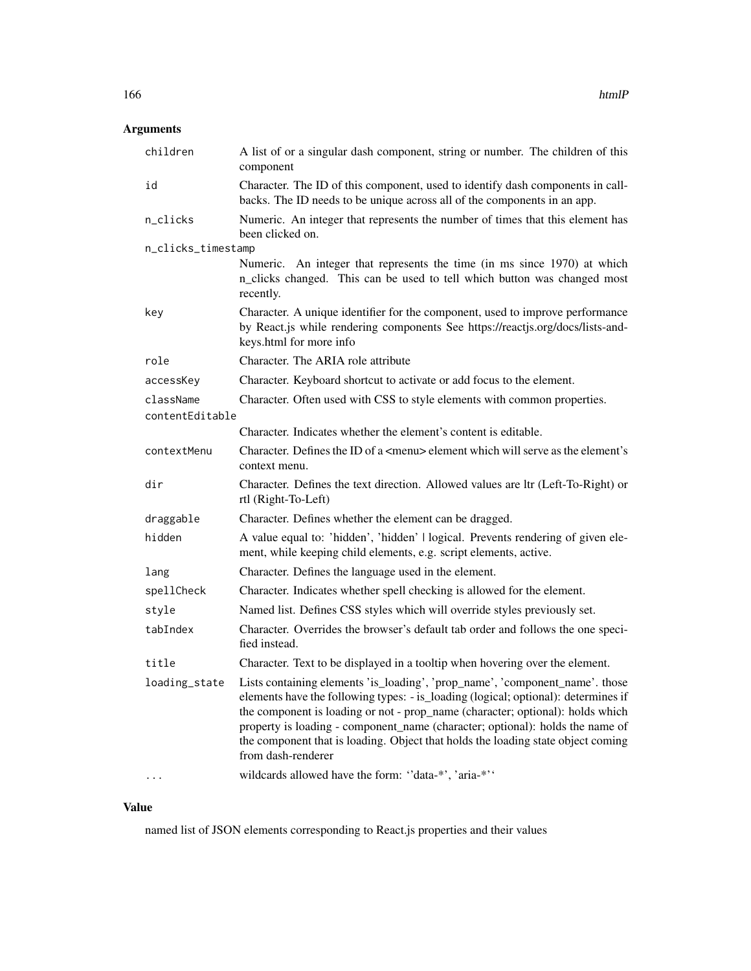# Arguments

| children           | A list of or a singular dash component, string or number. The children of this<br>component                                                                                                                                                                                                                                                                                                                                                     |
|--------------------|-------------------------------------------------------------------------------------------------------------------------------------------------------------------------------------------------------------------------------------------------------------------------------------------------------------------------------------------------------------------------------------------------------------------------------------------------|
| id                 | Character. The ID of this component, used to identify dash components in call-<br>backs. The ID needs to be unique across all of the components in an app.                                                                                                                                                                                                                                                                                      |
| n_clicks           | Numeric. An integer that represents the number of times that this element has<br>been clicked on.                                                                                                                                                                                                                                                                                                                                               |
| n_clicks_timestamp |                                                                                                                                                                                                                                                                                                                                                                                                                                                 |
|                    | Numeric. An integer that represents the time (in ms since 1970) at which<br>n_clicks changed. This can be used to tell which button was changed most<br>recently.                                                                                                                                                                                                                                                                               |
| key                | Character. A unique identifier for the component, used to improve performance<br>by React.js while rendering components See https://reactjs.org/docs/lists-and-<br>keys.html for more info                                                                                                                                                                                                                                                      |
| role               | Character. The ARIA role attribute                                                                                                                                                                                                                                                                                                                                                                                                              |
| accessKey          | Character. Keyboard shortcut to activate or add focus to the element.                                                                                                                                                                                                                                                                                                                                                                           |
| className          | Character. Often used with CSS to style elements with common properties.                                                                                                                                                                                                                                                                                                                                                                        |
| contentEditable    |                                                                                                                                                                                                                                                                                                                                                                                                                                                 |
|                    | Character. Indicates whether the element's content is editable.                                                                                                                                                                                                                                                                                                                                                                                 |
| contextMenu        | Character. Defines the ID of a <menu> element which will serve as the element's<br/>context menu.</menu>                                                                                                                                                                                                                                                                                                                                        |
| dir                | Character. Defines the text direction. Allowed values are ltr (Left-To-Right) or<br>rtl (Right-To-Left)                                                                                                                                                                                                                                                                                                                                         |
| draggable          | Character. Defines whether the element can be dragged.                                                                                                                                                                                                                                                                                                                                                                                          |
| hidden             | A value equal to: 'hidden', 'hidden'   logical. Prevents rendering of given ele-<br>ment, while keeping child elements, e.g. script elements, active.                                                                                                                                                                                                                                                                                           |
| lang               | Character. Defines the language used in the element.                                                                                                                                                                                                                                                                                                                                                                                            |
| spellCheck         | Character. Indicates whether spell checking is allowed for the element.                                                                                                                                                                                                                                                                                                                                                                         |
| style              | Named list. Defines CSS styles which will override styles previously set.                                                                                                                                                                                                                                                                                                                                                                       |
| tabIndex           | Character. Overrides the browser's default tab order and follows the one speci-<br>fied instead.                                                                                                                                                                                                                                                                                                                                                |
| title              | Character. Text to be displayed in a tooltip when hovering over the element.                                                                                                                                                                                                                                                                                                                                                                    |
| loading_state      | Lists containing elements 'is_loading', 'prop_name', 'component_name'. those<br>elements have the following types: - is_loading (logical; optional): determines if<br>the component is loading or not - prop_name (character; optional): holds which<br>property is loading - component_name (character; optional): holds the name of<br>the component that is loading. Object that holds the loading state object coming<br>from dash-renderer |
|                    | wildcards allowed have the form: "data-*', 'aria-*''                                                                                                                                                                                                                                                                                                                                                                                            |

# Value

named list of JSON elements corresponding to React.js properties and their values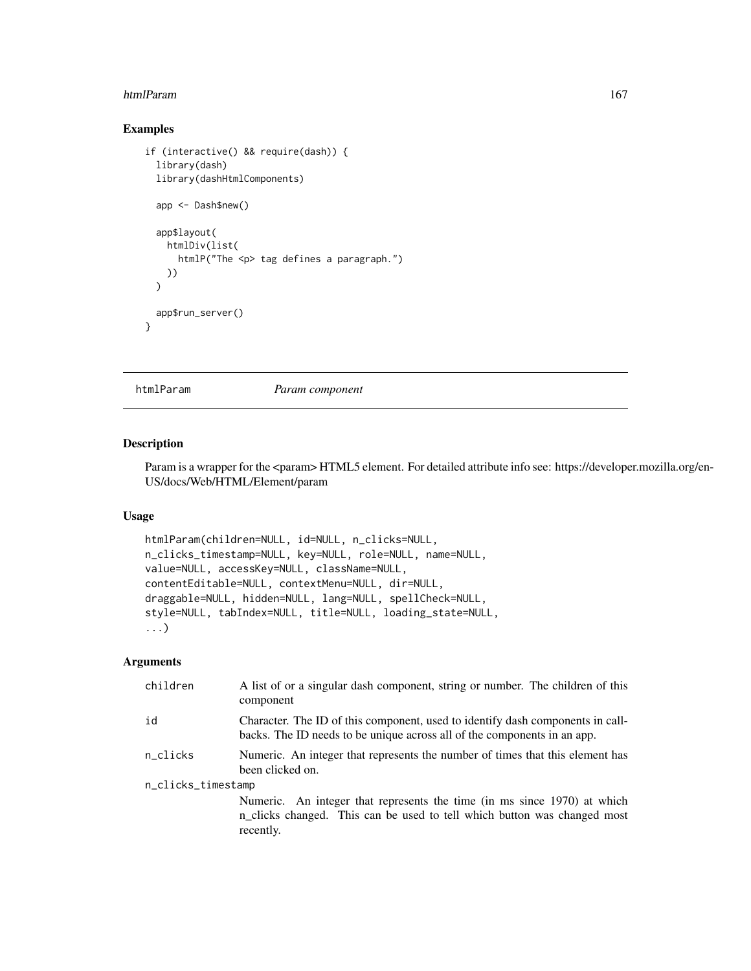#### htmlParam 167

### Examples

```
if (interactive() && require(dash)) {
 library(dash)
 library(dashHtmlComponents)
 app <- Dash$new()
 app$layout(
   htmlDiv(list(
     htmlP("The <p> tag defines a paragraph.")
   ))
 \lambdaapp$run_server()
}
```
htmlParam *Param component*

#### Description

Param is a wrapper for the <param> HTML5 element. For detailed attribute info see: https://developer.mozilla.org/en-US/docs/Web/HTML/Element/param

#### Usage

```
htmlParam(children=NULL, id=NULL, n_clicks=NULL,
n_clicks_timestamp=NULL, key=NULL, role=NULL, name=NULL,
value=NULL, accessKey=NULL, className=NULL,
contentEditable=NULL, contextMenu=NULL, dir=NULL,
draggable=NULL, hidden=NULL, lang=NULL, spellCheck=NULL,
style=NULL, tabIndex=NULL, title=NULL, loading_state=NULL,
...)
```

| children           | A list of or a singular dash component, string or number. The children of this<br>component                                                                       |  |
|--------------------|-------------------------------------------------------------------------------------------------------------------------------------------------------------------|--|
| id                 | Character. The ID of this component, used to identify dash components in call-<br>backs. The ID needs to be unique across all of the components in an app.        |  |
| n_clicks           | Numeric. An integer that represents the number of times that this element has<br>been clicked on.                                                                 |  |
| n_clicks_timestamp |                                                                                                                                                                   |  |
|                    | Numeric. An integer that represents the time (in ms since 1970) at which<br>n_clicks changed. This can be used to tell which button was changed most<br>recently. |  |
|                    |                                                                                                                                                                   |  |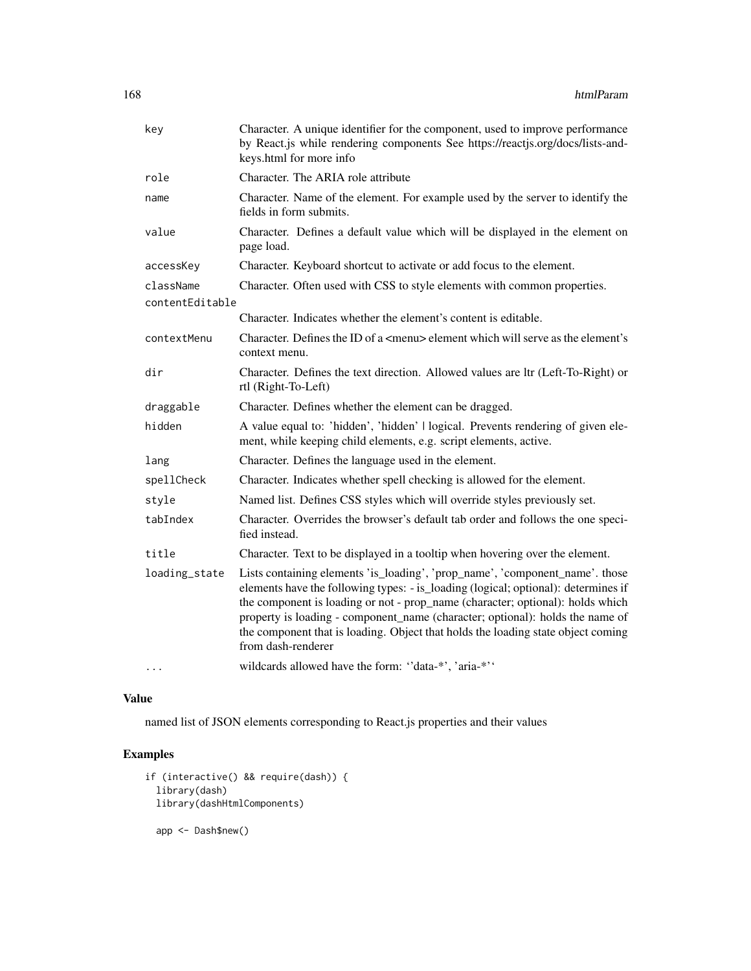| key             | Character. A unique identifier for the component, used to improve performance<br>by React.js while rendering components See https://reactjs.org/docs/lists-and-<br>keys.html for more info                                                                                                                                                                                                                                                      |
|-----------------|-------------------------------------------------------------------------------------------------------------------------------------------------------------------------------------------------------------------------------------------------------------------------------------------------------------------------------------------------------------------------------------------------------------------------------------------------|
| role            | Character. The ARIA role attribute                                                                                                                                                                                                                                                                                                                                                                                                              |
| name            | Character. Name of the element. For example used by the server to identify the<br>fields in form submits.                                                                                                                                                                                                                                                                                                                                       |
| value           | Character. Defines a default value which will be displayed in the element on<br>page load.                                                                                                                                                                                                                                                                                                                                                      |
| accessKey       | Character. Keyboard shortcut to activate or add focus to the element.                                                                                                                                                                                                                                                                                                                                                                           |
| className       | Character. Often used with CSS to style elements with common properties.                                                                                                                                                                                                                                                                                                                                                                        |
| contentEditable |                                                                                                                                                                                                                                                                                                                                                                                                                                                 |
|                 | Character. Indicates whether the element's content is editable.                                                                                                                                                                                                                                                                                                                                                                                 |
| contextMenu     | Character. Defines the ID of a <menu> element which will serve as the element's<br/>context menu.</menu>                                                                                                                                                                                                                                                                                                                                        |
| dir             | Character. Defines the text direction. Allowed values are ltr (Left-To-Right) or<br>rtl (Right-To-Left)                                                                                                                                                                                                                                                                                                                                         |
| draggable       | Character. Defines whether the element can be dragged.                                                                                                                                                                                                                                                                                                                                                                                          |
| hidden          | A value equal to: 'hidden', 'hidden'   logical. Prevents rendering of given ele-<br>ment, while keeping child elements, e.g. script elements, active.                                                                                                                                                                                                                                                                                           |
| lang            | Character. Defines the language used in the element.                                                                                                                                                                                                                                                                                                                                                                                            |
| spellCheck      | Character. Indicates whether spell checking is allowed for the element.                                                                                                                                                                                                                                                                                                                                                                         |
| style           | Named list. Defines CSS styles which will override styles previously set.                                                                                                                                                                                                                                                                                                                                                                       |
| tabIndex        | Character. Overrides the browser's default tab order and follows the one speci-<br>fied instead.                                                                                                                                                                                                                                                                                                                                                |
| title           | Character. Text to be displayed in a tooltip when hovering over the element.                                                                                                                                                                                                                                                                                                                                                                    |
| loading_state   | Lists containing elements 'is_loading', 'prop_name', 'component_name'. those<br>elements have the following types: - is_loading (logical; optional): determines if<br>the component is loading or not - prop_name (character; optional): holds which<br>property is loading - component_name (character; optional): holds the name of<br>the component that is loading. Object that holds the loading state object coming<br>from dash-renderer |
|                 | wildcards allowed have the form: "data-*', 'aria-*''                                                                                                                                                                                                                                                                                                                                                                                            |

named list of JSON elements corresponding to React.js properties and their values

```
if (interactive() && require(dash)) {
 library(dash)
 library(dashHtmlComponents)
  app <- Dash$new()
```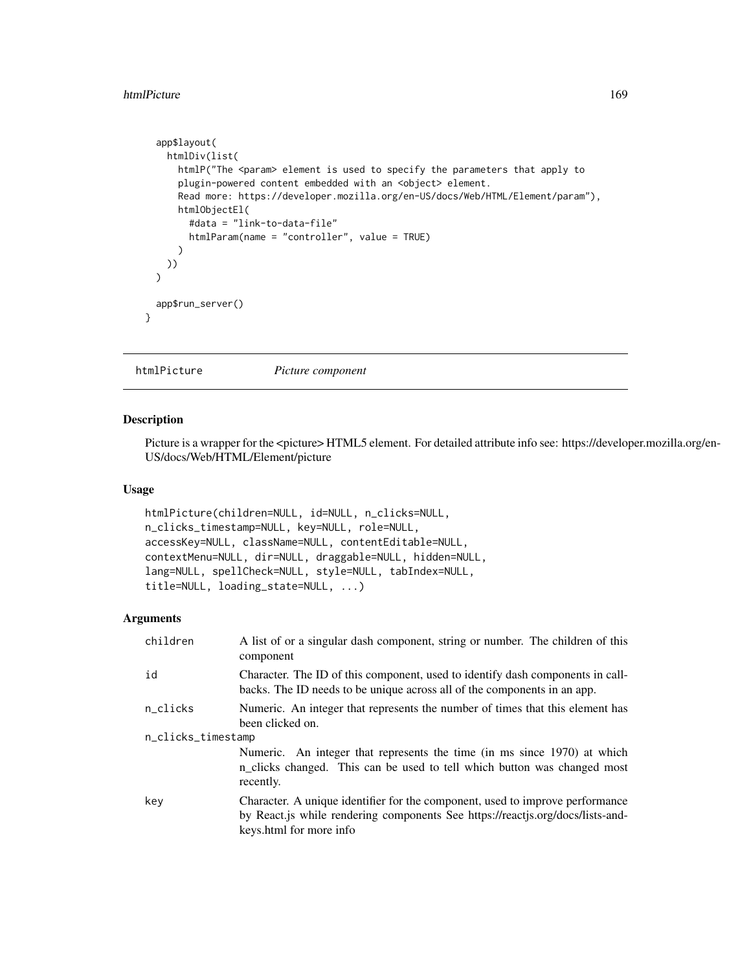#### htmlPicture 2008 2009 2012 2022 2023 2024 2022 2023 2024 2022 2023 2024 2022 2023 2024 2022 2023 2024 2022 202

```
app$layout(
   htmlDiv(list(
      htmlP("The <param> element is used to specify the parameters that apply to
      plugin-powered content embedded with an <object> element.
      Read more: https://developer.mozilla.org/en-US/docs/Web/HTML/Element/param"),
      htmlObjectEl(
       #data = "link-to-data-file"
       htmlParam(name = "controller", value = TRUE)
      )
   ))
 \lambdaapp$run_server()
}
```
htmlPicture *Picture component*

#### Description

Picture is a wrapper for the <picture> HTML5 element. For detailed attribute info see: https://developer.mozilla.org/en-US/docs/Web/HTML/Element/picture

#### Usage

```
htmlPicture(children=NULL, id=NULL, n_clicks=NULL,
n_clicks_timestamp=NULL, key=NULL, role=NULL,
accessKey=NULL, className=NULL, contentEditable=NULL,
contextMenu=NULL, dir=NULL, draggable=NULL, hidden=NULL,
lang=NULL, spellCheck=NULL, style=NULL, tabIndex=NULL,
title=NULL, loading_state=NULL, ...)
```

| children           | A list of or a singular dash component, string or number. The children of this<br>component                                                                                                |  |
|--------------------|--------------------------------------------------------------------------------------------------------------------------------------------------------------------------------------------|--|
| id                 | Character. The ID of this component, used to identify dash components in call-<br>backs. The ID needs to be unique across all of the components in an app.                                 |  |
| n_clicks           | Numeric. An integer that represents the number of times that this element has<br>been clicked on.                                                                                          |  |
| n_clicks_timestamp |                                                                                                                                                                                            |  |
|                    | Numeric. An integer that represents the time (in ms since 1970) at which<br>n_clicks changed. This can be used to tell which button was changed most<br>recently.                          |  |
| key                | Character. A unique identifier for the component, used to improve performance<br>by React.js while rendering components See https://reactjs.org/docs/lists-and-<br>keys.html for more info |  |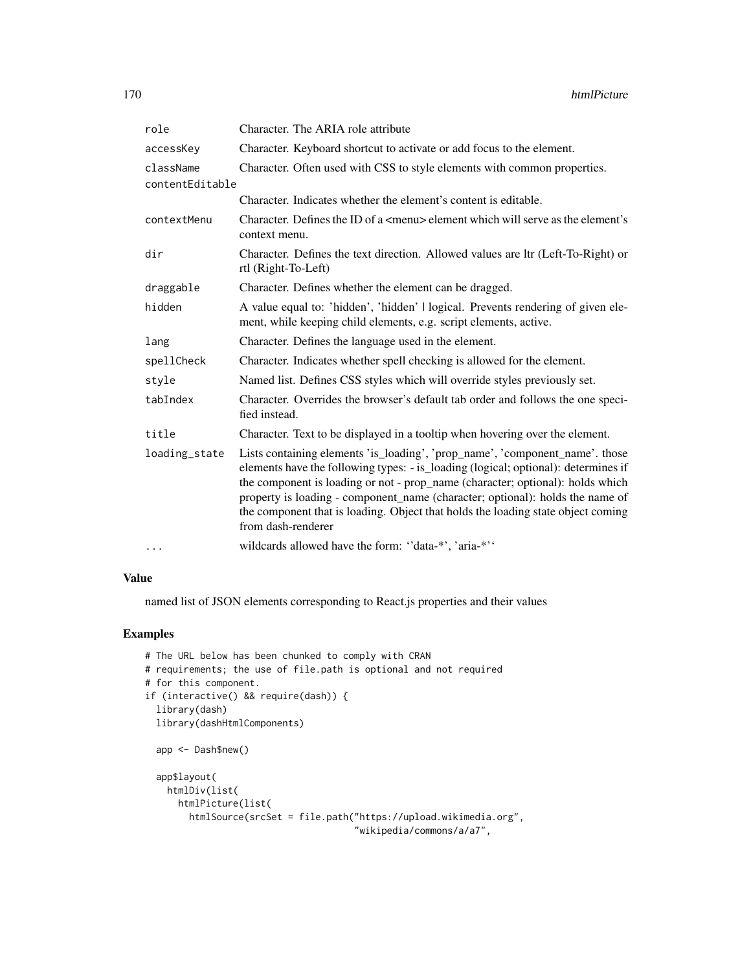| role            | Character. The ARIA role attribute                                                                                                                                                                                                                                                                                                                                                                                                              |
|-----------------|-------------------------------------------------------------------------------------------------------------------------------------------------------------------------------------------------------------------------------------------------------------------------------------------------------------------------------------------------------------------------------------------------------------------------------------------------|
| accessKey       | Character. Keyboard shortcut to activate or add focus to the element.                                                                                                                                                                                                                                                                                                                                                                           |
| className       | Character. Often used with CSS to style elements with common properties.                                                                                                                                                                                                                                                                                                                                                                        |
| contentEditable |                                                                                                                                                                                                                                                                                                                                                                                                                                                 |
|                 | Character. Indicates whether the element's content is editable.                                                                                                                                                                                                                                                                                                                                                                                 |
| contextMenu     | Character. Defines the ID of a $\leq$ menu $\geq$ element which will serve as the element's<br>context menu.                                                                                                                                                                                                                                                                                                                                    |
| dir             | Character. Defines the text direction. Allowed values are ltr (Left-To-Right) or<br>rtl (Right-To-Left)                                                                                                                                                                                                                                                                                                                                         |
| draggable       | Character. Defines whether the element can be dragged.                                                                                                                                                                                                                                                                                                                                                                                          |
| hidden          | A value equal to: 'hidden', 'hidden'   logical. Prevents rendering of given ele-<br>ment, while keeping child elements, e.g. script elements, active.                                                                                                                                                                                                                                                                                           |
| lang            | Character. Defines the language used in the element.                                                                                                                                                                                                                                                                                                                                                                                            |
| spellCheck      | Character. Indicates whether spell checking is allowed for the element.                                                                                                                                                                                                                                                                                                                                                                         |
| style           | Named list. Defines CSS styles which will override styles previously set.                                                                                                                                                                                                                                                                                                                                                                       |
| tabIndex        | Character. Overrides the browser's default tab order and follows the one speci-<br>fied instead.                                                                                                                                                                                                                                                                                                                                                |
| title           | Character. Text to be displayed in a tooltip when hovering over the element.                                                                                                                                                                                                                                                                                                                                                                    |
| loading_state   | Lists containing elements 'is_loading', 'prop_name', 'component_name'. those<br>elements have the following types: - is_loading (logical; optional): determines if<br>the component is loading or not - prop_name (character; optional): holds which<br>property is loading - component_name (character; optional): holds the name of<br>the component that is loading. Object that holds the loading state object coming<br>from dash-renderer |
| $\cdots$        | wildcards allowed have the form: "data-*', 'aria-*''                                                                                                                                                                                                                                                                                                                                                                                            |

named list of JSON elements corresponding to React.js properties and their values

```
# The URL below has been chunked to comply with CRAN
# requirements; the use of file.path is optional and not required
# for this component.
if (interactive() && require(dash)) {
  library(dash)
  library(dashHtmlComponents)
  app <- Dash$new()
  app$layout(
   htmlDiv(list(
     htmlPicture(list(
       htmlSource(srcSet = file.path("https://upload.wikimedia.org",
                                      "wikipedia/commons/a/a7",
```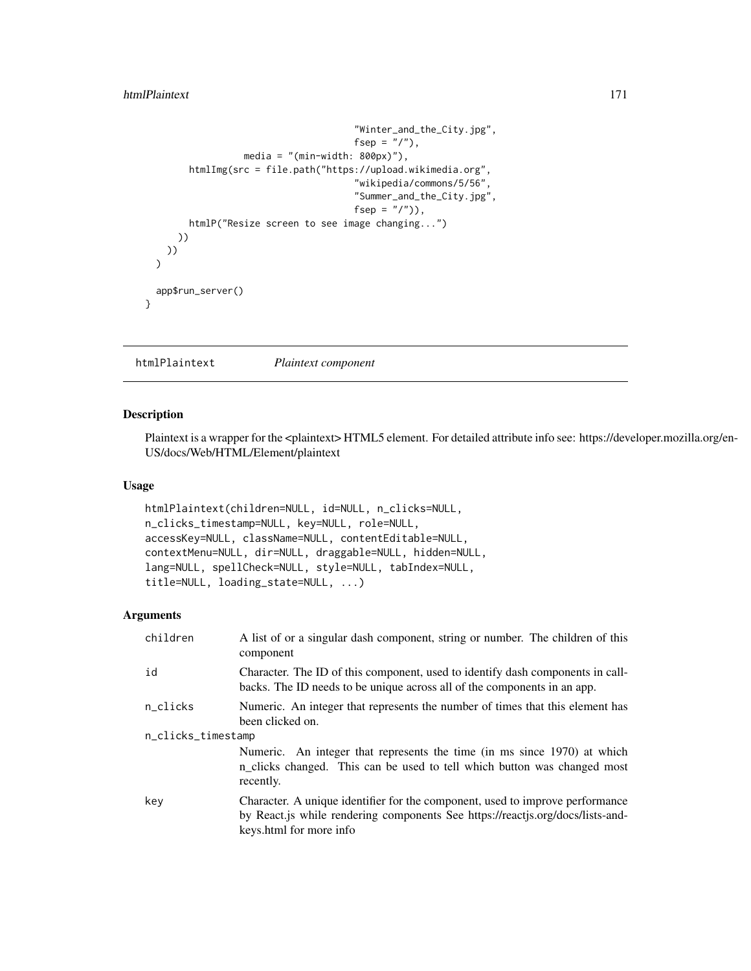```
"Winter_and_the_City.jpg",
                                     fsep = ''/"),
                media = "(min-width: 800px)"),
      htmlImg(src = file.path("https://upload.wikimedia.org",
                                     "wikipedia/commons/5/56",
                                     "Summer_and_the_City.jpg",
                                     fsep = "('"),
      htmlP("Resize screen to see image changing...")
    ))
 ))
)
app$run_server()
```
htmlPlaintext *Plaintext component*

#### Description

}

Plaintext is a wrapper for the <plaintext> HTML5 element. For detailed attribute info see: https://developer.mozilla.org/en-US/docs/Web/HTML/Element/plaintext

#### Usage

```
htmlPlaintext(children=NULL, id=NULL, n_clicks=NULL,
n_clicks_timestamp=NULL, key=NULL, role=NULL,
accessKey=NULL, className=NULL, contentEditable=NULL,
contextMenu=NULL, dir=NULL, draggable=NULL, hidden=NULL,
lang=NULL, spellCheck=NULL, style=NULL, tabIndex=NULL,
title=NULL, loading_state=NULL, ...)
```

| children           | A list of or a singular dash component, string or number. The children of this<br>component                                                                                                |  |
|--------------------|--------------------------------------------------------------------------------------------------------------------------------------------------------------------------------------------|--|
| id                 | Character. The ID of this component, used to identify dash components in call-<br>backs. The ID needs to be unique across all of the components in an app.                                 |  |
| n_clicks           | Numeric. An integer that represents the number of times that this element has<br>been clicked on.                                                                                          |  |
| n_clicks_timestamp |                                                                                                                                                                                            |  |
|                    | Numeric. An integer that represents the time (in ms since 1970) at which<br>n_clicks changed. This can be used to tell which button was changed most<br>recently.                          |  |
| key                | Character. A unique identifier for the component, used to improve performance<br>by React.js while rendering components See https://reactjs.org/docs/lists-and-<br>keys.html for more info |  |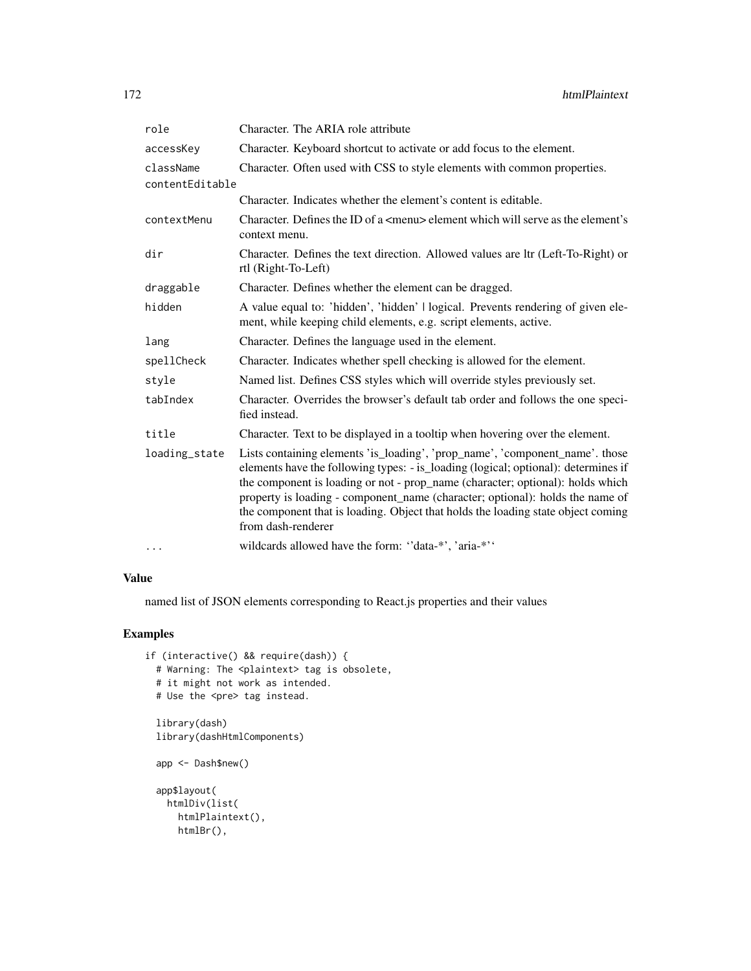| role            | Character. The ARIA role attribute                                                                                                                                                                                                                                                                                                                                                                                                              |
|-----------------|-------------------------------------------------------------------------------------------------------------------------------------------------------------------------------------------------------------------------------------------------------------------------------------------------------------------------------------------------------------------------------------------------------------------------------------------------|
| accessKey       | Character. Keyboard shortcut to activate or add focus to the element.                                                                                                                                                                                                                                                                                                                                                                           |
| className       | Character. Often used with CSS to style elements with common properties.                                                                                                                                                                                                                                                                                                                                                                        |
| contentEditable |                                                                                                                                                                                                                                                                                                                                                                                                                                                 |
|                 | Character. Indicates whether the element's content is editable.                                                                                                                                                                                                                                                                                                                                                                                 |
| contextMenu     | Character. Defines the ID of a $\leq$ menu $\geq$ element which will serve as the element's<br>context menu.                                                                                                                                                                                                                                                                                                                                    |
| dir             | Character. Defines the text direction. Allowed values are ltr (Left-To-Right) or<br>rtl (Right-To-Left)                                                                                                                                                                                                                                                                                                                                         |
| draggable       | Character. Defines whether the element can be dragged.                                                                                                                                                                                                                                                                                                                                                                                          |
| hidden          | A value equal to: 'hidden', 'hidden'   logical. Prevents rendering of given ele-<br>ment, while keeping child elements, e.g. script elements, active.                                                                                                                                                                                                                                                                                           |
| lang            | Character. Defines the language used in the element.                                                                                                                                                                                                                                                                                                                                                                                            |
| spellCheck      | Character. Indicates whether spell checking is allowed for the element.                                                                                                                                                                                                                                                                                                                                                                         |
| style           | Named list. Defines CSS styles which will override styles previously set.                                                                                                                                                                                                                                                                                                                                                                       |
| tabIndex        | Character. Overrides the browser's default tab order and follows the one speci-<br>fied instead.                                                                                                                                                                                                                                                                                                                                                |
| title           | Character. Text to be displayed in a tooltip when hovering over the element.                                                                                                                                                                                                                                                                                                                                                                    |
| loading_state   | Lists containing elements 'is_loading', 'prop_name', 'component_name'. those<br>elements have the following types: - is_loading (logical; optional): determines if<br>the component is loading or not - prop_name (character; optional): holds which<br>property is loading - component_name (character; optional): holds the name of<br>the component that is loading. Object that holds the loading state object coming<br>from dash-renderer |
| $\cdots$        | wildcards allowed have the form: "data-*', 'aria-*''                                                                                                                                                                                                                                                                                                                                                                                            |

named list of JSON elements corresponding to React.js properties and their values

```
if (interactive() && require(dash)) {
 # Warning: The <plaintext> tag is obsolete,
 # it might not work as intended.
 # Use the <pre> tag instead.
 library(dash)
 library(dashHtmlComponents)
 app <- Dash$new()
 app$layout(
   htmlDiv(list(
     htmlPlaintext(),
     htmlBr(),
```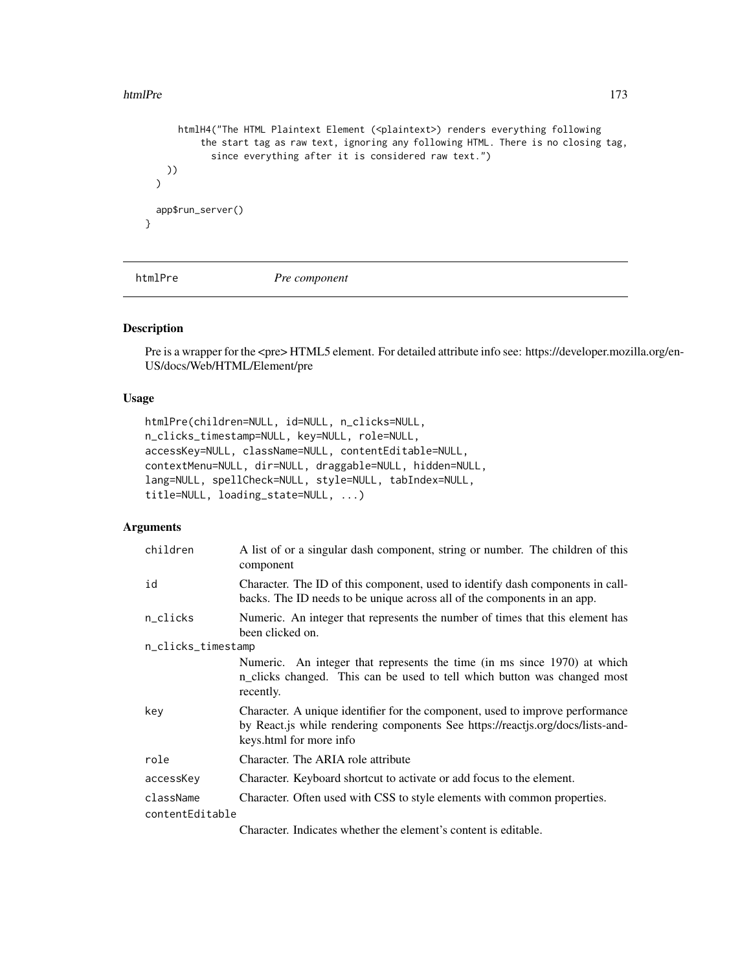#### htmlPre that the contract of the contract of the contract of the contract of the contract of the contract of the contract of the contract of the contract of the contract of the contract of the contract of the contract of t

```
htmlH4("The HTML Plaintext Element (<plaintext>) renders everything following
          the start tag as raw text, ignoring any following HTML. There is no closing tag,
            since everything after it is considered raw text.")
   ))
 \mathcal{L}app$run_server()
}
```
htmlPre *Pre component*

### Description

Pre is a wrapper for the <pre> HTML5 element. For detailed attribute info see: https://developer.mozilla.org/en-US/docs/Web/HTML/Element/pre

#### Usage

```
htmlPre(children=NULL, id=NULL, n_clicks=NULL,
n_clicks_timestamp=NULL, key=NULL, role=NULL,
accessKey=NULL, className=NULL, contentEditable=NULL,
contextMenu=NULL, dir=NULL, draggable=NULL, hidden=NULL,
lang=NULL, spellCheck=NULL, style=NULL, tabIndex=NULL,
title=NULL, loading_state=NULL, ...)
```
### Arguments

| children           | A list of or a singular dash component, string or number. The children of this<br>component                                                                                                |
|--------------------|--------------------------------------------------------------------------------------------------------------------------------------------------------------------------------------------|
| id                 | Character. The ID of this component, used to identify dash components in call-<br>backs. The ID needs to be unique across all of the components in an app.                                 |
| n_clicks           | Numeric. An integer that represents the number of times that this element has<br>been clicked on.                                                                                          |
| n_clicks_timestamp |                                                                                                                                                                                            |
|                    | Numeric. An integer that represents the time (in ms since 1970) at which<br>n_clicks changed. This can be used to tell which button was changed most<br>recently.                          |
| key                | Character. A unique identifier for the component, used to improve performance<br>by React.js while rendering components See https://reactjs.org/docs/lists-and-<br>keys.html for more info |
| role               | Character. The ARIA role attribute                                                                                                                                                         |
| accessKey          | Character. Keyboard shortcut to activate or add focus to the element.                                                                                                                      |
| className          | Character. Often used with CSS to style elements with common properties.                                                                                                                   |
| contentEditable    |                                                                                                                                                                                            |
|                    | Character. Indicates whether the element's content is editable.                                                                                                                            |

Character. Indicates whether the element's content is editable.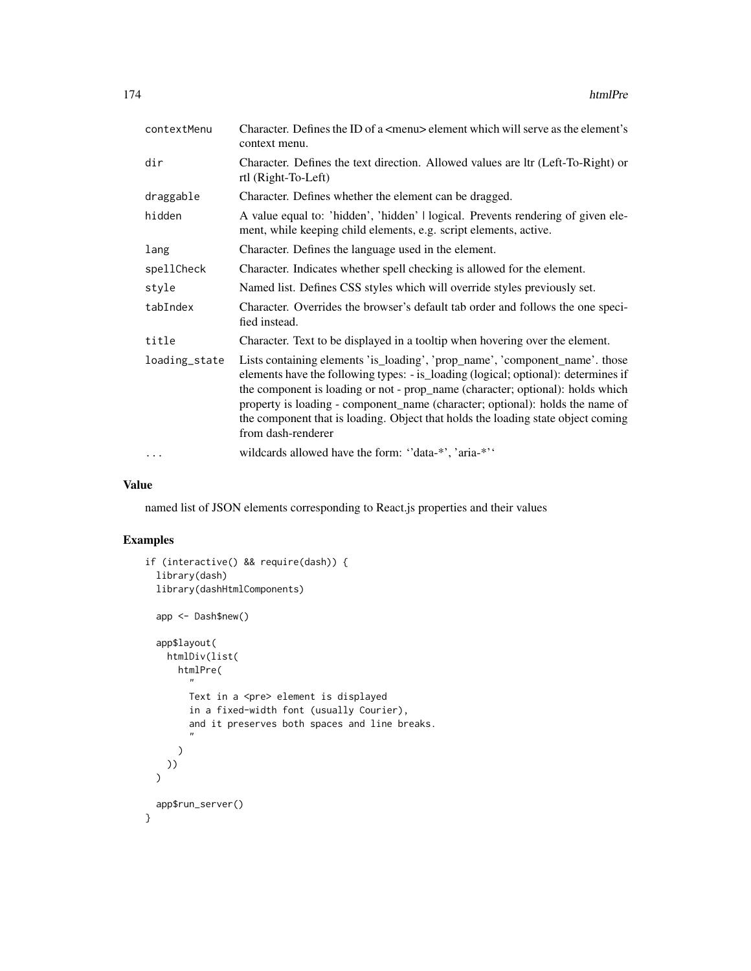| contextMenu   | Character. Defines the ID of a $\leq$ menu $\geq$ element which will serve as the element's<br>context menu.                                                                                                                                                                                                                                                                                                                                    |
|---------------|-------------------------------------------------------------------------------------------------------------------------------------------------------------------------------------------------------------------------------------------------------------------------------------------------------------------------------------------------------------------------------------------------------------------------------------------------|
| dir           | Character. Defines the text direction. Allowed values are ltr (Left-To-Right) or<br>rtl (Right-To-Left)                                                                                                                                                                                                                                                                                                                                         |
| draggable     | Character. Defines whether the element can be dragged.                                                                                                                                                                                                                                                                                                                                                                                          |
| hidden        | A value equal to: 'hidden', 'hidden'   logical. Prevents rendering of given ele-<br>ment, while keeping child elements, e.g. script elements, active.                                                                                                                                                                                                                                                                                           |
| lang          | Character. Defines the language used in the element.                                                                                                                                                                                                                                                                                                                                                                                            |
| spellCheck    | Character. Indicates whether spell checking is allowed for the element.                                                                                                                                                                                                                                                                                                                                                                         |
| style         | Named list. Defines CSS styles which will override styles previously set.                                                                                                                                                                                                                                                                                                                                                                       |
| tabIndex      | Character. Overrides the browser's default tab order and follows the one speci-<br>fied instead.                                                                                                                                                                                                                                                                                                                                                |
| title         | Character. Text to be displayed in a tooltip when hovering over the element.                                                                                                                                                                                                                                                                                                                                                                    |
| loading_state | Lists containing elements 'is_loading', 'prop_name', 'component_name'. those<br>elements have the following types: - is_loading (logical; optional): determines if<br>the component is loading or not - prop_name (character; optional): holds which<br>property is loading - component_name (character; optional): holds the name of<br>the component that is loading. Object that holds the loading state object coming<br>from dash-renderer |
| $\cdots$      | wildcards allowed have the form: "data-*', 'aria-*''                                                                                                                                                                                                                                                                                                                                                                                            |

named list of JSON elements corresponding to React.js properties and their values

```
if (interactive() && require(dash)) {
  library(dash)
  library(dashHtmlComponents)
  app <- Dash$new()
  app$layout(
    htmlDiv(list(
      htmlPre(
        ^{\prime}Text in a <pre> element is displayed
        in a fixed-width font (usually Courier),
        and it preserves both spaces and line breaks.
        "
      )
   ))
  \lambdaapp$run_server()
}
```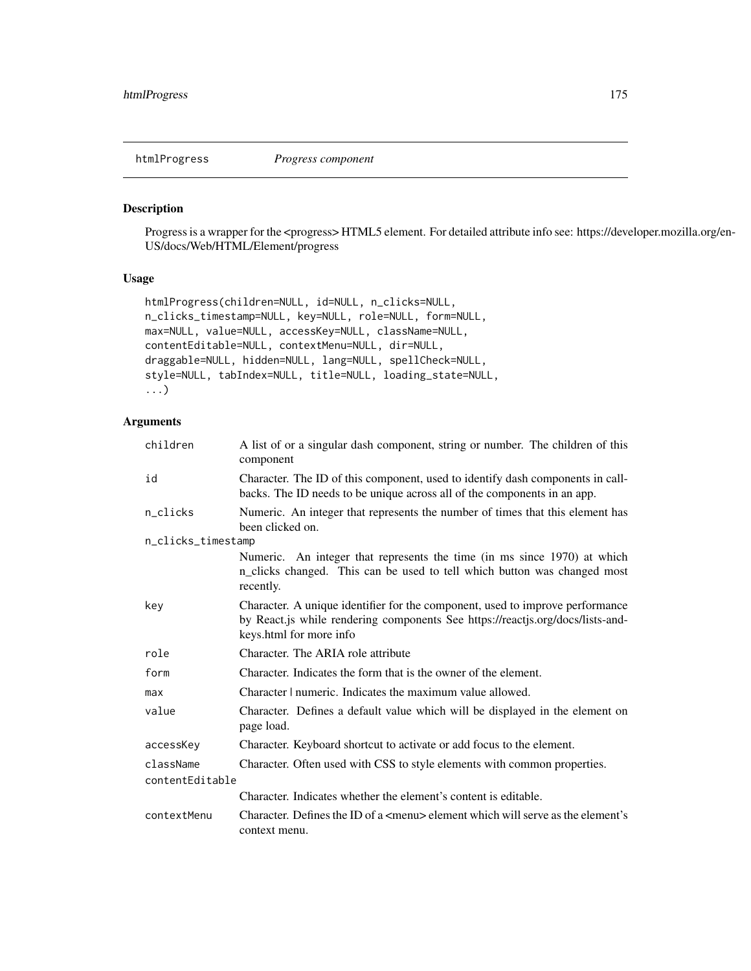htmlProgress *Progress component*

### Description

Progress is a wrapper for the <progress> HTML5 element. For detailed attribute info see: https://developer.mozilla.org/en-US/docs/Web/HTML/Element/progress

#### Usage

```
htmlProgress(children=NULL, id=NULL, n_clicks=NULL,
n_clicks_timestamp=NULL, key=NULL, role=NULL, form=NULL,
max=NULL, value=NULL, accessKey=NULL, className=NULL,
contentEditable=NULL, contextMenu=NULL, dir=NULL,
draggable=NULL, hidden=NULL, lang=NULL, spellCheck=NULL,
style=NULL, tabIndex=NULL, title=NULL, loading_state=NULL,
...)
```

| children           | A list of or a singular dash component, string or number. The children of this<br>component                                                                                                |  |
|--------------------|--------------------------------------------------------------------------------------------------------------------------------------------------------------------------------------------|--|
| id                 | Character. The ID of this component, used to identify dash components in call-<br>backs. The ID needs to be unique across all of the components in an app.                                 |  |
| n_clicks           | Numeric. An integer that represents the number of times that this element has<br>been clicked on.                                                                                          |  |
| n_clicks_timestamp |                                                                                                                                                                                            |  |
|                    | Numeric. An integer that represents the time (in ms since 1970) at which<br>n_clicks changed. This can be used to tell which button was changed most<br>recently.                          |  |
| key                | Character. A unique identifier for the component, used to improve performance<br>by React.js while rendering components See https://reactjs.org/docs/lists-and-<br>keys.html for more info |  |
| role               | Character. The ARIA role attribute                                                                                                                                                         |  |
| form               | Character. Indicates the form that is the owner of the element.                                                                                                                            |  |
| max                | Character   numeric. Indicates the maximum value allowed.                                                                                                                                  |  |
| value              | Character. Defines a default value which will be displayed in the element on<br>page load.                                                                                                 |  |
| accessKey          | Character. Keyboard shortcut to activate or add focus to the element.                                                                                                                      |  |
| className          | Character. Often used with CSS to style elements with common properties.                                                                                                                   |  |
| contentEditable    |                                                                                                                                                                                            |  |
|                    | Character. Indicates whether the element's content is editable.                                                                                                                            |  |
| contextMenu        | Character. Defines the ID of a <menu> element which will serve as the element's<br/>context menu.</menu>                                                                                   |  |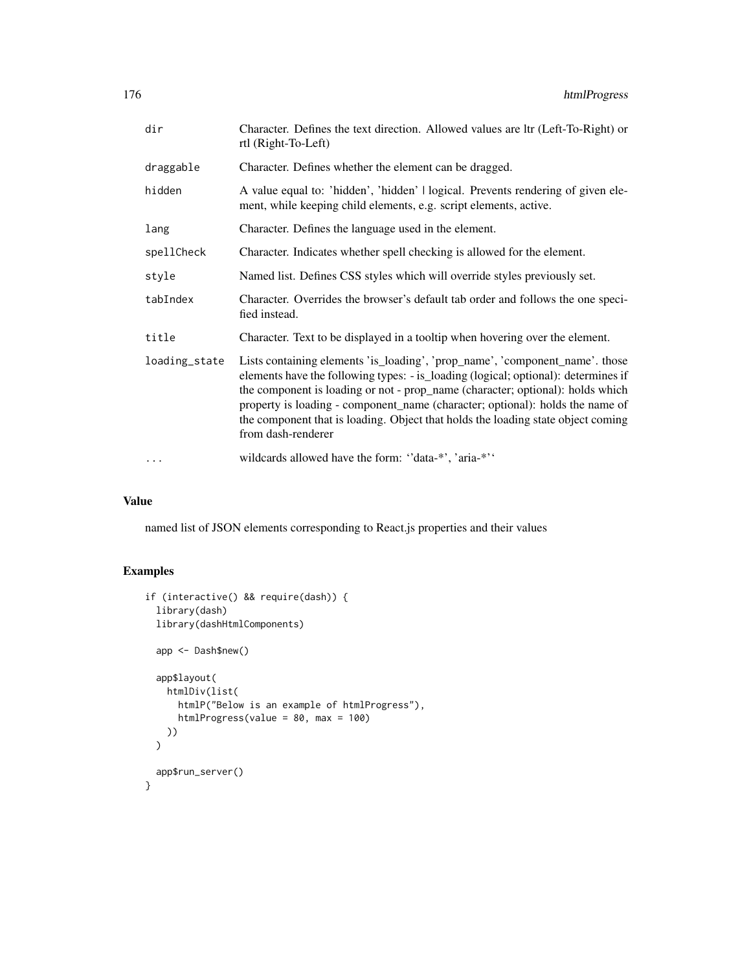| dir           | Character. Defines the text direction. Allowed values are ltr (Left-To-Right) or<br>rtl (Right-To-Left)                                                                                                                                                                                                                                                                                                                                         |
|---------------|-------------------------------------------------------------------------------------------------------------------------------------------------------------------------------------------------------------------------------------------------------------------------------------------------------------------------------------------------------------------------------------------------------------------------------------------------|
| draggable     | Character. Defines whether the element can be dragged.                                                                                                                                                                                                                                                                                                                                                                                          |
| hidden        | A value equal to: 'hidden', 'hidden'   logical. Prevents rendering of given ele-<br>ment, while keeping child elements, e.g. script elements, active.                                                                                                                                                                                                                                                                                           |
| lang          | Character. Defines the language used in the element.                                                                                                                                                                                                                                                                                                                                                                                            |
| spellCheck    | Character. Indicates whether spell checking is allowed for the element.                                                                                                                                                                                                                                                                                                                                                                         |
| style         | Named list. Defines CSS styles which will override styles previously set.                                                                                                                                                                                                                                                                                                                                                                       |
| tabIndex      | Character. Overrides the browser's default tab order and follows the one speci-<br>fied instead.                                                                                                                                                                                                                                                                                                                                                |
| title         | Character. Text to be displayed in a tooltip when hovering over the element.                                                                                                                                                                                                                                                                                                                                                                    |
| loading_state | Lists containing elements 'is_loading', 'prop_name', 'component_name'. those<br>elements have the following types: - is_loading (logical; optional): determines if<br>the component is loading or not - prop_name (character; optional): holds which<br>property is loading - component_name (character; optional): holds the name of<br>the component that is loading. Object that holds the loading state object coming<br>from dash-renderer |
| $\cdots$      | wildcards allowed have the form: "data-*', 'aria-*''                                                                                                                                                                                                                                                                                                                                                                                            |

named list of JSON elements corresponding to React.js properties and their values

```
if (interactive() && require(dash)) {
 library(dash)
 library(dashHtmlComponents)
  app <- Dash$new()
  app$layout(
    htmlDiv(list(
     htmlP("Below is an example of htmlProgress"),
      htmlProgress(value = 80, max = 100)
   ))
  \mathcal{L}app$run_server()
}
```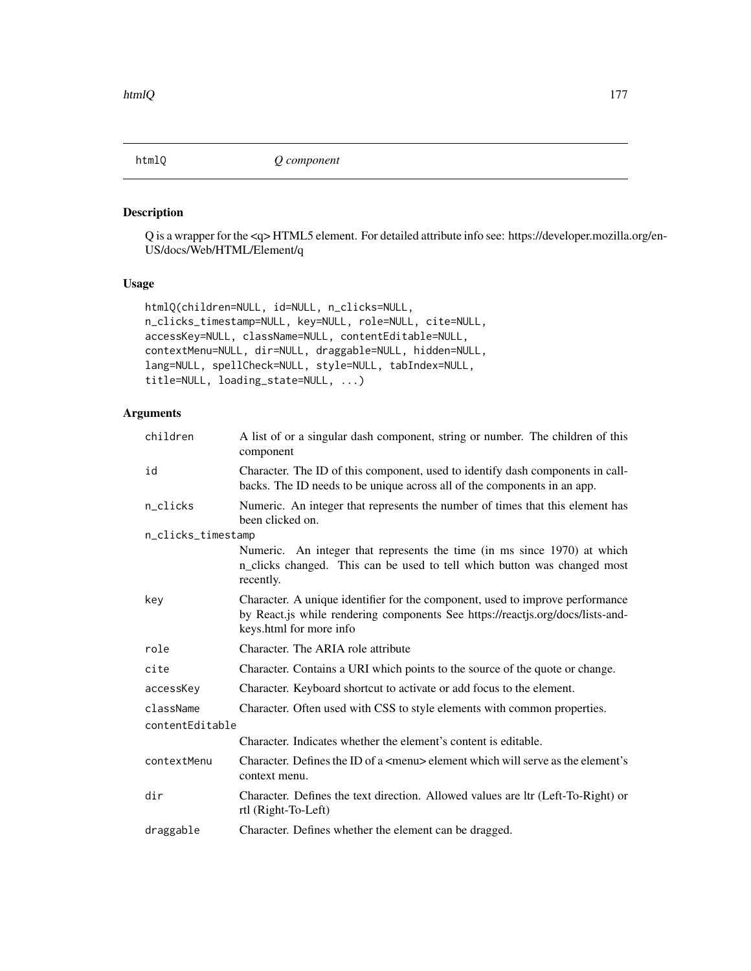### Description

Q is a wrapper for the <q> HTML5 element. For detailed attribute info see: https://developer.mozilla.org/en-US/docs/Web/HTML/Element/q

### Usage

```
htmlQ(children=NULL, id=NULL, n_clicks=NULL,
n_clicks_timestamp=NULL, key=NULL, role=NULL, cite=NULL,
accessKey=NULL, className=NULL, contentEditable=NULL,
contextMenu=NULL, dir=NULL, draggable=NULL, hidden=NULL,
lang=NULL, spellCheck=NULL, style=NULL, tabIndex=NULL,
title=NULL, loading_state=NULL, ...)
```

| children           | A list of or a singular dash component, string or number. The children of this<br>component                                                                                                |  |
|--------------------|--------------------------------------------------------------------------------------------------------------------------------------------------------------------------------------------|--|
| id                 | Character. The ID of this component, used to identify dash components in call-<br>backs. The ID needs to be unique across all of the components in an app.                                 |  |
| n_clicks           | Numeric. An integer that represents the number of times that this element has<br>been clicked on.                                                                                          |  |
| n_clicks_timestamp |                                                                                                                                                                                            |  |
|                    | Numeric. An integer that represents the time (in ms since 1970) at which<br>n_clicks changed. This can be used to tell which button was changed most<br>recently.                          |  |
| key                | Character. A unique identifier for the component, used to improve performance<br>by React.js while rendering components See https://reactjs.org/docs/lists-and-<br>keys.html for more info |  |
| role               | Character. The ARIA role attribute                                                                                                                                                         |  |
| cite               | Character. Contains a URI which points to the source of the quote or change.                                                                                                               |  |
| accessKey          | Character. Keyboard shortcut to activate or add focus to the element.                                                                                                                      |  |
| className          | Character. Often used with CSS to style elements with common properties.                                                                                                                   |  |
| contentEditable    |                                                                                                                                                                                            |  |
|                    | Character. Indicates whether the element's content is editable.                                                                                                                            |  |
| contextMenu        | Character. Defines the ID of a $\leq$ menu $\geq$ element which will serve as the element's<br>context menu.                                                                               |  |
| dir                | Character. Defines the text direction. Allowed values are ltr (Left-To-Right) or<br>rtl (Right-To-Left)                                                                                    |  |
| draggable          | Character. Defines whether the element can be dragged.                                                                                                                                     |  |
|                    |                                                                                                                                                                                            |  |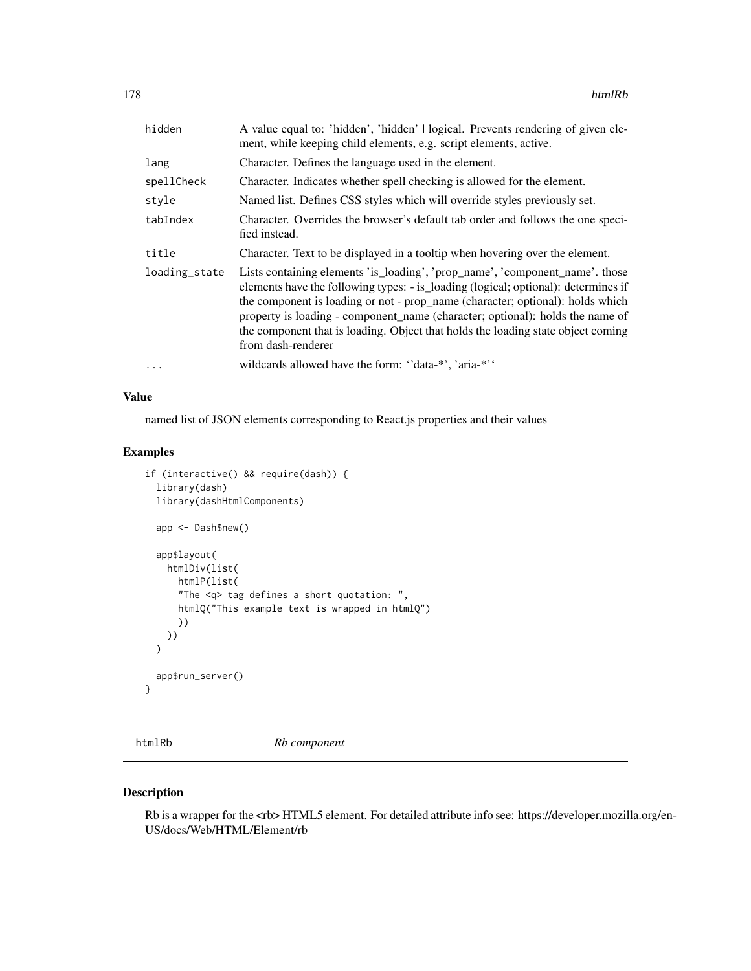| hidden        | A value equal to: 'hidden', 'hidden'   logical. Prevents rendering of given ele-<br>ment, while keeping child elements, e.g. script elements, active.                                                                                                                                                                                                                                                                                           |
|---------------|-------------------------------------------------------------------------------------------------------------------------------------------------------------------------------------------------------------------------------------------------------------------------------------------------------------------------------------------------------------------------------------------------------------------------------------------------|
| lang          | Character. Defines the language used in the element.                                                                                                                                                                                                                                                                                                                                                                                            |
| spellCheck    | Character. Indicates whether spell checking is allowed for the element.                                                                                                                                                                                                                                                                                                                                                                         |
| style         | Named list. Defines CSS styles which will override styles previously set.                                                                                                                                                                                                                                                                                                                                                                       |
| tabIndex      | Character. Overrides the browser's default tab order and follows the one speci-<br>fied instead.                                                                                                                                                                                                                                                                                                                                                |
| title         | Character. Text to be displayed in a tooltip when hovering over the element.                                                                                                                                                                                                                                                                                                                                                                    |
| loading_state | Lists containing elements 'is_loading', 'prop_name', 'component_name'. those<br>elements have the following types: - is loading (logical; optional): determines if<br>the component is loading or not - prop_name (character; optional): holds which<br>property is loading - component name (character; optional): holds the name of<br>the component that is loading. Object that holds the loading state object coming<br>from dash-renderer |
| .             | wildcards allowed have the form: "data-*", 'aria-*"                                                                                                                                                                                                                                                                                                                                                                                             |

named list of JSON elements corresponding to React.js properties and their values

# Examples

```
if (interactive() && require(dash)) {
  library(dash)
  library(dashHtmlComponents)
  app <- Dash$new()
  app$layout(
    htmlDiv(list(
      htmlP(list(
      "The <q> tag defines a short quotation: ",
      htmlQ("This example text is wrapped in htmlQ")
      ))
   ))
  \overline{\phantom{a}}app$run_server()
}
```
htmlRb *Rb component*

### Description

Rb is a wrapper for the <rb> HTML5 element. For detailed attribute info see: https://developer.mozilla.org/en-US/docs/Web/HTML/Element/rb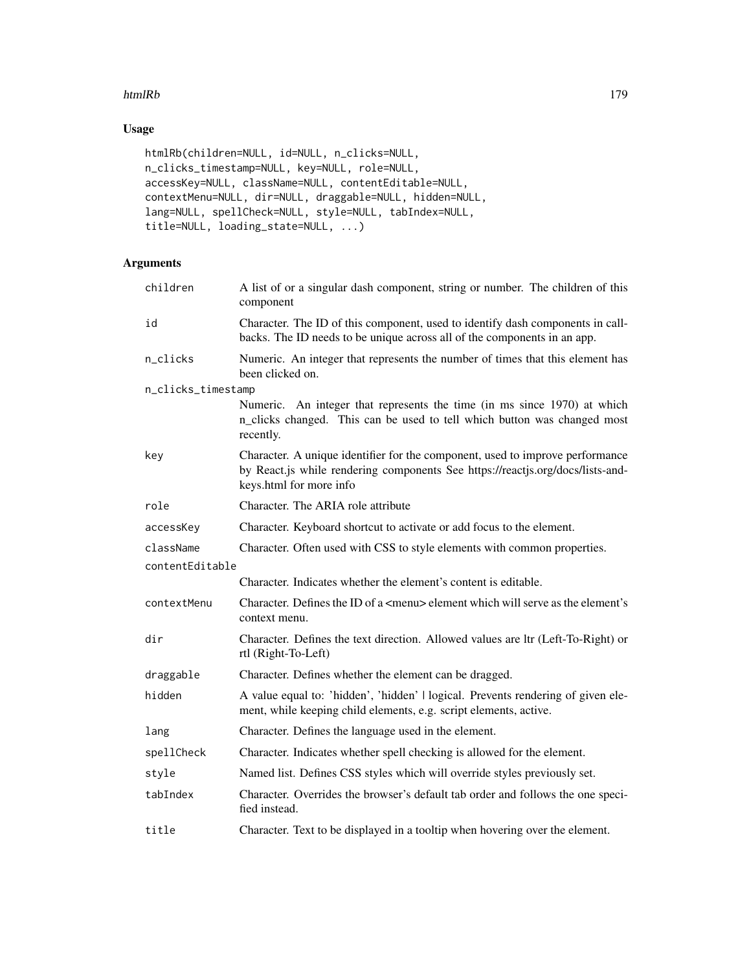#### htmlRb 179

# Usage

```
htmlRb(children=NULL, id=NULL, n_clicks=NULL,
n_clicks_timestamp=NULL, key=NULL, role=NULL,
accessKey=NULL, className=NULL, contentEditable=NULL,
contextMenu=NULL, dir=NULL, draggable=NULL, hidden=NULL,
lang=NULL, spellCheck=NULL, style=NULL, tabIndex=NULL,
title=NULL, loading_state=NULL, ...)
```

| children           | A list of or a singular dash component, string or number. The children of this<br>component                                                                                                |  |
|--------------------|--------------------------------------------------------------------------------------------------------------------------------------------------------------------------------------------|--|
| id                 | Character. The ID of this component, used to identify dash components in call-<br>backs. The ID needs to be unique across all of the components in an app.                                 |  |
| n_clicks           | Numeric. An integer that represents the number of times that this element has<br>been clicked on.                                                                                          |  |
| n_clicks_timestamp |                                                                                                                                                                                            |  |
|                    | Numeric. An integer that represents the time (in ms since 1970) at which<br>n_clicks changed. This can be used to tell which button was changed most<br>recently.                          |  |
| key                | Character. A unique identifier for the component, used to improve performance<br>by React.js while rendering components See https://reactjs.org/docs/lists-and-<br>keys.html for more info |  |
| role               | Character. The ARIA role attribute                                                                                                                                                         |  |
| accessKey          | Character. Keyboard shortcut to activate or add focus to the element.                                                                                                                      |  |
| className          | Character. Often used with CSS to style elements with common properties.                                                                                                                   |  |
| contentEditable    |                                                                                                                                                                                            |  |
|                    | Character. Indicates whether the element's content is editable.                                                                                                                            |  |
| contextMenu        | Character. Defines the ID of a <menu> element which will serve as the element's<br/>context menu.</menu>                                                                                   |  |
| dir                | Character. Defines the text direction. Allowed values are ltr (Left-To-Right) or<br>rtl (Right-To-Left)                                                                                    |  |
| draggable          | Character. Defines whether the element can be dragged.                                                                                                                                     |  |
| hidden             | A value equal to: 'hidden', 'hidden'   logical. Prevents rendering of given ele-<br>ment, while keeping child elements, e.g. script elements, active.                                      |  |
| lang               | Character. Defines the language used in the element.                                                                                                                                       |  |
| spellCheck         | Character. Indicates whether spell checking is allowed for the element.                                                                                                                    |  |
| style              | Named list. Defines CSS styles which will override styles previously set.                                                                                                                  |  |
| tabIndex           | Character. Overrides the browser's default tab order and follows the one speci-<br>fied instead.                                                                                           |  |
| title              | Character. Text to be displayed in a tooltip when hovering over the element.                                                                                                               |  |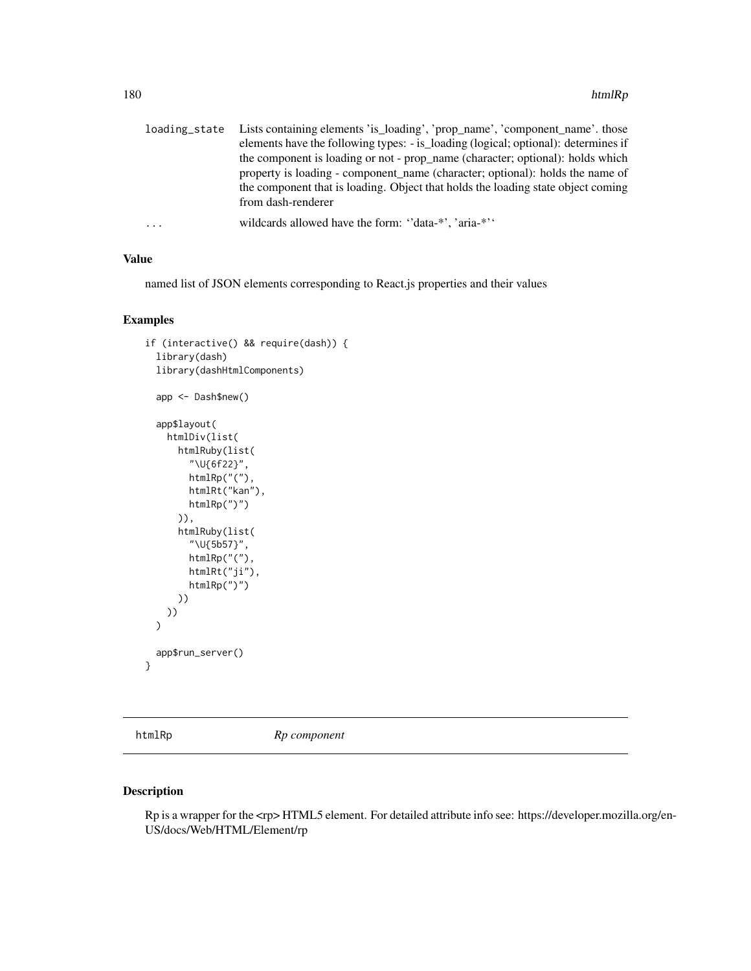|   | loading_state Lists containing elements 'is_loading', 'prop_name', 'component_name'. those |
|---|--------------------------------------------------------------------------------------------|
|   | elements have the following types: - is_loading (logical; optional): determines if         |
|   | the component is loading or not - prop_name (character; optional): holds which             |
|   | property is loading - component name (character; optional): holds the name of              |
|   | the component that is loading. Object that holds the loading state object coming           |
|   | from dash-renderer                                                                         |
| . | wildcards allowed have the form: "data-*", 'aria-*"                                        |

named list of JSON elements corresponding to React.js properties and their values

#### Examples

```
if (interactive() && require(dash)) {
 library(dash)
 library(dashHtmlComponents)
 app <- Dash$new()
 app$layout(
   htmlDiv(list(
      htmlRuby(list(
        "\U{6f22}",
        htmlRp("("),
        htmlRt("kan"),
        htmlRp(")")
      )),
      htmlRuby(list(
        "\U{5b57}",
        htmlRp("("),
        htmlRt("ji"),
        htmlRp(")")
      ))
   ))
 \mathcal{L}app$run_server()
}
```
htmlRp *Rp component*

### Description

Rp is a wrapper for the <rp> HTML5 element. For detailed attribute info see: https://developer.mozilla.org/en-US/docs/Web/HTML/Element/rp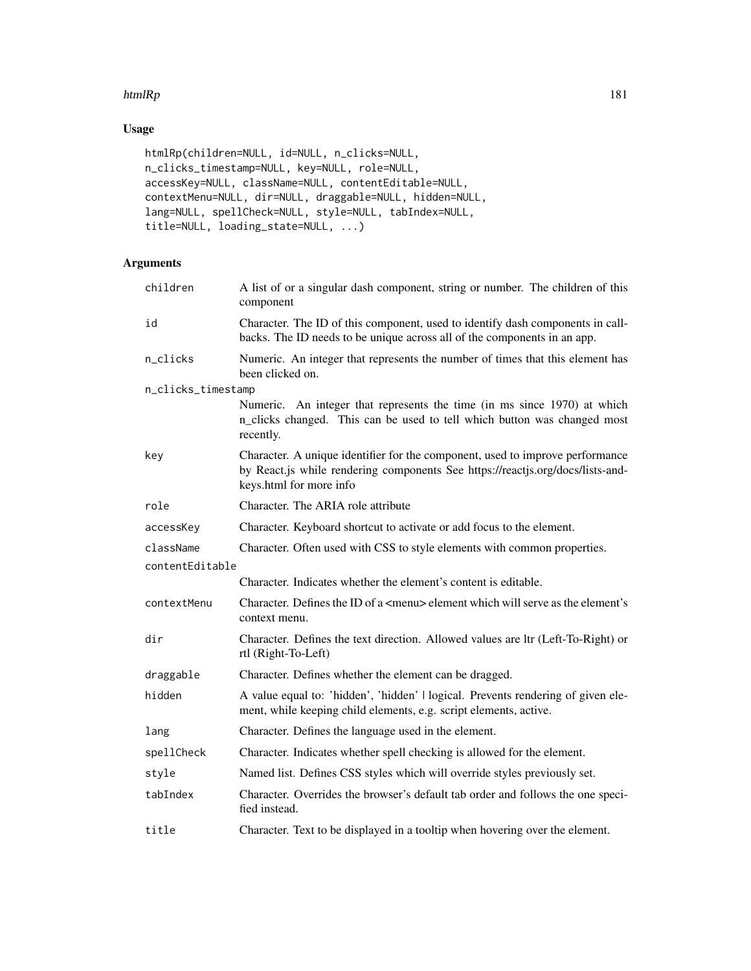### htmlRp  $\mu$  181

# Usage

```
htmlRp(children=NULL, id=NULL, n_clicks=NULL,
n_clicks_timestamp=NULL, key=NULL, role=NULL,
accessKey=NULL, className=NULL, contentEditable=NULL,
contextMenu=NULL, dir=NULL, draggable=NULL, hidden=NULL,
lang=NULL, spellCheck=NULL, style=NULL, tabIndex=NULL,
title=NULL, loading_state=NULL, ...)
```

| children           | A list of or a singular dash component, string or number. The children of this<br>component                                                                                                |
|--------------------|--------------------------------------------------------------------------------------------------------------------------------------------------------------------------------------------|
| id                 | Character. The ID of this component, used to identify dash components in call-<br>backs. The ID needs to be unique across all of the components in an app.                                 |
| n_clicks           | Numeric. An integer that represents the number of times that this element has<br>been clicked on.                                                                                          |
| n_clicks_timestamp |                                                                                                                                                                                            |
|                    | Numeric. An integer that represents the time (in ms since 1970) at which<br>n_clicks changed. This can be used to tell which button was changed most<br>recently.                          |
| key                | Character. A unique identifier for the component, used to improve performance<br>by React.js while rendering components See https://reactjs.org/docs/lists-and-<br>keys.html for more info |
| role               | Character. The ARIA role attribute                                                                                                                                                         |
| accessKey          | Character. Keyboard shortcut to activate or add focus to the element.                                                                                                                      |
| className          | Character. Often used with CSS to style elements with common properties.                                                                                                                   |
| contentEditable    |                                                                                                                                                                                            |
|                    | Character. Indicates whether the element's content is editable.                                                                                                                            |
| contextMenu        | Character. Defines the ID of a $\leq$ menu $\geq$ element which will serve as the element's<br>context menu.                                                                               |
| dir                | Character. Defines the text direction. Allowed values are ltr (Left-To-Right) or<br>rtl (Right-To-Left)                                                                                    |
| draggable          | Character. Defines whether the element can be dragged.                                                                                                                                     |
| hidden             | A value equal to: 'hidden', 'hidden'   logical. Prevents rendering of given ele-<br>ment, while keeping child elements, e.g. script elements, active.                                      |
| lang               | Character. Defines the language used in the element.                                                                                                                                       |
| spellCheck         | Character. Indicates whether spell checking is allowed for the element.                                                                                                                    |
| style              | Named list. Defines CSS styles which will override styles previously set.                                                                                                                  |
| tabIndex           | Character. Overrides the browser's default tab order and follows the one speci-<br>fied instead.                                                                                           |
| title              | Character. Text to be displayed in a tooltip when hovering over the element.                                                                                                               |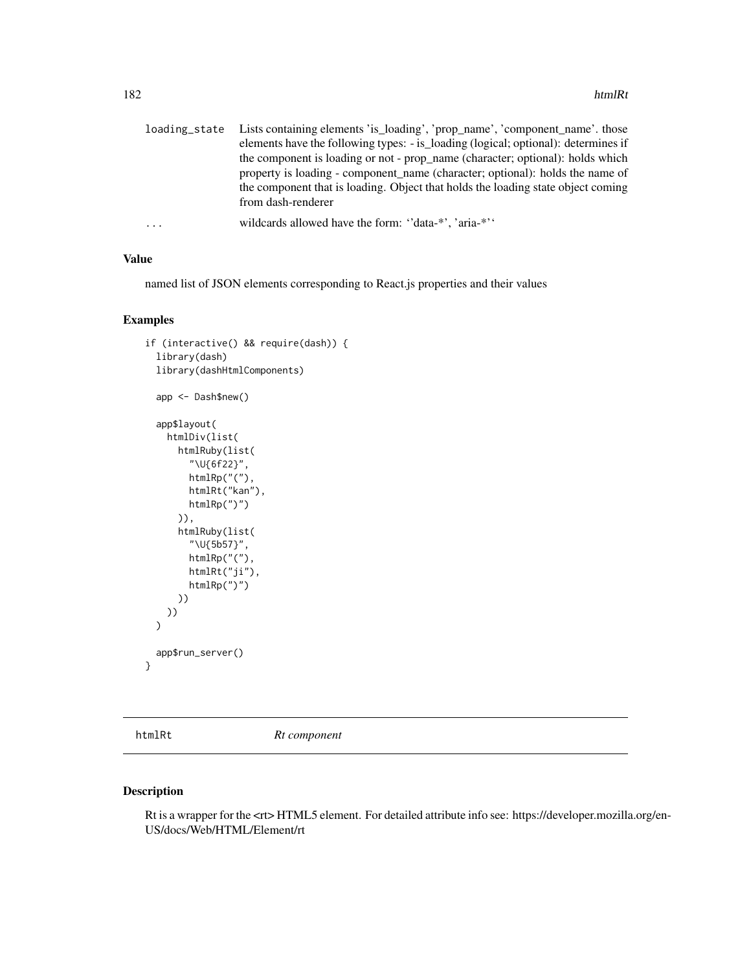| loading state | Lists containing elements 'is_loading', 'prop_name', 'component_name'. those       |
|---------------|------------------------------------------------------------------------------------|
|               | elements have the following types: - is_loading (logical; optional): determines if |
|               | the component is loading or not - prop_name (character; optional): holds which     |
|               | property is loading - component name (character; optional): holds the name of      |
|               | the component that is loading. Object that holds the loading state object coming   |
|               | from dash-renderer                                                                 |
| $\ddots$      | wildcards allowed have the form: "data-*", 'aria-*"                                |

named list of JSON elements corresponding to React.js properties and their values

## Examples

```
if (interactive() && require(dash)) {
 library(dash)
 library(dashHtmlComponents)
 app <- Dash$new()
 app$layout(
   htmlDiv(list(
      htmlRuby(list(
        "\U{6f22}",
        htmlRp("("),
        htmlRt("kan"),
        htmlRp(")")
      )),
      htmlRuby(list(
        "\U{5b57}",
        htmlRp("("),
        htmlRt("ji"),
        htmlRp(")")
     ))
   ))
 \mathcal{L}app$run_server()
}
```
htmlRt *Rt component*

# Description

Rt is a wrapper for the <rt> HTML5 element. For detailed attribute info see: https://developer.mozilla.org/en-US/docs/Web/HTML/Element/rt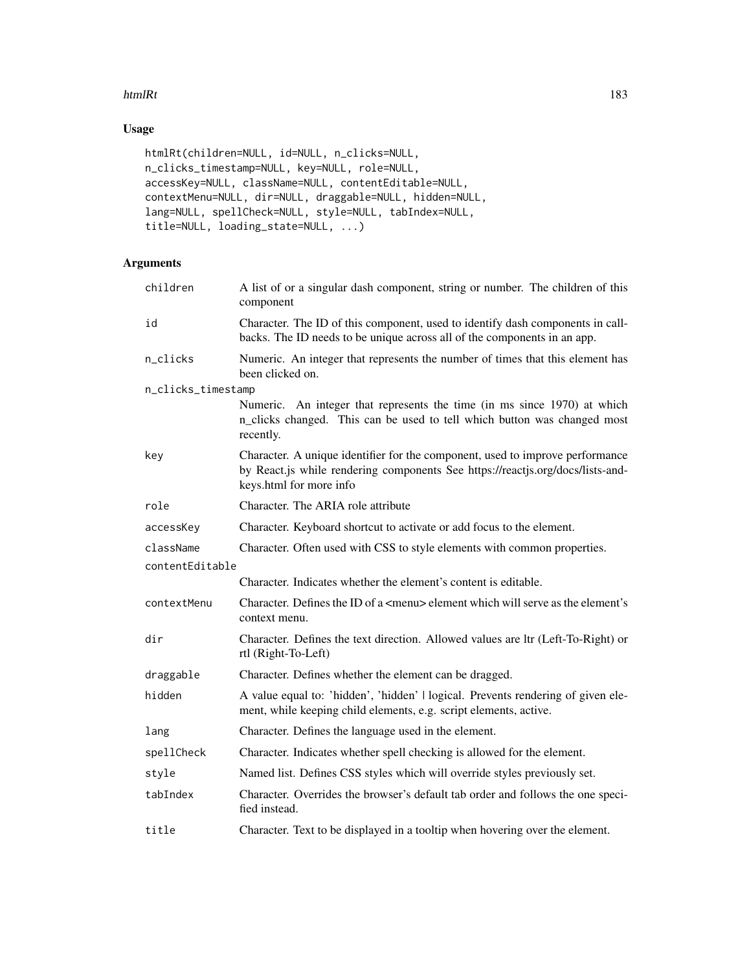### htmlRt 183

# Usage

```
htmlRt(children=NULL, id=NULL, n_clicks=NULL,
n_clicks_timestamp=NULL, key=NULL, role=NULL,
accessKey=NULL, className=NULL, contentEditable=NULL,
contextMenu=NULL, dir=NULL, draggable=NULL, hidden=NULL,
lang=NULL, spellCheck=NULL, style=NULL, tabIndex=NULL,
title=NULL, loading_state=NULL, ...)
```

| children           | A list of or a singular dash component, string or number. The children of this<br>component                                                                                                |
|--------------------|--------------------------------------------------------------------------------------------------------------------------------------------------------------------------------------------|
| id                 | Character. The ID of this component, used to identify dash components in call-<br>backs. The ID needs to be unique across all of the components in an app.                                 |
| n_clicks           | Numeric. An integer that represents the number of times that this element has<br>been clicked on.                                                                                          |
| n_clicks_timestamp |                                                                                                                                                                                            |
|                    | Numeric. An integer that represents the time (in ms since 1970) at which<br>n_clicks changed. This can be used to tell which button was changed most<br>recently.                          |
| key                | Character. A unique identifier for the component, used to improve performance<br>by React.js while rendering components See https://reactjs.org/docs/lists-and-<br>keys.html for more info |
| role               | Character. The ARIA role attribute                                                                                                                                                         |
| accessKey          | Character. Keyboard shortcut to activate or add focus to the element.                                                                                                                      |
| className          | Character. Often used with CSS to style elements with common properties.                                                                                                                   |
| contentEditable    |                                                                                                                                                                                            |
|                    | Character. Indicates whether the element's content is editable.                                                                                                                            |
| contextMenu        | Character. Defines the ID of a <menu> element which will serve as the element's<br/>context menu.</menu>                                                                                   |
| dir                | Character. Defines the text direction. Allowed values are ltr (Left-To-Right) or<br>rtl (Right-To-Left)                                                                                    |
| draggable          | Character. Defines whether the element can be dragged.                                                                                                                                     |
| hidden             | A value equal to: 'hidden', 'hidden'   logical. Prevents rendering of given ele-<br>ment, while keeping child elements, e.g. script elements, active.                                      |
| lang               | Character. Defines the language used in the element.                                                                                                                                       |
| spellCheck         | Character. Indicates whether spell checking is allowed for the element.                                                                                                                    |
| style              | Named list. Defines CSS styles which will override styles previously set.                                                                                                                  |
| tabIndex           | Character. Overrides the browser's default tab order and follows the one speci-<br>fied instead.                                                                                           |
| title              | Character. Text to be displayed in a tooltip when hovering over the element.                                                                                                               |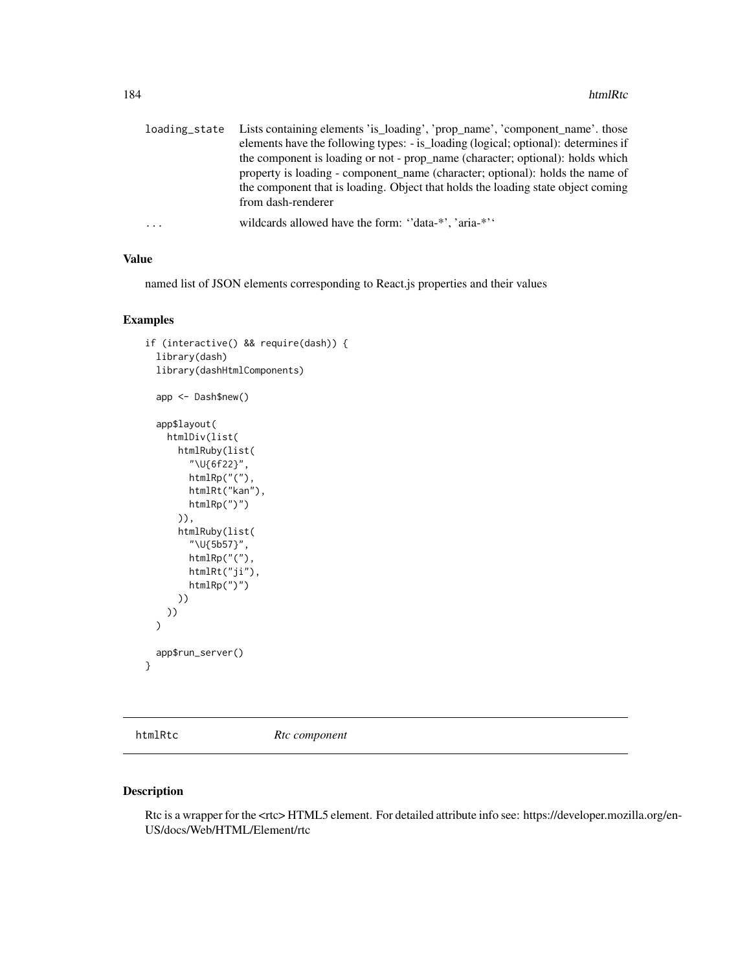|   | loading_state Lists containing elements 'is_loading', 'prop_name', 'component_name'. those |
|---|--------------------------------------------------------------------------------------------|
|   | elements have the following types: - is_loading (logical; optional): determines if         |
|   | the component is loading or not - prop_name (character; optional): holds which             |
|   | property is loading - component name (character; optional): holds the name of              |
|   | the component that is loading. Object that holds the loading state object coming           |
|   | from dash-renderer                                                                         |
| . | wildcards allowed have the form: "data-*", 'aria-*"                                        |

named list of JSON elements corresponding to React.js properties and their values

### Examples

```
if (interactive() && require(dash)) {
 library(dash)
 library(dashHtmlComponents)
 app <- Dash$new()
 app$layout(
   htmlDiv(list(
      htmlRuby(list(
        "\U{6f22}",
        htmlRp("("),
        htmlRt("kan"),
        htmlRp(")")
      )),
      htmlRuby(list(
        "\U{5b57}",
        htmlRp("("),
        htmlRt("ji"),
        htmlRp(")")
     ))
   ))
 \mathcal{L}app$run_server()
}
```
htmlRtc *Rtc component*

# Description

Rtc is a wrapper for the <rtc> HTML5 element. For detailed attribute info see: https://developer.mozilla.org/en-US/docs/Web/HTML/Element/rtc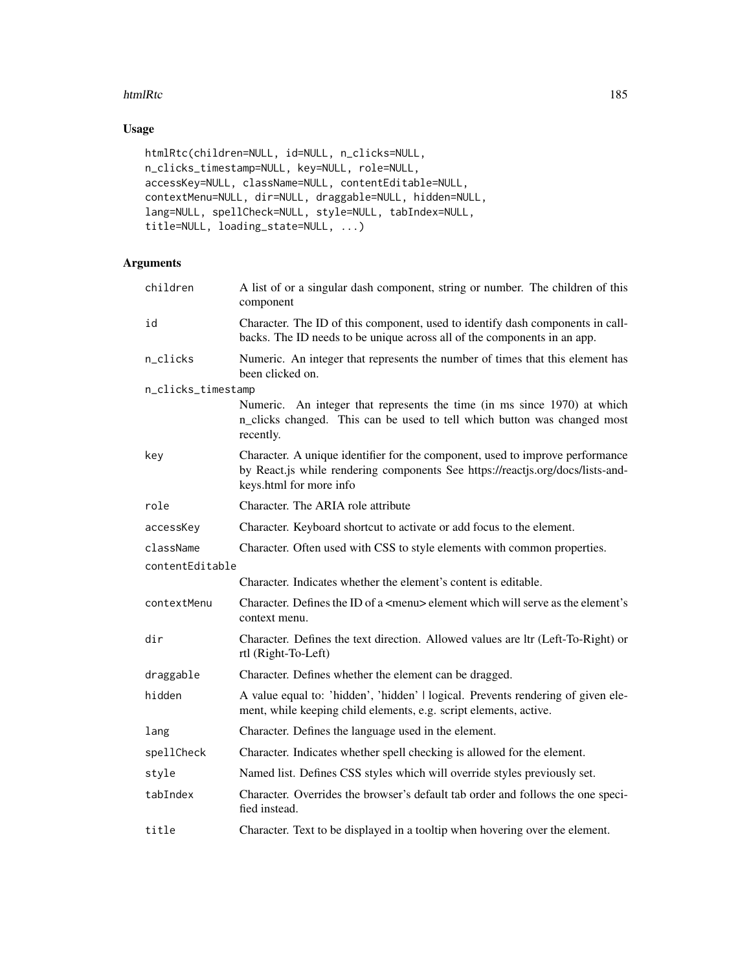### htmlRtc 185

# Usage

```
htmlRtc(children=NULL, id=NULL, n_clicks=NULL,
n_clicks_timestamp=NULL, key=NULL, role=NULL,
accessKey=NULL, className=NULL, contentEditable=NULL,
contextMenu=NULL, dir=NULL, draggable=NULL, hidden=NULL,
lang=NULL, spellCheck=NULL, style=NULL, tabIndex=NULL,
title=NULL, loading_state=NULL, ...)
```

| children           | A list of or a singular dash component, string or number. The children of this<br>component                                                                                                |
|--------------------|--------------------------------------------------------------------------------------------------------------------------------------------------------------------------------------------|
| id                 | Character. The ID of this component, used to identify dash components in call-<br>backs. The ID needs to be unique across all of the components in an app.                                 |
| n_clicks           | Numeric. An integer that represents the number of times that this element has<br>been clicked on.                                                                                          |
| n_clicks_timestamp |                                                                                                                                                                                            |
|                    | Numeric. An integer that represents the time (in ms since 1970) at which<br>n_clicks changed. This can be used to tell which button was changed most<br>recently.                          |
| key                | Character. A unique identifier for the component, used to improve performance<br>by React.js while rendering components See https://reactjs.org/docs/lists-and-<br>keys.html for more info |
| role               | Character. The ARIA role attribute                                                                                                                                                         |
| accessKey          | Character. Keyboard shortcut to activate or add focus to the element.                                                                                                                      |
| className          | Character. Often used with CSS to style elements with common properties.                                                                                                                   |
| contentEditable    |                                                                                                                                                                                            |
|                    | Character. Indicates whether the element's content is editable.                                                                                                                            |
| contextMenu        | Character. Defines the ID of a <menu> element which will serve as the element's<br/>context menu.</menu>                                                                                   |
| dir                | Character. Defines the text direction. Allowed values are ltr (Left-To-Right) or<br>rtl (Right-To-Left)                                                                                    |
| draggable          | Character. Defines whether the element can be dragged.                                                                                                                                     |
| hidden             | A value equal to: 'hidden', 'hidden'   logical. Prevents rendering of given ele-<br>ment, while keeping child elements, e.g. script elements, active.                                      |
| lang               | Character. Defines the language used in the element.                                                                                                                                       |
| spellCheck         | Character. Indicates whether spell checking is allowed for the element.                                                                                                                    |
| style              | Named list. Defines CSS styles which will override styles previously set.                                                                                                                  |
| tabIndex           | Character. Overrides the browser's default tab order and follows the one speci-<br>fied instead.                                                                                           |
| title              | Character. Text to be displayed in a tooltip when hovering over the element.                                                                                                               |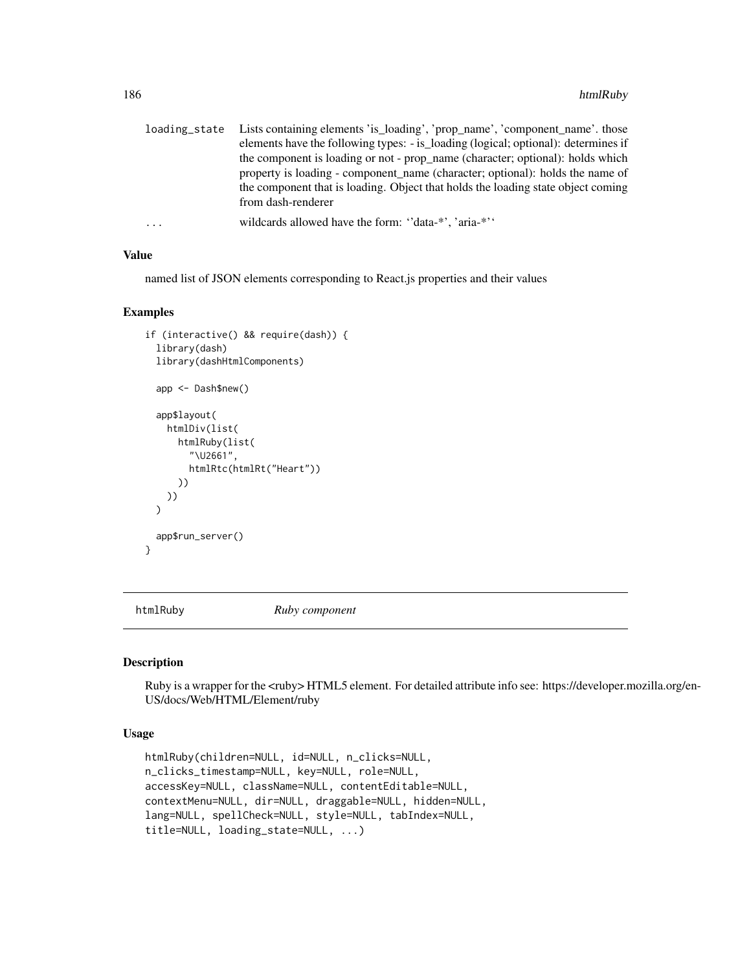|   | loading_state Lists containing elements 'is_loading', 'prop_name', 'component_name'. those |
|---|--------------------------------------------------------------------------------------------|
|   | elements have the following types: - is_loading (logical; optional): determines if         |
|   | the component is loading or not - prop_name (character; optional): holds which             |
|   | property is loading - component name (character; optional): holds the name of              |
|   | the component that is loading. Object that holds the loading state object coming           |
|   | from dash-renderer                                                                         |
| . | wildcards allowed have the form: "data-*", 'aria-*"                                        |

named list of JSON elements corresponding to React.js properties and their values

#### Examples

```
if (interactive() && require(dash)) {
 library(dash)
 library(dashHtmlComponents)
 app <- Dash$new()
 app$layout(
   htmlDiv(list(
     htmlRuby(list(
        "\U2661",
        htmlRtc(htmlRt("Heart"))
     ))
   ))
 \mathcal{L}app$run_server()
}
```
htmlRuby *Ruby component*

#### Description

Ruby is a wrapper for the <ruby> HTML5 element. For detailed attribute info see: https://developer.mozilla.org/en-US/docs/Web/HTML/Element/ruby

### Usage

```
htmlRuby(children=NULL, id=NULL, n_clicks=NULL,
n_clicks_timestamp=NULL, key=NULL, role=NULL,
accessKey=NULL, className=NULL, contentEditable=NULL,
contextMenu=NULL, dir=NULL, draggable=NULL, hidden=NULL,
lang=NULL, spellCheck=NULL, style=NULL, tabIndex=NULL,
title=NULL, loading_state=NULL, ...)
```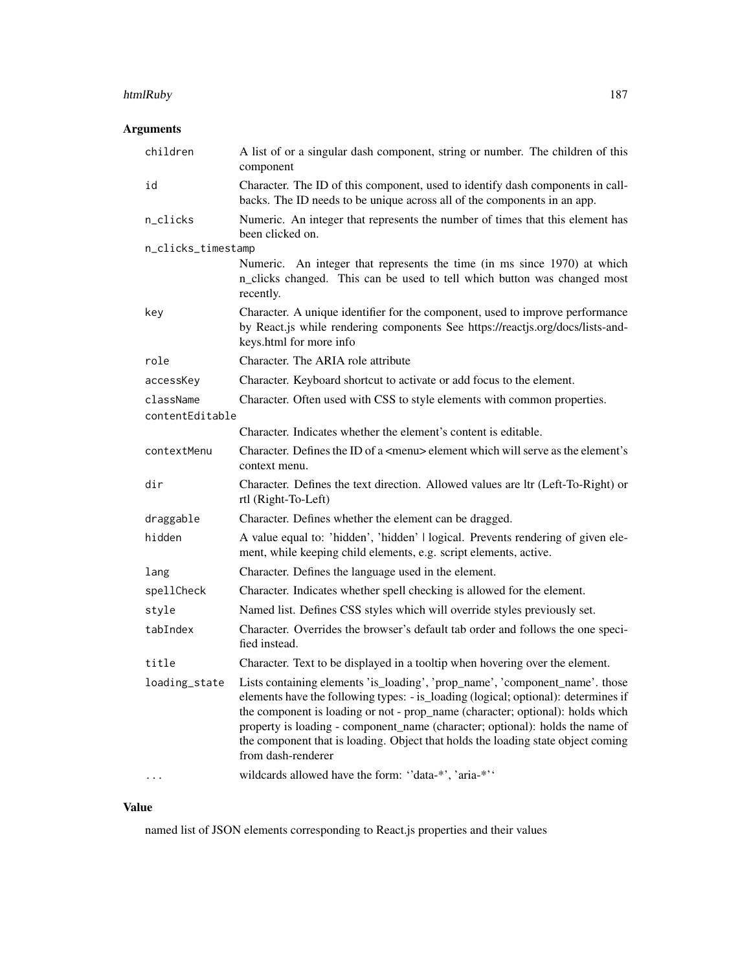### htmlRuby 187

# Arguments

| children           | A list of or a singular dash component, string or number. The children of this<br>component                                                                                                                                                                                                                                                                                                                                                     |
|--------------------|-------------------------------------------------------------------------------------------------------------------------------------------------------------------------------------------------------------------------------------------------------------------------------------------------------------------------------------------------------------------------------------------------------------------------------------------------|
| id                 | Character. The ID of this component, used to identify dash components in call-<br>backs. The ID needs to be unique across all of the components in an app.                                                                                                                                                                                                                                                                                      |
| n_clicks           | Numeric. An integer that represents the number of times that this element has<br>been clicked on.                                                                                                                                                                                                                                                                                                                                               |
| n_clicks_timestamp |                                                                                                                                                                                                                                                                                                                                                                                                                                                 |
|                    | Numeric. An integer that represents the time (in ms since 1970) at which<br>n_clicks changed. This can be used to tell which button was changed most<br>recently.                                                                                                                                                                                                                                                                               |
| key                | Character. A unique identifier for the component, used to improve performance<br>by React.js while rendering components See https://reactjs.org/docs/lists-and-<br>keys.html for more info                                                                                                                                                                                                                                                      |
| role               | Character. The ARIA role attribute                                                                                                                                                                                                                                                                                                                                                                                                              |
| accessKey          | Character. Keyboard shortcut to activate or add focus to the element.                                                                                                                                                                                                                                                                                                                                                                           |
| className          | Character. Often used with CSS to style elements with common properties.                                                                                                                                                                                                                                                                                                                                                                        |
| contentEditable    |                                                                                                                                                                                                                                                                                                                                                                                                                                                 |
|                    | Character. Indicates whether the element's content is editable.                                                                                                                                                                                                                                                                                                                                                                                 |
| contextMenu        | Character. Defines the ID of a <menu> element which will serve as the element's<br/>context menu.</menu>                                                                                                                                                                                                                                                                                                                                        |
| dir                | Character. Defines the text direction. Allowed values are ltr (Left-To-Right) or<br>rtl (Right-To-Left)                                                                                                                                                                                                                                                                                                                                         |
| draggable          | Character. Defines whether the element can be dragged.                                                                                                                                                                                                                                                                                                                                                                                          |
| hidden             | A value equal to: 'hidden', 'hidden'   logical. Prevents rendering of given ele-<br>ment, while keeping child elements, e.g. script elements, active.                                                                                                                                                                                                                                                                                           |
| lang               | Character. Defines the language used in the element.                                                                                                                                                                                                                                                                                                                                                                                            |
| spellCheck         | Character. Indicates whether spell checking is allowed for the element.                                                                                                                                                                                                                                                                                                                                                                         |
| style              | Named list. Defines CSS styles which will override styles previously set.                                                                                                                                                                                                                                                                                                                                                                       |
| tabIndex           | Character. Overrides the browser's default tab order and follows the one speci-<br>fied instead.                                                                                                                                                                                                                                                                                                                                                |
| title              | Character. Text to be displayed in a tooltip when hovering over the element.                                                                                                                                                                                                                                                                                                                                                                    |
| loading_state      | Lists containing elements 'is_loading', 'prop_name', 'component_name'. those<br>elements have the following types: - is_loading (logical; optional): determines if<br>the component is loading or not - prop_name (character; optional): holds which<br>property is loading - component_name (character; optional): holds the name of<br>the component that is loading. Object that holds the loading state object coming<br>from dash-renderer |
|                    | wildcards allowed have the form: "data-*', 'aria-*''                                                                                                                                                                                                                                                                                                                                                                                            |

# Value

named list of JSON elements corresponding to React.js properties and their values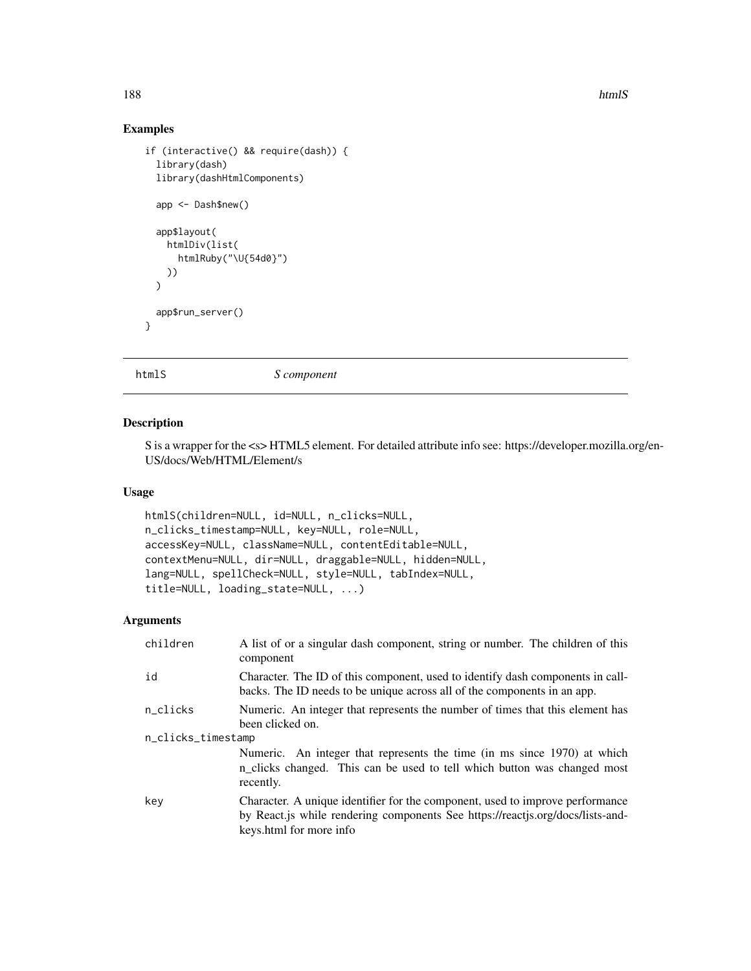188 htmlS

## Examples

```
if (interactive() && require(dash)) {
 library(dash)
 library(dashHtmlComponents)
 app <- Dash$new()
 app$layout(
   htmlDiv(list(
     htmlRuby("\U{54d0}")
   ))
 \lambdaapp$run_server()
}
```
htmlS *S component*

### Description

S is a wrapper for the <s> HTML5 element. For detailed attribute info see: https://developer.mozilla.org/en-US/docs/Web/HTML/Element/s

## Usage

```
htmlS(children=NULL, id=NULL, n_clicks=NULL,
n_clicks_timestamp=NULL, key=NULL, role=NULL,
accessKey=NULL, className=NULL, contentEditable=NULL,
contextMenu=NULL, dir=NULL, draggable=NULL, hidden=NULL,
lang=NULL, spellCheck=NULL, style=NULL, tabIndex=NULL,
title=NULL, loading_state=NULL, ...)
```

| children           | A list of or a singular dash component, string or number. The children of this<br>component                                                                                                |  |
|--------------------|--------------------------------------------------------------------------------------------------------------------------------------------------------------------------------------------|--|
| id                 | Character. The ID of this component, used to identify dash components in call-<br>backs. The ID needs to be unique across all of the components in an app.                                 |  |
| n_clicks           | Numeric. An integer that represents the number of times that this element has<br>been clicked on.                                                                                          |  |
| n_clicks_timestamp |                                                                                                                                                                                            |  |
|                    | Numeric. An integer that represents the time (in ms since 1970) at which<br>n_clicks changed. This can be used to tell which button was changed most<br>recently.                          |  |
| kev                | Character. A unique identifier for the component, used to improve performance<br>by React.js while rendering components See https://reactjs.org/docs/lists-and-<br>keys.html for more info |  |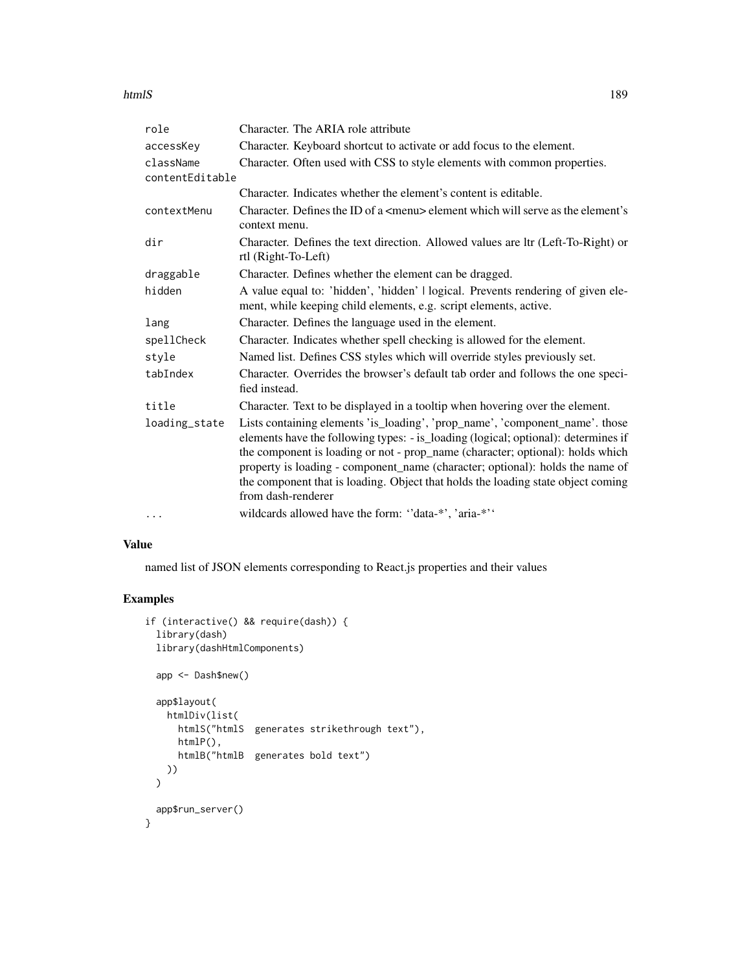#### htmlS and the set of the set of the set of the set of the set of the set of the set of the set of the set of the set of the set of the set of the set of the set of the set of the set of the set of the set of the set of the

| role                         | Character. The ARIA role attribute                                                                                                                                                                                                                                                                                                                                                                                                              |
|------------------------------|-------------------------------------------------------------------------------------------------------------------------------------------------------------------------------------------------------------------------------------------------------------------------------------------------------------------------------------------------------------------------------------------------------------------------------------------------|
| accessKey                    | Character. Keyboard shortcut to activate or add focus to the element.                                                                                                                                                                                                                                                                                                                                                                           |
| className<br>contentEditable | Character. Often used with CSS to style elements with common properties.                                                                                                                                                                                                                                                                                                                                                                        |
|                              | Character. Indicates whether the element's content is editable.                                                                                                                                                                                                                                                                                                                                                                                 |
| contextMenu                  | Character. Defines the ID of a <menu> element which will serve as the element's<br/>context menu.</menu>                                                                                                                                                                                                                                                                                                                                        |
| dir                          | Character. Defines the text direction. Allowed values are ltr (Left-To-Right) or<br>rtl (Right-To-Left)                                                                                                                                                                                                                                                                                                                                         |
| draggable                    | Character. Defines whether the element can be dragged.                                                                                                                                                                                                                                                                                                                                                                                          |
| hidden                       | A value equal to: 'hidden', 'hidden'   logical. Prevents rendering of given ele-<br>ment, while keeping child elements, e.g. script elements, active.                                                                                                                                                                                                                                                                                           |
| lang                         | Character. Defines the language used in the element.                                                                                                                                                                                                                                                                                                                                                                                            |
| spellCheck                   | Character. Indicates whether spell checking is allowed for the element.                                                                                                                                                                                                                                                                                                                                                                         |
| style                        | Named list. Defines CSS styles which will override styles previously set.                                                                                                                                                                                                                                                                                                                                                                       |
| tabIndex                     | Character. Overrides the browser's default tab order and follows the one speci-<br>fied instead.                                                                                                                                                                                                                                                                                                                                                |
| title                        | Character. Text to be displayed in a tooltip when hovering over the element.                                                                                                                                                                                                                                                                                                                                                                    |
| loading_state                | Lists containing elements 'is_loading', 'prop_name', 'component_name'. those<br>elements have the following types: - is_loading (logical; optional): determines if<br>the component is loading or not - prop_name (character; optional): holds which<br>property is loading - component_name (character; optional): holds the name of<br>the component that is loading. Object that holds the loading state object coming<br>from dash-renderer |
| $\cdots$                     | wildcards allowed have the form: "data-*', 'aria-*''                                                                                                                                                                                                                                                                                                                                                                                            |

### Value

named list of JSON elements corresponding to React.js properties and their values

## Examples

```
if (interactive() && require(dash)) {
 library(dash)
 library(dashHtmlComponents)
 app <- Dash$new()
 app$layout(
   htmlDiv(list(
     htmlS("htmlS generates strikethrough text"),
     htmlP(),
      htmlB("htmlB generates bold text")
   ))
 \mathcal{L}app$run_server()
}
```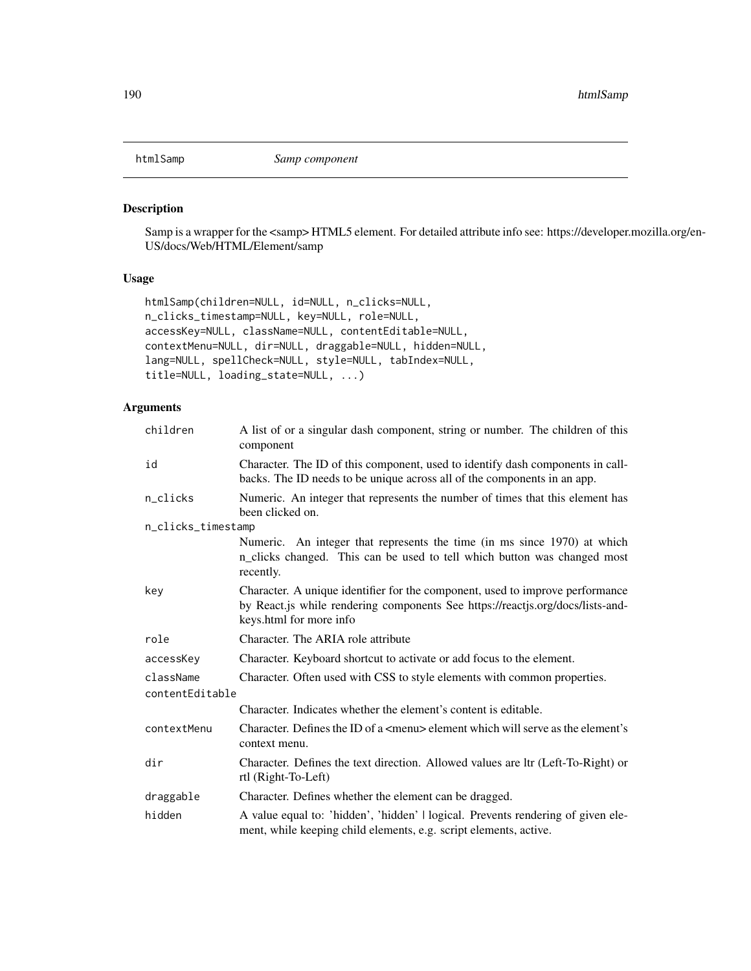### Description

Samp is a wrapper for the <samp> HTML5 element. For detailed attribute info see: https://developer.mozilla.org/en-US/docs/Web/HTML/Element/samp

## Usage

```
htmlSamp(children=NULL, id=NULL, n_clicks=NULL,
n_clicks_timestamp=NULL, key=NULL, role=NULL,
accessKey=NULL, className=NULL, contentEditable=NULL,
contextMenu=NULL, dir=NULL, draggable=NULL, hidden=NULL,
lang=NULL, spellCheck=NULL, style=NULL, tabIndex=NULL,
title=NULL, loading_state=NULL, ...)
```

| children           | A list of or a singular dash component, string or number. The children of this<br>component                                                                                                |  |
|--------------------|--------------------------------------------------------------------------------------------------------------------------------------------------------------------------------------------|--|
| id                 | Character. The ID of this component, used to identify dash components in call-<br>backs. The ID needs to be unique across all of the components in an app.                                 |  |
| n_clicks           | Numeric. An integer that represents the number of times that this element has<br>been clicked on.                                                                                          |  |
| n_clicks_timestamp |                                                                                                                                                                                            |  |
|                    | Numeric. An integer that represents the time (in ms since 1970) at which<br>n_clicks changed. This can be used to tell which button was changed most<br>recently.                          |  |
| key                | Character. A unique identifier for the component, used to improve performance<br>by React.js while rendering components See https://reactjs.org/docs/lists-and-<br>keys.html for more info |  |
| role               | Character. The ARIA role attribute                                                                                                                                                         |  |
| accessKey          | Character. Keyboard shortcut to activate or add focus to the element.                                                                                                                      |  |
| className          | Character. Often used with CSS to style elements with common properties.                                                                                                                   |  |
| contentEditable    |                                                                                                                                                                                            |  |
|                    | Character. Indicates whether the element's content is editable.                                                                                                                            |  |
| contextMenu        | Character. Defines the ID of a $\leq$ menu $\geq$ element which will serve as the element's<br>context menu.                                                                               |  |
| dir                | Character. Defines the text direction. Allowed values are ltr (Left-To-Right) or<br>rtl (Right-To-Left)                                                                                    |  |
| draggable          | Character. Defines whether the element can be dragged.                                                                                                                                     |  |
| hidden             | A value equal to: 'hidden', 'hidden'   logical. Prevents rendering of given ele-<br>ment, while keeping child elements, e.g. script elements, active.                                      |  |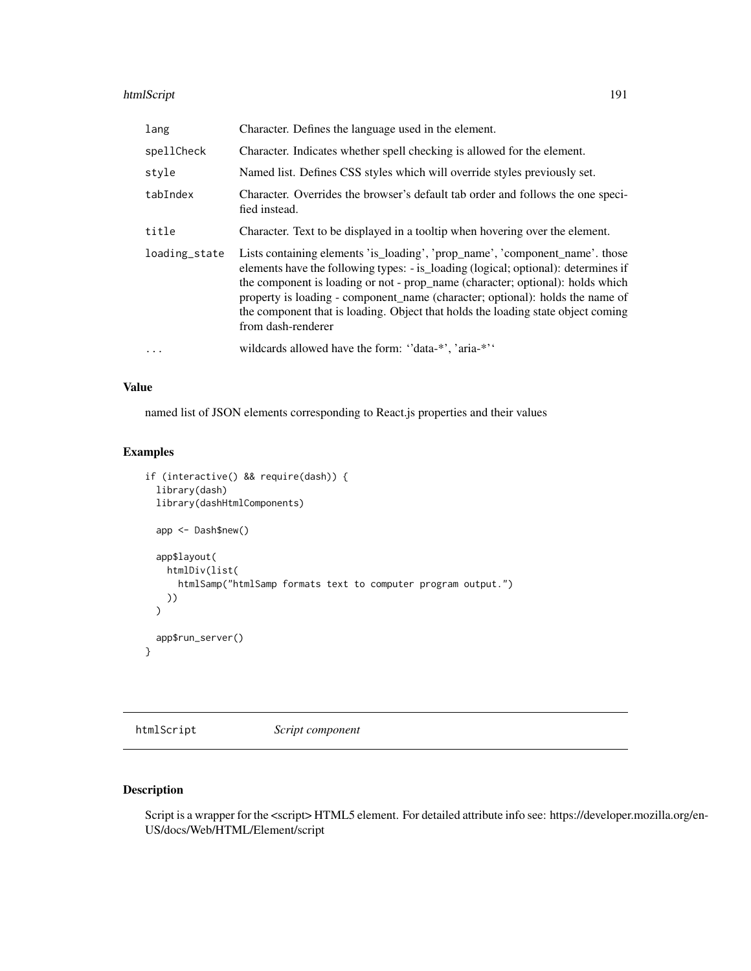## htmlScript 191

| lang          | Character. Defines the language used in the element.                                                                                                                                                                                                                                                                                                                                                                                            |
|---------------|-------------------------------------------------------------------------------------------------------------------------------------------------------------------------------------------------------------------------------------------------------------------------------------------------------------------------------------------------------------------------------------------------------------------------------------------------|
| spellCheck    | Character. Indicates whether spell checking is allowed for the element.                                                                                                                                                                                                                                                                                                                                                                         |
| style         | Named list. Defines CSS styles which will override styles previously set.                                                                                                                                                                                                                                                                                                                                                                       |
| tabIndex      | Character. Overrides the browser's default tab order and follows the one speci-<br>fied instead.                                                                                                                                                                                                                                                                                                                                                |
| title         | Character. Text to be displayed in a tooltip when hovering over the element.                                                                                                                                                                                                                                                                                                                                                                    |
| loading_state | Lists containing elements 'is_loading', 'prop_name', 'component_name'. those<br>elements have the following types: - is_loading (logical; optional): determines if<br>the component is loading or not - prop_name (character; optional): holds which<br>property is loading - component_name (character; optional): holds the name of<br>the component that is loading. Object that holds the loading state object coming<br>from dash-renderer |
| $\ddots$      | wildcards allowed have the form: "data-*', 'aria-*''                                                                                                                                                                                                                                                                                                                                                                                            |

### Value

named list of JSON elements corresponding to React.js properties and their values

# Examples

```
if (interactive() && require(dash)) {
 library(dash)
 library(dashHtmlComponents)
 app <- Dash$new()
 app$layout(
   htmlDiv(list(
      htmlSamp("htmlSamp formats text to computer program output.")
   ))
 \mathcal{L}app$run_server()
}
```
htmlScript *Script component*

# Description

Script is a wrapper for the <script> HTML5 element. For detailed attribute info see: https://developer.mozilla.org/en-US/docs/Web/HTML/Element/script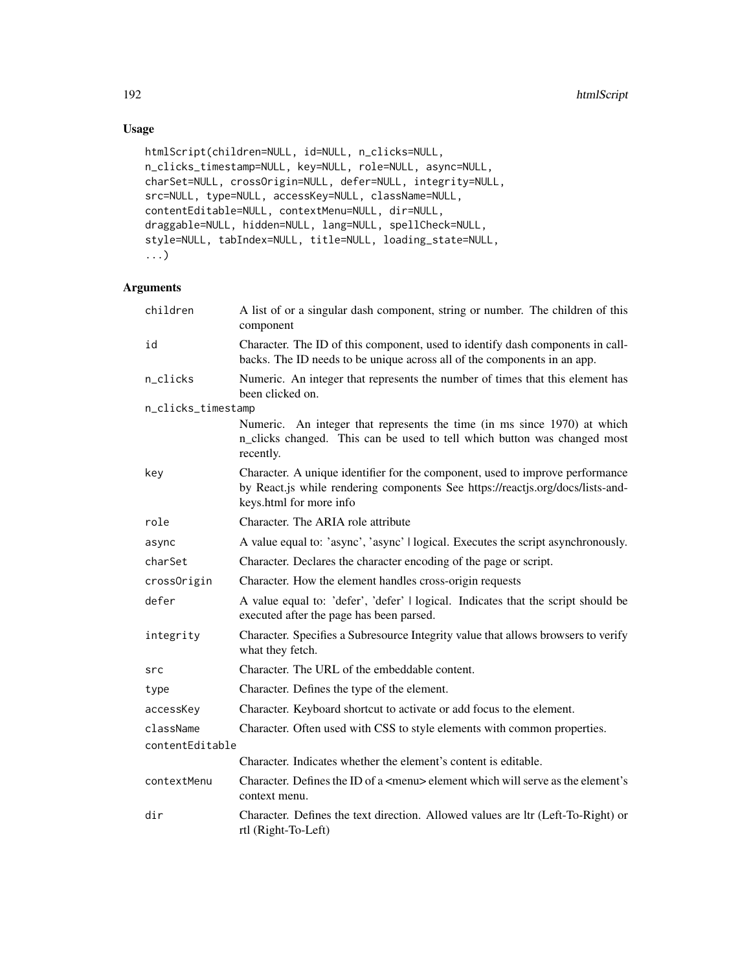# Usage

```
htmlScript(children=NULL, id=NULL, n_clicks=NULL,
n_clicks_timestamp=NULL, key=NULL, role=NULL, async=NULL,
charSet=NULL, crossOrigin=NULL, defer=NULL, integrity=NULL,
src=NULL, type=NULL, accessKey=NULL, className=NULL,
contentEditable=NULL, contextMenu=NULL, dir=NULL,
draggable=NULL, hidden=NULL, lang=NULL, spellCheck=NULL,
style=NULL, tabIndex=NULL, title=NULL, loading_state=NULL,
...)
```

| children           | A list of or a singular dash component, string or number. The children of this<br>component                                                                                                |
|--------------------|--------------------------------------------------------------------------------------------------------------------------------------------------------------------------------------------|
| id                 | Character. The ID of this component, used to identify dash components in call-<br>backs. The ID needs to be unique across all of the components in an app.                                 |
| n_clicks           | Numeric. An integer that represents the number of times that this element has<br>been clicked on.                                                                                          |
| n_clicks_timestamp |                                                                                                                                                                                            |
|                    | Numeric. An integer that represents the time (in ms since 1970) at which<br>n_clicks changed. This can be used to tell which button was changed most<br>recently.                          |
| key                | Character. A unique identifier for the component, used to improve performance<br>by React.js while rendering components See https://reactjs.org/docs/lists-and-<br>keys.html for more info |
| role               | Character. The ARIA role attribute                                                                                                                                                         |
| async              | A value equal to: 'async', 'async'   logical. Executes the script asynchronously.                                                                                                          |
| charSet            | Character. Declares the character encoding of the page or script.                                                                                                                          |
| crossOrigin        | Character. How the element handles cross-origin requests                                                                                                                                   |
| defer              | A value equal to: 'defer', 'defer'   logical. Indicates that the script should be<br>executed after the page has been parsed.                                                              |
| integrity          | Character. Specifies a Subresource Integrity value that allows browsers to verify<br>what they fetch.                                                                                      |
| src                | Character. The URL of the embeddable content.                                                                                                                                              |
| type               | Character. Defines the type of the element.                                                                                                                                                |
| accessKey          | Character. Keyboard shortcut to activate or add focus to the element.                                                                                                                      |
| className          | Character. Often used with CSS to style elements with common properties.                                                                                                                   |
| contentEditable    |                                                                                                                                                                                            |
|                    | Character. Indicates whether the element's content is editable.                                                                                                                            |
| contextMenu        | Character. Defines the ID of a $\leq$ menu> element which will serve as the element's<br>context menu.                                                                                     |
| dir                | Character. Defines the text direction. Allowed values are ltr (Left-To-Right) or<br>rtl (Right-To-Left)                                                                                    |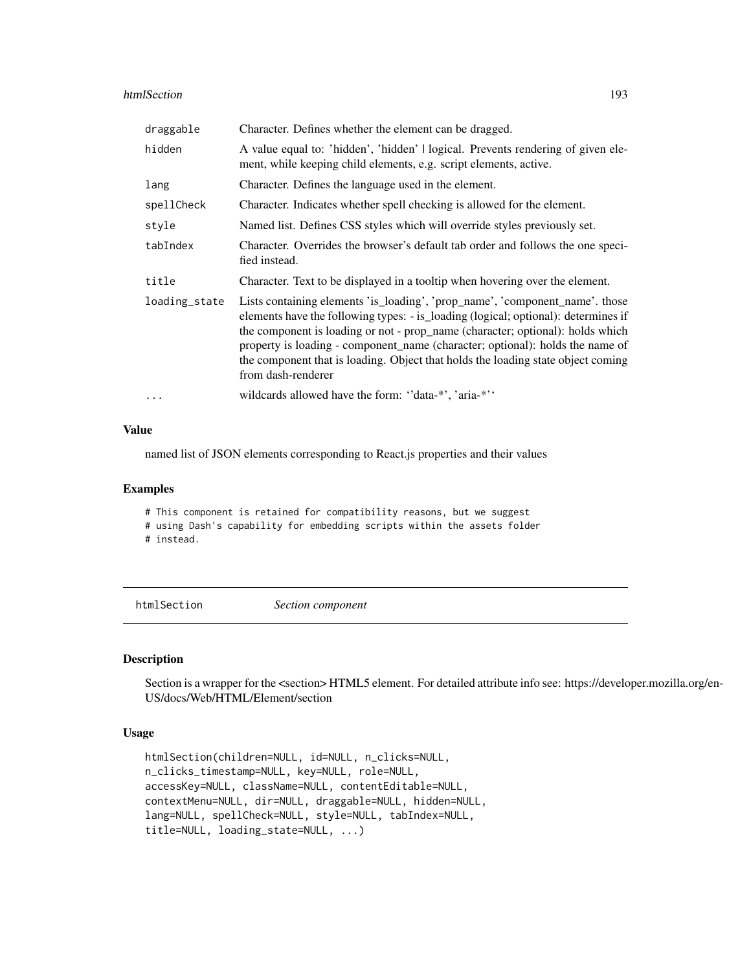#### htmlSection 193

| draggable     | Character. Defines whether the element can be dragged.                                                                                                                                                                                                                                                                                                                                                                                          |
|---------------|-------------------------------------------------------------------------------------------------------------------------------------------------------------------------------------------------------------------------------------------------------------------------------------------------------------------------------------------------------------------------------------------------------------------------------------------------|
| hidden        | A value equal to: 'hidden', 'hidden'   logical. Prevents rendering of given ele-<br>ment, while keeping child elements, e.g. script elements, active.                                                                                                                                                                                                                                                                                           |
| lang          | Character. Defines the language used in the element.                                                                                                                                                                                                                                                                                                                                                                                            |
| spellCheck    | Character. Indicates whether spell checking is allowed for the element.                                                                                                                                                                                                                                                                                                                                                                         |
| style         | Named list. Defines CSS styles which will override styles previously set.                                                                                                                                                                                                                                                                                                                                                                       |
| tabIndex      | Character. Overrides the browser's default tab order and follows the one speci-<br>fied instead.                                                                                                                                                                                                                                                                                                                                                |
| title         | Character. Text to be displayed in a tooltip when hovering over the element.                                                                                                                                                                                                                                                                                                                                                                    |
| loading_state | Lists containing elements 'is_loading', 'prop_name', 'component_name'. those<br>elements have the following types: - is_loading (logical; optional): determines if<br>the component is loading or not - prop_name (character; optional): holds which<br>property is loading - component_name (character; optional): holds the name of<br>the component that is loading. Object that holds the loading state object coming<br>from dash-renderer |
| .             | wildcards allowed have the form: "data-*", 'aria-*"                                                                                                                                                                                                                                                                                                                                                                                             |

#### Value

named list of JSON elements corresponding to React.js properties and their values

#### Examples

# This component is retained for compatibility reasons, but we suggest # using Dash's capability for embedding scripts within the assets folder # instead.

htmlSection *Section component*

## Description

Section is a wrapper for the <section> HTML5 element. For detailed attribute info see: https://developer.mozilla.org/en-US/docs/Web/HTML/Element/section

### Usage

```
htmlSection(children=NULL, id=NULL, n_clicks=NULL,
n_clicks_timestamp=NULL, key=NULL, role=NULL,
accessKey=NULL, className=NULL, contentEditable=NULL,
contextMenu=NULL, dir=NULL, draggable=NULL, hidden=NULL,
lang=NULL, spellCheck=NULL, style=NULL, tabIndex=NULL,
title=NULL, loading_state=NULL, ...)
```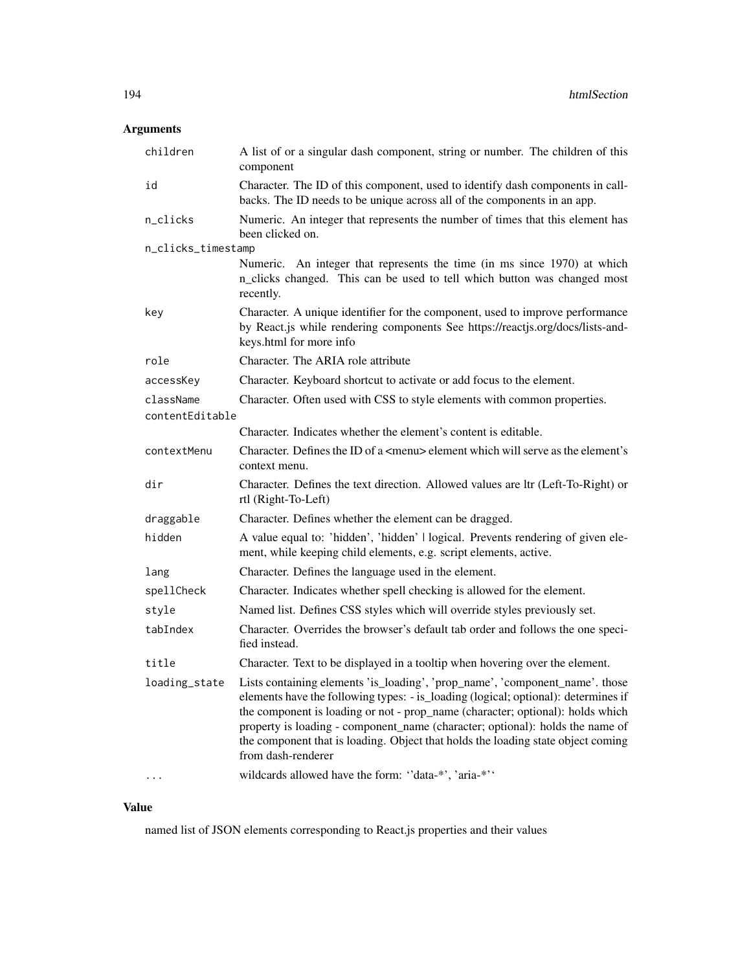# Arguments

| children           | A list of or a singular dash component, string or number. The children of this<br>component                                                                                                                                                                                                                                                                                                                                                     |
|--------------------|-------------------------------------------------------------------------------------------------------------------------------------------------------------------------------------------------------------------------------------------------------------------------------------------------------------------------------------------------------------------------------------------------------------------------------------------------|
| id                 | Character. The ID of this component, used to identify dash components in call-<br>backs. The ID needs to be unique across all of the components in an app.                                                                                                                                                                                                                                                                                      |
| n_clicks           | Numeric. An integer that represents the number of times that this element has<br>been clicked on.                                                                                                                                                                                                                                                                                                                                               |
| n_clicks_timestamp |                                                                                                                                                                                                                                                                                                                                                                                                                                                 |
|                    | Numeric. An integer that represents the time (in ms since 1970) at which<br>n_clicks changed. This can be used to tell which button was changed most<br>recently.                                                                                                                                                                                                                                                                               |
| key                | Character. A unique identifier for the component, used to improve performance<br>by React.js while rendering components See https://reactjs.org/docs/lists-and-<br>keys.html for more info                                                                                                                                                                                                                                                      |
| role               | Character. The ARIA role attribute                                                                                                                                                                                                                                                                                                                                                                                                              |
| accessKey          | Character. Keyboard shortcut to activate or add focus to the element.                                                                                                                                                                                                                                                                                                                                                                           |
| className          | Character. Often used with CSS to style elements with common properties.                                                                                                                                                                                                                                                                                                                                                                        |
| contentEditable    |                                                                                                                                                                                                                                                                                                                                                                                                                                                 |
|                    | Character. Indicates whether the element's content is editable.                                                                                                                                                                                                                                                                                                                                                                                 |
| contextMenu        | Character. Defines the ID of a <menu> element which will serve as the element's<br/>context menu.</menu>                                                                                                                                                                                                                                                                                                                                        |
| dir                | Character. Defines the text direction. Allowed values are ltr (Left-To-Right) or<br>rtl (Right-To-Left)                                                                                                                                                                                                                                                                                                                                         |
| draggable          | Character. Defines whether the element can be dragged.                                                                                                                                                                                                                                                                                                                                                                                          |
| hidden             | A value equal to: 'hidden', 'hidden'   logical. Prevents rendering of given ele-<br>ment, while keeping child elements, e.g. script elements, active.                                                                                                                                                                                                                                                                                           |
| lang               | Character. Defines the language used in the element.                                                                                                                                                                                                                                                                                                                                                                                            |
| spellCheck         | Character. Indicates whether spell checking is allowed for the element.                                                                                                                                                                                                                                                                                                                                                                         |
| style              | Named list. Defines CSS styles which will override styles previously set.                                                                                                                                                                                                                                                                                                                                                                       |
| tabIndex           | Character. Overrides the browser's default tab order and follows the one speci-<br>fied instead.                                                                                                                                                                                                                                                                                                                                                |
| title              | Character. Text to be displayed in a tooltip when hovering over the element.                                                                                                                                                                                                                                                                                                                                                                    |
| loading_state      | Lists containing elements 'is_loading', 'prop_name', 'component_name'. those<br>elements have the following types: - is_loading (logical; optional): determines if<br>the component is loading or not - prop_name (character; optional): holds which<br>property is loading - component_name (character; optional): holds the name of<br>the component that is loading. Object that holds the loading state object coming<br>from dash-renderer |
|                    | wildcards allowed have the form: "data-*', 'aria-*''                                                                                                                                                                                                                                                                                                                                                                                            |

# Value

named list of JSON elements corresponding to React.js properties and their values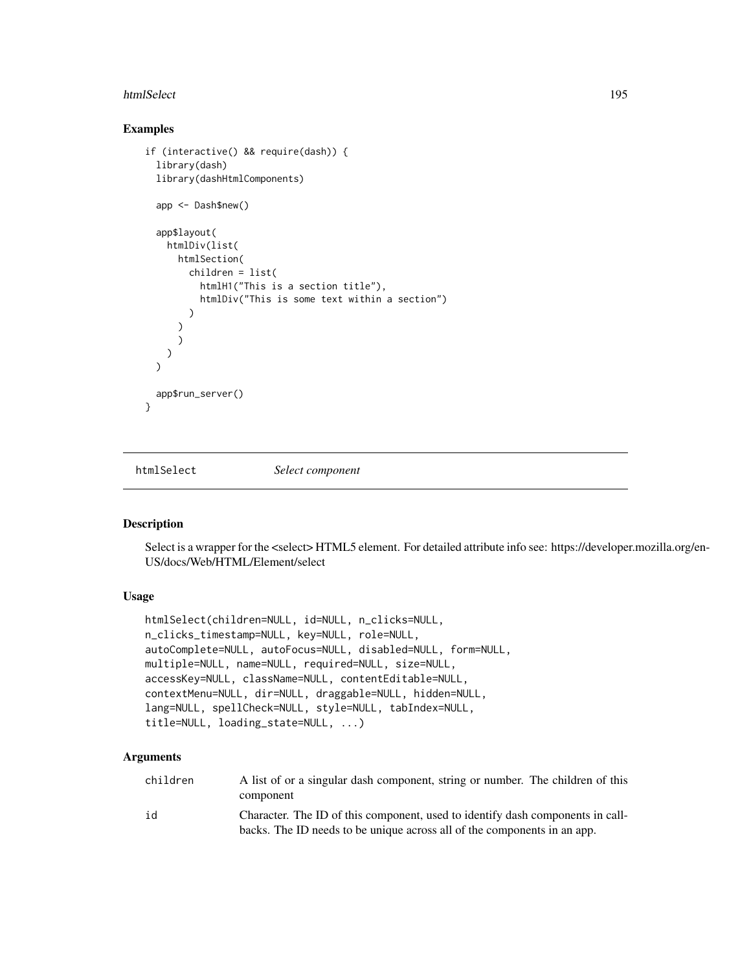#### htmlSelect 195

## Examples

```
if (interactive() && require(dash)) {
 library(dash)
 library(dashHtmlComponents)
 app <- Dash$new()
 app$layout(
   htmlDiv(list(
      htmlSection(
       children = list(
          htmlH1("This is a section title"),
          htmlDiv("This is some text within a section")
        )
      )
      \lambda)
 \lambdaapp$run_server()
}
```
htmlSelect *Select component*

### Description

Select is a wrapper for the <select> HTML5 element. For detailed attribute info see: https://developer.mozilla.org/en-US/docs/Web/HTML/Element/select

## Usage

```
htmlSelect(children=NULL, id=NULL, n_clicks=NULL,
n_clicks_timestamp=NULL, key=NULL, role=NULL,
autoComplete=NULL, autoFocus=NULL, disabled=NULL, form=NULL,
multiple=NULL, name=NULL, required=NULL, size=NULL,
accessKey=NULL, className=NULL, contentEditable=NULL,
contextMenu=NULL, dir=NULL, draggable=NULL, hidden=NULL,
lang=NULL, spellCheck=NULL, style=NULL, tabIndex=NULL,
title=NULL, loading_state=NULL, ...)
```

| children | A list of or a singular dash component, string or number. The children of this<br>component                                                                |
|----------|------------------------------------------------------------------------------------------------------------------------------------------------------------|
| id       | Character. The ID of this component, used to identify dash components in call-<br>backs. The ID needs to be unique across all of the components in an app. |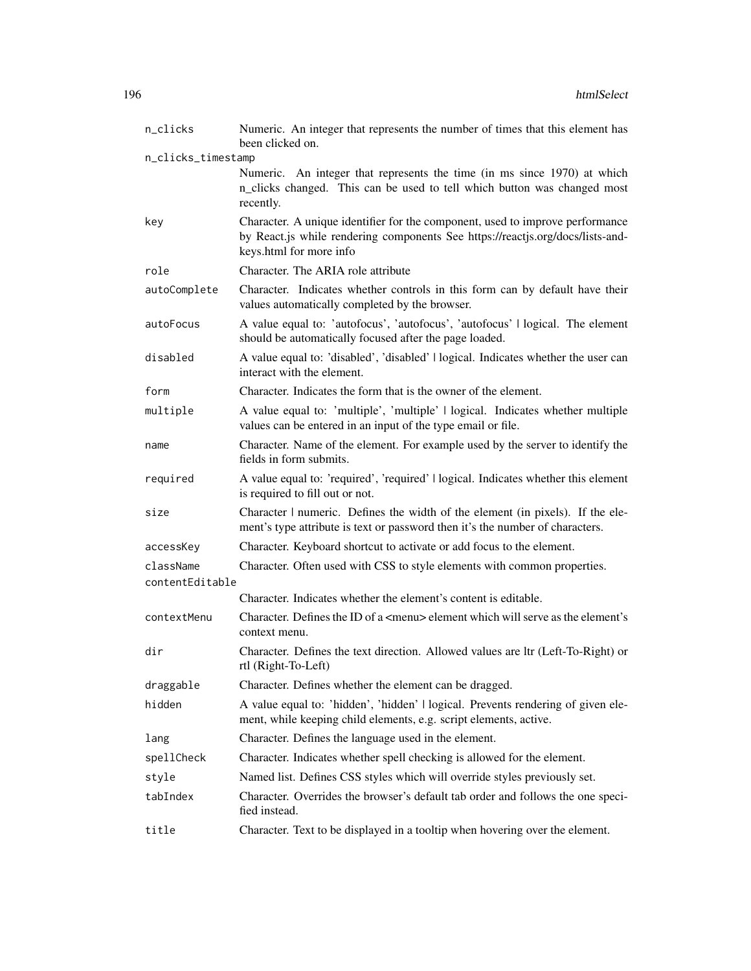| n_clicks           | Numeric. An integer that represents the number of times that this element has<br>been clicked on.                                                                                          |
|--------------------|--------------------------------------------------------------------------------------------------------------------------------------------------------------------------------------------|
| n_clicks_timestamp |                                                                                                                                                                                            |
|                    | Numeric. An integer that represents the time (in ms since 1970) at which<br>n_clicks changed. This can be used to tell which button was changed most<br>recently.                          |
| key                | Character. A unique identifier for the component, used to improve performance<br>by React.js while rendering components See https://reactjs.org/docs/lists-and-<br>keys.html for more info |
| role               | Character. The ARIA role attribute                                                                                                                                                         |
| autoComplete       | Character. Indicates whether controls in this form can by default have their<br>values automatically completed by the browser.                                                             |
| autoFocus          | A value equal to: 'autofocus', 'autofocus', 'autofocus'   logical. The element<br>should be automatically focused after the page loaded.                                                   |
| disabled           | A value equal to: 'disabled', 'disabled'   logical. Indicates whether the user can<br>interact with the element.                                                                           |
| form               | Character. Indicates the form that is the owner of the element.                                                                                                                            |
| multiple           | A value equal to: 'multiple', 'multiple'   logical. Indicates whether multiple<br>values can be entered in an input of the type email or file.                                             |
| name               | Character. Name of the element. For example used by the server to identify the<br>fields in form submits.                                                                                  |
| required           | A value equal to: 'required', 'required'   logical. Indicates whether this element<br>is required to fill out or not.                                                                      |
| size               | Character   numeric. Defines the width of the element (in pixels). If the ele-<br>ment's type attribute is text or password then it's the number of characters.                            |
| accessKey          | Character. Keyboard shortcut to activate or add focus to the element.                                                                                                                      |
| className          | Character. Often used with CSS to style elements with common properties.                                                                                                                   |
| contentEditable    |                                                                                                                                                                                            |
|                    | Character. Indicates whether the element's content is editable.                                                                                                                            |
| contextMenu        | Character. Defines the ID of a <menu> element which will serve as the element's<br/>context menu.</menu>                                                                                   |
| dir                | Character. Defines the text direction. Allowed values are ltr (Left-To-Right) or<br>rtl (Right-To-Left)                                                                                    |
| draggable          | Character. Defines whether the element can be dragged.                                                                                                                                     |
| hidden             | A value equal to: 'hidden', 'hidden'   logical. Prevents rendering of given ele-<br>ment, while keeping child elements, e.g. script elements, active.                                      |
| lang               | Character. Defines the language used in the element.                                                                                                                                       |
| spellCheck         | Character. Indicates whether spell checking is allowed for the element.                                                                                                                    |
| style              | Named list. Defines CSS styles which will override styles previously set.                                                                                                                  |
| tabIndex           | Character. Overrides the browser's default tab order and follows the one speci-<br>fied instead.                                                                                           |
| title              | Character. Text to be displayed in a tooltip when hovering over the element.                                                                                                               |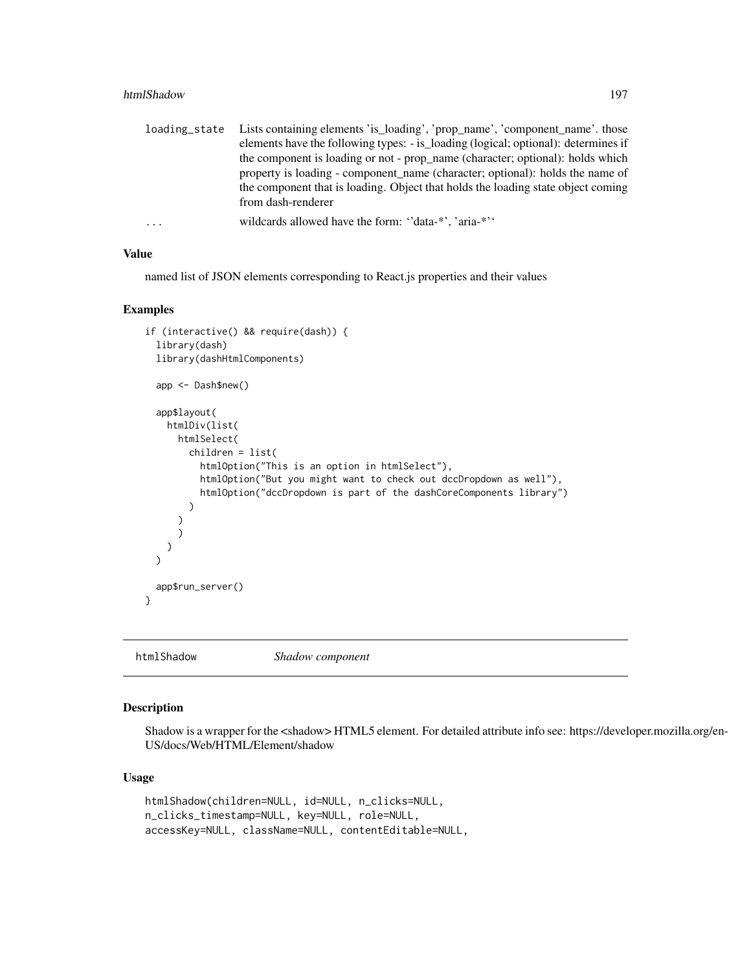#### htmlShadow 197

| loading_state | Lists containing elements 'is_loading', 'prop_name', 'component_name'. those       |
|---------------|------------------------------------------------------------------------------------|
|               | elements have the following types: - is_loading (logical; optional): determines if |
|               | the component is loading or not - prop_name (character; optional): holds which     |
|               | property is loading - component name (character; optional): holds the name of      |
|               | the component that is loading. Object that holds the loading state object coming   |
|               | from dash-renderer                                                                 |
| $\cdots$      | wildcards allowed have the form: "data-*", 'aria-*"                                |

#### Value

named list of JSON elements corresponding to React.js properties and their values

### Examples

```
if (interactive() && require(dash)) {
 library(dash)
 library(dashHtmlComponents)
 app <- Dash$new()
 app$layout(
   htmlDiv(list(
     htmlSelect(
       children = list(
          htmlOption("This is an option in htmlSelect"),
          htmlOption("But you might want to check out dccDropdown as well"),
          htmlOption("dccDropdown is part of the dashCoreComponents library")
       )
      )
     )
   )
 \lambdaapp$run_server()
}
```
htmlShadow *Shadow component*

# Description

Shadow is a wrapper for the <shadow> HTML5 element. For detailed attribute info see: https://developer.mozilla.org/en-US/docs/Web/HTML/Element/shadow

### Usage

```
htmlShadow(children=NULL, id=NULL, n_clicks=NULL,
n_clicks_timestamp=NULL, key=NULL, role=NULL,
accessKey=NULL, className=NULL, contentEditable=NULL,
```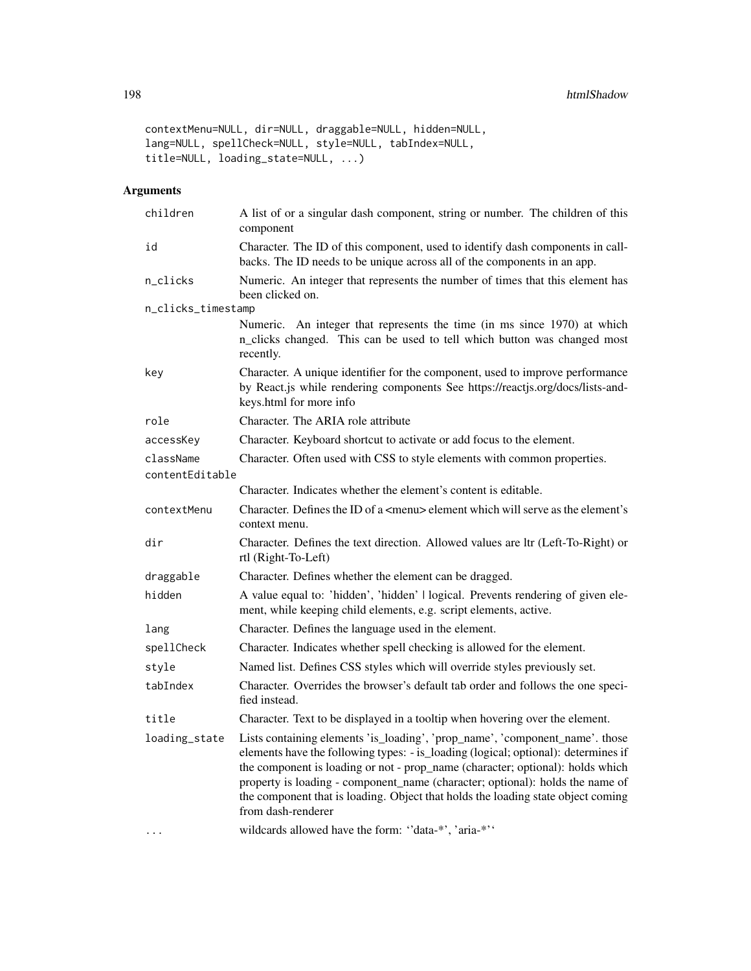```
contextMenu=NULL, dir=NULL, draggable=NULL, hidden=NULL,
lang=NULL, spellCheck=NULL, style=NULL, tabIndex=NULL,
title=NULL, loading_state=NULL, ...)
```

| children           | A list of or a singular dash component, string or number. The children of this<br>component                                                                                                                                                                                                                                                                                                                                                     |
|--------------------|-------------------------------------------------------------------------------------------------------------------------------------------------------------------------------------------------------------------------------------------------------------------------------------------------------------------------------------------------------------------------------------------------------------------------------------------------|
| id                 | Character. The ID of this component, used to identify dash components in call-<br>backs. The ID needs to be unique across all of the components in an app.                                                                                                                                                                                                                                                                                      |
| n_clicks           | Numeric. An integer that represents the number of times that this element has<br>been clicked on.                                                                                                                                                                                                                                                                                                                                               |
| n_clicks_timestamp |                                                                                                                                                                                                                                                                                                                                                                                                                                                 |
|                    | Numeric. An integer that represents the time (in ms since 1970) at which<br>n_clicks changed. This can be used to tell which button was changed most<br>recently.                                                                                                                                                                                                                                                                               |
| key                | Character. A unique identifier for the component, used to improve performance<br>by React.js while rendering components See https://reactjs.org/docs/lists-and-<br>keys.html for more info                                                                                                                                                                                                                                                      |
| role               | Character. The ARIA role attribute                                                                                                                                                                                                                                                                                                                                                                                                              |
| accessKey          | Character. Keyboard shortcut to activate or add focus to the element.                                                                                                                                                                                                                                                                                                                                                                           |
| className          | Character. Often used with CSS to style elements with common properties.                                                                                                                                                                                                                                                                                                                                                                        |
| contentEditable    |                                                                                                                                                                                                                                                                                                                                                                                                                                                 |
|                    | Character. Indicates whether the element's content is editable.                                                                                                                                                                                                                                                                                                                                                                                 |
| contextMenu        | Character. Defines the ID of a <menu> element which will serve as the element's<br/>context menu.</menu>                                                                                                                                                                                                                                                                                                                                        |
| dir                | Character. Defines the text direction. Allowed values are ltr (Left-To-Right) or<br>rtl (Right-To-Left)                                                                                                                                                                                                                                                                                                                                         |
| draggable          | Character. Defines whether the element can be dragged.                                                                                                                                                                                                                                                                                                                                                                                          |
| hidden             | A value equal to: 'hidden', 'hidden'   logical. Prevents rendering of given ele-<br>ment, while keeping child elements, e.g. script elements, active.                                                                                                                                                                                                                                                                                           |
| lang               | Character. Defines the language used in the element.                                                                                                                                                                                                                                                                                                                                                                                            |
| spellCheck         | Character. Indicates whether spell checking is allowed for the element.                                                                                                                                                                                                                                                                                                                                                                         |
| style              | Named list. Defines CSS styles which will override styles previously set.                                                                                                                                                                                                                                                                                                                                                                       |
| tabIndex           | Character. Overrides the browser's default tab order and follows the one speci-<br>fied instead.                                                                                                                                                                                                                                                                                                                                                |
| title              | Character. Text to be displayed in a tooltip when hovering over the element.                                                                                                                                                                                                                                                                                                                                                                    |
| loading_state      | Lists containing elements 'is_loading', 'prop_name', 'component_name'. those<br>elements have the following types: - is_loading (logical; optional): determines if<br>the component is loading or not - prop_name (character; optional): holds which<br>property is loading - component_name (character; optional): holds the name of<br>the component that is loading. Object that holds the loading state object coming<br>from dash-renderer |
|                    | wildcards allowed have the form: "data-*', 'aria-*''                                                                                                                                                                                                                                                                                                                                                                                            |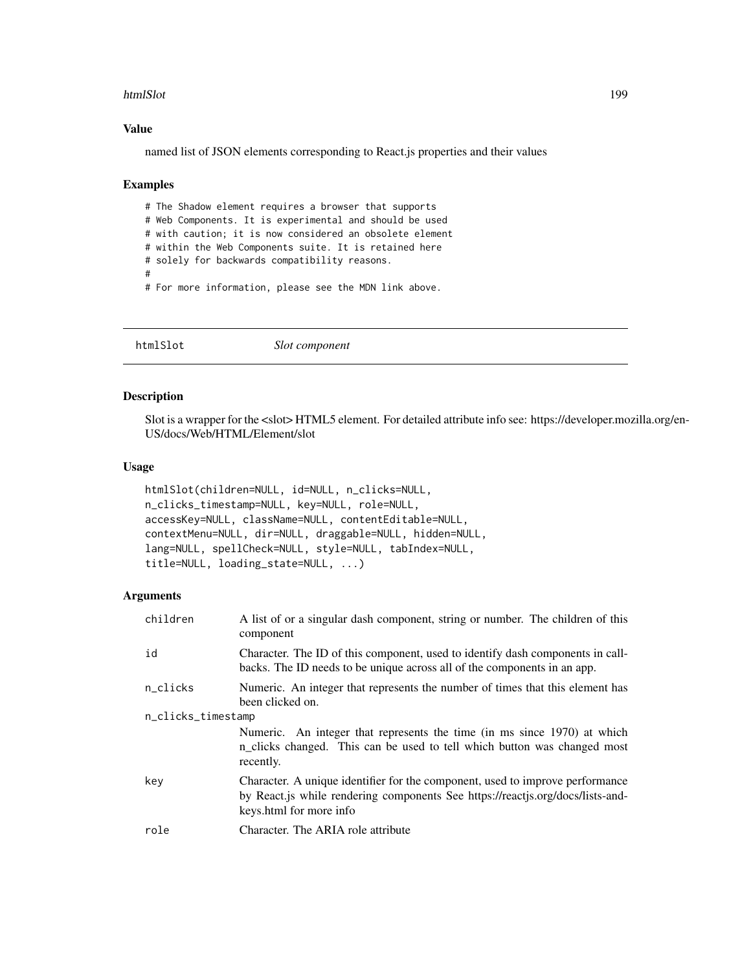#### htmlSlot 199

### Value

named list of JSON elements corresponding to React.js properties and their values

#### Examples

# The Shadow element requires a browser that supports # Web Components. It is experimental and should be used # with caution; it is now considered an obsolete element # within the Web Components suite. It is retained here # solely for backwards compatibility reasons. # # For more information, please see the MDN link above.

htmlSlot *Slot component*

# Description

Slot is a wrapper for the <slot> HTML5 element. For detailed attribute info see: https://developer.mozilla.org/en-US/docs/Web/HTML/Element/slot

## Usage

```
htmlSlot(children=NULL, id=NULL, n_clicks=NULL,
n_clicks_timestamp=NULL, key=NULL, role=NULL,
accessKey=NULL, className=NULL, contentEditable=NULL,
contextMenu=NULL, dir=NULL, draggable=NULL, hidden=NULL,
lang=NULL, spellCheck=NULL, style=NULL, tabIndex=NULL,
title=NULL, loading_state=NULL, ...)
```

| children           | A list of or a singular dash component, string or number. The children of this<br>component                                                                                                |  |
|--------------------|--------------------------------------------------------------------------------------------------------------------------------------------------------------------------------------------|--|
| id                 | Character. The ID of this component, used to identify dash components in call-<br>backs. The ID needs to be unique across all of the components in an app.                                 |  |
| n_clicks           | Numeric. An integer that represents the number of times that this element has<br>been clicked on.                                                                                          |  |
| n_clicks_timestamp |                                                                                                                                                                                            |  |
|                    | Numeric. An integer that represents the time (in ms since 1970) at which<br>n_clicks changed. This can be used to tell which button was changed most<br>recently.                          |  |
| key                | Character. A unique identifier for the component, used to improve performance<br>by React.js while rendering components See https://reactjs.org/docs/lists-and-<br>keys.html for more info |  |
| role               | Character. The ARIA role attribute                                                                                                                                                         |  |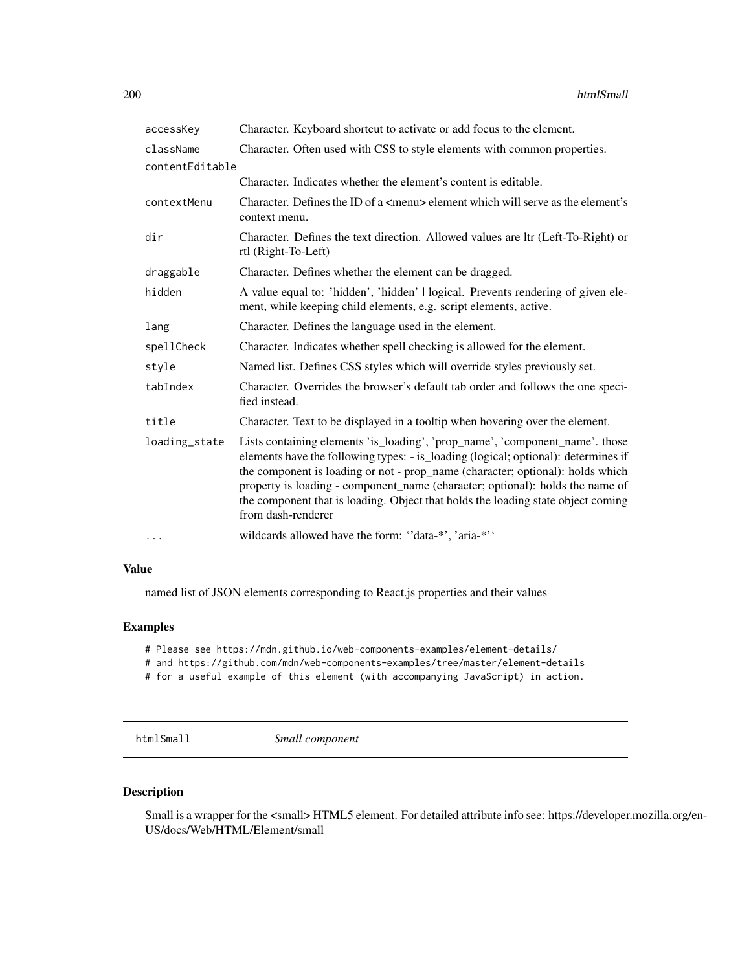| accessKey       | Character. Keyboard shortcut to activate or add focus to the element.                                                                                                                                                                                                                                                                                                                                                                           |
|-----------------|-------------------------------------------------------------------------------------------------------------------------------------------------------------------------------------------------------------------------------------------------------------------------------------------------------------------------------------------------------------------------------------------------------------------------------------------------|
| className       | Character. Often used with CSS to style elements with common properties.                                                                                                                                                                                                                                                                                                                                                                        |
| contentEditable |                                                                                                                                                                                                                                                                                                                                                                                                                                                 |
|                 | Character. Indicates whether the element's content is editable.                                                                                                                                                                                                                                                                                                                                                                                 |
| contextMenu     | Character. Defines the ID of a <menu> element which will serve as the element's<br/>context menu.</menu>                                                                                                                                                                                                                                                                                                                                        |
| dir             | Character. Defines the text direction. Allowed values are ltr (Left-To-Right) or<br>rtl (Right-To-Left)                                                                                                                                                                                                                                                                                                                                         |
| draggable       | Character. Defines whether the element can be dragged.                                                                                                                                                                                                                                                                                                                                                                                          |
| hidden          | A value equal to: 'hidden', 'hidden'   logical. Prevents rendering of given ele-<br>ment, while keeping child elements, e.g. script elements, active.                                                                                                                                                                                                                                                                                           |
| lang            | Character. Defines the language used in the element.                                                                                                                                                                                                                                                                                                                                                                                            |
| spellCheck      | Character. Indicates whether spell checking is allowed for the element.                                                                                                                                                                                                                                                                                                                                                                         |
| style           | Named list. Defines CSS styles which will override styles previously set.                                                                                                                                                                                                                                                                                                                                                                       |
| tabIndex        | Character. Overrides the browser's default tab order and follows the one speci-<br>fied instead.                                                                                                                                                                                                                                                                                                                                                |
| title           | Character. Text to be displayed in a tooltip when hovering over the element.                                                                                                                                                                                                                                                                                                                                                                    |
| loading_state   | Lists containing elements 'is_loading', 'prop_name', 'component_name'. those<br>elements have the following types: - is_loading (logical; optional): determines if<br>the component is loading or not - prop_name (character; optional): holds which<br>property is loading - component_name (character; optional): holds the name of<br>the component that is loading. Object that holds the loading state object coming<br>from dash-renderer |
| $\cdots$        | wildcards allowed have the form: "data-*', 'aria-*''                                                                                                                                                                                                                                                                                                                                                                                            |

named list of JSON elements corresponding to React.js properties and their values

# Examples

```
# Please see https://mdn.github.io/web-components-examples/element-details/
```

```
# and https://github.com/mdn/web-components-examples/tree/master/element-details
```
# for a useful example of this element (with accompanying JavaScript) in action.

htmlSmall *Small component*

## Description

Small is a wrapper for the <small>HTML5 element. For detailed attribute info see: https://developer.mozilla.org/en-US/docs/Web/HTML/Element/small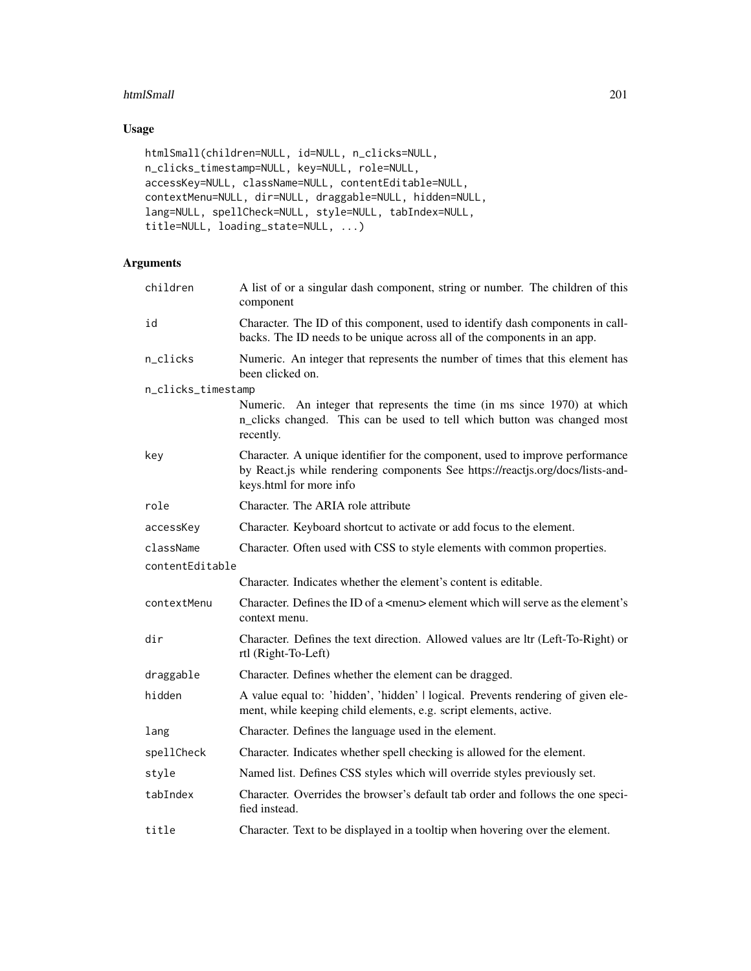### htmlSmall 201

# Usage

```
htmlSmall(children=NULL, id=NULL, n_clicks=NULL,
n_clicks_timestamp=NULL, key=NULL, role=NULL,
accessKey=NULL, className=NULL, contentEditable=NULL,
contextMenu=NULL, dir=NULL, draggable=NULL, hidden=NULL,
lang=NULL, spellCheck=NULL, style=NULL, tabIndex=NULL,
title=NULL, loading_state=NULL, ...)
```

| children           | A list of or a singular dash component, string or number. The children of this<br>component                                                                                                |
|--------------------|--------------------------------------------------------------------------------------------------------------------------------------------------------------------------------------------|
| id                 | Character. The ID of this component, used to identify dash components in call-<br>backs. The ID needs to be unique across all of the components in an app.                                 |
| n_clicks           | Numeric. An integer that represents the number of times that this element has<br>been clicked on.                                                                                          |
| n_clicks_timestamp |                                                                                                                                                                                            |
|                    | Numeric. An integer that represents the time (in ms since 1970) at which<br>n_clicks changed. This can be used to tell which button was changed most<br>recently.                          |
| key                | Character. A unique identifier for the component, used to improve performance<br>by React.js while rendering components See https://reactjs.org/docs/lists-and-<br>keys.html for more info |
| role               | Character. The ARIA role attribute                                                                                                                                                         |
| accessKey          | Character. Keyboard shortcut to activate or add focus to the element.                                                                                                                      |
| className          | Character. Often used with CSS to style elements with common properties.                                                                                                                   |
| contentEditable    |                                                                                                                                                                                            |
|                    | Character. Indicates whether the element's content is editable.                                                                                                                            |
| contextMenu        | Character. Defines the ID of a <menu> element which will serve as the element's<br/>context menu.</menu>                                                                                   |
| dir                | Character. Defines the text direction. Allowed values are ltr (Left-To-Right) or<br>rtl (Right-To-Left)                                                                                    |
| draggable          | Character. Defines whether the element can be dragged.                                                                                                                                     |
| hidden             | A value equal to: 'hidden', 'hidden'   logical. Prevents rendering of given ele-<br>ment, while keeping child elements, e.g. script elements, active.                                      |
| lang               | Character. Defines the language used in the element.                                                                                                                                       |
| spellCheck         | Character. Indicates whether spell checking is allowed for the element.                                                                                                                    |
| style              | Named list. Defines CSS styles which will override styles previously set.                                                                                                                  |
| tabIndex           | Character. Overrides the browser's default tab order and follows the one speci-<br>fied instead.                                                                                           |
| title              | Character. Text to be displayed in a tooltip when hovering over the element.                                                                                                               |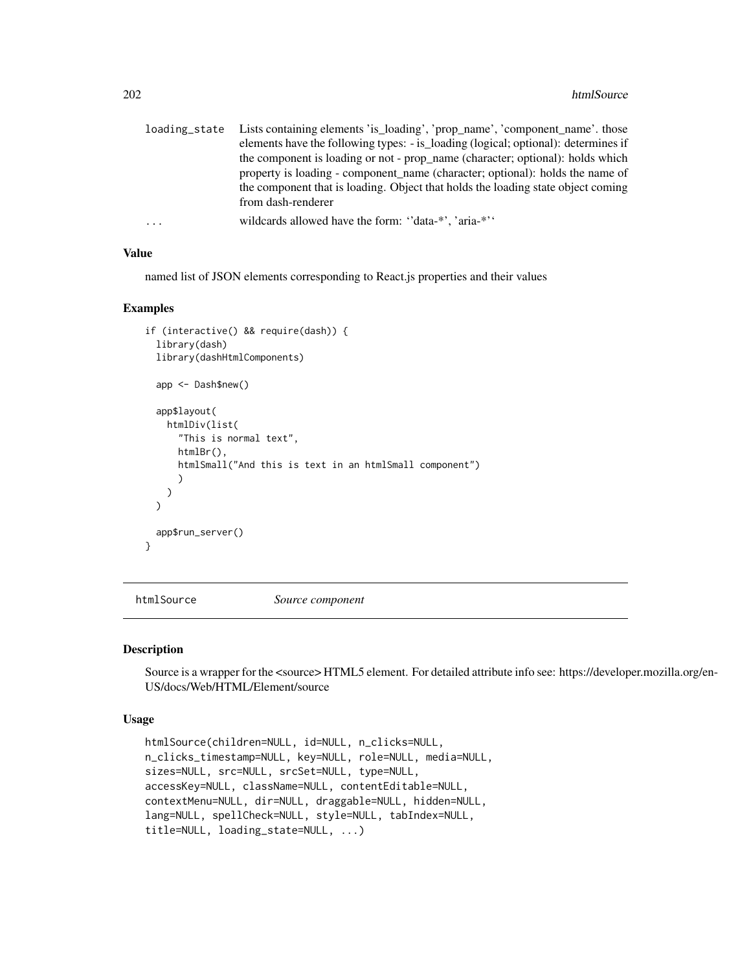|   | loading_state Lists containing elements 'is_loading', 'prop_name', 'component_name'. those |
|---|--------------------------------------------------------------------------------------------|
|   | elements have the following types: - is_loading (logical; optional): determines if         |
|   | the component is loading or not - prop_name (character; optional): holds which             |
|   | property is loading - component name (character; optional): holds the name of              |
|   | the component that is loading. Object that holds the loading state object coming           |
|   | from dash-renderer                                                                         |
| . | wildcards allowed have the form: "data-*", 'aria-*"                                        |

named list of JSON elements corresponding to React.js properties and their values

### Examples

```
if (interactive() && require(dash)) {
 library(dash)
 library(dashHtmlComponents)
 app <- Dash$new()
 app$layout(
   htmlDiv(list(
      "This is normal text",
     htmlBr(),
     htmlSmall("And this is text in an htmlSmall component")
      )
   )
 \lambdaapp$run_server()
}
```
htmlSource *Source component*

#### Description

Source is a wrapper for the <source> HTML5 element. For detailed attribute info see: https://developer.mozilla.org/en-US/docs/Web/HTML/Element/source

#### Usage

```
htmlSource(children=NULL, id=NULL, n_clicks=NULL,
n_clicks_timestamp=NULL, key=NULL, role=NULL, media=NULL,
sizes=NULL, src=NULL, srcSet=NULL, type=NULL,
accessKey=NULL, className=NULL, contentEditable=NULL,
contextMenu=NULL, dir=NULL, draggable=NULL, hidden=NULL,
lang=NULL, spellCheck=NULL, style=NULL, tabIndex=NULL,
title=NULL, loading_state=NULL, ...)
```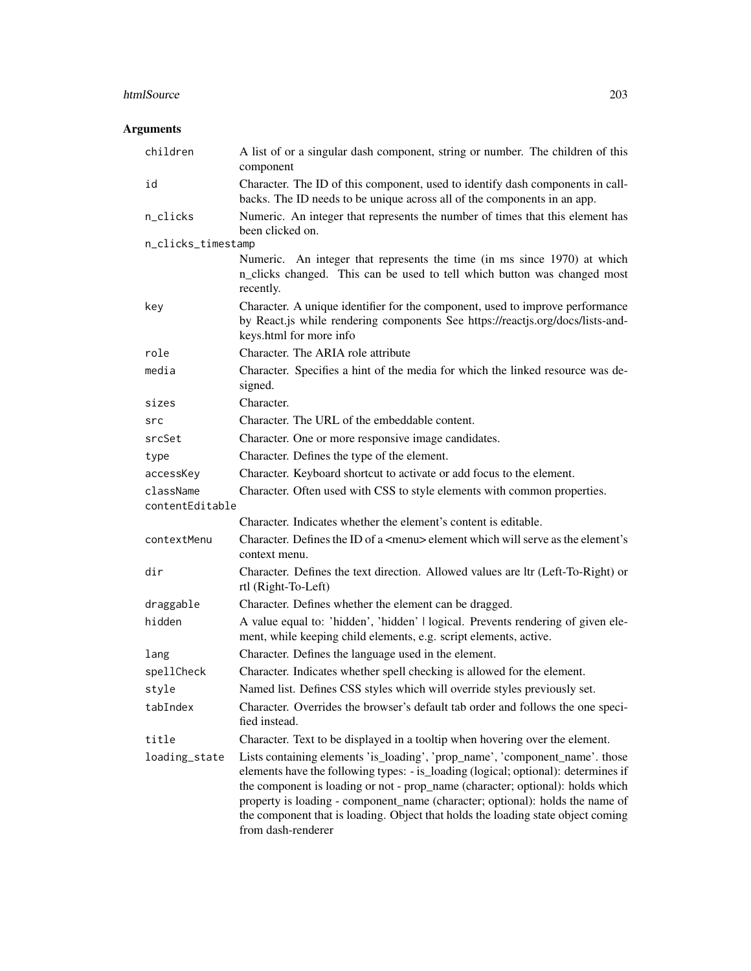# htmlSource 203

| children                     | A list of or a singular dash component, string or number. The children of this<br>component                                                                                                                                                                                                                                                                                                                                                     |
|------------------------------|-------------------------------------------------------------------------------------------------------------------------------------------------------------------------------------------------------------------------------------------------------------------------------------------------------------------------------------------------------------------------------------------------------------------------------------------------|
| id                           | Character. The ID of this component, used to identify dash components in call-<br>backs. The ID needs to be unique across all of the components in an app.                                                                                                                                                                                                                                                                                      |
| n_clicks                     | Numeric. An integer that represents the number of times that this element has<br>been clicked on.                                                                                                                                                                                                                                                                                                                                               |
| n_clicks_timestamp           |                                                                                                                                                                                                                                                                                                                                                                                                                                                 |
|                              | Numeric. An integer that represents the time (in ms since 1970) at which<br>n_clicks changed. This can be used to tell which button was changed most<br>recently.                                                                                                                                                                                                                                                                               |
| key                          | Character. A unique identifier for the component, used to improve performance<br>by React.js while rendering components See https://reactjs.org/docs/lists-and-<br>keys.html for more info                                                                                                                                                                                                                                                      |
| role                         | Character. The ARIA role attribute                                                                                                                                                                                                                                                                                                                                                                                                              |
| media                        | Character. Specifies a hint of the media for which the linked resource was de-<br>signed.                                                                                                                                                                                                                                                                                                                                                       |
| sizes                        | Character.                                                                                                                                                                                                                                                                                                                                                                                                                                      |
| src                          | Character. The URL of the embeddable content.                                                                                                                                                                                                                                                                                                                                                                                                   |
| srcSet                       | Character. One or more responsive image candidates.                                                                                                                                                                                                                                                                                                                                                                                             |
| type                         | Character. Defines the type of the element.                                                                                                                                                                                                                                                                                                                                                                                                     |
| accessKey                    | Character. Keyboard shortcut to activate or add focus to the element.                                                                                                                                                                                                                                                                                                                                                                           |
| className<br>contentEditable | Character. Often used with CSS to style elements with common properties.                                                                                                                                                                                                                                                                                                                                                                        |
|                              | Character. Indicates whether the element's content is editable.                                                                                                                                                                                                                                                                                                                                                                                 |
| contextMenu                  | Character. Defines the ID of a <menu> element which will serve as the element's<br/>context menu.</menu>                                                                                                                                                                                                                                                                                                                                        |
| dir                          | Character. Defines the text direction. Allowed values are ltr (Left-To-Right) or<br>rtl (Right-To-Left)                                                                                                                                                                                                                                                                                                                                         |
| draggable                    | Character. Defines whether the element can be dragged.                                                                                                                                                                                                                                                                                                                                                                                          |
| hidden                       | A value equal to: 'hidden', 'hidden'   logical. Prevents rendering of given ele-<br>ment, while keeping child elements, e.g. script elements, active.                                                                                                                                                                                                                                                                                           |
| lang                         | Character. Defines the language used in the element.                                                                                                                                                                                                                                                                                                                                                                                            |
| spellCheck                   | Character. Indicates whether spell checking is allowed for the element.                                                                                                                                                                                                                                                                                                                                                                         |
| style                        | Named list. Defines CSS styles which will override styles previously set.                                                                                                                                                                                                                                                                                                                                                                       |
| tabIndex                     | Character. Overrides the browser's default tab order and follows the one speci-<br>fied instead.                                                                                                                                                                                                                                                                                                                                                |
| title                        | Character. Text to be displayed in a tooltip when hovering over the element.                                                                                                                                                                                                                                                                                                                                                                    |
| loading_state                | Lists containing elements 'is_loading', 'prop_name', 'component_name'. those<br>elements have the following types: - is_loading (logical; optional): determines if<br>the component is loading or not - prop_name (character; optional): holds which<br>property is loading - component_name (character; optional): holds the name of<br>the component that is loading. Object that holds the loading state object coming<br>from dash-renderer |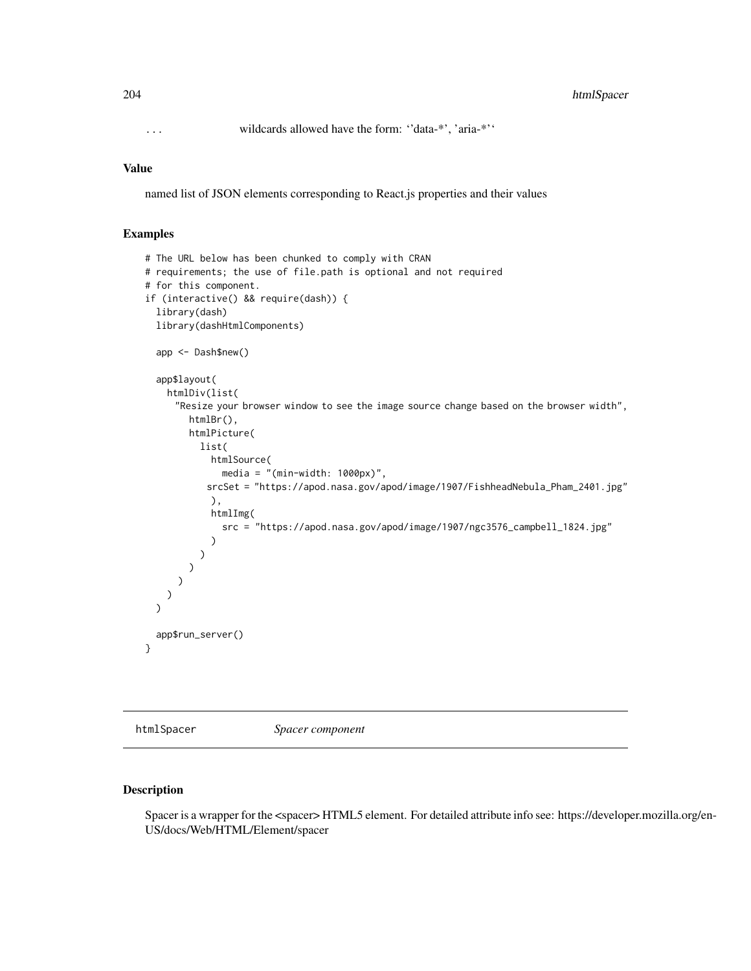... wildcards allowed have the form: ''data-\*', 'aria-\*''

### Value

named list of JSON elements corresponding to React.js properties and their values

### Examples

```
# The URL below has been chunked to comply with CRAN
# requirements; the use of file.path is optional and not required
# for this component.
if (interactive() && require(dash)) {
  library(dash)
  library(dashHtmlComponents)
  app <- Dash$new()
  app$layout(
   htmlDiv(list(
     "Resize your browser window to see the image source change based on the browser width",
        htmlBr(),
        htmlPicture(
          list(
            htmlSource(
              media = "(min-width: 1000px)",
           srcSet = "https://apod.nasa.gov/apod/image/1907/FishheadNebula_Pham_2401.jpg"
            ),
            htmlImg(
              src = "https://apod.nasa.gov/apod/image/1907/ngc3576_campbell_1824.jpg"
            )
         )
       )
     )
   )
  )
  app$run_server()
}
```
htmlSpacer *Spacer component*

### Description

Spacer is a wrapper for the <spacer> HTML5 element. For detailed attribute info see: https://developer.mozilla.org/en-US/docs/Web/HTML/Element/spacer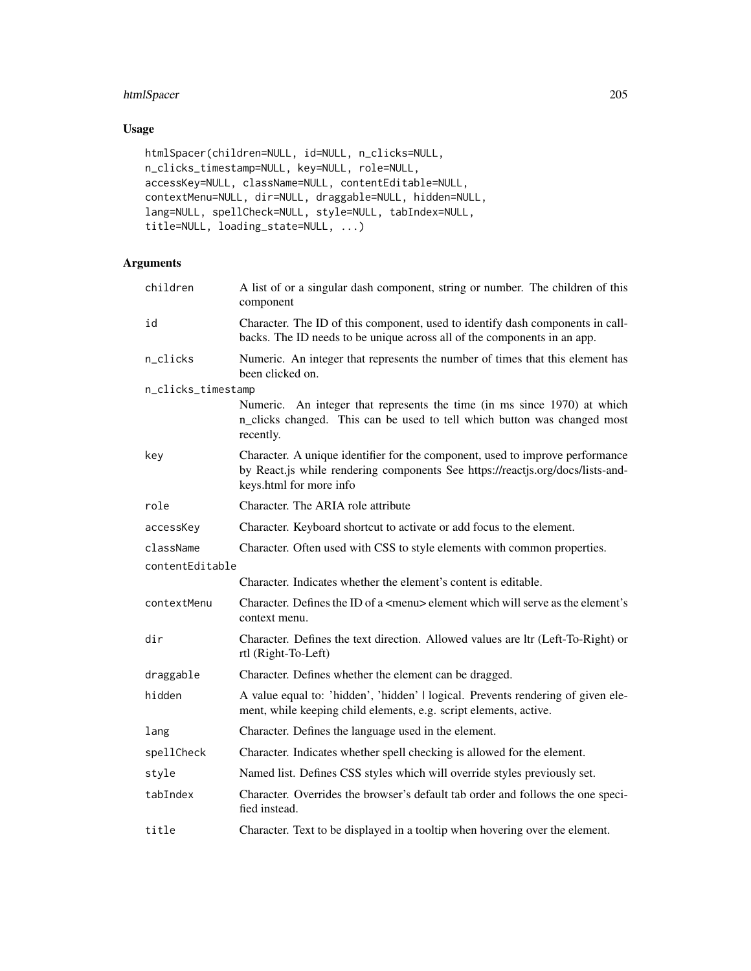# htmlSpacer 205

# Usage

```
htmlSpacer(children=NULL, id=NULL, n_clicks=NULL,
n_clicks_timestamp=NULL, key=NULL, role=NULL,
accessKey=NULL, className=NULL, contentEditable=NULL,
contextMenu=NULL, dir=NULL, draggable=NULL, hidden=NULL,
lang=NULL, spellCheck=NULL, style=NULL, tabIndex=NULL,
title=NULL, loading_state=NULL, ...)
```

| children           | A list of or a singular dash component, string or number. The children of this<br>component                                                                                                |
|--------------------|--------------------------------------------------------------------------------------------------------------------------------------------------------------------------------------------|
| id                 | Character. The ID of this component, used to identify dash components in call-<br>backs. The ID needs to be unique across all of the components in an app.                                 |
| n_clicks           | Numeric. An integer that represents the number of times that this element has<br>been clicked on.                                                                                          |
| n_clicks_timestamp |                                                                                                                                                                                            |
|                    | Numeric. An integer that represents the time (in ms since 1970) at which<br>n_clicks changed. This can be used to tell which button was changed most<br>recently.                          |
| key                | Character. A unique identifier for the component, used to improve performance<br>by React.js while rendering components See https://reactjs.org/docs/lists-and-<br>keys.html for more info |
| role               | Character. The ARIA role attribute                                                                                                                                                         |
| accessKey          | Character. Keyboard shortcut to activate or add focus to the element.                                                                                                                      |
| className          | Character. Often used with CSS to style elements with common properties.                                                                                                                   |
| contentEditable    |                                                                                                                                                                                            |
|                    | Character. Indicates whether the element's content is editable.                                                                                                                            |
| contextMenu        | Character. Defines the ID of a <menu> element which will serve as the element's<br/>context menu.</menu>                                                                                   |
| dir                | Character. Defines the text direction. Allowed values are ltr (Left-To-Right) or<br>rtl (Right-To-Left)                                                                                    |
| draggable          | Character. Defines whether the element can be dragged.                                                                                                                                     |
| hidden             | A value equal to: 'hidden', 'hidden'   logical. Prevents rendering of given ele-<br>ment, while keeping child elements, e.g. script elements, active.                                      |
| lang               | Character. Defines the language used in the element.                                                                                                                                       |
| spellCheck         | Character. Indicates whether spell checking is allowed for the element.                                                                                                                    |
| style              | Named list. Defines CSS styles which will override styles previously set.                                                                                                                  |
| tabIndex           | Character. Overrides the browser's default tab order and follows the one speci-<br>fied instead.                                                                                           |
| title              | Character. Text to be displayed in a tooltip when hovering over the element.                                                                                                               |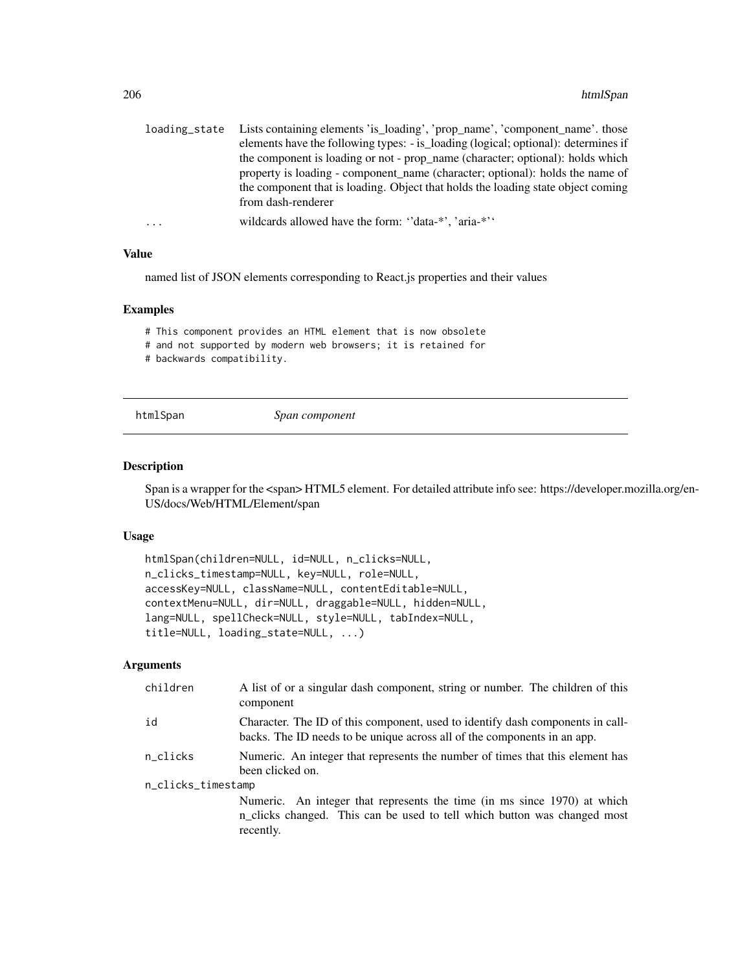| loading state | Lists containing elements 'is_loading', 'prop_name', 'component_name'. those       |
|---------------|------------------------------------------------------------------------------------|
|               | elements have the following types: - is_loading (logical; optional): determines if |
|               | the component is loading or not - prop_name (character; optional): holds which     |
|               | property is loading - component name (character; optional): holds the name of      |
|               | the component that is loading. Object that holds the loading state object coming   |
|               | from dash-renderer                                                                 |
| $\cdots$      | wildcards allowed have the form: "data-*", 'aria-*"                                |

named list of JSON elements corresponding to React.js properties and their values

#### Examples

# This component provides an HTML element that is now obsolete

# and not supported by modern web browsers; it is retained for

# backwards compatibility.

htmlSpan *Span component*

# Description

Span is a wrapper for the <span> HTML5 element. For detailed attribute info see: https://developer.mozilla.org/en-US/docs/Web/HTML/Element/span

#### Usage

```
htmlSpan(children=NULL, id=NULL, n_clicks=NULL,
n_clicks_timestamp=NULL, key=NULL, role=NULL,
accessKey=NULL, className=NULL, contentEditable=NULL,
contextMenu=NULL, dir=NULL, draggable=NULL, hidden=NULL,
lang=NULL, spellCheck=NULL, style=NULL, tabIndex=NULL,
title=NULL, loading_state=NULL, ...)
```

| children           | A list of or a singular dash component, string or number. The children of this<br>component                                                                       |  |
|--------------------|-------------------------------------------------------------------------------------------------------------------------------------------------------------------|--|
| id                 | Character. The ID of this component, used to identify dash components in call-<br>backs. The ID needs to be unique across all of the components in an app.        |  |
| n_clicks           | Numeric. An integer that represents the number of times that this element has<br>been clicked on.                                                                 |  |
| n_clicks_timestamp |                                                                                                                                                                   |  |
|                    | Numeric. An integer that represents the time (in ms since 1970) at which<br>n_clicks changed. This can be used to tell which button was changed most<br>recently. |  |
|                    |                                                                                                                                                                   |  |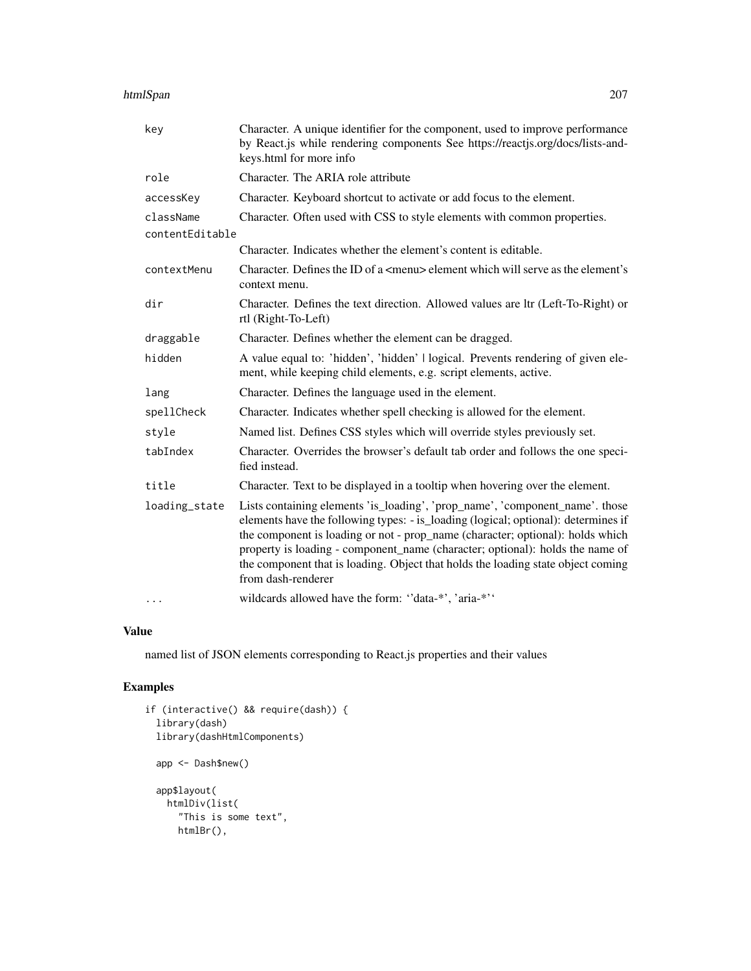### htmlSpan 207

| key             | Character. A unique identifier for the component, used to improve performance<br>by React.js while rendering components See https://reactjs.org/docs/lists-and-<br>keys.html for more info                                                                                                                                                                                                                                                      |
|-----------------|-------------------------------------------------------------------------------------------------------------------------------------------------------------------------------------------------------------------------------------------------------------------------------------------------------------------------------------------------------------------------------------------------------------------------------------------------|
| role            | Character. The ARIA role attribute                                                                                                                                                                                                                                                                                                                                                                                                              |
| accessKey       | Character. Keyboard shortcut to activate or add focus to the element.                                                                                                                                                                                                                                                                                                                                                                           |
| className       | Character. Often used with CSS to style elements with common properties.                                                                                                                                                                                                                                                                                                                                                                        |
| contentEditable |                                                                                                                                                                                                                                                                                                                                                                                                                                                 |
|                 | Character. Indicates whether the element's content is editable.                                                                                                                                                                                                                                                                                                                                                                                 |
| contextMenu     | Character. Defines the ID of a <menu> element which will serve as the element's<br/>context menu.</menu>                                                                                                                                                                                                                                                                                                                                        |
| dir             | Character. Defines the text direction. Allowed values are ltr (Left-To-Right) or<br>rtl (Right-To-Left)                                                                                                                                                                                                                                                                                                                                         |
| draggable       | Character. Defines whether the element can be dragged.                                                                                                                                                                                                                                                                                                                                                                                          |
| hidden          | A value equal to: 'hidden', 'hidden'   logical. Prevents rendering of given ele-<br>ment, while keeping child elements, e.g. script elements, active.                                                                                                                                                                                                                                                                                           |
| lang            | Character. Defines the language used in the element.                                                                                                                                                                                                                                                                                                                                                                                            |
| spellCheck      | Character. Indicates whether spell checking is allowed for the element.                                                                                                                                                                                                                                                                                                                                                                         |
| style           | Named list. Defines CSS styles which will override styles previously set.                                                                                                                                                                                                                                                                                                                                                                       |
| tabIndex        | Character. Overrides the browser's default tab order and follows the one speci-<br>fied instead.                                                                                                                                                                                                                                                                                                                                                |
| title           | Character. Text to be displayed in a tooltip when hovering over the element.                                                                                                                                                                                                                                                                                                                                                                    |
| loading_state   | Lists containing elements 'is_loading', 'prop_name', 'component_name'. those<br>elements have the following types: - is_loading (logical; optional): determines if<br>the component is loading or not - prop_name (character; optional): holds which<br>property is loading - component_name (character; optional): holds the name of<br>the component that is loading. Object that holds the loading state object coming<br>from dash-renderer |
| $\cdots$        | wildcards allowed have the form: "data-*', 'aria-*''                                                                                                                                                                                                                                                                                                                                                                                            |

# Value

named list of JSON elements corresponding to React.js properties and their values

# Examples

```
if (interactive() && require(dash)) {
  library(dash)
  library(dashHtmlComponents)
  app <- Dash$new()
  app$layout(
   htmlDiv(list(
      "This is some text",
     htmlBr(),
```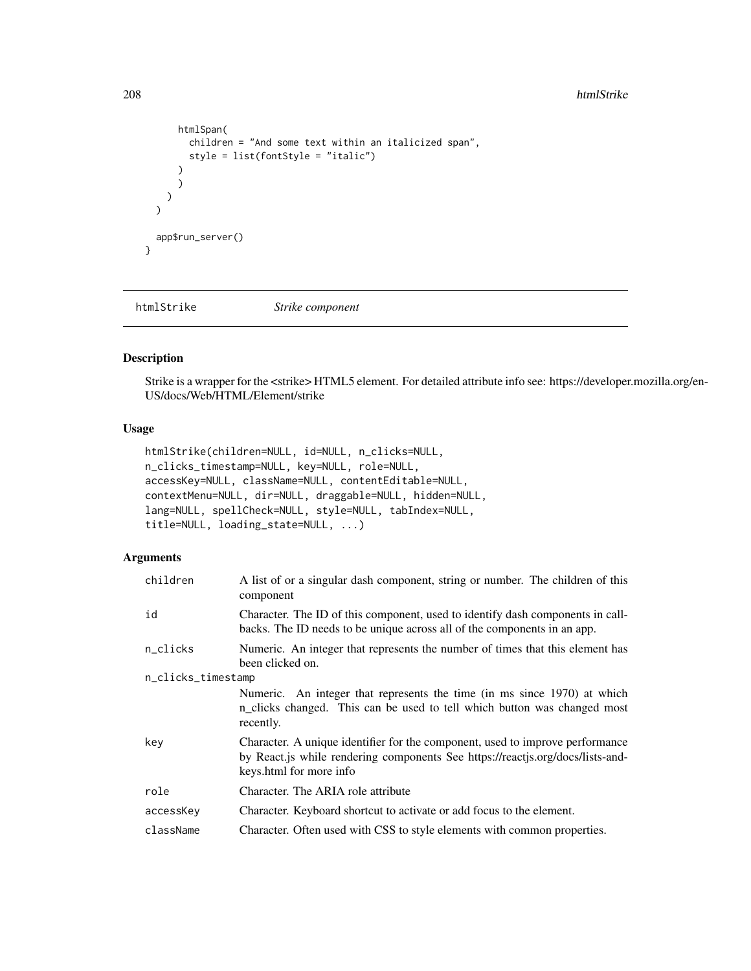```
htmlSpan(
        children = "And some text within an italicized span",
        style = list(fontStyle = "italic")
      )
      )
    )
  \mathcal{L}app$run_server()
}
```
htmlStrike *Strike component*

### Description

Strike is a wrapper for the <strike> HTML5 element. For detailed attribute info see: https://developer.mozilla.org/en-US/docs/Web/HTML/Element/strike

# Usage

```
htmlStrike(children=NULL, id=NULL, n_clicks=NULL,
n_clicks_timestamp=NULL, key=NULL, role=NULL,
accessKey=NULL, className=NULL, contentEditable=NULL,
contextMenu=NULL, dir=NULL, draggable=NULL, hidden=NULL,
lang=NULL, spellCheck=NULL, style=NULL, tabIndex=NULL,
title=NULL, loading_state=NULL, ...)
```

| children           | A list of or a singular dash component, string or number. The children of this<br>component                                                                                                |
|--------------------|--------------------------------------------------------------------------------------------------------------------------------------------------------------------------------------------|
| id                 | Character. The ID of this component, used to identify dash components in call-<br>backs. The ID needs to be unique across all of the components in an app.                                 |
| n_clicks           | Numeric. An integer that represents the number of times that this element has<br>been clicked on.                                                                                          |
| n_clicks_timestamp |                                                                                                                                                                                            |
|                    | Numeric. An integer that represents the time (in ms since 1970) at which<br>n_clicks changed. This can be used to tell which button was changed most<br>recently.                          |
| key                | Character. A unique identifier for the component, used to improve performance<br>by React.js while rendering components See https://reactjs.org/docs/lists-and-<br>keys.html for more info |
| role               | Character. The ARIA role attribute                                                                                                                                                         |
| accessKey          | Character. Keyboard shortcut to activate or add focus to the element.                                                                                                                      |
| className          | Character. Often used with CSS to style elements with common properties.                                                                                                                   |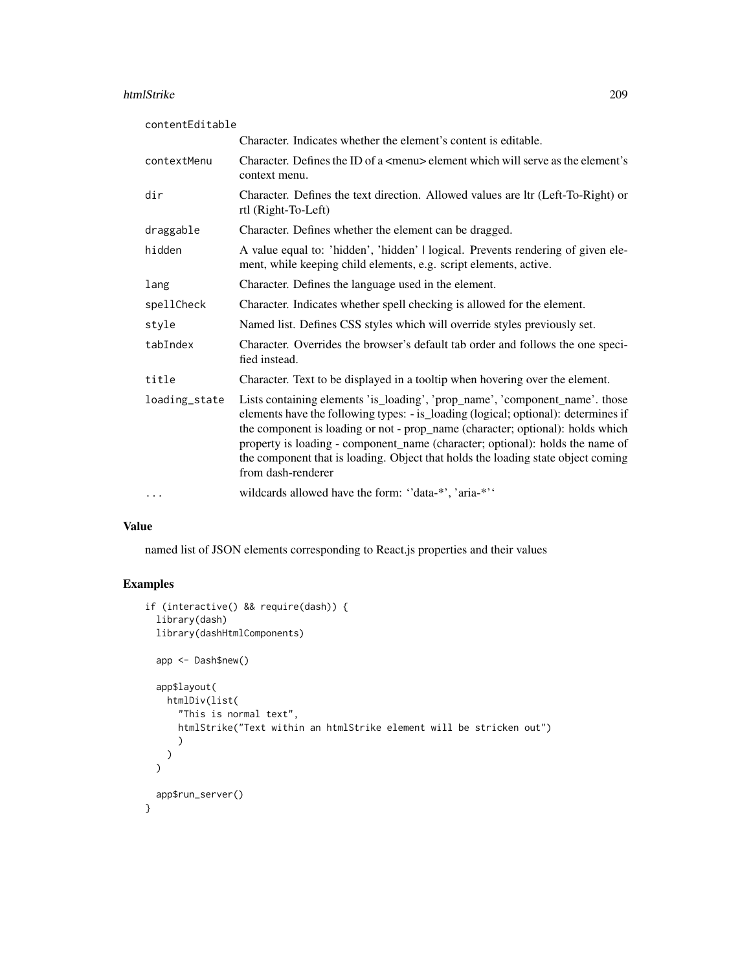#### htmlStrike 209

| contentEditable |                                                                                                                                                                                                                                                                                                                                                                                                                                                 |
|-----------------|-------------------------------------------------------------------------------------------------------------------------------------------------------------------------------------------------------------------------------------------------------------------------------------------------------------------------------------------------------------------------------------------------------------------------------------------------|
|                 | Character. Indicates whether the element's content is editable.                                                                                                                                                                                                                                                                                                                                                                                 |
| contextMenu     | Character. Defines the ID of a <menu> element which will serve as the element's<br/>context menu.</menu>                                                                                                                                                                                                                                                                                                                                        |
| dir             | Character. Defines the text direction. Allowed values are ltr (Left-To-Right) or<br>rtl (Right-To-Left)                                                                                                                                                                                                                                                                                                                                         |
| draggable       | Character. Defines whether the element can be dragged.                                                                                                                                                                                                                                                                                                                                                                                          |
| hidden          | A value equal to: 'hidden', 'hidden'   logical. Prevents rendering of given ele-<br>ment, while keeping child elements, e.g. script elements, active.                                                                                                                                                                                                                                                                                           |
| lang            | Character. Defines the language used in the element.                                                                                                                                                                                                                                                                                                                                                                                            |
| spellCheck      | Character. Indicates whether spell checking is allowed for the element.                                                                                                                                                                                                                                                                                                                                                                         |
| style           | Named list. Defines CSS styles which will override styles previously set.                                                                                                                                                                                                                                                                                                                                                                       |
| tabIndex        | Character. Overrides the browser's default tab order and follows the one speci-<br>fied instead.                                                                                                                                                                                                                                                                                                                                                |
| title           | Character. Text to be displayed in a tooltip when hovering over the element.                                                                                                                                                                                                                                                                                                                                                                    |
| loading_state   | Lists containing elements 'is_loading', 'prop_name', 'component_name'. those<br>elements have the following types: - is_loading (logical; optional): determines if<br>the component is loading or not - prop_name (character; optional): holds which<br>property is loading - component_name (character; optional): holds the name of<br>the component that is loading. Object that holds the loading state object coming<br>from dash-renderer |
| $\cdots$        | wildcards allowed have the form: "data-*', 'aria-*''                                                                                                                                                                                                                                                                                                                                                                                            |

# Value

named list of JSON elements corresponding to React.js properties and their values

# Examples

```
if (interactive() && require(dash)) {
  library(dash)
  library(dashHtmlComponents)
  app <- Dash$new()
  app$layout(
    htmlDiv(list(
      "This is normal text",
      htmlStrike("Text within an htmlStrike element will be stricken out")
      \lambda)
  \mathcal{L}app$run_server()
}
```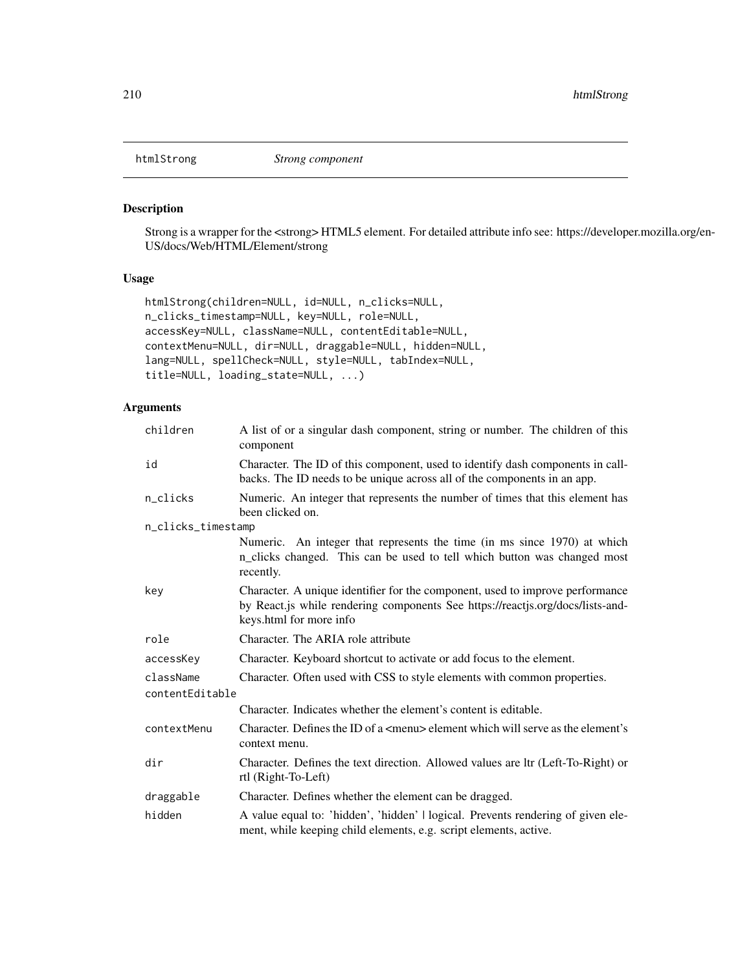### Description

Strong is a wrapper for the <strong> HTML5 element. For detailed attribute info see: https://developer.mozilla.org/en-US/docs/Web/HTML/Element/strong

## Usage

```
htmlStrong(children=NULL, id=NULL, n_clicks=NULL,
n_clicks_timestamp=NULL, key=NULL, role=NULL,
accessKey=NULL, className=NULL, contentEditable=NULL,
contextMenu=NULL, dir=NULL, draggable=NULL, hidden=NULL,
lang=NULL, spellCheck=NULL, style=NULL, tabIndex=NULL,
title=NULL, loading_state=NULL, ...)
```

| children           | A list of or a singular dash component, string or number. The children of this<br>component                                                                                                |
|--------------------|--------------------------------------------------------------------------------------------------------------------------------------------------------------------------------------------|
| id                 | Character. The ID of this component, used to identify dash components in call-<br>backs. The ID needs to be unique across all of the components in an app.                                 |
| n_clicks           | Numeric. An integer that represents the number of times that this element has<br>been clicked on.                                                                                          |
| n_clicks_timestamp |                                                                                                                                                                                            |
|                    | Numeric. An integer that represents the time (in ms since 1970) at which<br>n_clicks changed. This can be used to tell which button was changed most<br>recently.                          |
| key                | Character. A unique identifier for the component, used to improve performance<br>by React.js while rendering components See https://reactjs.org/docs/lists-and-<br>keys.html for more info |
| role               | Character. The ARIA role attribute                                                                                                                                                         |
| accessKey          | Character. Keyboard shortcut to activate or add focus to the element.                                                                                                                      |
| className          | Character. Often used with CSS to style elements with common properties.                                                                                                                   |
| contentEditable    |                                                                                                                                                                                            |
|                    | Character. Indicates whether the element's content is editable.                                                                                                                            |
| contextMenu        | Character. Defines the ID of a <menu> element which will serve as the element's<br/>context menu.</menu>                                                                                   |
| dir                | Character. Defines the text direction. Allowed values are ltr (Left-To-Right) or<br>rtl (Right-To-Left)                                                                                    |
| draggable          | Character. Defines whether the element can be dragged.                                                                                                                                     |
| hidden             | A value equal to: 'hidden', 'hidden'   logical. Prevents rendering of given ele-<br>ment, while keeping child elements, e.g. script elements, active.                                      |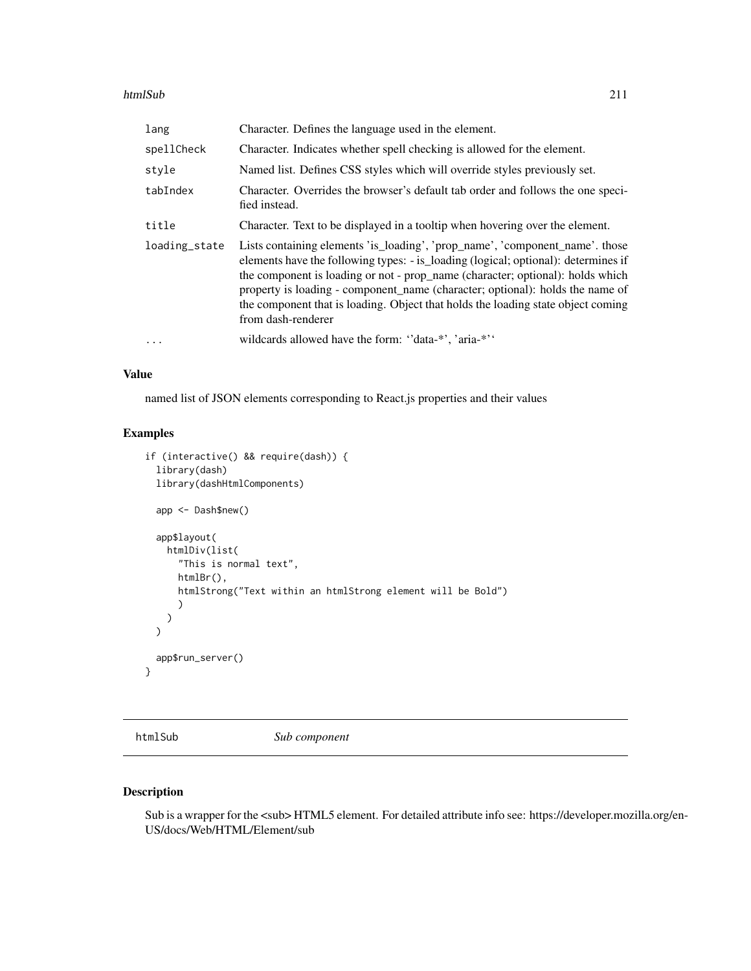### htmlSub 211

| lang          | Character. Defines the language used in the element.                                                                                                                                                                                                                                                                                                                                                                                            |
|---------------|-------------------------------------------------------------------------------------------------------------------------------------------------------------------------------------------------------------------------------------------------------------------------------------------------------------------------------------------------------------------------------------------------------------------------------------------------|
| spellCheck    | Character. Indicates whether spell checking is allowed for the element.                                                                                                                                                                                                                                                                                                                                                                         |
| style         | Named list. Defines CSS styles which will override styles previously set.                                                                                                                                                                                                                                                                                                                                                                       |
| tabIndex      | Character. Overrides the browser's default tab order and follows the one speci-<br>fied instead.                                                                                                                                                                                                                                                                                                                                                |
| title         | Character. Text to be displayed in a tooltip when hovering over the element.                                                                                                                                                                                                                                                                                                                                                                    |
| loading_state | Lists containing elements 'is_loading', 'prop_name', 'component_name'. those<br>elements have the following types: - is_loading (logical; optional): determines if<br>the component is loading or not - prop_name (character; optional): holds which<br>property is loading - component name (character; optional): holds the name of<br>the component that is loading. Object that holds the loading state object coming<br>from dash-renderer |
| $\cdots$      | wildcards allowed have the form: "data-*", 'aria-*"                                                                                                                                                                                                                                                                                                                                                                                             |

### Value

named list of JSON elements corresponding to React.js properties and their values

## Examples

```
if (interactive() && require(dash)) {
 library(dash)
 library(dashHtmlComponents)
 app <- Dash$new()
 app$layout(
   htmlDiv(list(
      "This is normal text",
     htmlBr(),
     htmlStrong("Text within an htmlStrong element will be Bold")
      )
   )
 \lambdaapp$run_server()
}
```
htmlSub *Sub component*

# Description

Sub is a wrapper for the <sub> HTML5 element. For detailed attribute info see: https://developer.mozilla.org/en-US/docs/Web/HTML/Element/sub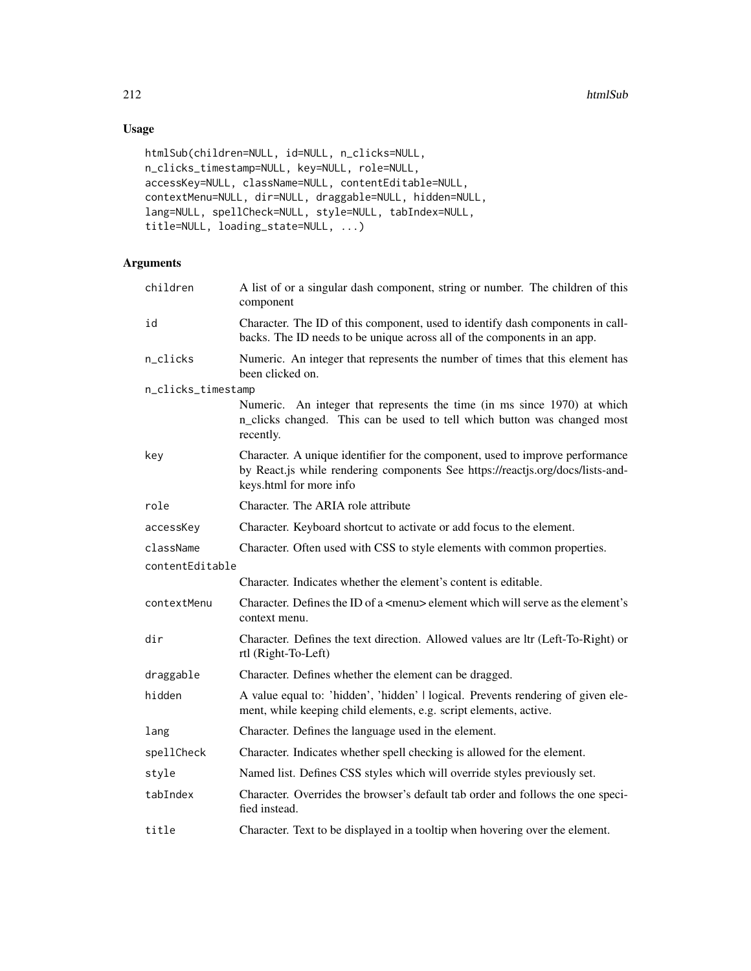# Usage

```
htmlSub(children=NULL, id=NULL, n_clicks=NULL,
n_clicks_timestamp=NULL, key=NULL, role=NULL,
accessKey=NULL, className=NULL, contentEditable=NULL,
contextMenu=NULL, dir=NULL, draggable=NULL, hidden=NULL,
lang=NULL, spellCheck=NULL, style=NULL, tabIndex=NULL,
title=NULL, loading_state=NULL, ...)
```

| children           | A list of or a singular dash component, string or number. The children of this<br>component                                                                                                |
|--------------------|--------------------------------------------------------------------------------------------------------------------------------------------------------------------------------------------|
| id                 | Character. The ID of this component, used to identify dash components in call-<br>backs. The ID needs to be unique across all of the components in an app.                                 |
| n_clicks           | Numeric. An integer that represents the number of times that this element has<br>been clicked on.                                                                                          |
| n_clicks_timestamp |                                                                                                                                                                                            |
|                    | Numeric. An integer that represents the time (in ms since 1970) at which<br>n_clicks changed. This can be used to tell which button was changed most<br>recently.                          |
| key                | Character. A unique identifier for the component, used to improve performance<br>by React.js while rendering components See https://reactjs.org/docs/lists-and-<br>keys.html for more info |
| role               | Character. The ARIA role attribute                                                                                                                                                         |
| accessKey          | Character. Keyboard shortcut to activate or add focus to the element.                                                                                                                      |
| className          | Character. Often used with CSS to style elements with common properties.                                                                                                                   |
| contentEditable    |                                                                                                                                                                                            |
|                    | Character. Indicates whether the element's content is editable.                                                                                                                            |
| contextMenu        | Character. Defines the ID of a <menu> element which will serve as the element's<br/>context menu.</menu>                                                                                   |
| dir                | Character. Defines the text direction. Allowed values are ltr (Left-To-Right) or<br>rtl (Right-To-Left)                                                                                    |
| draggable          | Character. Defines whether the element can be dragged.                                                                                                                                     |
| hidden             | A value equal to: 'hidden', 'hidden'   logical. Prevents rendering of given ele-<br>ment, while keeping child elements, e.g. script elements, active.                                      |
| lang               | Character. Defines the language used in the element.                                                                                                                                       |
| spellCheck         | Character. Indicates whether spell checking is allowed for the element.                                                                                                                    |
| style              | Named list. Defines CSS styles which will override styles previously set.                                                                                                                  |
| tabIndex           | Character. Overrides the browser's default tab order and follows the one speci-<br>fied instead.                                                                                           |
| title              | Character. Text to be displayed in a tooltip when hovering over the element.                                                                                                               |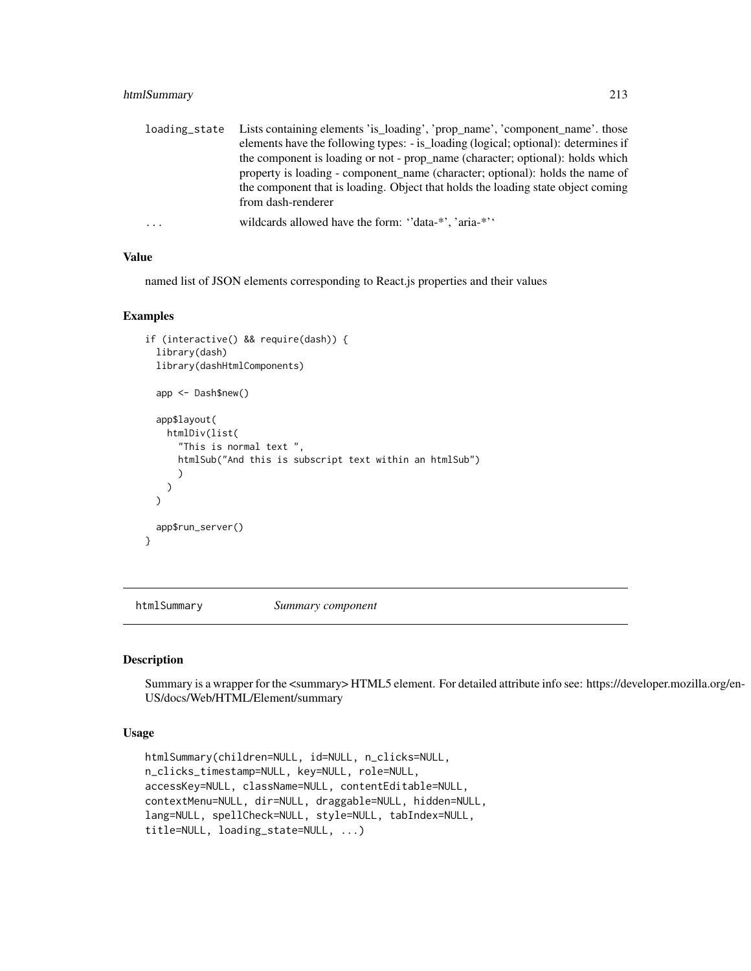### htmlSummary 213

| loading_state | Lists containing elements 'is_loading', 'prop_name', 'component_name'. those       |
|---------------|------------------------------------------------------------------------------------|
|               | elements have the following types: - is_loading (logical; optional): determines if |
|               | the component is loading or not - prop_name (character; optional): holds which     |
|               | property is loading - component name (character; optional): holds the name of      |
|               | the component that is loading. Object that holds the loading state object coming   |
|               | from dash-renderer                                                                 |
| $\cdots$      | wildcards allowed have the form: "data-*", 'aria-*"                                |

#### Value

named list of JSON elements corresponding to React.js properties and their values

### Examples

```
if (interactive() && require(dash)) {
  library(dash)
  library(dashHtmlComponents)
  app <- Dash$new()
  app$layout(
    htmlDiv(list(
      "This is normal text ",
      htmlSub("And this is subscript text within an htmlSub")
      )
    )
  \overline{\phantom{a}}app$run_server()
}
```
htmlSummary *Summary component*

## Description

Summary is a wrapper for the <summary> HTML5 element. For detailed attribute info see: https://developer.mozilla.org/en-US/docs/Web/HTML/Element/summary

### Usage

```
htmlSummary(children=NULL, id=NULL, n_clicks=NULL,
n_clicks_timestamp=NULL, key=NULL, role=NULL,
accessKey=NULL, className=NULL, contentEditable=NULL,
contextMenu=NULL, dir=NULL, draggable=NULL, hidden=NULL,
lang=NULL, spellCheck=NULL, style=NULL, tabIndex=NULL,
title=NULL, loading_state=NULL, ...)
```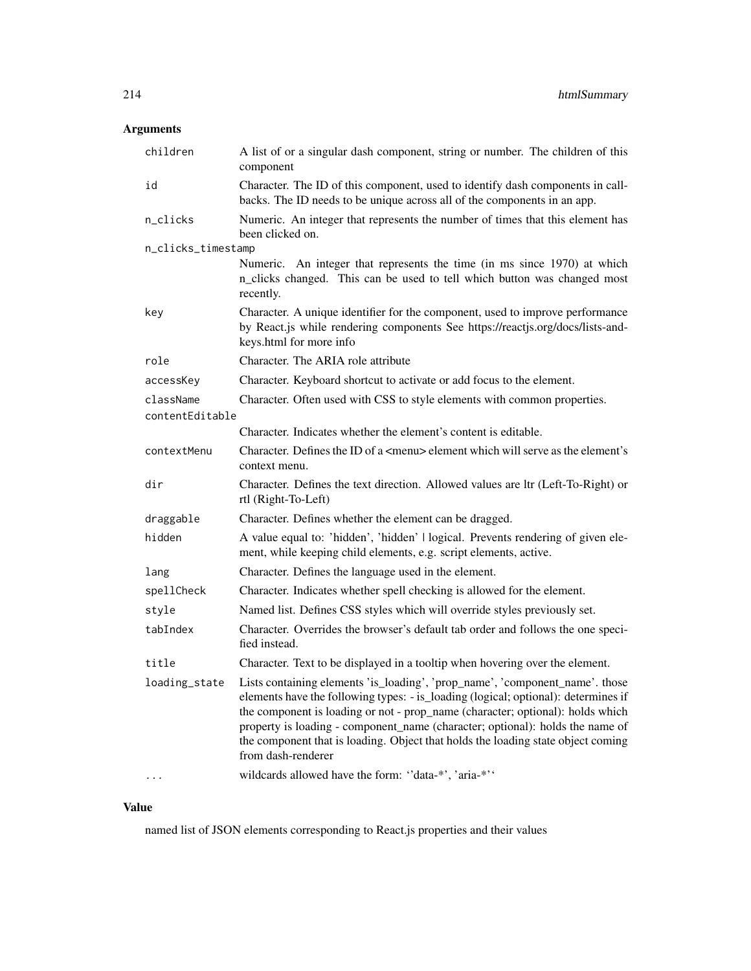# Arguments

| children           | A list of or a singular dash component, string or number. The children of this<br>component                                                                                                                                                                                                                                                                                                                                                     |
|--------------------|-------------------------------------------------------------------------------------------------------------------------------------------------------------------------------------------------------------------------------------------------------------------------------------------------------------------------------------------------------------------------------------------------------------------------------------------------|
| id                 | Character. The ID of this component, used to identify dash components in call-<br>backs. The ID needs to be unique across all of the components in an app.                                                                                                                                                                                                                                                                                      |
| n_clicks           | Numeric. An integer that represents the number of times that this element has<br>been clicked on.                                                                                                                                                                                                                                                                                                                                               |
| n_clicks_timestamp |                                                                                                                                                                                                                                                                                                                                                                                                                                                 |
|                    | Numeric. An integer that represents the time (in ms since 1970) at which<br>n_clicks changed. This can be used to tell which button was changed most<br>recently.                                                                                                                                                                                                                                                                               |
| key                | Character. A unique identifier for the component, used to improve performance<br>by React.js while rendering components See https://reactjs.org/docs/lists-and-<br>keys.html for more info                                                                                                                                                                                                                                                      |
| role               | Character. The ARIA role attribute                                                                                                                                                                                                                                                                                                                                                                                                              |
| accessKey          | Character. Keyboard shortcut to activate or add focus to the element.                                                                                                                                                                                                                                                                                                                                                                           |
| className          | Character. Often used with CSS to style elements with common properties.                                                                                                                                                                                                                                                                                                                                                                        |
| contentEditable    |                                                                                                                                                                                                                                                                                                                                                                                                                                                 |
|                    | Character. Indicates whether the element's content is editable.                                                                                                                                                                                                                                                                                                                                                                                 |
| contextMenu        | Character. Defines the ID of a <menu> element which will serve as the element's<br/>context menu.</menu>                                                                                                                                                                                                                                                                                                                                        |
| dir                | Character. Defines the text direction. Allowed values are ltr (Left-To-Right) or<br>rtl (Right-To-Left)                                                                                                                                                                                                                                                                                                                                         |
| draggable          | Character. Defines whether the element can be dragged.                                                                                                                                                                                                                                                                                                                                                                                          |
| hidden             | A value equal to: 'hidden', 'hidden'   logical. Prevents rendering of given ele-<br>ment, while keeping child elements, e.g. script elements, active.                                                                                                                                                                                                                                                                                           |
| lang               | Character. Defines the language used in the element.                                                                                                                                                                                                                                                                                                                                                                                            |
| spellCheck         | Character. Indicates whether spell checking is allowed for the element.                                                                                                                                                                                                                                                                                                                                                                         |
| style              | Named list. Defines CSS styles which will override styles previously set.                                                                                                                                                                                                                                                                                                                                                                       |
| tabIndex           | Character. Overrides the browser's default tab order and follows the one speci-<br>fied instead.                                                                                                                                                                                                                                                                                                                                                |
| title              | Character. Text to be displayed in a tooltip when hovering over the element.                                                                                                                                                                                                                                                                                                                                                                    |
| loading_state      | Lists containing elements 'is_loading', 'prop_name', 'component_name'. those<br>elements have the following types: - is_loading (logical; optional): determines if<br>the component is loading or not - prop_name (character; optional): holds which<br>property is loading - component_name (character; optional): holds the name of<br>the component that is loading. Object that holds the loading state object coming<br>from dash-renderer |
|                    | wildcards allowed have the form: "data-*', 'aria-*''                                                                                                                                                                                                                                                                                                                                                                                            |

# Value

named list of JSON elements corresponding to React.js properties and their values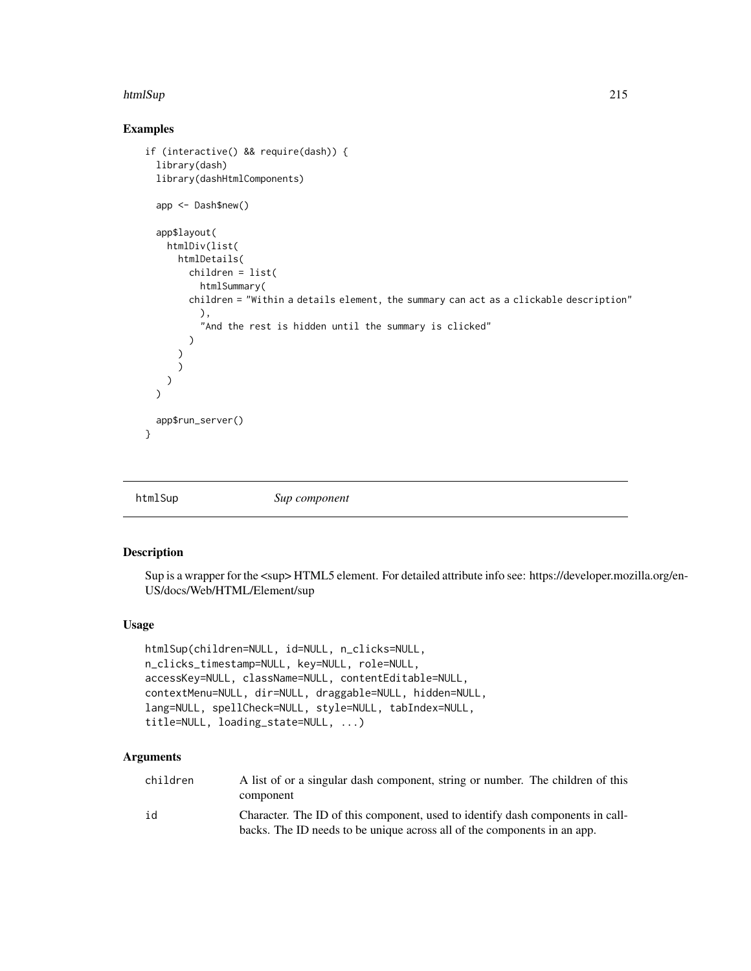#### htmlSup 215

## Examples

```
if (interactive() && require(dash)) {
 library(dash)
 library(dashHtmlComponents)
 app <- Dash$new()
 app$layout(
   htmlDiv(list(
     htmlDetails(
        children = list(
          htmlSummary(
        children = "Within a details element, the summary can act as a clickable description"
          ),
          "And the rest is hidden until the summary is clicked"
        )
      )
     )
   )
 \lambdaapp$run_server()
}
```
htmlSup *Sup component*

## Description

Sup is a wrapper for the  $\langle$ sup>HTML5 element. For detailed attribute info see: https://developer.mozilla.org/en-US/docs/Web/HTML/Element/sup

### Usage

```
htmlSup(children=NULL, id=NULL, n_clicks=NULL,
n_clicks_timestamp=NULL, key=NULL, role=NULL,
accessKey=NULL, className=NULL, contentEditable=NULL,
contextMenu=NULL, dir=NULL, draggable=NULL, hidden=NULL,
lang=NULL, spellCheck=NULL, style=NULL, tabIndex=NULL,
title=NULL, loading_state=NULL, ...)
```

| children | A list of or a singular dash component, string or number. The children of this<br>component                                                                |
|----------|------------------------------------------------------------------------------------------------------------------------------------------------------------|
| id       | Character. The ID of this component, used to identify dash components in call-<br>backs. The ID needs to be unique across all of the components in an app. |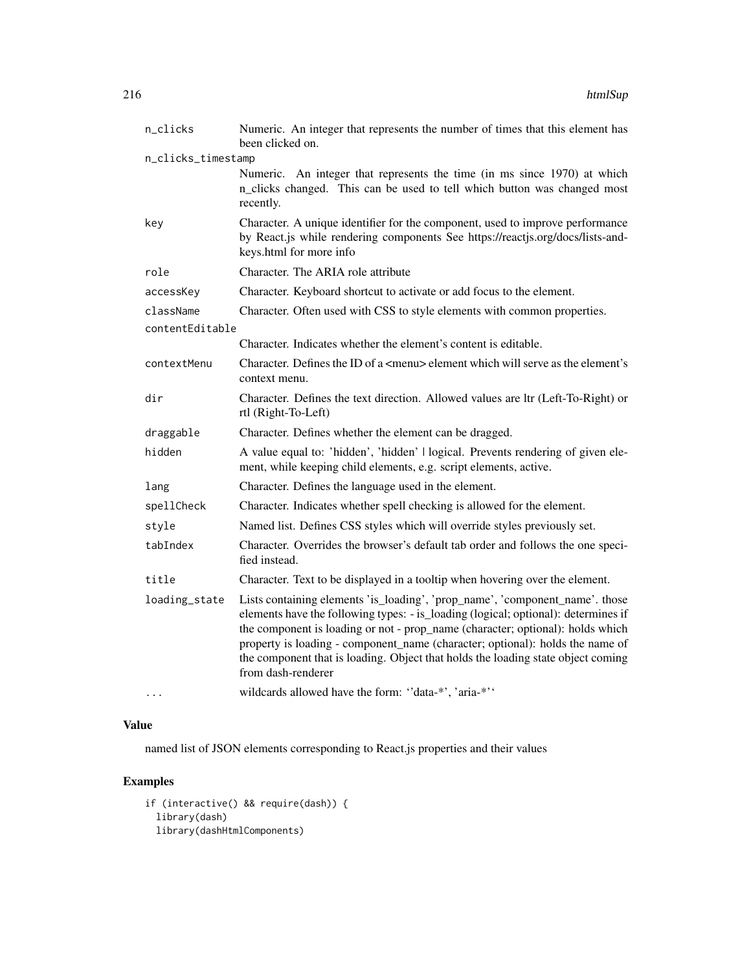| n_clicks           | Numeric. An integer that represents the number of times that this element has<br>been clicked on.                                                                                                                                                                                                                                                                                                                                               |
|--------------------|-------------------------------------------------------------------------------------------------------------------------------------------------------------------------------------------------------------------------------------------------------------------------------------------------------------------------------------------------------------------------------------------------------------------------------------------------|
| n_clicks_timestamp |                                                                                                                                                                                                                                                                                                                                                                                                                                                 |
|                    | Numeric. An integer that represents the time (in ms since 1970) at which<br>n_clicks changed. This can be used to tell which button was changed most<br>recently.                                                                                                                                                                                                                                                                               |
| key                | Character. A unique identifier for the component, used to improve performance<br>by React.js while rendering components See https://reactjs.org/docs/lists-and-<br>keys.html for more info                                                                                                                                                                                                                                                      |
| role               | Character. The ARIA role attribute                                                                                                                                                                                                                                                                                                                                                                                                              |
| accessKey          | Character. Keyboard shortcut to activate or add focus to the element.                                                                                                                                                                                                                                                                                                                                                                           |
| className          | Character. Often used with CSS to style elements with common properties.                                                                                                                                                                                                                                                                                                                                                                        |
| contentEditable    |                                                                                                                                                                                                                                                                                                                                                                                                                                                 |
|                    | Character. Indicates whether the element's content is editable.                                                                                                                                                                                                                                                                                                                                                                                 |
| contextMenu        | Character. Defines the ID of a <menu> element which will serve as the element's<br/>context menu.</menu>                                                                                                                                                                                                                                                                                                                                        |
| dir                | Character. Defines the text direction. Allowed values are ltr (Left-To-Right) or<br>rtl (Right-To-Left)                                                                                                                                                                                                                                                                                                                                         |
| draggable          | Character. Defines whether the element can be dragged.                                                                                                                                                                                                                                                                                                                                                                                          |
| hidden             | A value equal to: 'hidden', 'hidden'   logical. Prevents rendering of given ele-<br>ment, while keeping child elements, e.g. script elements, active.                                                                                                                                                                                                                                                                                           |
| lang               | Character. Defines the language used in the element.                                                                                                                                                                                                                                                                                                                                                                                            |
| spellCheck         | Character. Indicates whether spell checking is allowed for the element.                                                                                                                                                                                                                                                                                                                                                                         |
| style              | Named list. Defines CSS styles which will override styles previously set.                                                                                                                                                                                                                                                                                                                                                                       |
| tabIndex           | Character. Overrides the browser's default tab order and follows the one speci-<br>fied instead.                                                                                                                                                                                                                                                                                                                                                |
| title              | Character. Text to be displayed in a tooltip when hovering over the element.                                                                                                                                                                                                                                                                                                                                                                    |
| loading_state      | Lists containing elements 'is_loading', 'prop_name', 'component_name'. those<br>elements have the following types: - is_loading (logical; optional): determines if<br>the component is loading or not - prop_name (character; optional): holds which<br>property is loading - component_name (character; optional): holds the name of<br>the component that is loading. Object that holds the loading state object coming<br>from dash-renderer |
|                    | wildcards allowed have the form: "data-*', 'aria-*''                                                                                                                                                                                                                                                                                                                                                                                            |

named list of JSON elements corresponding to React.js properties and their values

# Examples

```
if (interactive() && require(dash)) {
 library(dash)
 library(dashHtmlComponents)
```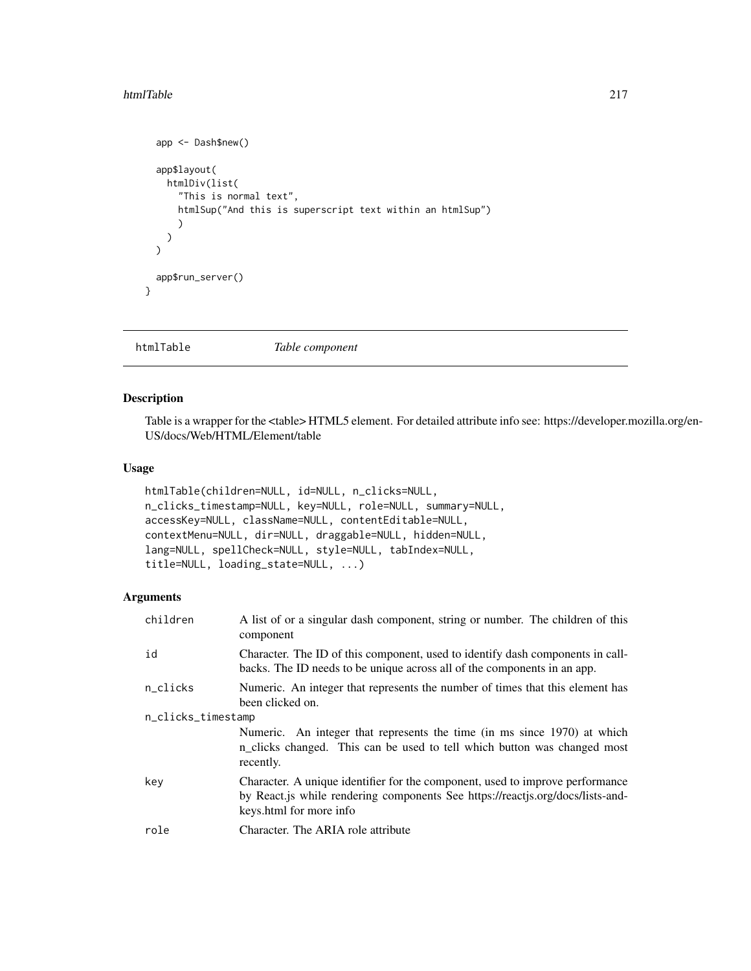#### htmlTable 217

```
app <- Dash$new()
  app$layout(
    htmlDiv(list(
      "This is normal text",
      htmlSup("And this is superscript text within an htmlSup")
      )
   )
  \overline{)}app$run_server()
}
```
htmlTable *Table component*

## Description

Table is a wrapper for the <table> HTML5 element. For detailed attribute info see: https://developer.mozilla.org/en-US/docs/Web/HTML/Element/table

## Usage

```
htmlTable(children=NULL, id=NULL, n_clicks=NULL,
n_clicks_timestamp=NULL, key=NULL, role=NULL, summary=NULL,
accessKey=NULL, className=NULL, contentEditable=NULL,
contextMenu=NULL, dir=NULL, draggable=NULL, hidden=NULL,
lang=NULL, spellCheck=NULL, style=NULL, tabIndex=NULL,
title=NULL, loading_state=NULL, ...)
```

| children           | A list of or a singular dash component, string or number. The children of this<br>component                                                                                                |  |
|--------------------|--------------------------------------------------------------------------------------------------------------------------------------------------------------------------------------------|--|
| id                 | Character. The ID of this component, used to identify dash components in call-<br>backs. The ID needs to be unique across all of the components in an app.                                 |  |
| n_clicks           | Numeric. An integer that represents the number of times that this element has<br>been clicked on.                                                                                          |  |
| n_clicks_timestamp |                                                                                                                                                                                            |  |
|                    | Numeric. An integer that represents the time (in ms since 1970) at which<br>n_clicks changed. This can be used to tell which button was changed most<br>recently.                          |  |
| key                | Character. A unique identifier for the component, used to improve performance<br>by React.js while rendering components See https://reactjs.org/docs/lists-and-<br>keys.html for more info |  |
| role               | Character. The ARIA role attribute                                                                                                                                                         |  |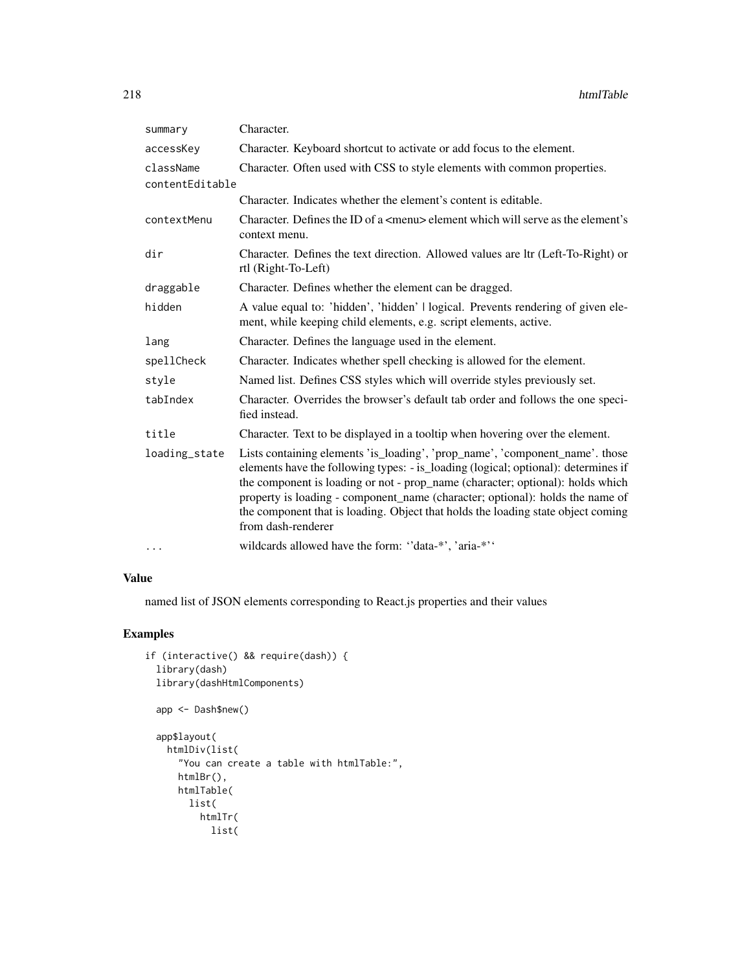| summary         | Character.                                                                                                                                                                                                                                                                                                                                                                                                                                      |
|-----------------|-------------------------------------------------------------------------------------------------------------------------------------------------------------------------------------------------------------------------------------------------------------------------------------------------------------------------------------------------------------------------------------------------------------------------------------------------|
| accessKey       | Character. Keyboard shortcut to activate or add focus to the element.                                                                                                                                                                                                                                                                                                                                                                           |
| className       | Character. Often used with CSS to style elements with common properties.                                                                                                                                                                                                                                                                                                                                                                        |
| contentEditable |                                                                                                                                                                                                                                                                                                                                                                                                                                                 |
|                 | Character. Indicates whether the element's content is editable.                                                                                                                                                                                                                                                                                                                                                                                 |
| contextMenu     | Character. Defines the ID of a $\leq$ menu $\geq$ element which will serve as the element's<br>context menu.                                                                                                                                                                                                                                                                                                                                    |
| dir             | Character. Defines the text direction. Allowed values are ltr (Left-To-Right) or<br>rtl (Right-To-Left)                                                                                                                                                                                                                                                                                                                                         |
| draggable       | Character. Defines whether the element can be dragged.                                                                                                                                                                                                                                                                                                                                                                                          |
| hidden          | A value equal to: 'hidden', 'hidden'   logical. Prevents rendering of given ele-<br>ment, while keeping child elements, e.g. script elements, active.                                                                                                                                                                                                                                                                                           |
| lang            | Character. Defines the language used in the element.                                                                                                                                                                                                                                                                                                                                                                                            |
| spellCheck      | Character. Indicates whether spell checking is allowed for the element.                                                                                                                                                                                                                                                                                                                                                                         |
| style           | Named list. Defines CSS styles which will override styles previously set.                                                                                                                                                                                                                                                                                                                                                                       |
| tabIndex        | Character. Overrides the browser's default tab order and follows the one speci-<br>fied instead.                                                                                                                                                                                                                                                                                                                                                |
| title           | Character. Text to be displayed in a tooltip when hovering over the element.                                                                                                                                                                                                                                                                                                                                                                    |
| loading_state   | Lists containing elements 'is_loading', 'prop_name', 'component_name'. those<br>elements have the following types: - is_loading (logical; optional): determines if<br>the component is loading or not - prop_name (character; optional): holds which<br>property is loading - component_name (character; optional): holds the name of<br>the component that is loading. Object that holds the loading state object coming<br>from dash-renderer |
| $\cdots$        | wildcards allowed have the form: "data-*', 'aria-*''                                                                                                                                                                                                                                                                                                                                                                                            |

## Value

named list of JSON elements corresponding to React.js properties and their values

```
if (interactive() && require(dash)) {
 library(dash)
 library(dashHtmlComponents)
 app <- Dash$new()
 app$layout(
   htmlDiv(list(
     "You can create a table with htmlTable:",
     htmlBr(),
     htmlTable(
       list(
         htmlTr(
           list(
```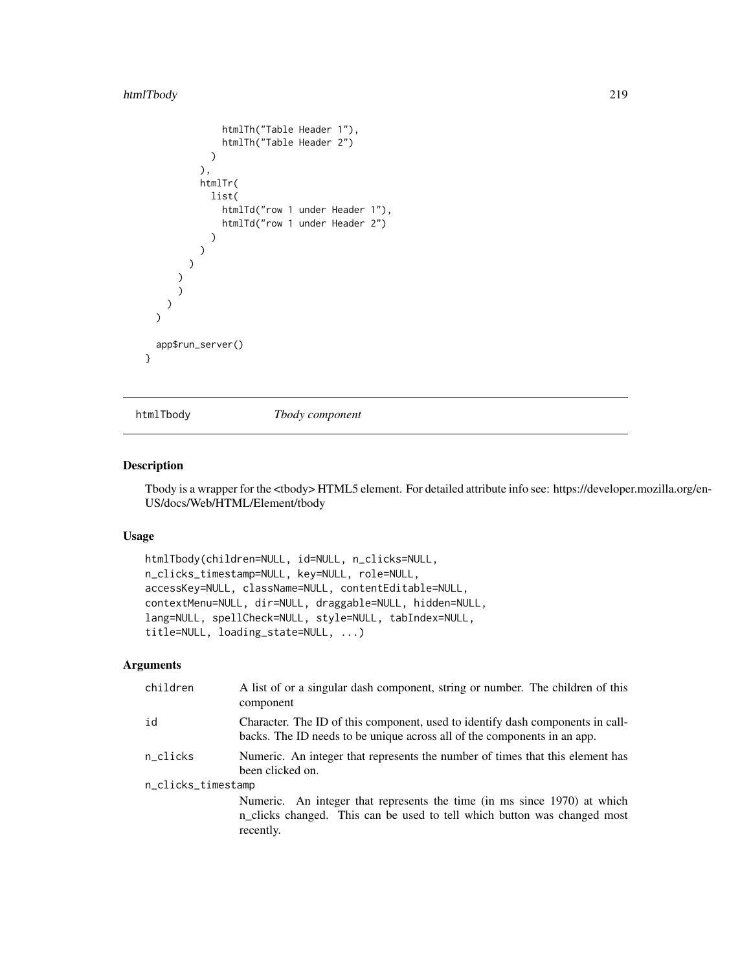## htmlTbody 219

```
htmlTh("Table Header 1"),
               htmlTh("Table Header 2")
            )
          ),
          htmlTr(
            list(
               htmlTd("row 1 under Header 1"),
               htmlTd("row 1 under Header 2")
             \lambda\lambda)
      )
      )
    )
  )
  app$run_server()
}
```
htmlTbody *Tbody component*

## Description

Tbody is a wrapper for the <tbody> HTML5 element. For detailed attribute info see: https://developer.mozilla.org/en-US/docs/Web/HTML/Element/tbody

#### Usage

```
htmlTbody(children=NULL, id=NULL, n_clicks=NULL,
n_clicks_timestamp=NULL, key=NULL, role=NULL,
accessKey=NULL, className=NULL, contentEditable=NULL,
contextMenu=NULL, dir=NULL, draggable=NULL, hidden=NULL,
lang=NULL, spellCheck=NULL, style=NULL, tabIndex=NULL,
title=NULL, loading_state=NULL, ...)
```

| children           | A list of or a singular dash component, string or number. The children of this<br>component                                                                       |  |
|--------------------|-------------------------------------------------------------------------------------------------------------------------------------------------------------------|--|
| id                 | Character. The ID of this component, used to identify dash components in call-<br>backs. The ID needs to be unique across all of the components in an app.        |  |
| n clicks           | Numeric. An integer that represents the number of times that this element has<br>been clicked on.                                                                 |  |
| n_clicks_timestamp |                                                                                                                                                                   |  |
|                    | Numeric. An integer that represents the time (in ms since 1970) at which<br>n_clicks changed. This can be used to tell which button was changed most<br>recently. |  |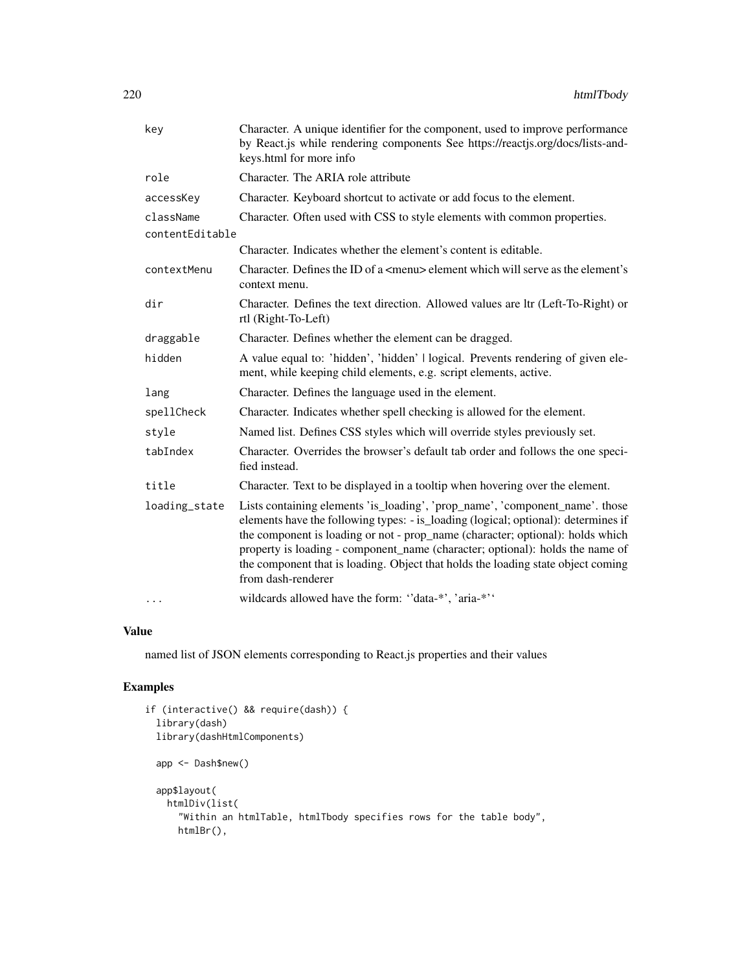| key             | Character. A unique identifier for the component, used to improve performance<br>by React.js while rendering components See https://reactjs.org/docs/lists-and-<br>keys.html for more info                                                                                                                                                                                                                                                      |
|-----------------|-------------------------------------------------------------------------------------------------------------------------------------------------------------------------------------------------------------------------------------------------------------------------------------------------------------------------------------------------------------------------------------------------------------------------------------------------|
| role            | Character. The ARIA role attribute                                                                                                                                                                                                                                                                                                                                                                                                              |
| accessKey       | Character. Keyboard shortcut to activate or add focus to the element.                                                                                                                                                                                                                                                                                                                                                                           |
| className       | Character. Often used with CSS to style elements with common properties.                                                                                                                                                                                                                                                                                                                                                                        |
| contentEditable |                                                                                                                                                                                                                                                                                                                                                                                                                                                 |
|                 | Character. Indicates whether the element's content is editable.                                                                                                                                                                                                                                                                                                                                                                                 |
| contextMenu     | Character. Defines the ID of a <menu> element which will serve as the element's<br/>context menu.</menu>                                                                                                                                                                                                                                                                                                                                        |
| dir             | Character. Defines the text direction. Allowed values are ltr (Left-To-Right) or<br>rtl (Right-To-Left)                                                                                                                                                                                                                                                                                                                                         |
| draggable       | Character. Defines whether the element can be dragged.                                                                                                                                                                                                                                                                                                                                                                                          |
| hidden          | A value equal to: 'hidden', 'hidden'   logical. Prevents rendering of given ele-<br>ment, while keeping child elements, e.g. script elements, active.                                                                                                                                                                                                                                                                                           |
| lang            | Character. Defines the language used in the element.                                                                                                                                                                                                                                                                                                                                                                                            |
| spellCheck      | Character. Indicates whether spell checking is allowed for the element.                                                                                                                                                                                                                                                                                                                                                                         |
| style           | Named list. Defines CSS styles which will override styles previously set.                                                                                                                                                                                                                                                                                                                                                                       |
| tabIndex        | Character. Overrides the browser's default tab order and follows the one speci-<br>fied instead.                                                                                                                                                                                                                                                                                                                                                |
| title           | Character. Text to be displayed in a tooltip when hovering over the element.                                                                                                                                                                                                                                                                                                                                                                    |
| loading_state   | Lists containing elements 'is_loading', 'prop_name', 'component_name'. those<br>elements have the following types: - is_loading (logical; optional): determines if<br>the component is loading or not - prop_name (character; optional): holds which<br>property is loading - component_name (character; optional): holds the name of<br>the component that is loading. Object that holds the loading state object coming<br>from dash-renderer |
| $\cdots$        | wildcards allowed have the form: "data-*', 'aria-*''                                                                                                                                                                                                                                                                                                                                                                                            |

### Value

named list of JSON elements corresponding to React.js properties and their values

```
if (interactive() && require(dash)) {
  library(dash)
  library(dashHtmlComponents)
  app <- Dash$new()
  app$layout(
   htmlDiv(list(
      "Within an htmlTable, htmlTbody specifies rows for the table body",
     htmlBr(),
```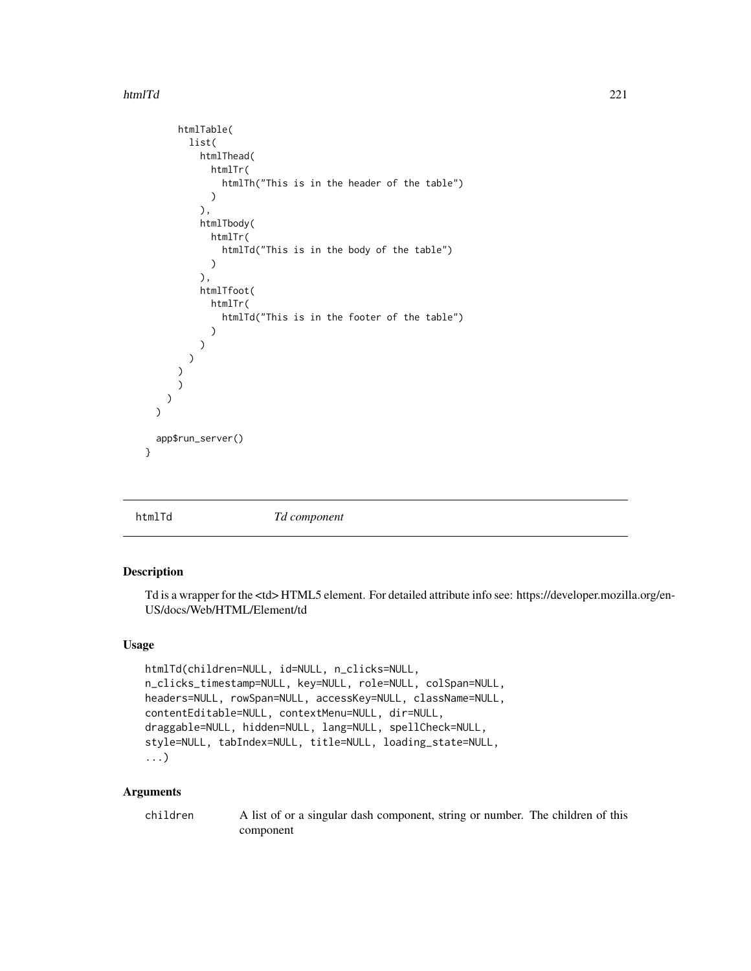#### htmlTd 221

```
htmlTable(
        list(
          htmlThead(
            htmlTr(
               htmlTh("This is in the header of the table")
             \lambda),
          htmlTbody(
             htmlTr(
               htmlTd("This is in the body of the table")
             )
          ),
          htmlTfoot(
             htmlTr(
               htmlTd("This is in the footer of the table")
             )
          )
        )
      \mathcal{L})
    )
  \lambdaapp$run_server()
}
```
htmlTd *Td component*

#### Description

Td is a wrapper for the <td> HTML5 element. For detailed attribute info see: https://developer.mozilla.org/en-US/docs/Web/HTML/Element/td

## Usage

```
htmlTd(children=NULL, id=NULL, n_clicks=NULL,
n_clicks_timestamp=NULL, key=NULL, role=NULL, colSpan=NULL,
headers=NULL, rowSpan=NULL, accessKey=NULL, className=NULL,
contentEditable=NULL, contextMenu=NULL, dir=NULL,
draggable=NULL, hidden=NULL, lang=NULL, spellCheck=NULL,
style=NULL, tabIndex=NULL, title=NULL, loading_state=NULL,
...)
```

| children | A list of or a singular dash component, string or number. The children of this |
|----------|--------------------------------------------------------------------------------|
|          | component                                                                      |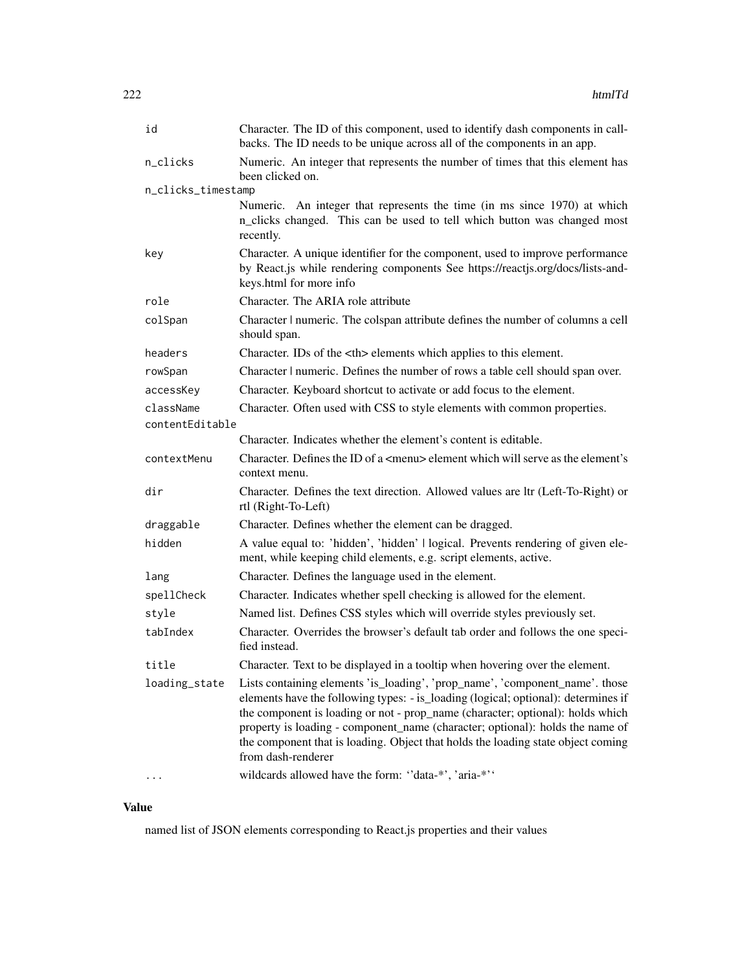| id                 | Character. The ID of this component, used to identify dash components in call-<br>backs. The ID needs to be unique across all of the components in an app.                                                                                                                                                                                                                                                                                      |                                         |
|--------------------|-------------------------------------------------------------------------------------------------------------------------------------------------------------------------------------------------------------------------------------------------------------------------------------------------------------------------------------------------------------------------------------------------------------------------------------------------|-----------------------------------------|
| n_clicks           | Numeric. An integer that represents the number of times that this element has<br>been clicked on.                                                                                                                                                                                                                                                                                                                                               |                                         |
| n_clicks_timestamp |                                                                                                                                                                                                                                                                                                                                                                                                                                                 |                                         |
|                    | Numeric. An integer that represents the time (in ms since 1970) at which<br>n_clicks changed. This can be used to tell which button was changed most<br>recently.                                                                                                                                                                                                                                                                               |                                         |
| key                | Character. A unique identifier for the component, used to improve performance<br>by React.js while rendering components See https://reactjs.org/docs/lists-and-<br>keys.html for more info                                                                                                                                                                                                                                                      |                                         |
| role               | Character. The ARIA role attribute                                                                                                                                                                                                                                                                                                                                                                                                              |                                         |
| colSpan            | Character   numeric. The colspan attribute defines the number of columns a cell<br>should span.                                                                                                                                                                                                                                                                                                                                                 |                                         |
| headers            | Character. IDs of the <th> elements which applies to this element.</th>                                                                                                                                                                                                                                                                                                                                                                         | elements which applies to this element. |
| rowSpan            | Character   numeric. Defines the number of rows a table cell should span over.                                                                                                                                                                                                                                                                                                                                                                  |                                         |
| accessKey          | Character. Keyboard shortcut to activate or add focus to the element.                                                                                                                                                                                                                                                                                                                                                                           |                                         |
| className          | Character. Often used with CSS to style elements with common properties.                                                                                                                                                                                                                                                                                                                                                                        |                                         |
| contentEditable    |                                                                                                                                                                                                                                                                                                                                                                                                                                                 |                                         |
|                    | Character. Indicates whether the element's content is editable.                                                                                                                                                                                                                                                                                                                                                                                 |                                         |
| contextMenu        | Character. Defines the ID of a <menu> element which will serve as the element's<br/>context menu.</menu>                                                                                                                                                                                                                                                                                                                                        |                                         |
| dir                | Character. Defines the text direction. Allowed values are ltr (Left-To-Right) or<br>rtl (Right-To-Left)                                                                                                                                                                                                                                                                                                                                         |                                         |
| draggable          | Character. Defines whether the element can be dragged.                                                                                                                                                                                                                                                                                                                                                                                          |                                         |
| hidden             | A value equal to: 'hidden', 'hidden'   logical. Prevents rendering of given ele-<br>ment, while keeping child elements, e.g. script elements, active.                                                                                                                                                                                                                                                                                           |                                         |
| lang               | Character. Defines the language used in the element.                                                                                                                                                                                                                                                                                                                                                                                            |                                         |
| spellCheck         | Character. Indicates whether spell checking is allowed for the element.                                                                                                                                                                                                                                                                                                                                                                         |                                         |
| style              | Named list. Defines CSS styles which will override styles previously set.                                                                                                                                                                                                                                                                                                                                                                       |                                         |
| tabIndex           | Character. Overrides the browser's default tab order and follows the one speci-<br>fied instead.                                                                                                                                                                                                                                                                                                                                                |                                         |
| title              | Character. Text to be displayed in a tooltip when hovering over the element.                                                                                                                                                                                                                                                                                                                                                                    |                                         |
| loading_state      | Lists containing elements 'is_loading', 'prop_name', 'component_name'. those<br>elements have the following types: - is_loading (logical; optional): determines if<br>the component is loading or not - prop_name (character; optional): holds which<br>property is loading - component_name (character; optional): holds the name of<br>the component that is loading. Object that holds the loading state object coming<br>from dash-renderer |                                         |
|                    | wildcards allowed have the form: "data-*', 'aria-*''                                                                                                                                                                                                                                                                                                                                                                                            |                                         |

# Value

named list of JSON elements corresponding to React.js properties and their values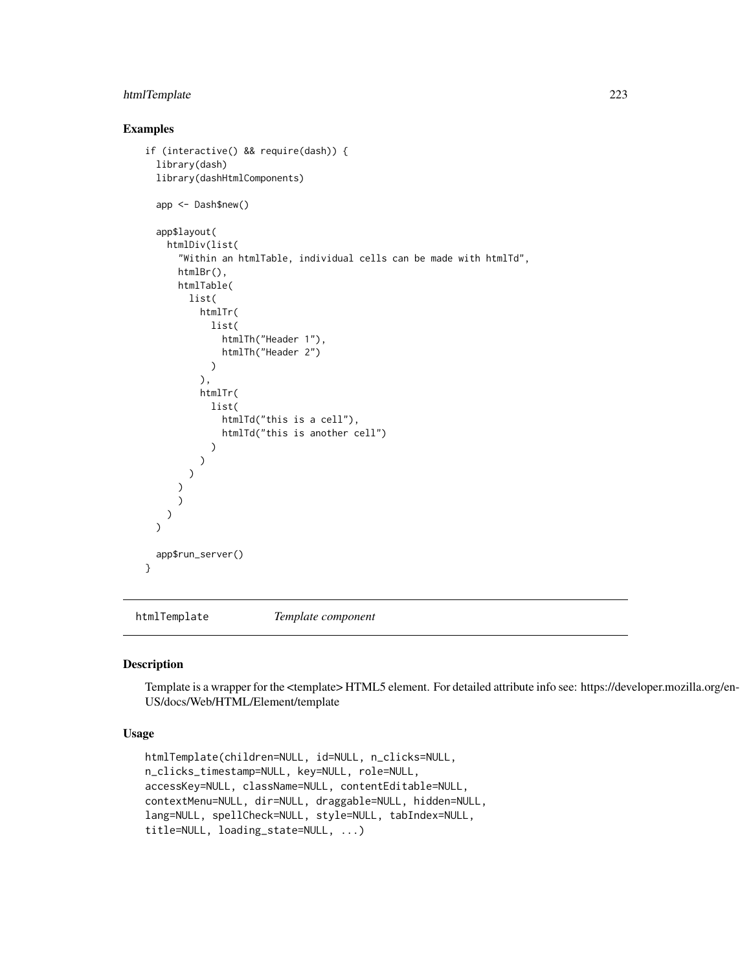## htmlTemplate 223

## Examples

```
if (interactive() && require(dash)) {
 library(dash)
 library(dashHtmlComponents)
 app <- Dash$new()
 app$layout(
   htmlDiv(list(
      "Within an htmlTable, individual cells can be made with htmlTd",
      htmlBr(),
      htmlTable(
       list(
          htmlTr(
            list(
              htmlTh("Header 1"),
              htmlTh("Header 2")
            \lambda),
          htmlTr(
            list(
              htmlTd("this is a cell"),
              htmlTd("this is another cell")
            )
          )
       )
      \lambda)
   )
 )
 app$run_server()
}
```
htmlTemplate *Template component*

#### Description

Template is a wrapper for the <template> HTML5 element. For detailed attribute info see: https://developer.mozilla.org/en-US/docs/Web/HTML/Element/template

## Usage

```
htmlTemplate(children=NULL, id=NULL, n_clicks=NULL,
n_clicks_timestamp=NULL, key=NULL, role=NULL,
accessKey=NULL, className=NULL, contentEditable=NULL,
contextMenu=NULL, dir=NULL, draggable=NULL, hidden=NULL,
lang=NULL, spellCheck=NULL, style=NULL, tabIndex=NULL,
title=NULL, loading_state=NULL, ...)
```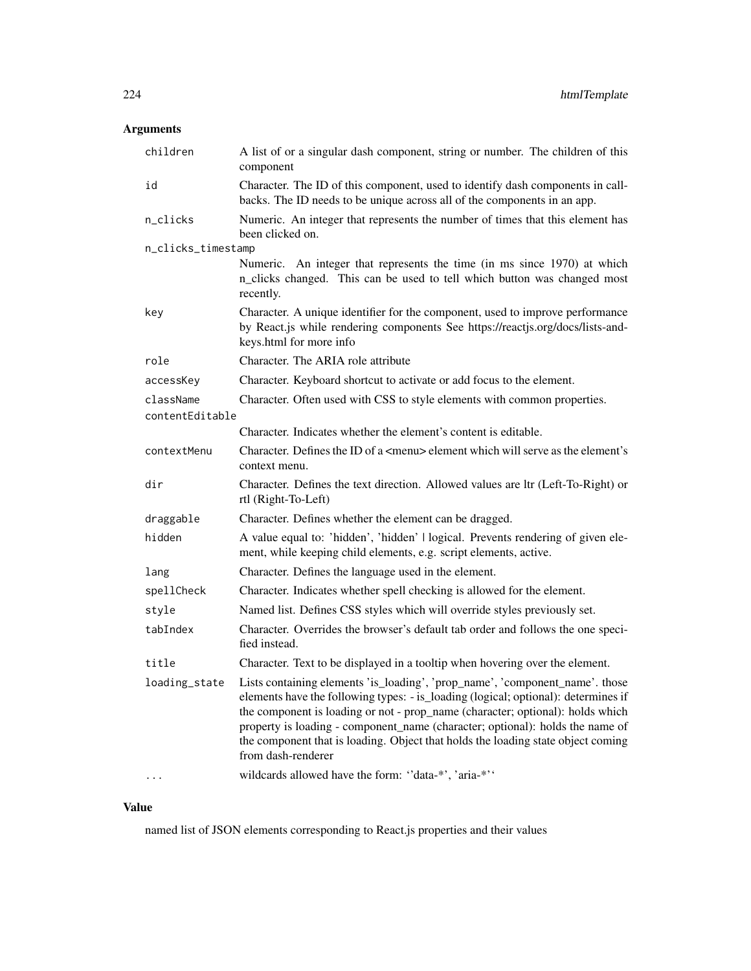# Arguments

| children           | A list of or a singular dash component, string or number. The children of this<br>component                                                                                                                                                                                                                                                                                                                                                     |
|--------------------|-------------------------------------------------------------------------------------------------------------------------------------------------------------------------------------------------------------------------------------------------------------------------------------------------------------------------------------------------------------------------------------------------------------------------------------------------|
| id                 | Character. The ID of this component, used to identify dash components in call-<br>backs. The ID needs to be unique across all of the components in an app.                                                                                                                                                                                                                                                                                      |
| n_clicks           | Numeric. An integer that represents the number of times that this element has<br>been clicked on.                                                                                                                                                                                                                                                                                                                                               |
| n_clicks_timestamp |                                                                                                                                                                                                                                                                                                                                                                                                                                                 |
|                    | Numeric. An integer that represents the time (in ms since 1970) at which<br>n_clicks changed. This can be used to tell which button was changed most<br>recently.                                                                                                                                                                                                                                                                               |
| key                | Character. A unique identifier for the component, used to improve performance<br>by React.js while rendering components See https://reactjs.org/docs/lists-and-<br>keys.html for more info                                                                                                                                                                                                                                                      |
| role               | Character. The ARIA role attribute                                                                                                                                                                                                                                                                                                                                                                                                              |
| accessKey          | Character. Keyboard shortcut to activate or add focus to the element.                                                                                                                                                                                                                                                                                                                                                                           |
| className          | Character. Often used with CSS to style elements with common properties.                                                                                                                                                                                                                                                                                                                                                                        |
| contentEditable    |                                                                                                                                                                                                                                                                                                                                                                                                                                                 |
|                    | Character. Indicates whether the element's content is editable.                                                                                                                                                                                                                                                                                                                                                                                 |
| contextMenu        | Character. Defines the ID of a <menu> element which will serve as the element's<br/>context menu.</menu>                                                                                                                                                                                                                                                                                                                                        |
| dir                | Character. Defines the text direction. Allowed values are ltr (Left-To-Right) or<br>rtl (Right-To-Left)                                                                                                                                                                                                                                                                                                                                         |
| draggable          | Character. Defines whether the element can be dragged.                                                                                                                                                                                                                                                                                                                                                                                          |
| hidden             | A value equal to: 'hidden', 'hidden'   logical. Prevents rendering of given ele-<br>ment, while keeping child elements, e.g. script elements, active.                                                                                                                                                                                                                                                                                           |
| lang               | Character. Defines the language used in the element.                                                                                                                                                                                                                                                                                                                                                                                            |
| spellCheck         | Character. Indicates whether spell checking is allowed for the element.                                                                                                                                                                                                                                                                                                                                                                         |
| stvle              | Named list. Defines CSS styles which will override styles previously set.                                                                                                                                                                                                                                                                                                                                                                       |
| tabIndex           | Character. Overrides the browser's default tab order and follows the one speci-<br>fied instead.                                                                                                                                                                                                                                                                                                                                                |
| title              | Character. Text to be displayed in a tooltip when hovering over the element.                                                                                                                                                                                                                                                                                                                                                                    |
| loading_state      | Lists containing elements 'is_loading', 'prop_name', 'component_name'. those<br>elements have the following types: - is_loading (logical; optional): determines if<br>the component is loading or not - prop_name (character; optional): holds which<br>property is loading - component_name (character; optional): holds the name of<br>the component that is loading. Object that holds the loading state object coming<br>from dash-renderer |
|                    | wildcards allowed have the form: "data-*', 'aria-*''                                                                                                                                                                                                                                                                                                                                                                                            |

# Value

named list of JSON elements corresponding to React.js properties and their values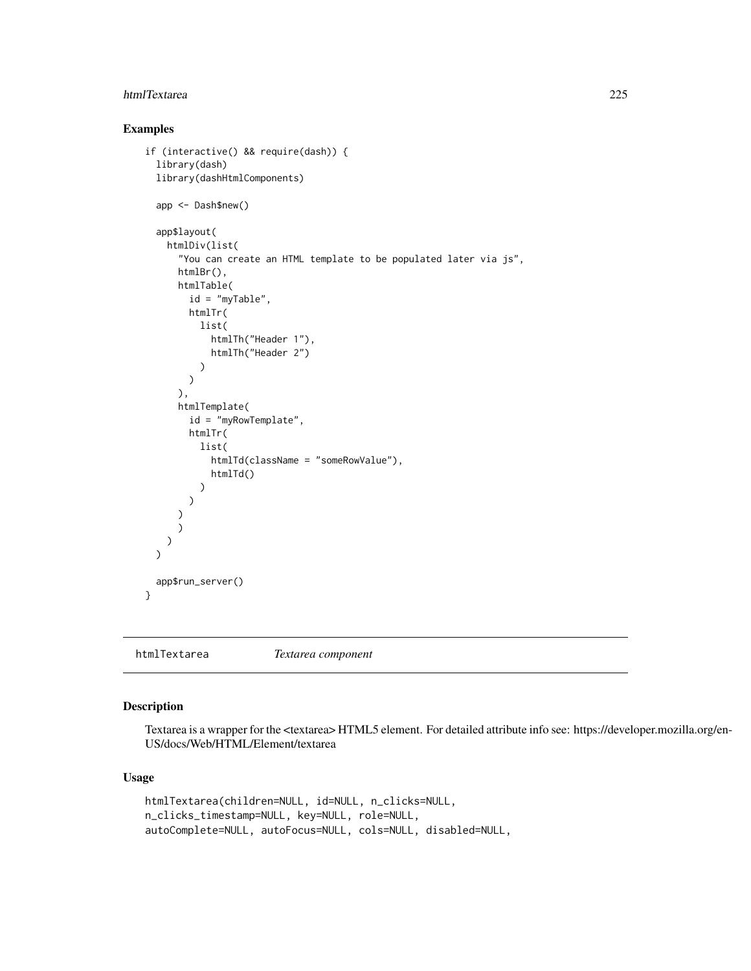#### htmlTextarea 225

### Examples

```
if (interactive() && require(dash)) {
 library(dash)
 library(dashHtmlComponents)
 app <- Dash$new()
 app$layout(
   htmlDiv(list(
      "You can create an HTML template to be populated later via js",
      htmlBr(),
      htmlTable(
       id = "myTable",
       htmlTr(
         list(
            htmlTh("Header 1"),
            htmlTh("Header 2")
         )
       )
      ),
      htmlTemplate(
       id = "myRowTemplate",
       htmlTr(
         list(
            htmlTd(className = "someRowValue"),
            htmlTd()
          )
       )
      )
      )
   )
 )
 app$run_server()
}
```
htmlTextarea *Textarea component*

## Description

Textarea is a wrapper for the <textarea> HTML5 element. For detailed attribute info see: https://developer.mozilla.org/en-US/docs/Web/HTML/Element/textarea

### Usage

```
htmlTextarea(children=NULL, id=NULL, n_clicks=NULL,
n_clicks_timestamp=NULL, key=NULL, role=NULL,
autoComplete=NULL, autoFocus=NULL, cols=NULL, disabled=NULL,
```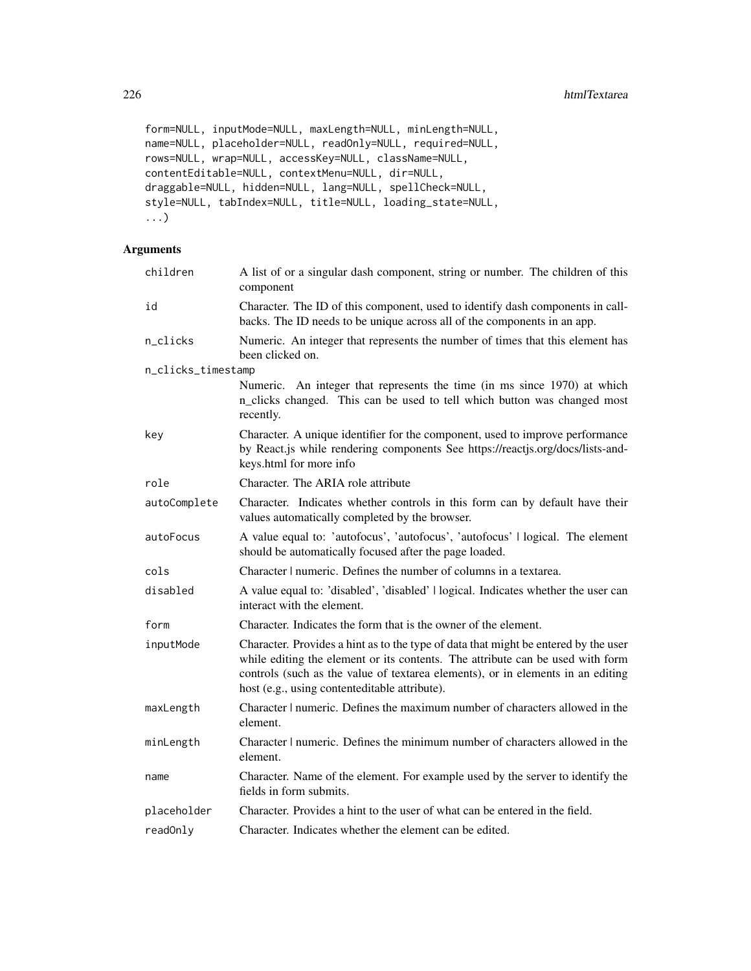```
form=NULL, inputMode=NULL, maxLength=NULL, minLength=NULL,
name=NULL, placeholder=NULL, readOnly=NULL, required=NULL,
rows=NULL, wrap=NULL, accessKey=NULL, className=NULL,
contentEditable=NULL, contextMenu=NULL, dir=NULL,
draggable=NULL, hidden=NULL, lang=NULL, spellCheck=NULL,
style=NULL, tabIndex=NULL, title=NULL, loading_state=NULL,
...)
```

| children           | A list of or a singular dash component, string or number. The children of this<br>component                                                                                                                                                                                                               |
|--------------------|-----------------------------------------------------------------------------------------------------------------------------------------------------------------------------------------------------------------------------------------------------------------------------------------------------------|
| id                 | Character. The ID of this component, used to identify dash components in call-<br>backs. The ID needs to be unique across all of the components in an app.                                                                                                                                                |
| n_clicks           | Numeric. An integer that represents the number of times that this element has<br>been clicked on.                                                                                                                                                                                                         |
| n_clicks_timestamp |                                                                                                                                                                                                                                                                                                           |
|                    | Numeric. An integer that represents the time (in ms since 1970) at which<br>n_clicks changed. This can be used to tell which button was changed most<br>recently.                                                                                                                                         |
| key                | Character. A unique identifier for the component, used to improve performance<br>by React.js while rendering components See https://reactjs.org/docs/lists-and-<br>keys.html for more info                                                                                                                |
| role               | Character. The ARIA role attribute                                                                                                                                                                                                                                                                        |
| autoComplete       | Character. Indicates whether controls in this form can by default have their<br>values automatically completed by the browser.                                                                                                                                                                            |
| autoFocus          | A value equal to: 'autofocus', 'autofocus', 'autofocus'   logical. The element<br>should be automatically focused after the page loaded.                                                                                                                                                                  |
| cols               | Character   numeric. Defines the number of columns in a textarea.                                                                                                                                                                                                                                         |
| disabled           | A value equal to: 'disabled', 'disabled'   logical. Indicates whether the user can<br>interact with the element.                                                                                                                                                                                          |
| form               | Character. Indicates the form that is the owner of the element.                                                                                                                                                                                                                                           |
| inputMode          | Character. Provides a hint as to the type of data that might be entered by the user<br>while editing the element or its contents. The attribute can be used with form<br>controls (such as the value of textarea elements), or in elements in an editing<br>host (e.g., using contenteditable attribute). |
| maxLength          | Character   numeric. Defines the maximum number of characters allowed in the<br>element.                                                                                                                                                                                                                  |
| minLength          | Character   numeric. Defines the minimum number of characters allowed in the<br>element.                                                                                                                                                                                                                  |
| name               | Character. Name of the element. For example used by the server to identify the<br>fields in form submits.                                                                                                                                                                                                 |
| placeholder        | Character. Provides a hint to the user of what can be entered in the field.                                                                                                                                                                                                                               |
| readOnly           | Character. Indicates whether the element can be edited.                                                                                                                                                                                                                                                   |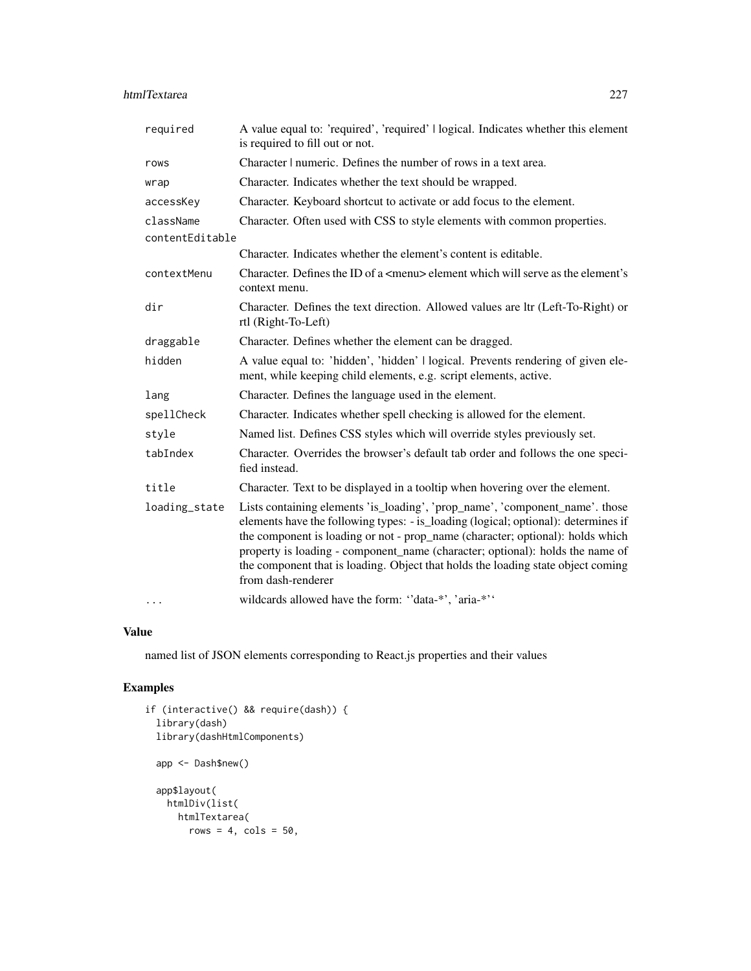| required        | A value equal to: 'required', 'required'   logical. Indicates whether this element<br>is required to fill out or not.                                                                                                                                                                                                                                                                                                                           |
|-----------------|-------------------------------------------------------------------------------------------------------------------------------------------------------------------------------------------------------------------------------------------------------------------------------------------------------------------------------------------------------------------------------------------------------------------------------------------------|
| rows            | Character   numeric. Defines the number of rows in a text area.                                                                                                                                                                                                                                                                                                                                                                                 |
| wrap            | Character. Indicates whether the text should be wrapped.                                                                                                                                                                                                                                                                                                                                                                                        |
| accessKey       | Character. Keyboard shortcut to activate or add focus to the element.                                                                                                                                                                                                                                                                                                                                                                           |
| className       | Character. Often used with CSS to style elements with common properties.                                                                                                                                                                                                                                                                                                                                                                        |
| contentEditable |                                                                                                                                                                                                                                                                                                                                                                                                                                                 |
|                 | Character. Indicates whether the element's content is editable.                                                                                                                                                                                                                                                                                                                                                                                 |
| contextMenu     | Character. Defines the ID of a <menu> element which will serve as the element's<br/>context menu.</menu>                                                                                                                                                                                                                                                                                                                                        |
| dir             | Character. Defines the text direction. Allowed values are ltr (Left-To-Right) or<br>rtl (Right-To-Left)                                                                                                                                                                                                                                                                                                                                         |
| draggable       | Character. Defines whether the element can be dragged.                                                                                                                                                                                                                                                                                                                                                                                          |
| hidden          | A value equal to: 'hidden', 'hidden'   logical. Prevents rendering of given ele-<br>ment, while keeping child elements, e.g. script elements, active.                                                                                                                                                                                                                                                                                           |
| lang            | Character. Defines the language used in the element.                                                                                                                                                                                                                                                                                                                                                                                            |
| spellCheck      | Character. Indicates whether spell checking is allowed for the element.                                                                                                                                                                                                                                                                                                                                                                         |
| style           | Named list. Defines CSS styles which will override styles previously set.                                                                                                                                                                                                                                                                                                                                                                       |
| tabIndex        | Character. Overrides the browser's default tab order and follows the one speci-<br>fied instead.                                                                                                                                                                                                                                                                                                                                                |
| title           | Character. Text to be displayed in a tooltip when hovering over the element.                                                                                                                                                                                                                                                                                                                                                                    |
| loading_state   | Lists containing elements 'is_loading', 'prop_name', 'component_name'. those<br>elements have the following types: - is_loading (logical; optional): determines if<br>the component is loading or not - prop_name (character; optional): holds which<br>property is loading - component_name (character; optional): holds the name of<br>the component that is loading. Object that holds the loading state object coming<br>from dash-renderer |
|                 | wildcards allowed have the form: "data-*', 'aria-*''                                                                                                                                                                                                                                                                                                                                                                                            |

## Value

named list of JSON elements corresponding to React.js properties and their values

```
if (interactive() && require(dash)) {
 library(dash)
 library(dashHtmlComponents)
 app <- Dash$new()
 app$layout(
   htmlDiv(list(
     htmlTextarea(
       rows = 4, cols = 50,
```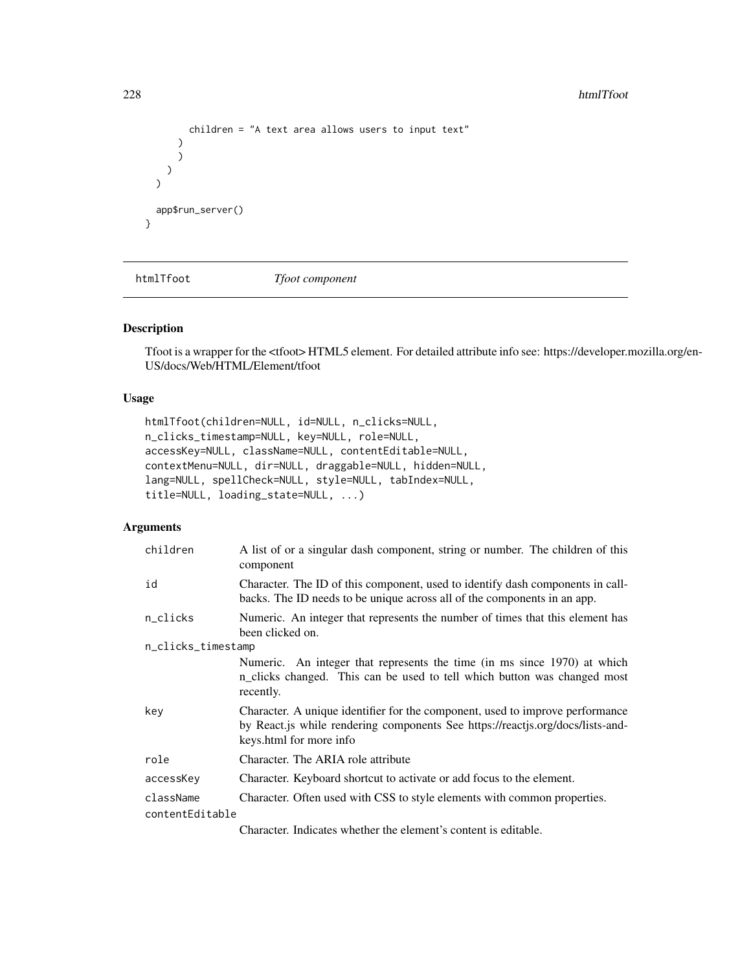```
children = "A text area allows users to input text"
      )
      )
    )
  \mathcal{L}app$run_server()
}
```
htmlTfoot *Tfoot component*

### Description

Tfoot is a wrapper for the <tfoot> HTML5 element. For detailed attribute info see: https://developer.mozilla.org/en-US/docs/Web/HTML/Element/tfoot

## Usage

```
htmlTfoot(children=NULL, id=NULL, n_clicks=NULL,
n_clicks_timestamp=NULL, key=NULL, role=NULL,
accessKey=NULL, className=NULL, contentEditable=NULL,
contextMenu=NULL, dir=NULL, draggable=NULL, hidden=NULL,
lang=NULL, spellCheck=NULL, style=NULL, tabIndex=NULL,
title=NULL, loading_state=NULL, ...)
```

| children           | A list of or a singular dash component, string or number. The children of this<br>component                                                                                                |
|--------------------|--------------------------------------------------------------------------------------------------------------------------------------------------------------------------------------------|
| id                 | Character. The ID of this component, used to identify dash components in call-<br>backs. The ID needs to be unique across all of the components in an app.                                 |
| n_clicks           | Numeric. An integer that represents the number of times that this element has<br>been clicked on.                                                                                          |
| n_clicks_timestamp |                                                                                                                                                                                            |
|                    | Numeric. An integer that represents the time (in ms since 1970) at which<br>n_clicks changed. This can be used to tell which button was changed most<br>recently.                          |
| key                | Character. A unique identifier for the component, used to improve performance<br>by React.js while rendering components See https://reactjs.org/docs/lists-and-<br>keys.html for more info |
| role               | Character. The ARIA role attribute                                                                                                                                                         |
| accessKey          | Character. Keyboard shortcut to activate or add focus to the element.                                                                                                                      |
| className          | Character. Often used with CSS to style elements with common properties.                                                                                                                   |
| contentEditable    |                                                                                                                                                                                            |
|                    | Character. Indicates whether the element's content is editable.                                                                                                                            |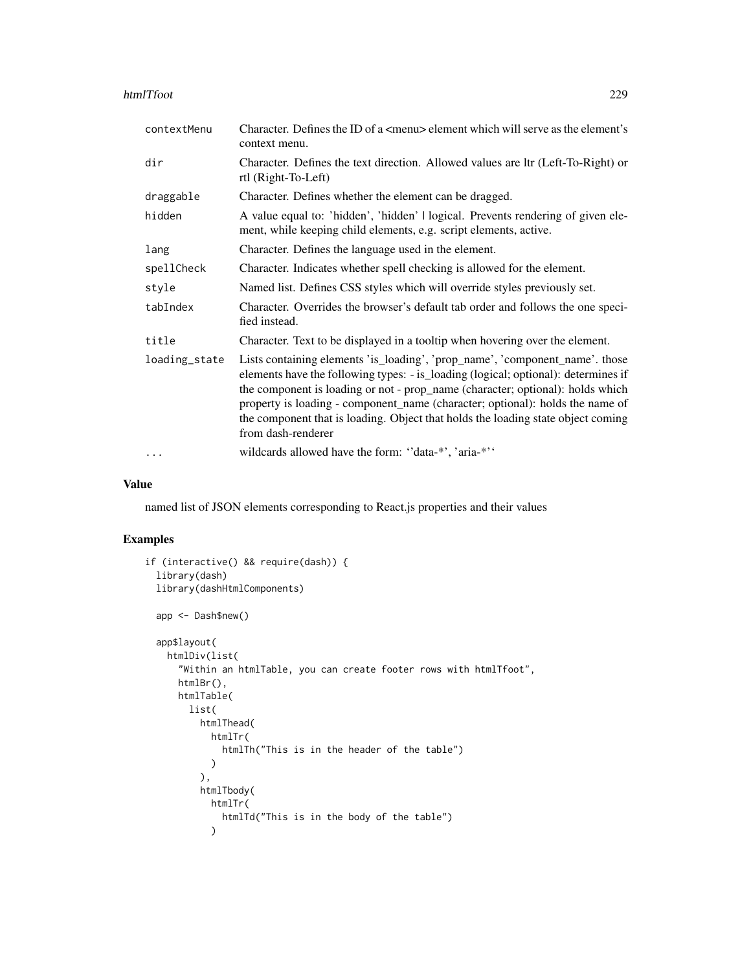#### htmlTfoot 229

| contextMenu   | Character. Defines the ID of a $\leq$ menu> element which will serve as the element's<br>context menu.                                                                                                                                                                                                                                                                                                                                          |
|---------------|-------------------------------------------------------------------------------------------------------------------------------------------------------------------------------------------------------------------------------------------------------------------------------------------------------------------------------------------------------------------------------------------------------------------------------------------------|
| dir           | Character. Defines the text direction. Allowed values are ltr (Left-To-Right) or<br>rtl (Right-To-Left)                                                                                                                                                                                                                                                                                                                                         |
| draggable     | Character. Defines whether the element can be dragged.                                                                                                                                                                                                                                                                                                                                                                                          |
| hidden        | A value equal to: 'hidden', 'hidden'   logical. Prevents rendering of given ele-<br>ment, while keeping child elements, e.g. script elements, active.                                                                                                                                                                                                                                                                                           |
| lang          | Character. Defines the language used in the element.                                                                                                                                                                                                                                                                                                                                                                                            |
| spellCheck    | Character. Indicates whether spell checking is allowed for the element.                                                                                                                                                                                                                                                                                                                                                                         |
| style         | Named list. Defines CSS styles which will override styles previously set.                                                                                                                                                                                                                                                                                                                                                                       |
| tabIndex      | Character. Overrides the browser's default tab order and follows the one speci-<br>fied instead.                                                                                                                                                                                                                                                                                                                                                |
| title         | Character. Text to be displayed in a tooltip when hovering over the element.                                                                                                                                                                                                                                                                                                                                                                    |
| loading_state | Lists containing elements 'is_loading', 'prop_name', 'component_name'. those<br>elements have the following types: - is_loading (logical; optional): determines if<br>the component is loading or not - prop_name (character; optional): holds which<br>property is loading - component_name (character; optional): holds the name of<br>the component that is loading. Object that holds the loading state object coming<br>from dash-renderer |
| $\cdots$      | wildcards allowed have the form: "data-*', 'aria-*''                                                                                                                                                                                                                                                                                                                                                                                            |

#### Value

named list of JSON elements corresponding to React.js properties and their values

```
if (interactive() && require(dash)) {
 library(dash)
 library(dashHtmlComponents)
 app <- Dash$new()
 app$layout(
   htmlDiv(list(
      "Within an htmlTable, you can create footer rows with htmlTfoot",
     htmlBr(),
     htmlTable(
        list(
          htmlThead(
            htmlTr(
              htmlTh("This is in the header of the table")
            \lambda),
          htmlTbody(
            htmlTr(
              htmlTd("This is in the body of the table")
            \mathcal{L}
```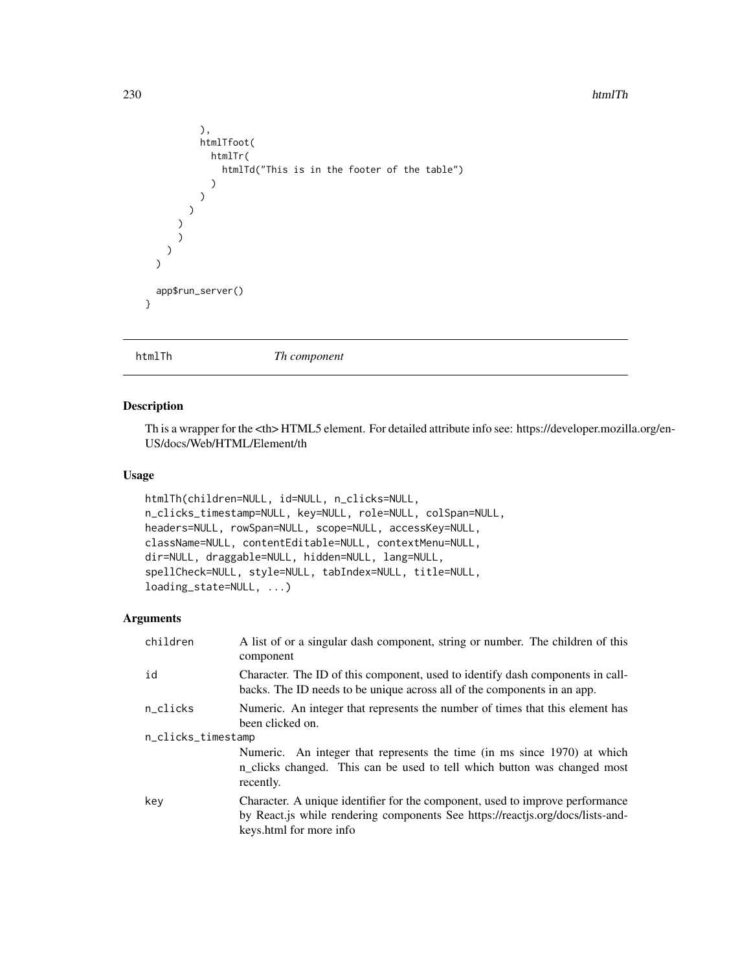#### 230 htmlTh

```
),
          htmlTfoot(
            htmlTr(
              htmlTd("This is in the footer of the table")
            )
          )
        )
       )
      \lambda)
   )
   app$run_server()
 }
htmlTh Th component
```
## Description

Th is a wrapper for the <th> HTML5 element. For detailed attribute info see: https://developer.mozilla.org/en-US/docs/Web/HTML/Element/th

#### Usage

```
htmlTh(children=NULL, id=NULL, n_clicks=NULL,
n_clicks_timestamp=NULL, key=NULL, role=NULL, colSpan=NULL,
headers=NULL, rowSpan=NULL, scope=NULL, accessKey=NULL,
className=NULL, contentEditable=NULL, contextMenu=NULL,
dir=NULL, draggable=NULL, hidden=NULL, lang=NULL,
spellCheck=NULL, style=NULL, tabIndex=NULL, title=NULL,
loading_state=NULL, ...)
```

| children           | A list of or a singular dash component, string or number. The children of this<br>component                                                                                                |  |
|--------------------|--------------------------------------------------------------------------------------------------------------------------------------------------------------------------------------------|--|
| id                 | Character. The ID of this component, used to identify dash components in call-<br>backs. The ID needs to be unique across all of the components in an app.                                 |  |
| n_clicks           | Numeric. An integer that represents the number of times that this element has<br>been clicked on.                                                                                          |  |
| n_clicks_timestamp |                                                                                                                                                                                            |  |
|                    | Numeric. An integer that represents the time (in ms since 1970) at which<br>n_clicks changed. This can be used to tell which button was changed most<br>recently.                          |  |
| key                | Character. A unique identifier for the component, used to improve performance<br>by React.js while rendering components See https://reactjs.org/docs/lists-and-<br>keys.html for more info |  |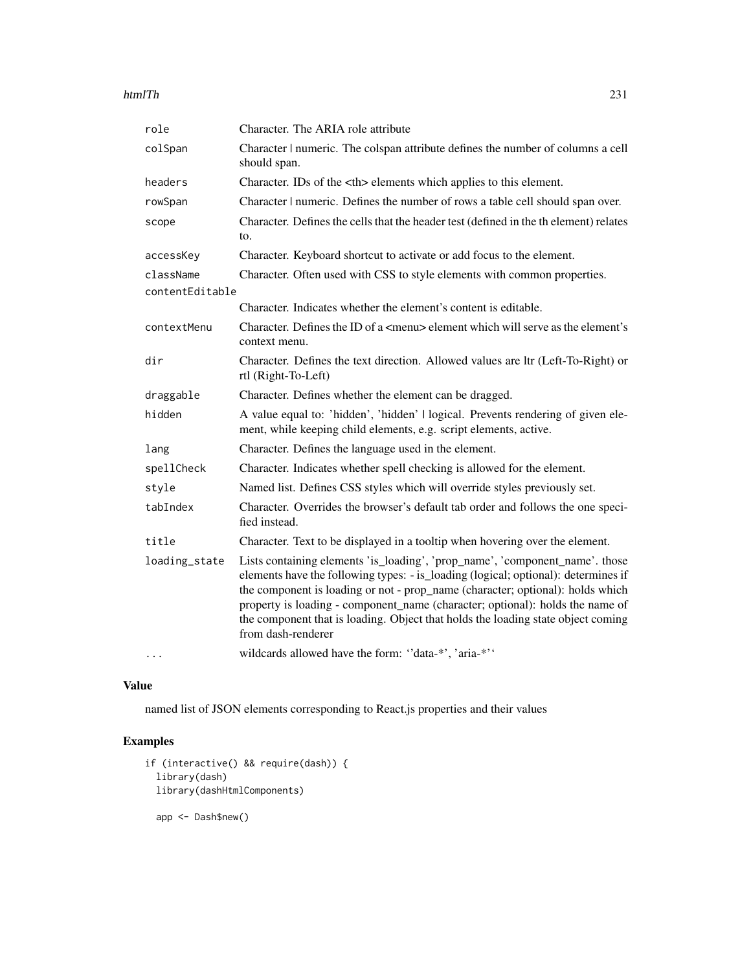#### htmlTh 231

| role            | Character. The ARIA role attribute                                                                                                                                                                                                                                                                                                                                                                                                              |                                         |
|-----------------|-------------------------------------------------------------------------------------------------------------------------------------------------------------------------------------------------------------------------------------------------------------------------------------------------------------------------------------------------------------------------------------------------------------------------------------------------|-----------------------------------------|
| colSpan         | Character   numeric. The colspan attribute defines the number of columns a cell<br>should span.                                                                                                                                                                                                                                                                                                                                                 |                                         |
| headers         | Character. IDs of the <th> elements which applies to this element.</th>                                                                                                                                                                                                                                                                                                                                                                         | elements which applies to this element. |
| rowSpan         | Character   numeric. Defines the number of rows a table cell should span over.                                                                                                                                                                                                                                                                                                                                                                  |                                         |
| scope           | Character. Defines the cells that the header test (defined in the th element) relates<br>to.                                                                                                                                                                                                                                                                                                                                                    |                                         |
| accessKey       | Character. Keyboard shortcut to activate or add focus to the element.                                                                                                                                                                                                                                                                                                                                                                           |                                         |
| className       | Character. Often used with CSS to style elements with common properties.                                                                                                                                                                                                                                                                                                                                                                        |                                         |
| contentEditable |                                                                                                                                                                                                                                                                                                                                                                                                                                                 |                                         |
|                 | Character. Indicates whether the element's content is editable.                                                                                                                                                                                                                                                                                                                                                                                 |                                         |
| contextMenu     | Character. Defines the ID of a <menu> element which will serve as the element's<br/>context menu.</menu>                                                                                                                                                                                                                                                                                                                                        |                                         |
| dir             | Character. Defines the text direction. Allowed values are ltr (Left-To-Right) or<br>rtl (Right-To-Left)                                                                                                                                                                                                                                                                                                                                         |                                         |
| draggable       | Character. Defines whether the element can be dragged.                                                                                                                                                                                                                                                                                                                                                                                          |                                         |
| hidden          | A value equal to: 'hidden', 'hidden'   logical. Prevents rendering of given ele-<br>ment, while keeping child elements, e.g. script elements, active.                                                                                                                                                                                                                                                                                           |                                         |
| lang            | Character. Defines the language used in the element.                                                                                                                                                                                                                                                                                                                                                                                            |                                         |
| spellCheck      | Character. Indicates whether spell checking is allowed for the element.                                                                                                                                                                                                                                                                                                                                                                         |                                         |
| style           | Named list. Defines CSS styles which will override styles previously set.                                                                                                                                                                                                                                                                                                                                                                       |                                         |
| tabIndex        | Character. Overrides the browser's default tab order and follows the one speci-<br>fied instead.                                                                                                                                                                                                                                                                                                                                                |                                         |
| title           | Character. Text to be displayed in a tooltip when hovering over the element.                                                                                                                                                                                                                                                                                                                                                                    |                                         |
| loading_state   | Lists containing elements 'is_loading', 'prop_name', 'component_name'. those<br>elements have the following types: - is_loading (logical; optional): determines if<br>the component is loading or not - prop_name (character; optional): holds which<br>property is loading - component_name (character; optional): holds the name of<br>the component that is loading. Object that holds the loading state object coming<br>from dash-renderer |                                         |
| .               | wildcards allowed have the form: "data-*', 'aria-*''                                                                                                                                                                                                                                                                                                                                                                                            |                                         |

## Value

named list of JSON elements corresponding to React.js properties and their values

```
if (interactive() && require(dash)) {
 library(dash)
 library(dashHtmlComponents)
  app <- Dash$new()
```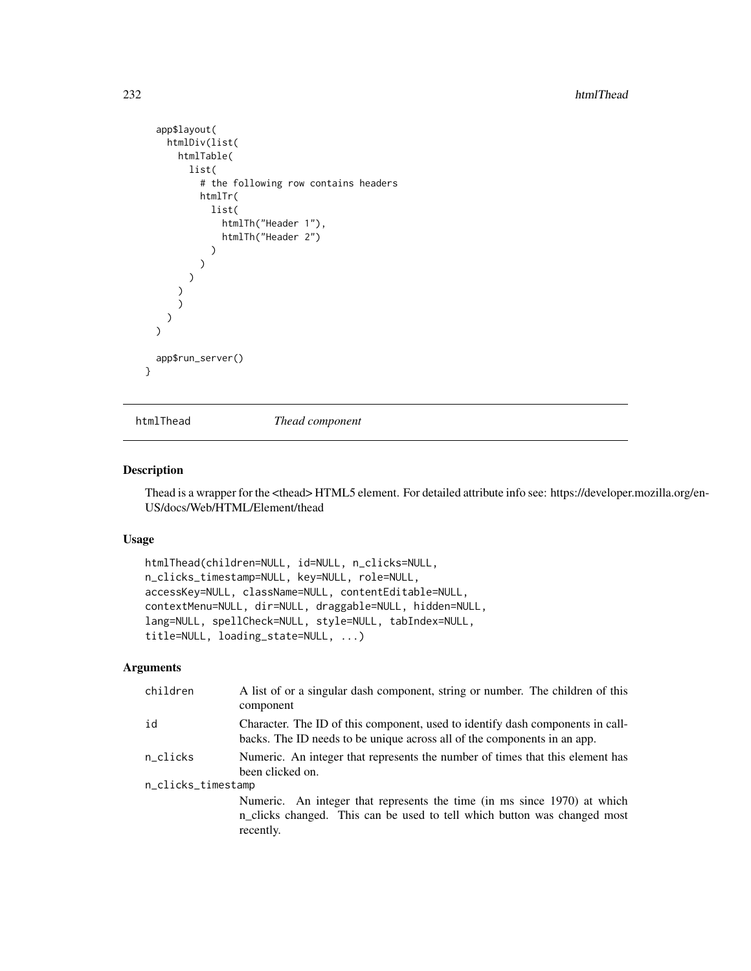```
app$layout(
    htmlDiv(list(
      htmlTable(
        list(
           # the following row contains headers
          htmlTr(
             list(
               htmlTh("Header 1"),
               htmlTh("Header 2")
             )
          )
        \lambda)
      \mathcal{L})
  )
  app$run_server()
}
```
htmlThead *Thead component*

#### Description

Thead is a wrapper for the <thead> HTML5 element. For detailed attribute info see: https://developer.mozilla.org/en-US/docs/Web/HTML/Element/thead

### Usage

```
htmlThead(children=NULL, id=NULL, n_clicks=NULL,
n_clicks_timestamp=NULL, key=NULL, role=NULL,
accessKey=NULL, className=NULL, contentEditable=NULL,
contextMenu=NULL, dir=NULL, draggable=NULL, hidden=NULL,
lang=NULL, spellCheck=NULL, style=NULL, tabIndex=NULL,
title=NULL, loading_state=NULL, ...)
```

| children           | A list of or a singular dash component, string or number. The children of this<br>component                                                                       |  |
|--------------------|-------------------------------------------------------------------------------------------------------------------------------------------------------------------|--|
| id                 | Character. The ID of this component, used to identify dash components in call-<br>backs. The ID needs to be unique across all of the components in an app.        |  |
| n_clicks           | Numeric. An integer that represents the number of times that this element has<br>been clicked on.                                                                 |  |
| n_clicks_timestamp |                                                                                                                                                                   |  |
|                    | Numeric. An integer that represents the time (in ms since 1970) at which<br>n_clicks changed. This can be used to tell which button was changed most<br>recently. |  |
|                    |                                                                                                                                                                   |  |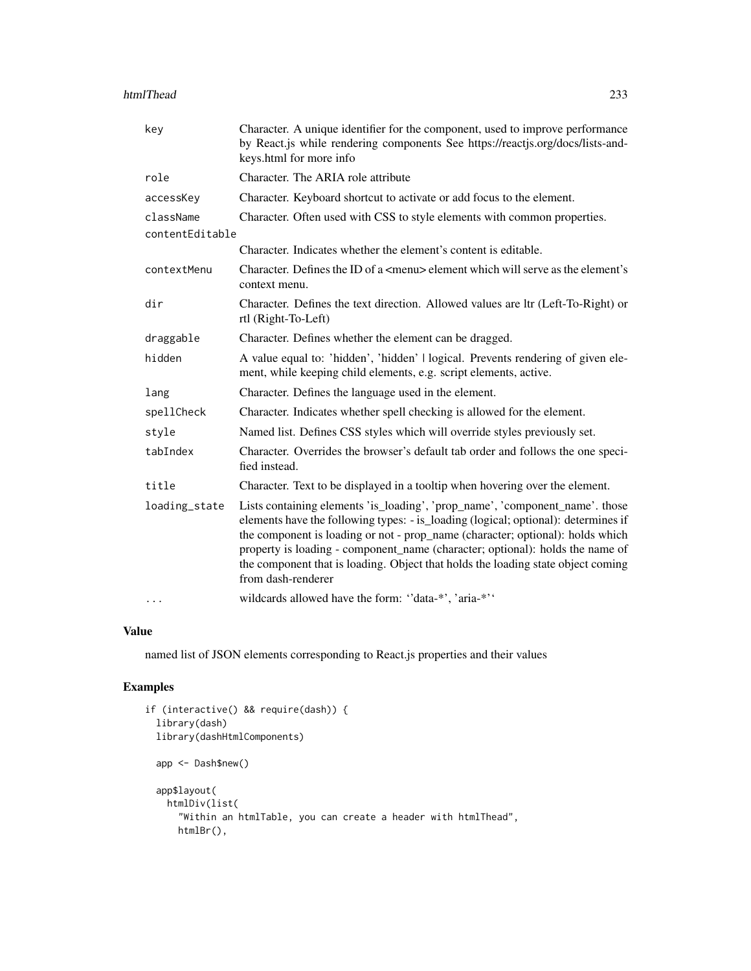| key             | Character. A unique identifier for the component, used to improve performance<br>by React.js while rendering components See https://reactjs.org/docs/lists-and-<br>keys.html for more info                                                                                                                                                                                                                                                      |
|-----------------|-------------------------------------------------------------------------------------------------------------------------------------------------------------------------------------------------------------------------------------------------------------------------------------------------------------------------------------------------------------------------------------------------------------------------------------------------|
| role            | Character. The ARIA role attribute                                                                                                                                                                                                                                                                                                                                                                                                              |
| accessKey       | Character. Keyboard shortcut to activate or add focus to the element.                                                                                                                                                                                                                                                                                                                                                                           |
| className       | Character. Often used with CSS to style elements with common properties.                                                                                                                                                                                                                                                                                                                                                                        |
| contentEditable |                                                                                                                                                                                                                                                                                                                                                                                                                                                 |
|                 | Character. Indicates whether the element's content is editable.                                                                                                                                                                                                                                                                                                                                                                                 |
| contextMenu     | Character. Defines the ID of a <menu> element which will serve as the element's<br/>context menu.</menu>                                                                                                                                                                                                                                                                                                                                        |
| dir             | Character. Defines the text direction. Allowed values are ltr (Left-To-Right) or<br>rtl (Right-To-Left)                                                                                                                                                                                                                                                                                                                                         |
| draggable       | Character. Defines whether the element can be dragged.                                                                                                                                                                                                                                                                                                                                                                                          |
| hidden          | A value equal to: 'hidden', 'hidden'   logical. Prevents rendering of given ele-<br>ment, while keeping child elements, e.g. script elements, active.                                                                                                                                                                                                                                                                                           |
| lang            | Character. Defines the language used in the element.                                                                                                                                                                                                                                                                                                                                                                                            |
| spellCheck      | Character. Indicates whether spell checking is allowed for the element.                                                                                                                                                                                                                                                                                                                                                                         |
| style           | Named list. Defines CSS styles which will override styles previously set.                                                                                                                                                                                                                                                                                                                                                                       |
| tabIndex        | Character. Overrides the browser's default tab order and follows the one speci-<br>fied instead.                                                                                                                                                                                                                                                                                                                                                |
| title           | Character. Text to be displayed in a tooltip when hovering over the element.                                                                                                                                                                                                                                                                                                                                                                    |
| loading_state   | Lists containing elements 'is_loading', 'prop_name', 'component_name'. those<br>elements have the following types: - is_loading (logical; optional): determines if<br>the component is loading or not - prop_name (character; optional): holds which<br>property is loading - component_name (character; optional): holds the name of<br>the component that is loading. Object that holds the loading state object coming<br>from dash-renderer |
| $\cdots$        | wildcards allowed have the form: "data-*', 'aria-*''                                                                                                                                                                                                                                                                                                                                                                                            |

### Value

named list of JSON elements corresponding to React.js properties and their values

```
if (interactive() && require(dash)) {
  library(dash)
  library(dashHtmlComponents)
  app <- Dash$new()
  app$layout(
   htmlDiv(list(
      "Within an htmlTable, you can create a header with htmlThead",
     htmlBr(),
```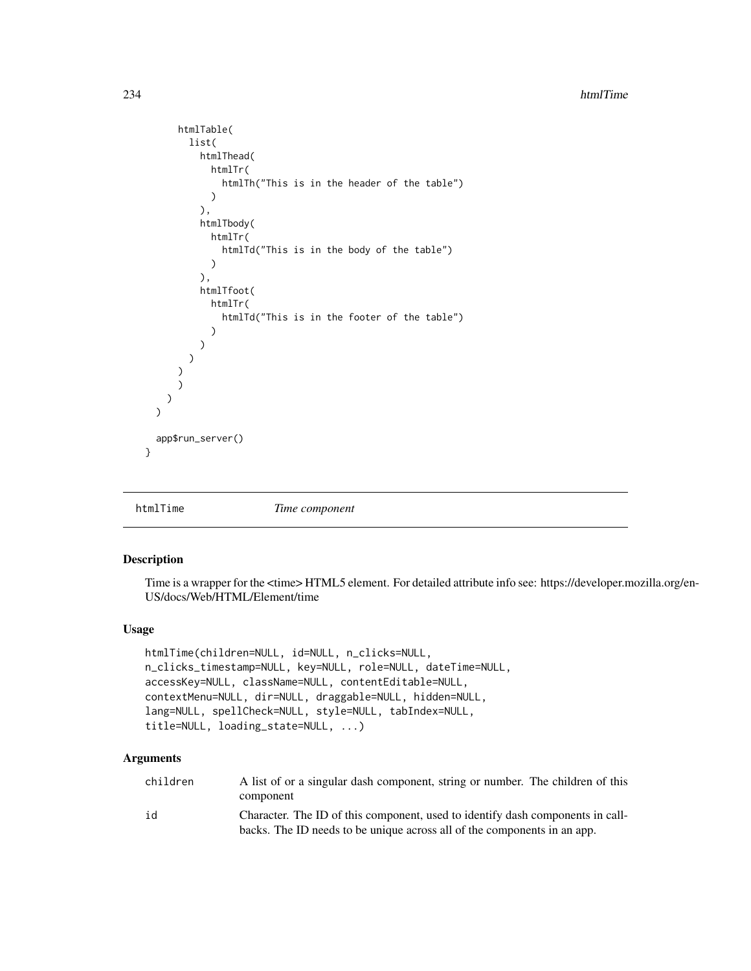```
htmlTable(
        list(
          htmlThead(
            htmlTr(
               htmlTh("This is in the header of the table")
             \lambda),
          htmlTbody(
             htmlTr(
               htmlTd("This is in the body of the table")
             )
          ),
          htmlTfoot(
             htmlTr(
               htmlTd("This is in the footer of the table")
             )
          )
        )
      \mathcal{L})
    )
  \lambdaapp$run_server()
}
```
htmlTime *Time component*

#### Description

Time is a wrapper for the <time> HTML5 element. For detailed attribute info see: https://developer.mozilla.org/en-US/docs/Web/HTML/Element/time

### Usage

```
htmlTime(children=NULL, id=NULL, n_clicks=NULL,
n_clicks_timestamp=NULL, key=NULL, role=NULL, dateTime=NULL,
accessKey=NULL, className=NULL, contentEditable=NULL,
contextMenu=NULL, dir=NULL, draggable=NULL, hidden=NULL,
lang=NULL, spellCheck=NULL, style=NULL, tabIndex=NULL,
title=NULL, loading_state=NULL, ...)
```

| children | A list of or a singular dash component, string or number. The children of this |
|----------|--------------------------------------------------------------------------------|
|          | component                                                                      |
| id       | Character. The ID of this component, used to identify dash components in call- |
|          | backs. The ID needs to be unique across all of the components in an app.       |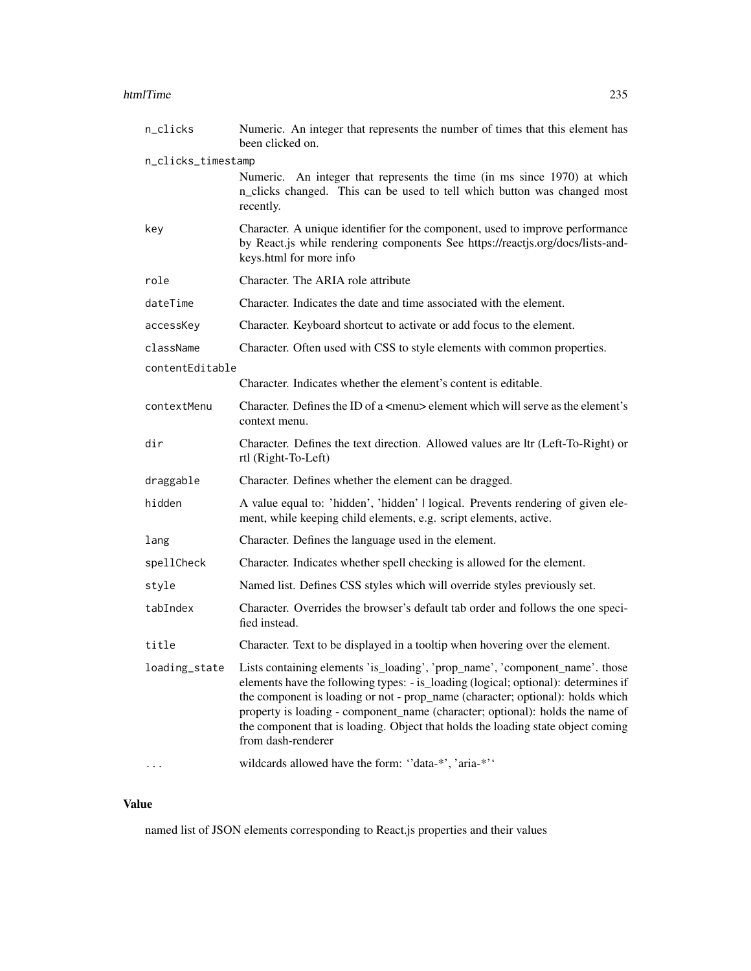#### htmlTime 235

| n_clicks           | Numeric. An integer that represents the number of times that this element has<br>been clicked on.                                                                                                                                                                                                                                                                                                                                               |
|--------------------|-------------------------------------------------------------------------------------------------------------------------------------------------------------------------------------------------------------------------------------------------------------------------------------------------------------------------------------------------------------------------------------------------------------------------------------------------|
| n_clicks_timestamp |                                                                                                                                                                                                                                                                                                                                                                                                                                                 |
|                    | Numeric. An integer that represents the time (in ms since 1970) at which<br>n_clicks changed. This can be used to tell which button was changed most<br>recently.                                                                                                                                                                                                                                                                               |
| key                | Character. A unique identifier for the component, used to improve performance<br>by React.js while rendering components See https://reactjs.org/docs/lists-and-<br>keys.html for more info                                                                                                                                                                                                                                                      |
| role               | Character. The ARIA role attribute                                                                                                                                                                                                                                                                                                                                                                                                              |
| dateTime           | Character. Indicates the date and time associated with the element.                                                                                                                                                                                                                                                                                                                                                                             |
| accessKey          | Character. Keyboard shortcut to activate or add focus to the element.                                                                                                                                                                                                                                                                                                                                                                           |
| className          | Character. Often used with CSS to style elements with common properties.                                                                                                                                                                                                                                                                                                                                                                        |
| contentEditable    |                                                                                                                                                                                                                                                                                                                                                                                                                                                 |
|                    | Character. Indicates whether the element's content is editable.                                                                                                                                                                                                                                                                                                                                                                                 |
| contextMenu        | Character. Defines the ID of a <menu> element which will serve as the element's<br/>context menu.</menu>                                                                                                                                                                                                                                                                                                                                        |
| dir                | Character. Defines the text direction. Allowed values are ltr (Left-To-Right) or<br>rtl (Right-To-Left)                                                                                                                                                                                                                                                                                                                                         |
| draggable          | Character. Defines whether the element can be dragged.                                                                                                                                                                                                                                                                                                                                                                                          |
| hidden             | A value equal to: 'hidden', 'hidden'   logical. Prevents rendering of given ele-<br>ment, while keeping child elements, e.g. script elements, active.                                                                                                                                                                                                                                                                                           |
| lang               | Character. Defines the language used in the element.                                                                                                                                                                                                                                                                                                                                                                                            |
| spellCheck         | Character. Indicates whether spell checking is allowed for the element.                                                                                                                                                                                                                                                                                                                                                                         |
| style              | Named list. Defines CSS styles which will override styles previously set.                                                                                                                                                                                                                                                                                                                                                                       |
| tabIndex           | Character. Overrides the browser's default tab order and follows the one speci-<br>fied instead.                                                                                                                                                                                                                                                                                                                                                |
| title              | Character. Text to be displayed in a tooltip when hovering over the element.                                                                                                                                                                                                                                                                                                                                                                    |
| loading_state      | Lists containing elements 'is_loading', 'prop_name', 'component_name'. those<br>elements have the following types: - is_loading (logical; optional): determines if<br>the component is loading or not - prop_name (character; optional): holds which<br>property is loading - component_name (character; optional): holds the name of<br>the component that is loading. Object that holds the loading state object coming<br>from dash-renderer |
|                    | wildcards allowed have the form: "data-*', 'aria-*''                                                                                                                                                                                                                                                                                                                                                                                            |

# Value

named list of JSON elements corresponding to React.js properties and their values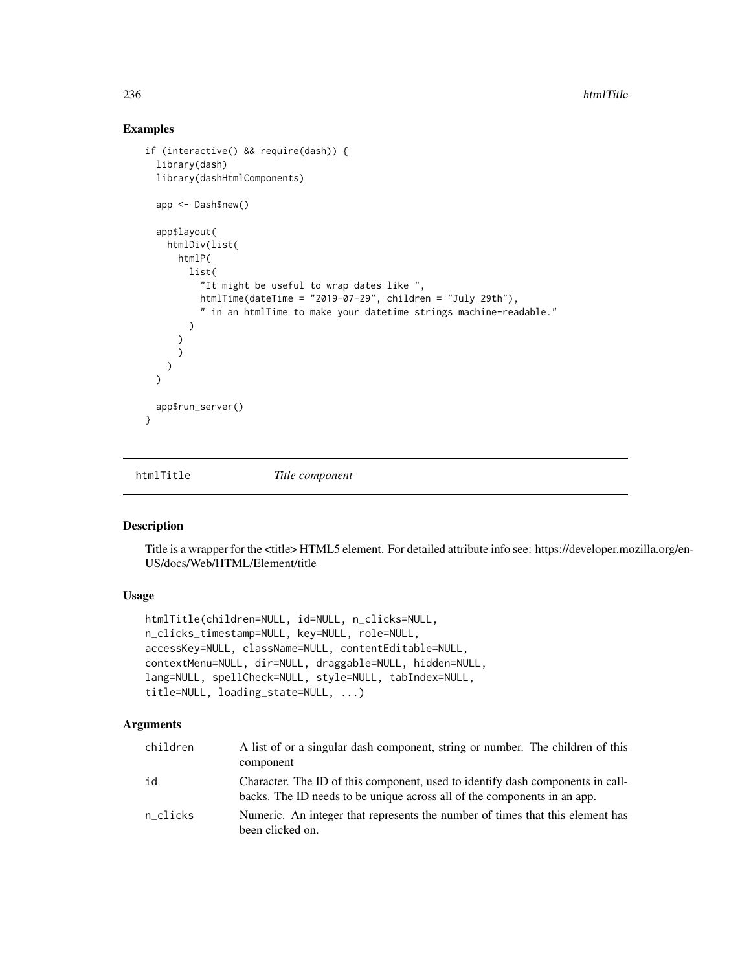## Examples

```
if (interactive() && require(dash)) {
 library(dash)
 library(dashHtmlComponents)
 app <- Dash$new()
 app$layout(
   htmlDiv(list(
     htmlP(
       list(
          "It might be useful to wrap dates like ",
          htmlTime(dateTime = "2019-07-29", children = "July 29th"),
          " in an htmlTime to make your datetime strings machine-readable."
        )
      )
     \lambda)
 \lambdaapp$run_server()
}
```
htmlTitle *Title component*

## Description

Title is a wrapper for the <title> HTML5 element. For detailed attribute info see: https://developer.mozilla.org/en-US/docs/Web/HTML/Element/title

#### Usage

```
htmlTitle(children=NULL, id=NULL, n_clicks=NULL,
n_clicks_timestamp=NULL, key=NULL, role=NULL,
accessKey=NULL, className=NULL, contentEditable=NULL,
contextMenu=NULL, dir=NULL, draggable=NULL, hidden=NULL,
lang=NULL, spellCheck=NULL, style=NULL, tabIndex=NULL,
title=NULL, loading_state=NULL, ...)
```

| children | A list of or a singular dash component, string or number. The children of this<br>component                                                                |
|----------|------------------------------------------------------------------------------------------------------------------------------------------------------------|
| id       | Character. The ID of this component, used to identify dash components in call-<br>backs. The ID needs to be unique across all of the components in an app. |
| n clicks | Numeric. An integer that represents the number of times that this element has<br>been clicked on.                                                          |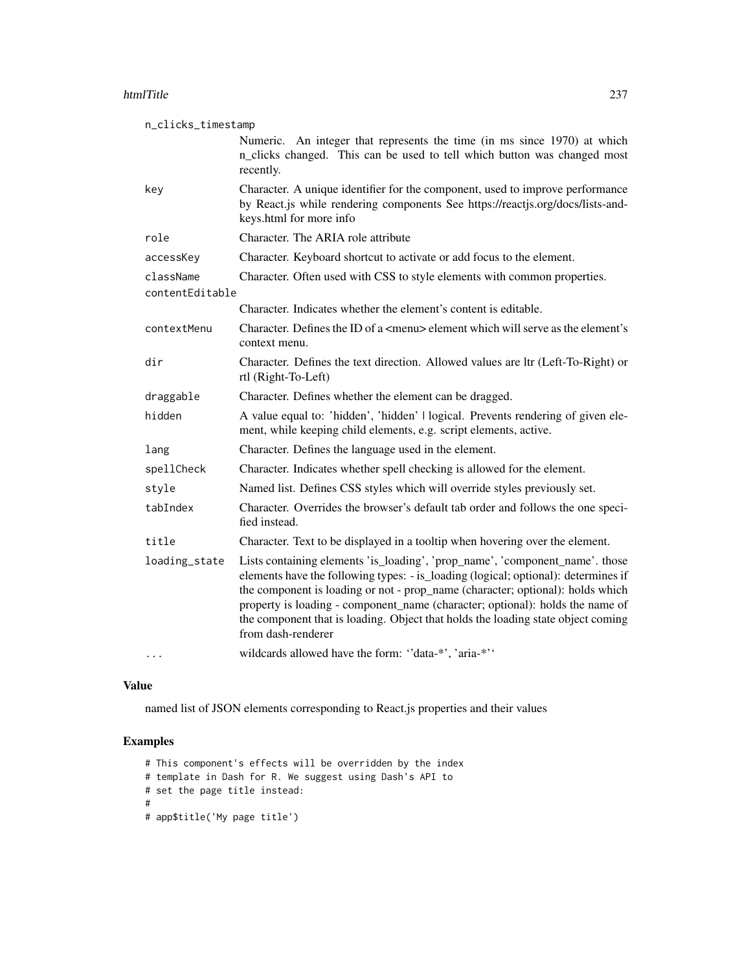#### htmlTitle 237

| n_clicks_timestamp           |                                                                                                                                                                                                                                                                                                                                                                                                                                                 |
|------------------------------|-------------------------------------------------------------------------------------------------------------------------------------------------------------------------------------------------------------------------------------------------------------------------------------------------------------------------------------------------------------------------------------------------------------------------------------------------|
|                              | Numeric. An integer that represents the time (in ms since 1970) at which<br>n_clicks changed. This can be used to tell which button was changed most<br>recently.                                                                                                                                                                                                                                                                               |
| key                          | Character. A unique identifier for the component, used to improve performance<br>by React.js while rendering components See https://reactjs.org/docs/lists-and-<br>keys.html for more info                                                                                                                                                                                                                                                      |
| role                         | Character. The ARIA role attribute                                                                                                                                                                                                                                                                                                                                                                                                              |
| accessKey                    | Character. Keyboard shortcut to activate or add focus to the element.                                                                                                                                                                                                                                                                                                                                                                           |
| className<br>contentEditable | Character. Often used with CSS to style elements with common properties.                                                                                                                                                                                                                                                                                                                                                                        |
|                              | Character. Indicates whether the element's content is editable.                                                                                                                                                                                                                                                                                                                                                                                 |
| contextMenu                  | Character. Defines the ID of a <menu> element which will serve as the element's<br/>context menu.</menu>                                                                                                                                                                                                                                                                                                                                        |
| dir                          | Character. Defines the text direction. Allowed values are ltr (Left-To-Right) or<br>rtl (Right-To-Left)                                                                                                                                                                                                                                                                                                                                         |
| draggable                    | Character. Defines whether the element can be dragged.                                                                                                                                                                                                                                                                                                                                                                                          |
| hidden                       | A value equal to: 'hidden', 'hidden'   logical. Prevents rendering of given ele-<br>ment, while keeping child elements, e.g. script elements, active.                                                                                                                                                                                                                                                                                           |
| lang                         | Character. Defines the language used in the element.                                                                                                                                                                                                                                                                                                                                                                                            |
| spellCheck                   | Character. Indicates whether spell checking is allowed for the element.                                                                                                                                                                                                                                                                                                                                                                         |
| style                        | Named list. Defines CSS styles which will override styles previously set.                                                                                                                                                                                                                                                                                                                                                                       |
| tabIndex                     | Character. Overrides the browser's default tab order and follows the one speci-<br>fied instead.                                                                                                                                                                                                                                                                                                                                                |
| title                        | Character. Text to be displayed in a tooltip when hovering over the element.                                                                                                                                                                                                                                                                                                                                                                    |
| loading_state                | Lists containing elements 'is_loading', 'prop_name', 'component_name'. those<br>elements have the following types: - is_loading (logical; optional): determines if<br>the component is loading or not - prop_name (character; optional): holds which<br>property is loading - component_name (character; optional): holds the name of<br>the component that is loading. Object that holds the loading state object coming<br>from dash-renderer |
|                              | wildcards allowed have the form: "data-*', 'aria-*''                                                                                                                                                                                                                                                                                                                                                                                            |

## Value

named list of JSON elements corresponding to React.js properties and their values

```
# This component's effects will be overridden by the index
# template in Dash for R. We suggest using Dash's API to
# set the page title instead:
#
# app$title('My page title')
```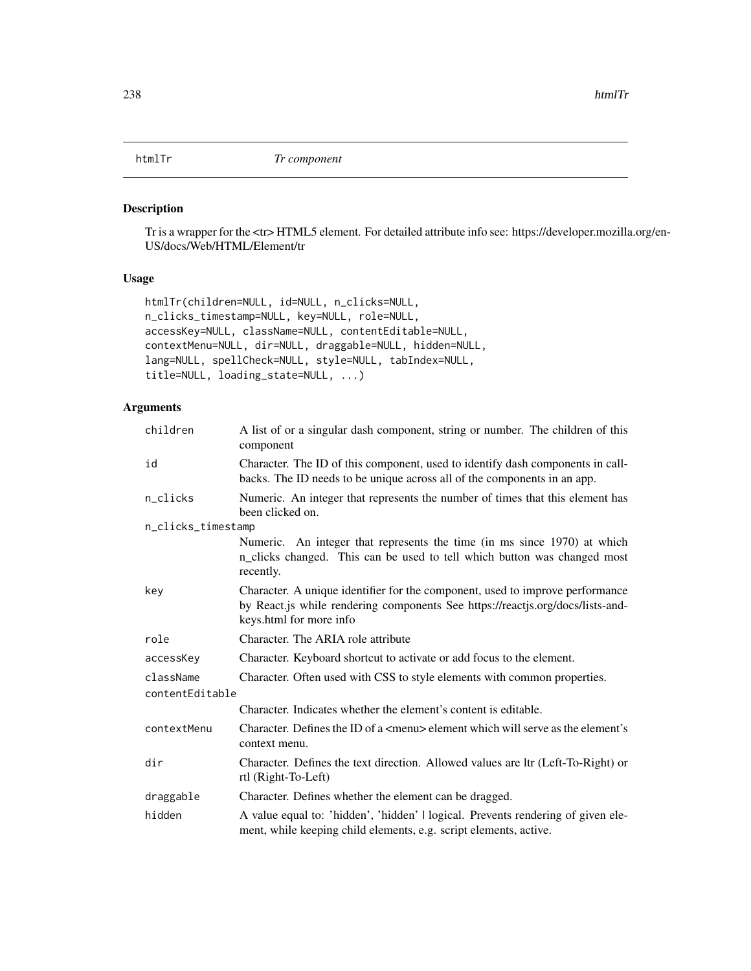## Description

Tr is a wrapper for the <tr> HTML5 element. For detailed attribute info see: https://developer.mozilla.org/en-US/docs/Web/HTML/Element/tr

## Usage

```
htmlTr(children=NULL, id=NULL, n_clicks=NULL,
n_clicks_timestamp=NULL, key=NULL, role=NULL,
accessKey=NULL, className=NULL, contentEditable=NULL,
contextMenu=NULL, dir=NULL, draggable=NULL, hidden=NULL,
lang=NULL, spellCheck=NULL, style=NULL, tabIndex=NULL,
title=NULL, loading_state=NULL, ...)
```

| children           | A list of or a singular dash component, string or number. The children of this<br>component                                                                                                |  |
|--------------------|--------------------------------------------------------------------------------------------------------------------------------------------------------------------------------------------|--|
| id                 | Character. The ID of this component, used to identify dash components in call-<br>backs. The ID needs to be unique across all of the components in an app.                                 |  |
| n_clicks           | Numeric. An integer that represents the number of times that this element has<br>been clicked on.                                                                                          |  |
| n_clicks_timestamp |                                                                                                                                                                                            |  |
|                    | Numeric. An integer that represents the time (in ms since 1970) at which<br>n_clicks changed. This can be used to tell which button was changed most<br>recently.                          |  |
| key                | Character. A unique identifier for the component, used to improve performance<br>by React.js while rendering components See https://reactjs.org/docs/lists-and-<br>keys.html for more info |  |
| role               | Character. The ARIA role attribute                                                                                                                                                         |  |
| accessKey          | Character. Keyboard shortcut to activate or add focus to the element.                                                                                                                      |  |
| className          | Character. Often used with CSS to style elements with common properties.                                                                                                                   |  |
| contentEditable    |                                                                                                                                                                                            |  |
|                    | Character. Indicates whether the element's content is editable.                                                                                                                            |  |
| contextMenu        | Character. Defines the ID of a $\leq$ menu $\geq$ element which will serve as the element's<br>context menu.                                                                               |  |
| dir                | Character. Defines the text direction. Allowed values are ltr (Left-To-Right) or<br>rtl (Right-To-Left)                                                                                    |  |
| draggable          | Character. Defines whether the element can be dragged.                                                                                                                                     |  |
| hidden             | A value equal to: 'hidden', 'hidden'   logical. Prevents rendering of given ele-<br>ment, while keeping child elements, e.g. script elements, active.                                      |  |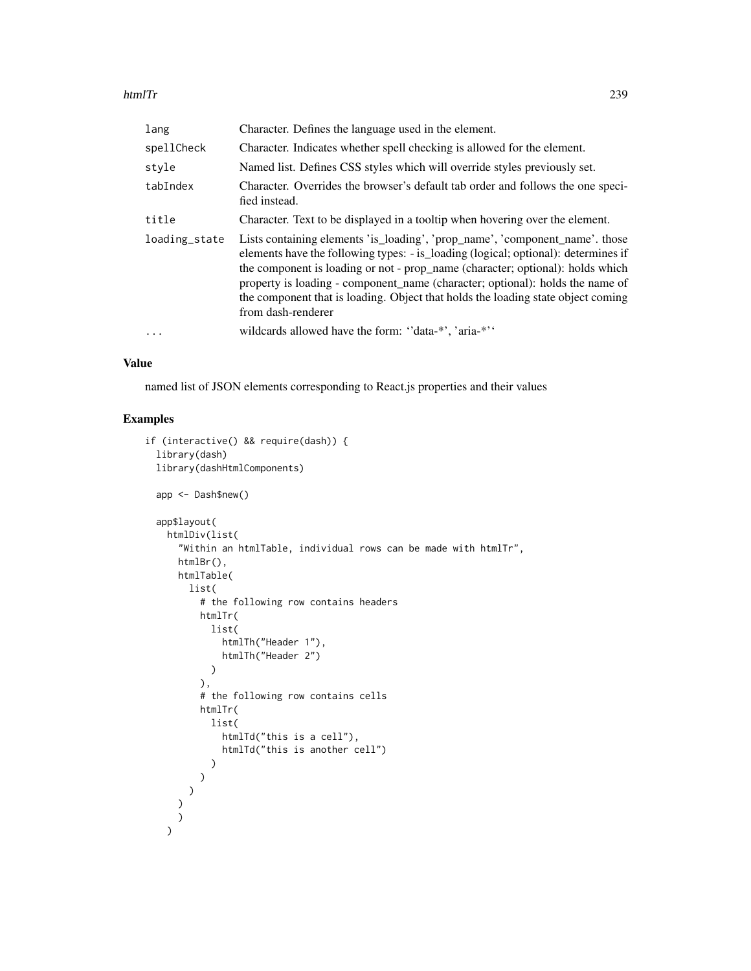#### htmlTr 239

| lang          | Character. Defines the language used in the element.                                                                                                                                                                                                                                                                                                                                                                                            |
|---------------|-------------------------------------------------------------------------------------------------------------------------------------------------------------------------------------------------------------------------------------------------------------------------------------------------------------------------------------------------------------------------------------------------------------------------------------------------|
| spellCheck    | Character. Indicates whether spell checking is allowed for the element.                                                                                                                                                                                                                                                                                                                                                                         |
| style         | Named list. Defines CSS styles which will override styles previously set.                                                                                                                                                                                                                                                                                                                                                                       |
| tabIndex      | Character. Overrides the browser's default tab order and follows the one speci-<br>fied instead.                                                                                                                                                                                                                                                                                                                                                |
| title         | Character. Text to be displayed in a tooltip when hovering over the element.                                                                                                                                                                                                                                                                                                                                                                    |
| loading_state | Lists containing elements 'is_loading', 'prop_name', 'component_name'. those<br>elements have the following types: - is_loading (logical; optional): determines if<br>the component is loading or not - prop_name (character; optional): holds which<br>property is loading - component name (character; optional): holds the name of<br>the component that is loading. Object that holds the loading state object coming<br>from dash-renderer |
| .             | wildcards allowed have the form: "data-*", 'aria-*"                                                                                                                                                                                                                                                                                                                                                                                             |

## Value

named list of JSON elements corresponding to React.js properties and their values

```
if (interactive() && require(dash)) {
  library(dash)
  library(dashHtmlComponents)
  app <- Dash$new()
  app$layout(
   htmlDiv(list(
      "Within an htmlTable, individual rows can be made with htmlTr",
     htmlBr(),
     htmlTable(
        list(
          # the following row contains headers
          htmlTr(
            list(
              htmlTh("Header 1"),
              htmlTh("Header 2")
            )
          ),
          # the following row contains cells
          htmlTr(
            list(
              htmlTd("this is a cell"),
              htmlTd("this is another cell")
            )
          )
        )
      )
      )
    )
```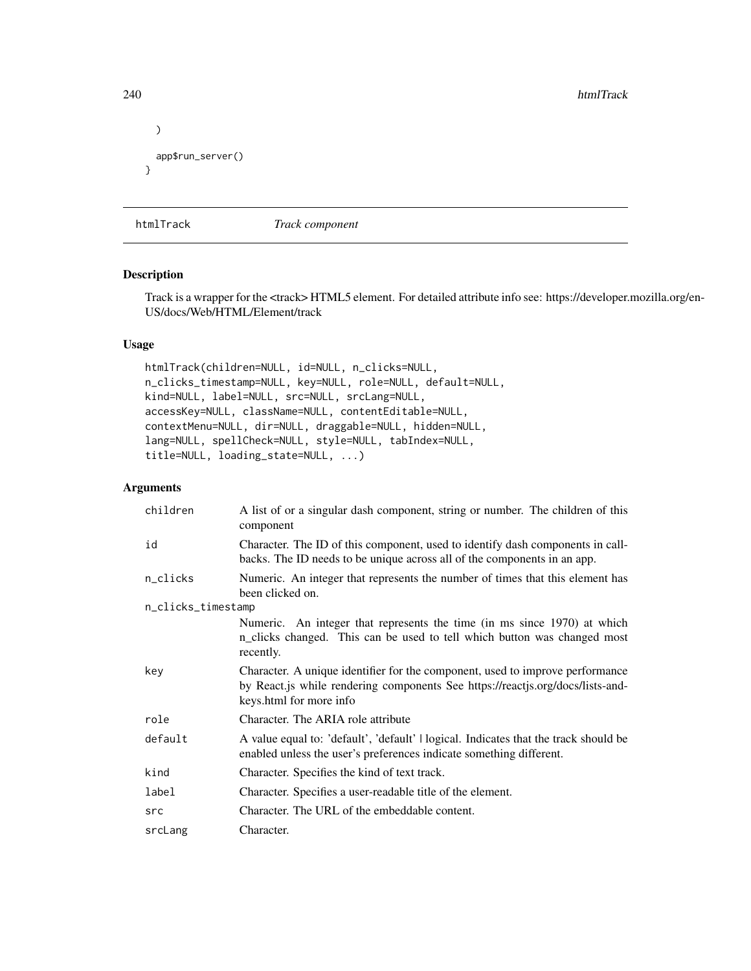```
240 htmlTrack and the control of the control of the control of the control of the control of the control of the control of the control of the control of the control of the control of the control of the control of the contr
```

```
)
 app$run_server()
}
```
htmlTrack *Track component*

#### Description

Track is a wrapper for the <track> HTML5 element. For detailed attribute info see: https://developer.mozilla.org/en-US/docs/Web/HTML/Element/track

## Usage

```
htmlTrack(children=NULL, id=NULL, n_clicks=NULL,
n_clicks_timestamp=NULL, key=NULL, role=NULL, default=NULL,
kind=NULL, label=NULL, src=NULL, srcLang=NULL,
accessKey=NULL, className=NULL, contentEditable=NULL,
contextMenu=NULL, dir=NULL, draggable=NULL, hidden=NULL,
lang=NULL, spellCheck=NULL, style=NULL, tabIndex=NULL,
title=NULL, loading_state=NULL, ...)
```

| children           | A list of or a singular dash component, string or number. The children of this<br>component                                                                                                |
|--------------------|--------------------------------------------------------------------------------------------------------------------------------------------------------------------------------------------|
| id                 | Character. The ID of this component, used to identify dash components in call-<br>backs. The ID needs to be unique across all of the components in an app.                                 |
| n_clicks           | Numeric. An integer that represents the number of times that this element has<br>been clicked on.                                                                                          |
| n_clicks_timestamp |                                                                                                                                                                                            |
|                    | Numeric. An integer that represents the time (in ms since 1970) at which<br>n_clicks changed. This can be used to tell which button was changed most<br>recently.                          |
| key                | Character. A unique identifier for the component, used to improve performance<br>by React.js while rendering components See https://reactjs.org/docs/lists-and-<br>keys.html for more info |
| role               | Character. The ARIA role attribute                                                                                                                                                         |
| default            | A value equal to: 'default', 'default'   logical. Indicates that the track should be<br>enabled unless the user's preferences indicate something different.                                |
| kind               | Character. Specifies the kind of text track.                                                                                                                                               |
| label              | Character. Specifies a user-readable title of the element.                                                                                                                                 |
| src                | Character. The URL of the embeddable content.                                                                                                                                              |
| srcLang            | Character.                                                                                                                                                                                 |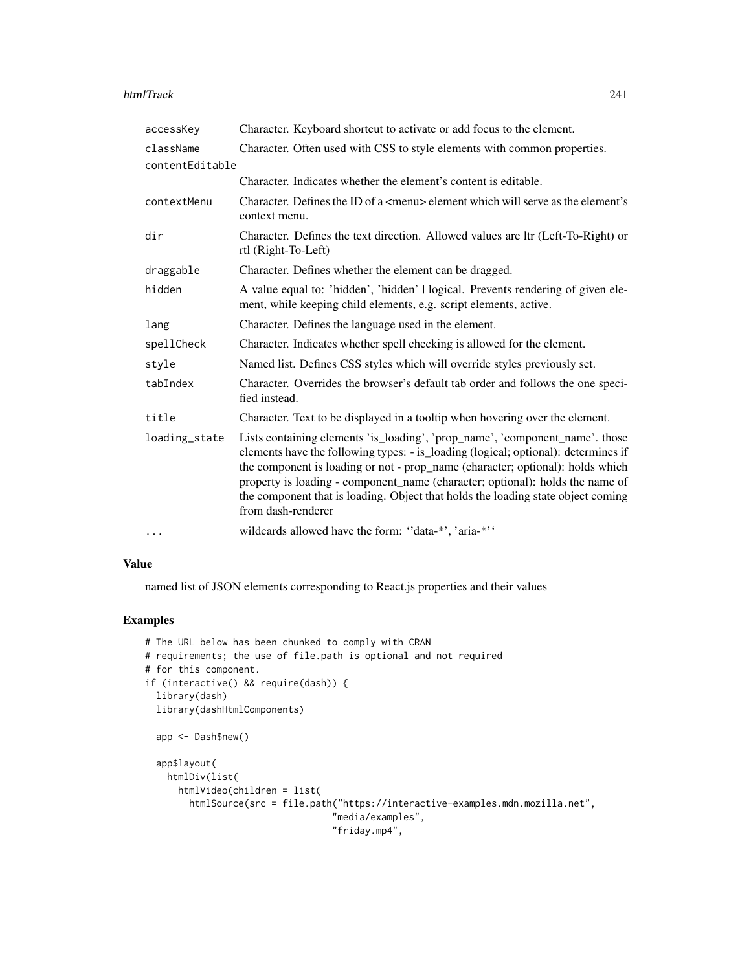#### htmlTrack 241

| accessKey       | Character. Keyboard shortcut to activate or add focus to the element.                                                                                                                                                                                                                                                                                                                                                                           |
|-----------------|-------------------------------------------------------------------------------------------------------------------------------------------------------------------------------------------------------------------------------------------------------------------------------------------------------------------------------------------------------------------------------------------------------------------------------------------------|
| className       | Character. Often used with CSS to style elements with common properties.                                                                                                                                                                                                                                                                                                                                                                        |
| contentEditable |                                                                                                                                                                                                                                                                                                                                                                                                                                                 |
|                 | Character. Indicates whether the element's content is editable.                                                                                                                                                                                                                                                                                                                                                                                 |
| contextMenu     | Character. Defines the ID of a <menu> element which will serve as the element's<br/>context menu.</menu>                                                                                                                                                                                                                                                                                                                                        |
| dir             | Character. Defines the text direction. Allowed values are ltr (Left-To-Right) or<br>rtl (Right-To-Left)                                                                                                                                                                                                                                                                                                                                         |
| draggable       | Character. Defines whether the element can be dragged.                                                                                                                                                                                                                                                                                                                                                                                          |
| hidden          | A value equal to: 'hidden', 'hidden'   logical. Prevents rendering of given ele-<br>ment, while keeping child elements, e.g. script elements, active.                                                                                                                                                                                                                                                                                           |
| lang            | Character. Defines the language used in the element.                                                                                                                                                                                                                                                                                                                                                                                            |
| spellCheck      | Character. Indicates whether spell checking is allowed for the element.                                                                                                                                                                                                                                                                                                                                                                         |
| style           | Named list. Defines CSS styles which will override styles previously set.                                                                                                                                                                                                                                                                                                                                                                       |
| tabIndex        | Character. Overrides the browser's default tab order and follows the one speci-<br>fied instead.                                                                                                                                                                                                                                                                                                                                                |
| title           | Character. Text to be displayed in a tooltip when hovering over the element.                                                                                                                                                                                                                                                                                                                                                                    |
| loading_state   | Lists containing elements 'is_loading', 'prop_name', 'component_name'. those<br>elements have the following types: - is_loading (logical; optional): determines if<br>the component is loading or not - prop_name (character; optional): holds which<br>property is loading - component_name (character; optional): holds the name of<br>the component that is loading. Object that holds the loading state object coming<br>from dash-renderer |
| $\cdots$        | wildcards allowed have the form: "data-*', 'aria-*''                                                                                                                                                                                                                                                                                                                                                                                            |

#### Value

named list of JSON elements corresponding to React.js properties and their values

```
# The URL below has been chunked to comply with CRAN
# requirements; the use of file.path is optional and not required
# for this component.
if (interactive() && require(dash)) {
  library(dash)
  library(dashHtmlComponents)
  app <- Dash$new()
  app$layout(
   htmlDiv(list(
     htmlVideo(children = list(
       htmlSource(src = file.path("https://interactive-examples.mdn.mozilla.net",
                                  "media/examples",
                                  "friday.mp4",
```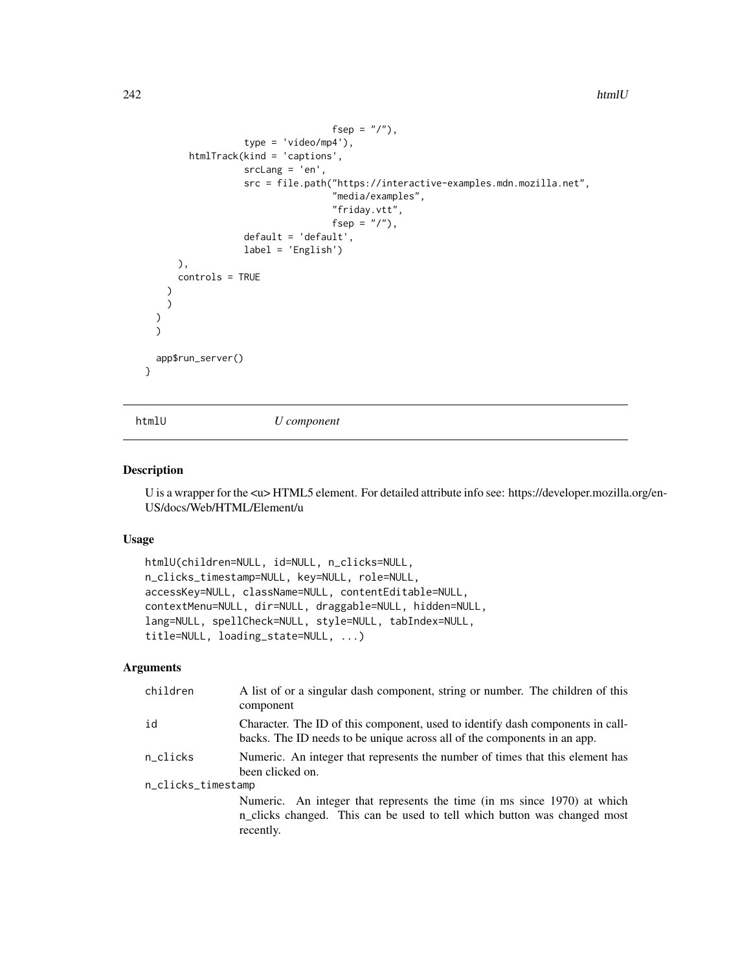```
fsep = ''/"),
                  type = 'video/mp4'),
        htmlTrack(kind = 'captions',
                  srcLang = 'en',
                  src = file.path("https://interactive-examples.mdn.mozilla.net",
                                   "media/examples",
                                   "friday.vtt",
                                   fsep = "/"),
                  default = 'default',
                  label = 'English')
      ),
      controls = TRUE
   )
   )
  )
  )
 app$run_server()
}
```
htmlU *U component*

#### Description

U is a wrapper for the  $\langle u \rangle$ HTML5 element. For detailed attribute info see: https://developer.mozilla.org/en-US/docs/Web/HTML/Element/u

### Usage

```
htmlU(children=NULL, id=NULL, n_clicks=NULL,
n_clicks_timestamp=NULL, key=NULL, role=NULL,
accessKey=NULL, className=NULL, contentEditable=NULL,
contextMenu=NULL, dir=NULL, draggable=NULL, hidden=NULL,
lang=NULL, spellCheck=NULL, style=NULL, tabIndex=NULL,
title=NULL, loading_state=NULL, ...)
```

| children           | A list of or a singular dash component, string or number. The children of this<br>component                                                                       |  |
|--------------------|-------------------------------------------------------------------------------------------------------------------------------------------------------------------|--|
| id                 | Character. The ID of this component, used to identify dash components in call-<br>backs. The ID needs to be unique across all of the components in an app.        |  |
| n_clicks           | Numeric. An integer that represents the number of times that this element has<br>been clicked on.                                                                 |  |
| n_clicks_timestamp |                                                                                                                                                                   |  |
|                    | Numeric. An integer that represents the time (in ms since 1970) at which<br>n_clicks changed. This can be used to tell which button was changed most<br>recently. |  |
|                    |                                                                                                                                                                   |  |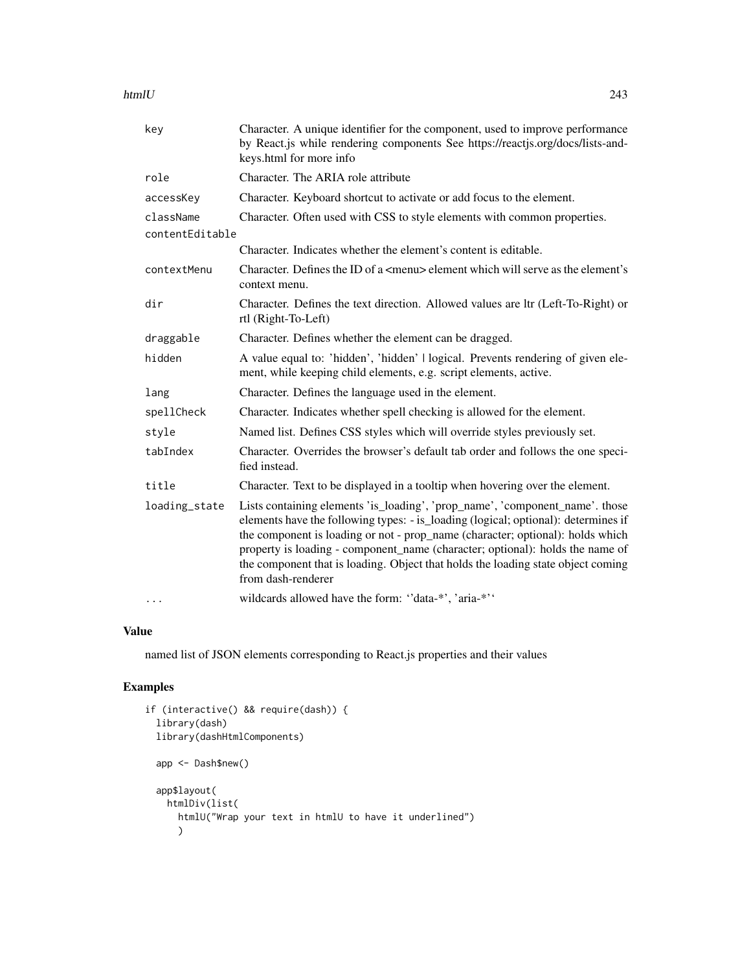### htmlU 243

| key             | Character. A unique identifier for the component, used to improve performance<br>by React.js while rendering components See https://reactjs.org/docs/lists-and-<br>keys.html for more info                                                                                                                                                                                                                                                      |
|-----------------|-------------------------------------------------------------------------------------------------------------------------------------------------------------------------------------------------------------------------------------------------------------------------------------------------------------------------------------------------------------------------------------------------------------------------------------------------|
| role            | Character. The ARIA role attribute                                                                                                                                                                                                                                                                                                                                                                                                              |
| accessKey       | Character. Keyboard shortcut to activate or add focus to the element.                                                                                                                                                                                                                                                                                                                                                                           |
| className       | Character. Often used with CSS to style elements with common properties.                                                                                                                                                                                                                                                                                                                                                                        |
| contentEditable |                                                                                                                                                                                                                                                                                                                                                                                                                                                 |
|                 | Character. Indicates whether the element's content is editable.                                                                                                                                                                                                                                                                                                                                                                                 |
| contextMenu     | Character. Defines the ID of a <menu> element which will serve as the element's<br/>context menu.</menu>                                                                                                                                                                                                                                                                                                                                        |
| dir             | Character. Defines the text direction. Allowed values are ltr (Left-To-Right) or<br>rtl (Right-To-Left)                                                                                                                                                                                                                                                                                                                                         |
| draggable       | Character. Defines whether the element can be dragged.                                                                                                                                                                                                                                                                                                                                                                                          |
| hidden          | A value equal to: 'hidden', 'hidden'   logical. Prevents rendering of given ele-<br>ment, while keeping child elements, e.g. script elements, active.                                                                                                                                                                                                                                                                                           |
| lang            | Character. Defines the language used in the element.                                                                                                                                                                                                                                                                                                                                                                                            |
| spellCheck      | Character. Indicates whether spell checking is allowed for the element.                                                                                                                                                                                                                                                                                                                                                                         |
| style           | Named list. Defines CSS styles which will override styles previously set.                                                                                                                                                                                                                                                                                                                                                                       |
| tabIndex        | Character. Overrides the browser's default tab order and follows the one speci-<br>fied instead.                                                                                                                                                                                                                                                                                                                                                |
| title           | Character. Text to be displayed in a tooltip when hovering over the element.                                                                                                                                                                                                                                                                                                                                                                    |
| loading_state   | Lists containing elements 'is_loading', 'prop_name', 'component_name'. those<br>elements have the following types: - is_loading (logical; optional): determines if<br>the component is loading or not - prop_name (character; optional): holds which<br>property is loading - component_name (character; optional): holds the name of<br>the component that is loading. Object that holds the loading state object coming<br>from dash-renderer |
| $\cdots$        | wildcards allowed have the form: "data-*', 'aria-*''                                                                                                                                                                                                                                                                                                                                                                                            |

### Value

named list of JSON elements corresponding to React.js properties and their values

```
if (interactive() && require(dash)) {
  library(dash)
  library(dashHtmlComponents)
  app <- Dash$new()
  app$layout(
    htmlDiv(list(
      htmlU("Wrap your text in htmlU to have it underlined")
      \mathcal{L}
```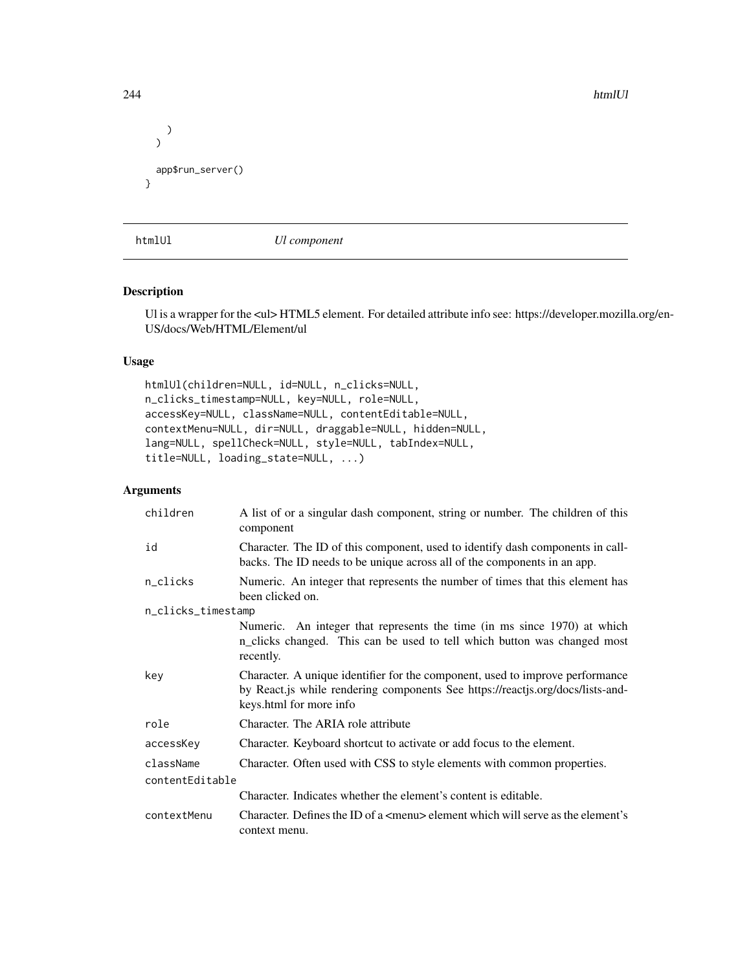```
)
  \mathcal{L}app$run_server()
}
```
htmlUl *Ul component*

### Description

Ul is a wrapper for the <ul> HTML5 element. For detailed attribute info see: https://developer.mozilla.org/en-US/docs/Web/HTML/Element/ul

#### Usage

```
htmlUl(children=NULL, id=NULL, n_clicks=NULL,
n_clicks_timestamp=NULL, key=NULL, role=NULL,
accessKey=NULL, className=NULL, contentEditable=NULL,
contextMenu=NULL, dir=NULL, draggable=NULL, hidden=NULL,
lang=NULL, spellCheck=NULL, style=NULL, tabIndex=NULL,
title=NULL, loading_state=NULL, ...)
```
## Arguments

| children           | A list of or a singular dash component, string or number. The children of this<br>component                                                                                                |
|--------------------|--------------------------------------------------------------------------------------------------------------------------------------------------------------------------------------------|
| id                 | Character. The ID of this component, used to identify dash components in call-<br>backs. The ID needs to be unique across all of the components in an app.                                 |
| n_clicks           | Numeric. An integer that represents the number of times that this element has<br>been clicked on.                                                                                          |
| n_clicks_timestamp |                                                                                                                                                                                            |
|                    | Numeric. An integer that represents the time (in ms since 1970) at which<br>n_clicks changed. This can be used to tell which button was changed most<br>recently.                          |
| key                | Character. A unique identifier for the component, used to improve performance<br>by React.js while rendering components See https://reactjs.org/docs/lists-and-<br>keys.html for more info |
| role               | Character. The ARIA role attribute                                                                                                                                                         |
| accessKey          | Character. Keyboard shortcut to activate or add focus to the element.                                                                                                                      |
| className          | Character. Often used with CSS to style elements with common properties.                                                                                                                   |
| contentEditable    |                                                                                                                                                                                            |
|                    | Character. Indicates whether the element's content is editable.                                                                                                                            |
| contextMenu        | Character. Defines the ID of a $\leq$ menu $\geq$ element which will serve as the element's<br>context menu.                                                                               |

244 htmlUl and the contract of the contract of the contract of the contract of the contract of the contract of the contract of the contract of the contract of the contract of the contract of the contract of the contract of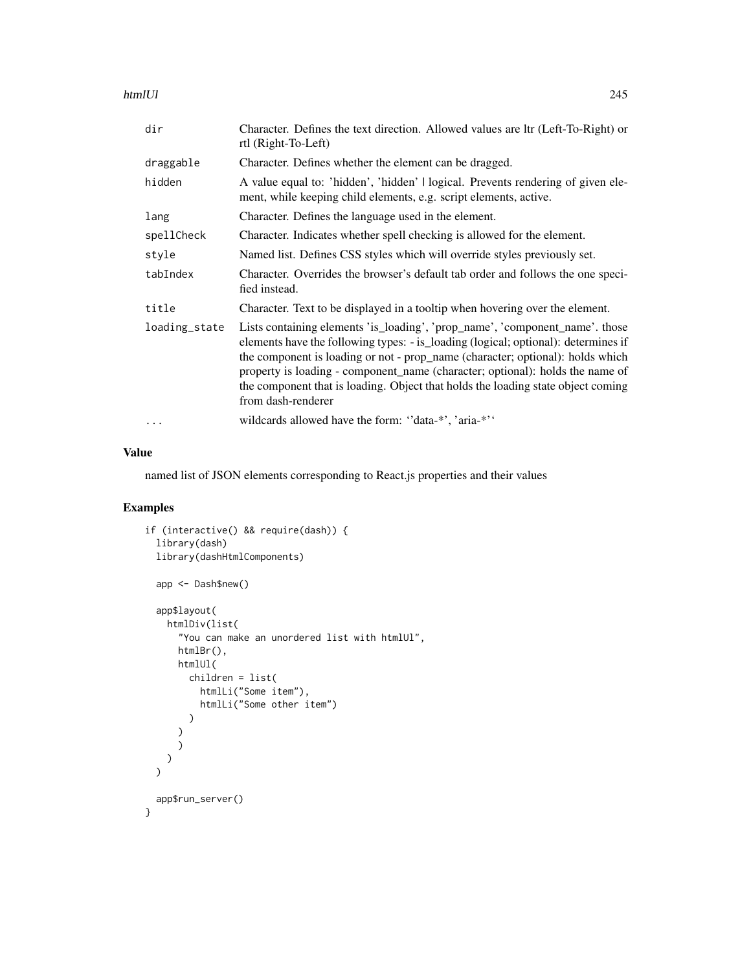htmlUl 245

| dir           | Character. Defines the text direction. Allowed values are ltr (Left-To-Right) or<br>rtl (Right-To-Left)                                                                                                                                                                                                                                                                                                                                         |
|---------------|-------------------------------------------------------------------------------------------------------------------------------------------------------------------------------------------------------------------------------------------------------------------------------------------------------------------------------------------------------------------------------------------------------------------------------------------------|
| draggable     | Character. Defines whether the element can be dragged.                                                                                                                                                                                                                                                                                                                                                                                          |
| hidden        | A value equal to: 'hidden', 'hidden'   logical. Prevents rendering of given ele-<br>ment, while keeping child elements, e.g. script elements, active.                                                                                                                                                                                                                                                                                           |
| lang          | Character. Defines the language used in the element.                                                                                                                                                                                                                                                                                                                                                                                            |
| spellCheck    | Character. Indicates whether spell checking is allowed for the element.                                                                                                                                                                                                                                                                                                                                                                         |
| style         | Named list. Defines CSS styles which will override styles previously set.                                                                                                                                                                                                                                                                                                                                                                       |
| tabIndex      | Character. Overrides the browser's default tab order and follows the one speci-<br>fied instead.                                                                                                                                                                                                                                                                                                                                                |
| title         | Character. Text to be displayed in a tooltip when hovering over the element.                                                                                                                                                                                                                                                                                                                                                                    |
| loading_state | Lists containing elements 'is_loading', 'prop_name', 'component_name'. those<br>elements have the following types: - is_loading (logical; optional): determines if<br>the component is loading or not - prop_name (character; optional): holds which<br>property is loading - component_name (character; optional): holds the name of<br>the component that is loading. Object that holds the loading state object coming<br>from dash-renderer |
| $\cdots$      | wildcards allowed have the form: "data-*", 'aria-*"                                                                                                                                                                                                                                                                                                                                                                                             |

# Value

named list of JSON elements corresponding to React.js properties and their values

```
if (interactive() && require(dash)) {
  library(dash)
  library(dashHtmlComponents)
  app <- Dash$new()
  app$layout(
    htmlDiv(list(
      "You can make an unordered list with htmlUl",
     htmlBr(),
      htmlUl(
        children = list(
          htmlLi("Some item"),
          htmlLi("Some other item")
        )
     )
     )
   )
  \mathcal{L}app$run_server()
}
```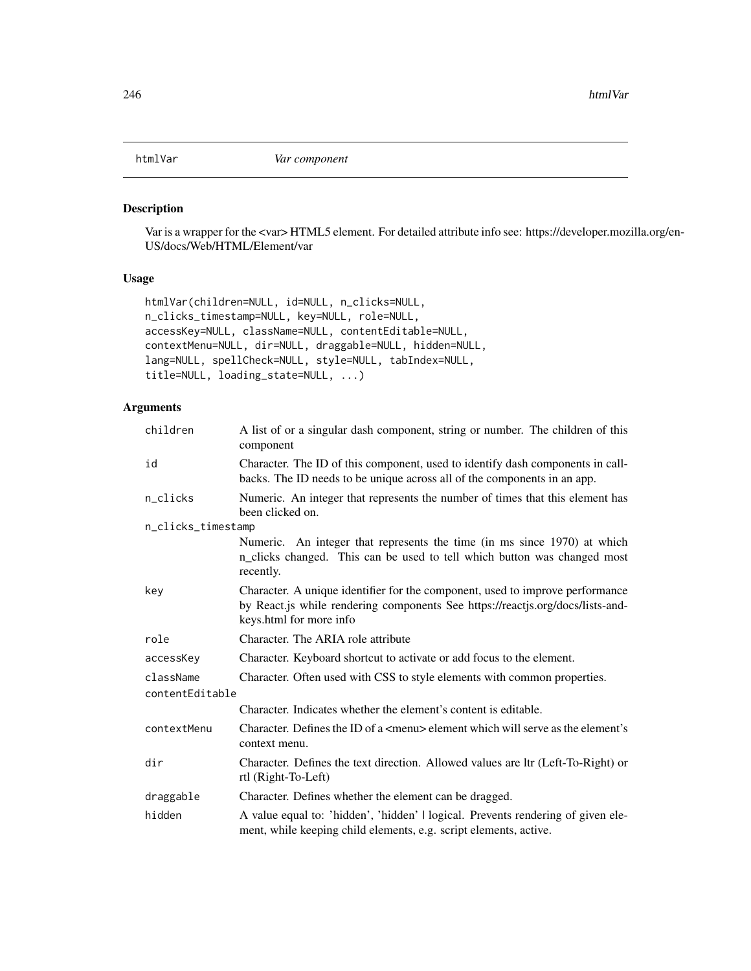## Description

Var is a wrapper for the <var> HTML5 element. For detailed attribute info see: https://developer.mozilla.org/en-US/docs/Web/HTML/Element/var

# Usage

```
htmlVar(children=NULL, id=NULL, n_clicks=NULL,
n_clicks_timestamp=NULL, key=NULL, role=NULL,
accessKey=NULL, className=NULL, contentEditable=NULL,
contextMenu=NULL, dir=NULL, draggable=NULL, hidden=NULL,
lang=NULL, spellCheck=NULL, style=NULL, tabIndex=NULL,
title=NULL, loading_state=NULL, ...)
```

| children           | A list of or a singular dash component, string or number. The children of this<br>component                                                                                                |
|--------------------|--------------------------------------------------------------------------------------------------------------------------------------------------------------------------------------------|
| id                 | Character. The ID of this component, used to identify dash components in call-<br>backs. The ID needs to be unique across all of the components in an app.                                 |
| n_clicks           | Numeric. An integer that represents the number of times that this element has<br>been clicked on.                                                                                          |
| n_clicks_timestamp |                                                                                                                                                                                            |
|                    | Numeric. An integer that represents the time (in ms since 1970) at which<br>n_clicks changed. This can be used to tell which button was changed most<br>recently.                          |
| key                | Character. A unique identifier for the component, used to improve performance<br>by React.js while rendering components See https://reactjs.org/docs/lists-and-<br>keys.html for more info |
| role               | Character. The ARIA role attribute                                                                                                                                                         |
| accessKey          | Character. Keyboard shortcut to activate or add focus to the element.                                                                                                                      |
| className          | Character. Often used with CSS to style elements with common properties.                                                                                                                   |
| contentEditable    |                                                                                                                                                                                            |
|                    | Character. Indicates whether the element's content is editable.                                                                                                                            |
| contextMenu        | Character. Defines the ID of a <menu> element which will serve as the element's<br/>context menu.</menu>                                                                                   |
| dir                | Character. Defines the text direction. Allowed values are ltr (Left-To-Right) or<br>rtl (Right-To-Left)                                                                                    |
| draggable          | Character. Defines whether the element can be dragged.                                                                                                                                     |
| hidden             | A value equal to: 'hidden', 'hidden'   logical. Prevents rendering of given ele-<br>ment, while keeping child elements, e.g. script elements, active.                                      |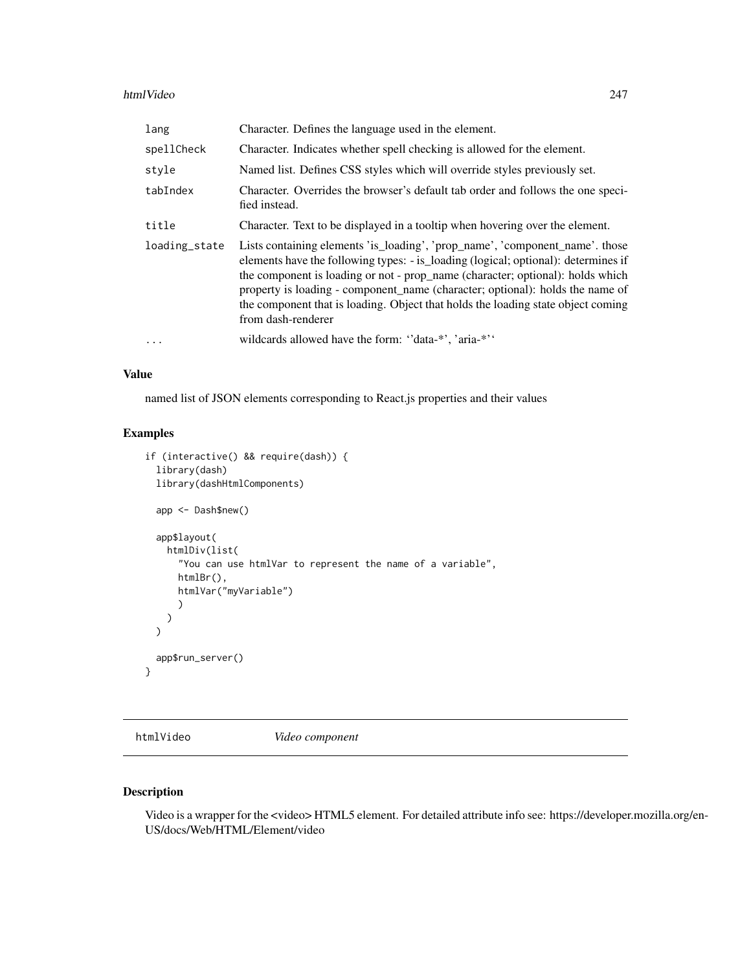#### htmlVideo 247

| lang          | Character. Defines the language used in the element.                                                                                                                                                                                                                                                                                                                                                                                            |
|---------------|-------------------------------------------------------------------------------------------------------------------------------------------------------------------------------------------------------------------------------------------------------------------------------------------------------------------------------------------------------------------------------------------------------------------------------------------------|
| spellCheck    | Character. Indicates whether spell checking is allowed for the element.                                                                                                                                                                                                                                                                                                                                                                         |
| style         | Named list. Defines CSS styles which will override styles previously set.                                                                                                                                                                                                                                                                                                                                                                       |
| tabIndex      | Character. Overrides the browser's default tab order and follows the one speci-<br>fied instead.                                                                                                                                                                                                                                                                                                                                                |
| title         | Character. Text to be displayed in a tooltip when hovering over the element.                                                                                                                                                                                                                                                                                                                                                                    |
| loading_state | Lists containing elements 'is_loading', 'prop_name', 'component_name'. those<br>elements have the following types: - is_loading (logical; optional): determines if<br>the component is loading or not - prop_name (character; optional): holds which<br>property is loading - component name (character; optional): holds the name of<br>the component that is loading. Object that holds the loading state object coming<br>from dash-renderer |
| $\cdots$      | wildcards allowed have the form: "data-*", 'aria-*"                                                                                                                                                                                                                                                                                                                                                                                             |

### Value

named list of JSON elements corresponding to React.js properties and their values

### Examples

```
if (interactive() && require(dash)) {
 library(dash)
 library(dashHtmlComponents)
 app <- Dash$new()
 app$layout(
   htmlDiv(list(
      "You can use htmlVar to represent the name of a variable",
     htmlBr(),
     htmlVar("myVariable")
      )
   )
 \lambdaapp$run_server()
}
```
htmlVideo *Video component*

# Description

Video is a wrapper for the <video> HTML5 element. For detailed attribute info see: https://developer.mozilla.org/en-US/docs/Web/HTML/Element/video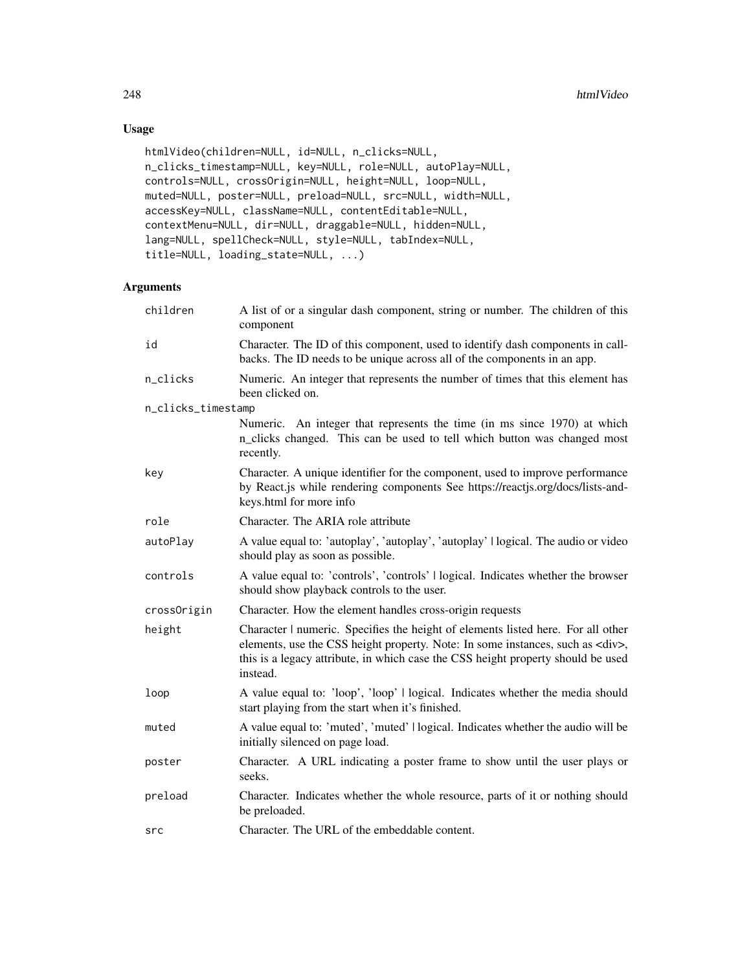# Usage

```
htmlVideo(children=NULL, id=NULL, n_clicks=NULL,
n_clicks_timestamp=NULL, key=NULL, role=NULL, autoPlay=NULL,
controls=NULL, crossOrigin=NULL, height=NULL, loop=NULL,
muted=NULL, poster=NULL, preload=NULL, src=NULL, width=NULL,
accessKey=NULL, className=NULL, contentEditable=NULL,
contextMenu=NULL, dir=NULL, draggable=NULL, hidden=NULL,
lang=NULL, spellCheck=NULL, style=NULL, tabIndex=NULL,
title=NULL, loading_state=NULL, ...)
```

| children           | A list of or a singular dash component, string or number. The children of this<br>component                                                                                                                                                                                |
|--------------------|----------------------------------------------------------------------------------------------------------------------------------------------------------------------------------------------------------------------------------------------------------------------------|
| id                 | Character. The ID of this component, used to identify dash components in call-<br>backs. The ID needs to be unique across all of the components in an app.                                                                                                                 |
| n_clicks           | Numeric. An integer that represents the number of times that this element has<br>been clicked on.                                                                                                                                                                          |
| n_clicks_timestamp |                                                                                                                                                                                                                                                                            |
|                    | Numeric. An integer that represents the time (in ms since 1970) at which<br>n_clicks changed. This can be used to tell which button was changed most<br>recently.                                                                                                          |
| key                | Character. A unique identifier for the component, used to improve performance<br>by React.js while rendering components See https://reactjs.org/docs/lists-and-<br>keys.html for more info                                                                                 |
| role               | Character. The ARIA role attribute                                                                                                                                                                                                                                         |
| autoPlay           | A value equal to: 'autoplay', 'autoplay', 'autoplay'   logical. The audio or video<br>should play as soon as possible.                                                                                                                                                     |
| controls           | A value equal to: 'controls', 'controls'   logical. Indicates whether the browser<br>should show playback controls to the user.                                                                                                                                            |
| crossOrigin        | Character. How the element handles cross-origin requests                                                                                                                                                                                                                   |
| height             | Character   numeric. Specifies the height of elements listed here. For all other<br>elements, use the CSS height property. Note: In some instances, such as <div>,<br/>this is a legacy attribute, in which case the CSS height property should be used<br/>instead.</div> |
| loop               | A value equal to: 'loop', 'loop'   logical. Indicates whether the media should<br>start playing from the start when it's finished.                                                                                                                                         |
| muted              | A value equal to: 'muted', 'muted'   logical. Indicates whether the audio will be<br>initially silenced on page load.                                                                                                                                                      |
| poster             | Character. A URL indicating a poster frame to show until the user plays or<br>seeks.                                                                                                                                                                                       |
| preload            | Character. Indicates whether the whole resource, parts of it or nothing should<br>be preloaded.                                                                                                                                                                            |
| src                | Character. The URL of the embeddable content.                                                                                                                                                                                                                              |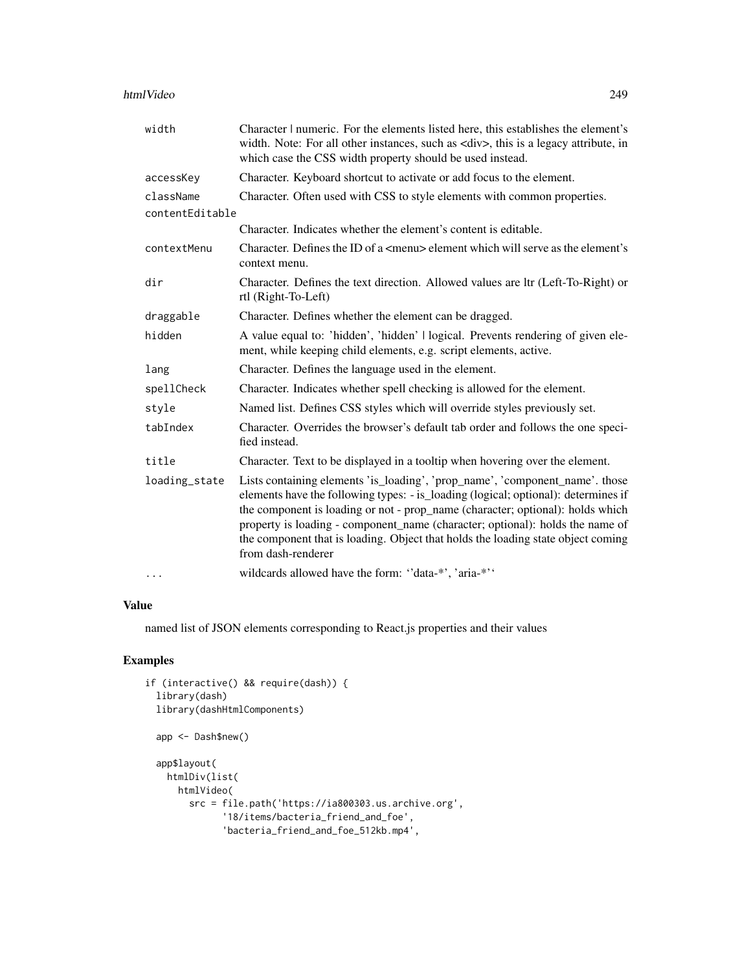#### htmlVideo 249

| width           | Character   numeric. For the elements listed here, this establishes the element's<br>width. Note: For all other instances, such as <div>, this is a legacy attribute, in<br/>which case the CSS width property should be used instead.</div>                                                                                                                                                                                                    |
|-----------------|-------------------------------------------------------------------------------------------------------------------------------------------------------------------------------------------------------------------------------------------------------------------------------------------------------------------------------------------------------------------------------------------------------------------------------------------------|
| accessKey       | Character. Keyboard shortcut to activate or add focus to the element.                                                                                                                                                                                                                                                                                                                                                                           |
| className       | Character. Often used with CSS to style elements with common properties.                                                                                                                                                                                                                                                                                                                                                                        |
| contentEditable |                                                                                                                                                                                                                                                                                                                                                                                                                                                 |
|                 | Character. Indicates whether the element's content is editable.                                                                                                                                                                                                                                                                                                                                                                                 |
| contextMenu     | Character. Defines the ID of a <menu> element which will serve as the element's<br/>context menu.</menu>                                                                                                                                                                                                                                                                                                                                        |
| dir             | Character. Defines the text direction. Allowed values are ltr (Left-To-Right) or<br>rtl (Right-To-Left)                                                                                                                                                                                                                                                                                                                                         |
| draggable       | Character. Defines whether the element can be dragged.                                                                                                                                                                                                                                                                                                                                                                                          |
| hidden          | A value equal to: 'hidden', 'hidden'   logical. Prevents rendering of given ele-<br>ment, while keeping child elements, e.g. script elements, active.                                                                                                                                                                                                                                                                                           |
| lang            | Character. Defines the language used in the element.                                                                                                                                                                                                                                                                                                                                                                                            |
| spellCheck      | Character. Indicates whether spell checking is allowed for the element.                                                                                                                                                                                                                                                                                                                                                                         |
| style           | Named list. Defines CSS styles which will override styles previously set.                                                                                                                                                                                                                                                                                                                                                                       |
| tabIndex        | Character. Overrides the browser's default tab order and follows the one speci-<br>fied instead.                                                                                                                                                                                                                                                                                                                                                |
| title           | Character. Text to be displayed in a tooltip when hovering over the element.                                                                                                                                                                                                                                                                                                                                                                    |
| loading_state   | Lists containing elements 'is_loading', 'prop_name', 'component_name'. those<br>elements have the following types: - is_loading (logical; optional): determines if<br>the component is loading or not - prop_name (character; optional): holds which<br>property is loading - component_name (character; optional): holds the name of<br>the component that is loading. Object that holds the loading state object coming<br>from dash-renderer |
| $\cdots$        | wildcards allowed have the form: "data-*', 'aria-*''                                                                                                                                                                                                                                                                                                                                                                                            |

#### Value

named list of JSON elements corresponding to React.js properties and their values

```
if (interactive() && require(dash)) {
 library(dash)
 library(dashHtmlComponents)
 app <- Dash$new()
 app$layout(
   htmlDiv(list(
     htmlVideo(
       src = file.path('https://ia800303.us.archive.org',
             '18/items/bacteria_friend_and_foe',
             'bacteria_friend_and_foe_512kb.mp4',
```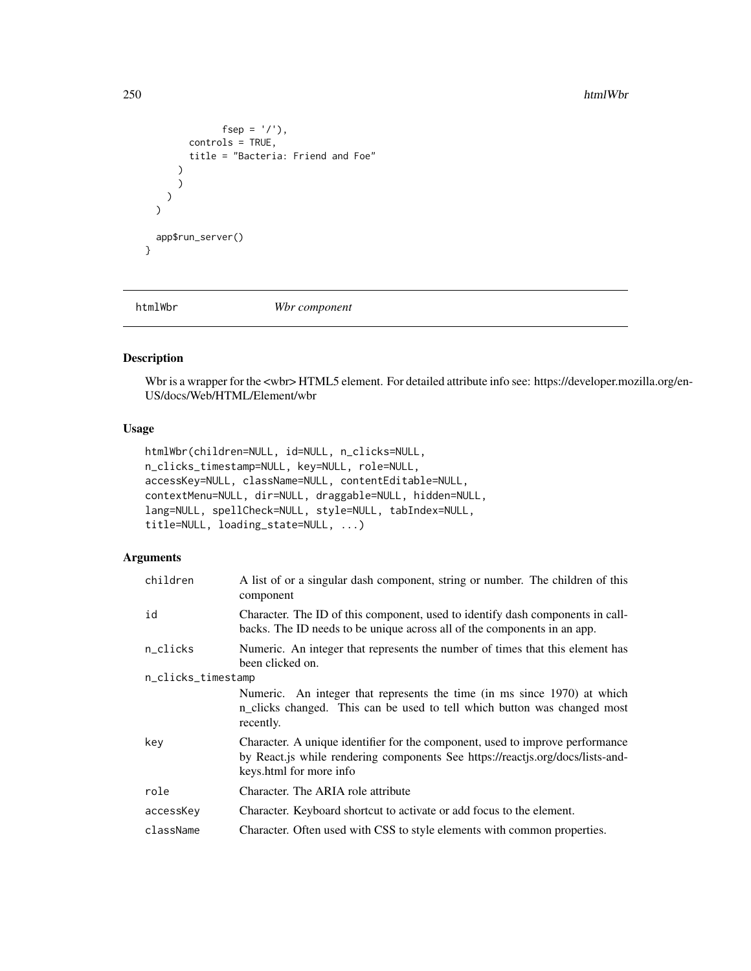#### 250 html Wbr and the control of the control of the control of the control of the control of the control of the control of the control of the control of the control of the control of the control of the control of the contro

```
fsep = '/'),
        controls = TRUE,
         title = "Bacteria: Friend and Foe"
      )
      )
    )
  \mathcal{L}app$run_server()
}
```
htmlWbr *Wbr component*

# Description

Wbr is a wrapper for the <wbr> HTML5 element. For detailed attribute info see: https://developer.mozilla.org/en-US/docs/Web/HTML/Element/wbr

## Usage

```
htmlWbr(children=NULL, id=NULL, n_clicks=NULL,
n_clicks_timestamp=NULL, key=NULL, role=NULL,
accessKey=NULL, className=NULL, contentEditable=NULL,
contextMenu=NULL, dir=NULL, draggable=NULL, hidden=NULL,
lang=NULL, spellCheck=NULL, style=NULL, tabIndex=NULL,
title=NULL, loading_state=NULL, ...)
```

| children           | A list of or a singular dash component, string or number. The children of this<br>component                                                                                                |
|--------------------|--------------------------------------------------------------------------------------------------------------------------------------------------------------------------------------------|
| id                 | Character. The ID of this component, used to identify dash components in call-<br>backs. The ID needs to be unique across all of the components in an app.                                 |
| n_clicks           | Numeric. An integer that represents the number of times that this element has<br>been clicked on.                                                                                          |
| n_clicks_timestamp |                                                                                                                                                                                            |
|                    | Numeric. An integer that represents the time (in ms since 1970) at which<br>n_clicks changed. This can be used to tell which button was changed most<br>recently.                          |
| key                | Character. A unique identifier for the component, used to improve performance<br>by React.js while rendering components See https://reactjs.org/docs/lists-and-<br>keys.html for more info |
| role               | Character. The ARIA role attribute                                                                                                                                                         |
| accessKey          | Character. Keyboard shortcut to activate or add focus to the element.                                                                                                                      |
| className          | Character. Often used with CSS to style elements with common properties.                                                                                                                   |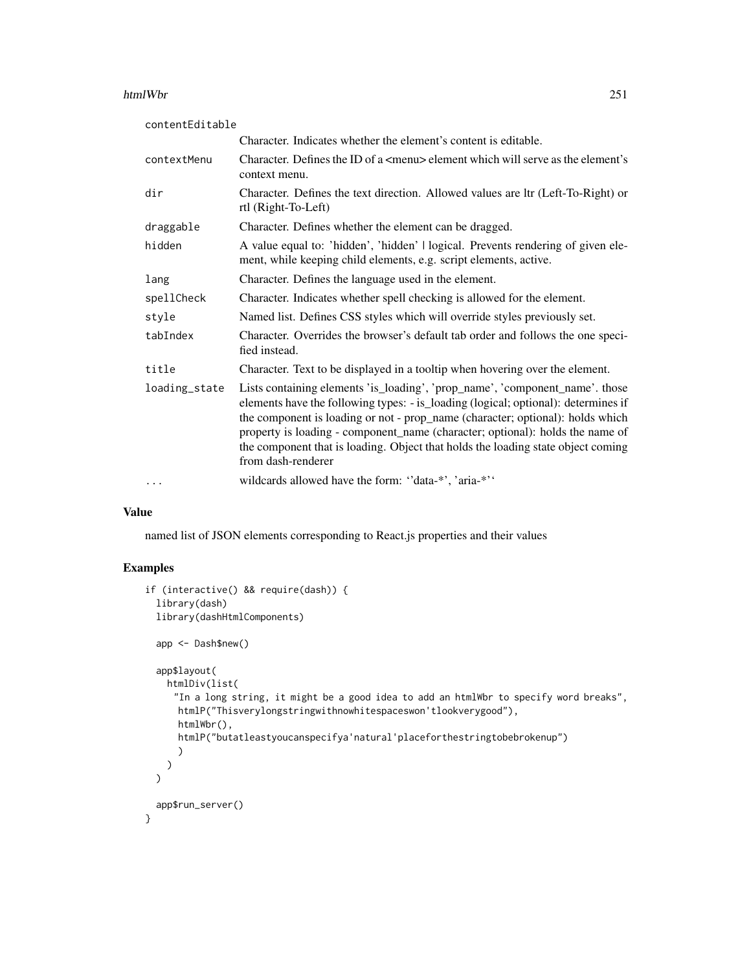#### htmlWbr 251

| contentEditable |                                                                                                                                                                                                                                                                                                                                                                                                                                                 |
|-----------------|-------------------------------------------------------------------------------------------------------------------------------------------------------------------------------------------------------------------------------------------------------------------------------------------------------------------------------------------------------------------------------------------------------------------------------------------------|
|                 | Character. Indicates whether the element's content is editable.                                                                                                                                                                                                                                                                                                                                                                                 |
| contextMenu     | Character. Defines the ID of a $\leq$ menu> element which will serve as the element's<br>context menu.                                                                                                                                                                                                                                                                                                                                          |
| dir             | Character. Defines the text direction. Allowed values are ltr (Left-To-Right) or<br>rtl (Right-To-Left)                                                                                                                                                                                                                                                                                                                                         |
| draggable       | Character. Defines whether the element can be dragged.                                                                                                                                                                                                                                                                                                                                                                                          |
| hidden          | A value equal to: 'hidden', 'hidden'   logical. Prevents rendering of given ele-<br>ment, while keeping child elements, e.g. script elements, active.                                                                                                                                                                                                                                                                                           |
| lang            | Character. Defines the language used in the element.                                                                                                                                                                                                                                                                                                                                                                                            |
| spellCheck      | Character. Indicates whether spell checking is allowed for the element.                                                                                                                                                                                                                                                                                                                                                                         |
| style           | Named list. Defines CSS styles which will override styles previously set.                                                                                                                                                                                                                                                                                                                                                                       |
| tabIndex        | Character. Overrides the browser's default tab order and follows the one speci-<br>fied instead.                                                                                                                                                                                                                                                                                                                                                |
| title           | Character. Text to be displayed in a tooltip when hovering over the element.                                                                                                                                                                                                                                                                                                                                                                    |
| loading_state   | Lists containing elements 'is_loading', 'prop_name', 'component_name'. those<br>elements have the following types: - is_loading (logical; optional): determines if<br>the component is loading or not - prop_name (character; optional): holds which<br>property is loading - component_name (character; optional): holds the name of<br>the component that is loading. Object that holds the loading state object coming<br>from dash-renderer |
| $\cdot$         | wildcards allowed have the form: "data-*", 'aria-*"                                                                                                                                                                                                                                                                                                                                                                                             |

## Value

named list of JSON elements corresponding to React.js properties and their values

```
if (interactive() && require(dash)) {
  library(dash)
  library(dashHtmlComponents)
  app <- Dash$new()
  app$layout(
    htmlDiv(list(
     "In a long string, it might be a good idea to add an htmlWbr to specify word breaks",
     htmlP("Thisverylongstringwithnowhitespaceswon'tlookverygood"),
      htmlWbr(),
      htmlP("butatleastyoucanspecifya'natural'placeforthestringtobebrokenup")
      )
    )
  \mathcal{L}app$run_server()
}
```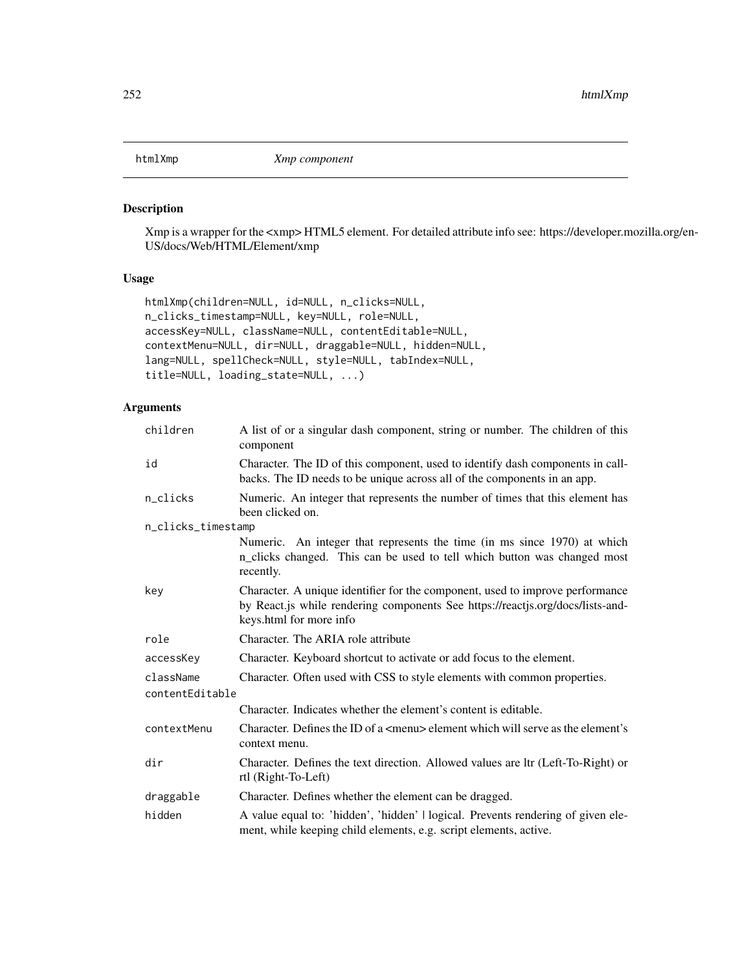## Description

Xmp is a wrapper for the <xmp> HTML5 element. For detailed attribute info see: https://developer.mozilla.org/en-US/docs/Web/HTML/Element/xmp

### Usage

```
htmlXmp(children=NULL, id=NULL, n_clicks=NULL,
n_clicks_timestamp=NULL, key=NULL, role=NULL,
accessKey=NULL, className=NULL, contentEditable=NULL,
contextMenu=NULL, dir=NULL, draggable=NULL, hidden=NULL,
lang=NULL, spellCheck=NULL, style=NULL, tabIndex=NULL,
title=NULL, loading_state=NULL, ...)
```

| children           | A list of or a singular dash component, string or number. The children of this<br>component                                                                                                |
|--------------------|--------------------------------------------------------------------------------------------------------------------------------------------------------------------------------------------|
| id                 | Character. The ID of this component, used to identify dash components in call-<br>backs. The ID needs to be unique across all of the components in an app.                                 |
| n_clicks           | Numeric. An integer that represents the number of times that this element has<br>been clicked on.                                                                                          |
| n_clicks_timestamp |                                                                                                                                                                                            |
|                    | Numeric. An integer that represents the time (in ms since 1970) at which<br>n_clicks changed. This can be used to tell which button was changed most<br>recently.                          |
| key                | Character. A unique identifier for the component, used to improve performance<br>by React.js while rendering components See https://reactjs.org/docs/lists-and-<br>keys.html for more info |
| role               | Character. The ARIA role attribute                                                                                                                                                         |
| accessKey          | Character. Keyboard shortcut to activate or add focus to the element.                                                                                                                      |
| className          | Character. Often used with CSS to style elements with common properties.                                                                                                                   |
| contentEditable    |                                                                                                                                                                                            |
|                    | Character. Indicates whether the element's content is editable.                                                                                                                            |
| contextMenu        | Character. Defines the ID of a $\leq$ menu $\geq$ element which will serve as the element's<br>context menu.                                                                               |
| dir                | Character. Defines the text direction. Allowed values are ltr (Left-To-Right) or<br>rtl (Right-To-Left)                                                                                    |
| draggable          | Character. Defines whether the element can be dragged.                                                                                                                                     |
| hidden             | A value equal to: 'hidden', 'hidden'   logical. Prevents rendering of given ele-<br>ment, while keeping child elements, e.g. script elements, active.                                      |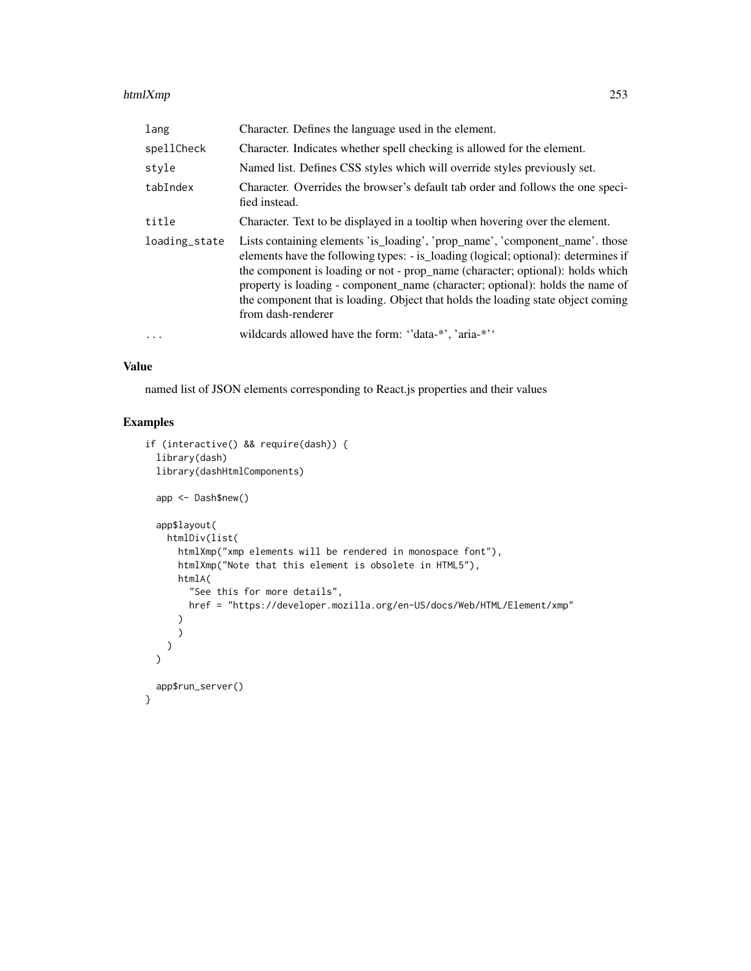### htmlXmp 253

| lang          | Character. Defines the language used in the element.                                                                                                                                                                                                                                                                                                                                                                                            |
|---------------|-------------------------------------------------------------------------------------------------------------------------------------------------------------------------------------------------------------------------------------------------------------------------------------------------------------------------------------------------------------------------------------------------------------------------------------------------|
| spellCheck    | Character. Indicates whether spell checking is allowed for the element.                                                                                                                                                                                                                                                                                                                                                                         |
| style         | Named list. Defines CSS styles which will override styles previously set.                                                                                                                                                                                                                                                                                                                                                                       |
| tabIndex      | Character. Overrides the browser's default tab order and follows the one speci-<br>fied instead.                                                                                                                                                                                                                                                                                                                                                |
| title         | Character. Text to be displayed in a tooltip when hovering over the element.                                                                                                                                                                                                                                                                                                                                                                    |
| loading_state | Lists containing elements 'is_loading', 'prop_name', 'component_name'. those<br>elements have the following types: - is_loading (logical; optional): determines if<br>the component is loading or not - prop_name (character; optional): holds which<br>property is loading - component_name (character; optional): holds the name of<br>the component that is loading. Object that holds the loading state object coming<br>from dash-renderer |
| $\cdot$       | wildcards allowed have the form: "data-*", 'aria-*"                                                                                                                                                                                                                                                                                                                                                                                             |

## Value

named list of JSON elements corresponding to React.js properties and their values

# Examples

```
if (interactive() && require(dash)) {
 library(dash)
 library(dashHtmlComponents)
 app <- Dash$new()
 app$layout(
   htmlDiv(list(
      htmlXmp("xmp elements will be rendered in monospace font"),
      htmlXmp("Note that this element is obsolete in HTML5"),
     htmlA(
        "See this for more details",
       href = "https://developer.mozilla.org/en-US/docs/Web/HTML/Element/xmp"
      )
      )
   )
 \mathcal{L}app$run_server()
}
```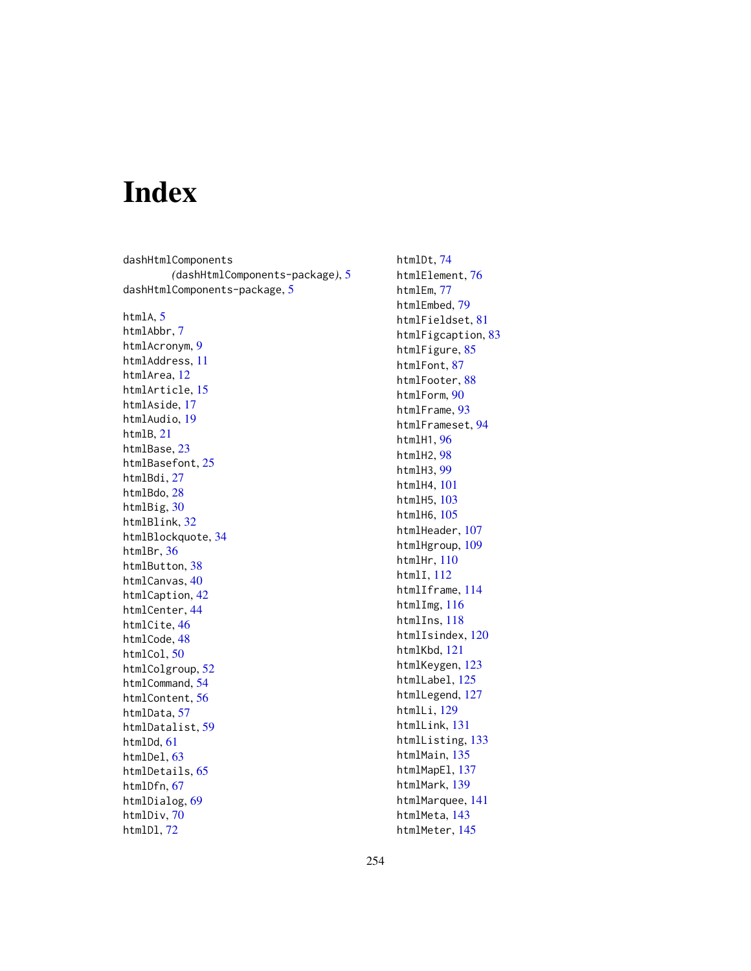# Index

dashHtmlComponents *(*dashHtmlComponents-package*)*, [5](#page-4-0) dashHtmlComponents-package, [5](#page-4-0)

htmlA, [5](#page-4-0) htmlAbbr, [7](#page-6-0)

htmlAcronym, [9](#page-8-0) htmlAddress, [11](#page-10-0) htmlArea, [12](#page-11-0) htmlArticle, [15](#page-14-0) htmlAside, [17](#page-16-0) htmlAudio, [19](#page-18-0) htmlB, [21](#page-20-0) htmlBase, [23](#page-22-0) htmlBasefont, [25](#page-24-0) htmlBdi, [27](#page-26-0) htmlBdo, [28](#page-27-0) htmlBig, [30](#page-29-0) htmlBlink, [32](#page-31-0) htmlBlockquote, [34](#page-33-0) htmlBr, [36](#page-35-0) htmlButton, [38](#page-37-0) htmlCanvas, [40](#page-39-0) htmlCaption, [42](#page-41-0) htmlCenter, [44](#page-43-0) htmlCite, [46](#page-45-0) htmlCode, [48](#page-47-0) htmlCol, [50](#page-49-0) htmlColgroup, [52](#page-51-0) htmlCommand, [54](#page-53-0) htmlContent, [56](#page-55-0) htmlData, [57](#page-56-0) htmlDatalist, [59](#page-58-0) htmlDd, [61](#page-60-0) htmlDel, [63](#page-62-0) htmlDetails, [65](#page-64-0) htmlDfn, [67](#page-66-0) htmlDialog, [69](#page-68-0) htmlDiv, [70](#page-69-0) htmlDl, [72](#page-71-0)

htmlDt, [74](#page-73-0) htmlElement, [76](#page-75-0) htmlEm, [77](#page-76-0) htmlEmbed, [79](#page-78-0) htmlFieldset, [81](#page-80-0) htmlFigcaption, [83](#page-82-0) htmlFigure, [85](#page-84-0) htmlFont, [87](#page-86-0) htmlFooter, [88](#page-87-0) htmlForm, [90](#page-89-0) htmlFrame, [93](#page-92-0) htmlFrameset, [94](#page-93-0) htmlH1, [96](#page-95-0) htmlH2, [98](#page-97-0) htmlH3, [99](#page-98-0) htmlH4, [101](#page-100-0) htmlH5, [103](#page-102-0) htmlH6, [105](#page-104-0) htmlHeader, [107](#page-106-0) htmlHgroup, [109](#page-108-0) htmlHr, [110](#page-109-0) htmlI, [112](#page-111-0) htmlIframe, [114](#page-113-0) htmlImg, [116](#page-115-0) htmlIns, [118](#page-117-0) htmlIsindex, [120](#page-119-0) htmlKbd, [121](#page-120-0) htmlKeygen, [123](#page-122-0) htmlLabel, [125](#page-124-0) htmlLegend, [127](#page-126-0) htmlLi, [129](#page-128-0) htmlLink, [131](#page-130-0) htmlListing, [133](#page-132-0) htmlMain, [135](#page-134-0) htmlMapEl, [137](#page-136-0) htmlMark, [139](#page-138-0) htmlMarquee, [141](#page-140-0) htmlMeta, [143](#page-142-0) htmlMeter, [145](#page-144-0)